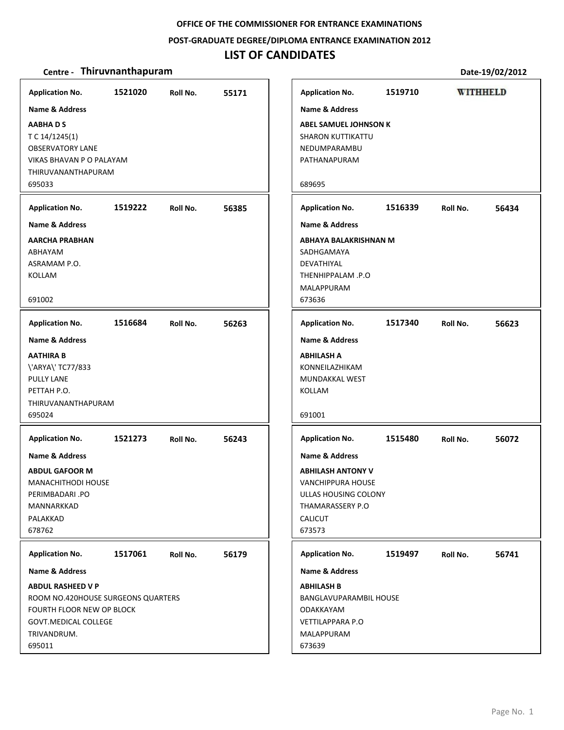**POST‐GRADUATE DEGREE/DIPLOMA ENTRANCE EXAMINATION 2012**

# **LIST OF CANDIDATES**

| <b>Application No.</b>                                                                                                                                                                                                 | 1521020 | Roll No. | 55171 |
|------------------------------------------------------------------------------------------------------------------------------------------------------------------------------------------------------------------------|---------|----------|-------|
| <b>Name &amp; Address</b>                                                                                                                                                                                              |         |          |       |
| <b>AABHADS</b><br>T C 14/1245(1)<br><b>OBSERVATORY LANE</b><br>VIKAS BHAVAN P O PALAYAM<br>THIRUVANANTHAPURAM<br>695033                                                                                                |         |          |       |
| <b>Application No.</b>                                                                                                                                                                                                 | 1519222 | Roll No. | 56385 |
| <b>Name &amp; Address</b>                                                                                                                                                                                              |         |          |       |
| <b>AARCHA PRABHAN</b><br>ABHAYAM<br>ASRAMAM P.O.<br>KOLLAM<br>691002                                                                                                                                                   |         |          |       |
| <b>Application No.</b>                                                                                                                                                                                                 | 1516684 | Roll No. | 56263 |
| <b>Name &amp; Address</b><br><b>AATHIRA B</b><br>\'ARYA\' TC77/833<br><b>PULLY LANE</b><br>PETTAH P.O.<br>THIRUVANANTHAPURAM<br>695024<br><b>Application No.</b><br><b>Name &amp; Address</b><br><b>ABDUL GAFOOR M</b> | 1521273 | Roll No. | 56243 |
| MANACHITHODI HOUSE<br>PERIMBADARI .PO<br>MANNARKKAD<br>PALAKKAD<br>678762                                                                                                                                              |         |          |       |
| <b>Application No.</b>                                                                                                                                                                                                 | 1517061 | Roll No. | 56179 |
| <b>Name &amp; Address</b>                                                                                                                                                                                              |         |          |       |
| <b>ABDUL RASHEED V P</b><br>ROOM NO.420HOUSE SURGEONS QUARTERS<br>FOURTH FLOOR NEW OP BLOCK<br>GOVT.MEDICAL COLLEGE<br>TRIVANDRUM.<br>695011                                                                           |         |          |       |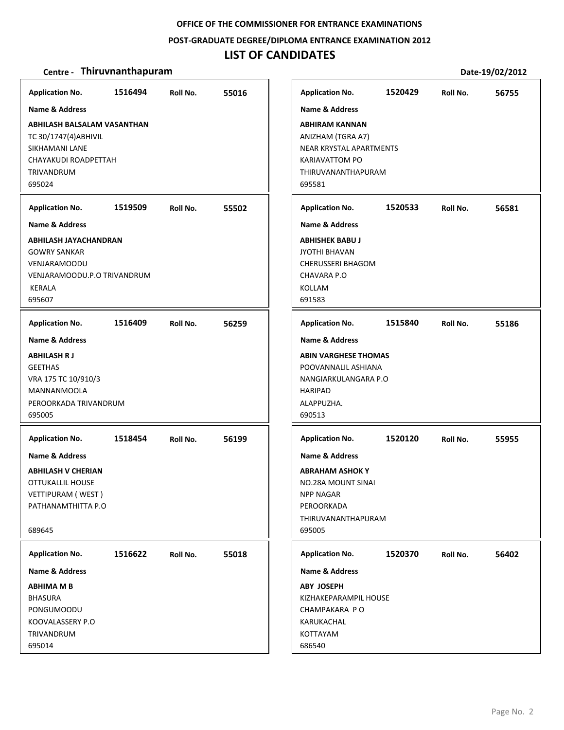#### **POST‐GRADUATE DEGREE/DIPLOMA ENTRANCE EXAMINATION 2012**

# **LIST OF CANDIDATES**

| <b>Application No.</b>                                                                                                        | 1516494 | Roll No. | 55016 |
|-------------------------------------------------------------------------------------------------------------------------------|---------|----------|-------|
| <b>Name &amp; Address</b>                                                                                                     |         |          |       |
| ABHILASH BALSALAM VASANTHAN<br>TC 30/1747(4) ABHIVIL<br>SIKHAMANI LANE<br>CHAYAKUDI ROADPETTAH<br><b>TRIVANDRUM</b><br>695024 |         |          |       |
| <b>Application No.</b>                                                                                                        | 1519509 | Roll No. | 55502 |
| <b>Name &amp; Address</b>                                                                                                     |         |          |       |
| ABHILASH JAYACHANDRAN<br><b>GOWRY SANKAR</b><br><b>VENJARAMOODU</b><br>VENJARAMOODU.P.O TRIVANDRUM<br>KERALA<br>695607        |         |          |       |
| <b>Application No.</b>                                                                                                        | 1516409 | Roll No. | 56259 |
| <b>Name &amp; Address</b>                                                                                                     |         |          |       |
| <b>ABHILASH RJ</b><br><b>GEETHAS</b><br>VRA 175 TC 10/910/3<br><b>MANNANMOOLA</b><br>PEROORKADA TRIVANDRUM<br>695005          |         |          |       |
| <b>Application No.</b>                                                                                                        | 1518454 | Roll No. | 56199 |
| <b>Name &amp; Address</b><br>ABHILASH V CHERIAN<br>OTTUKALLIL HOUSE<br>VETTIPURAM (WEST)<br>PATHANAMTHITTA P.O<br>689645      |         |          |       |
| <b>Application No.</b>                                                                                                        | 1516622 | Roll No. | 55018 |
| <b>Name &amp; Address</b>                                                                                                     |         |          |       |
| <b>ABHIMA M B</b><br><b>BHASURA</b><br>PONGUMOODU<br>KOOVALASSERY P.O<br>TRIVANDRUM                                           |         |          |       |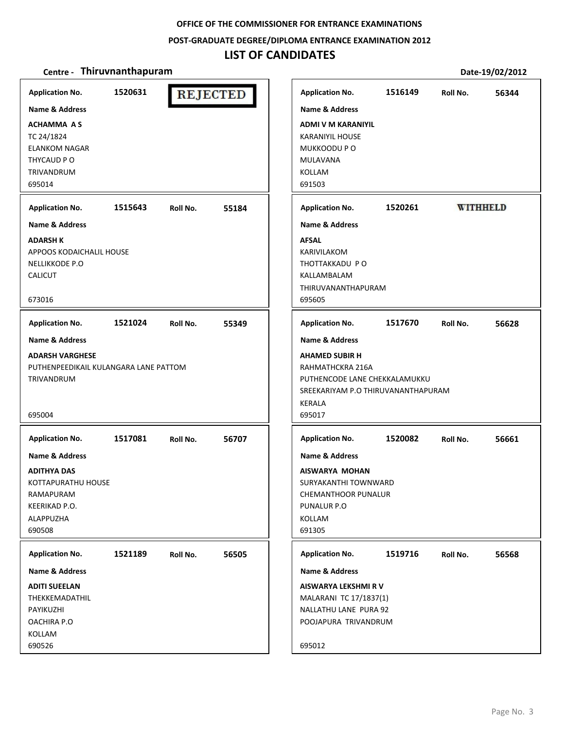**POST‐GRADUATE DEGREE/DIPLOMA ENTRANCE EXAMINATION 2012**

# **LIST OF CANDIDATES**

| <b>Application No.</b>                | 1520631 | <b>REJECTED</b> |       | <b>Application No.</b>                       | 1516149 | Roll No. | 56344           |
|---------------------------------------|---------|-----------------|-------|----------------------------------------------|---------|----------|-----------------|
| <b>Name &amp; Address</b>             |         |                 |       | <b>Name &amp; Address</b>                    |         |          |                 |
| <b>ACHAMMA AS</b>                     |         |                 |       | <b>ADMI V M KARANIYIL</b>                    |         |          |                 |
| TC 24/1824                            |         |                 |       | <b>KARANIYIL HOUSE</b>                       |         |          |                 |
| <b>ELANKOM NAGAR</b>                  |         |                 |       | MUKKOODU P O                                 |         |          |                 |
| THYCAUD PO                            |         |                 |       | MULAVANA                                     |         |          |                 |
| <b>TRIVANDRUM</b>                     |         |                 |       | KOLLAM                                       |         |          |                 |
| 695014                                |         |                 |       | 691503                                       |         |          |                 |
| <b>Application No.</b>                | 1515643 | Roll No.        | 55184 | <b>Application No.</b>                       | 1520261 |          | <b>WITHHELD</b> |
| <b>Name &amp; Address</b>             |         |                 |       | <b>Name &amp; Address</b>                    |         |          |                 |
| <b>ADARSH K</b>                       |         |                 |       | <b>AFSAL</b>                                 |         |          |                 |
| APPOOS KODAICHALIL HOUSE              |         |                 |       | KARIVILAKOM                                  |         |          |                 |
| <b>NELLIKKODE P.O</b>                 |         |                 |       | THOTTAKKADU PO                               |         |          |                 |
| <b>CALICUT</b>                        |         |                 |       | KALLAMBALAM                                  |         |          |                 |
| 673016                                |         |                 |       | THIRUVANANTHAPURAM<br>695605                 |         |          |                 |
|                                       |         |                 |       |                                              |         |          |                 |
| <b>Application No.</b>                | 1521024 | Roll No.        | 55349 | <b>Application No.</b>                       | 1517670 | Roll No. | 56628           |
| <b>Name &amp; Address</b>             |         |                 |       | <b>Name &amp; Address</b>                    |         |          |                 |
| <b>ADARSH VARGHESE</b>                |         |                 |       | <b>AHAMED SUBIR H</b>                        |         |          |                 |
| PUTHENPEEDIKAIL KULANGARA LANE PATTOM |         |                 |       | RAHMATHCKRA 216A                             |         |          |                 |
| TRIVANDRUM                            |         |                 |       | PUTHENCODE LANE CHEKKALAMUKKU                |         |          |                 |
|                                       |         |                 |       | SREEKARIYAM P.O THIRUVANANTHAPURAM<br>KERALA |         |          |                 |
| 695004                                |         |                 |       | 695017                                       |         |          |                 |
|                                       |         |                 |       |                                              |         |          |                 |
| <b>Application No.</b>                | 1517081 | Roll No.        | 56707 | <b>Application No.</b>                       | 1520082 | Roll No. | 56661           |
| Name & Address                        |         |                 |       | <b>Name &amp; Address</b>                    |         |          |                 |
| <b>ADITHYA DAS</b>                    |         |                 |       | AISWARYA MOHAN                               |         |          |                 |
| KOTTAPURATHU HOUSE                    |         |                 |       | SURYAKANTHI TOWNWARD                         |         |          |                 |
| RAMAPURAM                             |         |                 |       | CHEMANTHOOR PUNALUR                          |         |          |                 |
| KEERIKAD P.O.<br>ALAPPUZHA            |         |                 |       | PUNALUR P.O<br>KOLLAM                        |         |          |                 |
| 690508                                |         |                 |       | 691305                                       |         |          |                 |
|                                       |         |                 |       |                                              |         |          |                 |
| <b>Application No.</b>                | 1521189 | Roll No.        | 56505 | <b>Application No.</b>                       | 1519716 | Roll No. | 56568           |
| <b>Name &amp; Address</b>             |         |                 |       | <b>Name &amp; Address</b>                    |         |          |                 |
| <b>ADITI SUEELAN</b>                  |         |                 |       | AISWARYA LEKSHMI R V                         |         |          |                 |
| THEKKEMADATHIL                        |         |                 |       | MALARANI TC 17/1837(1)                       |         |          |                 |
| PAYIKUZHI                             |         |                 |       | NALLATHU LANE PURA 92                        |         |          |                 |
| OACHIRA P.O                           |         |                 |       | POOJAPURA TRIVANDRUM                         |         |          |                 |
| KOLLAM<br>690526                      |         |                 |       | 695012                                       |         |          |                 |
|                                       |         |                 |       |                                              |         |          |                 |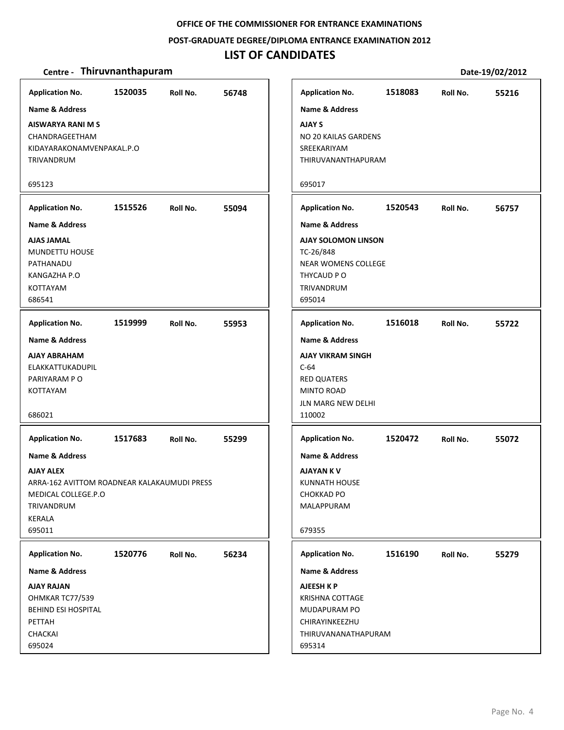#### **POST‐GRADUATE DEGREE/DIPLOMA ENTRANCE EXAMINATION 2012**

# **LIST OF CANDIDATES**

| <b>Application No.</b>                                                                                                                                                      | 1520035 | Roll No. | 56748 |
|-----------------------------------------------------------------------------------------------------------------------------------------------------------------------------|---------|----------|-------|
| <b>Name &amp; Address</b><br>AISWARYA RANI M S<br>CHANDRAGEETHAM<br>KIDAYARAKONAMVENPAKAL.P.O                                                                               |         |          |       |
| TRIVANDRUM                                                                                                                                                                  |         |          |       |
| 695123                                                                                                                                                                      |         |          |       |
| <b>Application No.</b>                                                                                                                                                      | 1515526 | Roll No. | 55094 |
| <b>Name &amp; Address</b><br><b>AJAS JAMAL</b><br>MUNDETTU HOUSE<br>PATHANADU<br>KANGAZHA P.O<br><b>KOTTAYAM</b><br>686541                                                  |         |          |       |
| <b>Application No.</b>                                                                                                                                                      | 1519999 | Roll No. | 55953 |
| <b>Name &amp; Address</b><br>AJAY ABRAHAM<br>ELAKKATTUKADUPIL<br>PARIYARAM PO<br><b>KOTTAYAM</b><br>686021                                                                  |         |          |       |
| <b>Application No.</b><br>Name & Address<br><b>AJAY ALEX</b><br>ARRA-162 AVITTOM ROADNEAR KALAKAUMUDI PRESS<br>MEDICAL COLLEGE.P.O<br><b>TRIVANDRUM</b><br>KERALA<br>695011 | 1517683 | Roll No. | 55299 |
| <b>Application No.</b>                                                                                                                                                      | 1520776 | Roll No. | 56234 |
| <b>Name &amp; Address</b>                                                                                                                                                   |         |          |       |
| <b>AJAY RAJAN</b><br>OHMKAR TC77/539<br>BEHIND ESI HOSPITAL<br>PETTAH<br>CHACKAI<br>695024                                                                                  |         |          |       |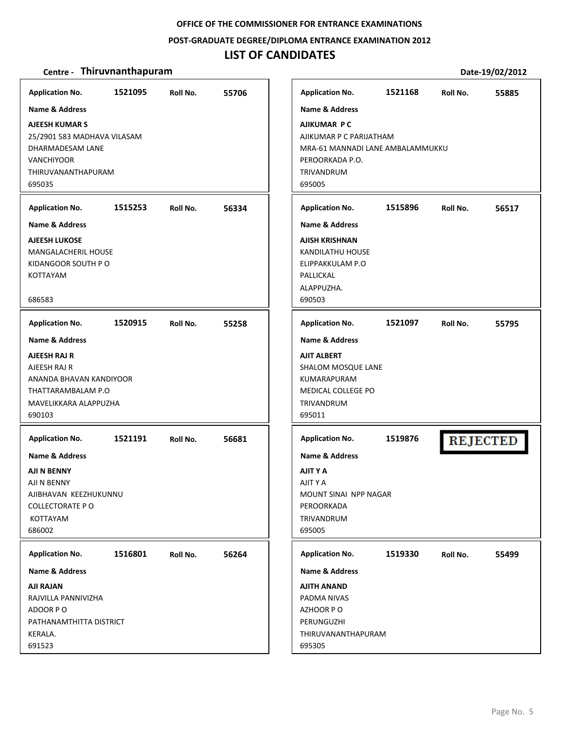#### **POST‐GRADUATE DEGREE/DIPLOMA ENTRANCE EXAMINATION 2012**

# **LIST OF CANDIDATES**

| <b>Application No.</b>                             | 1521095 | Roll No. | 55706 | <b>Application No.</b>                   | 1521168 | Roll No. | 55885           |
|----------------------------------------------------|---------|----------|-------|------------------------------------------|---------|----------|-----------------|
| <b>Name &amp; Address</b><br><b>AJEESH KUMAR S</b> |         |          |       | <b>Name &amp; Address</b><br>AJIKUMAR PC |         |          |                 |
| 25/2901 583 MADHAVA VILASAM                        |         |          |       | AJIKUMAR P C PARIJATHAM                  |         |          |                 |
| DHARMADESAM LANE                                   |         |          |       | MRA-61 MANNADI LANE AMBALAMMUKKU         |         |          |                 |
| <b>VANCHIYOOR</b>                                  |         |          |       | PEROORKADA P.O.                          |         |          |                 |
| THIRUVANANTHAPURAM<br>695035                       |         |          |       | TRIVANDRUM<br>695005                     |         |          |                 |
|                                                    |         |          |       |                                          |         |          |                 |
| <b>Application No.</b>                             | 1515253 | Roll No. | 56334 | <b>Application No.</b>                   | 1515896 | Roll No. | 56517           |
| <b>Name &amp; Address</b>                          |         |          |       | Name & Address                           |         |          |                 |
| <b>AJEESH LUKOSE</b>                               |         |          |       | AJISH KRISHNAN                           |         |          |                 |
| MANGALACHERIL HOUSE<br>KIDANGOOR SOUTH P O         |         |          |       | <b>KANDILATHU HOUSE</b>                  |         |          |                 |
| KOTTAYAM                                           |         |          |       | ELIPPAKKULAM P.O<br>PALLICKAL            |         |          |                 |
|                                                    |         |          |       | ALAPPUZHA.                               |         |          |                 |
| 686583                                             |         |          |       | 690503                                   |         |          |                 |
| <b>Application No.</b>                             | 1520915 | Roll No. | 55258 | <b>Application No.</b>                   | 1521097 | Roll No. | 55795           |
| <b>Name &amp; Address</b>                          |         |          |       | Name & Address                           |         |          |                 |
| AJEESH RAJ R                                       |         |          |       | <b>AJIT ALBERT</b>                       |         |          |                 |
| AJEESH RAJ R                                       |         |          |       | SHALOM MOSQUE LANE                       |         |          |                 |
| ANANDA BHAVAN KANDIYOOR                            |         |          |       | KUMARAPURAM                              |         |          |                 |
| THATTARAMBALAM P.O                                 |         |          |       | MEDICAL COLLEGE PO                       |         |          |                 |
| MAVELIKKARA ALAPPUZHA                              |         |          |       | TRIVANDRUM                               |         |          |                 |
| 690103                                             |         |          |       | 695011                                   |         |          |                 |
| <b>Application No.</b>                             | 1521191 | Roll No. | 56681 | <b>Application No.</b>                   | 1519876 |          | <b>REJECTED</b> |
| <b>Name &amp; Address</b>                          |         |          |       | Name & Address                           |         |          |                 |
| AJI N BENNY                                        |         |          |       | AJIT Y A                                 |         |          |                 |
| AJI N BENNY                                        |         |          |       | AJIT Y A                                 |         |          |                 |
| AJIBHAVAN KEEZHUKUNNU<br><b>COLLECTORATE P O</b>   |         |          |       | MOUNT SINAI NPP NAGAR<br>PEROORKADA      |         |          |                 |
| KOTTAYAM                                           |         |          |       | TRIVANDRUM                               |         |          |                 |
| 686002                                             |         |          |       | 695005                                   |         |          |                 |
| <b>Application No.</b>                             | 1516801 | Roll No. | 56264 | <b>Application No.</b>                   | 1519330 | Roll No. | 55499           |
| <b>Name &amp; Address</b>                          |         |          |       | <b>Name &amp; Address</b>                |         |          |                 |
| <b>AJI RAJAN</b>                                   |         |          |       | AJITH ANAND                              |         |          |                 |
| RAJVILLA PANNIVIZHA                                |         |          |       | PADMA NIVAS                              |         |          |                 |
| ADOOR PO                                           |         |          |       | AZHOOR PO                                |         |          |                 |
| PATHANAMTHITTA DISTRICT                            |         |          |       | PERUNGUZHI                               |         |          |                 |
| KERALA.                                            |         |          |       | THIRUVANANTHAPURAM                       |         |          |                 |
| 691523                                             |         |          |       | 695305                                   |         |          |                 |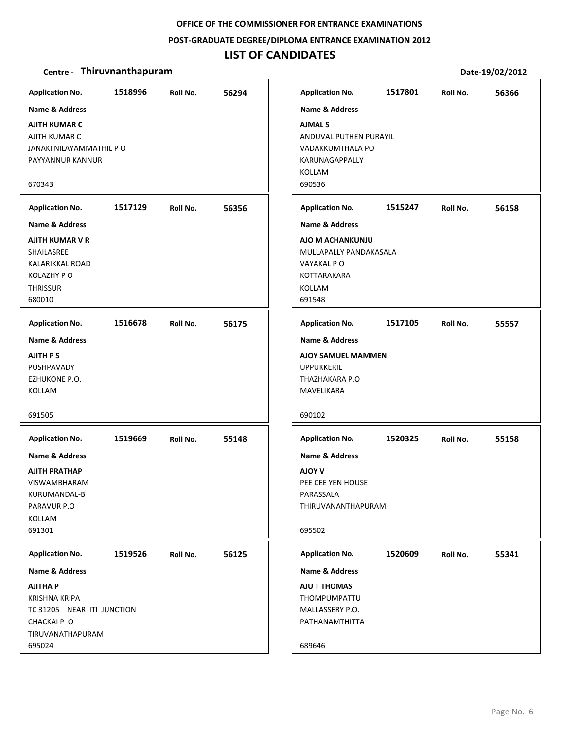#### **POST‐GRADUATE DEGREE/DIPLOMA ENTRANCE EXAMINATION 2012**

# **LIST OF CANDIDATES**

| <b>Application No.</b><br><b>Name &amp; Address</b><br><b>AJITH KUMAR C</b><br>AJITH KUMAR C<br>JANAKI NILAYAMMATHIL P O<br>PAYYANNUR KANNUR<br>670343                    | 1518996 | Roll No. | 56294 | <b>Application No.</b><br>Name & Address<br><b>AJMAL S</b><br>ANDUVAL PUTHEN PURAYIL<br>VADAKKUMTHALA PO<br>KARUNAGAPPALLY<br><b>KOLLAM</b><br>690536     | 1517801 | Roll No. | 56366 |
|---------------------------------------------------------------------------------------------------------------------------------------------------------------------------|---------|----------|-------|-----------------------------------------------------------------------------------------------------------------------------------------------------------|---------|----------|-------|
| <b>Application No.</b><br><b>Name &amp; Address</b><br>AJITH KUMAR V R<br>SHAILASREE<br>KALARIKKAL ROAD<br>KOLAZHY PO<br><b>THRISSUR</b><br>680010                        | 1517129 | Roll No. | 56356 | <b>Application No.</b><br><b>Name &amp; Address</b><br>AJO M ACHANKUNJU<br>MULLAPALLY PANDAKASALA<br>VAYAKAL PO<br><b>KOTTARAKARA</b><br>KOLLAM<br>691548 | 1515247 | Roll No. | 56158 |
| <b>Application No.</b><br><b>Name &amp; Address</b><br><b>AJITH PS</b><br>PUSHPAVADY<br>EZHUKONE P.O.<br>KOLLAM<br>691505                                                 | 1516678 | Roll No. | 56175 | <b>Application No.</b><br>Name & Address<br><b>AJOY SAMUEL MAMMEN</b><br><b>UPPUKKERIL</b><br>THAZHAKARA P.O<br>MAVELIKARA<br>690102                      | 1517105 | Roll No. | 55557 |
| <b>Application No.</b><br><b>Name &amp; Address</b><br>AJITH PRATHAP<br><b>VISWAMBHARAM</b><br>KURUMANDAL-B<br>PARAVUR P.O<br>KOLLAM<br>691301                            | 1519669 | Roll No. | 55148 | <b>Application No.</b><br><b>Name &amp; Address</b><br><b>NOV V</b><br>PEE CEE YEN HOUSE<br>PARASSALA<br>THIRUVANANTHAPURAM<br>695502                     | 1520325 | Roll No. | 55158 |
| <b>Application No.</b><br><b>Name &amp; Address</b><br><b>AJITHA P</b><br><b>KRISHNA KRIPA</b><br>TC 31205 NEAR ITI JUNCTION<br>CHACKAI P O<br>TIRUVANATHAPURAM<br>695024 | 1519526 | Roll No. | 56125 | <b>Application No.</b><br>Name & Address<br>AJU T THOMAS<br>THOMPUMPATTU<br>MALLASSERY P.O.<br>PATHANAMTHITTA<br>689646                                   | 1520609 | Roll No. | 55341 |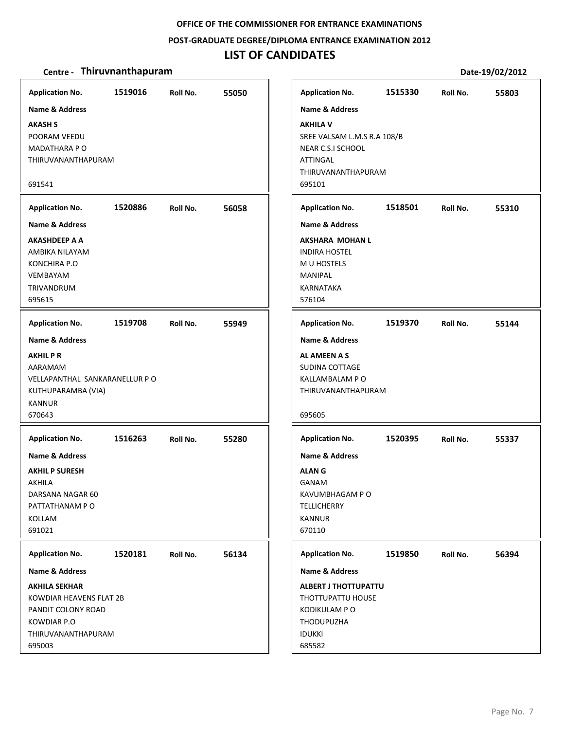#### **POST‐GRADUATE DEGREE/DIPLOMA ENTRANCE EXAMINATION 2012**

# **LIST OF CANDIDATES**

| <b>Application No.</b>        | 1519016 | Roll No. | 55050 | <b>Application No.</b>      | 1515330 | Roll No. | 55803 |
|-------------------------------|---------|----------|-------|-----------------------------|---------|----------|-------|
| <b>Name &amp; Address</b>     |         |          |       | <b>Name &amp; Address</b>   |         |          |       |
| <b>AKASH S</b>                |         |          |       | <b>AKHILA V</b>             |         |          |       |
| POORAM VEEDU                  |         |          |       | SREE VALSAM L.M.S R.A 108/B |         |          |       |
| <b>MADATHARA P O</b>          |         |          |       | NEAR C.S.I SCHOOL           |         |          |       |
| THIRUVANANTHAPURAM            |         |          |       | <b>ATTINGAL</b>             |         |          |       |
|                               |         |          |       | THIRUVANANTHAPURAM          |         |          |       |
| 691541                        |         |          |       | 695101                      |         |          |       |
| <b>Application No.</b>        | 1520886 | Roll No. | 56058 | <b>Application No.</b>      | 1518501 | Roll No. | 55310 |
| <b>Name &amp; Address</b>     |         |          |       | Name & Address              |         |          |       |
| AKASHDEEP A A                 |         |          |       | AKSHARA MOHAN L             |         |          |       |
| AMBIKA NILAYAM                |         |          |       | <b>INDIRA HOSTEL</b>        |         |          |       |
| <b>KONCHIRA P.O</b>           |         |          |       | M U HOSTELS                 |         |          |       |
| <b>VEMBAYAM</b>               |         |          |       | <b>MANIPAL</b>              |         |          |       |
| TRIVANDRUM                    |         |          |       | <b>KARNATAKA</b>            |         |          |       |
| 695615                        |         |          |       | 576104                      |         |          |       |
| <b>Application No.</b>        | 1519708 | Roll No. | 55949 | <b>Application No.</b>      | 1519370 | Roll No. | 55144 |
| <b>Name &amp; Address</b>     |         |          |       | <b>Name &amp; Address</b>   |         |          |       |
| <b>AKHILPR</b>                |         |          |       | AL AMEEN A S                |         |          |       |
| AARAMAM                       |         |          |       | SUDINA COTTAGE              |         |          |       |
| VELLAPANTHAL SANKARANELLUR PO |         |          |       | KALLAMBALAM P O             |         |          |       |
| KUTHUPARAMBA (VIA)            |         |          |       | THIRUVANANTHAPURAM          |         |          |       |
| <b>KANNUR</b>                 |         |          |       |                             |         |          |       |
| 670643                        |         |          |       | 695605                      |         |          |       |
| <b>Application No.</b>        | 1516263 | Roll No. | 55280 | <b>Application No.</b>      | 1520395 | Roll No. | 55337 |
| <b>Name &amp; Address</b>     |         |          |       | <b>Name &amp; Address</b>   |         |          |       |
| <b>AKHIL P SURESH</b>         |         |          |       | <b>ALANG</b>                |         |          |       |
| <b>AKHILA</b>                 |         |          |       | GANAM                       |         |          |       |
| DARSANA NAGAR 60              |         |          |       | KAVUMBHAGAM P O             |         |          |       |
| PATTATHANAM P O               |         |          |       | <b>TELLICHERRY</b>          |         |          |       |
| KOLLAM                        |         |          |       | <b>KANNUR</b>               |         |          |       |
| 691021                        |         |          |       | 670110                      |         |          |       |
|                               |         |          |       |                             |         |          |       |
| <b>Application No.</b>        | 1520181 | Roll No. | 56134 | <b>Application No.</b>      | 1519850 | Roll No. | 56394 |
| <b>Name &amp; Address</b>     |         |          |       | <b>Name &amp; Address</b>   |         |          |       |
| <b>AKHILA SEKHAR</b>          |         |          |       | <b>ALBERT J THOTTUPATTU</b> |         |          |       |
| KOWDIAR HEAVENS FLAT 2B       |         |          |       | THOTTUPATTU HOUSE           |         |          |       |
| PANDIT COLONY ROAD            |         |          |       | KODIKULAM P O               |         |          |       |
| KOWDIAR P.O                   |         |          |       | <b>THODUPUZHA</b>           |         |          |       |
| THIRUVANANTHAPURAM            |         |          |       | <b>IDUKKI</b>               |         |          |       |
| 695003                        |         |          |       | 685582                      |         |          |       |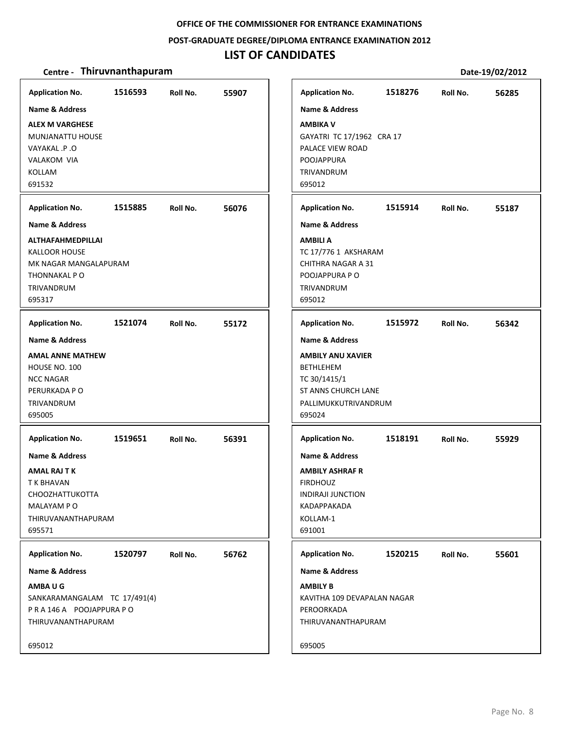#### **POST‐GRADUATE DEGREE/DIPLOMA ENTRANCE EXAMINATION 2012**

# **LIST OF CANDIDATES**

| <b>Application No.</b>                                                                                                                                 | 1516593 | Roll No. | 55907 | <b>Application No.</b>                                                                                                                             | 1518276 | Roll No. | 56285 |
|--------------------------------------------------------------------------------------------------------------------------------------------------------|---------|----------|-------|----------------------------------------------------------------------------------------------------------------------------------------------------|---------|----------|-------|
| <b>Name &amp; Address</b><br><b>ALEX M VARGHESE</b><br>MUNJANATTU HOUSE<br><b>VAYAKAL .P.O</b><br>VALAKOM VIA<br><b>KOLLAM</b><br>691532               |         |          |       | <b>Name &amp; Address</b><br><b>AMBIKA V</b><br>GAYATRI TC 17/1962 CRA 17<br>PALACE VIEW ROAD<br><b>POOJAPPURA</b><br>TRIVANDRUM<br>695012         |         |          |       |
| <b>Application No.</b>                                                                                                                                 | 1515885 | Roll No. | 56076 | <b>Application No.</b>                                                                                                                             | 1515914 | Roll No. | 55187 |
| <b>Name &amp; Address</b><br><b>ALTHAFAHMEDPILLAI</b><br><b>KALLOOR HOUSE</b><br>MK NAGAR MANGALAPURAM<br>THONNAKAL P O<br><b>TRIVANDRUM</b><br>695317 |         |          |       | <b>Name &amp; Address</b><br><b>AMBILI A</b><br>TC 17/776 1 AKSHARAM<br>CHITHRA NAGAR A 31<br>POOJAPPURA PO<br>TRIVANDRUM<br>695012                |         |          |       |
| <b>Application No.</b>                                                                                                                                 | 1521074 | Roll No. | 55172 | <b>Application No.</b>                                                                                                                             | 1515972 | Roll No. | 56342 |
| <b>Name &amp; Address</b><br><b>AMAL ANNE MATHEW</b><br>HOUSE NO. 100<br><b>NCC NAGAR</b><br>PERURKADA P O<br>TRIVANDRUM<br>695005                     |         |          |       | <b>Name &amp; Address</b><br><b>AMBILY ANU XAVIER</b><br><b>BETHLEHEM</b><br>TC 30/1415/1<br>ST ANNS CHURCH LANE<br>PALLIMUKKUTRIVANDRUM<br>695024 |         |          |       |
| <b>Application No.</b>                                                                                                                                 | 1519651 | Roll No. | 56391 | <b>Application No.</b>                                                                                                                             | 1518191 | Roll No. | 55929 |
| Name & Address<br><b>AMAL RAJ T K</b><br>T K BHAVAN<br><b>CHOOZHATTUKOTTA</b><br>MALAYAM P O<br>THIRUVANANTHAPURAM<br>695571                           |         |          |       | <b>Name &amp; Address</b><br><b>AMBILY ASHRAF R</b><br><b>FIRDHOUZ</b><br><b>INDIRAJI JUNCTION</b><br>KADAPPAKADA<br>KOLLAM-1<br>691001            |         |          |       |
| <b>Application No.</b>                                                                                                                                 | 1520797 | Roll No. | 56762 | <b>Application No.</b>                                                                                                                             | 1520215 | Roll No. | 55601 |
| Name & Address<br>AMBAUG<br>SANKARAMANGALAM TC 17/491(4)<br>PRA146A POOJAPPURAPO<br>THIRUVANANTHAPURAM                                                 |         |          |       | <b>Name &amp; Address</b><br><b>AMBILY B</b><br>KAVITHA 109 DEVAPALAN NAGAR<br>PEROORKADA<br>THIRUVANANTHAPURAM                                    |         |          |       |
| 695012                                                                                                                                                 |         |          |       | 695005                                                                                                                                             |         |          |       |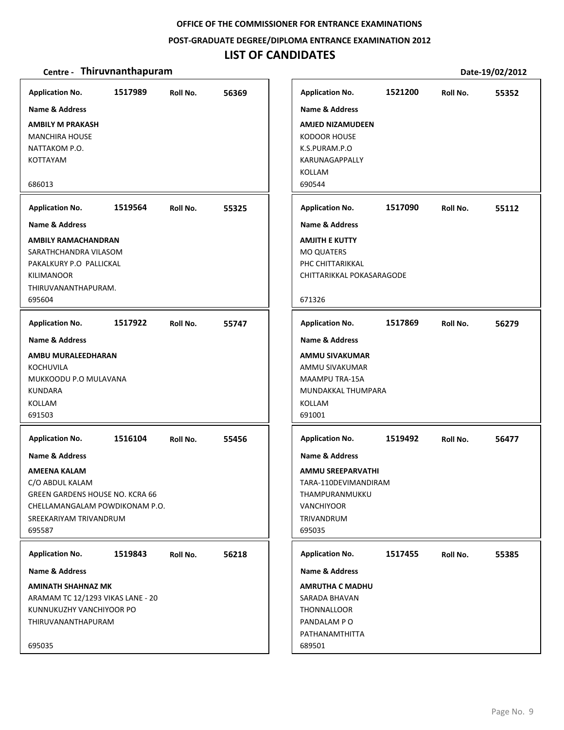#### **POST‐GRADUATE DEGREE/DIPLOMA ENTRANCE EXAMINATION 2012**

# **LIST OF CANDIDATES**

| <b>Application No.</b>                 | 1517989 | Roll No. | 56369 |
|----------------------------------------|---------|----------|-------|
| Name & Address                         |         |          |       |
| <b>AMBILY M PRAKASH</b>                |         |          |       |
| <b>MANCHIRA HOUSE</b>                  |         |          |       |
| NATTAKOM P.O.                          |         |          |       |
| KOTTAYAM                               |         |          |       |
|                                        |         |          |       |
| 686013                                 |         |          |       |
| <b>Application No.</b>                 | 1519564 | Roll No. | 55325 |
| <b>Name &amp; Address</b>              |         |          |       |
| <b>AMBILY RAMACHANDRAN</b>             |         |          |       |
| SARATHCHANDRA VILASOM                  |         |          |       |
| PAKALKURY P.O PALLICKAL                |         |          |       |
| KILIMANOOR                             |         |          |       |
| THIRUVANANTHAPURAM.                    |         |          |       |
| 695604                                 |         |          |       |
| <b>Application No.</b>                 | 1517922 | Roll No. | 55747 |
| <b>Name &amp; Address</b>              |         |          |       |
| AMBU MURALEEDHARAN                     |         |          |       |
| KOCHUVILA                              |         |          |       |
| MUKKOODU P.O MULAVANA                  |         |          |       |
| <b>KUNDARA</b>                         |         |          |       |
| KOLLAM                                 |         |          |       |
| 691503                                 |         |          |       |
| <b>Application No.</b>                 | 1516104 | Roll No. | 55456 |
| <b>Name &amp; Address</b>              |         |          |       |
| AMEENA KALAM                           |         |          |       |
| C/O ABDUL KALAM                        |         |          |       |
| <b>GREEN GARDENS HOUSE NO. KCRA 66</b> |         |          |       |
| CHELLAMANGALAM POWDIKONAM P.O.         |         |          |       |
| SREEKARIYAM TRIVANDRUM                 |         |          |       |
| 695587                                 |         |          |       |
|                                        |         |          |       |
| <b>Application No.</b>                 | 1519843 | Roll No. | 56218 |
| Name & Address                         |         |          |       |
| <b>AMINATH SHAHNAZ MK</b>              |         |          |       |
| ARAMAM TC 12/1293 VIKAS LANE - 20      |         |          |       |
| KUNNUKUZHY VANCHIYOOR PO               |         |          |       |
| THIRUVANANTHAPURAM                     |         |          |       |
|                                        |         |          |       |
| 695035                                 |         |          |       |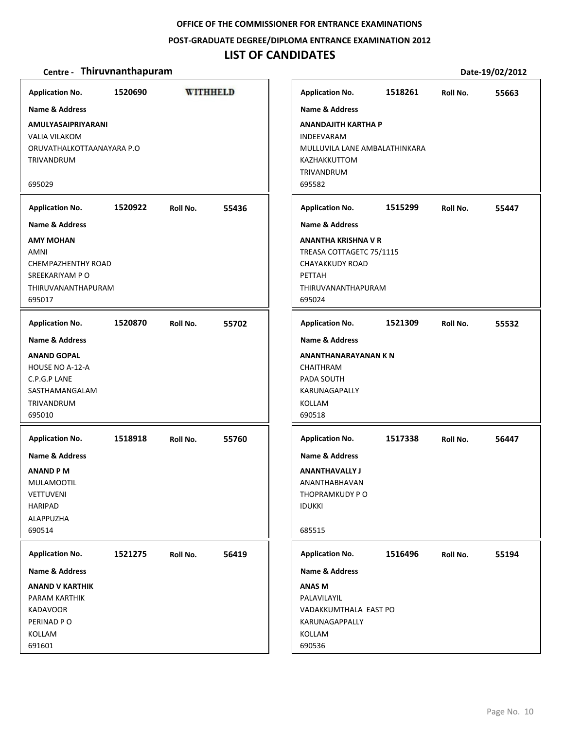#### **POST‐GRADUATE DEGREE/DIPLOMA ENTRANCE EXAMINATION 2012**

# **LIST OF CANDIDATES**

| <b>Application No.</b>                                                                                                         | 1520690 | <b>WITHHELD</b> |       | <b>Application No.</b>                                                                                                                     | 1518261 | Roll No. | 55663 |
|--------------------------------------------------------------------------------------------------------------------------------|---------|-----------------|-------|--------------------------------------------------------------------------------------------------------------------------------------------|---------|----------|-------|
| Name & Address<br>AMULYASAIPRIYARANI<br><b>VALIA VILAKOM</b><br>ORUVATHALKOTTAANAYARA P.O<br><b>TRIVANDRUM</b><br>695029       |         |                 |       | Name & Address<br><b>ANANDAJITH KARTHA P</b><br><b>INDEEVARAM</b><br>MULLUVILA LANE AMBALATHINKARA<br>KAZHAKKUTTOM<br>TRIVANDRUM<br>695582 |         |          |       |
| <b>Application No.</b>                                                                                                         | 1520922 | Roll No.        | 55436 | <b>Application No.</b>                                                                                                                     | 1515299 | Roll No. | 55447 |
| <b>Name &amp; Address</b>                                                                                                      |         |                 |       | <b>Name &amp; Address</b>                                                                                                                  |         |          |       |
| <b>AMY MOHAN</b><br><b>AMNI</b><br>CHEMPAZHENTHY ROAD<br>SREEKARIYAM P O<br>THIRUVANANTHAPURAM<br>695017                       |         |                 |       | ANANTHA KRISHNA V R<br>TREASA COTTAGETC 75/1115<br>CHAYAKKUDY ROAD<br>PETTAH<br>THIRUVANANTHAPURAM<br>695024                               |         |          |       |
| <b>Application No.</b>                                                                                                         | 1520870 | Roll No.        | 55702 | <b>Application No.</b>                                                                                                                     | 1521309 | Roll No. | 55532 |
| <b>Name &amp; Address</b>                                                                                                      |         |                 |       | <b>Name &amp; Address</b>                                                                                                                  |         |          |       |
| <b>ANAND GOPAL</b><br><b>HOUSE NO A-12-A</b><br>C.P.G.P LANE<br>SASTHAMANGALAM<br>TRIVANDRUM<br>695010                         |         |                 |       | ANANTHANARAYANAN K N<br><b>CHAITHRAM</b><br>PADA SOUTH<br><b>KARUNAGAPALLY</b><br>KOLLAM<br>690518                                         |         |          |       |
| <b>Application No.</b>                                                                                                         | 1518918 | Roll No.        | 55760 | <b>Application No.</b>                                                                                                                     | 1517338 | Roll No. | 56447 |
| <b>Name &amp; Address</b><br><b>ANAND PM</b><br><b>MULAMOOTIL</b><br><b>VETTUVENI</b><br><b>HARIPAD</b><br>ALAPPUZHA<br>690514 |         |                 |       | <b>Name &amp; Address</b><br><b>ANANTHAVALLY J</b><br>ANANTHABHAVAN<br>THOPRAMKUDY PO<br><b>IDUKKI</b><br>685515                           |         |          |       |
| <b>Application No.</b>                                                                                                         | 1521275 | Roll No.        | 56419 | <b>Application No.</b>                                                                                                                     | 1516496 | Roll No. | 55194 |
| Name & Address                                                                                                                 |         |                 |       | Name & Address                                                                                                                             |         |          |       |
| <b>ANAND V KARTHIK</b><br>PARAM KARTHIK<br><b>KADAVOOR</b><br>PERINAD PO<br>KOLLAM<br>691601                                   |         |                 |       | <b>ANAS M</b><br>PALAVILAYIL<br>VADAKKUMTHALA EAST PO<br>KARUNAGAPPALLY<br>KOLLAM<br>690536                                                |         |          |       |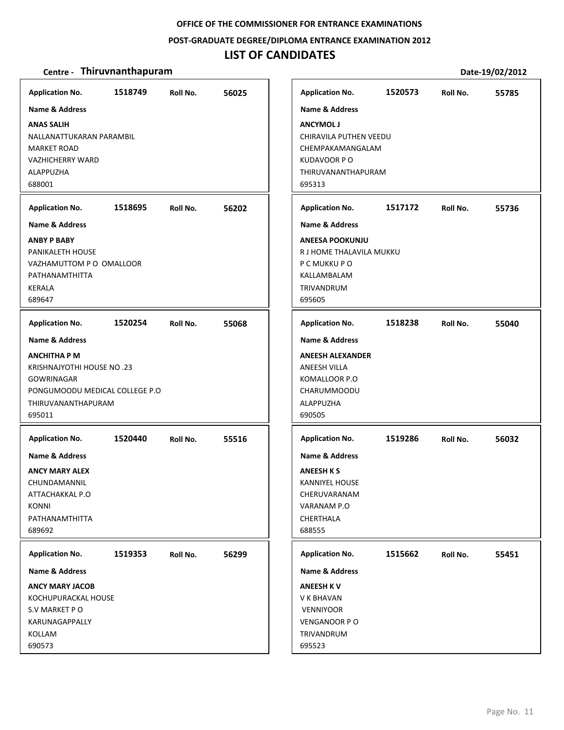**POST‐GRADUATE DEGREE/DIPLOMA ENTRANCE EXAMINATION 2012**

# **LIST OF CANDIDATES**

| <b>Application No.</b>                                                                                                                  | 1518749 | Roll No. | 56025 | <b>Application No.</b>                                                                                                        | 1520573 | Roll No. | 55785 |
|-----------------------------------------------------------------------------------------------------------------------------------------|---------|----------|-------|-------------------------------------------------------------------------------------------------------------------------------|---------|----------|-------|
| <b>Name &amp; Address</b>                                                                                                               |         |          |       | <b>Name &amp; Address</b>                                                                                                     |         |          |       |
| <b>ANAS SALIH</b><br>NALLANATTUKARAN PARAMBIL<br><b>MARKET ROAD</b><br><b>VAZHICHERRY WARD</b><br>ALAPPUZHA<br>688001                   |         |          |       | <b>ANCYMOL J</b><br>CHIRAVILA PUTHEN VEEDU<br>CHEMPAKAMANGALAM<br><b>KUDAVOOR PO</b><br>THIRUVANANTHAPURAM<br>695313          |         |          |       |
| <b>Application No.</b>                                                                                                                  | 1518695 | Roll No. | 56202 | <b>Application No.</b>                                                                                                        | 1517172 | Roll No. | 55736 |
| Name & Address                                                                                                                          |         |          |       | <b>Name &amp; Address</b>                                                                                                     |         |          |       |
| <b>ANBY P BABY</b><br>PANIKALETH HOUSE<br>VAZHAMUTTOM P O OMALLOOR<br>PATHANAMTHITTA<br><b>KERALA</b><br>689647                         |         |          |       | <b>ANEESA POOKUNJU</b><br>R J HOME THALAVILA MUKKU<br>P C MUKKU P O<br>KALLAMBALAM<br>TRIVANDRUM<br>695605                    |         |          |       |
| <b>Application No.</b>                                                                                                                  | 1520254 | Roll No. | 55068 | <b>Application No.</b>                                                                                                        | 1518238 | Roll No. | 55040 |
| <b>Name &amp; Address</b>                                                                                                               |         |          |       | <b>Name &amp; Address</b>                                                                                                     |         |          |       |
| <b>ANCHITHA P M</b><br>KRISHNAJYOTHI HOUSE NO.23<br><b>GOWRINAGAR</b><br>PONGUMOODU MEDICAL COLLEGE P.O<br>THIRUVANANTHAPURAM<br>695011 |         |          |       | <b>ANEESH ALEXANDER</b><br><b>ANEESH VILLA</b><br>KOMALLOOR P.O<br>CHARUMMOODU<br>ALAPPUZHA<br>690505                         |         |          |       |
| <b>Application No.</b>                                                                                                                  | 1520440 | Roll No. | 55516 | <b>Application No.</b>                                                                                                        | 1519286 | Roll No. | 56032 |
| Name & Address<br><b>ANCY MARY ALEX</b><br>CHUNDAMANNIL<br>ATTACHAKKAL P.O<br><b>KONNI</b><br>PATHANAMTHITTA<br>689692                  |         |          |       | <b>Name &amp; Address</b><br><b>ANEESH K S</b><br><b>KANNIYEL HOUSE</b><br>CHERUVARANAM<br>VARANAM P.O<br>CHERTHALA<br>688555 |         |          |       |
| <b>Application No.</b>                                                                                                                  | 1519353 | Roll No. | 56299 | <b>Application No.</b>                                                                                                        | 1515662 | Roll No. | 55451 |
| <b>Name &amp; Address</b>                                                                                                               |         |          |       | <b>Name &amp; Address</b>                                                                                                     |         |          |       |
| <b>ANCY MARY JACOB</b><br>KOCHUPURACKAL HOUSE<br>S.V MARKET PO<br>KARUNAGAPPALLY<br>KOLLAM<br>690573                                    |         |          |       | <b>ANEESH KV</b><br>V K BHAVAN<br><b>VENNIYOOR</b><br><b>VENGANOOR PO</b><br>TRIVANDRUM<br>695523                             |         |          |       |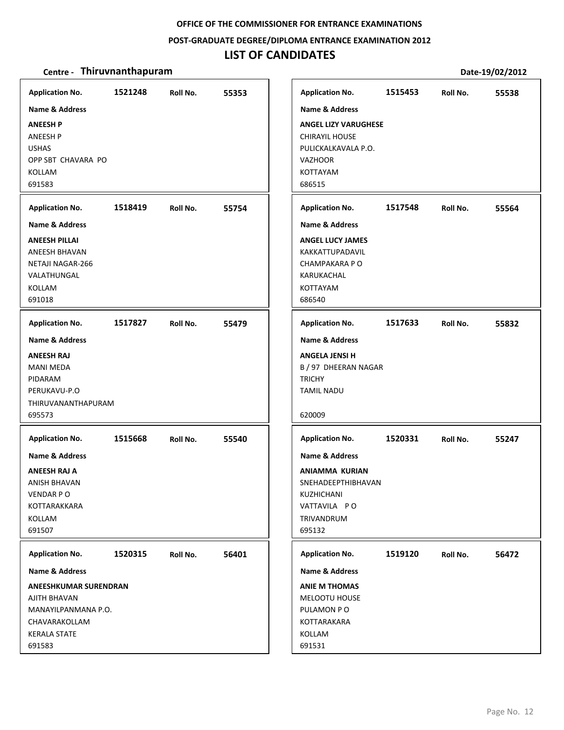#### **POST‐GRADUATE DEGREE/DIPLOMA ENTRANCE EXAMINATION 2012**

# **LIST OF CANDIDATES**

| <b>Application No.</b>                                                                                                                                            | 1521248 | Roll No. | 55353 | <b>Application No.</b>                                                                                                                            | 1515453 | Roll No. | 55538 |
|-------------------------------------------------------------------------------------------------------------------------------------------------------------------|---------|----------|-------|---------------------------------------------------------------------------------------------------------------------------------------------------|---------|----------|-------|
| Name & Address<br><b>ANEESH P</b><br>ANEESH P<br><b>USHAS</b><br>OPP SBT CHAVARA PO<br>KOLLAM<br>691583                                                           |         |          |       | <b>Name &amp; Address</b><br><b>ANGEL LIZY VARUGHESE</b><br><b>CHIRAYIL HOUSE</b><br>PULICKALKAVALA P.O.<br><b>VAZHOOR</b><br>KOTTAYAM<br>686515  |         |          |       |
| <b>Application No.</b>                                                                                                                                            | 1518419 | Roll No. | 55754 | <b>Application No.</b>                                                                                                                            | 1517548 | Roll No. | 55564 |
| <b>Name &amp; Address</b><br><b>ANEESH PILLAI</b><br>ANEESH BHAVAN<br><b>NETAJI NAGAR-266</b><br>VALATHUNGAL<br>KOLLAM<br>691018                                  |         |          |       | <b>Name &amp; Address</b><br><b>ANGEL LUCY JAMES</b><br>KAKKATTUPADAVIL<br>CHAMPAKARA P O<br>KARUKACHAL<br>KOTTAYAM<br>686540                     |         |          |       |
| <b>Application No.</b>                                                                                                                                            | 1517827 | Roll No. | 55479 | <b>Application No.</b>                                                                                                                            | 1517633 | Roll No. | 55832 |
| <b>Name &amp; Address</b><br><b>ANEESH RAJ</b><br><b>MANI MEDA</b><br>PIDARAM<br>PERUKAVU-P.O<br><b>THIRUVANANTHAPURAM</b><br>695573                              |         |          |       | <b>Name &amp; Address</b><br><b>ANGELA JENSI H</b><br>B / 97 DHEERAN NAGAR<br><b>TRICHY</b><br><b>TAMIL NADU</b><br>620009                        |         |          |       |
| <b>Application No.</b><br><b>Name &amp; Address</b><br><b>ANEESH RAJ A</b><br>ANISH BHAVAN<br>VENDAR PO<br>KOTTARAKKARA<br>KOLLAM<br>691507                       | 1515668 | Roll No. | 55540 | <b>Application No.</b><br><b>Name &amp; Address</b><br>ANIAMMA KURIAN<br>SNEHADEEPTHIBHAVAN<br>KUZHICHANI<br>VATTAVILA PO<br>TRIVANDRUM<br>695132 | 1520331 | Roll No. | 55247 |
| <b>Application No.</b><br>Name & Address<br><b>ANEESHKUMAR SURENDRAN</b><br>AJITH BHAVAN<br>MANAYILPANMANA P.O.<br>CHAVARAKOLLAM<br><b>KERALA STATE</b><br>691583 | 1520315 | Roll No. | 56401 | <b>Application No.</b><br>Name & Address<br><b>ANIE M THOMAS</b><br>MELOOTU HOUSE<br>PULAMON PO<br>KOTTARAKARA<br>KOLLAM<br>691531                | 1519120 | Roll No. | 56472 |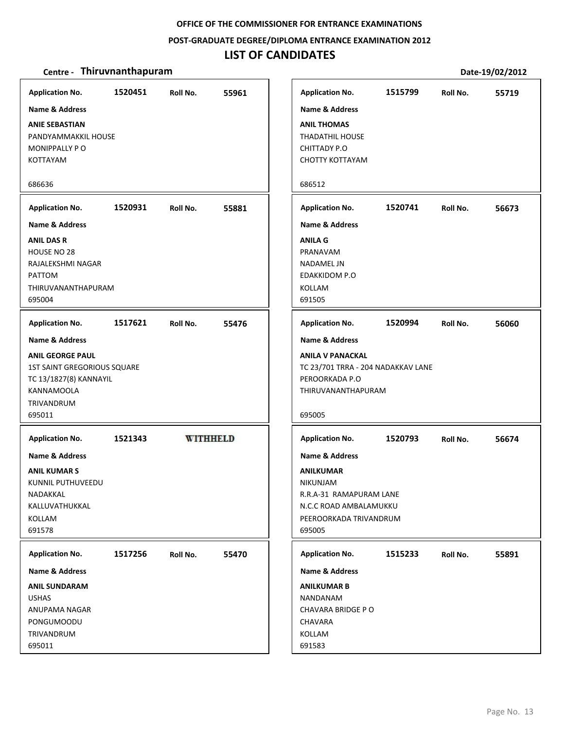#### **POST‐GRADUATE DEGREE/DIPLOMA ENTRANCE EXAMINATION 2012**

# **LIST OF CANDIDATES**

| <b>Application No.</b>                                                                                       | 1520451 | Roll No.        | 55961 | <b>Application No.</b>                                                                                                       | 1515799 | Roll No. | 55719 |
|--------------------------------------------------------------------------------------------------------------|---------|-----------------|-------|------------------------------------------------------------------------------------------------------------------------------|---------|----------|-------|
| Name & Address<br><b>ANIE SEBASTIAN</b>                                                                      |         |                 |       | <b>Name &amp; Address</b><br><b>ANIL THOMAS</b>                                                                              |         |          |       |
| PANDYAMMAKKIL HOUSE                                                                                          |         |                 |       | <b>THADATHIL HOUSE</b>                                                                                                       |         |          |       |
| MONIPPALLY PO                                                                                                |         |                 |       | <b>CHITTADY P.O</b>                                                                                                          |         |          |       |
| KOTTAYAM                                                                                                     |         |                 |       | <b>CHOTTY KOTTAYAM</b>                                                                                                       |         |          |       |
| 686636                                                                                                       |         |                 |       | 686512                                                                                                                       |         |          |       |
| <b>Application No.</b>                                                                                       | 1520931 | Roll No.        | 55881 | <b>Application No.</b>                                                                                                       | 1520741 | Roll No. | 56673 |
| <b>Name &amp; Address</b>                                                                                    |         |                 |       | <b>Name &amp; Address</b>                                                                                                    |         |          |       |
| <b>ANIL DAS R</b>                                                                                            |         |                 |       | <b>ANILA G</b>                                                                                                               |         |          |       |
| HOUSE NO 28                                                                                                  |         |                 |       | PRANAVAM                                                                                                                     |         |          |       |
| RAJALEKSHMI NAGAR                                                                                            |         |                 |       | NADAMEL JN                                                                                                                   |         |          |       |
| <b>PATTOM</b>                                                                                                |         |                 |       | <b>EDAKKIDOM P.O</b>                                                                                                         |         |          |       |
| THIRUVANANTHAPURAM                                                                                           |         |                 |       | KOLLAM                                                                                                                       |         |          |       |
| 695004                                                                                                       |         |                 |       | 691505                                                                                                                       |         |          |       |
| <b>Application No.</b>                                                                                       | 1517621 | Roll No.        | 55476 | <b>Application No.</b>                                                                                                       | 1520994 | Roll No. | 56060 |
| Name & Address                                                                                               |         |                 |       | <b>Name &amp; Address</b>                                                                                                    |         |          |       |
| <b>ANIL GEORGE PAUL</b><br><b>1ST SAINT GREGORIOUS SQUARE</b><br>TC 13/1827(8) KANNAYIL<br><b>KANNAMOOLA</b> |         |                 |       | <b>ANILA V PANACKAL</b><br>TC 23/701 TRRA - 204 NADAKKAV LANE<br>PEROORKADA P.O<br>THIRUVANANTHAPURAM                        |         |          |       |
| TRIVANDRUM                                                                                                   |         |                 |       |                                                                                                                              |         |          |       |
| 695011                                                                                                       |         |                 |       | 695005                                                                                                                       |         |          |       |
| <b>Application No.</b>                                                                                       | 1521343 | <b>WITHHELD</b> |       | <b>Application No.</b>                                                                                                       | 1520793 | Roll No. | 56674 |
| <b>Name &amp; Address</b>                                                                                    |         |                 |       | <b>Name &amp; Address</b>                                                                                                    |         |          |       |
| <b>ANIL KUMAR S</b><br>KUNNIL PUTHUVEEDU<br>NADAKKAL<br>KALLUVATHUKKAL<br>KOLLAM<br>691578                   |         |                 |       | <b>ANILKUMAR</b><br><b>NIKUNJAM</b><br>R.R.A-31 RAMAPURAM LANE<br>N.C.C ROAD AMBALAMUKKU<br>PEEROORKADA TRIVANDRUM<br>695005 |         |          |       |
| <b>Application No.</b>                                                                                       | 1517256 | Roll No.        | 55470 | <b>Application No.</b>                                                                                                       | 1515233 | Roll No. | 55891 |
| Name & Address                                                                                               |         |                 |       | <b>Name &amp; Address</b>                                                                                                    |         |          |       |
| <b>ANIL SUNDARAM</b>                                                                                         |         |                 |       | <b>ANILKUMAR B</b>                                                                                                           |         |          |       |
| <b>USHAS</b>                                                                                                 |         |                 |       | NANDANAM                                                                                                                     |         |          |       |
| ANUPAMA NAGAR                                                                                                |         |                 |       | CHAVARA BRIDGE PO                                                                                                            |         |          |       |
| PONGUMOODU                                                                                                   |         |                 |       | <b>CHAVARA</b>                                                                                                               |         |          |       |
| TRIVANDRUM                                                                                                   |         |                 |       | KOLLAM                                                                                                                       |         |          |       |
| 695011                                                                                                       |         |                 |       | 691583                                                                                                                       |         |          |       |
|                                                                                                              |         |                 |       |                                                                                                                              |         |          |       |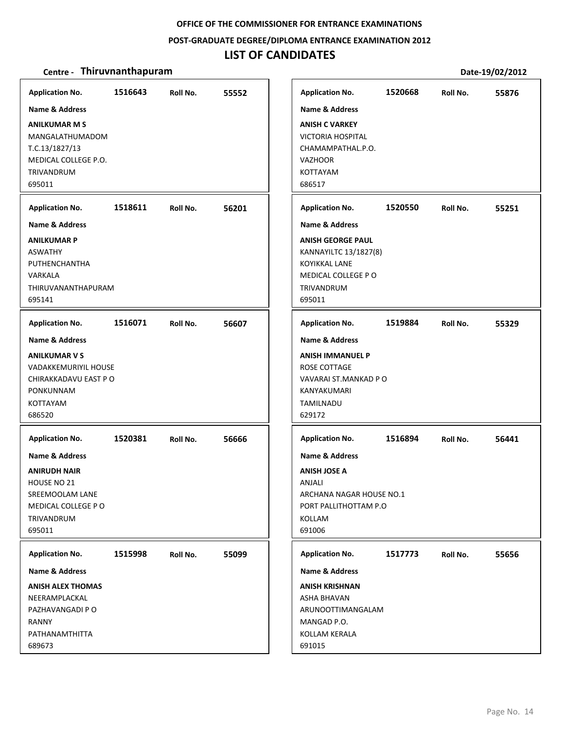#### **POST‐GRADUATE DEGREE/DIPLOMA ENTRANCE EXAMINATION 2012**

# **LIST OF CANDIDATES**

| <b>Application No.</b><br><b>Name &amp; Address</b><br><b>ANILKUMAR M S</b><br>MANGALATHUMADOM<br>T.C.13/1827/13<br>MEDICAL COLLEGE P.O.<br>TRIVANDRUM                        | 1516643 | Roll No. | 55552 | <b>Application No.</b><br><b>Name &amp; Address</b><br><b>ANISH C VARKEY</b><br><b>VICTORIA HOSPITAL</b><br>CHAMAMPATHAL.P.O.<br><b>VAZHOOR</b><br>KOTTAYAM                              | 1520668 | Roll No. | 55876 |
|-------------------------------------------------------------------------------------------------------------------------------------------------------------------------------|---------|----------|-------|------------------------------------------------------------------------------------------------------------------------------------------------------------------------------------------|---------|----------|-------|
| 695011<br><b>Application No.</b><br><b>Name &amp; Address</b><br><b>ANILKUMAR P</b><br><b>ASWATHY</b><br>PUTHENCHANTHA<br>VARKALA<br>THIRUVANANTHAPURAM<br>695141             | 1518611 | Roll No. | 56201 | 686517<br><b>Application No.</b><br><b>Name &amp; Address</b><br><b>ANISH GEORGE PAUL</b><br>KANNAYILTC 13/1827(8)<br><b>KOYIKKAL LANE</b><br>MEDICAL COLLEGE PO<br>TRIVANDRUM<br>695011 | 1520550 | Roll No. | 55251 |
| <b>Application No.</b><br><b>Name &amp; Address</b><br><b>ANILKUMAR V S</b><br><b>VADAKKEMURIYIL HOUSE</b><br>CHIRAKKADAVU EAST P O<br>PONKUNNAM<br><b>KOTTAYAM</b><br>686520 | 1516071 | Roll No. | 56607 | <b>Application No.</b><br><b>Name &amp; Address</b><br><b>ANISH IMMANUEL P</b><br>ROSE COTTAGE<br>VAVARAI ST.MANKAD P O<br>KANYAKUMARI<br>TAMILNADU<br>629172                            | 1519884 | Roll No. | 55329 |
| <b>Application No.</b><br><b>Name &amp; Address</b><br><b>ANIRUDH NAIR</b><br>HOUSE NO 21<br>SREEMOOLAM LANE<br>MEDICAL COLLEGE PO<br>TRIVANDRUM<br>695011                    | 1520381 | Roll No. | 56666 | <b>Application No.</b><br><b>Name &amp; Address</b><br><b>ANISH JOSE A</b><br><b>ANJALI</b><br>ARCHANA NAGAR HOUSE NO.1<br>PORT PALLITHOTTAM P.O.<br>KOLLAM<br>691006                    | 1516894 | Roll No. | 56441 |
| <b>Application No.</b><br><b>Name &amp; Address</b><br><b>ANISH ALEX THOMAS</b><br>NEERAMPLACKAL<br>PAZHAVANGADI P O<br>RANNY<br>PATHANAMTHITTA<br>689673                     | 1515998 | Roll No. | 55099 | <b>Application No.</b><br>Name & Address<br><b>ANISH KRISHNAN</b><br><b>ASHA BHAVAN</b><br>ARUNOOTTIMANGALAM<br>MANGAD P.O.<br>KOLLAM KERALA<br>691015                                   | 1517773 | Roll No. | 55656 |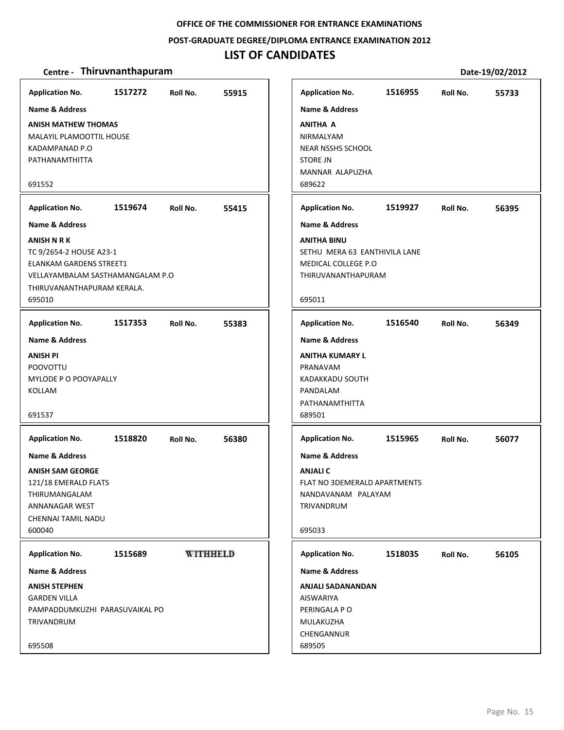#### **POST‐GRADUATE DEGREE/DIPLOMA ENTRANCE EXAMINATION 2012**

## **LIST OF CANDIDATES**

| <b>Application No.</b>         | 1517272                          | Roll No. | 55915           | <b>Application No.</b>    | 1516955                       | Roll No. | 55733 |
|--------------------------------|----------------------------------|----------|-----------------|---------------------------|-------------------------------|----------|-------|
| <b>Name &amp; Address</b>      |                                  |          |                 | <b>Name &amp; Address</b> |                               |          |       |
| <b>ANISH MATHEW THOMAS</b>     |                                  |          |                 | <b>ANITHA A</b>           |                               |          |       |
| MALAYIL PLAMOOTTIL HOUSE       |                                  |          |                 | NIRMALYAM                 |                               |          |       |
| KADAMPANAD P.O                 |                                  |          |                 | <b>NEAR NSSHS SCHOOL</b>  |                               |          |       |
| PATHANAMTHITTA                 |                                  |          |                 | <b>STORE JN</b>           |                               |          |       |
|                                |                                  |          |                 | MANNAR ALAPUZHA           |                               |          |       |
| 691552                         |                                  |          |                 | 689622                    |                               |          |       |
| <b>Application No.</b>         | 1519674                          | Roll No. | 55415           | <b>Application No.</b>    | 1519927                       | Roll No. | 56395 |
| <b>Name &amp; Address</b>      |                                  |          |                 | <b>Name &amp; Address</b> |                               |          |       |
| ANISH N R K                    |                                  |          |                 | <b>ANITHA BINU</b>        |                               |          |       |
| TC 9/2654-2 HOUSE A23-1        |                                  |          |                 |                           | SETHU MERA 63 EANTHIVILA LANE |          |       |
| <b>ELANKAM GARDENS STREET1</b> |                                  |          |                 | MEDICAL COLLEGE P.O       |                               |          |       |
|                                | VELLAYAMBALAM SASTHAMANGALAM P.O |          |                 | THIRUVANANTHAPURAM        |                               |          |       |
| THIRUVANANTHAPURAM KERALA.     |                                  |          |                 |                           |                               |          |       |
| 695010                         |                                  |          |                 | 695011                    |                               |          |       |
| <b>Application No.</b>         | 1517353                          | Roll No. | 55383           | <b>Application No.</b>    | 1516540                       | Roll No. | 56349 |
| <b>Name &amp; Address</b>      |                                  |          |                 | <b>Name &amp; Address</b> |                               |          |       |
| <b>ANISH PI</b>                |                                  |          |                 | <b>ANITHA KUMARY L</b>    |                               |          |       |
| POOVOTTU                       |                                  |          |                 | PRANAVAM                  |                               |          |       |
| MYLODE P O POOYAPALLY          |                                  |          |                 | KADAKKADU SOUTH           |                               |          |       |
| KOLLAM                         |                                  |          |                 | PANDALAM                  |                               |          |       |
|                                |                                  |          |                 | PATHANAMTHITTA            |                               |          |       |
|                                |                                  |          |                 | 689501                    |                               |          |       |
| <b>Application No.</b>         | 1518820                          | Roll No. | 56380           | <b>Application No.</b>    | 1515965                       | Roll No. | 56077 |
| <b>Name &amp; Address</b>      |                                  |          |                 | <b>Name &amp; Address</b> |                               |          |       |
| <b>ANISH SAM GEORGE</b>        |                                  |          |                 | <b>ANJALIC</b>            |                               |          |       |
| 121/18 EMERALD FLATS           |                                  |          |                 |                           | FLAT NO 3DEMERALD APARTMENTS  |          |       |
| THIRUMANGALAM                  |                                  |          |                 | NANDAVANAM PALAYAM        |                               |          |       |
| ANNANAGAR WEST                 |                                  |          |                 | TRIVANDRUM                |                               |          |       |
| CHENNAI TAMIL NADU             |                                  |          |                 |                           |                               |          |       |
|                                |                                  |          |                 | 695033                    |                               |          |       |
| <b>Application No.</b>         | 1515689                          |          | <b>WITHHELD</b> | <b>Application No.</b>    | 1518035                       | Roll No. | 56105 |
| <b>Name &amp; Address</b>      |                                  |          |                 | <b>Name &amp; Address</b> |                               |          |       |
| <b>ANISH STEPHEN</b>           |                                  |          |                 | <b>ANJALI SADANANDAN</b>  |                               |          |       |
| <b>GARDEN VILLA</b>            |                                  |          |                 | AISWARIYA                 |                               |          |       |
|                                | PAMPADDUMKUZHI PARASUVAIKAL PO   |          |                 | PERINGALA PO              |                               |          |       |
| TRIVANDRUM                     |                                  |          |                 | MULAKUZHA                 |                               |          |       |
|                                |                                  |          |                 | CHENGANNUR                |                               |          |       |
| 695508                         |                                  |          |                 | 689505                    |                               |          |       |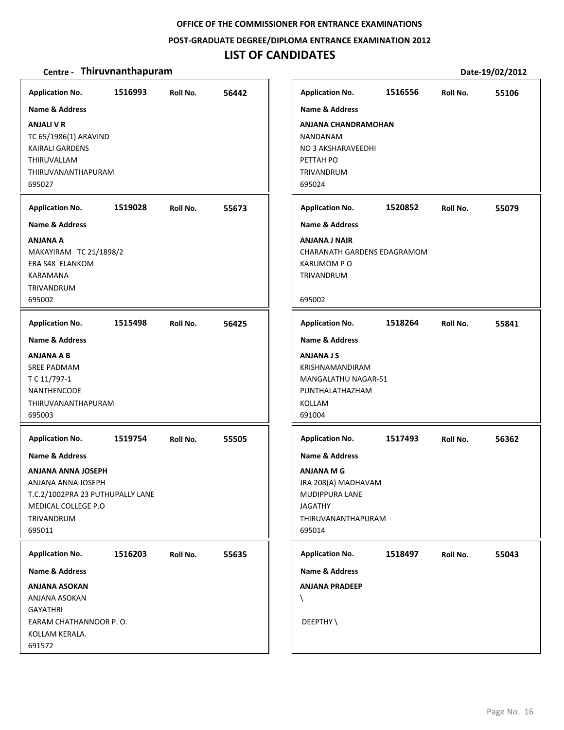#### **POST‐GRADUATE DEGREE/DIPLOMA ENTRANCE EXAMINATION 2012**

# **LIST OF CANDIDATES**

| <b>Application No.</b>                                                                                                                       | 1516993 | Roll No. | 56442 | <b>Application No.</b>                                                                                                            | 1516556 | Roll No. | 55106 |
|----------------------------------------------------------------------------------------------------------------------------------------------|---------|----------|-------|-----------------------------------------------------------------------------------------------------------------------------------|---------|----------|-------|
| Name & Address<br><b>ANJALI V R</b><br>TC 65/1986(1) ARAVIND<br><b>KAIRALI GARDENS</b><br>THIRUVALLAM<br><b>THIRUVANANTHAPURAM</b><br>695027 |         |          |       | Name & Address<br><b>ANJANA CHANDRAMOHAN</b><br><b>NANDANAM</b><br>NO 3 AKSHARAVEEDHI<br>PETTAH PO<br><b>TRIVANDRUM</b><br>695024 |         |          |       |
| <b>Application No.</b>                                                                                                                       | 1519028 | Roll No. | 55673 | <b>Application No.</b>                                                                                                            | 1520852 | Roll No. | 55079 |
| <b>Name &amp; Address</b>                                                                                                                    |         |          |       | <b>Name &amp; Address</b>                                                                                                         |         |          |       |
| ANJANA A<br>MAKAYIRAM TC 21/1898/2<br>ERA S48 ELANKOM<br>KARAMANA<br><b>TRIVANDRUM</b><br>695002                                             |         |          |       | ANJANA J NAIR<br>CHARANATH GARDENS EDAGRAMOM<br><b>KARUMOM PO</b><br><b>TRIVANDRUM</b><br>695002                                  |         |          |       |
| <b>Application No.</b>                                                                                                                       | 1515498 | Roll No. | 56425 | <b>Application No.</b>                                                                                                            | 1518264 | Roll No. | 55841 |
| <b>Name &amp; Address</b>                                                                                                                    |         |          |       | <b>Name &amp; Address</b>                                                                                                         |         |          |       |
| <b>ANJANA A B</b><br><b>SREE PADMAM</b><br>T C 11/797-1<br>NANTHENCODE<br>THIRUVANANTHAPURAM<br>695003                                       |         |          |       | <b>ANJANA J S</b><br>KRISHNAMANDIRAM<br>MANGALATHU NAGAR-51<br>PUNTHALATHAZHAM<br>KOLLAM<br>691004                                |         |          |       |
| <b>Application No.</b>                                                                                                                       | 1519754 | Roll No. | 55505 | <b>Application No.</b>                                                                                                            | 1517493 | Roll No. | 56362 |
| <b>Name &amp; Address</b>                                                                                                                    |         |          |       | <b>Name &amp; Address</b>                                                                                                         |         |          |       |
| <b>ANJANA ANNA JOSEPH</b><br>ANJANA ANNA JOSEPH<br>T.C.2/1002PRA 23 PUTHUPALLY LANE<br>MEDICAL COLLEGE P.O<br>TRIVANDRUM<br>695011           |         |          |       | <b>ANJANA M G</b><br>JRA 208(A) MADHAVAM<br>MUDIPPURA LANE<br><b>JAGATHY</b><br>THIRUVANANTHAPURAM<br>695014                      |         |          |       |
| <b>Application No.</b>                                                                                                                       | 1516203 | Roll No. | 55635 | <b>Application No.</b>                                                                                                            | 1518497 | Roll No. | 55043 |
| Name & Address                                                                                                                               |         |          |       | Name & Address                                                                                                                    |         |          |       |
| <b>ANJANA ASOKAN</b><br>ANJANA ASOKAN<br><b>GAYATHRI</b><br>EARAM CHATHANNOOR P.O.<br>KOLLAM KERALA.                                         |         |          |       | <b>ANJANA PRADEEP</b><br>X<br>DEEPTHY\                                                                                            |         |          |       |
| 691572                                                                                                                                       |         |          |       |                                                                                                                                   |         |          |       |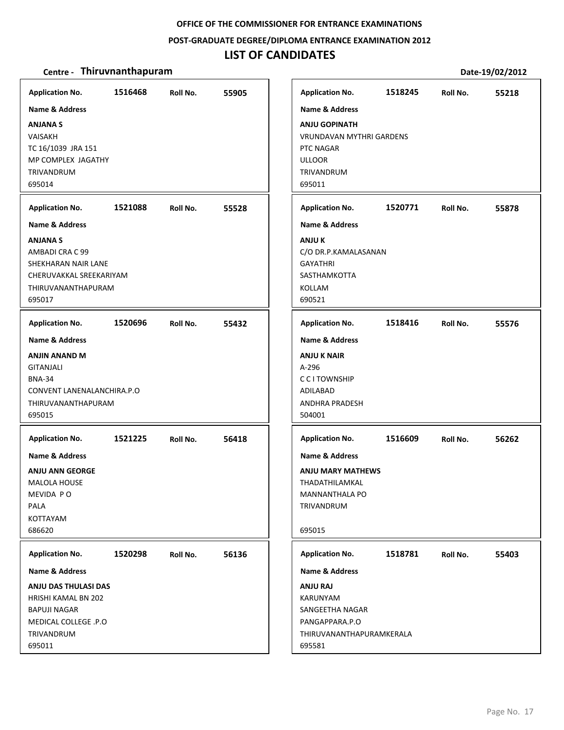**POST‐GRADUATE DEGREE/DIPLOMA ENTRANCE EXAMINATION 2012**

# **LIST OF CANDIDATES**

| <b>Application No.</b><br><b>Name &amp; Address</b><br><b>ANJANA S</b><br><b>VAISAKH</b><br>TC 16/1039 JRA 151<br>MP COMPLEX JAGATHY<br>TRIVANDRUM<br>695014 | 1516468 | Roll No. | 55905 | <b>Application No.</b><br><b>Name &amp; Address</b><br><b>ANJU GOPINATH</b><br><b>VRUNDAVAN MYTHRI GARDENS</b><br>PTC NAGAR<br><b>ULLOOR</b><br>TRIVANDRUM<br>695011 | 1518245 | Roll No. | 55218 |
|--------------------------------------------------------------------------------------------------------------------------------------------------------------|---------|----------|-------|----------------------------------------------------------------------------------------------------------------------------------------------------------------------|---------|----------|-------|
|                                                                                                                                                              |         |          |       |                                                                                                                                                                      |         |          |       |
| <b>Application No.</b><br><b>Name &amp; Address</b>                                                                                                          | 1521088 | Roll No. | 55528 | <b>Application No.</b><br><b>Name &amp; Address</b>                                                                                                                  | 1520771 | Roll No. | 55878 |
| <b>ANJANA S</b><br>AMBADI CRA C 99<br>SHEKHARAN NAIR LANE<br>CHERUVAKKAL SREEKARIYAM<br>THIRUVANANTHAPURAM<br>695017                                         |         |          |       | <b>ANJU K</b><br>C/O DR.P.KAMALASANAN<br><b>GAYATHRI</b><br>SASTHAMKOTTA<br><b>KOLLAM</b><br>690521                                                                  |         |          |       |
| <b>Application No.</b>                                                                                                                                       | 1520696 | Roll No. | 55432 | <b>Application No.</b>                                                                                                                                               | 1518416 | Roll No. | 55576 |
| <b>Name &amp; Address</b><br>ANJIN ANAND M<br>GITANJALI<br><b>BNA-34</b><br>CONVENT LANENALANCHIRA.P.O<br>THIRUVANANTHAPURAM<br>695015                       |         |          |       | <b>Name &amp; Address</b><br><b>ANJU K NAIR</b><br>A-296<br><b>CCITOWNSHIP</b><br>ADILABAD<br><b>ANDHRA PRADESH</b><br>504001                                        |         |          |       |
| <b>Application No.</b>                                                                                                                                       | 1521225 | Roll No. | 56418 | <b>Application No.</b>                                                                                                                                               | 1516609 | Roll No. | 56262 |
| Name & Address<br><b>ANJU ANN GEORGE</b><br><b>MALOLA HOUSE</b><br>MEVIDA PO<br>PALA<br>KOTTAYAM<br>686620                                                   |         |          |       | <b>Name &amp; Address</b><br><b>ANJU MARY MATHEWS</b><br>THADATHILAMKAL<br>MANNANTHALA PO<br>TRIVANDRUM<br>695015                                                    |         |          |       |
| <b>Application No.</b>                                                                                                                                       | 1520298 | Roll No. | 56136 | <b>Application No.</b>                                                                                                                                               | 1518781 | Roll No. | 55403 |
| Name & Address<br>ANJU DAS THULASI DAS<br>HRISHI KAMAL BN 202<br><b>BAPUJI NAGAR</b><br>MEDICAL COLLEGE .P.O<br>TRIVANDRUM<br>695011                         |         |          |       | Name & Address<br><b>ANJU RAJ</b><br>KARUNYAM<br>SANGEETHA NAGAR<br>PANGAPPARA.P.O<br>THIRUVANANTHAPURAMKERALA<br>695581                                             |         |          |       |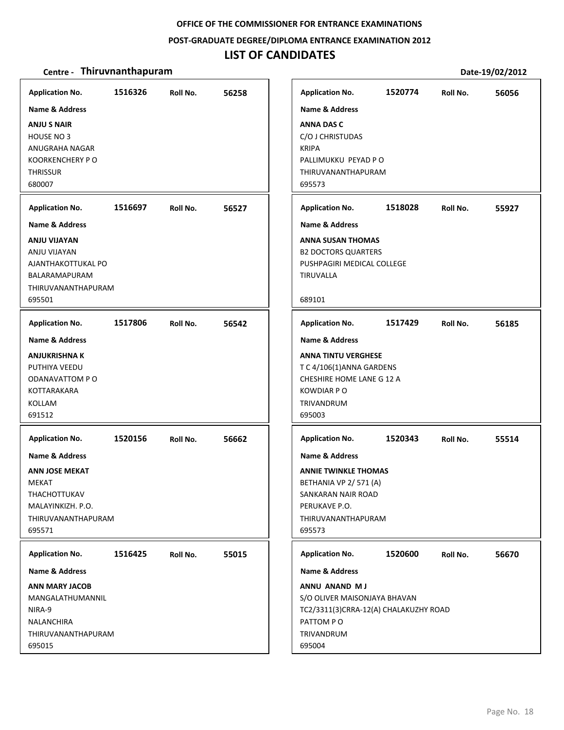#### **POST‐GRADUATE DEGREE/DIPLOMA ENTRANCE EXAMINATION 2012**

# **LIST OF CANDIDATES**

| <b>Application No.</b><br><b>Name &amp; Address</b><br><b>ANJU S NAIR</b><br>HOUSE NO 3<br>ANUGRAHA NAGAR<br><b>KOORKENCHERY P O</b><br><b>THRISSUR</b> | 1516326 | Roll No. | 56258 | <b>Application No.</b><br><b>Name &amp; Address</b><br><b>ANNA DAS C</b><br>C/O J CHRISTUDAS<br><b>KRIPA</b><br>PALLIMUKKU PEYAD P O<br>THIRUVANANTHAPURAM                               | 1520774 | Roll No. | 56056 |
|---------------------------------------------------------------------------------------------------------------------------------------------------------|---------|----------|-------|------------------------------------------------------------------------------------------------------------------------------------------------------------------------------------------|---------|----------|-------|
| 680007                                                                                                                                                  |         |          |       | 695573                                                                                                                                                                                   |         |          |       |
| <b>Application No.</b>                                                                                                                                  | 1516697 | Roll No. | 56527 | <b>Application No.</b>                                                                                                                                                                   | 1518028 | Roll No. | 55927 |
| <b>Name &amp; Address</b>                                                                                                                               |         |          |       | <b>Name &amp; Address</b>                                                                                                                                                                |         |          |       |
| <b>ANJU VIJAYAN</b><br>ANJU VIJAYAN<br>AJANTHAKOTTUKAL PO<br>BALARAMAPURAM<br>THIRUVANANTHAPURAM<br>695501                                              |         |          |       | <b>ANNA SUSAN THOMAS</b><br><b>B2 DOCTORS QUARTERS</b><br>PUSHPAGIRI MEDICAL COLLEGE<br>TIRUVALLA<br>689101                                                                              |         |          |       |
| <b>Application No.</b>                                                                                                                                  | 1517806 | Roll No. | 56542 | <b>Application No.</b>                                                                                                                                                                   | 1517429 | Roll No. | 56185 |
| <b>Name &amp; Address</b><br><b>ANJUKRISHNA K</b><br>PUTHIYA VEEDU<br>ODANAVATTOM PO<br>KOTTARAKARA<br>KOLLAM<br>691512<br><b>Application No.</b>       | 1520156 | Roll No. | 56662 | <b>Name &amp; Address</b><br><b>ANNA TINTU VERGHESE</b><br>T C 4/106(1) ANNA GARDENS<br>CHESHIRE HOME LANE G 12 A<br><b>KOWDIAR PO</b><br>TRIVANDRUM<br>695003<br><b>Application No.</b> | 1520343 | Roll No. | 55514 |
| <b>Name &amp; Address</b><br><b>ANN JOSE MEKAT</b><br>MEKAT<br>THACHOTTUKAV<br>MALAYINKIZH. P.O.<br>THIRUVANANTHAPURAM<br>695571                        |         |          |       | <b>Name &amp; Address</b><br><b>ANNIE TWINKLE THOMAS</b><br>BETHANIA VP 2/571 (A)<br>SANKARAN NAIR ROAD<br>PERUKAVE P.O.<br>THIRUVANANTHAPURAM<br>695573                                 |         |          |       |
| <b>Application No.</b>                                                                                                                                  | 1516425 | Roll No. | 55015 | <b>Application No.</b>                                                                                                                                                                   | 1520600 | Roll No. | 56670 |
| <b>Name &amp; Address</b>                                                                                                                               |         |          |       | <b>Name &amp; Address</b>                                                                                                                                                                |         |          |       |
| <b>ANN MARY JACOB</b><br>MANGALATHUMANNIL<br>NIRA-9<br><b>NALANCHIRA</b><br>THIRUVANANTHAPURAM<br>695015                                                |         |          |       | ANNU ANAND MJ<br>S/O OLIVER MAISONJAYA BHAVAN<br>TC2/3311(3)CRRA-12(A) CHALAKUZHY ROAD<br>PATTOM PO<br>TRIVANDRUM<br>695004                                                              |         |          |       |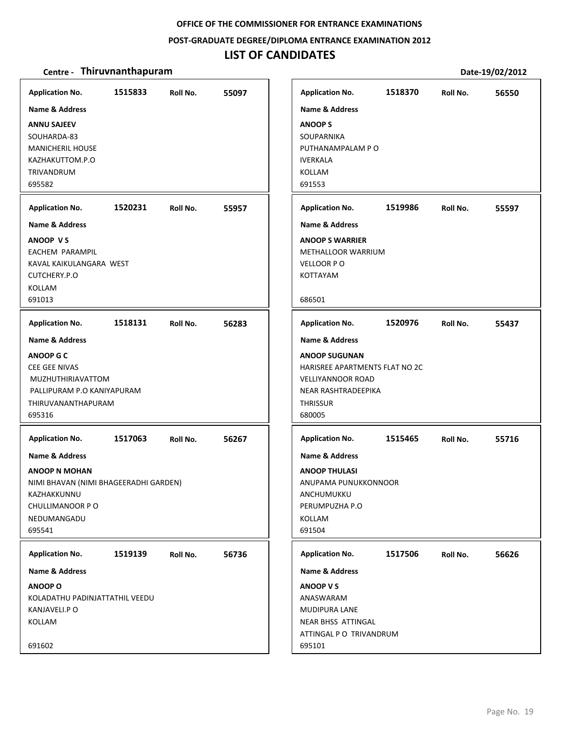#### **POST‐GRADUATE DEGREE/DIPLOMA ENTRANCE EXAMINATION 2012**

# **LIST OF CANDIDATES**

| <b>Name &amp; Address</b><br><b>ANNU SAJEEV</b><br>SOUHARDA-83<br><b>MANICHERIL HOUSE</b><br>KAZHAKUTTOM.P.O<br>TRIVANDRUM                            |         |          |       | <b>Name &amp; Address</b>                                                                                                              |         |          |       |
|-------------------------------------------------------------------------------------------------------------------------------------------------------|---------|----------|-------|----------------------------------------------------------------------------------------------------------------------------------------|---------|----------|-------|
| 695582                                                                                                                                                |         |          |       | <b>ANOOPS</b><br>SOUPARNIKA<br>PUTHANAMPALAM P O<br><b>IVERKALA</b><br>KOLLAM<br>691553                                                |         |          |       |
|                                                                                                                                                       |         |          |       |                                                                                                                                        |         |          |       |
| <b>Application No.</b><br><b>Name &amp; Address</b>                                                                                                   | 1520231 | Roll No. | 55957 | <b>Application No.</b><br><b>Name &amp; Address</b>                                                                                    | 1519986 | Roll No. | 55597 |
| <b>ANOOP VS</b><br>EACHEM PARAMPIL<br>KAVAL KAIKULANGARA WEST<br>CUTCHERY.P.O<br>KOLLAM<br>691013                                                     |         |          |       | <b>ANOOP S WARRIER</b><br>METHALLOOR WARRIUM<br>VELLOOR PO<br>KOTTAYAM<br>686501                                                       |         |          |       |
| <b>Application No.</b>                                                                                                                                | 1518131 | Roll No. | 56283 | <b>Application No.</b>                                                                                                                 | 1520976 | Roll No. | 55437 |
| <b>Name &amp; Address</b>                                                                                                                             |         |          |       | <b>Name &amp; Address</b>                                                                                                              |         |          |       |
| <b>ANOOP G C</b><br><b>CEE GEE NIVAS</b><br><b>MUZHUTHIRIAVATTOM</b><br>PALLIPURAM P.O KANIYAPURAM<br>THIRUVANANTHAPURAM<br>695316                    |         |          |       | <b>ANOOP SUGUNAN</b><br>HARISREE APARTMENTS FLAT NO 2C<br><b>VELLIYANNOOR ROAD</b><br>NEAR RASHTRADEEPIKA<br><b>THRISSUR</b><br>680005 |         |          |       |
| <b>Application No.</b>                                                                                                                                | 1517063 | Roll No. | 56267 | <b>Application No.</b>                                                                                                                 | 1515465 | Roll No. | 55716 |
| <b>Name &amp; Address</b><br><b>ANOOP N MOHAN</b><br>NIMI BHAVAN (NIMI BHAGEERADHI GARDEN)<br>KAZHAKKUNNU<br>CHULLIMANOOR PO<br>NEDUMANGADU<br>695541 |         |          |       | <b>Name &amp; Address</b><br><b>ANOOP THULASI</b><br>ANUPAMA PUNUKKONNOOR<br>ANCHUMUKKU<br>PERUMPUZHA P.O<br>KOLLAM<br>691504          |         |          |       |
| <b>Application No.</b>                                                                                                                                | 1519139 | Roll No. | 56736 | <b>Application No.</b>                                                                                                                 | 1517506 | Roll No. | 56626 |
| Name & Address                                                                                                                                        |         |          |       | <b>Name &amp; Address</b>                                                                                                              |         |          |       |
| <b>ANOOP O</b><br>KOLADATHU PADINJATTATHIL VEEDU<br>KANJAVELI.P O<br>KOLLAM<br>691602                                                                 |         |          |       | ANOOP V S<br>ANASWARAM<br>MUDIPURA LANE<br>NEAR BHSS ATTINGAL<br>ATTINGAL P O TRIVANDRUM<br>695101                                     |         |          |       |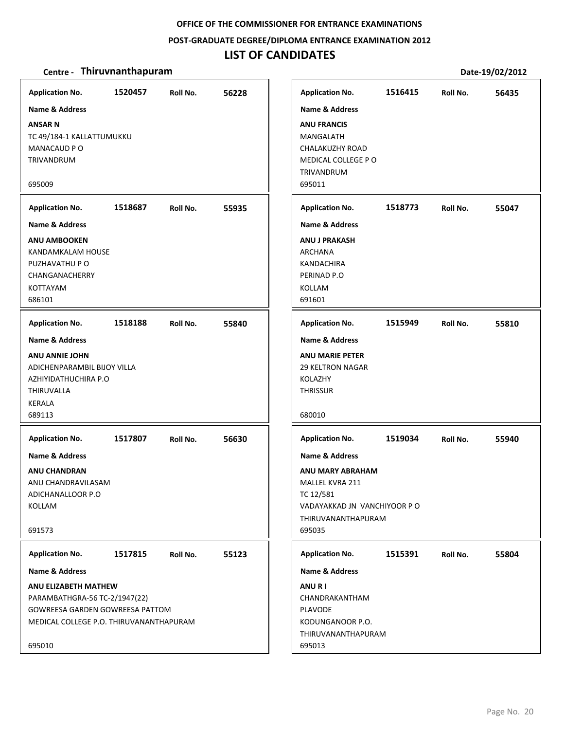#### **POST‐GRADUATE DEGREE/DIPLOMA ENTRANCE EXAMINATION 2012**

## **LIST OF CANDIDATES**

#### **Centre** • **Thiruvnanthapuram Date-19/02/2012**

**1520457 56228 ANSAR N** TC 49/184‐1 KALLATTUMUKKU MANACAUD P O TRIVANDRUM 695009 **Application No. Name & Address 1518687 55935 ANU AMBOOKEN** KANDAMKALAM HOUSE PUZHAVATHU P O CHANGANACHERRY KOTTAYAM 686101 **Application No. Name & Address 1518188 55840 ANU ANNIE JOHN** ADICHENPARAMBIL BIJOY VILLA AZHIYIDATHUCHIRA P.O THIRUVALLA KERALA 689113 **Application No. Name & Address 1517807 56630 ANU CHANDRAN** ANU CHANDRAVILASAM ADICHANALLOOR P.O KOLLAM 691573 **Application No. Name & Address 1517815 55123 ANU ELIZABETH MATHEW** PARAMBATHGRA‐56 TC‐2/1947(22) GOWREESA GARDEN GOWREESA PATTOM MEDICAL COLLEGE P.O. THIRUVANANTHAPURAM 695010 **Application No. Name & Address 1516415 56435 ANU FRANCIS** MANGALATH CHALAKUZHY ROAD MEDICAL COLLEGE P O TRIVANDRUM 695011 **Application No. Name & Address 1518773 55047 ANU J PRAKASH** ARCHANA KANDACHIRA PERINAD P.O KOLLAM 691601 **Application No. Name & Address 1515949 55810 ANU MARIE PETER** 29 KELTRON NAGAR KOLAZHY **THRISSUR** 680010 **Application No. Name & Address 1519034 55940 ANU MARY ABRAHAM** MALLEL KVRA 211 TC 12/581 VADAYAKKAD JN VANCHIYOOR P O THIRUVANANTHAPURAM 695035 **Application No. Name & Address 1515391 55804 ANU R I** CHANDRAKANTHAM PLAVODE KODUNGANOOR P.O. THIRUVANANTHAPURAM 695013 **Application No. Name & Address**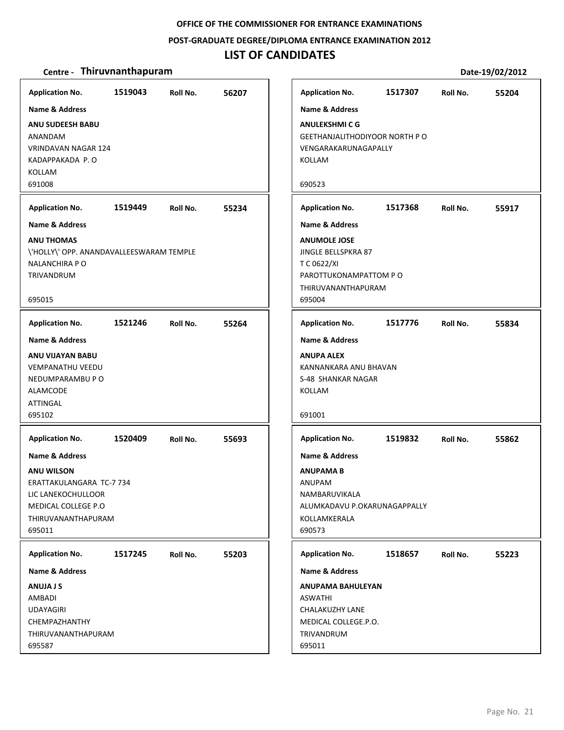**POST‐GRADUATE DEGREE/DIPLOMA ENTRANCE EXAMINATION 2012**

## **LIST OF CANDIDATES**

## **Centre** • **Thiruvnanthapuram Date**-19/02/2012

| <b>Application No.</b>                   | 1519043 | Roll No. | 56207 | <b>Application No.</b>      |
|------------------------------------------|---------|----------|-------|-----------------------------|
| Name & Address                           |         |          |       | <b>Name &amp; Address</b>   |
| <b>ANU SUDEESH BABU</b>                  |         |          |       | <b>ANULEKSHMICG</b>         |
| ANANDAM                                  |         |          |       | <b>GEETHANJALITHODIYOOR</b> |
| <b>VRINDAVAN NAGAR 124</b>               |         |          |       | VENGARAKARUNAGAPALL         |
| KADAPPAKADA P.O                          |         |          |       | KOLLAM                      |
| <b>KOLLAM</b>                            |         |          |       |                             |
| 691008                                   |         |          |       | 690523                      |
| <b>Application No.</b>                   | 1519449 | Roll No. | 55234 | <b>Application No.</b>      |
| <b>Name &amp; Address</b>                |         |          |       | <b>Name &amp; Address</b>   |
| <b>ANU THOMAS</b>                        |         |          |       | <b>ANUMOLE JOSE</b>         |
| \'HOLLY\' OPP. ANANDAVALLEESWARAM TEMPLE |         |          |       | JINGLE BELLSPKRA 87         |
| NALANCHIRA P O                           |         |          |       | T C 0622/XI                 |
| TRIVANDRUM                               |         |          |       | PAROTTUKONAMPATTOM          |
|                                          |         |          |       | THIRUVANANTHAPURAM          |
| 695015                                   |         |          |       | 695004                      |
| <b>Application No.</b>                   | 1521246 | Roll No. | 55264 | <b>Application No.</b>      |
| <b>Name &amp; Address</b>                |         |          |       | <b>Name &amp; Address</b>   |
| ANU VIJAYAN BABU                         |         |          |       | <b>ANUPA ALEX</b>           |
| <b>VEMPANATHU VEEDU</b>                  |         |          |       | KANNANKARA ANU BHAV         |
| NEDUMPARAMBU P O                         |         |          |       | S-48 SHANKAR NAGAR          |
| <b>ALAMCODE</b>                          |         |          |       | <b>KOLLAM</b>               |
| ATTINGAL                                 |         |          |       |                             |
| 695102                                   |         |          |       | 691001                      |
| <b>Application No.</b>                   | 1520409 | Roll No. | 55693 | <b>Application No.</b>      |
| <b>Name &amp; Address</b>                |         |          |       | <b>Name &amp; Address</b>   |
| <b>ANU WILSON</b>                        |         |          |       | <b>ANUPAMA B</b>            |
| ERATTAKULANGARA TC-7 734                 |         |          |       | <b>ANUPAM</b>               |
| LIC LANEKOCHULLOOR                       |         |          |       | NAMBARUVIKALA               |
| MEDICAL COLLEGE P.O.                     |         |          |       | ALUMKADAVU P.OKARUN         |
| THIRUVANANTHAPURAM                       |         |          |       | KOLLAMKERALA                |
| 695011                                   |         |          |       | 690573                      |
| <b>Application No.</b>                   | 1517245 | Roll No. | 55203 | <b>Application No.</b>      |
| <b>Name &amp; Address</b>                |         |          |       | <b>Name &amp; Address</b>   |
| ANUJA J S                                |         |          |       | ANUPAMA BAHULEYAN           |
| AMBADI                                   |         |          |       | ASWATHI                     |
| <b>UDAYAGIRI</b>                         |         |          |       | CHALAKUZHY LANE             |
| CHEMPAZHANTHY                            |         |          |       | MEDICAL COLLEGE.P.O.        |
| THIRUVANANTHAPURAM                       |         |          |       | TRIVANDRUM                  |
| 695587                                   |         |          |       | 695011                      |

# **1517307 55204 Application No. Roll No.** NORTH P O VENGARAKARUNAGAPALLY **1517368 55917 Application No. Roll No.** APO **1517776 55834 Application No. Roll No.** KANNANKARA ANU BHAVAN **1519832 55862 Application No. Roll No. AGAPPALLY 1518657 55223 Application No. Roll No.**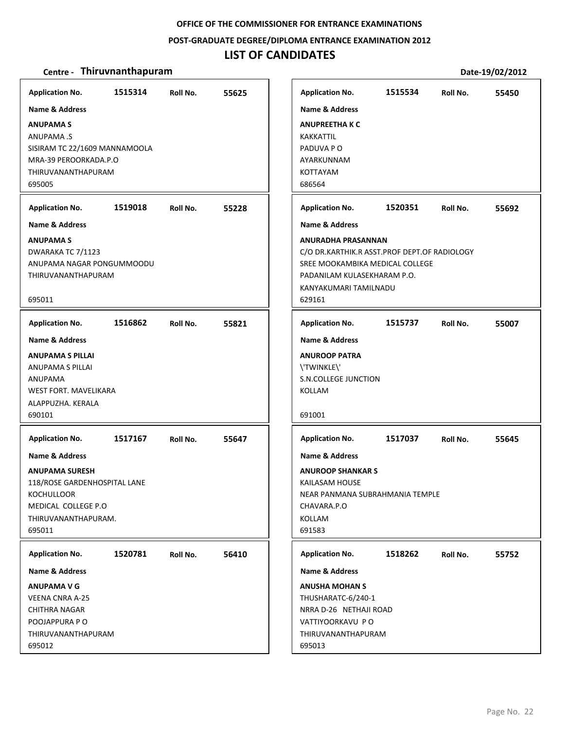**POST‐GRADUATE DEGREE/DIPLOMA ENTRANCE EXAMINATION 2012**

# **LIST OF CANDIDATES**

| <b>Application No.</b>                                                                                                                               | 1515314 | Roll No. | 55625 |
|------------------------------------------------------------------------------------------------------------------------------------------------------|---------|----------|-------|
| Name & Address                                                                                                                                       |         |          |       |
| <b>ANUPAMAS</b><br>ANUPAMA .S<br>SISIRAM TC 22/1609 MANNAMOOLA<br>MRA-39 PEROORKADA.P.O<br>THIRUVANANTHAPURAM<br>695005                              |         |          |       |
| <b>Application No.</b>                                                                                                                               | 1519018 | Roll No. | 55228 |
| <b>Name &amp; Address</b>                                                                                                                            |         |          |       |
| <b>ANUPAMAS</b><br>DWARAKA TC 7/1123<br>ANUPAMA NAGAR PONGUMMOODU<br>THIRUVANANTHAPURAM<br>695011                                                    |         |          |       |
| <b>Application No.</b>                                                                                                                               | 1516862 | Roll No. | 55821 |
| <b>Name &amp; Address</b>                                                                                                                            |         |          |       |
| <b>ANUPAMA S PILLAI</b><br><b>ANUPAMA S PILLAI</b><br>ANUPAMA<br><b>WEST FORT, MAVELIKARA</b><br>ALAPPUZHA. KERALA<br>690101                         |         |          |       |
| <b>Application No.</b>                                                                                                                               | 1517167 | Roll No. | 55647 |
| Name & Address<br><b>ANUPAMA SURESH</b><br>118/ROSE GARDENHOSPITAL LANE<br><b>KOCHULLOOR</b><br>MEDICAL COLLEGE P.O<br>THIRUVANANTHAPURAM.<br>695011 |         |          |       |
|                                                                                                                                                      |         |          |       |
| <b>Application No.</b>                                                                                                                               | 1520781 | Roll No. | 56410 |
| <b>Name &amp; Address</b><br><b>ANUPAMA V G</b><br><b>VEENA CNRA A-25</b><br>CHITHRA NAGAR<br>POOJAPPURA PO<br>THIRUVANANTHAPURAM<br>695012          |         |          |       |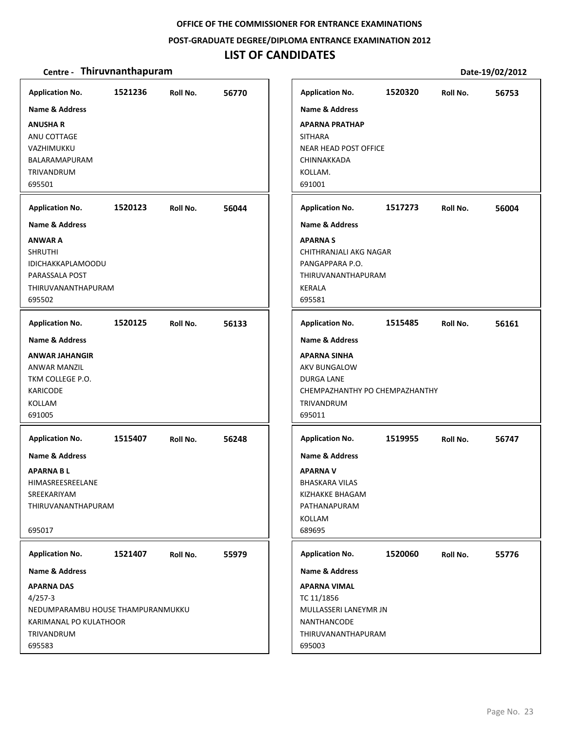#### **POST‐GRADUATE DEGREE/DIPLOMA ENTRANCE EXAMINATION 2012**

# **LIST OF CANDIDATES**

| <b>Application No.</b>                  | 1521236 | Roll No. | 56770 | <b>Application No.</b>                   | 1520320 | Roll No. | 56753 |
|-----------------------------------------|---------|----------|-------|------------------------------------------|---------|----------|-------|
| Name & Address                          |         |          |       | <b>Name &amp; Address</b>                |         |          |       |
| <b>ANUSHAR</b>                          |         |          |       | <b>APARNA PRATHAP</b>                    |         |          |       |
| ANU COTTAGE                             |         |          |       | <b>SITHARA</b>                           |         |          |       |
| VAZHIMUKKU                              |         |          |       | NEAR HEAD POST OFFICE                    |         |          |       |
| BALARAMAPURAM                           |         |          |       | CHINNAKKADA                              |         |          |       |
| TRIVANDRUM                              |         |          |       | KOLLAM.                                  |         |          |       |
| 695501                                  |         |          |       | 691001                                   |         |          |       |
| <b>Application No.</b>                  | 1520123 | Roll No. | 56044 | <b>Application No.</b>                   | 1517273 | Roll No. | 56004 |
| <b>Name &amp; Address</b>               |         |          |       | <b>Name &amp; Address</b>                |         |          |       |
| <b>ANWAR A</b>                          |         |          |       | <b>APARNAS</b>                           |         |          |       |
| <b>SHRUTHI</b>                          |         |          |       | CHITHRANJALI AKG NAGAR                   |         |          |       |
| <b>IDICHAKKAPLAMOODU</b>                |         |          |       | PANGAPPARA P.O.                          |         |          |       |
| PARASSALA POST                          |         |          |       | THIRUVANANTHAPURAM                       |         |          |       |
| THIRUVANANTHAPURAM                      |         |          |       | KERALA                                   |         |          |       |
| 695502                                  |         |          |       | 695581                                   |         |          |       |
| <b>Application No.</b>                  | 1520125 | Roll No. | 56133 | <b>Application No.</b>                   | 1515485 | Roll No. | 56161 |
| <b>Name &amp; Address</b>               |         |          |       |                                          |         |          |       |
|                                         |         |          |       | <b>Name &amp; Address</b>                |         |          |       |
| <b>ANWAR JAHANGIR</b>                   |         |          |       | <b>APARNA SINHA</b>                      |         |          |       |
| <b>ANWAR MANZIL</b><br>TKM COLLEGE P.O. |         |          |       | <b>AKV BUNGALOW</b><br><b>DURGA LANE</b> |         |          |       |
| <b>KARICODE</b>                         |         |          |       | CHEMPAZHANTHY PO CHEMPAZHANTHY           |         |          |       |
| <b>KOLLAM</b>                           |         |          |       | TRIVANDRUM                               |         |          |       |
| 691005                                  |         |          |       | 695011                                   |         |          |       |
|                                         |         |          |       |                                          |         |          |       |
| <b>Application No.</b>                  | 1515407 | Roll No. | 56248 | <b>Application No.</b>                   | 1519955 | Roll No. | 56747 |
| <b>Name &amp; Address</b>               |         |          |       | <b>Name &amp; Address</b>                |         |          |       |
| <b>APARNA BL</b>                        |         |          |       | <b>APARNA V</b>                          |         |          |       |
| HIMASREESREELANE                        |         |          |       | <b>BHASKARA VILAS</b>                    |         |          |       |
| SREEKARIYAM                             |         |          |       | KIZHAKKE BHAGAM                          |         |          |       |
| THIRUVANANTHAPURAM                      |         |          |       | PATHANAPURAM                             |         |          |       |
|                                         |         |          |       | <b>KOLLAM</b>                            |         |          |       |
| 695017                                  |         |          |       | 689695                                   |         |          |       |
| <b>Application No.</b>                  | 1521407 | Roll No. | 55979 | <b>Application No.</b>                   | 1520060 | Roll No. | 55776 |
| Name & Address                          |         |          |       | <b>Name &amp; Address</b>                |         |          |       |
| <b>APARNA DAS</b>                       |         |          |       | <b>APARNA VIMAL</b>                      |         |          |       |
| $4/257-3$                               |         |          |       | TC 11/1856                               |         |          |       |
| NEDUMPARAMBU HOUSE THAMPURANMUKKU       |         |          |       | MULLASSERI LANEYMR JN                    |         |          |       |
| KARIMANAL PO KULATHOOR                  |         |          |       | NANTHANCODE                              |         |          |       |
| TRIVANDRUM                              |         |          |       | THIRUVANANTHAPURAM                       |         |          |       |
| 695583                                  |         |          |       | 695003                                   |         |          |       |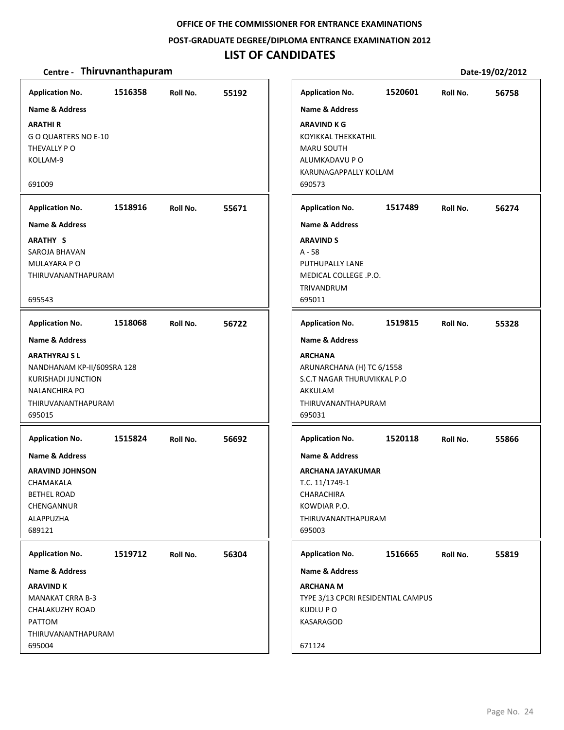#### **POST‐GRADUATE DEGREE/DIPLOMA ENTRANCE EXAMINATION 2012**

# **LIST OF CANDIDATES**

| <b>Application No.</b>                                                                                                                                              | 1516358 | Roll No. | 55192 | <b>Application No.</b>                                                                                                                             | 1520601 | Roll No. | 56758 |
|---------------------------------------------------------------------------------------------------------------------------------------------------------------------|---------|----------|-------|----------------------------------------------------------------------------------------------------------------------------------------------------|---------|----------|-------|
| <b>Name &amp; Address</b><br><b>ARATHIR</b><br>GO QUARTERS NO E-10<br>THEVALLY PO<br>KOLLAM-9<br>691009                                                             |         |          |       | <b>Name &amp; Address</b><br>ARAVIND K G<br>KOYIKKAL THEKKATHIL<br><b>MARU SOUTH</b><br>ALUMKADAVU P O<br>KARUNAGAPPALLY KOLLAM<br>690573          |         |          |       |
| <b>Application No.</b>                                                                                                                                              | 1518916 | Roll No. | 55671 | <b>Application No.</b>                                                                                                                             | 1517489 | Roll No. | 56274 |
| Name & Address<br><b>ARATHY S</b><br>SAROJA BHAVAN<br>MULAYARA P O<br>THIRUVANANTHAPURAM<br>695543                                                                  |         |          |       | <b>Name &amp; Address</b><br><b>ARAVIND S</b><br>$A - 58$<br>PUTHUPALLY LANE<br>MEDICAL COLLEGE .P.O.<br><b>TRIVANDRUM</b><br>695011               |         |          |       |
|                                                                                                                                                                     |         |          |       |                                                                                                                                                    |         |          |       |
| <b>Application No.</b>                                                                                                                                              | 1518068 | Roll No. | 56722 | <b>Application No.</b>                                                                                                                             | 1519815 | Roll No. | 55328 |
| <b>Name &amp; Address</b><br><b>ARATHYRAJ SL</b><br>NANDHANAM KP-II/609SRA 128<br><b>KURISHADI JUNCTION</b><br><b>NALANCHIRA PO</b><br>THIRUVANANTHAPURAM<br>695015 |         |          |       | <b>Name &amp; Address</b><br><b>ARCHANA</b><br>ARUNARCHANA (H) TC 6/1558<br>S.C.T NAGAR THURUVIKKAL P.O<br>AKKULAM<br>THIRUVANANTHAPURAM<br>695031 |         |          |       |
| <b>Application No.</b>                                                                                                                                              | 1515824 | Roll No. | 56692 | <b>Application No.</b>                                                                                                                             | 1520118 | Roll No. | 55866 |
| Name & Address<br><b>ARAVIND JOHNSON</b><br>CHAMAKALA<br><b>BETHEL ROAD</b><br>CHENGANNUR<br>ALAPPUZHA<br>689121                                                    |         |          |       | <b>Name &amp; Address</b><br><b>ARCHANA JAYAKUMAR</b><br>T.C. 11/1749-1<br>CHARACHIRA<br>KOWDIAR P.O.<br>THIRUVANANTHAPURAM<br>695003              |         |          |       |
| <b>Application No.</b>                                                                                                                                              | 1519712 | Roll No. | 56304 | <b>Application No.</b>                                                                                                                             | 1516665 | Roll No. | 55819 |
| <b>Name &amp; Address</b><br><b>ARAVIND K</b><br><b>MANAKAT CRRA B-3</b><br>CHALAKUZHY ROAD<br>PATTOM<br>THIRUVANANTHAPURAM<br>695004                               |         |          |       | <b>Name &amp; Address</b><br><b>ARCHANA M</b><br>TYPE 3/13 CPCRI RESIDENTIAL CAMPUS<br>KUDLU P O<br>KASARAGOD<br>671124                            |         |          |       |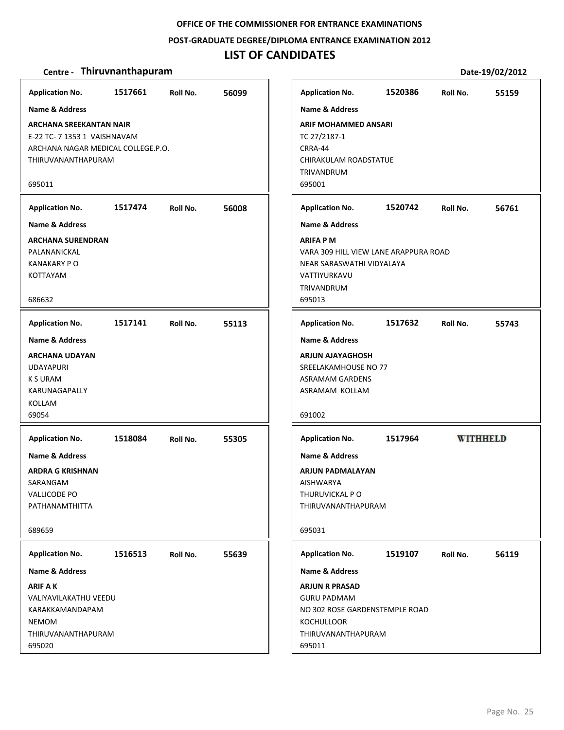#### **POST‐GRADUATE DEGREE/DIPLOMA ENTRANCE EXAMINATION 2012**

# **LIST OF CANDIDATES**

| <b>Application No.</b>                                                                                                     | 1517661 | Roll No. | 56099 |
|----------------------------------------------------------------------------------------------------------------------------|---------|----------|-------|
| <b>Name &amp; Address</b>                                                                                                  |         |          |       |
| <b>ARCHANA SREEKANTAN NAIR</b><br>E-22 TC- 7 1353 1 VAISHNAVAM<br>ARCHANA NAGAR MEDICAL COLLEGE.P.O.<br>THIRUVANANTHAPURAM |         |          |       |
| 695011                                                                                                                     |         |          |       |
| <b>Application No.</b>                                                                                                     | 1517474 | Roll No. | 56008 |
| <b>Name &amp; Address</b>                                                                                                  |         |          |       |
| <b>ARCHANA SURENDRAN</b><br>PALANANICKAL<br><b>KANAKARY P O</b><br>KOTTAYAM<br>686632                                      |         |          |       |
| <b>Application No.</b>                                                                                                     | 1517141 | Roll No. | 55113 |
| <b>Name &amp; Address</b>                                                                                                  |         |          |       |
| <b>ARCHANA UDAYAN</b><br><b>UDAYAPURI</b><br><b>K S URAM</b><br>KARUNAGAPALLY<br>KOLLAM<br>69054                           |         |          |       |
| <b>Application No.</b>                                                                                                     | 1518084 | Roll No. | 55305 |
| <b>Name &amp; Address</b><br>ARDRA G KRISHNAN<br>SARANGAM<br><b>VALLICODE PO</b><br>PATHANAMTHITTA                         |         |          |       |
| 689659                                                                                                                     |         |          |       |
| <b>Application No.</b>                                                                                                     | 1516513 | Roll No. | 55639 |
| <b>Name &amp; Address</b>                                                                                                  |         |          |       |
| <b>ARIF AK</b><br>VALIYAVILAKATHU VEEDU<br>KARAKKAMANDAPAM<br><b>NEMOM</b><br>THIRUVANANTHAPURAM<br>695020                 |         |          |       |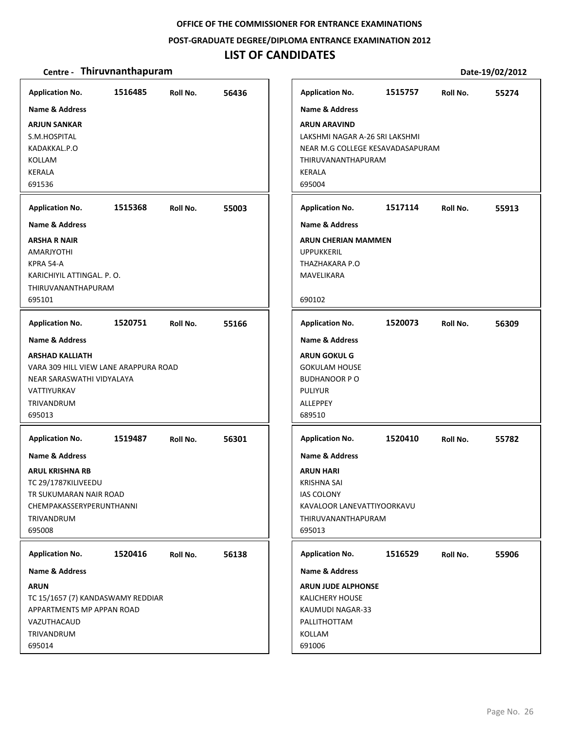#### **POST‐GRADUATE DEGREE/DIPLOMA ENTRANCE EXAMINATION 2012**

# **LIST OF CANDIDATES**

| <b>Application No.</b><br><b>Name &amp; Address</b><br><b>ARJUN SANKAR</b><br>S.M.HOSPITAL<br>KADAKKAL.P.O<br>KOLLAM<br>KERALA<br>691536                                                          | 1516485 | Roll No. | 56436 | <b>Application No.</b><br><b>Name &amp; Address</b><br><b>ARUN ARAVIND</b><br>LAKSHMI NAGAR A-26 SRI LAKSHMI<br>NEAR M.G COLLEGE KESAVADASAPURAM<br>THIRUVANANTHAPURAM<br>KERALA<br>695004 | 1515757 | Roll No. | 55274 |
|---------------------------------------------------------------------------------------------------------------------------------------------------------------------------------------------------|---------|----------|-------|--------------------------------------------------------------------------------------------------------------------------------------------------------------------------------------------|---------|----------|-------|
| <b>Application No.</b><br><b>Name &amp; Address</b><br><b>ARSHA R NAIR</b><br><b>AMARJYOTHI</b><br>KPRA 54-A<br>KARICHIYIL ATTINGAL. P. O.<br>THIRUVANANTHAPURAM<br>695101                        | 1515368 | Roll No. | 55003 | <b>Application No.</b><br><b>Name &amp; Address</b><br><b>ARUN CHERIAN MAMMEN</b><br><b>UPPUKKERIL</b><br>THAZHAKARA P.O<br>MAVELIKARA<br>690102                                           | 1517114 | Roll No. | 55913 |
| <b>Application No.</b><br><b>Name &amp; Address</b><br><b>ARSHAD KALLIATH</b><br>VARA 309 HILL VIEW LANE ARAPPURA ROAD<br>NEAR SARASWATHI VIDYALAYA<br>VATTIYURKAV<br><b>TRIVANDRUM</b><br>695013 | 1520751 | Roll No. | 55166 | <b>Application No.</b><br><b>Name &amp; Address</b><br><b>ARUN GOKUL G</b><br><b>GOKULAM HOUSE</b><br><b>BUDHANOOR PO</b><br><b>PULIYUR</b><br><b>ALLEPPEY</b><br>689510                   | 1520073 | Roll No. | 56309 |
| <b>Application No.</b><br><b>Name &amp; Address</b><br><b>ARUL KRISHNA RB</b><br>TC 29/1787KILIVEEDU<br>TR SUKUMARAN NAIR ROAD<br>CHEMPAKASSERYPERUNTHANNI<br>TRIVANDRUM<br>695008                | 1519487 | Roll No. | 56301 | <b>Application No.</b><br><b>Name &amp; Address</b><br><b>ARUN HARI</b><br><b>KRISHNA SAI</b><br><b>IAS COLONY</b><br>KAVALOOR LANEVATTIYOORKAVU<br>THIRUVANANTHAPURAM<br>695013           | 1520410 | Roll No. | 55782 |
| <b>Application No.</b><br><b>Name &amp; Address</b><br><b>ARUN</b><br>TC 15/1657 (7) KANDASWAMY REDDIAR<br>APPARTMENTS MP APPAN ROAD<br>VAZUTHACAUD<br>TRIVANDRUM<br>695014                       | 1520416 | Roll No. | 56138 | <b>Application No.</b><br><b>Name &amp; Address</b><br><b>ARUN JUDE ALPHONSE</b><br><b>KALICHERY HOUSE</b><br>KAUMUDI NAGAR-33<br>PALLITHOTTAM<br>KOLLAM<br>691006                         | 1516529 | Roll No. | 55906 |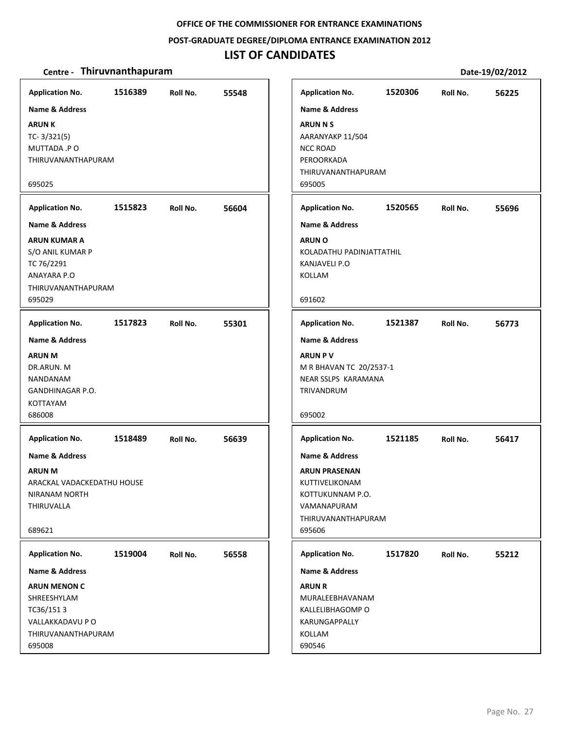#### **POST‐GRADUATE DEGREE/DIPLOMA ENTRANCE EXAMINATION 2012**

# **LIST OF CANDIDATES**

| <b>Application No.</b>                                                                                                                      | 1516389 | Roll No. | 55548 |
|---------------------------------------------------------------------------------------------------------------------------------------------|---------|----------|-------|
| <b>Name &amp; Address</b><br><b>ARUNK</b><br>$TC - 3/321(5)$<br>MUTTADA .PO<br>THIRUVANANTHAPURAM<br>695025<br><b>Application No.</b>       | 1515823 | Roll No. | 56604 |
| <b>Name &amp; Address</b>                                                                                                                   |         |          |       |
| <b>ARUN KUMAR A</b><br>S/O ANIL KUMAR P<br>TC 76/2291<br>ANAYARA P.O<br><b>THIRUVANANTHAPURAM</b><br>695029                                 |         |          |       |
| <b>Application No.</b>                                                                                                                      | 1517823 | Roll No. | 55301 |
| <b>Name &amp; Address</b><br><b>ARUN M</b><br>DR.ARUN. M<br>NANDANAM<br>GANDHINAGAR P.O.<br><b>KOTTAYAM</b><br>686008                       |         |          |       |
| <b>Application No.</b><br><b>Name &amp; Address</b><br><b>ARUN M</b><br>ARACKAL VADACKEDATHU HOUSE<br>NIRANAM NORTH<br>THIRUVALLA<br>689621 | 1518489 | Roll No. | 56639 |
|                                                                                                                                             | 1519004 |          |       |
| <b>Application No.</b><br><b>Name &amp; Address</b>                                                                                         |         | Roll No. | 56558 |
| <b>ARUN MENON C</b><br>SHREESHYLAM<br>TC36/1513<br>VALLAKKADAVU P O<br>THIRUVANANTHAPURAM<br>695008                                         |         |          |       |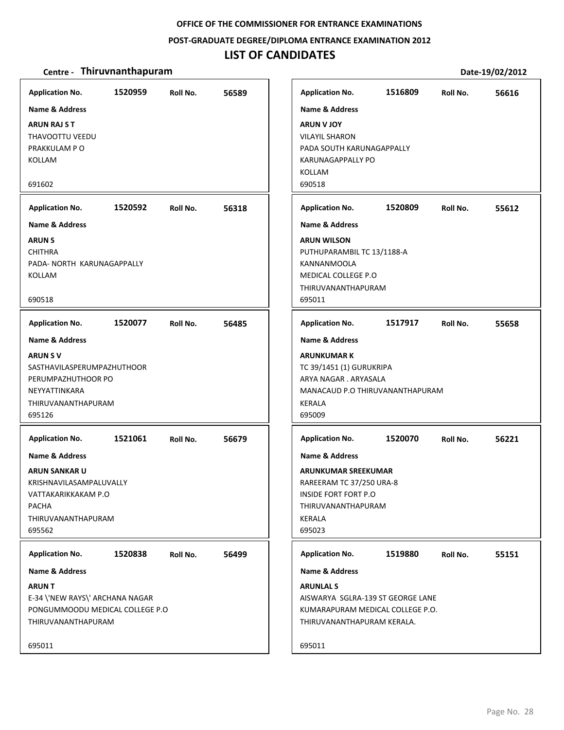#### **POST‐GRADUATE DEGREE/DIPLOMA ENTRANCE EXAMINATION 2012**

## **LIST OF CANDIDATES**

#### **Centre** • **Thiruvnanthapuram Date-19/02/2012**

**1520959 56589 ARUN RAJ S T** THAVOOTTU VEEDU PRAKKULAM P O KOLLAM 691602 **Application No. Name & Address 1520592 56318 ARUN S** CHITHRA PADA‐ NORTH KARUNAGAPPALLY KOLLAM 690518 **Application No. Name & Address 1520077 56485 ARUN S V** SASTHAVILASPERUMPAZHUTHOOR PERUMPAZHUTHOOR PO NEYYATTINKARA THIRUVANANTHAPURAM 695126 **Application No. Name & Address 1521061 56679 ARUN SANKAR U** KRISHNAVILASAMPALUVALLY VATTAKARIKKAKAM P.O PACHA THIRUVANANTHAPURAM 695562 **Application No. Name & Address 1520838 56499 ARUN T** E‐34 \'NEW RAYS\' ARCHANA NAGAR PONGUMMOODU MEDICAL COLLEGE P.O THIRUVANANTHAPURAM 695011 **Application No. Name & Address 1516809 56616 ARUN V JOY** VILAYIL SHARON PADA SOUTH KARUNAGAPPALLY KARUNAGAPPALLY PO KOLLAM 690518 **Application No. Name & Address 1520809 55612 ARUN WILSON** PUTHUPARAMBIL TC 13/1188‐A KANNANMOOLA MEDICAL COLLEGE P.O THIRUVANANTHAPURAM 695011 **Application No. Name & Address 1517917 55658 ARUNKUMAR K** TC 39/1451 (1) GURUKRIPA ARYA NAGAR . ARYASALA MANACAUD P.O THIRUVANANTHAPURAM KERALA 695009 **Application No. Name & Address 1520070 56221 ARUNKUMAR SREEKUMAR** RAREERAM TC 37/250 URA‐8 INSIDE FORT FORT P.O THIRUVANANTHAPURAM KERALA 695023 **Application No. Name & Address 1519880 55151 ARUNLAL S** AISWARYA SGLRA‐139 ST GEORGE LANE KUMARAPURAM MEDICAL COLLEGE P.O. THIRUVANANTHAPURAM KERALA. 695011 **Application No. Name & Address**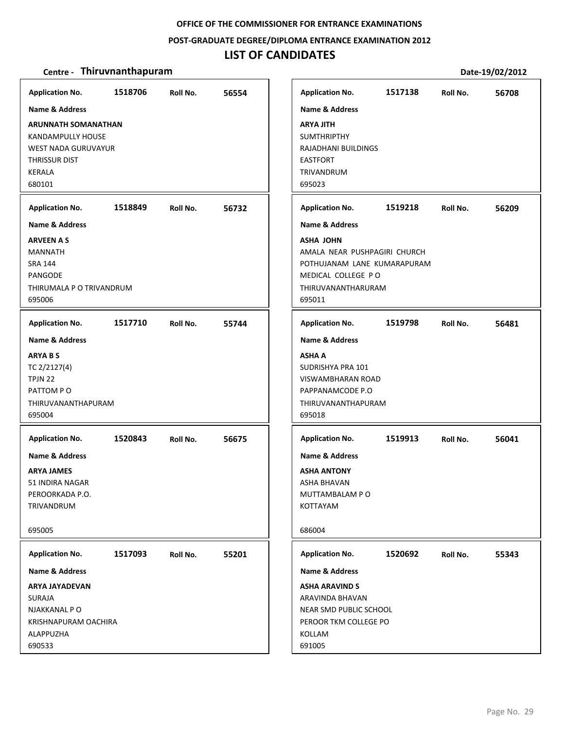#### **POST‐GRADUATE DEGREE/DIPLOMA ENTRANCE EXAMINATION 2012**

# **LIST OF CANDIDATES**

| <b>Application No.</b>                                                                                                                 | 1518706 | Roll No. | 56554 |
|----------------------------------------------------------------------------------------------------------------------------------------|---------|----------|-------|
| <b>Name &amp; Address</b>                                                                                                              |         |          |       |
| <b>ARUNNATH SOMANATHAN</b><br>KANDAMPULLY HOUSE<br><b>WEST NADA GURUVAYUR</b><br><b>THRISSUR DIST</b><br>KERALA<br>680101              |         |          |       |
|                                                                                                                                        |         |          |       |
| <b>Application No.</b><br><b>Name &amp; Address</b>                                                                                    | 1518849 | Roll No. | 56732 |
| <b>ARVEEN A S</b><br>MANNATH<br><b>SRA 144</b><br>PANGODE<br>THIRUMALA P O TRIVANDRUM<br>695006                                        |         |          |       |
| <b>Application No.</b>                                                                                                                 | 1517710 | Roll No. | 55744 |
| <b>Name &amp; Address</b><br><b>ARYABS</b><br>TC 2/2127(4)<br>TPJN 22<br>PATTOM PO<br>THIRUVANANTHAPURAM<br>695004                     |         |          |       |
| <b>Application No.</b><br><b>Name &amp; Address</b><br><b>ARYA JAMES</b><br>51 INDIRA NAGAR<br>PEROORKADA P.O.<br>TRIVANDRUM<br>695005 | 1520843 | Roll No. | 56675 |
| <b>Application No.</b>                                                                                                                 | 1517093 | Roll No. | 55201 |
| Name & Address                                                                                                                         |         |          |       |
| <b>ARYA JAYADEVAN</b><br>SURAJA<br>NJAKKANAL P O<br>KRISHNAPURAM OACHIRA<br>ALAPPUZHA<br>690533                                        |         |          |       |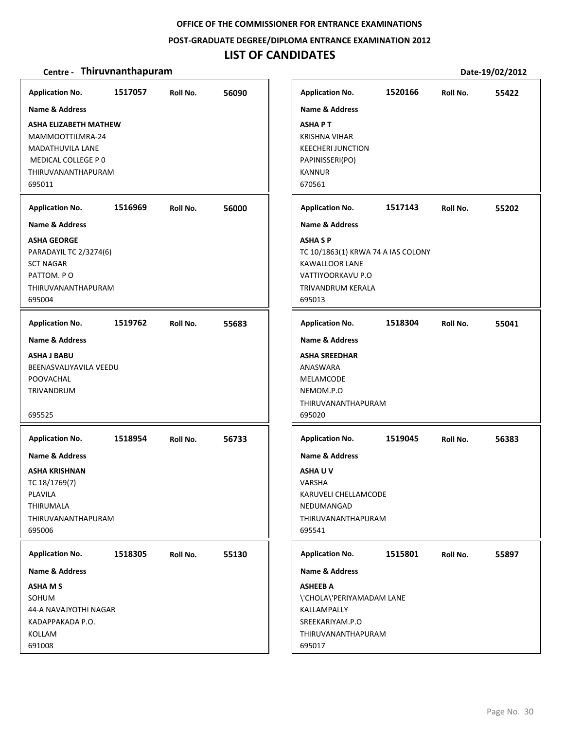**POST‐GRADUATE DEGREE/DIPLOMA ENTRANCE EXAMINATION 2012**

# **LIST OF CANDIDATES**

| <b>Application No.</b>                                                                                                     | 1517057 | Roll No. | 56090 | <b>Application No.</b>                                                                                                           | 1520166 | Roll No. | 55422 |
|----------------------------------------------------------------------------------------------------------------------------|---------|----------|-------|----------------------------------------------------------------------------------------------------------------------------------|---------|----------|-------|
| <b>Name &amp; Address</b>                                                                                                  |         |          |       | <b>Name &amp; Address</b>                                                                                                        |         |          |       |
| ASHA ELIZABETH MATHEW<br>MAMMOOTTILMRA-24<br>MADATHUVILA LANE<br>MEDICAL COLLEGE P 0<br>THIRUVANANTHAPURAM<br>695011       |         |          |       | <b>ASHAPT</b><br><b>KRISHNA VIHAR</b><br><b>KEECHERI JUNCTION</b><br>PAPINISSERI(PO)<br><b>KANNUR</b><br>670561                  |         |          |       |
| <b>Application No.</b>                                                                                                     | 1516969 | Roll No. | 56000 | <b>Application No.</b>                                                                                                           | 1517143 | Roll No. | 55202 |
| Name & Address                                                                                                             |         |          |       | <b>Name &amp; Address</b>                                                                                                        |         |          |       |
| <b>ASHA GEORGE</b><br>PARADAYIL TC 2/3274(6)<br><b>SCT NAGAR</b><br>PATTOM. PO<br>THIRUVANANTHAPURAM<br>695004             |         |          |       | <b>ASHASP</b><br>TC 10/1863(1) KRWA 74 A IAS COLONY<br><b>KAWALLOOR LANE</b><br>VATTIYOORKAVU P.O<br>TRIVANDRUM KERALA<br>695013 |         |          |       |
| <b>Application No.</b>                                                                                                     | 1519762 | Roll No. | 55683 | <b>Application No.</b>                                                                                                           | 1518304 | Roll No. | 55041 |
| <b>Name &amp; Address</b>                                                                                                  |         |          |       | <b>Name &amp; Address</b>                                                                                                        |         |          |       |
| <b>ASHA J BABU</b><br>BEENASVALIYAVILA VEEDU<br>POOVACHAL<br>TRIVANDRUM<br>695525                                          |         |          |       | <b>ASHA SREEDHAR</b><br>ANASWARA<br>MELAMCODE<br>NEMOM.P.O<br>THIRUVANANTHAPURAM<br>695020                                       |         |          |       |
| <b>Application No.</b>                                                                                                     | 1518954 | Roll No. | 56733 | <b>Application No.</b>                                                                                                           | 1519045 | Roll No. | 56383 |
| <b>Name &amp; Address</b><br><b>ASHA KRISHNAN</b><br>TC 18/1769(7)<br>PLAVILA<br>THIRUMALA<br>THIRUVANANTHAPURAM<br>695006 |         |          |       | <b>Name &amp; Address</b><br><b>ASHAUV</b><br>VARSHA<br>KARUVELI CHELLAMCODE<br>NEDUMANGAD<br>THIRUVANANTHAPURAM<br>695541       |         |          |       |
| <b>Application No.</b>                                                                                                     | 1518305 | Roll No. | 55130 | <b>Application No.</b>                                                                                                           | 1515801 | Roll No. | 55897 |
| Name & Address                                                                                                             |         |          |       | <b>Name &amp; Address</b>                                                                                                        |         |          |       |
| <b>ASHAMS</b><br>SOHUM<br>44-A NAVAJYOTHI NAGAR<br>KADAPPAKADA P.O.<br>KOLLAM<br>691008                                    |         |          |       | <b>ASHEEB A</b><br>\'CHOLA\'PERIYAMADAM LANE<br>KALLAMPALLY<br>SREEKARIYAM.P.O<br>THIRUVANANTHAPURAM<br>695017                   |         |          |       |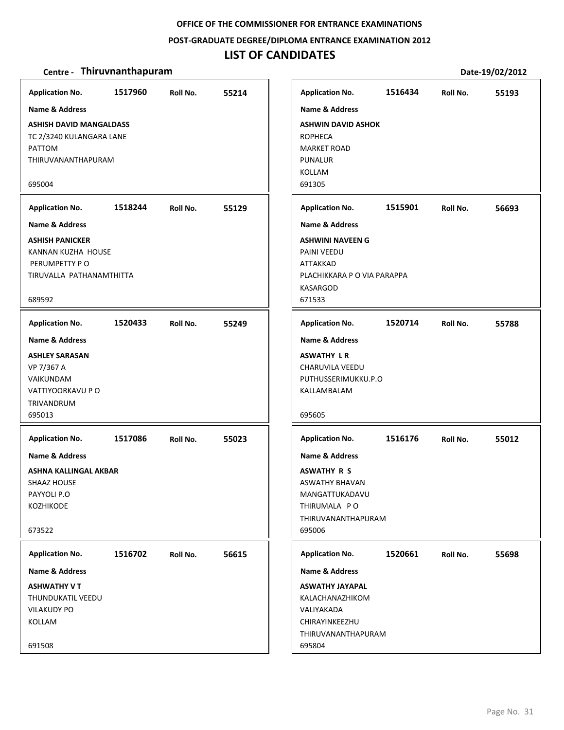#### **POST‐GRADUATE DEGREE/DIPLOMA ENTRANCE EXAMINATION 2012**

# **LIST OF CANDIDATES**

| <b>Application No.</b>         | 1517960 | Roll No. | 55214 | <b>Application No.</b>      | 1516434 | Roll No. | 55193 |
|--------------------------------|---------|----------|-------|-----------------------------|---------|----------|-------|
| Name & Address                 |         |          |       | Name & Address              |         |          |       |
| <b>ASHISH DAVID MANGALDASS</b> |         |          |       | <b>ASHWIN DAVID ASHOK</b>   |         |          |       |
| TC 2/3240 KULANGARA LANE       |         |          |       | <b>ROPHECA</b>              |         |          |       |
| PATTOM                         |         |          |       | <b>MARKET ROAD</b>          |         |          |       |
| THIRUVANANTHAPURAM             |         |          |       | <b>PUNALUR</b>              |         |          |       |
|                                |         |          |       | KOLLAM                      |         |          |       |
| 695004                         |         |          |       | 691305                      |         |          |       |
| <b>Application No.</b>         | 1518244 | Roll No. | 55129 | <b>Application No.</b>      | 1515901 | Roll No. | 56693 |
| <b>Name &amp; Address</b>      |         |          |       | <b>Name &amp; Address</b>   |         |          |       |
| <b>ASHISH PANICKER</b>         |         |          |       | <b>ASHWINI NAVEEN G</b>     |         |          |       |
| KANNAN KUZHA HOUSE             |         |          |       | PAINI VEEDU                 |         |          |       |
| PERUMPETTY PO                  |         |          |       | <b>ATTAKKAD</b>             |         |          |       |
| TIRUVALLA PATHANAMTHITTA       |         |          |       | PLACHIKKARA P O VIA PARAPPA |         |          |       |
|                                |         |          |       | <b>KASARGOD</b>             |         |          |       |
| 689592                         |         |          |       | 671533                      |         |          |       |
| <b>Application No.</b>         | 1520433 | Roll No. | 55249 | <b>Application No.</b>      | 1520714 | Roll No. | 55788 |
| <b>Name &amp; Address</b>      |         |          |       | <b>Name &amp; Address</b>   |         |          |       |
| <b>ASHLEY SARASAN</b>          |         |          |       | <b>ASWATHY LR</b>           |         |          |       |
| VP 7/367 A                     |         |          |       | CHARUVILA VEEDU             |         |          |       |
| VAIKUNDAM                      |         |          |       | PUTHUSSERIMUKKU.P.O         |         |          |       |
| VATTIYOORKAVU P O              |         |          |       | KALLAMBALAM                 |         |          |       |
| TRIVANDRUM                     |         |          |       |                             |         |          |       |
| 695013                         |         |          |       | 695605                      |         |          |       |
| <b>Application No.</b>         | 1517086 | Roll No. | 55023 | <b>Application No.</b>      | 1516176 | Roll No. | 55012 |
| <b>Name &amp; Address</b>      |         |          |       | <b>Name &amp; Address</b>   |         |          |       |
| ASHNA KALLINGAL AKBAR          |         |          |       | <b>ASWATHY R S</b>          |         |          |       |
| <b>SHAAZ HOUSE</b>             |         |          |       | <b>ASWATHY BHAVAN</b>       |         |          |       |
| PAYYOLI P.O                    |         |          |       | MANGATTUKADAVU              |         |          |       |
| KOZHIKODE                      |         |          |       | THIRUMALA PO                |         |          |       |
|                                |         |          |       | THIRUVANANTHAPURAM          |         |          |       |
| 673522                         |         |          |       | 695006                      |         |          |       |
| <b>Application No.</b>         | 1516702 | Roll No. | 56615 | <b>Application No.</b>      | 1520661 | Roll No. | 55698 |
| <b>Name &amp; Address</b>      |         |          |       | <b>Name &amp; Address</b>   |         |          |       |
| <b>ASHWATHY V T</b>            |         |          |       | <b>ASWATHY JAYAPAL</b>      |         |          |       |
| THUNDUKATIL VEEDU              |         |          |       | KALACHANAZHIKOM             |         |          |       |
| <b>VILAKUDY PO</b>             |         |          |       | VALIYAKADA                  |         |          |       |
| KOLLAM                         |         |          |       | CHIRAYINKEEZHU              |         |          |       |
|                                |         |          |       | THIRUVANANTHAPURAM          |         |          |       |
| 691508                         |         |          |       | 695804                      |         |          |       |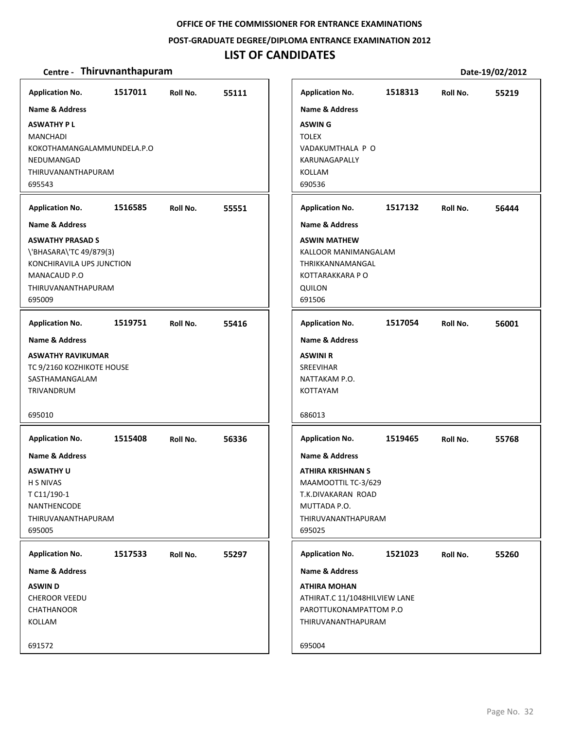**POST‐GRADUATE DEGREE/DIPLOMA ENTRANCE EXAMINATION 2012**

# **LIST OF CANDIDATES**

| <b>Application No.</b><br><b>Name &amp; Address</b><br><b>ASWATHY PL</b><br>MANCHADI<br>KOKOTHAMANGALAMMUNDELA.P.O<br>NEDUMANGAD<br>THIRUVANANTHAPURAM<br>695543    | 1517011 | Roll No. | 55111 | <b>Application No.</b><br><b>Name &amp; Address</b><br><b>ASWING</b><br><b>TOLEX</b><br>VADAKUMTHALA P O<br>KARUNAGAPALLY<br>KOLLAM<br>690536                                          | 1518313 | Roll No. | 55219 |
|---------------------------------------------------------------------------------------------------------------------------------------------------------------------|---------|----------|-------|----------------------------------------------------------------------------------------------------------------------------------------------------------------------------------------|---------|----------|-------|
| <b>Application No.</b><br>Name & Address<br><b>ASWATHY PRASAD S</b><br>\'BHASARA\'TC 49/879(3)<br>KONCHIRAVILA UPS JUNCTION<br>MANACAUD P.O<br>THIRUVANANTHAPURAM   | 1516585 | Roll No. | 55551 | <b>Application No.</b><br><b>Name &amp; Address</b><br><b>ASWIN MATHEW</b><br>KALLOOR MANIMANGALAM<br>THRIKKANNAMANGAL<br>KOTTARAKKARA P O<br><b>QUILON</b>                            | 1517132 | Roll No. | 56444 |
| 695009<br><b>Application No.</b><br>Name & Address<br><b>ASWATHY RAVIKUMAR</b><br>TC 9/2160 KOZHIKOTE HOUSE<br>SASTHAMANGALAM<br>TRIVANDRUM                         | 1519751 | Roll No. | 55416 | 691506<br><b>Application No.</b><br><b>Name &amp; Address</b><br><b>ASWINI R</b><br><b>SREEVIHAR</b><br>NATTAKAM P.O.<br><b>KOTTAYAM</b>                                               | 1517054 | Roll No. | 56001 |
| 695010<br><b>Application No.</b><br><b>Name &amp; Address</b><br><b>ASWATHY U</b><br><b>H S NIVAS</b><br>T C11/190-1<br>NANTHENCODE<br>THIRUVANANTHAPURAM<br>695005 | 1515408 | Roll No. | 56336 | 686013<br><b>Application No.</b><br><b>Name &amp; Address</b><br><b>ATHIRA KRISHNAN S</b><br>MAAMOOTTIL TC-3/629<br>T.K.DIVAKARAN ROAD<br>MUTTADA P.O.<br>THIRUVANANTHAPURAM<br>695025 | 1519465 | Roll No. | 55768 |
| <b>Application No.</b><br>Name & Address<br><b>ASWIND</b><br><b>CHEROOR VEEDU</b><br>CHATHANOOR<br>KOLLAM<br>691572                                                 | 1517533 | Roll No. | 55297 | <b>Application No.</b><br>Name & Address<br><b>ATHIRA MOHAN</b><br>ATHIRAT.C 11/1048HILVIEW LANE<br>PAROTTUKONAMPATTOM P.O<br>THIRUVANANTHAPURAM<br>695004                             | 1521023 | Roll No. | 55260 |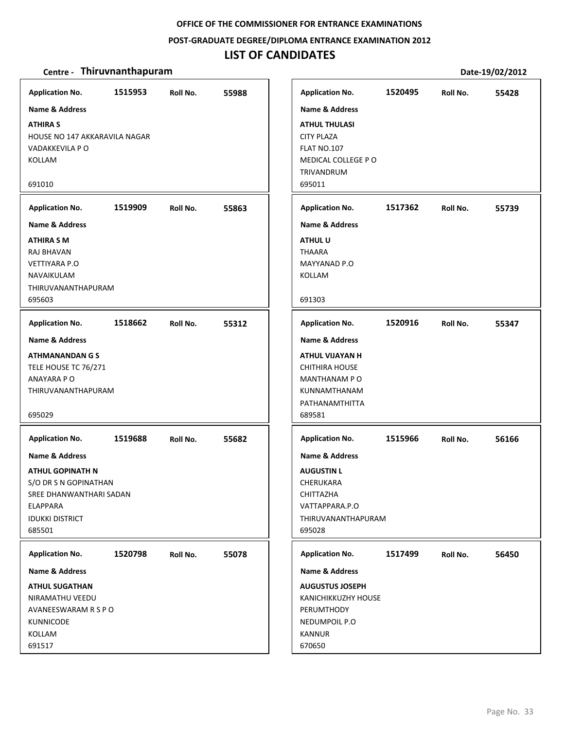#### **POST‐GRADUATE DEGREE/DIPLOMA ENTRANCE EXAMINATION 2012**

# **LIST OF CANDIDATES**

| <b>Application No.</b>                                                                                                                               | 1515953 | Roll No. | 55988 | <b>Application No.</b>                                                                                                                     | 1520495 | Roll No. | 55428 |
|------------------------------------------------------------------------------------------------------------------------------------------------------|---------|----------|-------|--------------------------------------------------------------------------------------------------------------------------------------------|---------|----------|-------|
| <b>Name &amp; Address</b><br><b>ATHIRA S</b><br>HOUSE NO 147 AKKARAVILA NAGAR<br>VADAKKEVILA P O<br>KOLLAM<br>691010                                 |         |          |       | <b>Name &amp; Address</b><br><b>ATHUL THULASI</b><br><b>CITY PLAZA</b><br><b>FLAT NO.107</b><br>MEDICAL COLLEGE PO<br>TRIVANDRUM<br>695011 |         |          |       |
|                                                                                                                                                      | 1519909 |          | 55863 | <b>Application No.</b>                                                                                                                     | 1517362 | Roll No. |       |
| <b>Application No.</b><br>Name & Address                                                                                                             |         | Roll No. |       | <b>Name &amp; Address</b>                                                                                                                  |         |          | 55739 |
| ATHIRA S M<br>RAJ BHAVAN<br><b>VETTIYARA P.O</b><br>NAVAIKULAM<br>THIRUVANANTHAPURAM<br>695603                                                       |         |          |       | <b>ATHUL U</b><br><b>THAARA</b><br>MAYYANAD P.O<br><b>KOLLAM</b><br>691303                                                                 |         |          |       |
|                                                                                                                                                      |         |          |       |                                                                                                                                            |         |          |       |
| <b>Application No.</b>                                                                                                                               | 1518662 | Roll No. | 55312 | <b>Application No.</b>                                                                                                                     | 1520916 | Roll No. | 55347 |
| <b>Name &amp; Address</b><br><b>ATHMANANDAN G S</b><br>TELE HOUSE TC 76/271<br>ANAYARA PO<br>THIRUVANANTHAPURAM<br>695029                            |         |          |       | Name & Address<br><b>ATHUL VIJAYAN H</b><br><b>CHITHIRA HOUSE</b><br>MANTHANAM PO<br>KUNNAMTHANAM<br>PATHANAMTHITTA<br>689581              |         |          |       |
| <b>Application No.</b>                                                                                                                               | 1519688 | Roll No. | 55682 | <b>Application No.</b>                                                                                                                     | 1515966 | Roll No. | 56166 |
| Name & Address<br><b>ATHUL GOPINATH N</b><br>S/O DR S N GOPINATHAN<br>SREE DHANWANTHARI SADAN<br><b>ELAPPARA</b><br><b>IDUKKI DISTRICT</b><br>685501 |         |          |       | <b>Name &amp; Address</b><br><b>AUGUSTIN L</b><br>CHERUKARA<br>CHITTAZHA<br>VATTAPPARA.P.O<br>THIRUVANANTHAPURAM<br>695028                 |         |          |       |
| <b>Application No.</b>                                                                                                                               | 1520798 | Roll No. | 55078 | <b>Application No.</b>                                                                                                                     | 1517499 | Roll No. | 56450 |
| <b>Name &amp; Address</b>                                                                                                                            |         |          |       | <b>Name &amp; Address</b>                                                                                                                  |         |          |       |
| <b>ATHUL SUGATHAN</b><br>NIRAMATHU VEEDU<br>AVANEESWARAM R S P O<br><b>KUNNICODE</b><br>KOLLAM<br>691517                                             |         |          |       | <b>AUGUSTUS JOSEPH</b><br>KANICHIKKUZHY HOUSE<br><b>PERUMTHODY</b><br>NEDUMPOIL P.O<br><b>KANNUR</b><br>670650                             |         |          |       |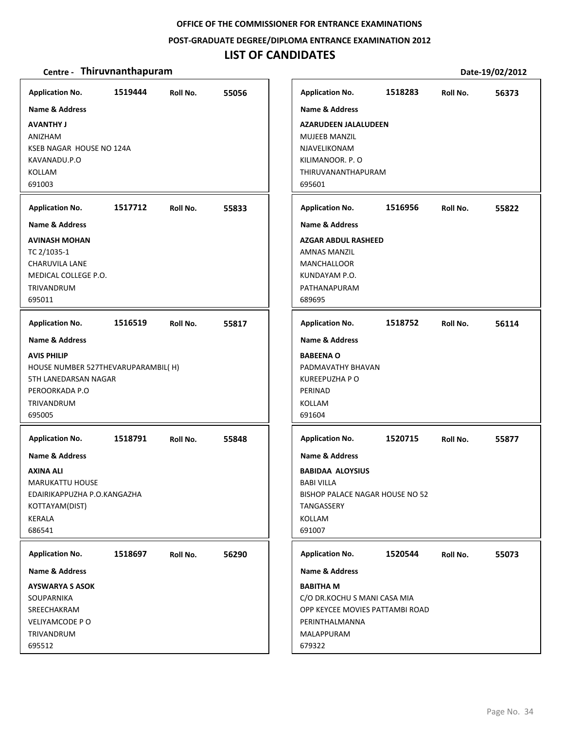#### **POST‐GRADUATE DEGREE/DIPLOMA ENTRANCE EXAMINATION 2012**

# **LIST OF CANDIDATES**

| <b>Application No.</b>             | 1519444 | Roll No. | 55056 | <b>Application No.</b>       | 1518283                         | Roll No. | 56373 |
|------------------------------------|---------|----------|-------|------------------------------|---------------------------------|----------|-------|
| <b>Name &amp; Address</b>          |         |          |       | <b>Name &amp; Address</b>    |                                 |          |       |
| <b>AVANTHY J</b>                   |         |          |       | <b>AZARUDEEN JALALUDEEN</b>  |                                 |          |       |
| ANIZHAM                            |         |          |       | <b>MUJEEB MANZIL</b>         |                                 |          |       |
| KSEB NAGAR HOUSE NO 124A           |         |          |       | NJAVELIKONAM                 |                                 |          |       |
| KAVANADU.P.O                       |         |          |       | KILIMANOOR. P. O             |                                 |          |       |
| KOLLAM                             |         |          |       | THIRUVANANTHAPURAM           |                                 |          |       |
| 691003                             |         |          |       | 695601                       |                                 |          |       |
| <b>Application No.</b>             | 1517712 | Roll No. | 55833 | <b>Application No.</b>       | 1516956                         | Roll No. | 55822 |
| <b>Name &amp; Address</b>          |         |          |       | <b>Name &amp; Address</b>    |                                 |          |       |
| <b>AVINASH MOHAN</b>               |         |          |       | <b>AZGAR ABDUL RASHEED</b>   |                                 |          |       |
| TC 2/1035-1                        |         |          |       | <b>AMNAS MANZIL</b>          |                                 |          |       |
| <b>CHARUVILA LANE</b>              |         |          |       | <b>MANCHALLOOR</b>           |                                 |          |       |
| MEDICAL COLLEGE P.O.               |         |          |       | KUNDAYAM P.O.                |                                 |          |       |
| TRIVANDRUM                         |         |          |       | PATHANAPURAM                 |                                 |          |       |
| 695011                             |         |          |       | 689695                       |                                 |          |       |
| <b>Application No.</b>             | 1516519 | Roll No. | 55817 | <b>Application No.</b>       | 1518752                         | Roll No. | 56114 |
| <b>Name &amp; Address</b>          |         |          |       | <b>Name &amp; Address</b>    |                                 |          |       |
| <b>AVIS PHILIP</b>                 |         |          |       | <b>BABEENA O</b>             |                                 |          |       |
| HOUSE NUMBER 527THEVARUPARAMBIL(H) |         |          |       | PADMAVATHY BHAVAN            |                                 |          |       |
| 5TH LANEDARSAN NAGAR               |         |          |       | KUREEPUZHA P O               |                                 |          |       |
| PEROORKADA P.O                     |         |          |       | PERINAD                      |                                 |          |       |
| TRIVANDRUM                         |         |          |       | KOLLAM                       |                                 |          |       |
| 695005                             |         |          |       | 691604                       |                                 |          |       |
| <b>Application No.</b>             | 1518791 | Roll No. | 55848 | <b>Application No.</b>       | 1520715                         | Roll No. | 55877 |
| <b>Name &amp; Address</b>          |         |          |       | <b>Name &amp; Address</b>    |                                 |          |       |
| AXINA ALI                          |         |          |       | <b>BABIDAA ALOYSIUS</b>      |                                 |          |       |
| <b>MARUKATTU HOUSE</b>             |         |          |       | <b>BABI VILLA</b>            |                                 |          |       |
| EDAIRIKAPPUZHA P.O.KANGAZHA        |         |          |       |                              | BISHOP PALACE NAGAR HOUSE NO 52 |          |       |
| KOTTAYAM(DIST)                     |         |          |       | TANGASSERY                   |                                 |          |       |
| KERALA                             |         |          |       | KOLLAM                       |                                 |          |       |
| 686541                             |         |          |       | 691007                       |                                 |          |       |
| <b>Application No.</b>             | 1518697 | Roll No. | 56290 | <b>Application No.</b>       | 1520544                         | Roll No. | 55073 |
| Name & Address                     |         |          |       | Name & Address               |                                 |          |       |
| <b>AYSWARYA S ASOK</b>             |         |          |       | <b>BABITHA M</b>             |                                 |          |       |
| SOUPARNIKA                         |         |          |       | C/O DR.KOCHU S MANI CASA MIA |                                 |          |       |
| SREECHAKRAM                        |         |          |       |                              | OPP KEYCEE MOVIES PATTAMBI ROAD |          |       |
| VELIYAMCODE PO                     |         |          |       | PERINTHALMANNA               |                                 |          |       |
| TRIVANDRUM                         |         |          |       | MALAPPURAM                   |                                 |          |       |
| 695512                             |         |          |       | 679322                       |                                 |          |       |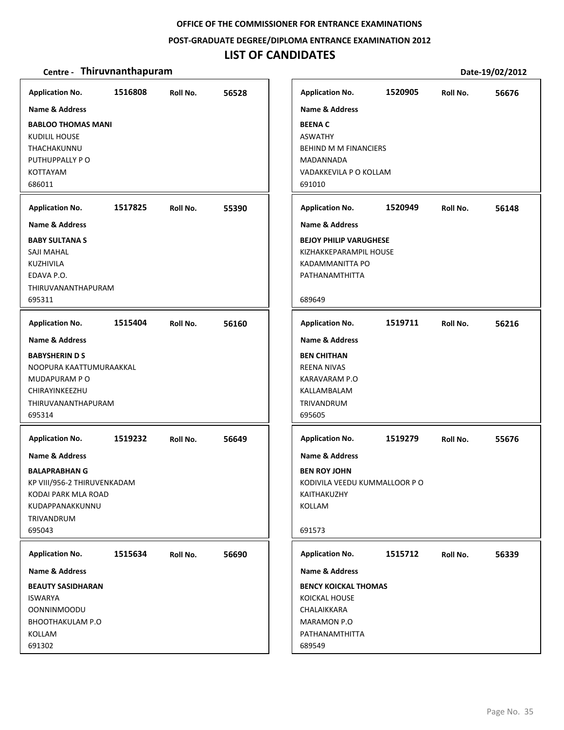#### **POST‐GRADUATE DEGREE/DIPLOMA ENTRANCE EXAMINATION 2012**

# **LIST OF CANDIDATES**

| <b>Application No.</b>      | 1516808 | Roll No. | 56528 | <b>Application No.</b>        | 1520905 | Roll No. | 56676 |
|-----------------------------|---------|----------|-------|-------------------------------|---------|----------|-------|
| <b>Name &amp; Address</b>   |         |          |       | <b>Name &amp; Address</b>     |         |          |       |
| <b>BABLOO THOMAS MANI</b>   |         |          |       | <b>BEENAC</b>                 |         |          |       |
| KUDILIL HOUSE               |         |          |       | <b>ASWATHY</b>                |         |          |       |
| THACHAKUNNU                 |         |          |       | <b>BEHIND M M FINANCIERS</b>  |         |          |       |
| PUTHUPPALLY PO              |         |          |       | MADANNADA                     |         |          |       |
| KOTTAYAM                    |         |          |       | VADAKKEVILA P O KOLLAM        |         |          |       |
| 686011                      |         |          |       | 691010                        |         |          |       |
| <b>Application No.</b>      | 1517825 | Roll No. | 55390 | <b>Application No.</b>        | 1520949 | Roll No. | 56148 |
| Name & Address              |         |          |       | Name & Address                |         |          |       |
| <b>BABY SULTANA S</b>       |         |          |       | <b>BEJOY PHILIP VARUGHESE</b> |         |          |       |
| SAJI MAHAL                  |         |          |       | KIZHAKKEPARAMPIL HOUSE        |         |          |       |
| KUZHIVILA                   |         |          |       | KADAMMANITTA PO               |         |          |       |
| EDAVA P.O.                  |         |          |       | PATHANAMTHITTA                |         |          |       |
| THIRUVANANTHAPURAM          |         |          |       |                               |         |          |       |
| 695311                      |         |          |       | 689649                        |         |          |       |
| <b>Application No.</b>      | 1515404 | Roll No. | 56160 | <b>Application No.</b>        | 1519711 | Roll No. | 56216 |
| <b>Name &amp; Address</b>   |         |          |       | <b>Name &amp; Address</b>     |         |          |       |
| <b>BABYSHERIN D S</b>       |         |          |       | <b>BEN CHITHAN</b>            |         |          |       |
| NOOPURA KAATTUMURAAKKAL     |         |          |       | <b>REENA NIVAS</b>            |         |          |       |
| MUDAPURAM PO                |         |          |       | KARAVARAM P.O                 |         |          |       |
| CHIRAYINKEEZHU              |         |          |       | KALLAMBALAM                   |         |          |       |
| THIRUVANANTHAPURAM          |         |          |       | TRIVANDRUM                    |         |          |       |
| 695314                      |         |          |       | 695605                        |         |          |       |
| <b>Application No.</b>      | 1519232 | Roll No. | 56649 | <b>Application No.</b>        | 1519279 | Roll No. | 55676 |
| Name & Address              |         |          |       | <b>Name &amp; Address</b>     |         |          |       |
| <b>BALAPRABHAN G</b>        |         |          |       | <b>BEN ROY JOHN</b>           |         |          |       |
| KP VIII/956-2 THIRUVENKADAM |         |          |       | KODIVILA VEEDU KUMMALLOOR P O |         |          |       |
| KODAI PARK MLA ROAD         |         |          |       | KAITHAKUZHY                   |         |          |       |
| KUDAPPANAKKUNNU             |         |          |       | KOLLAM                        |         |          |       |
| TRIVANDRUM                  |         |          |       |                               |         |          |       |
| 695043                      |         |          |       | 691573                        |         |          |       |
| <b>Application No.</b>      | 1515634 | Roll No. | 56690 | <b>Application No.</b>        | 1515712 | Roll No. | 56339 |
| <b>Name &amp; Address</b>   |         |          |       | <b>Name &amp; Address</b>     |         |          |       |
| <b>BEAUTY SASIDHARAN</b>    |         |          |       | <b>BENCY KOICKAL THOMAS</b>   |         |          |       |
| ISWARYA                     |         |          |       | <b>KOICKAL HOUSE</b>          |         |          |       |
| <b>OONNINMOODU</b>          |         |          |       | CHALAIKKARA                   |         |          |       |
| <b>BHOOTHAKULAM P.O</b>     |         |          |       | MARAMON P.O                   |         |          |       |
| KOLLAM                      |         |          |       | PATHANAMTHITTA                |         |          |       |
| 691302                      |         |          |       | 689549                        |         |          |       |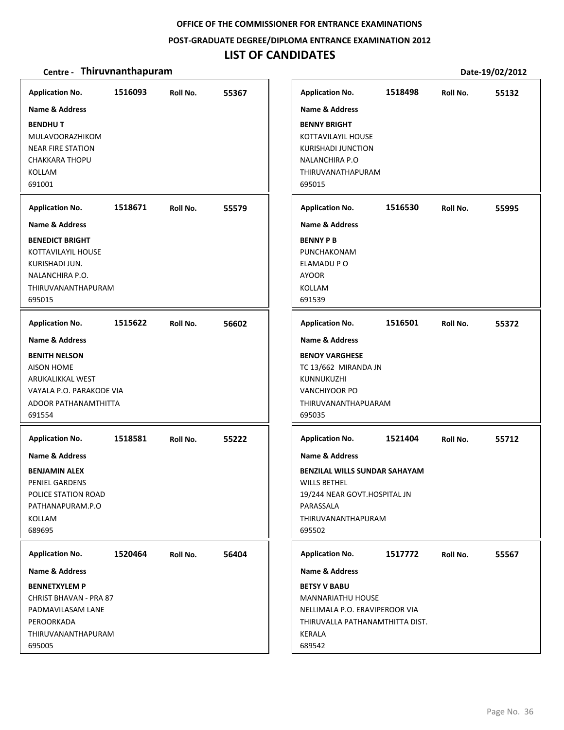#### **POST‐GRADUATE DEGREE/DIPLOMA ENTRANCE EXAMINATION 2012**

# **LIST OF CANDIDATES**

| <b>Application No.</b><br><b>Name &amp; Address</b><br><b>BENDHUT</b><br>MULAVOORAZHIKOM<br><b>NEAR FIRE STATION</b><br><b>CHAKKARA THOPU</b><br><b>KOLLAM</b><br>691001           | 1516093 | Roll No. | 55367 | <b>Application No.</b><br><b>Name &amp; Address</b><br><b>BENNY BRIGHT</b><br>KOTTAVILAYIL HOUSE<br><b>KURISHADI JUNCTION</b><br><b>NALANCHIRA P.O</b><br>THIRUVANATHAPURAM<br>695015           | 1518498 | Roll No. | 55132 |
|------------------------------------------------------------------------------------------------------------------------------------------------------------------------------------|---------|----------|-------|-------------------------------------------------------------------------------------------------------------------------------------------------------------------------------------------------|---------|----------|-------|
| <b>Application No.</b><br><b>Name &amp; Address</b><br><b>BENEDICT BRIGHT</b><br>KOTTAVILAYIL HOUSE<br>KURISHADI JUN.<br>NALANCHIRA P.O.<br>THIRUVANANTHAPURAM<br>695015           | 1518671 | Roll No. | 55579 | <b>Application No.</b><br><b>Name &amp; Address</b><br><b>BENNY P B</b><br>PUNCHAKONAM<br>ELAMADU P O<br><b>AYOOR</b><br>KOLLAM<br>691539                                                       | 1516530 | Roll No. | 55995 |
| <b>Application No.</b><br><b>Name &amp; Address</b><br><b>BENITH NELSON</b><br><b>AISON HOME</b><br>ARUKALIKKAL WEST<br>VAYALA P.O. PARAKODE VIA<br>ADOOR PATHANAMTHITTA<br>691554 | 1515622 | Roll No. | 56602 | <b>Application No.</b><br><b>Name &amp; Address</b><br><b>BENOY VARGHESE</b><br>TC 13/662 MIRANDA JN<br>KUNNUKUZHI<br><b>VANCHIYOOR PO</b><br>THIRUVANANTHAPUARAM<br>695035                     | 1516501 | Roll No. | 55372 |
| <b>Application No.</b><br><b>Name &amp; Address</b><br><b>BENJAMIN ALEX</b><br><b>PENIEL GARDENS</b><br>POLICE STATION ROAD<br>PATHANAPURAM.P.O<br>KOLLAM<br>689695                | 1518581 | Roll No. | 55222 | <b>Application No.</b><br><b>Name &amp; Address</b><br><b>BENZILAL WILLS SUNDAR SAHAYAM</b><br><b>WILLS BETHEL</b><br>19/244 NEAR GOVT.HOSPITAL JN<br>PARASSALA<br>THIRUVANANTHAPURAM<br>695502 | 1521404 | Roll No. | 55712 |
| <b>Application No.</b><br><b>Name &amp; Address</b><br><b>BENNETXYLEM P</b><br>CHRIST BHAVAN - PRA 87<br>PADMAVILASAM LANE<br>PEROORKADA<br>THIRUVANANTHAPURAM<br>695005           | 1520464 | Roll No. | 56404 | <b>Application No.</b><br><b>Name &amp; Address</b><br><b>BETSY V BABU</b><br><b>MANNARIATHU HOUSE</b><br>NELLIMALA P.O. ERAVIPEROOR VIA<br>THIRUVALLA PATHANAMTHITTA DIST.<br>KERALA<br>689542 | 1517772 | Roll No. | 55567 |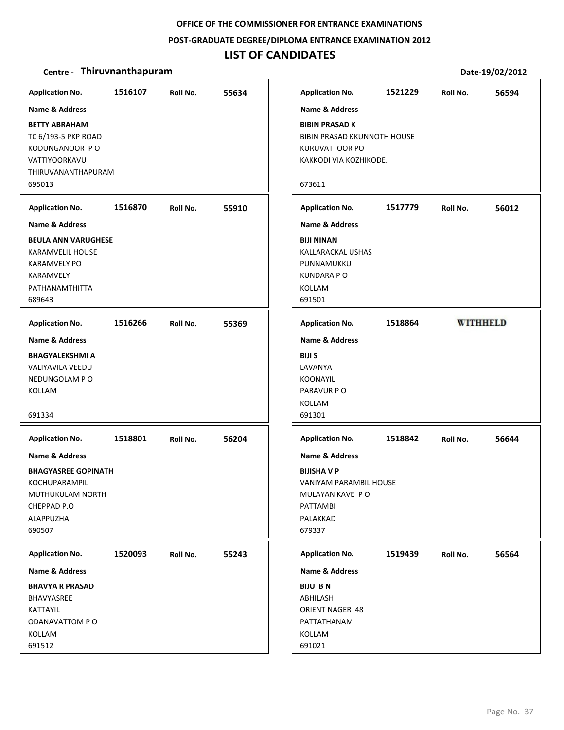**POST‐GRADUATE DEGREE/DIPLOMA ENTRANCE EXAMINATION 2012**

### **LIST OF CANDIDATES**

| <b>Application No.</b>                                                                                                         | 1516107 | Roll No. | 55634 |
|--------------------------------------------------------------------------------------------------------------------------------|---------|----------|-------|
| Name & Address<br><b>BETTY ABRAHAM</b><br>TC 6/193-5 PKP ROAD<br>KODUNGANOOR PO<br>VATTIYOORKAVU<br>THIRUVANANTHAPURAM         |         |          |       |
| 695013                                                                                                                         |         |          |       |
| <b>Application No.</b><br>Name & Address                                                                                       | 1516870 | Roll No. | 55910 |
| <b>BEULA ANN VARUGHESE</b><br><b>KARAMVELIL HOUSE</b><br><b>KARAMVELY PO</b><br>KARAMVELY<br>PATHANAMTHITTA<br>689643          |         |          |       |
| <b>Application No.</b>                                                                                                         | 1516266 | Roll No. | 55369 |
| <b>Name &amp; Address</b><br><b>BHAGYALEKSHMI A</b><br><b>VALIYAVILA VEEDU</b><br>NEDUNGOLAM PO<br>KOLLAM<br>691334            |         |          |       |
| <b>Application No.</b>                                                                                                         | 1518801 | Roll No. | 56204 |
| Name & Address<br><b>BHAGYASREE GOPINATH</b><br><b>KOCHUPARAMPIL</b><br>MUTHUKULAM NORTH<br>CHEPPAD P.O<br>ALAPPUZHA<br>690507 |         |          |       |
| <b>Application No.</b>                                                                                                         | 1520093 | Roll No. | 55243 |
| <b>Name &amp; Address</b>                                                                                                      |         |          |       |
| <b>BHAVYA R PRASAD</b><br><b>BHAVYASREE</b><br>KATTAYIL<br>ODANAVATTOM PO<br>KOLLAM<br>691512                                  |         |          |       |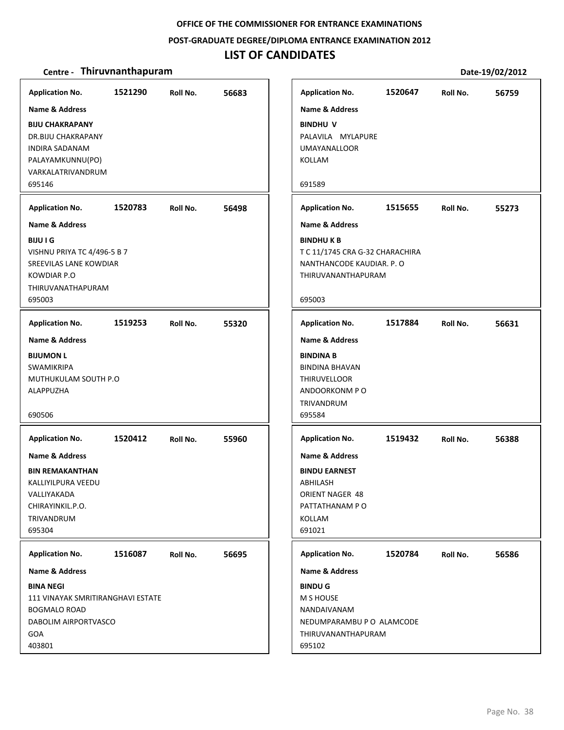#### **POST‐GRADUATE DEGREE/DIPLOMA ENTRANCE EXAMINATION 2012**

### **LIST OF CANDIDATES**

| <b>Application No.</b>                                                                                                        | 1521290 | Roll No. | 56683 |
|-------------------------------------------------------------------------------------------------------------------------------|---------|----------|-------|
| <b>Name &amp; Address</b>                                                                                                     |         |          |       |
| <b>BIJU CHAKRAPANY</b><br>DR.BIJU CHAKRAPANY<br><b>INDIRA SADANAM</b><br>PALAYAMKUNNU(PO)<br>VARKALATRIVANDRUM<br>695146      |         |          |       |
| <b>Application No.</b>                                                                                                        | 1520783 | Roll No. | 56498 |
| <b>Name &amp; Address</b>                                                                                                     |         |          |       |
| <b>BIJU I G</b><br>VISHNU PRIYA TC 4/496-5 B 7<br>SREEVILAS LANE KOWDIAR<br><b>KOWDIAR P.O</b><br>THIRUVANATHAPURAM<br>695003 |         |          |       |
| <b>Application No.</b>                                                                                                        | 1519253 | Roll No. | 55320 |
| <b>Name &amp; Address</b>                                                                                                     |         |          |       |
| <b>BIJUMON L</b><br><b>SWAMIKRIPA</b><br>MUTHUKULAM SOUTH P.O<br>ALAPPUZHA                                                    |         |          |       |
| 690506                                                                                                                        |         |          |       |
| <b>Application No.</b>                                                                                                        | 1520412 | Roll No. | 55960 |
| <b>Name &amp; Address</b>                                                                                                     |         |          |       |
| <b>BIN REMAKANTHAN</b><br>KALLIYILPURA VEEDU<br>VALLIYAKADA<br>CHIRAYINKIL.P.O.<br>TRIVANDRUM<br>695304                       |         |          |       |
| <b>Application No.</b>                                                                                                        | 1516087 | Roll No. | 56695 |
| <b>Name &amp; Address</b>                                                                                                     |         |          |       |
| <b>BINA NEGI</b><br>111 VINAYAK SMRITIRANGHAVI ESTATE                                                                         |         |          |       |

| <b>Application No.</b>                          | 1520647 | Roll No. | 56759 |
|-------------------------------------------------|---------|----------|-------|
| <b>Name &amp; Address</b>                       |         |          |       |
| <b>BINDHU V</b>                                 |         |          |       |
| PALAVILA MYLAPURE                               |         |          |       |
| <b>UMAYANALLOOR</b><br>KOLLAM                   |         |          |       |
|                                                 |         |          |       |
| 691589                                          |         |          |       |
| <b>Application No.</b>                          | 1515655 | Roll No. | 55273 |
| <b>Name &amp; Address</b>                       |         |          |       |
| <b>BINDHUKB</b>                                 |         |          |       |
| T C 11/1745 CRA G-32 CHARACHIRA                 |         |          |       |
| NANTHANCODE KAUDIAR. P. O<br>THIRUVANANTHAPURAM |         |          |       |
|                                                 |         |          |       |
| 695003                                          |         |          |       |
| <b>Application No.</b>                          | 1517884 | Roll No. | 56631 |
| <b>Name &amp; Address</b>                       |         |          |       |
| <b>BINDINA B</b>                                |         |          |       |
| <b>BINDINA BHAVAN</b>                           |         |          |       |
| <b>THIRUVELLOOR</b><br>ANDOORKONM PO            |         |          |       |
| TRIVANDRUM                                      |         |          |       |
| 695584                                          |         |          |       |
| <b>Application No.</b>                          | 1519432 | Roll No. | 56388 |
| <b>Name &amp; Address</b>                       |         |          |       |
| <b>BINDU EARNEST</b>                            |         |          |       |
| ABHILASH                                        |         |          |       |
| ORIENT NAGER 48                                 |         |          |       |
| PATTATHANAM PO                                  |         |          |       |
| <b>KOLLAM</b>                                   |         |          |       |
| 691021                                          |         |          |       |
| <b>Application No.</b>                          | 1520784 | Roll No. | 56586 |
| <b>Name &amp; Address</b>                       |         |          |       |
| <b>BINDU G</b>                                  |         |          |       |
| <b>M S HOUSE</b>                                |         |          |       |
| NANDAIVANAM<br>NEDUMPARAMBU P O ALAMCODE        |         |          |       |
| THIRUVANANTHAPURAM                              |         |          |       |
| 695102                                          |         |          |       |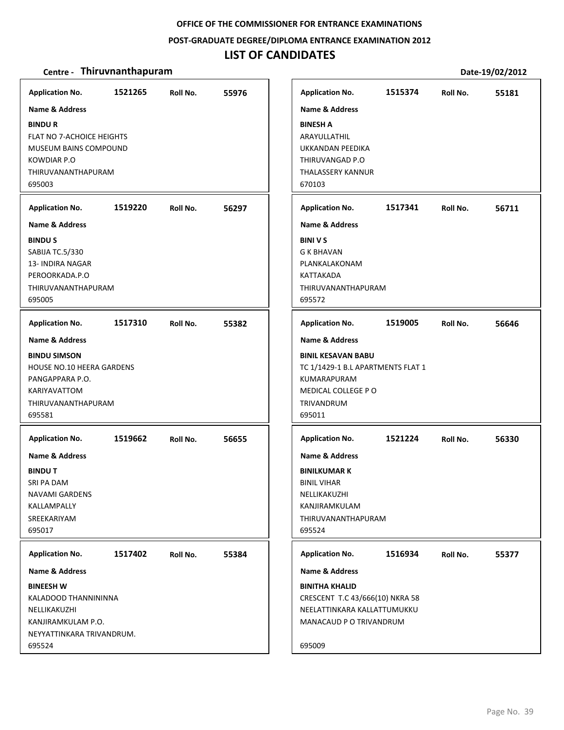### **POST‐GRADUATE DEGREE/DIPLOMA ENTRANCE EXAMINATION 2012**

### **LIST OF CANDIDATES**

| <b>Application No.</b>           | 1521265 | Roll No. | 55976 |
|----------------------------------|---------|----------|-------|
| <b>Name &amp; Address</b>        |         |          |       |
| <b>BINDUR</b>                    |         |          |       |
| FLAT NO 7-ACHOICE HEIGHTS        |         |          |       |
|                                  |         |          |       |
| MUSEUM BAINS COMPOUND            |         |          |       |
| KOWDIAR P.O                      |         |          |       |
| THIRUVANANTHAPURAM               |         |          |       |
| 695003                           |         |          |       |
| <b>Application No.</b>           | 1519220 | Roll No. | 56297 |
| <b>Name &amp; Address</b>        |         |          |       |
| <b>BINDUS</b>                    |         |          |       |
| SABIJA TC.5/330                  |         |          |       |
| 13- INDIRA NAGAR                 |         |          |       |
| PEROORKADA.P.O                   |         |          |       |
| THIRUVANANTHAPURAM               |         |          |       |
| 695005                           |         |          |       |
| <b>Application No.</b>           | 1517310 | Roll No. | 55382 |
| <b>Name &amp; Address</b>        |         |          |       |
| <b>BINDU SIMSON</b>              |         |          |       |
| <b>HOUSE NO.10 HEERA GARDENS</b> |         |          |       |
| PANGAPPARA P.O.                  |         |          |       |
| <b>KARIYAVATTOM</b>              |         |          |       |
| THIRUVANANTHAPURAM               |         |          |       |
| 695581                           |         |          |       |
| <b>Application No.</b>           | 1519662 | Roll No. | 56655 |
| <b>Name &amp; Address</b>        |         |          |       |
| <b>BINDUT</b>                    |         |          |       |
|                                  |         |          |       |
| SRI PA DAM                       |         |          |       |
| <b>NAVAMI GARDENS</b>            |         |          |       |
| KALLAMPALLY                      |         |          |       |
| SREEKARIYAM                      |         |          |       |
| 695017                           |         |          |       |
| <b>Application No.</b>           | 1517402 | Roll No. | 55384 |
| Name & Address                   |         |          |       |
| <b>BINEESH W</b>                 |         |          |       |
| KALADOOD THANNININNA             |         |          |       |
| NELLIKAKUZHI                     |         |          |       |
| KANJIRAMKULAM P.O.               |         |          |       |
| NEYYATTINKARA TRIVANDRUM.        |         |          |       |
| 695524                           |         |          |       |
|                                  |         |          |       |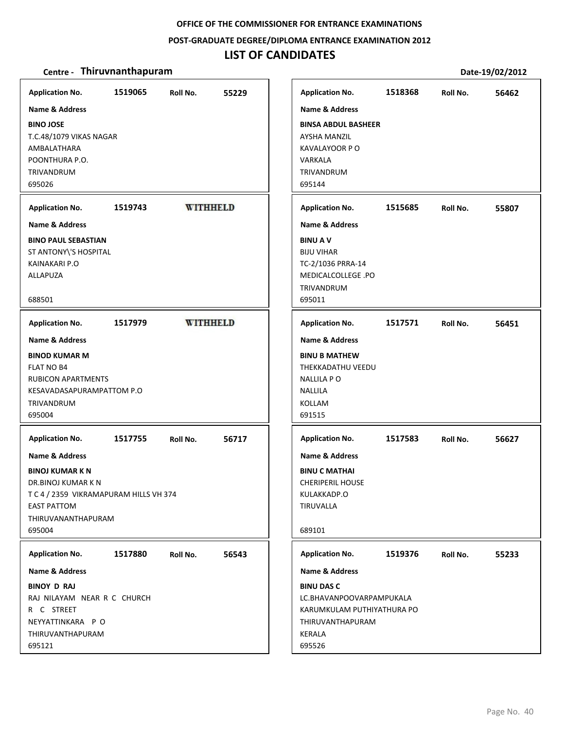**POST‐GRADUATE DEGREE/DIPLOMA ENTRANCE EXAMINATION 2012**

### **LIST OF CANDIDATES**

| <b>Application No.</b><br>Name & Address                                                                                                                       | 1519065 | Roll No.        | 55229 | <b>Application No.</b><br><b>Name &amp; Address</b>                                                                 | 1518368 | Roll No. | 56462 |
|----------------------------------------------------------------------------------------------------------------------------------------------------------------|---------|-----------------|-------|---------------------------------------------------------------------------------------------------------------------|---------|----------|-------|
| <b>BINO JOSE</b><br>T.C.48/1079 VIKAS NAGAR<br>AMBALATHARA<br>POONTHURA P.O.<br><b>TRIVANDRUM</b><br>695026                                                    |         |                 |       | <b>BINSA ABDUL BASHEER</b><br><b>AYSHA MANZIL</b><br>KAVALAYOOR PO<br>VARKALA<br>TRIVANDRUM<br>695144               |         |          |       |
| <b>Application No.</b>                                                                                                                                         | 1519743 | <b>WITHHELD</b> |       | <b>Application No.</b>                                                                                              | 1515685 | Roll No. | 55807 |
| <b>Name &amp; Address</b>                                                                                                                                      |         |                 |       | <b>Name &amp; Address</b>                                                                                           |         |          |       |
| <b>BINO PAUL SEBASTIAN</b><br>ST ANTONY\'S HOSPITAL<br>KAINAKARI P.O<br>ALLAPUZA<br>688501                                                                     |         |                 |       | <b>BINUAV</b><br><b>BIJU VIHAR</b><br>TC-2/1036 PRRA-14<br>MEDICALCOLLEGE .PO<br>TRIVANDRUM<br>695011               |         |          |       |
| <b>Application No.</b>                                                                                                                                         | 1517979 | <b>WITHHELD</b> |       | <b>Application No.</b>                                                                                              | 1517571 | Roll No. | 56451 |
| Name & Address                                                                                                                                                 |         |                 |       | <b>Name &amp; Address</b>                                                                                           |         |          |       |
| <b>BINOD KUMAR M</b><br><b>FLAT NO B4</b><br><b>RUBICON APARTMENTS</b><br>KESAVADASAPURAMPATTOM P.O<br>TRIVANDRUM<br>695004                                    |         |                 |       | <b>BINU B MATHEW</b><br>THEKKADATHU VEEDU<br><b>NALLILA PO</b><br><b>NALLILA</b><br>KOLLAM<br>691515                |         |          |       |
| <b>Application No.</b>                                                                                                                                         | 1517755 | Roll No.        | 56717 | <b>Application No.</b>                                                                                              | 1517583 | Roll No. | 56627 |
| Name & Address<br><b>BINOJ KUMAR K N</b><br>DR.BINOJ KUMAR K N<br>T C 4 / 2359 VIKRAMAPURAM HILLS VH 374<br><b>EAST PATTOM</b><br>THIRUVANANTHAPURAM<br>695004 |         |                 |       | <b>Name &amp; Address</b><br><b>BINU C MATHAI</b><br><b>CHERIPERIL HOUSE</b><br>KULAKKADP.O<br>TIRUVALLA<br>689101  |         |          |       |
| <b>Application No.</b>                                                                                                                                         | 1517880 | Roll No.        | 56543 | <b>Application No.</b>                                                                                              | 1519376 | Roll No. | 55233 |
| <b>Name &amp; Address</b>                                                                                                                                      |         |                 |       | <b>Name &amp; Address</b>                                                                                           |         |          |       |
| <b>BINOY D RAJ</b><br>RAJ NILAYAM NEAR R C CHURCH<br>R C STREET<br>NEYYATTINKARA P O<br>THIRUVANTHAPURAM<br>695121                                             |         |                 |       | <b>BINU DAS C</b><br>LC.BHAVANPOOVARPAMPUKALA<br>KARUMKULAM PUTHIYATHURA PO<br>THIRUVANTHAPURAM<br>KERALA<br>695526 |         |          |       |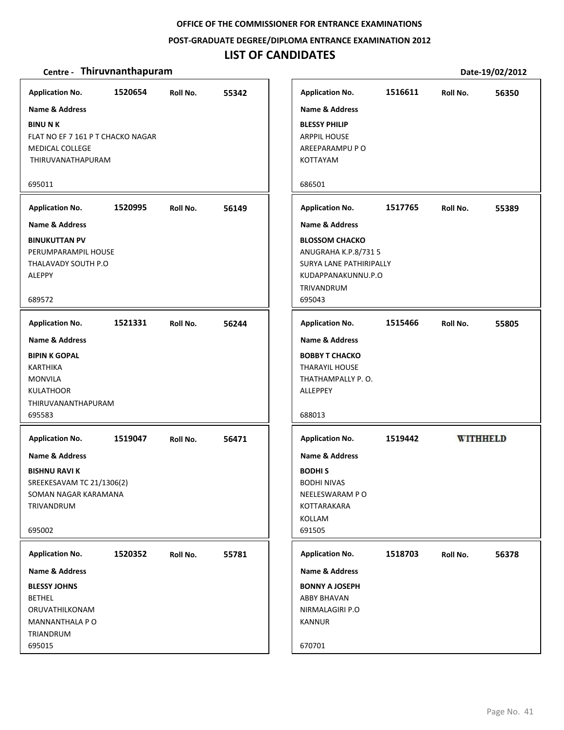### **POST‐GRADUATE DEGREE/DIPLOMA ENTRANCE EXAMINATION 2012**

# **LIST OF CANDIDATES**

| <b>Application No.</b>                                      | 1520654 | Roll No. | 55342 |
|-------------------------------------------------------------|---------|----------|-------|
| <b>Name &amp; Address</b>                                   |         |          |       |
| <b>BINU N K</b>                                             |         |          |       |
| FLAT NO EF 7 161 P T CHACKO NAGAR<br><b>MEDICAL COLLEGE</b> |         |          |       |
| THIRUVANATHAPURAM                                           |         |          |       |
|                                                             |         |          |       |
| 695011                                                      |         |          |       |
| <b>Application No.</b>                                      | 1520995 | Roll No. | 56149 |
| Name & Address                                              |         |          |       |
| <b>BINUKUTTAN PV</b>                                        |         |          |       |
| PERUMPARAMPIL HOUSE<br>THALAVADY SOUTH P.O                  |         |          |       |
| ALEPPY                                                      |         |          |       |
|                                                             |         |          |       |
| 689572                                                      |         |          |       |
| <b>Application No.</b>                                      | 1521331 | Roll No. | 56244 |
| <b>Name &amp; Address</b>                                   |         |          |       |
| <b>BIPIN K GOPAL</b>                                        |         |          |       |
| KARTHIKA                                                    |         |          |       |
| <b>MONVILA</b>                                              |         |          |       |
| <b>KULATHOOR</b><br>THIRUVANANTHAPURAM                      |         |          |       |
| 695583                                                      |         |          |       |
|                                                             |         |          |       |
| <b>Application No.</b>                                      | 1519047 | Roll No. | 56471 |
| Name & Address                                              |         |          |       |
| <b>BISHNU RAVI K</b>                                        |         |          |       |
| SREEKESAVAM TC 21/1306(2)                                   |         |          |       |
| SOMAN NAGAR KARAMANA<br>TRIVANDRUM                          |         |          |       |
|                                                             |         |          |       |
| 695002                                                      |         |          |       |
| <b>Application No.</b>                                      | 1520352 | Roll No. | 55781 |
| Name & Address                                              |         |          |       |
| <b>BLESSY JOHNS</b>                                         |         |          |       |
| <b>BETHEL</b>                                               |         |          |       |
| ORUVATHILKONAM                                              |         |          |       |
| MANNANTHALA P O                                             |         |          |       |
| TRIANDRUM                                                   |         |          |       |
| 695015                                                      |         |          |       |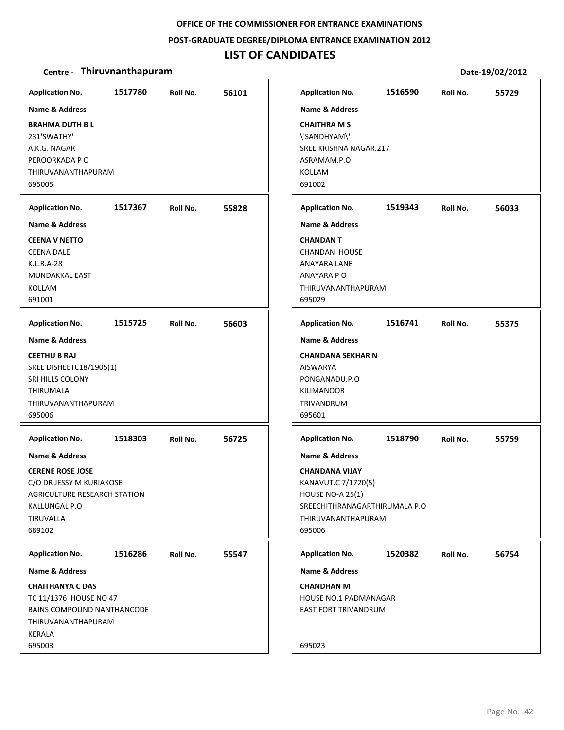### **POST‐GRADUATE DEGREE/DIPLOMA ENTRANCE EXAMINATION 2012**

### **LIST OF CANDIDATES**

| <b>Application No.</b><br>Name & Address                                                                                    | 1517780 | Roll No. | 56101 | <b>Application No.</b><br><b>Name &amp; Address</b>                                                                                 | 1516590 | Roll No. | 55729 |
|-----------------------------------------------------------------------------------------------------------------------------|---------|----------|-------|-------------------------------------------------------------------------------------------------------------------------------------|---------|----------|-------|
| <b>BRAHMA DUTH B L</b><br>231'SWATHY'<br>A.K.G. NAGAR<br>PEROORKADA P O<br>THIRUVANANTHAPURAM<br>695005                     |         |          |       | <b>CHAITHRA M S</b><br>\'SANDHYAM\'<br>SREE KRISHNA NAGAR.217<br>ASRAMAM.P.O<br>KOLLAM<br>691002                                    |         |          |       |
| <b>Application No.</b>                                                                                                      | 1517367 | Roll No. | 55828 | <b>Application No.</b>                                                                                                              | 1519343 | Roll No. | 56033 |
| <b>Name &amp; Address</b>                                                                                                   |         |          |       | <b>Name &amp; Address</b>                                                                                                           |         |          |       |
| <b>CEENA V NETTO</b><br><b>CEENA DALE</b><br>K.L.R.A-28<br>MUNDAKKAL EAST<br>KOLLAM<br>691001                               |         |          |       | <b>CHANDANT</b><br><b>CHANDAN HOUSE</b><br>ANAYARA LANE<br>ANAYARA PO<br>THIRUVANANTHAPURAM<br>695029                               |         |          |       |
| <b>Application No.</b>                                                                                                      | 1515725 | Roll No. | 56603 | <b>Application No.</b>                                                                                                              | 1516741 | Roll No. | 55375 |
| <b>Name &amp; Address</b>                                                                                                   |         |          |       | <b>Name &amp; Address</b>                                                                                                           |         |          |       |
| <b>CEETHU B RAJ</b><br>SREE DISHEETC18/1905(1)<br>SRI HILLS COLONY<br>THIRUMALA<br>THIRUVANANTHAPURAM<br>695006             |         |          |       | <b>CHANDANA SEKHAR N</b><br><b>AISWARYA</b><br>PONGANADU.P.O<br><b>KILIMANOOR</b><br>TRIVANDRUM<br>695601                           |         |          |       |
| <b>Application No.</b>                                                                                                      | 1518303 | Roll No. | 56725 | <b>Application No.</b>                                                                                                              | 1518790 | Roll No. | 55759 |
| <b>Name &amp; Address</b>                                                                                                   |         |          |       | <b>Name &amp; Address</b>                                                                                                           |         |          |       |
| <b>CERENE ROSE JOSE</b><br>C/O DR JESSY M KURIAKOSE<br>AGRICULTURE RESEARCH STATION<br>KALLUNGAL P.O<br>TIRUVALLA<br>689102 |         |          |       | <b>CHANDANA VIJAY</b><br>KANAVUT.C 7/1720(5)<br>HOUSE NO-A $25(1)$<br>SREECHITHRANAGARTHIRUMALA P.O<br>THIRUVANANTHAPURAM<br>695006 |         |          |       |
| <b>Application No.</b>                                                                                                      | 1516286 | Roll No. | 55547 | <b>Application No.</b>                                                                                                              | 1520382 | Roll No. | 56754 |
| <b>Name &amp; Address</b>                                                                                                   |         |          |       | <b>Name &amp; Address</b>                                                                                                           |         |          |       |
| <b>CHAITHANYA C DAS</b><br>TC 11/1376 HOUSE NO 47<br>BAINS COMPOUND NANTHANCODE<br>THIRUVANANTHAPURAM<br>KERALA<br>695003   |         |          |       | <b>CHANDHAN M</b><br><b>HOUSE NO.1 PADMANAGAR</b><br>EAST FORT TRIVANDRUM<br>695023                                                 |         |          |       |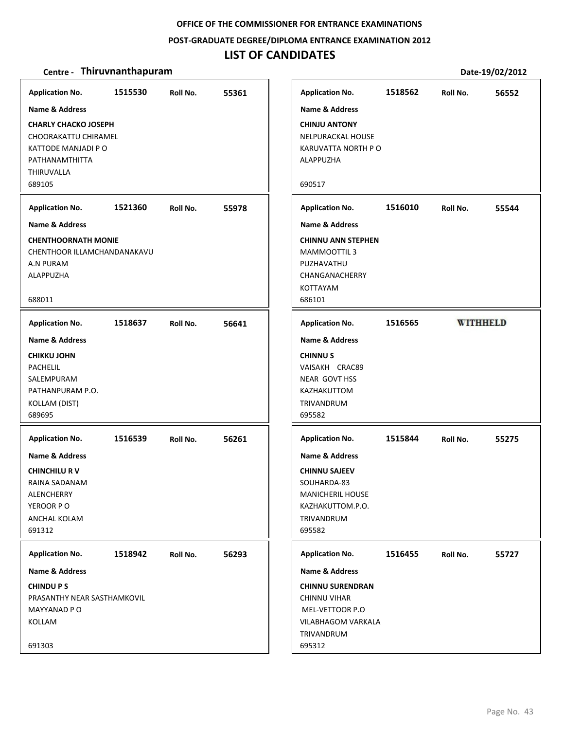**POST‐GRADUATE DEGREE/DIPLOMA ENTRANCE EXAMINATION 2012**

### **LIST OF CANDIDATES**

| <b>Application No.</b>                                                                                                      | 1515530 | Roll No. | 55361 | <b>Application No.</b>                                                                                                       | 1518562 | Roll No. | 56552           |
|-----------------------------------------------------------------------------------------------------------------------------|---------|----------|-------|------------------------------------------------------------------------------------------------------------------------------|---------|----------|-----------------|
| Name & Address                                                                                                              |         |          |       | Name & Address                                                                                                               |         |          |                 |
| <b>CHARLY CHACKO JOSEPH</b><br><b>CHOORAKATTU CHIRAMEL</b><br>KATTODE MANJADI P O<br>PATHANAMTHITTA<br>THIRUVALLA<br>689105 |         |          |       | <b>CHINJU ANTONY</b><br>NELPURACKAL HOUSE<br>KARUVATTA NORTH P O<br>ALAPPUZHA<br>690517                                      |         |          |                 |
| <b>Application No.</b>                                                                                                      | 1521360 | Roll No. | 55978 | <b>Application No.</b>                                                                                                       | 1516010 | Roll No. | 55544           |
| <b>Name &amp; Address</b>                                                                                                   |         |          |       | Name & Address                                                                                                               |         |          |                 |
| <b>CHENTHOORNATH MONIE</b><br>CHENTHOOR ILLAMCHANDANAKAVU<br>A.N PURAM<br>ALAPPUZHA<br>688011                               |         |          |       | <b>CHINNU ANN STEPHEN</b><br>MAMMOOTTIL 3<br>PUZHAVATHU<br>CHANGANACHERRY<br>KOTTAYAM<br>686101                              |         |          |                 |
|                                                                                                                             |         |          |       |                                                                                                                              |         |          |                 |
| <b>Application No.</b>                                                                                                      | 1518637 | Roll No. | 56641 | <b>Application No.</b>                                                                                                       | 1516565 |          | <b>WITHHELD</b> |
| Name & Address                                                                                                              |         |          |       | Name & Address                                                                                                               |         |          |                 |
| <b>CHIKKU JOHN</b><br><b>PACHELIL</b><br>SALEMPURAM<br>PATHANPURAM P.O.<br>KOLLAM (DIST)<br>689695                          |         |          |       | <b>CHINNUS</b><br>VAISAKH CRAC89<br>NEAR GOVT HSS<br>KAZHAKUTTOM<br>TRIVANDRUM<br>695582                                     |         |          |                 |
| <b>Application No.</b>                                                                                                      | 1516539 | Roll No. | 56261 | <b>Application No.</b>                                                                                                       | 1515844 | Roll No. | 55275           |
| Name & Address<br><b>CHINCHILU RV</b><br>RAINA SADANAM<br><b>ALENCHERRY</b><br>YEROOR PO<br>ANCHAL KOLAM<br>691312          |         |          |       | Name & Address<br><b>CHINNU SAJEEV</b><br>SOUHARDA-83<br><b>MANICHERIL HOUSE</b><br>KAZHAKUTTOM.P.O.<br>TRIVANDRUM<br>695582 |         |          |                 |
| <b>Application No.</b>                                                                                                      | 1518942 | Roll No. | 56293 | <b>Application No.</b>                                                                                                       | 1516455 | Roll No. | 55727           |
| Name & Address                                                                                                              |         |          |       | Name & Address                                                                                                               |         |          |                 |
| <b>CHINDUPS</b><br>PRASANTHY NEAR SASTHAMKOVIL                                                                              |         |          |       | <b>CHINNU SURENDRAN</b><br>CHINNU VIHAR                                                                                      |         |          |                 |
| MAYYANAD P O<br>KOLLAM                                                                                                      |         |          |       | MEL-VETTOOR P.O<br>VILABHAGOM VARKALA                                                                                        |         |          |                 |
| 691303                                                                                                                      |         |          |       | TRIVANDRUM<br>695312                                                                                                         |         |          |                 |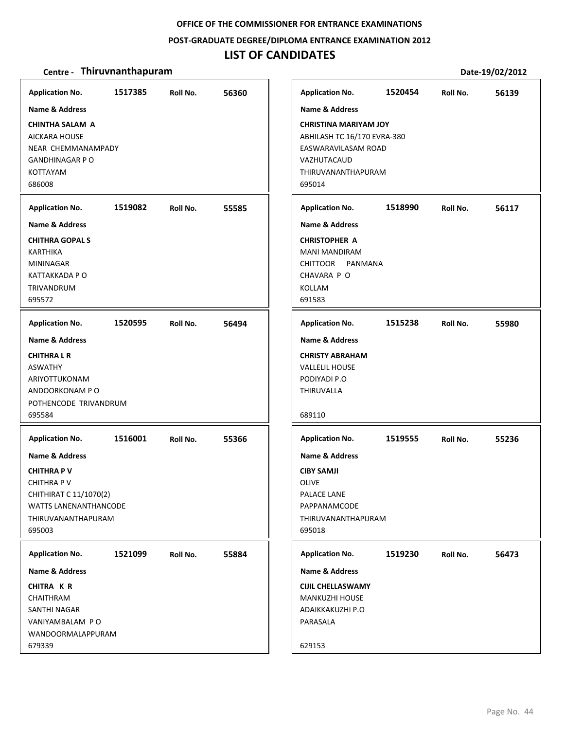#### **POST‐GRADUATE DEGREE/DIPLOMA ENTRANCE EXAMINATION 2012**

### **LIST OF CANDIDATES**

#### **Centre** • **Thiruvnanthapuram Date-19/02/2012**

**1517385 56360 CHINTHA SALAM A** AICKARA HOUSE NEAR CHEMMANAMPADY GANDHINAGAR P O KOTTAYAM 686008 **Application No. Name & Address 1519082 55585 CHITHRA GOPAL S** KARTHIKA MININAGAR KATTAKKADA P O TRIVANDRUM 695572 **Application No. Name & Address 1520595 56494 CHITHRA L R** ASWATHY ARIYOTTUKONAM ANDOORKONAM P O POTHENCODE TRIVANDRUM 695584 **Application No. Name & Address 1516001 55366 CHITHRA P V** CHITHRA P V CHITHIRAT C 11/1070(2) WATTS LANENANTHANCODE THIRUVANANTHAPURAM 695003 **Application No. Name & Address 1521099 55884 CHITRA K R** CHAITHRAM SANTHI NAGAR VANIYAMBALAM P O WANDOORMALAPPURAM 679339 **Application No. Name & Address 1520454 56139 CHRISTINA MARIYAM JOY** ABHILASH TC 16/170 EVRA‐380 EASWARAVILASAM ROAD VAZHUTACAUD THIRUVANANTHAPURAM 695014 **Application No. Name & Address 1518990 56117 CHRISTOPHER A** MANI MANDIRAM CHITTOOR PANMANA CHAVARA P O KOLLAM 691583 **Application No. Name & Address 1515238 55980 CHRISTY ABRAHAM** VALLELIL HOUSE PODIYADI P.O THIRUVALLA 689110 **Application No. Name & Address 1519555 55236 CIBY SAMJI** OLIVE PALACE LANE PAPPANAMCODE THIRUVANANTHAPURAM 695018 **Application No. Name & Address 1519230 56473 CIJIL CHELLASWAMY** MANKUZHI HOUSE ADAIKKAKUZHI P.O PARASALA 629153 **Application No. Name & Address**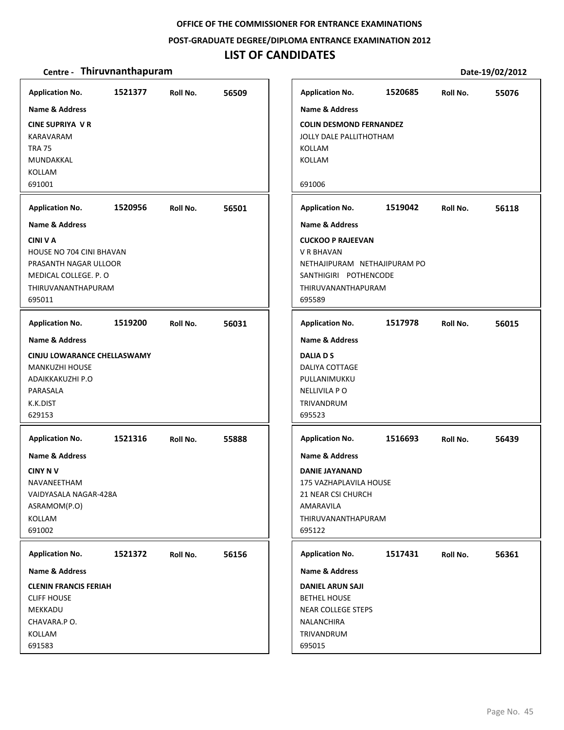#### **POST‐GRADUATE DEGREE/DIPLOMA ENTRANCE EXAMINATION 2012**

### **LIST OF CANDIDATES**

| <b>Application No.</b>                                                                                                                                                 | 1521377 | Roll No. | 56509 | <b>Application No.</b>                                                                                                                                                    | 1520685 | Roll No. | 55076 |
|------------------------------------------------------------------------------------------------------------------------------------------------------------------------|---------|----------|-------|---------------------------------------------------------------------------------------------------------------------------------------------------------------------------|---------|----------|-------|
| Name & Address<br><b>CINE SUPRIYA V R</b><br>KARAVARAM<br><b>TRA 75</b><br>MUNDAKKAL<br><b>KOLLAM</b><br>691001<br><b>Application No.</b><br><b>Name &amp; Address</b> | 1520956 | Roll No. | 56501 | <b>Name &amp; Address</b><br><b>COLIN DESMOND FERNANDEZ</b><br>JOLLY DALE PALLITHOTHAM<br><b>KOLLAM</b><br>KOLLAM<br>691006<br><b>Application No.</b><br>Name & Address   | 1519042 | Roll No. | 56118 |
| <b>CINI V A</b><br>HOUSE NO 704 CINI BHAVAN<br>PRASANTH NAGAR ULLOOR<br>MEDICAL COLLEGE. P. O<br>THIRUVANANTHAPURAM<br>695011                                          |         |          |       | <b>CUCKOO P RAJEEVAN</b><br>V R BHAVAN<br>NETHAJIPURAM NETHAJIPURAM PO<br>SANTHIGIRI POTHENCODE<br>THIRUVANANTHAPURAM<br>695589                                           |         |          |       |
| <b>Application No.</b>                                                                                                                                                 | 1519200 | Roll No. | 56031 | <b>Application No.</b>                                                                                                                                                    | 1517978 | Roll No. | 56015 |
| <b>Name &amp; Address</b><br>CINJU LOWARANCE CHELLASWAMY<br><b>MANKUZHI HOUSE</b><br>ADAIKKAKUZHI P.O<br>PARASALA<br>K.K.DIST<br>629153                                |         |          |       | <b>Name &amp; Address</b><br><b>DALIA D S</b><br>DALIYA COTTAGE<br>PULLANIMUKKU<br><b>NELLIVILA PO</b><br>TRIVANDRUM<br>695523                                            |         |          |       |
| <b>Application No.</b><br><b>Name &amp; Address</b><br><b>CINY NV</b><br>NAVANEETHAM<br>VAIDYASALA NAGAR-428A<br>ASRAMOM(P.O)<br>KOLLAM<br>691002                      | 1521316 | Roll No. | 55888 | <b>Application No.</b><br><b>Name &amp; Address</b><br><b>DANIE JAYANAND</b><br>175 VAZHAPLAVILA HOUSE<br>21 NEAR CSI CHURCH<br>AMARAVILA<br>THIRUVANANTHAPURAM<br>695122 | 1516693 | Roll No. | 56439 |
| <b>Application No.</b><br>Name & Address<br><b>CLENIN FRANCIS FERIAH</b><br><b>CLIFF HOUSE</b><br>MEKKADU<br>CHAVARA.P O.<br>KOLLAM<br>691583                          | 1521372 | Roll No. | 56156 | <b>Application No.</b><br>Name & Address<br><b>DANIEL ARUN SAJI</b><br><b>BETHEL HOUSE</b><br><b>NEAR COLLEGE STEPS</b><br>NALANCHIRA<br>TRIVANDRUM<br>695015             | 1517431 | Roll No. | 56361 |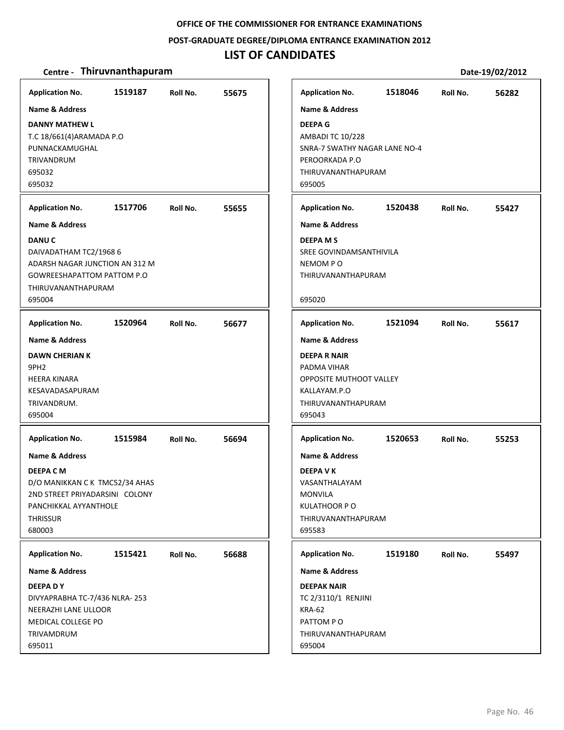### **POST‐GRADUATE DEGREE/DIPLOMA ENTRANCE EXAMINATION 2012**

### **LIST OF CANDIDATES**

| <b>Application No.</b>                                                                                                                                                                                                                                                         | 1519187 | Roll No. | 55675 |
|--------------------------------------------------------------------------------------------------------------------------------------------------------------------------------------------------------------------------------------------------------------------------------|---------|----------|-------|
| <b>Name &amp; Address</b><br><b>DANNY MATHEW L</b><br>T.C 18/661(4) ARAMADA P.O<br>PUNNACKAMUGHAL<br><b>TRIVANDRUM</b><br>695032<br>695032<br><b>Application No.</b><br><b>Name &amp; Address</b><br><b>DANU C</b><br>DAIVADATHAM TC2/1968 6<br>ADARSH NAGAR JUNCTION AN 312 M | 1517706 | Roll No. | 55655 |
| <b>GOWREESHAPATTOM PATTOM P.O</b><br>THIRUVANANTHAPURAM<br>695004                                                                                                                                                                                                              |         |          |       |
| <b>Application No.</b>                                                                                                                                                                                                                                                         | 1520964 | Roll No. | 56677 |
| <b>Name &amp; Address</b><br><b>DAWN CHERIAN K</b><br>9PH <sub>2</sub><br><b>HEERA KINARA</b><br>KESAVADASAPURAM<br>TRIVANDRUM.<br>695004                                                                                                                                      |         |          |       |
| <b>Application No.</b>                                                                                                                                                                                                                                                         | 1515984 | Roll No. | 56694 |
| <b>Name &amp; Address</b><br><b>DEEPA C M</b><br>D/O MANIKKAN CK TMC52/34 AHAS<br>2ND STREET PRIYADARSINI COLONY<br>PANCHIKKAL AYYANTHOLE<br><b>THRISSUR</b><br>680003                                                                                                         |         |          |       |
| <b>Application No.</b>                                                                                                                                                                                                                                                         | 1515421 | Roll No. | 56688 |
| <b>Name &amp; Address</b>                                                                                                                                                                                                                                                      |         |          |       |
| <b>DEEPA DY</b><br>DIVYAPRABHA TC-7/436 NLRA-253<br><b>NEERAZHI LANE ULLOOR</b><br><b>MEDICAL COLLEGE PO</b><br>TRIVAMDRUM<br>695011                                                                                                                                           |         |          |       |

| <b>Application No.</b>          | 1518046 | Roll No. | 56282 |
|---------------------------------|---------|----------|-------|
| <b>Name &amp; Address</b>       |         |          |       |
| <b>DEEPA G</b>                  |         |          |       |
| <b>AMBADI TC 10/228</b>         |         |          |       |
| SNRA-7 SWATHY NAGAR LANE NO-4   |         |          |       |
| PEROORKADA P.O                  |         |          |       |
| THIRUVANANTHAPURAM<br>695005    |         |          |       |
|                                 |         |          |       |
| <b>Application No.</b>          | 1520438 | Roll No. | 55427 |
| <b>Name &amp; Address</b>       |         |          |       |
| <b>DEEPA MS</b>                 |         |          |       |
| SREE GOVINDAMSANTHIVILA         |         |          |       |
| NEMOM PO                        |         |          |       |
| THIRUVANANTHAPURAM              |         |          |       |
| 695020                          |         |          |       |
| <b>Application No.</b>          | 1521094 | Roll No. | 55617 |
| <b>Name &amp; Address</b>       |         |          |       |
| <b>DEEPA R NAIR</b>             |         |          |       |
| PADMA VIHAR                     |         |          |       |
| <b>OPPOSITE MUTHOOT VALLEY</b>  |         |          |       |
| KALLAYAM.P.O                    |         |          |       |
| THIRUVANANTHAPURAM              |         |          |       |
| 695043                          |         |          |       |
| <b>Application No.</b>          | 1520653 | Roll No. | 55253 |
| <b>Name &amp; Address</b>       |         |          |       |
| <b>DEEPA V K</b>                |         |          |       |
| VASANTHALAYAM                   |         |          |       |
| <b>MONVILA</b>                  |         |          |       |
| <b>KULATHOOR P O</b>            |         |          |       |
| THIRUVANANTHAPURAM<br>695583    |         |          |       |
|                                 |         |          |       |
| <b>Application No.</b>          | 1519180 | Roll No. | 55497 |
| <b>Name &amp; Address</b>       |         |          |       |
| <b>DEEPAK NAIR</b>              |         |          |       |
| TC 2/3110/1 RENJINI             |         |          |       |
| <b>KRA-62</b>                   |         |          |       |
|                                 |         |          |       |
| PATTOM PO<br>THIRUVANANTHAPURAM |         |          |       |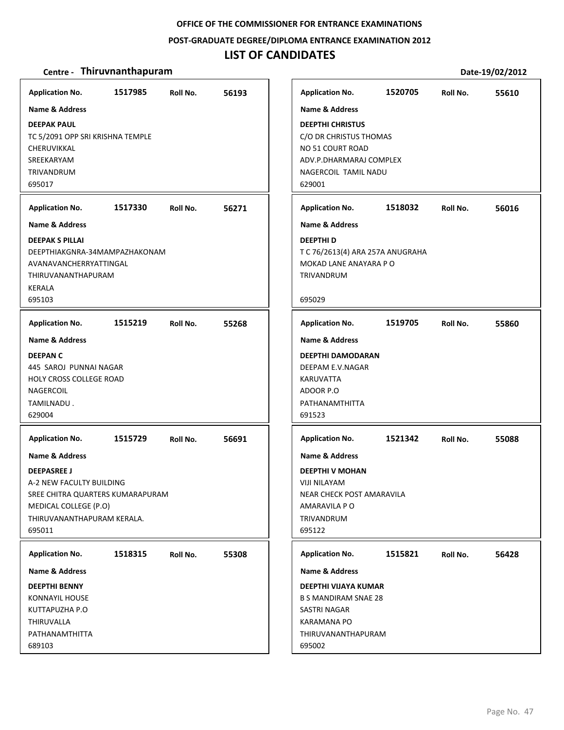### **POST‐GRADUATE DEGREE/DIPLOMA ENTRANCE EXAMINATION 2012**

### **LIST OF CANDIDATES**

| <b>Application No.</b>           | 1517985 | Roll No. | 56193 | <b>Application No.</b>      | 1520705                          | Roll No. | 55610 |
|----------------------------------|---------|----------|-------|-----------------------------|----------------------------------|----------|-------|
| <b>Name &amp; Address</b>        |         |          |       | <b>Name &amp; Address</b>   |                                  |          |       |
| <b>DEEPAK PAUL</b>               |         |          |       | <b>DEEPTHI CHRISTUS</b>     |                                  |          |       |
| TC 5/2091 OPP SRI KRISHNA TEMPLE |         |          |       | C/O DR CHRISTUS THOMAS      |                                  |          |       |
| CHERUVIKKAL                      |         |          |       | NO 51 COURT ROAD            |                                  |          |       |
| SREEKARYAM                       |         |          |       |                             | ADV.P.DHARMARAJ COMPLEX          |          |       |
| TRIVANDRUM                       |         |          |       | NAGERCOIL TAMIL NADU        |                                  |          |       |
| 695017                           |         |          |       | 629001                      |                                  |          |       |
| <b>Application No.</b>           | 1517330 | Roll No. | 56271 | <b>Application No.</b>      | 1518032                          | Roll No. | 56016 |
| <b>Name &amp; Address</b>        |         |          |       | <b>Name &amp; Address</b>   |                                  |          |       |
| <b>DEEPAK S PILLAI</b>           |         |          |       | <b>DEEPTHID</b>             |                                  |          |       |
| DEEPTHIAKGNRA-34MAMPAZHAKONAM    |         |          |       |                             | T C 76/2613(4) ARA 257A ANUGRAHA |          |       |
| AVANAVANCHERRYATTINGAL           |         |          |       |                             | MOKAD LANE ANAYARA P O           |          |       |
| <b>THIRUVANANTHAPURAM</b>        |         |          |       | TRIVANDRUM                  |                                  |          |       |
| <b>KERALA</b>                    |         |          |       |                             |                                  |          |       |
| 695103                           |         |          |       | 695029                      |                                  |          |       |
| <b>Application No.</b>           | 1515219 | Roll No. | 55268 | <b>Application No.</b>      | 1519705                          | Roll No. | 55860 |
| <b>Name &amp; Address</b>        |         |          |       | <b>Name &amp; Address</b>   |                                  |          |       |
| <b>DEEPAN C</b>                  |         |          |       | <b>DEEPTHI DAMODARAN</b>    |                                  |          |       |
| 445 SAROJ PUNNAI NAGAR           |         |          |       | DEEPAM E.V.NAGAR            |                                  |          |       |
| <b>HOLY CROSS COLLEGE ROAD</b>   |         |          |       | KARUVATTA                   |                                  |          |       |
| NAGERCOIL                        |         |          |       | ADOOR P.O                   |                                  |          |       |
| TAMILNADU.                       |         |          |       | PATHANAMTHITTA              |                                  |          |       |
| 629004                           |         |          |       | 691523                      |                                  |          |       |
| <b>Application No.</b>           | 1515729 | Roll No. | 56691 | <b>Application No.</b>      | 1521342                          | Roll No. | 55088 |
| <b>Name &amp; Address</b>        |         |          |       | <b>Name &amp; Address</b>   |                                  |          |       |
| <b>DEEPASREE J</b>               |         |          |       | <b>DEEPTHI V MOHAN</b>      |                                  |          |       |
| A-2 NEW FACULTY BUILDING         |         |          |       | VIJI NILAYAM                |                                  |          |       |
| SREE CHITRA QUARTERS KUMARAPURAM |         |          |       |                             | NEAR CHECK POST AMARAVILA        |          |       |
| MEDICAL COLLEGE (P.O)            |         |          |       | AMARAVILA P O               |                                  |          |       |
| THIRUVANANTHAPURAM KERALA.       |         |          |       | TRIVANDRUM                  |                                  |          |       |
| 695011                           |         |          |       | 695122                      |                                  |          |       |
| <b>Application No.</b>           | 1518315 | Roll No. | 55308 | <b>Application No.</b>      | 1515821                          | Roll No. | 56428 |
| <b>Name &amp; Address</b>        |         |          |       | Name & Address              |                                  |          |       |
| <b>DEEPTHI BENNY</b>             |         |          |       | DEEPTHI VIJAYA KUMAR        |                                  |          |       |
| <b>KONNAYIL HOUSE</b>            |         |          |       | <b>B S MANDIRAM SNAE 28</b> |                                  |          |       |
| KUTTAPUZHA P.O                   |         |          |       | <b>SASTRI NAGAR</b>         |                                  |          |       |
| THIRUVALLA                       |         |          |       | <b>KARAMANA PO</b>          |                                  |          |       |
| PATHANAMTHITTA                   |         |          |       | THIRUVANANTHAPURAM          |                                  |          |       |
| 689103                           |         |          |       | 695002                      |                                  |          |       |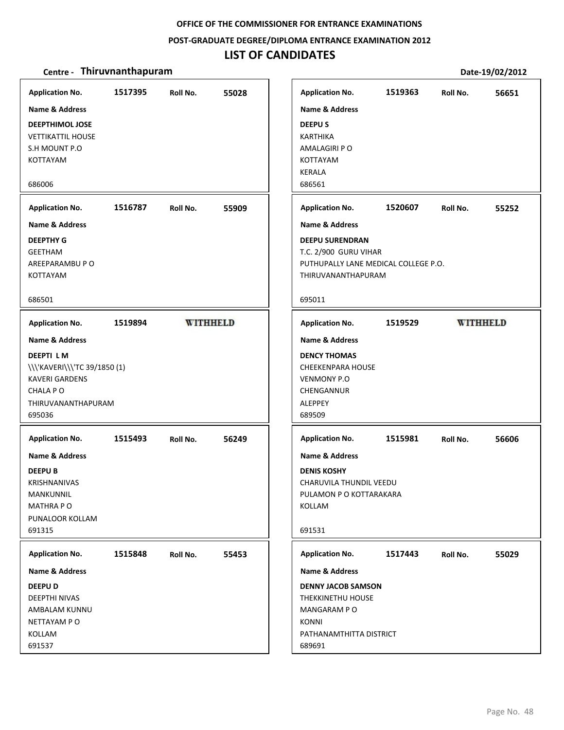#### **POST‐GRADUATE DEGREE/DIPLOMA ENTRANCE EXAMINATION 2012**

# **LIST OF CANDIDATES**

| <b>Application No.</b>                                                                                                                             | 1517395 | Roll No.        | 55028 |
|----------------------------------------------------------------------------------------------------------------------------------------------------|---------|-----------------|-------|
| Name & Address<br><b>DEEPTHIMOL JOSE</b><br><b>VETTIKATTIL HOUSE</b><br>S.H MOUNT P.O.<br><b>KOTTAYAM</b><br>686006                                |         |                 |       |
| <b>Application No.</b>                                                                                                                             | 1516787 | Roll No.        | 55909 |
| Name & Address<br><b>DEEPTHY G</b><br><b>GEETHAM</b><br>AREEPARAMBU P O<br><b>KOTTAYAM</b><br>686501                                               |         |                 |       |
| <b>Application No.</b>                                                                                                                             | 1519894 | <b>WITHHELD</b> |       |
| <b>Name &amp; Address</b><br><b>DEEPTILM</b><br>\\\'KAVERI\\\'TC 39/1850 (1)<br><b>KAVERI GARDENS</b><br>CHALA P O<br>THIRUVANANTHAPURAM<br>695036 |         |                 |       |
| <b>Application No.</b><br>Name & Address<br><b>DEEPUB</b><br><b>KRISHNANIVAS</b><br>MANKUNNIL<br>MATHRA PO<br>PUNALOOR KOLLAM<br>691315            | 1515493 | Roll No.        | 56249 |
| <b>Application No.</b>                                                                                                                             | 1515848 | Roll No.        | 55453 |
| Name & Address<br><b>DEEPUD</b><br>DEEPTHI NIVAS<br>AMBALAM KUNNU<br>NETTAYAM P O<br>KOLLAM<br>691537                                              |         |                 |       |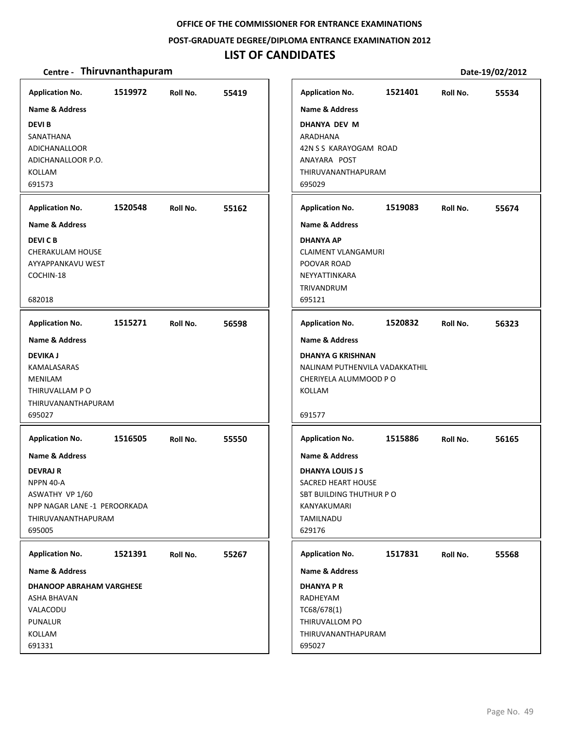#### **POST‐GRADUATE DEGREE/DIPLOMA ENTRANCE EXAMINATION 2012**

### **LIST OF CANDIDATES**

#### **Centre** • **Thiruvnanthapuram Date-19/02/2012**

**1519972 55419 DEVI B** SANATHANA ADICHANALLOOR ADICHANALLOOR P.O. KOLLAM 691573 **Application No. Name & Address 1520548 55162 DEVI C B** CHERAKULAM HOUSE AYYAPPANKAVU WEST COCHIN‐18 682018 **Application No. Name & Address 1515271 56598 DEVIKA J** KAMALASARAS MENILAM THIRUVALLAM P O THIRUVANANTHAPURAM 695027 **Application No. Name & Address 1516505 55550 DEVRAJ R** NPPN 40‐A ASWATHY VP 1/60 NPP NAGAR LANE ‐1 PEROORKADA THIRUVANANTHAPURAM 695005 **Application No. Name & Address 1521391 55267 DHANOOP ABRAHAM VARGHESE** ASHA BHAVAN VALACODU **PUNALUR** KOLLAM 691331 **Application No. Name & Address 1521401 55534 DHANYA DEV M** ARADHANA 42N S S KARAYOGAM ROAD ANAYARA POST THIRUVANANTHAPURAM 695029 **Application No. Name & Address 1519083 55674 DHANYA AP** CLAIMENT VLANGAMURI POOVAR ROAD NEYYATTINKARA TRIVANDRUM 695121 **Application No. Name & Address 1520832 56323 DHANYA G KRISHNAN** NALINAM PUTHENVILA VADAKKATHIL CHERIYELA ALUMMOOD P O KOLLAM 691577 **Application No. Name & Address 1515886 56165 DHANYA LOUIS J S** SACRED HEART HOUSE SBT BUILDING THUTHUR P O KANYAKUMARI TAMILNADU 629176 **Application No. Name & Address 1517831 55568 DHANYA P R** RADHEYAM TC68/678(1) THIRUVALLOM PO THIRUVANANTHAPURAM 695027 **Application No. Name & Address**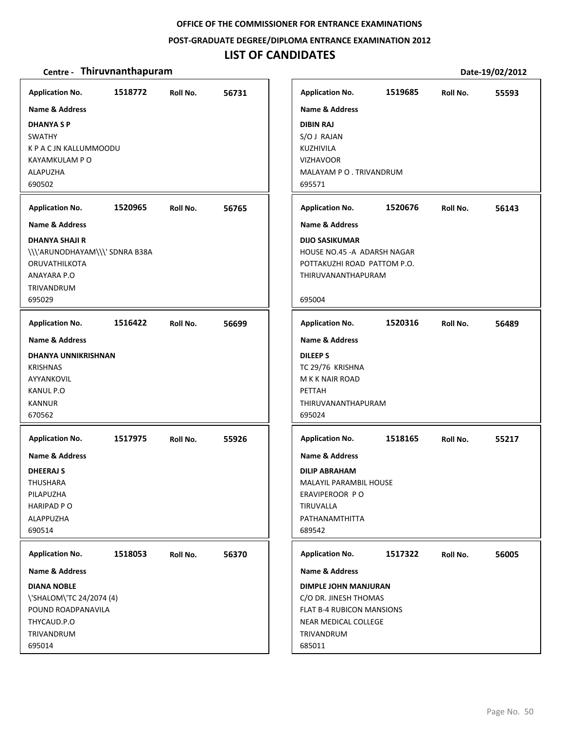### **POST‐GRADUATE DEGREE/DIPLOMA ENTRANCE EXAMINATION 2012**

# **LIST OF CANDIDATES**

| <b>Application No.</b>                                                                                                                              | 1518772 | Roll No. | 56731 | <b>Application No.</b>                                                                                                                                           | 1519685 | Roll No. | 55593 |
|-----------------------------------------------------------------------------------------------------------------------------------------------------|---------|----------|-------|------------------------------------------------------------------------------------------------------------------------------------------------------------------|---------|----------|-------|
| <b>Name &amp; Address</b><br><b>DHANYASP</b><br><b>SWATHY</b><br>K P A C JN KALLUMMOODU<br>KAYAMKULAM P O<br><b>ALAPUZHA</b><br>690502              |         |          |       | <b>Name &amp; Address</b><br><b>DIBIN RAJ</b><br>S/O J RAJAN<br>KUZHIVILA<br><b>VIZHAVOOR</b><br>MALAYAM PO. TRIVANDRUM<br>695571                                |         |          |       |
| <b>Application No.</b>                                                                                                                              | 1520965 | Roll No. | 56765 | <b>Application No.</b>                                                                                                                                           | 1520676 | Roll No. | 56143 |
| <b>Name &amp; Address</b><br><b>DHANYA SHAJI R</b><br>\\\'ARUNODHAYAM\\\' SDNRA B38A<br><b>ORUVATHILKOTA</b><br>ANAYARA P.O<br>TRIVANDRUM<br>695029 |         |          |       | <b>Name &amp; Address</b><br><b>DIJO SASIKUMAR</b><br>HOUSE NO.45 - A ADARSH NAGAR<br>POTTAKUZHI ROAD PATTOM P.O.<br>THIRUVANANTHAPURAM<br>695004                |         |          |       |
| <b>Application No.</b>                                                                                                                              | 1516422 | Roll No. | 56699 | <b>Application No.</b>                                                                                                                                           | 1520316 | Roll No. | 56489 |
| Name & Address<br><b>DHANYA UNNIKRISHNAN</b><br><b>KRISHNAS</b><br>AYYANKOVIL<br><b>KANUL P.O</b><br><b>KANNUR</b><br>670562                        |         |          |       | <b>Name &amp; Address</b><br><b>DILEEPS</b><br>TC 29/76 KRISHNA<br>M K K NAIR ROAD<br>PETTAH<br>THIRUVANANTHAPURAM<br>695024                                     |         |          |       |
| <b>Application No.</b><br>Name & Address<br><b>DHEERAJ S</b><br>THUSHARA<br>PILAPUZHA<br><b>HARIPAD P O</b><br><b>ALAPPUZHA</b><br>690514           | 1517975 | Roll No. | 55926 | <b>Application No.</b><br><b>Name &amp; Address</b><br><b>DILIP ABRAHAM</b><br>MALAYIL PARAMBIL HOUSE<br>ERAVIPEROOR PO<br>TIRUVALLA<br>PATHANAMTHITTA<br>689542 | 1518165 | Roll No. | 55217 |
| <b>Application No.</b><br><b>Name &amp; Address</b>                                                                                                 | 1518053 | Roll No. | 56370 | <b>Application No.</b><br><b>Name &amp; Address</b>                                                                                                              | 1517322 | Roll No. | 56005 |
| <b>DIANA NOBLE</b><br>\'SHALOM\'TC 24/2074 (4)<br>POUND ROADPANAVILA<br>THYCAUD.P.O<br>TRIVANDRUM<br>695014                                         |         |          |       | <b>DIMPLE JOHN MANJURAN</b><br>C/O DR. JINESH THOMAS<br>FLAT B-4 RUBICON MANSIONS<br>NEAR MEDICAL COLLEGE<br>TRIVANDRUM<br>685011                                |         |          |       |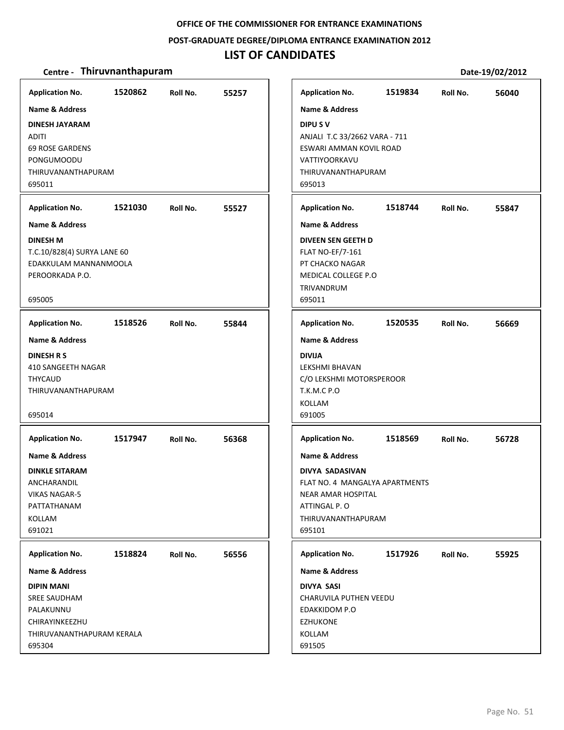### **POST‐GRADUATE DEGREE/DIPLOMA ENTRANCE EXAMINATION 2012**

### **LIST OF CANDIDATES**

| <b>Name &amp; Address</b><br><b>Name &amp; Address</b><br>DIPU S V<br><b>DINESH JAYARAM</b><br><b>ADITI</b><br>ANJALI T.C 33/2662 VARA - 711<br><b>69 ROSE GARDENS</b><br>ESWARI AMMAN KOVIL ROAD<br>PONGUMOODU<br>VATTIYOORKAVU<br>THIRUVANANTHAPURAM<br>THIRUVANANTHAPURAM<br>695011<br>695013<br>1521030<br><b>Application No.</b><br>55527<br>Roll No.<br><b>Name &amp; Address</b><br><b>DINESH M</b><br>T.C.10/828(4) SURYA LANE 60<br>EDAKKULAM MANNANMOOLA<br>PEROORKADA P.O.<br>695005<br><b>Application No.</b><br>1518526<br>55844<br>Roll No.<br><b>Name &amp; Address</b><br><b>DINESH R S</b><br>410 SANGEETH NAGAR<br>THYCAUD<br>THIRUVANANTHAPURAM<br>695014<br><b>Application No.</b><br>1517947<br>56368<br>Roll No.<br><b>Name &amp; Address</b><br><b>DINKLE SITARAM</b><br>ANCHARANDIL<br><b>VIKAS NAGAR-5</b><br>PATTATHANAM<br>KOLLAM<br>691021<br>1518824<br>Roll No.<br>56556<br>THIRUVANANTHAPURAM KERALA | <b>Application No.</b>                                                                                                         | 1520862 | Roll No. | 55257 |
|-------------------------------------------------------------------------------------------------------------------------------------------------------------------------------------------------------------------------------------------------------------------------------------------------------------------------------------------------------------------------------------------------------------------------------------------------------------------------------------------------------------------------------------------------------------------------------------------------------------------------------------------------------------------------------------------------------------------------------------------------------------------------------------------------------------------------------------------------------------------------------------------------------------------------------------|--------------------------------------------------------------------------------------------------------------------------------|---------|----------|-------|
| <b>Application No.</b><br><b>Name &amp; Address</b><br><b>FLAT NO-EF/7-161</b><br><b>TRIVANDRUM</b><br>695011<br><b>Application No.</b><br><b>Name &amp; Address</b><br><b>DIVIJA</b><br>LEKSHMI BHAVAN<br><b>T.K.M.C P.O</b><br>KOLLAM<br>691005<br><b>Application No.</b><br><b>Name &amp; Address</b><br>ATTINGAL P.O<br>695101<br><b>Application No.</b><br>Name & Address<br><b>DIVYA SASI</b><br>EDAKKIDOM P.O<br><b>EZHUKONE</b><br>KOLLAM                                                                                                                                                                                                                                                                                                                                                                                                                                                                                   |                                                                                                                                |         |          |       |
| <b>DIVEEN SEN GEETH D</b><br>PT CHACKO NAGAR<br>MEDICAL COLLEGE P.O<br><b>DIVYA SADASIVAN</b>                                                                                                                                                                                                                                                                                                                                                                                                                                                                                                                                                                                                                                                                                                                                                                                                                                       |                                                                                                                                |         |          |       |
| NEAR AMAR HOSPITAL                                                                                                                                                                                                                                                                                                                                                                                                                                                                                                                                                                                                                                                                                                                                                                                                                                                                                                                  |                                                                                                                                |         |          |       |
| C/O LEKSHMI MOTORSPEROOR                                                                                                                                                                                                                                                                                                                                                                                                                                                                                                                                                                                                                                                                                                                                                                                                                                                                                                            |                                                                                                                                |         |          |       |
| 1518569<br>FLAT NO. 4 MANGALYA APARTMENTS<br>THIRUVANANTHAPURAM<br>CHARUVILA PUTHEN VEEDU                                                                                                                                                                                                                                                                                                                                                                                                                                                                                                                                                                                                                                                                                                                                                                                                                                           |                                                                                                                                |         |          |       |
| 1517926                                                                                                                                                                                                                                                                                                                                                                                                                                                                                                                                                                                                                                                                                                                                                                                                                                                                                                                             |                                                                                                                                |         |          |       |
|                                                                                                                                                                                                                                                                                                                                                                                                                                                                                                                                                                                                                                                                                                                                                                                                                                                                                                                                     | <b>Application No.</b><br><b>Name &amp; Address</b><br><b>DIPIN MANI</b><br><b>SREE SAUDHAM</b><br>PALAKUNNU<br>CHIRAYINKEEZHU |         |          |       |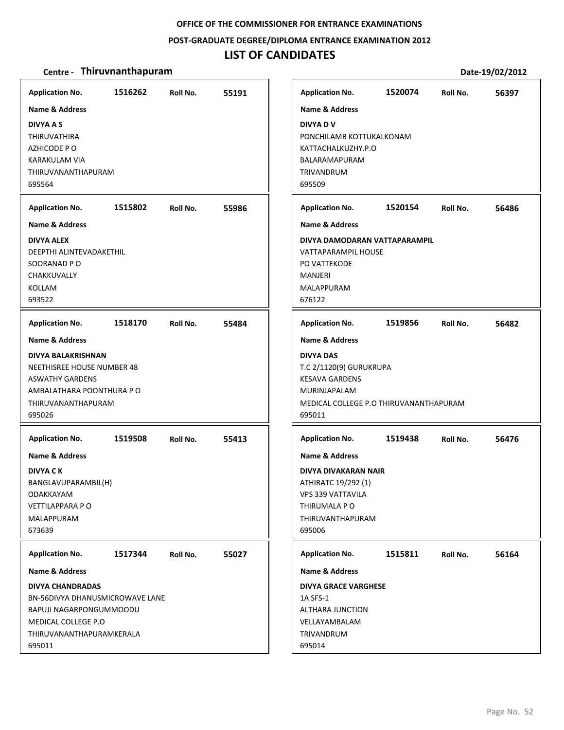#### **POST‐GRADUATE DEGREE/DIPLOMA ENTRANCE EXAMINATION 2012**

### **LIST OF CANDIDATES**

| <b>Application No.</b><br><b>Name &amp; Address</b><br><b>DIVYA A S</b><br><b>THIRUVATHIRA</b><br>AZHICODE PO<br>KARAKULAM VIA<br>THIRUVANANTHAPURAM<br>695564                  | 1516262 | Roll No. | 55191 | <b>Application No.</b><br><b>Name &amp; Address</b><br><b>DIVYA DV</b><br>PONCHILAMB KOTTUKALKONAM<br>KATTACHALKUZHY.P.O<br>BALARAMAPURAM<br>TRIVANDRUM<br>695509     | 1520074 | Roll No. | 56397 |
|---------------------------------------------------------------------------------------------------------------------------------------------------------------------------------|---------|----------|-------|-----------------------------------------------------------------------------------------------------------------------------------------------------------------------|---------|----------|-------|
| <b>Application No.</b><br><b>Name &amp; Address</b>                                                                                                                             | 1515802 | Roll No. | 55986 | <b>Application No.</b><br><b>Name &amp; Address</b>                                                                                                                   | 1520154 | Roll No. | 56486 |
| DIVYA ALEX<br>DEEPTHI ALINTEVADAKETHIL<br>SOORANAD PO<br>CHAKKUVALLY<br>KOLLAM<br>693522                                                                                        |         |          |       | DIVYA DAMODARAN VATTAPARAMPIL<br>VATTAPARAMPIL HOUSE<br>PO VATTEKODE<br><b>MANJERI</b><br>MALAPPURAM<br>676122                                                        |         |          |       |
| <b>Application No.</b>                                                                                                                                                          | 1518170 | Roll No. | 55484 | <b>Application No.</b>                                                                                                                                                | 1519856 | Roll No. | 56482 |
| <b>Name &amp; Address</b><br>DIVYA BALAKRISHNAN<br>NEETHISREE HOUSE NUMBER 48<br><b>ASWATHY GARDENS</b><br>AMBALATHARA POONTHURA P O<br>THIRUVANANTHAPURAM<br>695026            |         |          |       | <b>Name &amp; Address</b><br><b>DIVYA DAS</b><br>T.C 2/1120(9) GURUKRUPA<br><b>KESAVA GARDENS</b><br>MURINJAPALAM<br>MEDICAL COLLEGE P.O THIRUVANANTHAPURAM<br>695011 |         |          |       |
| <b>Application No.</b>                                                                                                                                                          | 1519508 | Roll No. | 55413 | <b>Application No.</b>                                                                                                                                                | 1519438 | Roll No. | 56476 |
| <b>Name &amp; Address</b><br><b>DIVYA CK</b><br>BANGLAVUPARAMBIL(H)<br>ODAKKAYAM<br><b>VETTILAPPARA PO</b><br><b>MALAPPURAM</b><br>673639                                       |         |          |       | <b>Name &amp; Address</b><br>DIVYA DIVAKARAN NAIR<br>ATHIRATC 19/292 (1)<br>VPS 339 VATTAVILA<br>THIRUMALA P O<br>THIRUVANTHAPURAM<br>695006                          |         |          |       |
| <b>Application No.</b>                                                                                                                                                          | 1517344 | Roll No. | 55027 | <b>Application No.</b>                                                                                                                                                | 1515811 | Roll No. | 56164 |
| <b>Name &amp; Address</b><br><b>DIVYA CHANDRADAS</b><br>BN-56DIVYA DHANUSMICROWAVE LANE<br>BAPUJI NAGARPONGUMMOODU<br>MEDICAL COLLEGE P.O<br>THIRUVANANTHAPURAMKERALA<br>695011 |         |          |       | Name & Address<br><b>DIVYA GRACE VARGHESE</b><br>1A SFS-1<br>ALTHARA JUNCTION<br>VELLAYAMBALAM<br>TRIVANDRUM<br>695014                                                |         |          |       |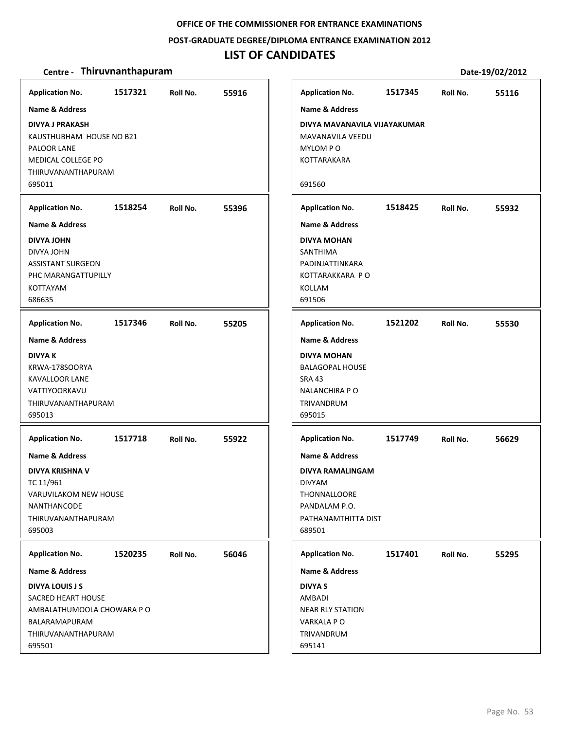**POST‐GRADUATE DEGREE/DIPLOMA ENTRANCE EXAMINATION 2012**

### **LIST OF CANDIDATES**

| <b>Application No.</b>                                                                                                                          | 1517321 | Roll No. | 55916 | <b>Application No.</b>                                                                                                                  | 1517345 | Roll No. | 55116 |
|-------------------------------------------------------------------------------------------------------------------------------------------------|---------|----------|-------|-----------------------------------------------------------------------------------------------------------------------------------------|---------|----------|-------|
| <b>Name &amp; Address</b>                                                                                                                       |         |          |       | <b>Name &amp; Address</b>                                                                                                               |         |          |       |
| <b>DIVYA J PRAKASH</b><br>KAUSTHUBHAM HOUSE NO B21<br>PALOOR LANE<br><b>MEDICAL COLLEGE PO</b><br>THIRUVANANTHAPURAM<br>695011                  |         |          |       | DIVYA MAVANAVILA VIJAYAKUMAR<br>MAVANAVILA VEEDU<br>MYLOM PO<br>KOTTARAKARA<br>691560                                                   |         |          |       |
| <b>Application No.</b>                                                                                                                          | 1518254 | Roll No. | 55396 | <b>Application No.</b>                                                                                                                  | 1518425 | Roll No. | 55932 |
| <b>Name &amp; Address</b>                                                                                                                       |         |          |       | <b>Name &amp; Address</b>                                                                                                               |         |          |       |
| <b>DIVYA JOHN</b><br>DIVYA JOHN<br><b>ASSISTANT SURGEON</b><br>PHC MARANGATTUPILLY<br>KOTTAYAM<br>686635                                        |         |          |       | <b>DIVYA MOHAN</b><br>SANTHIMA<br>PADINJATTINKARA<br>KOTTARAKKARA PO<br><b>KOLLAM</b><br>691506                                         |         |          |       |
| <b>Application No.</b>                                                                                                                          | 1517346 | Roll No. | 55205 | <b>Application No.</b>                                                                                                                  | 1521202 | Roll No. | 55530 |
| Name & Address                                                                                                                                  |         |          |       | <b>Name &amp; Address</b>                                                                                                               |         |          |       |
| <b>DIVYA K</b><br>KRWA-178SOORYA<br><b>KAVALLOOR LANE</b><br>VATTIYOORKAVU<br>THIRUVANANTHAPURAM<br>695013                                      |         |          |       | <b>DIVYA MOHAN</b><br><b>BALAGOPAL HOUSE</b><br><b>SRA 43</b><br><b>NALANCHIRA P O</b><br>TRIVANDRUM<br>695015                          |         |          |       |
| <b>Application No.</b>                                                                                                                          | 1517718 | Roll No. | 55922 | <b>Application No.</b>                                                                                                                  | 1517749 | Roll No. | 56629 |
| <b>Name &amp; Address</b><br><b>DIVYA KRISHNA V</b><br>TC 11/961<br>VARUVILAKOM NEW HOUSE<br><b>NANTHANCODE</b><br>THIRUVANANTHAPURAM<br>695003 |         |          |       | <b>Name &amp; Address</b><br><b>DIVYA RAMALINGAM</b><br><b>DIVYAM</b><br>THONNALLOORE<br>PANDALAM P.O.<br>PATHANAMTHITTA DIST<br>689501 |         |          |       |
| <b>Application No.</b>                                                                                                                          | 1520235 | Roll No. | 56046 | <b>Application No.</b>                                                                                                                  | 1517401 | Roll No. | 55295 |
| <b>Name &amp; Address</b>                                                                                                                       |         |          |       | <b>Name &amp; Address</b>                                                                                                               |         |          |       |
| <b>DIVYA LOUIS J S</b><br>SACRED HEART HOUSE<br>AMBALATHUMOOLA CHOWARA P O<br>BALARAMAPURAM<br>THIRUVANANTHAPURAM                               |         |          |       | <b>DIVYA S</b><br>AMBADI<br><b>NEAR RLY STATION</b><br>VARKALA PO<br>TRIVANDRUM                                                         |         |          |       |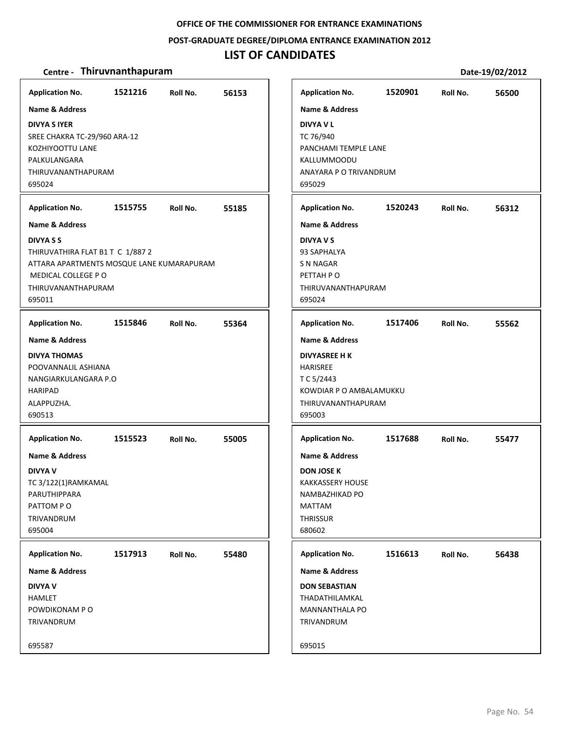### **POST‐GRADUATE DEGREE/DIPLOMA ENTRANCE EXAMINATION 2012**

# **LIST OF CANDIDATES**

| <b>Application No.</b>                                                                                                                                                                       | 1521216 | Roll No. | 56153 | <b>Application No.</b>                                                                                                                                              | 1520901 | Roll No. | 56500 |
|----------------------------------------------------------------------------------------------------------------------------------------------------------------------------------------------|---------|----------|-------|---------------------------------------------------------------------------------------------------------------------------------------------------------------------|---------|----------|-------|
| <b>Name &amp; Address</b><br><b>DIVYA S IYER</b><br>SREE CHAKRA TC-29/960 ARA-12<br>KOZHIYOOTTU LANE<br>PALKULANGARA<br>THIRUVANANTHAPURAM<br>695024                                         |         |          |       | <b>Name &amp; Address</b><br><b>DIVYA V L</b><br>TC 76/940<br>PANCHAMI TEMPLE LANE<br>KALLUMMOODU<br>ANAYARA P O TRIVANDRUM<br>695029                               |         |          |       |
| <b>Application No.</b>                                                                                                                                                                       | 1515755 | Roll No. | 55185 | <b>Application No.</b>                                                                                                                                              | 1520243 | Roll No. | 56312 |
| <b>Name &amp; Address</b><br><b>DIVYA S S</b><br>THIRUVATHIRA FLAT B1 T C 1/887 2<br>ATTARA APARTMENTS MOSQUE LANE KUMARAPURAM<br><b>MEDICAL COLLEGE P O</b><br>THIRUVANANTHAPURAM<br>695011 |         |          |       | <b>Name &amp; Address</b><br><b>DIVYA V S</b><br>93 SAPHALYA<br>S N NAGAR<br>PETTAH PO<br>THIRUVANANTHAPURAM<br>695024                                              |         |          |       |
| <b>Application No.</b>                                                                                                                                                                       | 1515846 | Roll No. | 55364 | <b>Application No.</b>                                                                                                                                              | 1517406 | Roll No. | 55562 |
| <b>Name &amp; Address</b><br><b>DIVYA THOMAS</b><br>POOVANNALIL ASHIANA<br>NANGIARKULANGARA P.O<br>HARIPAD<br>ALAPPUZHA.<br>690513                                                           |         |          |       | <b>Name &amp; Address</b><br><b>DIVYASREE H K</b><br><b>HARISREE</b><br>T C 5/2443<br>KOWDIAR P O AMBALAMUKKU<br>THIRUVANANTHAPURAM<br>695003                       |         |          |       |
| <b>Application No.</b><br><b>Name &amp; Address</b><br><b>DIVYA V</b><br>TC 3/122(1)RAMKAMAL<br>PARUTHIPPARA<br>PATTOM PO<br><b>TRIVANDRUM</b><br>695004                                     | 1515523 | Roll No. | 55005 | <b>Application No.</b><br><b>Name &amp; Address</b><br><b>DON JOSE K</b><br><b>KAKKASSERY HOUSE</b><br>NAMBAZHIKAD PO<br><b>MATTAM</b><br><b>THRISSUR</b><br>680602 | 1517688 | Roll No. | 55477 |
| <b>Application No.</b><br><b>Name &amp; Address</b>                                                                                                                                          | 1517913 | Roll No. | 55480 | <b>Application No.</b><br><b>Name &amp; Address</b>                                                                                                                 | 1516613 | Roll No. | 56438 |
| <b>DIVYA V</b><br>HAMLET<br>POWDIKONAM PO<br>TRIVANDRUM                                                                                                                                      |         |          |       | <b>DON SEBASTIAN</b><br>THADATHILAMKAL<br>MANNANTHALA PO<br>TRIVANDRUM                                                                                              |         |          |       |
| 695587                                                                                                                                                                                       |         |          |       | 695015                                                                                                                                                              |         |          |       |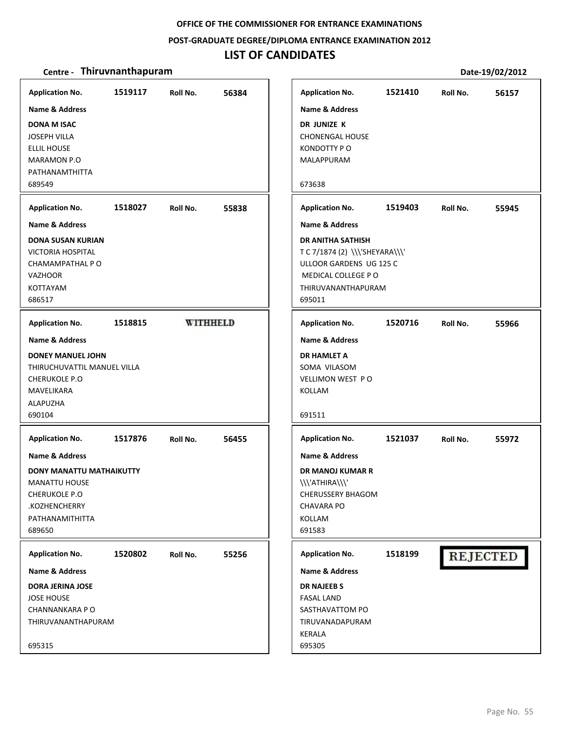**POST‐GRADUATE DEGREE/DIPLOMA ENTRANCE EXAMINATION 2012**

### **LIST OF CANDIDATES**

| <b>Application No.</b>                              | 1519117 | Roll No. | 56384           |
|-----------------------------------------------------|---------|----------|-----------------|
| <b>Name &amp; Address</b>                           |         |          |                 |
| <b>DONA M ISAC</b>                                  |         |          |                 |
| <b>JOSEPH VILLA</b>                                 |         |          |                 |
| <b>ELLIL HOUSE</b>                                  |         |          |                 |
| MARAMON P.O<br>PATHANAMTHITTA                       |         |          |                 |
| 689549                                              |         |          |                 |
| <b>Application No.</b>                              | 1518027 | Roll No. | 55838           |
| <b>Name &amp; Address</b>                           |         |          |                 |
| <b>DONA SUSAN KURIAN</b>                            |         |          |                 |
| <b>VICTORIA HOSPITAL</b>                            |         |          |                 |
| CHAMAMPATHAL P O                                    |         |          |                 |
| <b>VAZHOOR</b><br>KOTTAYAM                          |         |          |                 |
| 686517                                              |         |          |                 |
|                                                     |         |          |                 |
| <b>Application No.</b>                              | 1518815 |          | <b>WITHHELD</b> |
| <b>Name &amp; Address</b>                           |         |          |                 |
| <b>DONEY MANUEL JOHN</b>                            |         |          |                 |
| THIRUCHUVATTIL MANUEL VILLA<br><b>CHERUKOLE P.O</b> |         |          |                 |
| MAVELIKARA                                          |         |          |                 |
| ALAPUZHA                                            |         |          |                 |
| 690104                                              |         |          |                 |
| <b>Application No.</b>                              | 1517876 | Roll No. | 56455           |
| Name & Address                                      |         |          |                 |
| <b>DONY MANATTU MATHAIKUTTY</b>                     |         |          |                 |
| <b>MANATTU HOUSE</b>                                |         |          |                 |
| <b>CHERUKOLE P.O</b>                                |         |          |                 |
| .KOZHENCHERRY                                       |         |          |                 |
| PATHANAMITHITTA                                     |         |          |                 |
| 689650                                              |         |          |                 |
| <b>Application No.</b>                              | 1520802 | Roll No. | 55256           |
| <b>Name &amp; Address</b>                           |         |          |                 |
| <b>DORA JERINA JOSE</b>                             |         |          |                 |
| <b>JOSE HOUSE</b>                                   |         |          |                 |
| CHANNANKARA P O                                     |         |          |                 |
| THIRUVANANTHAPURAM                                  |         |          |                 |
| 695315                                              |         |          |                 |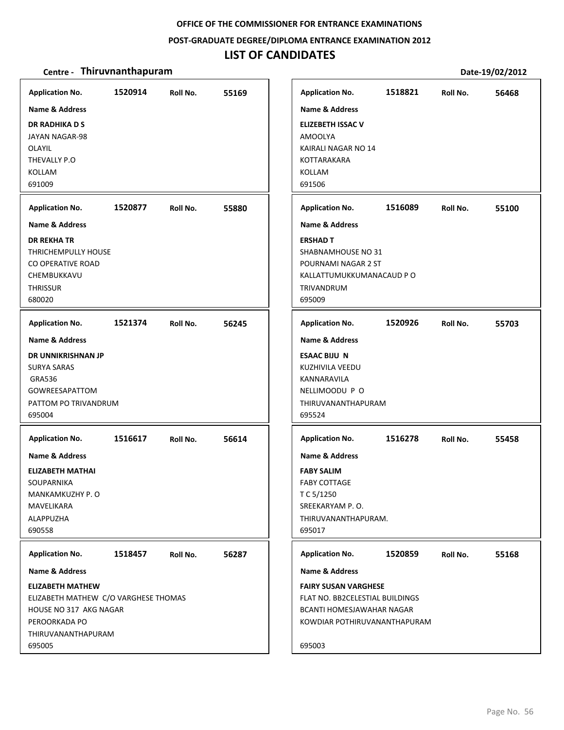#### **POST‐GRADUATE DEGREE/DIPLOMA ENTRANCE EXAMINATION 2012**

# **LIST OF CANDIDATES**

| <b>Application No.</b>                                                                                                                                                                  | 1520914 | Roll No. | 55169 | <b>Application No.</b>                                                                                                                                                  | 1518821 | Roll No. | 56468 |
|-----------------------------------------------------------------------------------------------------------------------------------------------------------------------------------------|---------|----------|-------|-------------------------------------------------------------------------------------------------------------------------------------------------------------------------|---------|----------|-------|
| Name & Address<br><b>DR RADHIKA D S</b><br><b>JAYAN NAGAR-98</b><br><b>OLAYIL</b><br>THEVALLY P.O<br>KOLLAM<br>691009                                                                   |         |          |       | <b>Name &amp; Address</b><br><b>ELIZEBETH ISSAC V</b><br><b>AMOOLYA</b><br>KAIRALI NAGAR NO 14<br>KOTTARAKARA<br><b>KOLLAM</b><br>691506                                |         |          |       |
| <b>Application No.</b>                                                                                                                                                                  | 1520877 | Roll No. | 55880 | <b>Application No.</b>                                                                                                                                                  | 1516089 | Roll No. | 55100 |
| <b>Name &amp; Address</b><br><b>DR REKHA TR</b><br>THRICHEMPULLY HOUSE<br>CO OPERATIVE ROAD<br>CHEMBUKKAVU<br><b>THRISSUR</b><br>680020                                                 |         |          |       | <b>Name &amp; Address</b><br><b>ERSHAD T</b><br>SHABNAMHOUSE NO 31<br>POURNAMI NAGAR 2 ST<br>KALLATTUMUKKUMANACAUD P O<br>TRIVANDRUM<br>695009                          |         |          |       |
| <b>Application No.</b>                                                                                                                                                                  | 1521374 | Roll No. | 56245 | <b>Application No.</b>                                                                                                                                                  | 1520926 | Roll No. | 55703 |
| Name & Address<br>DR UNNIKRISHNAN JP<br>SURYA SARAS<br><b>GRA536</b><br><b>GOWREESAPATTOM</b><br>PATTOM PO TRIVANDRUM<br>695004                                                         |         |          |       | <b>Name &amp; Address</b><br><b>ESAAC BIJU N</b><br>KUZHIVILA VEEDU<br>KANNARAVILA<br>NELLIMOODU P O<br>THIRUVANANTHAPURAM<br>695524                                    |         |          |       |
| <b>Application No.</b><br><b>Name &amp; Address</b><br><b>ELIZABETH MATHAI</b><br><b>SOUPARNIKA</b><br>MANKAMKUZHY P. O<br>MAVELIKARA<br>ALAPPUZHA<br>690558                            | 1516617 | Roll No. | 56614 | <b>Application No.</b><br><b>Name &amp; Address</b><br><b>FABY SALIM</b><br><b>FABY COTTAGE</b><br>T C 5/1250<br>SREEKARYAM P.O.<br>THIRUVANANTHAPURAM.<br>695017       | 1516278 | Roll No. | 55458 |
| <b>Application No.</b><br><b>Name &amp; Address</b><br><b>ELIZABETH MATHEW</b><br>ELIZABETH MATHEW C/O VARGHESE THOMAS<br>HOUSE NO 317 AKG NAGAR<br>PEROORKADA PO<br>THIRUVANANTHAPURAM | 1518457 | Roll No. | 56287 | <b>Application No.</b><br>Name & Address<br><b>FAIRY SUSAN VARGHESE</b><br>FLAT NO. BB2CELESTIAL BUILDINGS<br>BCANTI HOMESJAWAHAR NAGAR<br>KOWDIAR POTHIRUVANANTHAPURAM | 1520859 | Roll No. | 55168 |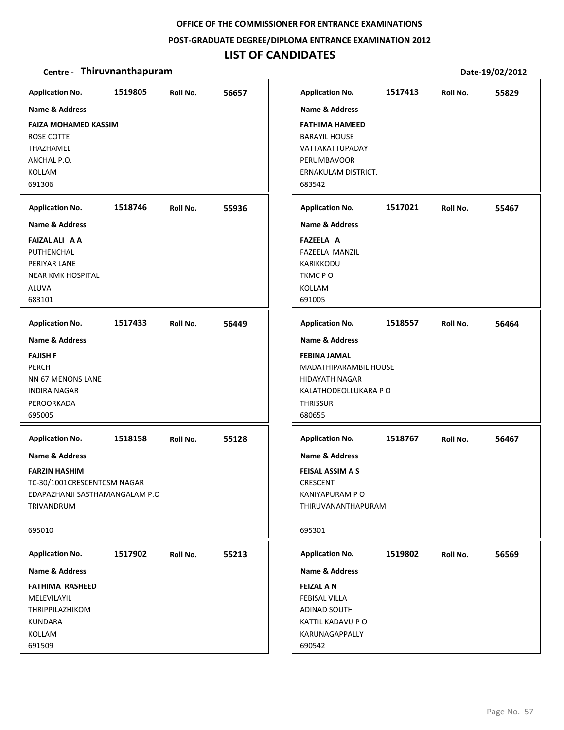### **POST‐GRADUATE DEGREE/DIPLOMA ENTRANCE EXAMINATION 2012**

# **LIST OF CANDIDATES**

| <b>Application No.</b>                                                                                                        | 1519805 | Roll No. | 56657 | <b>Application No.</b>                                                                                                                               | 1517413 | Roll No. | 55829 |
|-------------------------------------------------------------------------------------------------------------------------------|---------|----------|-------|------------------------------------------------------------------------------------------------------------------------------------------------------|---------|----------|-------|
| <b>Name &amp; Address</b><br><b>FAIZA MOHAMED KASSIM</b><br><b>ROSE COTTE</b><br>THAZHAMEL<br>ANCHAL P.O.<br>KOLLAM<br>691306 |         |          |       | <b>Name &amp; Address</b><br>FATHIMA HAMEED<br><b>BARAYIL HOUSE</b><br>VATTAKATTUPADAY<br><b>PERUMBAVOOR</b><br><b>ERNAKULAM DISTRICT.</b><br>683542 |         |          |       |
| <b>Application No.</b>                                                                                                        | 1518746 | Roll No. | 55936 | <b>Application No.</b>                                                                                                                               | 1517021 | Roll No. | 55467 |
| <b>Name &amp; Address</b>                                                                                                     |         |          |       | <b>Name &amp; Address</b>                                                                                                                            |         |          |       |
| <b>FAIZAL ALI A A</b><br>PUTHENCHAL<br>PERIYAR LANE<br><b>NEAR KMK HOSPITAL</b><br>ALUVA<br>683101                            |         |          |       | <b>FAZEELA A</b><br>FAZEELA MANZIL<br>KARIKKODU<br>TKMCPO<br>KOLLAM<br>691005                                                                        |         |          |       |
| <b>Application No.</b>                                                                                                        | 1517433 | Roll No. | 56449 | <b>Application No.</b>                                                                                                                               | 1518557 | Roll No. | 56464 |
| Name & Address                                                                                                                |         |          |       | <b>Name &amp; Address</b>                                                                                                                            |         |          |       |
| <b>FAJISH F</b><br>PERCH<br>NN 67 MENONS LANE<br><b>INDIRA NAGAR</b><br>PEROORKADA<br>695005                                  |         |          |       | <b>FEBINA JAMAL</b><br>MADATHIPARAMBIL HOUSE<br><b>HIDAYATH NAGAR</b><br>KALATHODEOLLUKARA P O<br><b>THRISSUR</b><br>680655                          |         |          |       |
| <b>Application No.</b>                                                                                                        | 1518158 | Roll No. | 55128 | <b>Application No.</b>                                                                                                                               | 1518767 | Roll No. | 56467 |
| <b>Name &amp; Address</b>                                                                                                     |         |          |       | <b>Name &amp; Address</b>                                                                                                                            |         |          |       |
| <b>FARZIN HASHIM</b><br>TC-30/1001CRESCENTCSM NAGAR<br>EDAPAZHANJI SASTHAMANGALAM P.O<br>TRIVANDRUM                           |         |          |       | <b>FEISAL ASSIM A S</b><br>CRESCENT<br>KANIYAPURAM P O<br>THIRUVANANTHAPURAM                                                                         |         |          |       |
| 695010                                                                                                                        |         |          |       | 695301                                                                                                                                               |         |          |       |
| <b>Application No.</b>                                                                                                        | 1517902 | Roll No. | 55213 | <b>Application No.</b>                                                                                                                               | 1519802 | Roll No. | 56569 |
| Name & Address                                                                                                                |         |          |       | Name & Address                                                                                                                                       |         |          |       |
| <b>FATHIMA RASHEED</b><br>MELEVILAYIL<br>THRIPPILAZHIKOM<br>KUNDARA<br>KOLLAM<br>691509                                       |         |          |       | <b>FEIZAL AN</b><br>FEBISAL VILLA<br>ADINAD SOUTH<br>KATTIL KADAVU P O<br>KARUNAGAPPALLY<br>690542                                                   |         |          |       |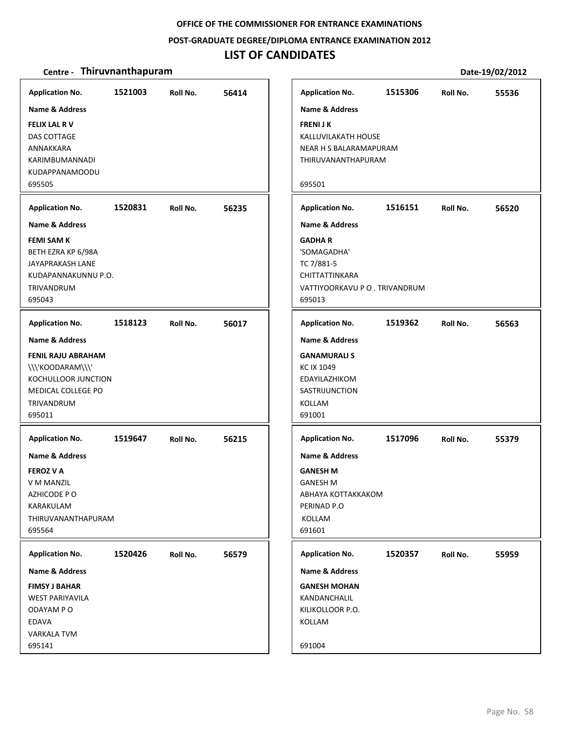### **POST‐GRADUATE DEGREE/DIPLOMA ENTRANCE EXAMINATION 2012**

### **LIST OF CANDIDATES**

|                                                             | <b>Application No.</b>                                                  | 1515306                                                             | Roll No.                       |
|-------------------------------------------------------------|-------------------------------------------------------------------------|---------------------------------------------------------------------|--------------------------------|
| <b>FRENIJK</b><br>695501                                    | Name & Address                                                          | KALLUVILAKATH HOUSE<br>NEAR H S BALARAMAPURAM<br>THIRUVANANTHAPURAM |                                |
|                                                             | <b>Application No.</b><br>Name & Address                                | 1516151                                                             | Roll No.                       |
| <b>GADHAR</b><br>TC 7/881-5<br>695013                       | 'SOMAGADHA'<br>CHITTATTINKARA                                           |                                                                     | VATTIYOORKAVU P O . TRIVANDRUM |
|                                                             | <b>Application No.</b>                                                  | 1519362                                                             | Roll No.                       |
| <b>KC IX 1049</b><br>KOLLAM<br>691001                       | Name & Address<br><b>GANAMURALIS</b><br>EDAYILAZHIKOM<br>SASTRIJUNCTION |                                                                     |                                |
| <b>GANESH M</b><br><b>GANESH M</b><br>PERINAD P.O<br>KOLLAM | <b>Application No.</b><br>Name & Address                                | 1517096<br>ABHAYA KOTTAKKAKOM                                       | Roll No.                       |
|                                                             | <b>Application No.</b>                                                  | 1520357                                                             | Roll No.                       |
| Name & Address                                              |                                                                         |                                                                     |                                |
| <b>GANESH MOHAN</b><br>KANDANCHALIL<br>KILIKOLLOOR P.O.     |                                                                         |                                                                     |                                |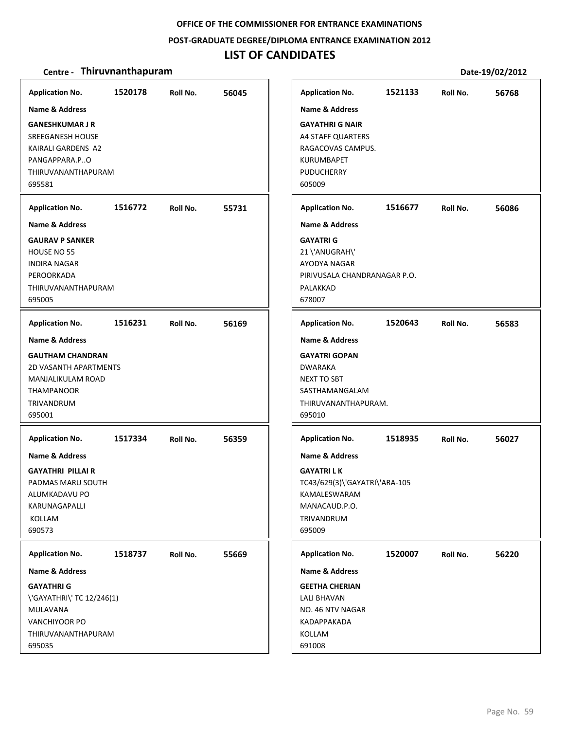#### **POST‐GRADUATE DEGREE/DIPLOMA ENTRANCE EXAMINATION 2012**

# **LIST OF CANDIDATES**

| <b>Application No.</b>                                                                                                                                | 1520178 | Roll No. | 56045 | <b>Application No.</b>                                                                                                                            | 1521133 | Roll No. | 56768 |
|-------------------------------------------------------------------------------------------------------------------------------------------------------|---------|----------|-------|---------------------------------------------------------------------------------------------------------------------------------------------------|---------|----------|-------|
| <b>Name &amp; Address</b><br><b>GANESHKUMAR J R</b><br><b>SREEGANESH HOUSE</b><br>KAIRALI GARDENS A2<br>PANGAPPARA.PO<br>THIRUVANANTHAPURAM<br>695581 |         |          |       | <b>Name &amp; Address</b><br><b>GAYATHRI G NAIR</b><br><b>A4 STAFF QUARTERS</b><br>RAGACOVAS CAMPUS.<br>KURUMBAPET<br><b>PUDUCHERRY</b><br>605009 |         |          |       |
| <b>Application No.</b>                                                                                                                                | 1516772 | Roll No. | 55731 | <b>Application No.</b>                                                                                                                            | 1516677 | Roll No. | 56086 |
| <b>Name &amp; Address</b>                                                                                                                             |         |          |       | <b>Name &amp; Address</b>                                                                                                                         |         |          |       |
| <b>GAURAV P SANKER</b><br>HOUSE NO 55<br><b>INDIRA NAGAR</b><br>PEROORKADA<br>THIRUVANANTHAPURAM<br>695005                                            |         |          |       | <b>GAYATRI G</b><br>21 \'ANUGRAH\'<br>AYODYA NAGAR<br>PIRIVUSALA CHANDRANAGAR P.O.<br>PALAKKAD<br>678007                                          |         |          |       |
| <b>Application No.</b>                                                                                                                                | 1516231 | Roll No. | 56169 | <b>Application No.</b>                                                                                                                            | 1520643 | Roll No. | 56583 |
| <b>Name &amp; Address</b>                                                                                                                             |         |          |       | <b>Name &amp; Address</b>                                                                                                                         |         |          |       |
| <b>GAUTHAM CHANDRAN</b><br><b>2D VASANTH APARTMENTS</b><br>MANJALIKULAM ROAD<br><b>THAMPANOOR</b><br>TRIVANDRUM<br>695001                             |         |          |       | <b>GAYATRI GOPAN</b><br><b>DWARAKA</b><br>NEXT TO SBT<br>SASTHAMANGALAM<br>THIRUVANANTHAPURAM.<br>695010                                          |         |          |       |
| <b>Application No.</b>                                                                                                                                | 1517334 | Roll No. | 56359 | <b>Application No.</b>                                                                                                                            | 1518935 | Roll No. | 56027 |
| <b>Name &amp; Address</b><br><b>GAYATHRI PILLAIR</b><br>PADMAS MARU SOUTH<br>ALUMKADAVU PO<br>KARUNAGAPALLI<br>KOLLAM<br>690573                       |         |          |       | <b>Name &amp; Address</b><br><b>GAYATRILK</b><br>TC43/629(3)\'GAYATRI\'ARA-105<br>KAMALESWARAM<br>MANACAUD.P.O.<br>TRIVANDRUM<br>695009           |         |          |       |
| <b>Application No.</b>                                                                                                                                | 1518737 | Roll No. | 55669 | <b>Application No.</b>                                                                                                                            | 1520007 | Roll No. | 56220 |
| <b>Name &amp; Address</b>                                                                                                                             |         |          |       | Name & Address                                                                                                                                    |         |          |       |
| <b>GAYATHRI G</b><br>\'GAYATHRI\' TC 12/246(1)<br>MULAVANA<br>VANCHIYOOR PO<br>THIRUVANANTHAPURAM<br>695035                                           |         |          |       | <b>GEETHA CHERIAN</b><br><b>LALI BHAVAN</b><br>NO. 46 NTV NAGAR<br>KADAPPAKADA<br>KOLLAM<br>691008                                                |         |          |       |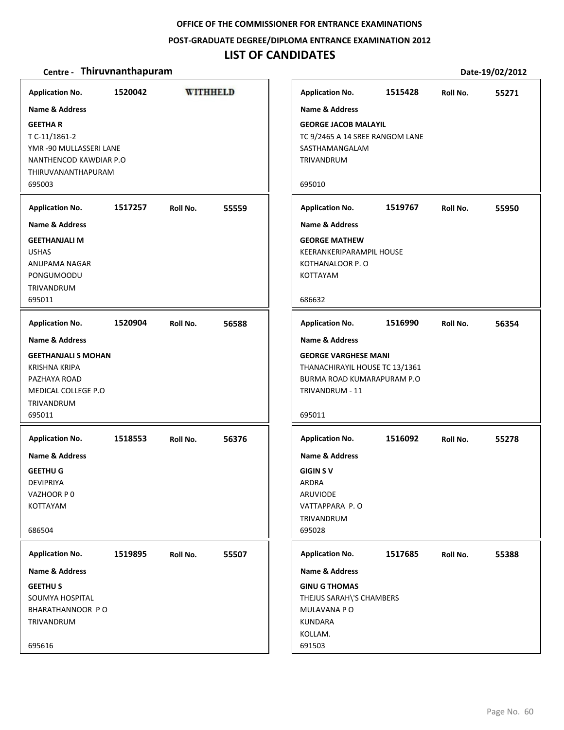#### **POST‐GRADUATE DEGREE/DIPLOMA ENTRANCE EXAMINATION 2012**

### **LIST OF CANDIDATES**

|                            | Application No. 1520042 WITHHELD       |          |       | App              |
|----------------------------|----------------------------------------|----------|-------|------------------|
| <b>Name &amp; Address</b>  |                                        |          |       | Nan              |
| <b>GEETHAR</b>             |                                        |          |       | <b>GEO</b>       |
| T C-11/1861-2              |                                        |          |       | TC <sub>9</sub>  |
| YMR -90 MULLASSERI LANE    |                                        |          |       | SAS <sup>-</sup> |
| NANTHENCOD KAWDIAR P.O.    |                                        |          |       | <b>TRIV</b>      |
| THIRUVANANTHAPURAM         |                                        |          |       |                  |
| 695003                     |                                        |          |       | 695              |
|                            | Application No. 1517257 Roll No. 55559 |          |       | App              |
| Name & Address             |                                        |          |       | Nan              |
| <b>GEETHANJALI M</b>       |                                        |          |       | <b>GEO</b>       |
| <b>USHAS</b>               |                                        |          |       | <b>KEE</b>       |
| ANUPAMA NAGAR              |                                        |          |       | KOT              |
| PONGUMOODU                 |                                        |          |       | KOT              |
| TRIVANDRUM                 |                                        |          |       |                  |
| 695011                     |                                        |          |       | 686              |
|                            | Application No. 1520904 Roll No. 56588 |          |       | App              |
| Name & Address             |                                        |          |       | Nan              |
| <b>GEETHANJALI S MOHAN</b> |                                        |          |       | <b>GEO</b>       |
| <b>KRISHNA KRIPA</b>       |                                        |          |       | THA              |
| PAZHAYA ROAD               |                                        |          |       | <b>BUR</b>       |
| MEDICAL COLLEGE P.O.       |                                        |          |       | <b>TRIV</b>      |
| TRIVANDRUM                 |                                        |          |       |                  |
| 695011                     |                                        |          |       | 695              |
|                            | Application No. 1518553 Roll No. 56376 |          |       | App              |
| <b>Name &amp; Address</b>  |                                        |          |       | Nan              |
| <b>GEETHU G</b>            |                                        |          |       | <b>GIG</b>       |
| <b>DEVIPRIYA</b>           |                                        |          |       | ARD              |
| VAZHOOR P 0                |                                        |          |       | ARU              |
| <b>KOTTAYAM</b>            |                                        |          |       | <b>VAT</b>       |
|                            |                                        |          |       | TRIV             |
| 686504                     |                                        |          |       | 695              |
| <b>Application No.</b>     | 1519895                                | Roll No. | 55507 | App              |
| <b>Name &amp; Address</b>  |                                        |          |       | Nan              |
| <b>GEETHUS</b>             |                                        |          |       | <b>GIN</b>       |
| SOUMYA HOSPITAL            |                                        |          |       | THE.             |
| BHARATHANNOOR PO           |                                        |          |       | MUI              |
| TRIVANDRUM                 |                                        |          |       | <b>KUN</b>       |
|                            |                                        |          |       | KOL              |
| 695616                     |                                        |          |       | 691              |
|                            |                                        |          |       |                  |

| <b>Application No.</b>                                                                                                          | 1515428 | Roll No. | 55271 |
|---------------------------------------------------------------------------------------------------------------------------------|---------|----------|-------|
| <b>Name &amp; Address</b>                                                                                                       |         |          |       |
| <b>GEORGE JACOB MALAYIL</b><br>TC 9/2465 A 14 SREE RANGOM LANE<br>SASTHAMANGALAM<br>TRIVANDRUM                                  |         |          |       |
| 695010                                                                                                                          |         |          |       |
| <b>Application No.</b>                                                                                                          | 1519767 | Roll No. | 55950 |
| <b>Name &amp; Address</b>                                                                                                       |         |          |       |
| <b>GEORGE MATHEW</b><br><b>KEERANKERIPARAMPIL HOUSE</b><br>KOTHANALOOR P.O<br>KOTTAYAM                                          |         |          |       |
| 686632                                                                                                                          |         |          |       |
| <b>Application No.</b>                                                                                                          | 1516990 | Roll No. | 56354 |
| <b>Name &amp; Address</b>                                                                                                       |         |          |       |
| <b>GEORGE VARGHESE MANI</b><br>THANACHIRAYIL HOUSE TC 13/1361<br><b>BURMA ROAD KUMARAPURAM P.O</b><br>TRIVANDRUM - 11<br>695011 |         |          |       |
| <b>Application No.</b>                                                                                                          | 1516092 | Roll No. | 55278 |
| <b>Name &amp; Address</b>                                                                                                       |         |          |       |
| <b>GIGIN SV</b><br>ARDRA<br><b>ARUVIODE</b><br>VATTAPPARA P.O<br>TRIVANDRUM<br>695028                                           |         |          |       |
| <b>Application No.</b>                                                                                                          | 1517685 | Roll No. | 55388 |
| <b>Name &amp; Address</b>                                                                                                       |         |          |       |
| <b>GINU G THOMAS</b><br>THEJUS SARAH\'S CHAMBERS<br>MULAVANA P O<br><b>KUNDARA</b>                                              |         |          |       |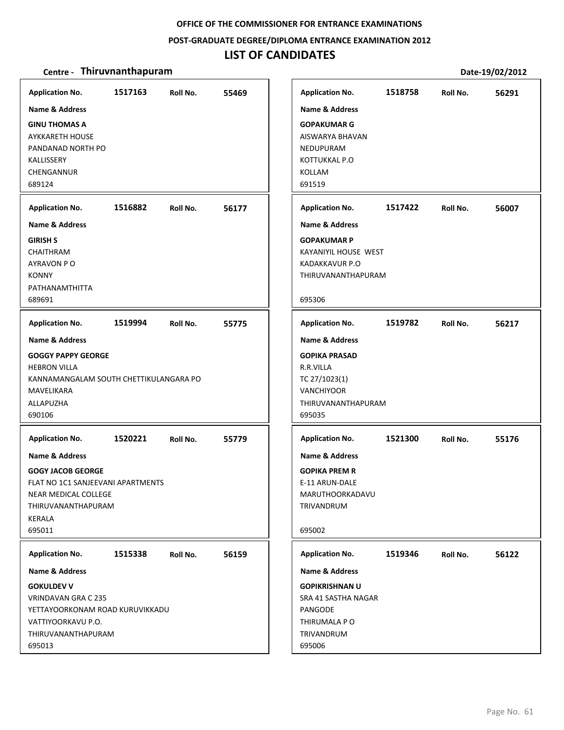#### **POST‐GRADUATE DEGREE/DIPLOMA ENTRANCE EXAMINATION 2012**

# **LIST OF CANDIDATES**

| <b>Application No.</b>                                                                                                                                       | 1517163 | Roll No. | 55469 | <b>Application No.</b>                                                                                                               | 1518758 | Roll No. | 56291 |
|--------------------------------------------------------------------------------------------------------------------------------------------------------------|---------|----------|-------|--------------------------------------------------------------------------------------------------------------------------------------|---------|----------|-------|
| Name & Address<br><b>GINU THOMAS A</b><br><b>AYKKARETH HOUSE</b><br>PANDANAD NORTH PO<br>KALLISSERY<br>CHENGANNUR<br>689124                                  |         |          |       | <b>Name &amp; Address</b><br><b>GOPAKUMAR G</b><br>AISWARYA BHAVAN<br>NEDUPURAM<br>KOTTUKKAL P.O<br><b>KOLLAM</b><br>691519          |         |          |       |
| <b>Application No.</b>                                                                                                                                       | 1516882 | Roll No. | 56177 | <b>Application No.</b>                                                                                                               | 1517422 | Roll No. | 56007 |
| <b>Name &amp; Address</b><br><b>GIRISH S</b><br><b>CHAITHRAM</b><br>AYRAVON PO<br><b>KONNY</b><br>PATHANAMTHITTA<br>689691                                   |         |          |       | <b>Name &amp; Address</b><br><b>GOPAKUMAR P</b><br>KAYANIYIL HOUSE WEST<br>KADAKKAVUR P.O<br>THIRUVANANTHAPURAM<br>695306            |         |          |       |
| <b>Application No.</b>                                                                                                                                       | 1519994 | Roll No. | 55775 | <b>Application No.</b>                                                                                                               | 1519782 | Roll No. | 56217 |
| Name & Address<br><b>GOGGY PAPPY GEORGE</b><br><b>HEBRON VILLA</b><br>KANNAMANGALAM SOUTH CHETTIKULANGARA PO<br>MAVELIKARA<br>ALLAPUZHA<br>690106            |         |          |       | <b>Name &amp; Address</b><br><b>GOPIKA PRASAD</b><br>R.R.VILLA<br>TC 27/1023(1)<br><b>VANCHIYOOR</b><br>THIRUVANANTHAPURAM<br>695035 |         |          |       |
| <b>Application No.</b>                                                                                                                                       | 1520221 | Roll No. | 55779 | <b>Application No.</b>                                                                                                               | 1521300 | Roll No. | 55176 |
| <b>Name &amp; Address</b><br><b>GOGY JACOB GEORGE</b><br>FLAT NO 1C1 SANJEEVANI APARTMENTS<br>NEAR MEDICAL COLLEGE<br>THIRUVANANTHAPURAM<br>KERALA<br>695011 |         |          |       | <b>Name &amp; Address</b><br><b>GOPIKA PREM R</b><br>E-11 ARUN-DALE<br>MARUTHOORKADAVU<br>TRIVANDRUM<br>695002                       |         |          |       |
| <b>Application No.</b>                                                                                                                                       | 1515338 | Roll No. | 56159 | <b>Application No.</b>                                                                                                               | 1519346 | Roll No. | 56122 |
| Name & Address<br><b>GOKULDEV V</b><br>VRINDAVAN GRA C 235<br>YETTAYOORKONAM ROAD KURUVIKKADU<br>VATTIYOORKAVU P.O.<br>THIRUVANANTHAPURAM<br>695013          |         |          |       | <b>Name &amp; Address</b><br><b>GOPIKRISHNAN U</b><br>SRA 41 SASTHA NAGAR<br>PANGODE<br>THIRUMALA PO<br>TRIVANDRUM<br>695006         |         |          |       |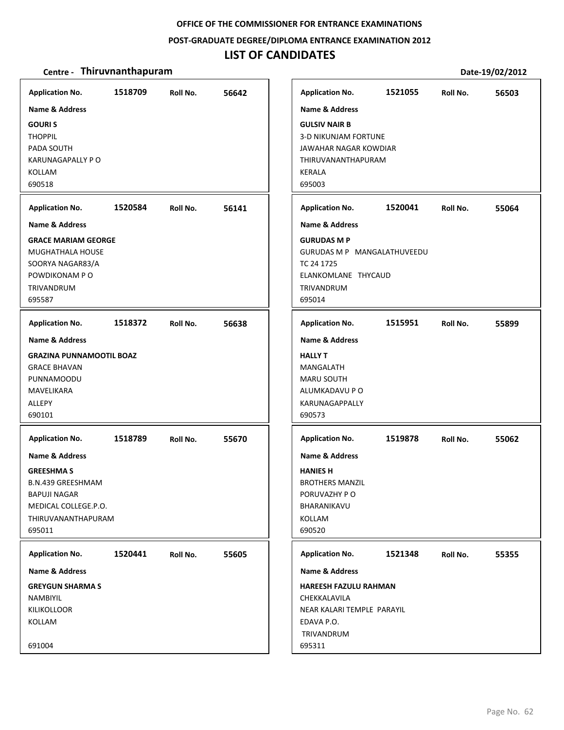#### **POST‐GRADUATE DEGREE/DIPLOMA ENTRANCE EXAMINATION 2012**

### **LIST OF CANDIDATES**

| <b>Application No.</b><br><b>Name &amp; Address</b><br><b>GOURIS</b><br><b>THOPPIL</b><br>PADA SOUTH                                                      | 1518709 | Roll No. | 56642 | <b>Application No.</b><br><b>Name &amp; Address</b><br><b>GULSIV NAIR B</b><br><b>3-D NIKUNJAM FORTUNE</b><br>JAWAHAR NAGAR KOWDIAR | 1521055 | Roll No. | 56503 |
|-----------------------------------------------------------------------------------------------------------------------------------------------------------|---------|----------|-------|-------------------------------------------------------------------------------------------------------------------------------------|---------|----------|-------|
| <b>KARUNAGAPALLY PO</b><br><b>KOLLAM</b><br>690518                                                                                                        |         |          |       | THIRUVANANTHAPURAM<br><b>KERALA</b><br>695003                                                                                       |         |          |       |
| <b>Application No.</b>                                                                                                                                    | 1520584 | Roll No. | 56141 | <b>Application No.</b>                                                                                                              | 1520041 | Roll No. | 55064 |
| <b>Name &amp; Address</b>                                                                                                                                 |         |          |       | <b>Name &amp; Address</b>                                                                                                           |         |          |       |
| <b>GRACE MARIAM GEORGE</b><br><b>MUGHATHALA HOUSE</b><br>SOORYA NAGAR83/A<br>POWDIKONAM P O<br>TRIVANDRUM<br>695587                                       |         |          |       | <b>GURUDAS M P</b><br>GURUDAS M P MANGALATHUVEEDU<br>TC 24 1725<br>ELANKOMLANE THYCAUD<br>TRIVANDRUM<br>695014                      |         |          |       |
| <b>Application No.</b>                                                                                                                                    | 1518372 | Roll No. | 56638 | <b>Application No.</b>                                                                                                              | 1515951 | Roll No. | 55899 |
| <b>Name &amp; Address</b>                                                                                                                                 |         |          |       | <b>Name &amp; Address</b>                                                                                                           |         |          |       |
| <b>GRAZINA PUNNAMOOTIL BOAZ</b><br><b>GRACE BHAVAN</b><br>PUNNAMOODU<br>MAVELIKARA<br>ALLEPY<br>690101                                                    |         |          |       | <b>HALLY T</b><br>MANGALATH<br><b>MARU SOUTH</b><br>ALUMKADAVU P O<br>KARUNAGAPPALLY<br>690573                                      |         |          |       |
| <b>Application No.</b>                                                                                                                                    | 1518789 | Roll No. | 55670 | <b>Application No.</b>                                                                                                              | 1519878 | Roll No. | 55062 |
| <b>Name &amp; Address</b><br><b>GREESHMA S</b><br><b>B.N.439 GREESHMAM</b><br><b>BAPUJI NAGAR</b><br>MEDICAL COLLEGE.P.O.<br>THIRUVANANTHAPURAM<br>695011 |         |          |       | <b>Name &amp; Address</b><br><b>HANIES H</b><br><b>BROTHERS MANZIL</b><br>PORUVAZHY PO<br>BHARANIKAVU<br>KOLLAM<br>690520           |         |          |       |
| <b>Application No.</b>                                                                                                                                    | 1520441 | Roll No. | 55605 | <b>Application No.</b>                                                                                                              | 1521348 | Roll No. | 55355 |
| Name & Address                                                                                                                                            |         |          |       | Name & Address                                                                                                                      |         |          |       |
| <b>GREYGUN SHARMA S</b><br>NAMBIYIL<br><b>KILIKOLLOOR</b><br>KOLLAM<br>691004                                                                             |         |          |       | HAREESH FAZULU RAHMAN<br>CHEKKALAVILA<br>NEAR KALARI TEMPLE PARAYIL<br>EDAVA P.O.<br>TRIVANDRUM<br>695311                           |         |          |       |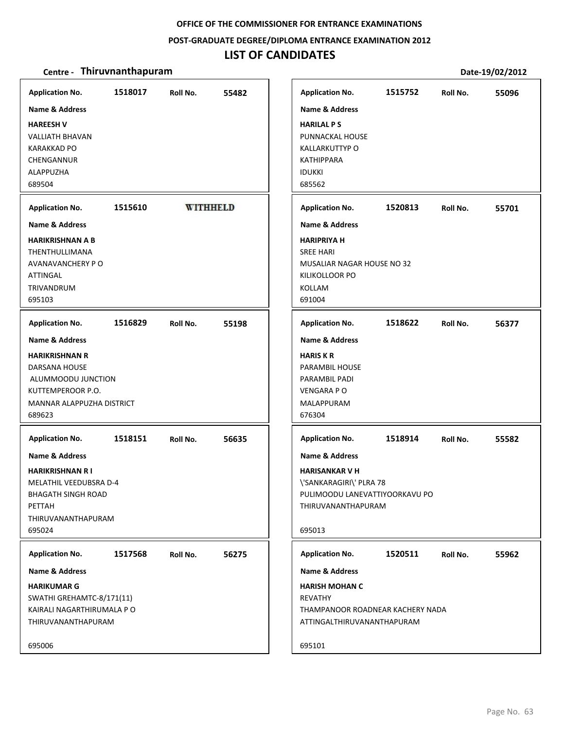**POST‐GRADUATE DEGREE/DIPLOMA ENTRANCE EXAMINATION 2012**

### **LIST OF CANDIDATES**

| <b>Application No.</b>        | 1518017 | Roll No.        | 55482 | <b>Application No.</b>    | 1515752                          | Roll No. | 55096 |
|-------------------------------|---------|-----------------|-------|---------------------------|----------------------------------|----------|-------|
| Name & Address                |         |                 |       | <b>Name &amp; Address</b> |                                  |          |       |
| <b>HAREESH V</b>              |         |                 |       | <b>HARILAL PS</b>         |                                  |          |       |
| <b>VALLIATH BHAVAN</b>        |         |                 |       | PUNNACKAL HOUSE           |                                  |          |       |
| <b>KARAKKAD PO</b>            |         |                 |       | <b>KALLARKUTTYP O</b>     |                                  |          |       |
| CHENGANNUR                    |         |                 |       | <b>KATHIPPARA</b>         |                                  |          |       |
| ALAPPUZHA                     |         |                 |       | <b>IDUKKI</b>             |                                  |          |       |
| 689504                        |         |                 |       | 685562                    |                                  |          |       |
|                               |         |                 |       |                           |                                  |          |       |
| <b>Application No.</b>        | 1515610 | <b>WITHHELD</b> |       | <b>Application No.</b>    | 1520813                          | Roll No. | 55701 |
| <b>Name &amp; Address</b>     |         |                 |       | <b>Name &amp; Address</b> |                                  |          |       |
| <b>HARIKRISHNAN A B</b>       |         |                 |       | <b>HARIPRIYA H</b>        |                                  |          |       |
| THENTHULLIMANA                |         |                 |       | <b>SREE HARI</b>          |                                  |          |       |
| AVANAVANCHERY P O             |         |                 |       |                           | MUSALIAR NAGAR HOUSE NO 32       |          |       |
| ATTINGAL                      |         |                 |       | KILIKOLLOOR PO            |                                  |          |       |
| TRIVANDRUM                    |         |                 |       | KOLLAM                    |                                  |          |       |
| 695103                        |         |                 |       | 691004                    |                                  |          |       |
| <b>Application No.</b>        | 1516829 | Roll No.        | 55198 | <b>Application No.</b>    | 1518622                          | Roll No. | 56377 |
| <b>Name &amp; Address</b>     |         |                 |       | <b>Name &amp; Address</b> |                                  |          |       |
| <b>HARIKRISHNAN R</b>         |         |                 |       | <b>HARISKR</b>            |                                  |          |       |
| DARSANA HOUSE                 |         |                 |       | <b>PARAMBIL HOUSE</b>     |                                  |          |       |
| ALUMMOODU JUNCTION            |         |                 |       | PARAMBIL PADI             |                                  |          |       |
| KUTTEMPEROOR P.O.             |         |                 |       | <b>VENGARA PO</b>         |                                  |          |       |
| MANNAR ALAPPUZHA DISTRICT     |         |                 |       | MALAPPURAM                |                                  |          |       |
| 689623                        |         |                 |       | 676304                    |                                  |          |       |
| <b>Application No.</b>        | 1518151 | Roll No.        | 56635 | <b>Application No.</b>    | 1518914                          | Roll No. | 55582 |
|                               |         |                 |       |                           |                                  |          |       |
| <b>Name &amp; Address</b>     |         |                 |       | <b>Name &amp; Address</b> |                                  |          |       |
| <b>HARIKRISHNAN RI</b>        |         |                 |       | <b>HARISANKAR V H</b>     |                                  |          |       |
| <b>MELATHIL VEEDUBSRA D-4</b> |         |                 |       | \'SANKARAGIRI\' PLRA 78   |                                  |          |       |
| <b>BHAGATH SINGH ROAD</b>     |         |                 |       |                           | PULIMOODU LANEVATTIYOORKAVU PO   |          |       |
| PETTAH                        |         |                 |       | THIRUVANANTHAPURAM        |                                  |          |       |
| THIRUVANANTHAPURAM            |         |                 |       |                           |                                  |          |       |
| 695024                        |         |                 |       | 695013                    |                                  |          |       |
| <b>Application No.</b>        | 1517568 | Roll No.        | 56275 | <b>Application No.</b>    | 1520511                          | Roll No. | 55962 |
| Name & Address                |         |                 |       | <b>Name &amp; Address</b> |                                  |          |       |
| <b>HARIKUMAR G</b>            |         |                 |       | <b>HARISH MOHAN C</b>     |                                  |          |       |
| SWATHI GREHAMTC-8/171(11)     |         |                 |       | <b>REVATHY</b>            |                                  |          |       |
| KAIRALI NAGARTHIRUMALA P O    |         |                 |       |                           | THAMPANOOR ROADNEAR KACHERY NADA |          |       |
| THIRUVANANTHAPURAM            |         |                 |       |                           | ATTINGALTHIRUVANANTHAPURAM       |          |       |
|                               |         |                 |       |                           |                                  |          |       |
| 695006                        |         |                 |       | 695101                    |                                  |          |       |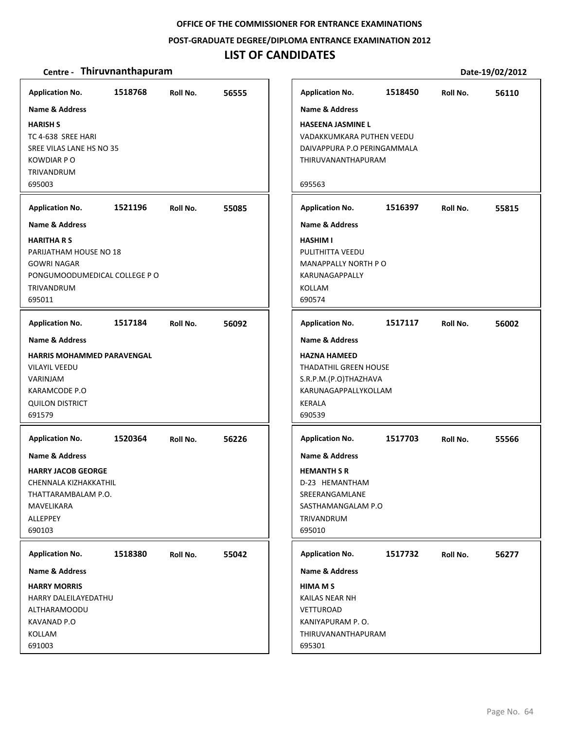#### **POST‐GRADUATE DEGREE/DIPLOMA ENTRANCE EXAMINATION 2012**

### **LIST OF CANDIDATES**

| <b>Application No.</b>            | 1518768 | Roll No. | 56555 | <b>Application No.</b>      | 1518450 | Roll No. | 56110 |
|-----------------------------------|---------|----------|-------|-----------------------------|---------|----------|-------|
| <b>Name &amp; Address</b>         |         |          |       | <b>Name &amp; Address</b>   |         |          |       |
| <b>HARISH S</b>                   |         |          |       | <b>HASEENA JASMINE L</b>    |         |          |       |
| TC 4-638 SREE HARI                |         |          |       | VADAKKUMKARA PUTHEN VEEDU   |         |          |       |
| SREE VILAS LANE HS NO 35          |         |          |       | DAIVAPPURA P.O PERINGAMMALA |         |          |       |
| <b>KOWDIAR PO</b>                 |         |          |       | THIRUVANANTHAPURAM          |         |          |       |
| TRIVANDRUM                        |         |          |       |                             |         |          |       |
| 695003                            |         |          |       | 695563                      |         |          |       |
|                                   |         |          |       |                             |         |          |       |
| <b>Application No.</b>            | 1521196 | Roll No. | 55085 | <b>Application No.</b>      | 1516397 | Roll No. | 55815 |
| <b>Name &amp; Address</b>         |         |          |       | <b>Name &amp; Address</b>   |         |          |       |
| <b>HARITHA R S</b>                |         |          |       | <b>HASHIM I</b>             |         |          |       |
| PARIJATHAM HOUSE NO 18            |         |          |       | PULITHITTA VEEDU            |         |          |       |
| <b>GOWRI NAGAR</b>                |         |          |       | MANAPPALLY NORTH PO         |         |          |       |
| PONGUMOODUMEDICAL COLLEGE P O     |         |          |       | KARUNAGAPPALLY              |         |          |       |
| TRIVANDRUM                        |         |          |       | KOLLAM                      |         |          |       |
| 695011                            |         |          |       | 690574                      |         |          |       |
| <b>Application No.</b>            | 1517184 | Roll No. | 56092 | <b>Application No.</b>      | 1517117 | Roll No. | 56002 |
|                                   |         |          |       |                             |         |          |       |
| Name & Address                    |         |          |       | <b>Name &amp; Address</b>   |         |          |       |
| <b>HARRIS MOHAMMED PARAVENGAL</b> |         |          |       | <b>HAZNA HAMEED</b>         |         |          |       |
| <b>VILAYIL VEEDU</b>              |         |          |       | THADATHIL GREEN HOUSE       |         |          |       |
| VARINJAM                          |         |          |       | S.R.P.M.(P.O)THAZHAVA       |         |          |       |
| KARAMCODE P.O                     |         |          |       | KARUNAGAPPALLYKOLLAM        |         |          |       |
| <b>QUILON DISTRICT</b>            |         |          |       | <b>KERALA</b>               |         |          |       |
| 691579                            |         |          |       | 690539                      |         |          |       |
| <b>Application No.</b>            | 1520364 | Roll No. | 56226 | <b>Application No.</b>      | 1517703 | Roll No. | 55566 |
| <b>Name &amp; Address</b>         |         |          |       | <b>Name &amp; Address</b>   |         |          |       |
| <b>HARRY JACOB GEORGE</b>         |         |          |       | <b>HEMANTH S R</b>          |         |          |       |
| CHENNALA KIZHAKKATHIL             |         |          |       | D-23 HEMANTHAM              |         |          |       |
| THATTARAMBALAM P.O.               |         |          |       | SREERANGAMLANE              |         |          |       |
| MAVELIKARA                        |         |          |       | SASTHAMANGALAM P.O          |         |          |       |
| ALLEPPEY                          |         |          |       | <b>TRIVANDRUM</b>           |         |          |       |
| 690103                            |         |          |       | 695010                      |         |          |       |
|                                   |         |          |       |                             |         |          |       |
| <b>Application No.</b>            | 1518380 | Roll No. | 55042 | <b>Application No.</b>      | 1517732 | Roll No. | 56277 |
| <b>Name &amp; Address</b>         |         |          |       | <b>Name &amp; Address</b>   |         |          |       |
| <b>HARRY MORRIS</b>               |         |          |       | <b>HIMA M S</b>             |         |          |       |
| HARRY DALEILAYEDATHU              |         |          |       | KAILAS NEAR NH              |         |          |       |
| ALTHARAMOODU                      |         |          |       | VETTUROAD                   |         |          |       |
| KAVANAD P.O                       |         |          |       | KANIYAPURAM P.O.            |         |          |       |
| KOLLAM                            |         |          |       | THIRUVANANTHAPURAM          |         |          |       |
| 691003                            |         |          |       | 695301                      |         |          |       |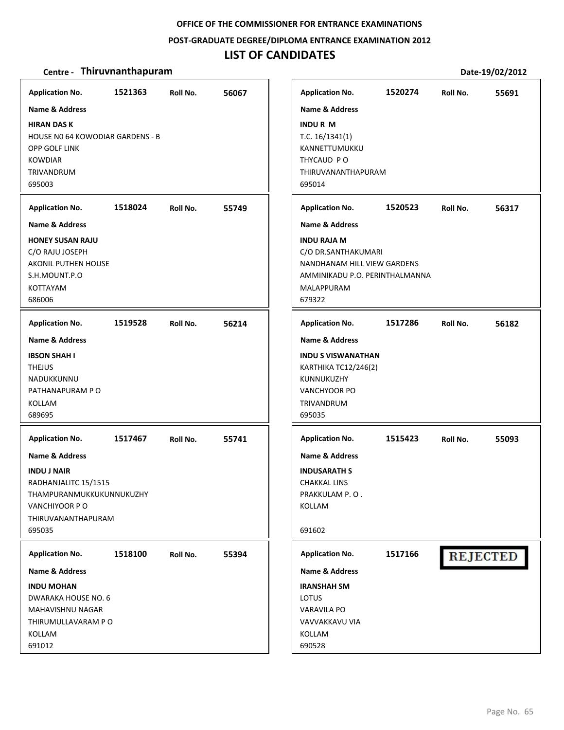#### **POST‐GRADUATE DEGREE/DIPLOMA ENTRANCE EXAMINATION 2012**

# **LIST OF CANDIDATES**

|                           | <b>Application No.</b>                                            | 1520274                                            | Roll No.                       |
|---------------------------|-------------------------------------------------------------------|----------------------------------------------------|--------------------------------|
|                           | <b>Name &amp; Address</b>                                         |                                                    |                                |
| 695014                    | <b>INDURM</b><br>T.C. $16/1341(1)$<br>KANNETTUMUKKU<br>THYCAUD PO | THIRUVANANTHAPURAM                                 |                                |
|                           | <b>Application No.</b>                                            | 1520523                                            | Roll No.                       |
|                           | <b>Name &amp; Address</b>                                         |                                                    |                                |
| 679322                    | <b>INDU RAJA M</b><br>MALAPPURAM                                  | C/O DR.SANTHAKUMARI<br>NANDHANAM HILL VIEW GARDENS | AMMINIKADU P.O. PERINTHALMANNA |
|                           | <b>Application No.</b>                                            | 1517286                                            | Roll No.                       |
|                           | <b>Name &amp; Address</b>                                         |                                                    |                                |
| 695035                    | KUNNUKUZHY<br>VANCHYOOR PO<br>TRIVANDRUM                          | <b>INDU S VISWANATHAN</b><br>KARTHIKA TC12/246(2)  |                                |
|                           | <b>Application No.</b>                                            | 1515423                                            | Roll No.                       |
|                           | <b>Name &amp; Address</b>                                         |                                                    |                                |
| <b>INDUSARATH S</b>       |                                                                   |                                                    |                                |
| <b>CHAKKAL LINS</b>       |                                                                   |                                                    |                                |
| PRAKKULAM P.O.            |                                                                   |                                                    |                                |
|                           |                                                                   |                                                    |                                |
|                           |                                                                   |                                                    |                                |
| <b>Application No.</b>    |                                                                   | 1517166                                            | <b>REJECTED</b>                |
| <b>Name &amp; Address</b> |                                                                   |                                                    |                                |
| <b>IRANSHAH SM</b>        |                                                                   |                                                    |                                |
|                           |                                                                   |                                                    |                                |
| <b>VARAVILA PO</b>        |                                                                   |                                                    |                                |
| VAVVAKKAVU VIA            |                                                                   |                                                    |                                |
|                           |                                                                   |                                                    |                                |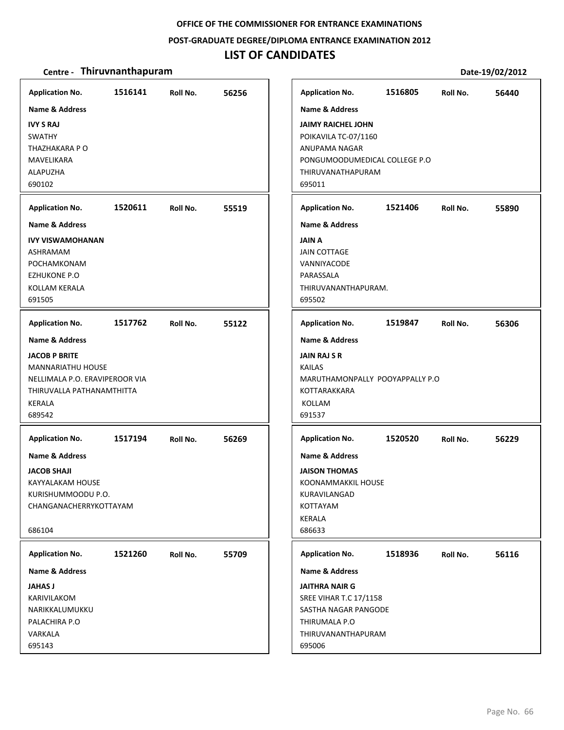### **POST‐GRADUATE DEGREE/DIPLOMA ENTRANCE EXAMINATION 2012**

### **LIST OF CANDIDATES**

| <b>Application No.</b>                                                                                                              | 1516141 | Roll No. | 56256 | <b>Application No.</b>                                                                                                                               | 1516805 | Roll No. | 56440 |
|-------------------------------------------------------------------------------------------------------------------------------------|---------|----------|-------|------------------------------------------------------------------------------------------------------------------------------------------------------|---------|----------|-------|
| <b>Name &amp; Address</b><br><b>IVY S RAJ</b><br>SWATHY<br>THAZHAKARA P O<br>MAVELIKARA<br>ALAPUZHA<br>690102                       |         |          |       | Name & Address<br><b>JAIMY RAICHEL JOHN</b><br>POIKAVILA TC-07/1160<br>ANUPAMA NAGAR<br>PONGUMOODUMEDICAL COLLEGE P.O<br>THIRUVANATHAPURAM<br>695011 |         |          |       |
| <b>Application No.</b>                                                                                                              | 1520611 | Roll No. | 55519 | <b>Application No.</b>                                                                                                                               | 1521406 | Roll No. | 55890 |
| <b>Name &amp; Address</b>                                                                                                           |         |          |       | <b>Name &amp; Address</b>                                                                                                                            |         |          |       |
| <b>IVY VISWAMOHANAN</b><br>ASHRAMAM<br>POCHAMKONAM<br>EZHUKONE P.O<br>KOLLAM KERALA<br>691505                                       |         |          |       | <b>JAIN A</b><br><b>JAIN COTTAGE</b><br>VANNIYACODE<br>PARASSALA<br>THIRUVANANTHAPURAM.<br>695502                                                    |         |          |       |
| <b>Application No.</b>                                                                                                              | 1517762 | Roll No. | 55122 | <b>Application No.</b>                                                                                                                               | 1519847 | Roll No. | 56306 |
| Name & Address                                                                                                                      |         |          |       | <b>Name &amp; Address</b>                                                                                                                            |         |          |       |
| <b>JACOB P BRITE</b><br>MANNARIATHU HOUSE<br>NELLIMALA P.O. ERAVIPEROOR VIA<br>THIRUVALLA PATHANAMTHITTA<br><b>KERALA</b><br>689542 |         |          |       | <b>JAIN RAJ S R</b><br><b>KAILAS</b><br>MARUTHAMONPALLY POOYAPPALLY P.O<br>KOTTARAKKARA<br>KOLLAM<br>691537                                          |         |          |       |
| <b>Application No.</b>                                                                                                              | 1517194 | Roll No. | 56269 | <b>Application No.</b>                                                                                                                               | 1520520 | Roll No. | 56229 |
| Name & Address<br><b>JACOB SHAJI</b><br>KAYYALAKAM HOUSE<br>KURISHUMMOODU P.O.<br>CHANGANACHERRYKOTTAYAM<br>686104                  |         |          |       | <b>Name &amp; Address</b><br><b>JAISON THOMAS</b><br>KOONAMMAKKIL HOUSE<br>KURAVILANGAD<br>KOTTAYAM<br><b>KERALA</b><br>686633                       |         |          |       |
| <b>Application No.</b>                                                                                                              | 1521260 | Roll No. | 55709 | <b>Application No.</b>                                                                                                                               | 1518936 | Roll No. | 56116 |
| <b>Name &amp; Address</b>                                                                                                           |         |          |       | <b>Name &amp; Address</b>                                                                                                                            |         |          |       |
| <b>JAHAS J</b><br>KARIVILAKOM<br>NARIKKALUMUKKU<br>PALACHIRA P.O<br>VARKALA<br>695143                                               |         |          |       | <b>JAITHRA NAIR G</b><br><b>SREE VIHAR T.C 17/1158</b><br>SASTHA NAGAR PANGODE<br>THIRUMALA P.O<br>THIRUVANANTHAPURAM<br>695006                      |         |          |       |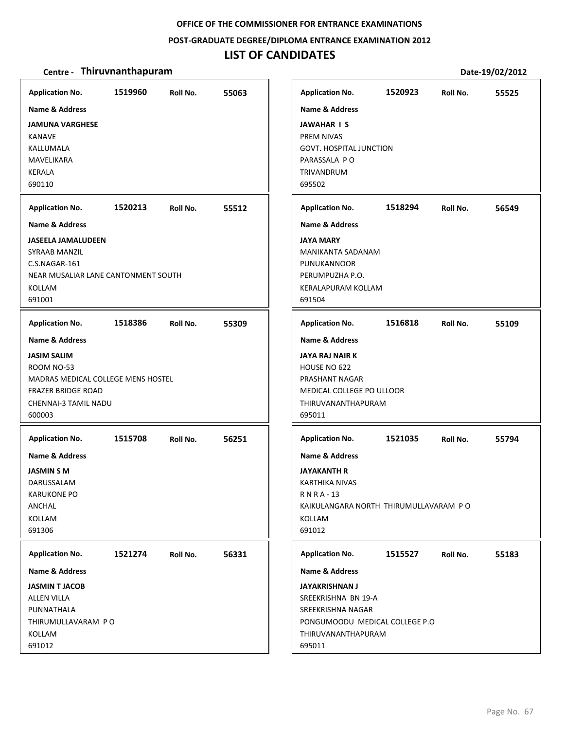### **POST‐GRADUATE DEGREE/DIPLOMA ENTRANCE EXAMINATION 2012**

# **LIST OF CANDIDATES**

| <b>Application No.</b>              | 1519960 | Roll No. | 55063 | <b>Application No.</b>                | 1520923 | Roll No. | 55525 |
|-------------------------------------|---------|----------|-------|---------------------------------------|---------|----------|-------|
| Name & Address                      |         |          |       | <b>Name &amp; Address</b>             |         |          |       |
| <b>JAMUNA VARGHESE</b>              |         |          |       | <b>JAWAHAR IS</b>                     |         |          |       |
| <b>KANAVE</b>                       |         |          |       | PREM NIVAS                            |         |          |       |
| KALLUMALA                           |         |          |       | <b>GOVT. HOSPITAL JUNCTION</b>        |         |          |       |
| <b>MAVELIKARA</b>                   |         |          |       | PARASSALA PO                          |         |          |       |
| <b>KERALA</b>                       |         |          |       | TRIVANDRUM                            |         |          |       |
| 690110                              |         |          |       | 695502                                |         |          |       |
| <b>Application No.</b>              | 1520213 | Roll No. | 55512 | <b>Application No.</b>                | 1518294 | Roll No. | 56549 |
| <b>Name &amp; Address</b>           |         |          |       | <b>Name &amp; Address</b>             |         |          |       |
| <b>JASEELA JAMALUDEEN</b>           |         |          |       | <b>JAYA MARY</b>                      |         |          |       |
| SYRAAB MANZIL                       |         |          |       | MANIKANTA SADANAM                     |         |          |       |
| C.S.NAGAR-161                       |         |          |       | <b>PUNUKANNOOR</b>                    |         |          |       |
| NEAR MUSALIAR LANE CANTONMENT SOUTH |         |          |       | PERUMPUZHA P.O.                       |         |          |       |
| <b>KOLLAM</b>                       |         |          |       | KERALAPURAM KOLLAM                    |         |          |       |
| 691001                              |         |          |       | 691504                                |         |          |       |
| <b>Application No.</b>              | 1518386 | Roll No. | 55309 | <b>Application No.</b>                | 1516818 | Roll No. | 55109 |
| <b>Name &amp; Address</b>           |         |          |       | <b>Name &amp; Address</b>             |         |          |       |
| <b>JASIM SALIM</b>                  |         |          |       | <b>JAYA RAJ NAIR K</b>                |         |          |       |
| ROOM NO-53                          |         |          |       | HOUSE NO 622                          |         |          |       |
| MADRAS MEDICAL COLLEGE MENS HOSTEL  |         |          |       | PRASHANT NAGAR                        |         |          |       |
| <b>FRAZER BRIDGE ROAD</b>           |         |          |       | MEDICAL COLLEGE PO ULLOOR             |         |          |       |
| CHENNAI-3 TAMIL NADU                |         |          |       | THIRUVANANTHAPURAM                    |         |          |       |
| 600003                              |         |          |       | 695011                                |         |          |       |
| <b>Application No.</b>              | 1515708 | Roll No. | 56251 | <b>Application No.</b>                | 1521035 | Roll No. | 55794 |
| Name & Address                      |         |          |       | <b>Name &amp; Address</b>             |         |          |       |
| <b>JASMIN S M</b>                   |         |          |       | <b>JAYAKANTH R</b>                    |         |          |       |
| DARUSSALAM                          |         |          |       | <b>KARTHIKA NIVAS</b>                 |         |          |       |
| <b>KARUKONE PO</b>                  |         |          |       | <b>RNRA-13</b>                        |         |          |       |
| ANCHAL                              |         |          |       | KAIKULANGARA NORTH THIRUMULLAVARAM PO |         |          |       |
| KOLLAM                              |         |          |       | KOLLAM                                |         |          |       |
| 691306                              |         |          |       | 691012                                |         |          |       |
| <b>Application No.</b>              | 1521274 | Roll No. | 56331 | <b>Application No.</b>                | 1515527 | Roll No. | 55183 |
| <b>Name &amp; Address</b>           |         |          |       | <b>Name &amp; Address</b>             |         |          |       |
| <b>JASMIN T JACOB</b>               |         |          |       | <b>JAYAKRISHNAN J</b>                 |         |          |       |
| <b>ALLEN VILLA</b>                  |         |          |       | SREEKRISHNA BN 19-A                   |         |          |       |
| PUNNATHALA                          |         |          |       | SREEKRISHNA NAGAR                     |         |          |       |
| THIRUMULLAVARAM PO                  |         |          |       | PONGUMOODU MEDICAL COLLEGE P.O        |         |          |       |
| KOLLAM                              |         |          |       | THIRUVANANTHAPURAM                    |         |          |       |
| 691012                              |         |          |       | 695011                                |         |          |       |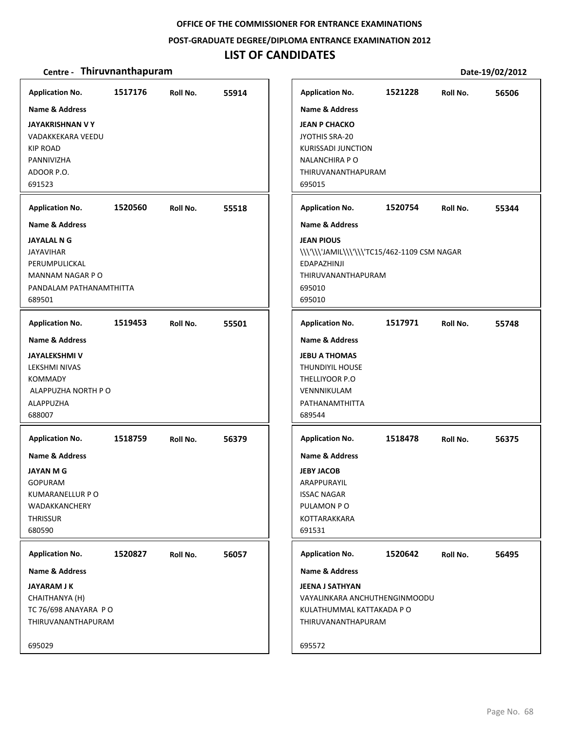#### **POST‐GRADUATE DEGREE/DIPLOMA ENTRANCE EXAMINATION 2012**

# **LIST OF CANDIDATES**

| <b>Application No.</b>    | 1517176 | Roll No. | 55914 | <b>Application No.</b>                       | 1521228 | Roll No. | 56506 |
|---------------------------|---------|----------|-------|----------------------------------------------|---------|----------|-------|
| Name & Address            |         |          |       | <b>Name &amp; Address</b>                    |         |          |       |
| <b>JAYAKRISHNAN V Y</b>   |         |          |       | <b>JEAN P CHACKO</b>                         |         |          |       |
| VADAKKEKARA VEEDU         |         |          |       | JYOTHIS SRA-20                               |         |          |       |
| <b>KIP ROAD</b>           |         |          |       | <b>KURISSADI JUNCTION</b>                    |         |          |       |
| PANNIVIZHA                |         |          |       | <b>NALANCHIRA P O</b>                        |         |          |       |
| ADOOR P.O.                |         |          |       | THIRUVANANTHAPURAM                           |         |          |       |
| 691523                    |         |          |       | 695015                                       |         |          |       |
| <b>Application No.</b>    | 1520560 | Roll No. | 55518 | <b>Application No.</b>                       | 1520754 | Roll No. | 55344 |
| <b>Name &amp; Address</b> |         |          |       | <b>Name &amp; Address</b>                    |         |          |       |
| <b>JAYALAL N G</b>        |         |          |       | <b>JEAN PIOUS</b>                            |         |          |       |
| <b>JAYAVIHAR</b>          |         |          |       | \\\'\\\'JAMIL\\\'\\\'TC15/462-1109 CSM NAGAR |         |          |       |
| PERUMPULICKAL             |         |          |       | EDAPAZHINJI                                  |         |          |       |
| MANNAM NAGAR PO           |         |          |       | THIRUVANANTHAPURAM                           |         |          |       |
| PANDALAM PATHANAMTHITTA   |         |          |       | 695010                                       |         |          |       |
| 689501                    |         |          |       | 695010                                       |         |          |       |
| <b>Application No.</b>    | 1519453 | Roll No. | 55501 | <b>Application No.</b>                       | 1517971 | Roll No. | 55748 |
| <b>Name &amp; Address</b> |         |          |       | <b>Name &amp; Address</b>                    |         |          |       |
| <b>JAYALEKSHMI V</b>      |         |          |       | <b>JEBU A THOMAS</b>                         |         |          |       |
| LEKSHMI NIVAS             |         |          |       | <b>THUNDIYIL HOUSE</b>                       |         |          |       |
| <b>KOMMADY</b>            |         |          |       | THELLIYOOR P.O                               |         |          |       |
| ALAPPUZHA NORTH P O       |         |          |       | VENNNIKULAM                                  |         |          |       |
| ALAPPUZHA                 |         |          |       | PATHANAMTHITTA                               |         |          |       |
| 688007                    |         |          |       | 689544                                       |         |          |       |
| <b>Application No.</b>    | 1518759 | Roll No. | 56379 | <b>Application No.</b>                       | 1518478 | Roll No. | 56375 |
| <b>Name &amp; Address</b> |         |          |       | <b>Name &amp; Address</b>                    |         |          |       |
| JAYAN M G                 |         |          |       | <b>JEBY JACOB</b>                            |         |          |       |
| <b>GOPURAM</b>            |         |          |       | ARAPPURAYIL                                  |         |          |       |
| KUMARANELLUR P O          |         |          |       | <b>ISSAC NAGAR</b>                           |         |          |       |
| WADAKKANCHERY             |         |          |       | PULAMON PO                                   |         |          |       |
| THRISSUR                  |         |          |       | KOTTARAKKARA                                 |         |          |       |
| 680590                    |         |          |       | 691531                                       |         |          |       |
| <b>Application No.</b>    | 1520827 | Roll No. | 56057 | <b>Application No.</b>                       | 1520642 | Roll No. | 56495 |
| Name & Address            |         |          |       | Name & Address                               |         |          |       |
| <b>JAYARAM J K</b>        |         |          |       | <b>JEENA J SATHYAN</b>                       |         |          |       |
| CHAITHANYA (H)            |         |          |       | VAYALINKARA ANCHUTHENGINMOODU                |         |          |       |
| TC 76/698 ANAYARA PO      |         |          |       | KULATHUMMAL KATTAKADA P O                    |         |          |       |
| THIRUVANANTHAPURAM        |         |          |       | THIRUVANANTHAPURAM                           |         |          |       |
| 695029                    |         |          |       | 695572                                       |         |          |       |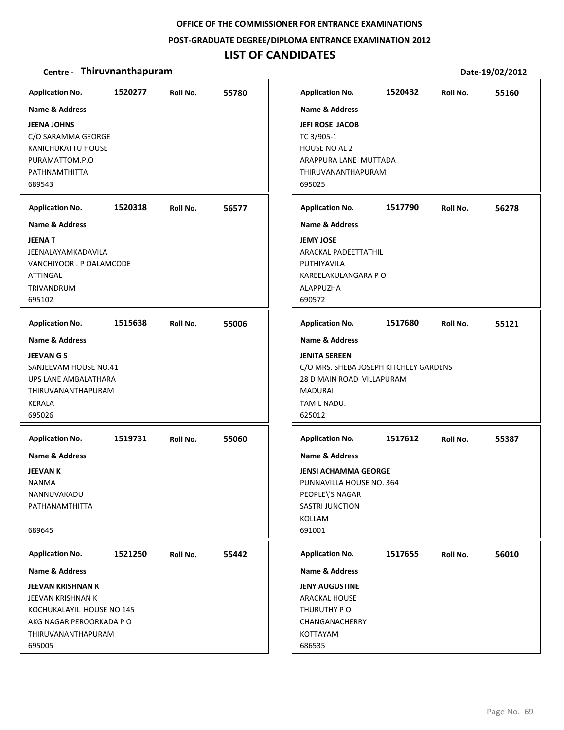#### **POST‐GRADUATE DEGREE/DIPLOMA ENTRANCE EXAMINATION 2012**

### **LIST OF CANDIDATES**

#### **Centre** • **Thiruvnanthapuram Date-19/02/2012**

**1520277 55780 JEENA JOHNS** C/O SARAMMA GEORGE KANICHUKATTU HOUSE PURAMATTOM.P.O PATHNAMTHITTA 689543 **Application No. Name & Address 1520318 56577 JEENA T** JEENALAYAMKADAVILA VANCHIYOOR . P OALAMCODE ATTINGAL TRIVANDRUM 695102 **Application No. Name & Address 1515638 55006 JEEVAN G S** SANJEEVAM HOUSE NO.41 UPS LANE AMBALATHARA THIRUVANANTHAPURAM KERALA 695026 **Application No. Name & Address 1519731 55060 JEEVAN K** NANMA NANNUVAKADU PATHANAMTHITTA 689645 **Application No. Name & Address 1521250 55442 JEEVAN KRISHNAN K** JEEVAN KRISHNAN K KOCHUKALAYIL HOUSE NO 145 AKG NAGAR PEROORKADA P O THIRUVANANTHAPURAM 695005 **Application No. Name & Address 1520432 55160 JEFI ROSE JACOB** TC 3/905‐1 HOUSE NO AL 2 ARAPPURA LANE MUTTADA THIRUVANANTHAPURAM 695025 **Application No. Name & Address 1517790 56278 JEMY JOSE** ARACKAL PADEETTATHIL PUTHIYAVILA KAREELAKULANGARA P O ALAPPUZHA 690572 **Application No. Name & Address 1517680 55121 JENITA SEREEN** C/O MRS. SHEBA JOSEPH KITCHLEY GARDENS 28 D MAIN ROAD VILLAPURAM MADURAI TAMIL NADU. 625012 **Application No. Name & Address 1517612 55387 JENSI ACHAMMA GEORGE** PUNNAVILLA HOUSE NO. 364 PEOPLE\'S NAGAR SASTRI JUNCTION KOLLAM 691001 **Application No. Name & Address 1517655 56010 JENY AUGUSTINE** ARACKAL HOUSE THURUTHY P O CHANGANACHERRY KOTTAYAM 686535 **Application No. Name & Address**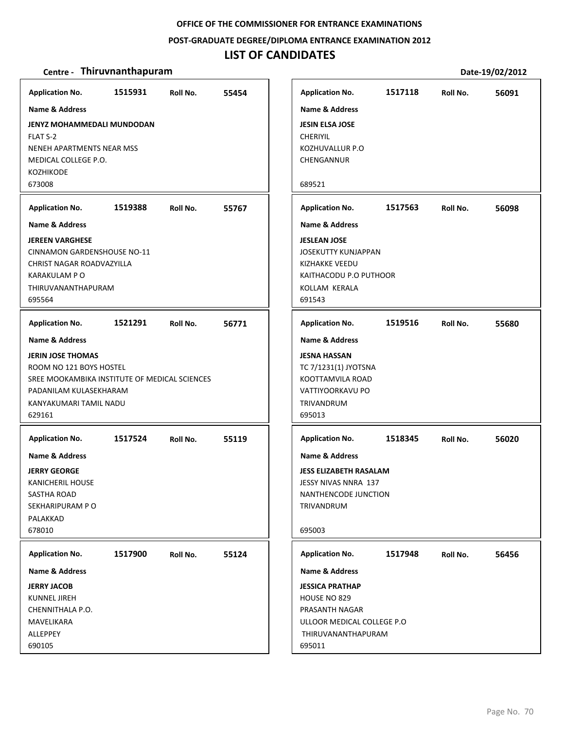**POST‐GRADUATE DEGREE/DIPLOMA ENTRANCE EXAMINATION 2012**

### **LIST OF CANDIDATES**

| <b>Application No.</b>                        | 1515931 | Roll No. | 55454 | <b>Application No.</b>        | 1517118 | Roll No. | 56091 |
|-----------------------------------------------|---------|----------|-------|-------------------------------|---------|----------|-------|
| <b>Name &amp; Address</b>                     |         |          |       | Name & Address                |         |          |       |
| <b>JENYZ MOHAMMEDALI MUNDODAN</b>             |         |          |       | <b>JESIN ELSA JOSE</b>        |         |          |       |
| FLAT S-2                                      |         |          |       | <b>CHERIYIL</b>               |         |          |       |
| NENEH APARTMENTS NEAR MSS                     |         |          |       | KOZHUVALLUR P.O               |         |          |       |
| MEDICAL COLLEGE P.O.                          |         |          |       | CHENGANNUR                    |         |          |       |
| <b>KOZHIKODE</b>                              |         |          |       |                               |         |          |       |
| 673008                                        |         |          |       | 689521                        |         |          |       |
| <b>Application No.</b>                        | 1519388 | Roll No. | 55767 | <b>Application No.</b>        | 1517563 | Roll No. | 56098 |
| <b>Name &amp; Address</b>                     |         |          |       | <b>Name &amp; Address</b>     |         |          |       |
| <b>JEREEN VARGHESE</b>                        |         |          |       | <b>JESLEAN JOSE</b>           |         |          |       |
| <b>CINNAMON GARDENSHOUSE NO-11</b>            |         |          |       | <b>JOSEKUTTY KUNJAPPAN</b>    |         |          |       |
| <b>CHRIST NAGAR ROADVAZYILLA</b>              |         |          |       | <b>KIZHAKKE VEEDU</b>         |         |          |       |
| KARAKULAM P O                                 |         |          |       | KAITHACODU P.O PUTHOOR        |         |          |       |
| THIRUVANANTHAPURAM                            |         |          |       | KOLLAM KERALA                 |         |          |       |
| 695564                                        |         |          |       | 691543                        |         |          |       |
| <b>Application No.</b>                        | 1521291 | Roll No. | 56771 | <b>Application No.</b>        | 1519516 | Roll No. | 55680 |
| <b>Name &amp; Address</b>                     |         |          |       | <b>Name &amp; Address</b>     |         |          |       |
| <b>JERIN JOSE THOMAS</b>                      |         |          |       | <b>JESNA HASSAN</b>           |         |          |       |
| ROOM NO 121 BOYS HOSTEL                       |         |          |       | TC 7/1231(1) JYOTSNA          |         |          |       |
| SREE MOOKAMBIKA INSTITUTE OF MEDICAL SCIENCES |         |          |       | KOOTTAMVILA ROAD              |         |          |       |
| PADANILAM KULASEKHARAM                        |         |          |       | VATTIYOORKAVU PO              |         |          |       |
| KANYAKUMARI TAMIL NADU                        |         |          |       | TRIVANDRUM                    |         |          |       |
| 629161                                        |         |          |       | 695013                        |         |          |       |
| <b>Application No.</b>                        | 1517524 | Roll No. | 55119 | <b>Application No.</b>        | 1518345 | Roll No. | 56020 |
| <b>Name &amp; Address</b>                     |         |          |       | Name & Address                |         |          |       |
| <b>JERRY GEORGE</b>                           |         |          |       | <b>JESS ELIZABETH RASALAM</b> |         |          |       |
| KANICHERIL HOUSE                              |         |          |       | JESSY NIVAS NNRA 137          |         |          |       |
| SASTHA ROAD                                   |         |          |       | NANTHENCODE JUNCTION          |         |          |       |
| SEKHARIPURAM PO                               |         |          |       | <b>TRIVANDRUM</b>             |         |          |       |
| PALAKKAD                                      |         |          |       |                               |         |          |       |
| 678010                                        |         |          |       | 695003                        |         |          |       |
| <b>Application No.</b>                        | 1517900 | Roll No. | 55124 | <b>Application No.</b>        | 1517948 | Roll No. | 56456 |
| <b>Name &amp; Address</b>                     |         |          |       | Name & Address                |         |          |       |
| <b>JERRY JACOB</b>                            |         |          |       | <b>JESSICA PRATHAP</b>        |         |          |       |
| <b>KUNNEL JIREH</b>                           |         |          |       | HOUSE NO 829                  |         |          |       |
| CHENNITHALA P.O.                              |         |          |       | PRASANTH NAGAR                |         |          |       |
| MAVELIKARA                                    |         |          |       | ULLOOR MEDICAL COLLEGE P.O    |         |          |       |
| ALLEPPEY                                      |         |          |       | THIRUVANANTHAPURAM            |         |          |       |
| 690105                                        |         |          |       | 695011                        |         |          |       |

**Centre** • **Thiruvnanthapuram Date-19/02/2012 1517118 56091 Application No. Roll No.**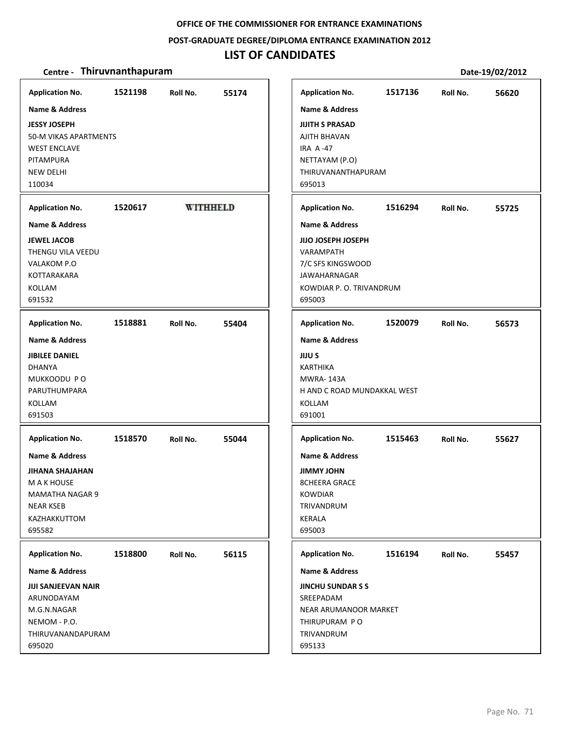### **POST‐GRADUATE DEGREE/DIPLOMA ENTRANCE EXAMINATION 2012**

# **LIST OF CANDIDATES**

| <b>Application No.</b>                                                                                                                      | 1521198 | Roll No.        | 55174 | <b>Application No.</b>                                                                                                                   | 1517136 | Roll No. | 56620 |
|---------------------------------------------------------------------------------------------------------------------------------------------|---------|-----------------|-------|------------------------------------------------------------------------------------------------------------------------------------------|---------|----------|-------|
| <b>Name &amp; Address</b><br><b>JESSY JOSEPH</b><br>50-M VIKAS APARTMENTS<br><b>WEST ENCLAVE</b><br>PITAMPURA<br><b>NEW DELHI</b><br>110034 |         |                 |       | <b>Name &amp; Address</b><br><b>JIJITH S PRASAD</b><br>AJITH BHAVAN<br><b>IRA A-47</b><br>NETTAYAM (P.O)<br>THIRUVANANTHAPURAM<br>695013 |         |          |       |
| <b>Application No.</b>                                                                                                                      | 1520617 | <b>WITHHELD</b> |       | <b>Application No.</b>                                                                                                                   | 1516294 | Roll No. | 55725 |
| <b>Name &amp; Address</b>                                                                                                                   |         |                 |       | <b>Name &amp; Address</b>                                                                                                                |         |          |       |
| <b>JEWEL JACOB</b><br>THENGU VILA VEEDU<br>VALAKOM P.O<br>KOTTARAKARA<br>KOLLAM<br>691532                                                   |         |                 |       | <b>JIJO JOSEPH JOSEPH</b><br>VARAMPATH<br>7/C SFS KINGSWOOD<br><b>JAWAHARNAGAR</b><br>KOWDIAR P. O. TRIVANDRUM<br>695003                 |         |          |       |
| <b>Application No.</b>                                                                                                                      | 1518881 | Roll No.        | 55404 | <b>Application No.</b>                                                                                                                   | 1520079 | Roll No. | 56573 |
| <b>Name &amp; Address</b><br><b>JIBILEE DANIEL</b><br><b>DHANYA</b><br>MUKKOODU PO<br>PARUTHUMPARA<br>KOLLAM<br>691503                      |         |                 |       | <b>Name &amp; Address</b><br><b>JIJU S</b><br><b>KARTHIKA</b><br><b>MWRA-143A</b><br>H AND C ROAD MUNDAKKAL WEST<br>KOLLAM<br>691001     |         |          |       |
| <b>Application No.</b>                                                                                                                      | 1518570 | Roll No.        | 55044 | <b>Application No.</b>                                                                                                                   | 1515463 | Roll No. | 55627 |
| Name & Address<br><b>JIHANA SHAJAHAN</b><br>M A K HOUSE<br>MAMATHA NAGAR 9<br><b>NEAR KSEB</b><br>KAZHAKKUTTOM<br>695582                    |         |                 |       | <b>Name &amp; Address</b><br><b>JIMMY JOHN</b><br><b>8CHEERA GRACE</b><br><b>KOWDIAR</b><br>TRIVANDRUM<br><b>KERALA</b><br>695003        |         |          |       |
| <b>Application No.</b>                                                                                                                      | 1518800 | Roll No.        | 56115 | <b>Application No.</b>                                                                                                                   | 1516194 | Roll No. | 55457 |
| Name & Address                                                                                                                              |         |                 |       | Name & Address                                                                                                                           |         |          |       |
| <b>JIJI SANJEEVAN NAIR</b><br>ARUNODAYAM<br>M.G.N.NAGAR<br>NEMOM - P.O.<br>THIRUVANANDAPURAM<br>695020                                      |         |                 |       | <b>JINCHU SUNDARSS</b><br>SREEPADAM<br>NEAR ARUMANOOR MARKET<br>THIRUPURAM PO<br>TRIVANDRUM<br>695133                                    |         |          |       |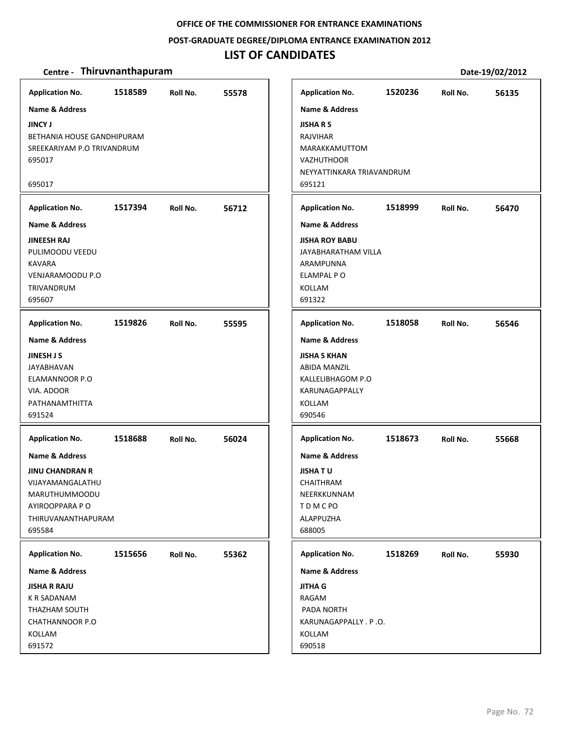#### **POST‐GRADUATE DEGREE/DIPLOMA ENTRANCE EXAMINATION 2012**

### **LIST OF CANDIDATES**

#### **Centre** • **Thiruvnanthapuram Date-19/02/2012**

**1518589 55578 JINCY J** BETHANIA HOUSE GANDHIPURAM SREEKARIYAM P.O TRIVANDRUM 695017 695017 **Application No. Name & Address 1517394 56712 JINEESH RAJ** PULIMOODU VEEDU KAVARA VENJARAMOODU P.O TRIVANDRUM 695607 **Application No. Name & Address 1519826 55595 JINESH J S** JAYABHAVAN ELAMANNOOR P.O VIA. ADOOR PATHANAMTHITTA 691524 **Application No. Name & Address 1518688 56024 JINU CHANDRAN R** VIJAYAMANGALATHU MARUTHUMMOODU AYIROOPPARA P O THIRUVANANTHAPURAM 695584 **Application No. Name & Address 1515656 55362 JISHA R RAJU** K R SADANAM THAZHAM SOUTH CHATHANNOOR P.O KOLLAM 691572 **Application No. Name & Address 1520236 56135 JISHA R S** RAJVIHAR MARAKKAMUTTOM **VAZHUTHOOR** NEYYATTINKARA TRIAVANDRUM 695121 **Application No. Name & Address 1518999 56470 JISHA ROY BABU** JAYABHARATHAM VILLA ARAMPUNNA ELAMPAL P O KOLLAM 691322 **Application No. Name & Address 1518058 56546 JISHA S KHAN** ABIDA MANZIL KALLELIBHAGOM P.O KARUNAGAPPALLY KOLLAM 690546 **Application No. Name & Address 1518673 55668 JISHA T U** CHAITHRAM NEERKKUNNAM T D M C PO ALAPPUZHA 688005 **Application No. Name & Address 1518269 55930 JITHA G** RAGAM PADA NORTH KARUNAGAPPALLY . P .O. KOLLAM 690518 **Application No. Name & Address**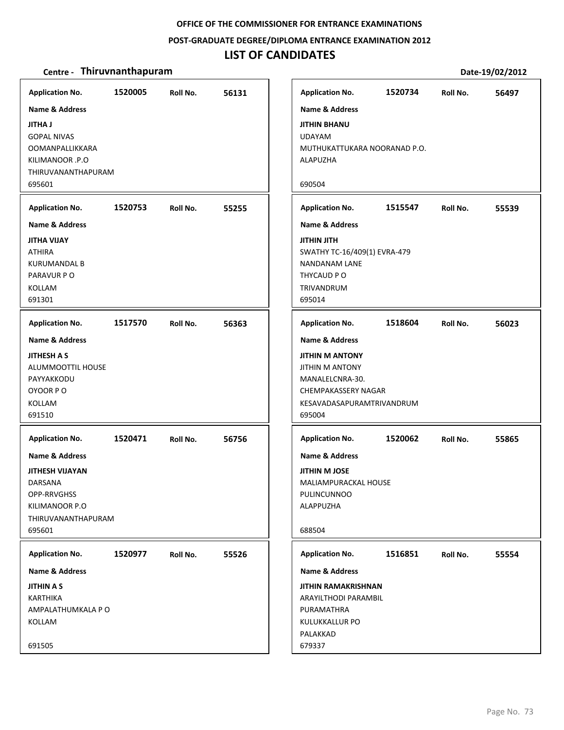#### **POST‐GRADUATE DEGREE/DIPLOMA ENTRANCE EXAMINATION 2012**

### **LIST OF CANDIDATES**

| <b>Application No.</b>                              | 1520005 | Roll No. | 56131 | <b>Application No.</b>                       | 1520734 | Roll No. | 56497 |
|-----------------------------------------------------|---------|----------|-------|----------------------------------------------|---------|----------|-------|
| <b>Name &amp; Address</b>                           |         |          |       | <b>Name &amp; Address</b>                    |         |          |       |
| <b>JITHA J</b>                                      |         |          |       | <b>JITHIN BHANU</b>                          |         |          |       |
| <b>GOPAL NIVAS</b>                                  |         |          |       | <b>UDAYAM</b>                                |         |          |       |
| <b>OOMANPALLIKKARA</b>                              |         |          |       | MUTHUKATTUKARA NOORANAD P.O.                 |         |          |       |
| KILIMANOOR .P.O                                     |         |          |       | ALAPUZHA                                     |         |          |       |
| THIRUVANANTHAPURAM                                  |         |          |       |                                              |         |          |       |
| 695601                                              |         |          |       | 690504                                       |         |          |       |
|                                                     |         |          |       |                                              |         |          |       |
| <b>Application No.</b><br><b>Name &amp; Address</b> | 1520753 | Roll No. | 55255 | <b>Application No.</b>                       | 1515547 | Roll No. | 55539 |
|                                                     |         |          |       | <b>Name &amp; Address</b>                    |         |          |       |
| <b>JITHA VIJAY</b>                                  |         |          |       | <b>HTIL UITH</b>                             |         |          |       |
| <b>ATHIRA</b>                                       |         |          |       | SWATHY TC-16/409(1) EVRA-479                 |         |          |       |
| <b>KURUMANDAL B</b>                                 |         |          |       | <b>NANDANAM LANE</b>                         |         |          |       |
| PARAVUR PO                                          |         |          |       | THYCAUD PO                                   |         |          |       |
| KOLLAM<br>691301                                    |         |          |       | TRIVANDRUM<br>695014                         |         |          |       |
|                                                     |         |          |       |                                              |         |          |       |
| <b>Application No.</b>                              | 1517570 | Roll No. | 56363 | <b>Application No.</b>                       | 1518604 | Roll No. | 56023 |
| <b>Name &amp; Address</b>                           |         |          |       | <b>Name &amp; Address</b>                    |         |          |       |
| <b>JITHESH A S</b>                                  |         |          |       | <b>JITHIN M ANTONY</b>                       |         |          |       |
| ALUMMOOTTIL HOUSE                                   |         |          |       | <b>JITHIN M ANTONY</b>                       |         |          |       |
| PAYYAKKODU                                          |         |          |       | MANALELCNRA-30.                              |         |          |       |
| OYOOR PO                                            |         |          |       | <b>CHEMPAKASSERY NAGAR</b>                   |         |          |       |
| KOLLAM                                              |         |          |       | KESAVADASAPURAMTRIVANDRUM                    |         |          |       |
| 691510                                              |         |          |       | 695004                                       |         |          |       |
| <b>Application No.</b>                              | 1520471 | Roll No. | 56756 | <b>Application No.</b>                       | 1520062 | Roll No. | 55865 |
| <b>Name &amp; Address</b>                           |         |          |       | <b>Name &amp; Address</b>                    |         |          |       |
| <b>JITHESH VIJAYAN</b>                              |         |          |       |                                              |         |          |       |
| DARSANA                                             |         |          |       | <b>JITHIN M JOSE</b><br>MALIAMPURACKAL HOUSE |         |          |       |
| OPP-RRVGHSS                                         |         |          |       | PULINCUNNOO                                  |         |          |       |
| KILIMANOOR P.O                                      |         |          |       | ALAPPUZHA                                    |         |          |       |
| THIRUVANANTHAPURAM                                  |         |          |       |                                              |         |          |       |
| 695601                                              |         |          |       | 688504                                       |         |          |       |
|                                                     |         |          |       |                                              |         |          |       |
| <b>Application No.</b>                              | 1520977 | Roll No. | 55526 | <b>Application No.</b>                       | 1516851 | Roll No. | 55554 |
| Name & Address                                      |         |          |       | <b>Name &amp; Address</b>                    |         |          |       |
| <b>JITHIN A S</b>                                   |         |          |       | <b>JITHIN RAMAKRISHNAN</b>                   |         |          |       |
| <b>KARTHIKA</b>                                     |         |          |       | ARAYILTHODI PARAMBIL                         |         |          |       |
| AMPALATHUMKALA P O                                  |         |          |       | PURAMATHRA                                   |         |          |       |
| KOLLAM                                              |         |          |       | KULUKKALLUR PO                               |         |          |       |
|                                                     |         |          |       | PALAKKAD                                     |         |          |       |
| 691505                                              |         |          |       | 679337                                       |         |          |       |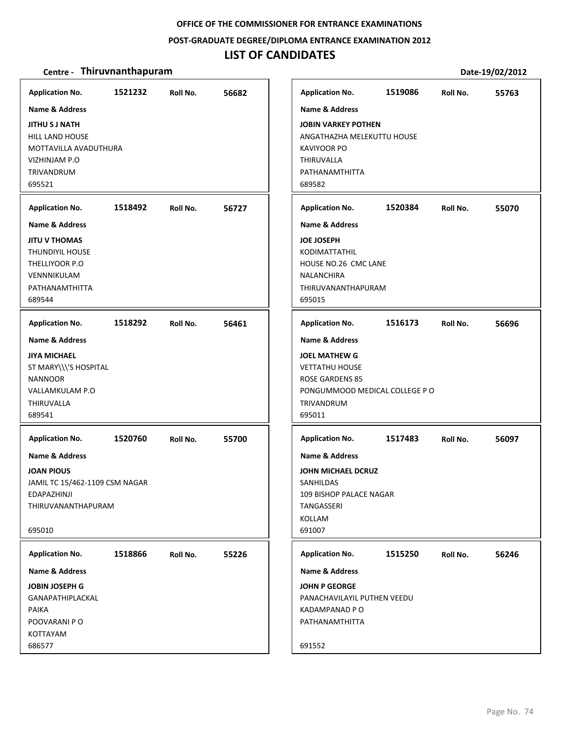#### **POST‐GRADUATE DEGREE/DIPLOMA ENTRANCE EXAMINATION 2012**

### **LIST OF CANDIDATES**

#### **Centre** • **Thiruvnanthapuram Date-19/02/2012**

695521

689544

NANNOOR

THIRUVALLA 689541

**JOAN PIOUS**

695010

PAIKA

KOTTAYAM 686577

**1521232 56682 JITHU S J NATH** HILL LAND HOUSE MOTTAVILLA AVADUTHURA VIZHINJAM P.O TRIVANDRUM **Application No. Name & Address 1518492 56727 JITU V THOMAS** THUNDIYIL HOUSE THELLIYOOR P.O VENNNIKULAM PATHANAMTHITTA **Application No. Name & Address 1518292 56461 JIYA MICHAEL** ST MARY\\\'S HOSPITAL VALLAMKULAM P.O **Application No. Name & Address 1520760 55700** JAMIL TC 15/462‐1109 CSM NAGAR EDAPAZHINJI THIRUVANANTHAPURAM **Application No. Name & Address 1518866 55226 JOBIN JOSEPH G** GANAPATHIPLACKAL POOVARANI P O **Application No. Name & Address 1519086 55763 JOBIN VARKEY POTHEN** ANGATHAZHA MELEKUTTU HOUSE KAVIYOOR PO THIRUVALLA PATHANAMTHITTA 689582 **Application No. Name & Address 1520384 55070 JOE JOSEPH** KODIMATTATHIL HOUSE NO.26 CMC LANE NALANCHIRA THIRUVANANTHAPURAM 695015 **Application No. Name & Address 1516173 56696 JOEL MATHEW G** VETTATHU HOUSE ROSE GARDENS 85 PONGUMMOOD MEDICAL COLLEGE P O TRIVANDRUM 695011 **Application No. Name & Address 1517483 56097 JOHN MICHAEL DCRUZ** SANHILDAS 109 BISHOP PALACE NAGAR TANGASSERI KOLLAM 691007 **Application No. Name & Address 1515250 56246 JOHN P GEORGE** PANACHAVILAYIL PUTHEN VEEDU KADAMPANAD P O PATHANAMTHITTA 691552 **Application No. Name & Address**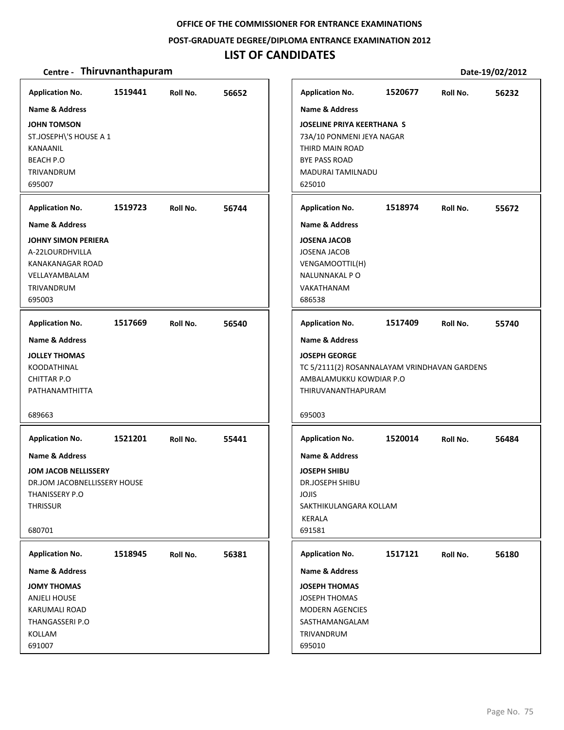#### **POST‐GRADUATE DEGREE/DIPLOMA ENTRANCE EXAMINATION 2012**

### **LIST OF CANDIDATES**

| <b>Application No.</b>       | 1519441 | Roll No. | 56652 | <b>Application No.</b>                       | 1520677 | Roll No. | 56232 |
|------------------------------|---------|----------|-------|----------------------------------------------|---------|----------|-------|
| <b>Name &amp; Address</b>    |         |          |       | <b>Name &amp; Address</b>                    |         |          |       |
| <b>JOHN TOMSON</b>           |         |          |       | <b>JOSELINE PRIYA KEERTHANA S</b>            |         |          |       |
| ST.JOSEPH\'S HOUSE A 1       |         |          |       | 73A/10 PONMENI JEYA NAGAR                    |         |          |       |
| KANAANIL                     |         |          |       | THIRD MAIN ROAD                              |         |          |       |
| <b>BEACH P.O</b>             |         |          |       | <b>BYE PASS ROAD</b>                         |         |          |       |
| TRIVANDRUM                   |         |          |       | <b>MADURAI TAMILNADU</b>                     |         |          |       |
| 695007                       |         |          |       | 625010                                       |         |          |       |
| <b>Application No.</b>       | 1519723 | Roll No. | 56744 | <b>Application No.</b>                       | 1518974 | Roll No. | 55672 |
| <b>Name &amp; Address</b>    |         |          |       | <b>Name &amp; Address</b>                    |         |          |       |
| <b>JOHNY SIMON PERIERA</b>   |         |          |       | <b>JOSENA JACOB</b>                          |         |          |       |
| A-22LOURDHVILLA              |         |          |       | <b>JOSENA JACOB</b>                          |         |          |       |
| <b>KANAKANAGAR ROAD</b>      |         |          |       | VENGAMOOTTIL(H)                              |         |          |       |
| VELLAYAMBALAM                |         |          |       | NALUNNAKAL PO                                |         |          |       |
| <b>TRIVANDRUM</b>            |         |          |       | VAKATHANAM                                   |         |          |       |
| 695003                       |         |          |       | 686538                                       |         |          |       |
| <b>Application No.</b>       | 1517669 | Roll No. | 56540 | <b>Application No.</b>                       | 1517409 | Roll No. | 55740 |
| <b>Name &amp; Address</b>    |         |          |       | <b>Name &amp; Address</b>                    |         |          |       |
| <b>JOLLEY THOMAS</b>         |         |          |       | <b>JOSEPH GEORGE</b>                         |         |          |       |
| <b>KOODATHINAL</b>           |         |          |       | TC 5/2111(2) ROSANNALAYAM VRINDHAVAN GARDENS |         |          |       |
| <b>CHITTAR P.O</b>           |         |          |       | AMBALAMUKKU KOWDIAR P.O                      |         |          |       |
| PATHANAMTHITTA               |         |          |       | THIRUVANANTHAPURAM                           |         |          |       |
| 689663                       |         |          |       | 695003                                       |         |          |       |
|                              |         |          |       |                                              |         |          |       |
| <b>Application No.</b>       | 1521201 | Roll No. | 55441 | <b>Application No.</b>                       | 1520014 | Roll No. | 56484 |
| <b>Name &amp; Address</b>    |         |          |       | <b>Name &amp; Address</b>                    |         |          |       |
| JOM JACOB NELLISSERY         |         |          |       | <b>JOSEPH SHIBU</b>                          |         |          |       |
| DR.JOM JACOBNELLISSERY HOUSE |         |          |       | DR.JOSEPH SHIBU                              |         |          |       |
| THANISSERY P.O               |         |          |       | JOJIS                                        |         |          |       |
| <b>THRISSUR</b>              |         |          |       | SAKTHIKULANGARA KOLLAM                       |         |          |       |
|                              |         |          |       | KERALA                                       |         |          |       |
| 680701                       |         |          |       | 691581                                       |         |          |       |
| <b>Application No.</b>       | 1518945 | Roll No. | 56381 | <b>Application No.</b>                       | 1517121 | Roll No. | 56180 |
| <b>Name &amp; Address</b>    |         |          |       | Name & Address                               |         |          |       |
| <b>JOMY THOMAS</b>           |         |          |       | <b>JOSEPH THOMAS</b>                         |         |          |       |
| <b>ANJELI HOUSE</b>          |         |          |       | <b>JOSEPH THOMAS</b>                         |         |          |       |
| <b>KARUMALI ROAD</b>         |         |          |       | <b>MODERN AGENCIES</b>                       |         |          |       |
| THANGASSERI P.O              |         |          |       | SASTHAMANGALAM                               |         |          |       |
| KOLLAM                       |         |          |       | TRIVANDRUM                                   |         |          |       |
| 691007                       |         |          |       | 695010                                       |         |          |       |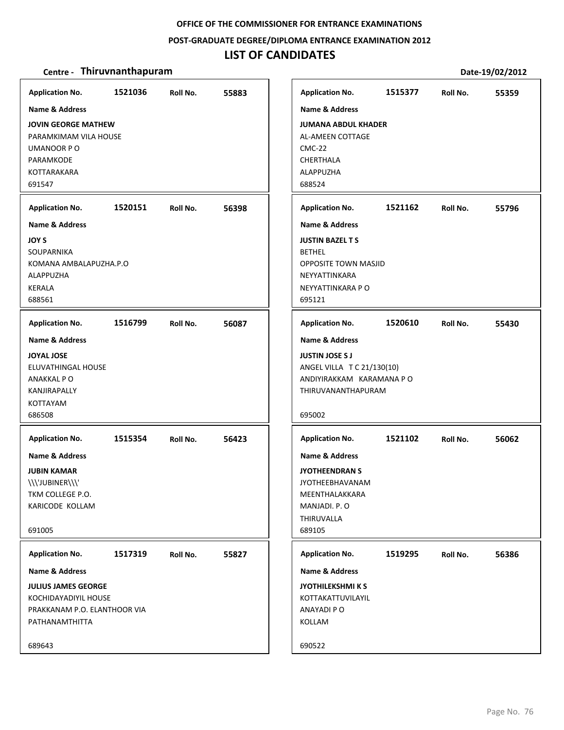#### **POST‐GRADUATE DEGREE/DIPLOMA ENTRANCE EXAMINATION 2012**

# **LIST OF CANDIDATES**

| <b>Application No.</b>                                                                                              | 1521036 | Roll No. | 55883 | <b>Application No.</b>                                                                                                                  | 1515377 | Roll No. | 55359 |
|---------------------------------------------------------------------------------------------------------------------|---------|----------|-------|-----------------------------------------------------------------------------------------------------------------------------------------|---------|----------|-------|
| Name & Address                                                                                                      |         |          |       | <b>Name &amp; Address</b>                                                                                                               |         |          |       |
| JOVIN GEORGE MATHEW<br>PARAMKIMAM VILA HOUSE<br>UMANOOR PO<br>PARAMKODE<br>KOTTARAKARA<br>691547                    |         |          |       | <b>JUMANA ABDUL KHADER</b><br>AL-AMEEN COTTAGE<br><b>CMC-22</b><br><b>CHERTHALA</b><br>ALAPPUZHA<br>688524                              |         |          |       |
| <b>Application No.</b>                                                                                              | 1520151 | Roll No. | 56398 | <b>Application No.</b>                                                                                                                  | 1521162 | Roll No. | 55796 |
| <b>Name &amp; Address</b>                                                                                           |         |          |       | <b>Name &amp; Address</b>                                                                                                               |         |          |       |
| JOY S<br>SOUPARNIKA<br>KOMANA AMBALAPUZHA.P.O<br>ALAPPUZHA<br><b>KERALA</b><br>688561                               |         |          |       | <b>JUSTIN BAZEL T S</b><br><b>BETHEL</b><br><b>OPPOSITE TOWN MASJID</b><br>NEYYATTINKARA<br>NEYYATTINKARA P O<br>695121                 |         |          |       |
| <b>Application No.</b>                                                                                              | 1516799 | Roll No. | 56087 | <b>Application No.</b>                                                                                                                  | 1520610 | Roll No. | 55430 |
| <b>Name &amp; Address</b>                                                                                           |         |          |       | Name & Address                                                                                                                          |         |          |       |
| <b>JOYAL JOSE</b><br>ELUVATHINGAL HOUSE<br>ANAKKAL PO<br>KANJIRAPALLY<br><b>KOTTAYAM</b><br>686508                  |         |          |       | <b>JUSTIN JOSE S J</b><br>ANGEL VILLA T C 21/130(10)<br>ANDIYIRAKKAM KARAMANA P O<br>THIRUVANANTHAPURAM<br>695002                       |         |          |       |
| <b>Application No.</b>                                                                                              | 1515354 | Roll No. | 56423 | <b>Application No.</b>                                                                                                                  | 1521102 | Roll No. | 56062 |
| <b>Name &amp; Address</b><br><b>JUBIN KAMAR</b><br>\\\'JUBINER\\\'<br>TKM COLLEGE P.O.<br>KARICODE KOLLAM<br>691005 |         |          |       | <b>Name &amp; Address</b><br><b>JYOTHEENDRAN S</b><br><b>JYOTHEEBHAVANAM</b><br>MEENTHALAKKARA<br>MANJADI. P. O<br>THIRUVALLA<br>689105 |         |          |       |
| <b>Application No.</b>                                                                                              | 1517319 | Roll No. | 55827 | <b>Application No.</b>                                                                                                                  | 1519295 | Roll No. | 56386 |
| Name & Address                                                                                                      |         |          |       | <b>Name &amp; Address</b>                                                                                                               |         |          |       |
| <b>JULIUS JAMES GEORGE</b><br>KOCHIDAYADIYIL HOUSE<br>PRAKKANAM P.O. ELANTHOOR VIA<br>PATHANAMTHITTA                |         |          |       | <b>JYOTHILEKSHMIKS</b><br>KOTTAKATTUVILAYIL<br>ANAYADI P O<br>KOLLAM                                                                    |         |          |       |
| 689643                                                                                                              |         |          |       | 690522                                                                                                                                  |         |          |       |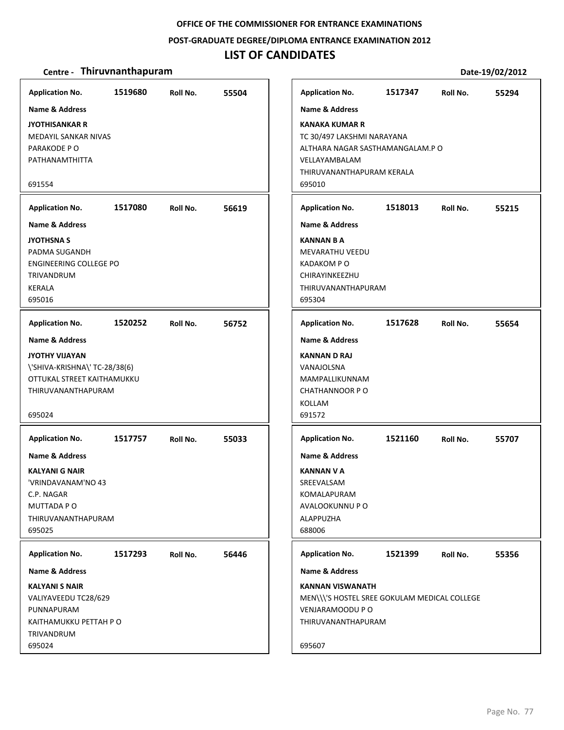#### **POST‐GRADUATE DEGREE/DIPLOMA ENTRANCE EXAMINATION 2012**

### **LIST OF CANDIDATES**

| <b>Application No.</b>                                                                                                                                          | 1519680 | Roll No. | 55504 | <b>Application No.</b>                                                                                                                                            | 1517347 | Roll No. | 55294 |
|-----------------------------------------------------------------------------------------------------------------------------------------------------------------|---------|----------|-------|-------------------------------------------------------------------------------------------------------------------------------------------------------------------|---------|----------|-------|
| Name & Address<br>JYOTHISANKAR R<br><b>MEDAYIL SANKAR NIVAS</b><br>PARAKODE PO<br>PATHANAMTHITTA<br>691554                                                      |         |          |       | Name & Address<br><b>KANAKA KUMAR R</b><br>TC 30/497 LAKSHMI NARAYANA<br>ALTHARA NAGAR SASTHAMANGALAM.P O<br>VELLAYAMBALAM<br>THIRUVANANTHAPURAM KERALA<br>695010 |         |          |       |
| <b>Application No.</b>                                                                                                                                          | 1517080 | Roll No. | 56619 | <b>Application No.</b>                                                                                                                                            | 1518013 | Roll No. | 55215 |
| <b>Name &amp; Address</b><br>JYOTHSNA S<br>PADMA SUGANDH<br>ENGINEERING COLLEGE PO<br>TRIVANDRUM<br><b>KERALA</b><br>695016                                     |         |          |       | <b>Name &amp; Address</b><br><b>KANNAN B A</b><br><b>MEVARATHU VEEDU</b><br><b>KADAKOM PO</b><br>CHIRAYINKEEZHU<br>THIRUVANANTHAPURAM<br>695304                   |         |          |       |
| <b>Application No.</b>                                                                                                                                          | 1520252 | Roll No. | 56752 | <b>Application No.</b>                                                                                                                                            | 1517628 | Roll No. | 55654 |
| Name & Address<br>JYOTHY VIJAYAN<br>\'SHIVA-KRISHNA\' TC-28/38(6)<br>OTTUKAL STREET KAITHAMUKKU<br>THIRUVANANTHAPURAM<br>695024                                 |         |          |       | <b>Name &amp; Address</b><br>KANNAN D RAJ<br>VANAJOLSNA<br>MAMPALLIKUNNAM<br>CHATHANNOOR PO<br>KOLLAM<br>691572                                                   |         |          |       |
| <b>Application No.</b><br><b>Name &amp; Address</b><br><b>KALYANI G NAIR</b><br>'VRINDAVANAM'NO 43<br>C.P. NAGAR<br>MUTTADA P O<br>THIRUVANANTHAPURAM<br>695025 | 1517757 | Roll No. | 55033 | <b>Application No.</b><br><b>Name &amp; Address</b><br>KANNAN V A<br>SREEVALSAM<br>KOMALAPURAM<br>AVALOOKUNNU P O<br>ALAPPUZHA<br>688006                          | 1521160 | Roll No. | 55707 |
| <b>Application No.</b><br><b>Name &amp; Address</b><br><b>KALYANI S NAIR</b><br>VALIYAVEEDU TC28/629                                                            | 1517293 | Roll No. | 56446 | <b>Application No.</b><br><b>Name &amp; Address</b><br>KANNAN VISWANATH<br>MEN\\\'S HOSTEL SREE GOKULAM MEDICAL COLLEGE                                           | 1521399 | Roll No. | 55356 |
| PUNNAPURAM<br>KAITHAMUKKU PETTAH P O<br>TRIVANDRUM<br>695024                                                                                                    |         |          |       | VENJARAMOODU P O<br>THIRUVANANTHAPURAM<br>695607                                                                                                                  |         |          |       |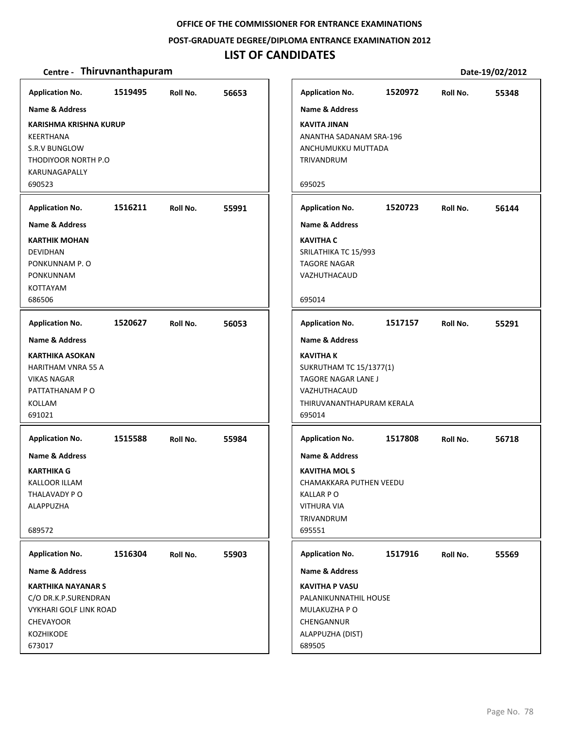**POST‐GRADUATE DEGREE/DIPLOMA ENTRANCE EXAMINATION 2012**

### **LIST OF CANDIDATES**

| <b>Application No.</b>        | 1519495 | Roll No. | 56653 | <b>Application No.</b>         | 1520972 | Roll No. | 55348 |
|-------------------------------|---------|----------|-------|--------------------------------|---------|----------|-------|
| <b>Name &amp; Address</b>     |         |          |       | <b>Name &amp; Address</b>      |         |          |       |
| <b>KARISHMA KRISHNA KURUP</b> |         |          |       | <b>KAVITA JINAN</b>            |         |          |       |
| KEERTHANA                     |         |          |       | ANANTHA SADANAM SRA-196        |         |          |       |
| <b>S.R.V BUNGLOW</b>          |         |          |       | ANCHUMUKKU MUTTADA             |         |          |       |
| THODIYOOR NORTH P.O.          |         |          |       | TRIVANDRUM                     |         |          |       |
| KARUNAGAPALLY                 |         |          |       |                                |         |          |       |
| 690523                        |         |          |       | 695025                         |         |          |       |
|                               |         |          |       |                                |         |          |       |
| <b>Application No.</b>        | 1516211 | Roll No. | 55991 | <b>Application No.</b>         | 1520723 | Roll No. | 56144 |
| <b>Name &amp; Address</b>     |         |          |       | <b>Name &amp; Address</b>      |         |          |       |
| <b>KARTHIK MOHAN</b>          |         |          |       | <b>KAVITHA C</b>               |         |          |       |
| <b>DEVIDHAN</b>               |         |          |       | SRILATHIKA TC 15/993           |         |          |       |
| PONKUNNAM P.O                 |         |          |       | <b>TAGORE NAGAR</b>            |         |          |       |
| <b>PONKUNNAM</b>              |         |          |       | VAZHUTHACAUD                   |         |          |       |
| <b>KOTTAYAM</b>               |         |          |       |                                |         |          |       |
| 686506                        |         |          |       | 695014                         |         |          |       |
| <b>Application No.</b>        | 1520627 | Roll No. | 56053 | <b>Application No.</b>         | 1517157 | Roll No. | 55291 |
| <b>Name &amp; Address</b>     |         |          |       | <b>Name &amp; Address</b>      |         |          |       |
| <b>KARTHIKA ASOKAN</b>        |         |          |       | <b>KAVITHA K</b>               |         |          |       |
| <b>HARITHAM VNRA 55 A</b>     |         |          |       | <b>SUKRUTHAM TC 15/1377(1)</b> |         |          |       |
| <b>VIKAS NAGAR</b>            |         |          |       | TAGORE NAGAR LANE J            |         |          |       |
| PATTATHANAM P O               |         |          |       | VAZHUTHACAUD                   |         |          |       |
| <b>KOLLAM</b>                 |         |          |       | THIRUVANANTHAPURAM KERALA      |         |          |       |
| 691021                        |         |          |       | 695014                         |         |          |       |
| <b>Application No.</b>        | 1515588 | Roll No. | 55984 | <b>Application No.</b>         | 1517808 | Roll No. | 56718 |
| <b>Name &amp; Address</b>     |         |          |       | <b>Name &amp; Address</b>      |         |          |       |
| <b>KARTHIKA G</b>             |         |          |       | <b>KAVITHA MOLS</b>            |         |          |       |
| KALLOOR ILLAM                 |         |          |       | CHAMAKKARA PUTHEN VEEDU        |         |          |       |
| THALAVADY PO                  |         |          |       | <b>KALLAR PO</b>               |         |          |       |
| <b>ALAPPUZHA</b>              |         |          |       | <b>VITHURA VIA</b>             |         |          |       |
|                               |         |          |       | TRIVANDRUM                     |         |          |       |
| 689572                        |         |          |       | 695551                         |         |          |       |
|                               |         |          |       |                                |         |          |       |
| <b>Application No.</b>        | 1516304 | Roll No. | 55903 | <b>Application No.</b>         | 1517916 | Roll No. | 55569 |
| <b>Name &amp; Address</b>     |         |          |       | <b>Name &amp; Address</b>      |         |          |       |
| <b>KARTHIKA NAYANAR S</b>     |         |          |       | <b>KAVITHA P VASU</b>          |         |          |       |
| C/O DR.K.P.SURENDRAN          |         |          |       | PALANIKUNNATHIL HOUSE          |         |          |       |
| VYKHARI GOLF LINK ROAD        |         |          |       | MULAKUZHA P O                  |         |          |       |
| <b>CHEVAYOOR</b>              |         |          |       | CHENGANNUR                     |         |          |       |
| KOZHIKODE                     |         |          |       | ALAPPUZHA (DIST)               |         |          |       |
| 673017                        |         |          |       | 689505                         |         |          |       |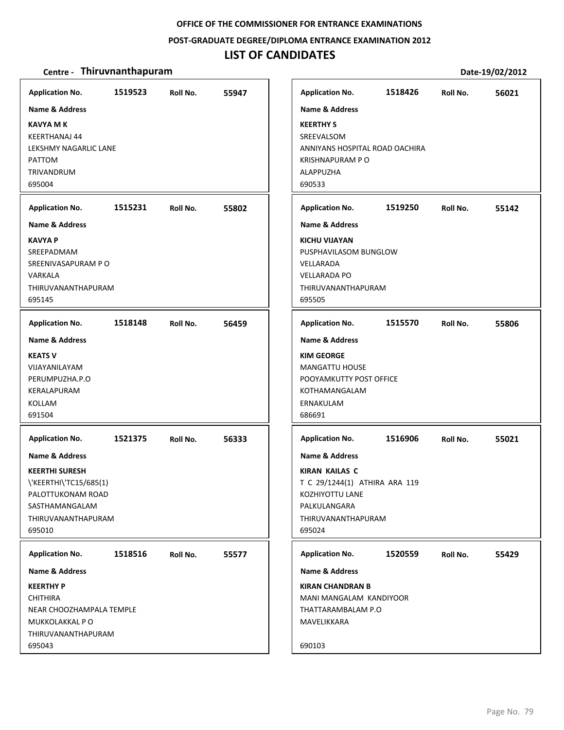#### **POST‐GRADUATE DEGREE/DIPLOMA ENTRANCE EXAMINATION 2012**

### **LIST OF CANDIDATES**

| <b>Application No.</b>                                                                                                                              | 1519523 | Roll No. | 55947 | <b>Application No.</b>                                                                                                                                 | 1518426 | Roll No. | 56021 |
|-----------------------------------------------------------------------------------------------------------------------------------------------------|---------|----------|-------|--------------------------------------------------------------------------------------------------------------------------------------------------------|---------|----------|-------|
| <b>Name &amp; Address</b>                                                                                                                           |         |          |       | <b>Name &amp; Address</b>                                                                                                                              |         |          |       |
| KAVYA M K<br>KEERTHANAJ 44<br>LEKSHMY NAGARLIC LANE<br>PATTOM<br>TRIVANDRUM<br>695004                                                               |         |          |       | <b>KEERTHY S</b><br>SREEVALSOM<br>ANNIYANS HOSPITAL ROAD OACHIRA<br><b>KRISHNAPURAM P O</b><br>ALAPPUZHA<br>690533                                     |         |          |       |
| <b>Application No.</b>                                                                                                                              | 1515231 | Roll No. | 55802 | <b>Application No.</b>                                                                                                                                 | 1519250 | Roll No. | 55142 |
| <b>Name &amp; Address</b>                                                                                                                           |         |          |       | <b>Name &amp; Address</b>                                                                                                                              |         |          |       |
| <b>KAVYA P</b><br>SREEPADMAM<br>SREENIVASAPURAM P O<br>VARKALA<br>THIRUVANANTHAPURAM<br>695145                                                      |         |          |       | <b>KICHU VIJAYAN</b><br>PUSPHAVILASOM BUNGLOW<br>VELLARADA<br><b>VELLARADA PO</b><br>THIRUVANANTHAPURAM<br>695505                                      |         |          |       |
| <b>Application No.</b>                                                                                                                              | 1518148 | Roll No. | 56459 | <b>Application No.</b>                                                                                                                                 | 1515570 | Roll No. | 55806 |
| <b>Name &amp; Address</b><br><b>KEATS V</b><br>VIJAYANILAYAM<br>PERUMPUZHA.P.O<br>KERALAPURAM<br>KOLLAM<br>691504                                   |         |          |       | <b>Name &amp; Address</b><br><b>KIM GEORGE</b><br><b>MANGATTU HOUSE</b><br>POOYAMKUTTY POST OFFICE<br>KOTHAMANGALAM<br>ERNAKULAM<br>686691             |         |          |       |
| <b>Application No.</b>                                                                                                                              | 1521375 | Roll No. | 56333 | <b>Application No.</b>                                                                                                                                 | 1516906 | Roll No. | 55021 |
| <b>Name &amp; Address</b><br><b>KEERTHI SURESH</b><br>\'KEERTHI\'TC15/685(1)<br>PALOTTUKONAM ROAD<br>SASTHAMANGALAM<br>THIRUVANANTHAPURAM<br>695010 |         |          |       | <b>Name &amp; Address</b><br><b>KIRAN KAILAS C</b><br>T C 29/1244(1) ATHIRA ARA 119<br>KOZHIYOTTU LANE<br>PALKULANGARA<br>THIRUVANANTHAPURAM<br>695024 |         |          |       |
| <b>Application No.</b>                                                                                                                              | 1518516 | Roll No. | 55577 | <b>Application No.</b>                                                                                                                                 | 1520559 | Roll No. | 55429 |
| <b>Name &amp; Address</b>                                                                                                                           |         |          |       | <b>Name &amp; Address</b>                                                                                                                              |         |          |       |
| <b>KEERTHY P</b><br><b>CHITHIRA</b><br>NEAR CHOOZHAMPALA TEMPLE<br>MUKKOLAKKAL P O<br>THIRUVANANTHAPURAM<br>695043                                  |         |          |       | <b>KIRAN CHANDRAN B</b><br>MANI MANGALAM KANDIYOOR<br>THATTARAMBALAM P.O<br>MAVELIKKARA<br>690103                                                      |         |          |       |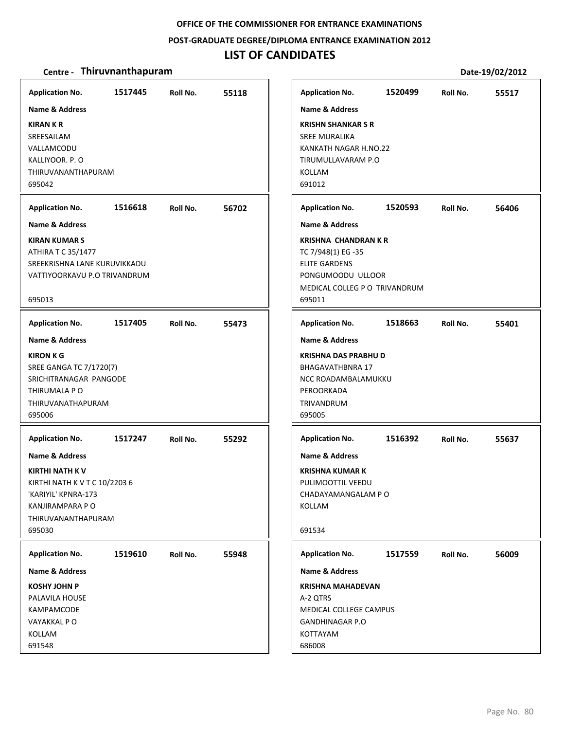#### **POST‐GRADUATE DEGREE/DIPLOMA ENTRANCE EXAMINATION 2012**

### **LIST OF CANDIDATES**

| <b>Application No.</b>                                                                                                                                                         | 1517445 | Roll No. | 55118 | <b>Application No.</b>                                                                                                                                                 | 1520499 | Roll No. | 55517 |
|--------------------------------------------------------------------------------------------------------------------------------------------------------------------------------|---------|----------|-------|------------------------------------------------------------------------------------------------------------------------------------------------------------------------|---------|----------|-------|
| <b>Name &amp; Address</b><br><b>KIRAN K R</b><br>SREESAILAM<br>VALLAMCODU<br>KALLIYOOR. P.O<br>THIRUVANANTHAPURAM<br>695042                                                    |         |          |       | <b>Name &amp; Address</b><br><b>KRISHN SHANKAR S R</b><br><b>SREE MURALIKA</b><br>KANKATH NAGAR H.NO.22<br>TIRUMULLAVARAM P.O<br><b>KOLLAM</b><br>691012               |         |          |       |
| <b>Application No.</b>                                                                                                                                                         | 1516618 | Roll No. | 56702 | <b>Application No.</b>                                                                                                                                                 | 1520593 | Roll No. | 56406 |
| <b>Name &amp; Address</b><br><b>KIRAN KUMAR S</b><br>ATHIRA T C 35/1477<br>SREEKRISHNA LANE KURUVIKKADU<br>VATTIYOORKAVU P.O TRIVANDRUM<br>695013                              |         |          |       | <b>Name &amp; Address</b><br><b>KRISHNA CHANDRAN K R</b><br>TC 7/948(1) EG -35<br><b>ELITE GARDENS</b><br>PONGUMOODU ULLOOR<br>MEDICAL COLLEG P O TRIVANDRUM<br>695011 |         |          |       |
| <b>Application No.</b>                                                                                                                                                         | 1517405 | Roll No. | 55473 | <b>Application No.</b>                                                                                                                                                 | 1518663 | Roll No. | 55401 |
| <b>Name &amp; Address</b><br><b>KIRON K G</b><br>SREE GANGA TC 7/1720(7)<br>SRICHITRANAGAR PANGODE<br>THIRUMALA P O<br>THIRUVANATHAPURAM<br>695006                             |         |          |       | <b>Name &amp; Address</b><br>KRISHNA DAS PRABHU D<br><b>BHAGAVATHBNRA 17</b><br>NCC ROADAMBALAMUKKU<br>PEROORKADA<br>TRIVANDRUM<br>695005                              |         |          |       |
| <b>Application No.</b><br>Name & Address<br><b>KIRTHI NATH K V</b><br>KIRTHI NATH K V T C 10/2203 6<br>'KARIYIL' KPNRA-173<br>KANJIRAMPARA P O<br>THIRUVANANTHAPURAM<br>695030 | 1517247 | Roll No. | 55292 | <b>Application No.</b><br><b>Name &amp; Address</b><br>KRISHNA KUMAR K<br>PULIMOOTTIL VEEDU<br>CHADAYAMANGALAM P O<br>KOLLAM<br>691534                                 | 1516392 | Roll No. | 55637 |
| <b>Application No.</b>                                                                                                                                                         | 1519610 | Roll No. | 55948 | <b>Application No.</b>                                                                                                                                                 | 1517559 | Roll No. | 56009 |
| <b>Name &amp; Address</b><br><b>KOSHY JOHN P</b><br>PALAVILA HOUSE<br>KAMPAMCODE<br>VAYAKKAL PO<br>KOLLAM<br>691548                                                            |         |          |       | <b>Name &amp; Address</b><br><b>KRISHNA MAHADEVAN</b><br>A-2 QTRS<br>MEDICAL COLLEGE CAMPUS<br><b>GANDHINAGAR P.O</b><br>KOTTAYAM<br>686008                            |         |          |       |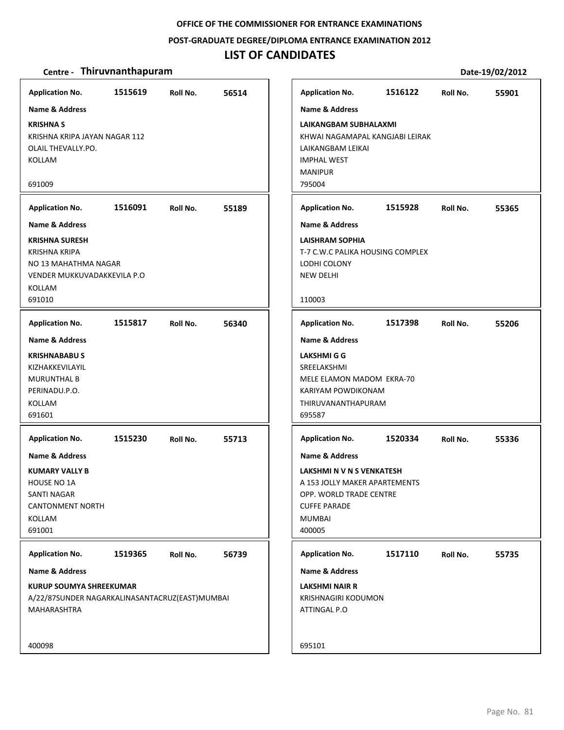#### **POST‐GRADUATE DEGREE/DIPLOMA ENTRANCE EXAMINATION 2012**

# **LIST OF CANDIDATES**

| <b>Application No.</b>                                                                                                      | 1515619 | Roll No. | 56514 | <b>Application No.</b>                                                                                                                                               | 1516122 | Roll No. | 55901 |
|-----------------------------------------------------------------------------------------------------------------------------|---------|----------|-------|----------------------------------------------------------------------------------------------------------------------------------------------------------------------|---------|----------|-------|
| <b>Name &amp; Address</b>                                                                                                   |         |          |       | <b>Name &amp; Address</b>                                                                                                                                            |         |          |       |
| <b>KRISHNA S</b><br>KRISHNA KRIPA JAYAN NAGAR 112<br>OLAIL THEVALLY.PO.<br>KOLLAM<br>691009                                 |         |          |       | LAIKANGBAM SUBHALAXMI<br>KHWAI NAGAMAPAL KANGJABI LEIRAK<br>LAIKANGBAM LEIKAI<br><b>IMPHAL WEST</b><br><b>MANIPUR</b><br>795004                                      |         |          |       |
|                                                                                                                             |         |          |       |                                                                                                                                                                      |         |          |       |
| <b>Application No.</b>                                                                                                      | 1516091 | Roll No. | 55189 | <b>Application No.</b>                                                                                                                                               | 1515928 | Roll No. | 55365 |
| <b>Name &amp; Address</b>                                                                                                   |         |          |       | <b>Name &amp; Address</b>                                                                                                                                            |         |          |       |
| KRISHNA SURESH<br>KRISHNA KRIPA<br>NO 13 MAHATHMA NAGAR<br>VENDER MUKKUVADAKKEVILA P.O<br>KOLLAM<br>691010                  |         |          |       | <b>LAISHRAM SOPHIA</b><br>T-7 C.W.C PALIKA HOUSING COMPLEX<br>LODHI COLONY<br><b>NEW DELHI</b><br>110003                                                             |         |          |       |
| <b>Application No.</b>                                                                                                      | 1515817 | Roll No. | 56340 | <b>Application No.</b>                                                                                                                                               | 1517398 | Roll No. | 55206 |
| Name & Address                                                                                                              |         |          |       | <b>Name &amp; Address</b>                                                                                                                                            |         |          |       |
| <b>KRISHNABABU S</b><br>KIZHAKKEVILAYIL<br><b>MURUNTHAL B</b><br>PERINADU.P.O.<br>KOLLAM<br>691601                          |         |          |       | LAKSHMI G G<br>SREELAKSHMI<br>MELE ELAMON MADOM EKRA-70<br>KARIYAM POWDIKONAM<br>THIRUVANANTHAPURAM<br>695587                                                        |         |          |       |
| <b>Application No.</b>                                                                                                      | 1515230 | Roll No. | 55713 | <b>Application No.</b>                                                                                                                                               | 1520334 | Roll No. | 55336 |
| Name & Address<br>KUMARY VALLY B<br><b>HOUSE NO 1A</b><br><b>SANTI NAGAR</b><br><b>CANTONMENT NORTH</b><br>KOLLAM<br>691001 |         |          |       | <b>Name &amp; Address</b><br>LAKSHMI N V N S VENKATESH<br>A 153 JOLLY MAKER APARTEMENTS<br>OPP. WORLD TRADE CENTRE<br><b>CUFFE PARADE</b><br><b>MUMBAI</b><br>400005 |         |          |       |
| <b>Application No.</b>                                                                                                      | 1519365 | Roll No. | 56739 | <b>Application No.</b>                                                                                                                                               | 1517110 | Roll No. | 55735 |
| Name & Address                                                                                                              |         |          |       | <b>Name &amp; Address</b>                                                                                                                                            |         |          |       |
| <b>KURUP SOUMYA SHREEKUMAR</b><br>A/22/87SUNDER NAGARKALINASANTACRUZ(EAST)MUMBAI<br><b>MAHARASHTRA</b>                      |         |          |       | <b>LAKSHMI NAIR R</b><br><b>KRISHNAGIRI KODUMON</b><br>ATTINGAL P.O                                                                                                  |         |          |       |
| 400098                                                                                                                      |         |          |       | 695101                                                                                                                                                               |         |          |       |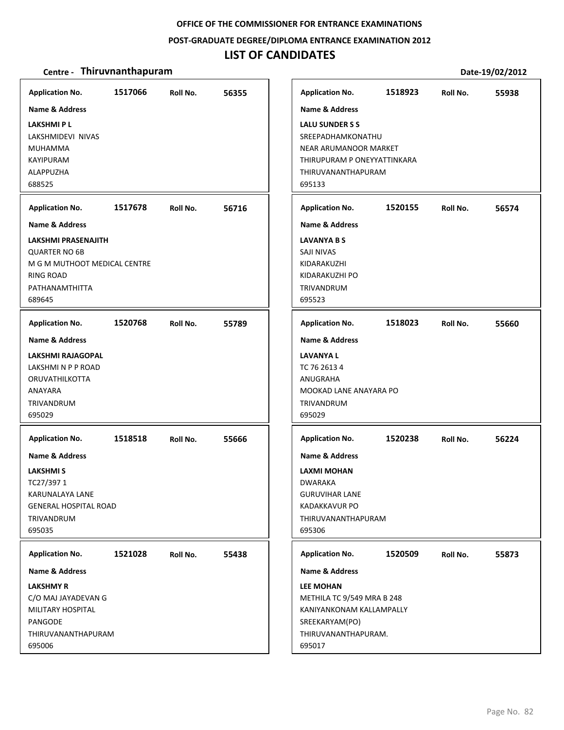#### **POST‐GRADUATE DEGREE/DIPLOMA ENTRANCE EXAMINATION 2012**

### **LIST OF CANDIDATES**

#### **Centre** • **Thiruvnanthapuram Date-19/02/2012**

**1517066 56355 LAKSHMI P L** LAKSHMIDEVI NIVAS MUHAMMA KAYIPURAM ALAPPUZHA 688525 **Application No. Name & Address 1517678 56716 LAKSHMI PRASENAJITH** QUARTER NO 6B M G M MUTHOOT MEDICAL CENTRE RING ROAD PATHANAMTHITTA 689645 **Application No. Name & Address 1520768 55789 LAKSHMI RAJAGOPAL** LAKSHMI N P P ROAD ORUVATHILKOTTA ANAYARA TRIVANDRUM 695029 **Application No. Name & Address 1518518 55666 LAKSHMI S** TC27/397 1 KARUNALAYA LANE GENERAL HOSPITAL ROAD TRIVANDRUM 695035 **Application No. Name & Address 1521028 55438 LAKSHMY R** C/O MAJ JAYADEVAN G MILITARY HOSPITAL **PANGODE** THIRUVANANTHAPURAM 695006 **Application No. Name & Address 1518923 55938 LALU SUNDER S S** SREEPADHAMKONATHU NEAR ARUMANOOR MARKET THIRUPURAM P ONEYYATTINKARA THIRUVANANTHAPURAM 695133 **Application No. Name & Address 1520155 56574 LAVANYA B S** SAJI NIVAS KIDARAKUZHI KIDARAKUZHI PO TRIVANDRUM 695523 **Application No. Name & Address 1518023 55660 LAVANYA L** TC 76 2613 4 ANUGRAHA MOOKAD LANE ANAYARA PO TRIVANDRUM 695029 **Application No. Name & Address 1520238 56224 LAXMI MOHAN** DWARAKA GURUVIHAR LANE KADAKKAVUR PO THIRUVANANTHAPURAM 695306 **Application No. Name & Address 1520509 55873 LEE MOHAN** METHILA TC 9/549 MRA B 248 KANIYANKONAM KALLAMPALLY SREEKARYAM(PO) THIRUVANANTHAPURAM. 695017 **Application No. Name & Address**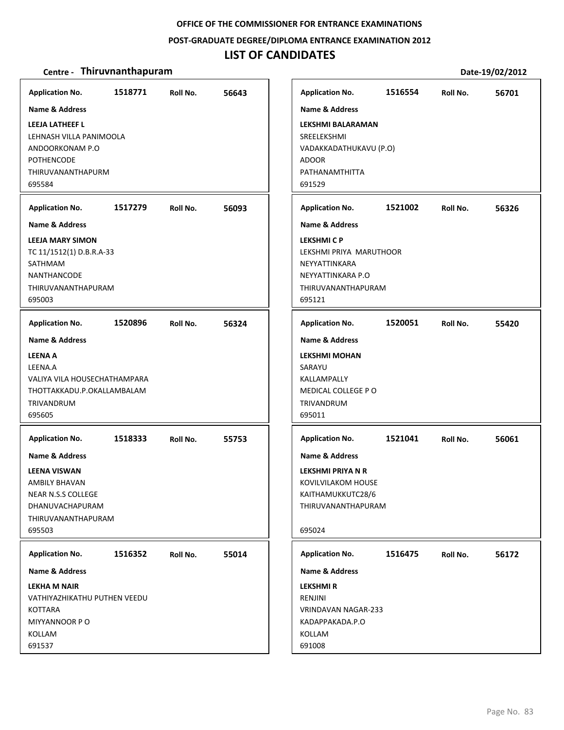#### **POST‐GRADUATE DEGREE/DIPLOMA ENTRANCE EXAMINATION 2012**

### **LIST OF CANDIDATES**

| <b>Application No.</b>                                                                                                                                                      | 1518771 | Roll No. | 56643 |
|-----------------------------------------------------------------------------------------------------------------------------------------------------------------------------|---------|----------|-------|
| Name & Address<br><b>LEEJA LATHEEF L</b><br>LEHNASH VILLA PANIMOOLA<br>ANDOORKONAM P.O<br><b>POTHENCODE</b><br>THIRUVANANTHAPURM                                            |         |          |       |
| 695584                                                                                                                                                                      | 1517279 |          | 56093 |
| <b>Application No.</b><br><b>Name &amp; Address</b>                                                                                                                         |         | Roll No. |       |
| <b>LEEJA MARY SIMON</b><br>TC 11/1512(1) D.B.R.A-33<br>SATHMAM<br><b>NANTHANCODE</b><br>THIRUVANANTHAPURAM<br>695003                                                        |         |          |       |
| <b>Application No.</b>                                                                                                                                                      | 1520896 | Roll No. | 56324 |
| <b>Name &amp; Address</b><br><b>LEENA A</b><br>LEENA.A<br>VALIYA VILA HOUSECHATHAMPARA<br>THOTTAKKADU.P.OKALLAMBALAM<br>TRIVANDRUM<br>695605                                |         |          |       |
| <b>Application No.</b><br><b>Name &amp; Address</b><br><b>LEENA VISWAN</b><br><b>AMBILY BHAVAN</b><br>NEAR N.S.S COLLEGE<br>DHANUVACHAPURAM<br>THIRUVANANTHAPURAM<br>695503 | 1518333 | Roll No. | 55753 |
| <b>Application No.</b>                                                                                                                                                      | 1516352 | Roll No. | 55014 |
| Name & Address                                                                                                                                                              |         |          |       |
| <b>LEKHA M NAIR</b><br>VATHIYAZHIKATHU PUTHEN VEEDU<br><b>KOTTARA</b><br>MIYYANNOOR PO<br>KOLLAM<br>691537                                                                  |         |          |       |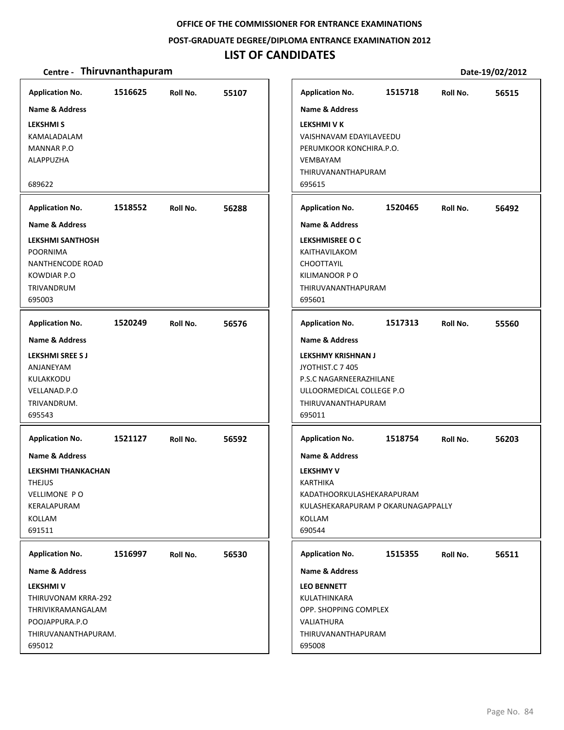#### **POST‐GRADUATE DEGREE/DIPLOMA ENTRANCE EXAMINATION 2012**

# **LIST OF CANDIDATES**

| <b>Application No.</b><br><b>Name &amp; Address</b><br><b>LEKSHMIS</b><br>KAMALADALAM<br><b>MANNAR P.O</b><br>ALAPPUZHA<br>689622                                   | 1516625 | Roll No. | 55107 | <b>Application No.</b><br>Name & Address<br><b>LEKSHMI V K</b><br>VAISHNAVAM EDAYILAVEEDU<br>PERUMKOOR KONCHIRA.P.O.<br><b>VEMBAYAM</b><br>THIRUVANANTHAPURAM<br>695615           | 1515718 | Roll No. | 56515 |
|---------------------------------------------------------------------------------------------------------------------------------------------------------------------|---------|----------|-------|-----------------------------------------------------------------------------------------------------------------------------------------------------------------------------------|---------|----------|-------|
| <b>Application No.</b><br><b>Name &amp; Address</b><br><b>LEKSHMI SANTHOSH</b><br><b>POORNIMA</b><br>NANTHENCODE ROAD<br><b>KOWDIAR P.O</b><br>TRIVANDRUM<br>695003 | 1518552 | Roll No. | 56288 | <b>Application No.</b><br><b>Name &amp; Address</b><br>LEKSHMISREE O C<br>KAITHAVILAKOM<br><b>CHOOTTAYIL</b><br>KILIMANOOR PO<br>THIRUVANANTHAPURAM<br>695601                     | 1520465 | Roll No. | 56492 |
| <b>Application No.</b><br><b>Name &amp; Address</b><br><b>LEKSHMI SREE S J</b><br>ANJANEYAM<br>KULAKKODU<br>VELLANAD.P.O<br>TRIVANDRUM.<br>695543                   | 1520249 | Roll No. | 56576 | <b>Application No.</b><br>Name & Address<br><b>LEKSHMY KRISHNAN J</b><br>JYOTHIST.C 7 405<br>P.S.C NAGARNEERAZHILANE<br>ULLOORMEDICAL COLLEGE P.O<br>THIRUVANANTHAPURAM<br>695011 | 1517313 | Roll No. | 55560 |
| <b>Application No.</b><br><b>Name &amp; Address</b><br><b>LEKSHMI THANKACHAN</b><br><b>THEJUS</b><br><b>VELLIMONE PO</b><br>KERALAPURAM<br>KOLLAM<br>691511         | 1521127 | Roll No. | 56592 | <b>Application No.</b><br><b>Name &amp; Address</b><br><b>LEKSHMY V</b><br>KARTHIKA<br>KADATHOORKULASHEKARAPURAM<br>KULASHEKARAPURAM P OKARUNAGAPPALLY<br>KOLLAM<br>690544        | 1518754 | Roll No. | 56203 |
| <b>Application No.</b><br>Name & Address<br><b>LEKSHMIV</b><br>THIRUVONAM KRRA-292<br>THRIVIKRAMANGALAM<br>POOJAPPURA.P.O<br>THIRUVANANTHAPURAM.<br>695012          | 1516997 | Roll No. | 56530 | <b>Application No.</b><br>Name & Address<br><b>LEO BENNETT</b><br>KULATHINKARA<br>OPP. SHOPPING COMPLEX<br>VALIATHURA<br>THIRUVANANTHAPURAM<br>695008                             | 1515355 | Roll No. | 56511 |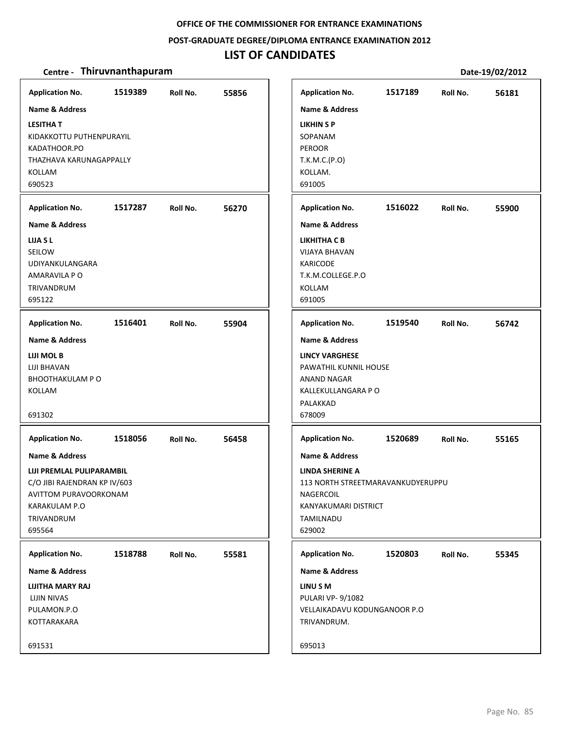#### **POST‐GRADUATE DEGREE/DIPLOMA ENTRANCE EXAMINATION 2012**

# **LIST OF CANDIDATES**

| <b>Application No.</b>                                                                                                                        | 1519389 | Roll No. | 55856 | <b>Application No.</b>                                                                                                                               | 1517189 | Roll No. | 56181 |
|-----------------------------------------------------------------------------------------------------------------------------------------------|---------|----------|-------|------------------------------------------------------------------------------------------------------------------------------------------------------|---------|----------|-------|
| <b>Name &amp; Address</b><br><b>LESITHAT</b><br>KIDAKKOTTU PUTHENPURAYIL<br>KADATHOOR.PO<br>THAZHAVA KARUNAGAPPALLY<br>KOLLAM<br>690523       |         |          |       | <b>Name &amp; Address</b><br>LIKHIN S P<br>SOPANAM<br><b>PEROOR</b><br>T.K.M.C.(P.O)<br>KOLLAM.<br>691005                                            |         |          |       |
| <b>Application No.</b>                                                                                                                        | 1517287 | Roll No. | 56270 | <b>Application No.</b>                                                                                                                               | 1516022 | Roll No. | 55900 |
| <b>Name &amp; Address</b><br>LIJA S L<br>SEILOW<br>UDIYANKULANGARA<br>AMARAVILA P O<br>TRIVANDRUM<br>695122                                   |         |          |       | <b>Name &amp; Address</b><br>LIKHITHA C B<br><b>VIJAYA BHAVAN</b><br><b>KARICODE</b><br>T.K.M.COLLEGE.P.O<br>KOLLAM<br>691005                        |         |          |       |
| <b>Application No.</b>                                                                                                                        | 1516401 | Roll No. | 55904 | <b>Application No.</b>                                                                                                                               | 1519540 | Roll No. | 56742 |
| <b>Name &amp; Address</b><br>LIJI MOL B<br>LIJI BHAVAN<br><b>BHOOTHAKULAM PO</b><br>KOLLAM<br>691302                                          |         |          |       | <b>Name &amp; Address</b><br><b>LINCY VARGHESE</b><br>PAWATHIL KUNNIL HOUSE<br>ANAND NAGAR<br>KALLEKULLANGARA P O<br>PALAKKAD<br>678009              |         |          |       |
| <b>Application No.</b>                                                                                                                        | 1518056 | Roll No. | 56458 | <b>Application No.</b>                                                                                                                               | 1520689 | Roll No. | 55165 |
| Name & Address<br>LIJI PREMLAL PULIPARAMBIL<br>C/O JIBI RAJENDRAN KP IV/603<br>AVITTOM PURAVOORKONAM<br>KARAKULAM P.O<br>TRIVANDRUM<br>695564 |         |          |       | <b>Name &amp; Address</b><br><b>LINDA SHERINE A</b><br>113 NORTH STREETMARAVANKUDYERUPPU<br>NAGERCOIL<br>KANYAKUMARI DISTRICT<br>TAMILNADU<br>629002 |         |          |       |
| <b>Application No.</b>                                                                                                                        | 1518788 | Roll No. | 55581 | <b>Application No.</b>                                                                                                                               | 1520803 | Roll No. | 55345 |
| <b>Name &amp; Address</b><br>LIJITHA MARY RAJ<br>LIJIN NIVAS<br>PULAMON.P.O<br>KOTTARAKARA<br>691531                                          |         |          |       | <b>Name &amp; Address</b><br>LINU S M<br><b>PULARI VP-9/1082</b><br>VELLAIKADAVU KODUNGANOOR P.O<br>TRIVANDRUM.<br>695013                            |         |          |       |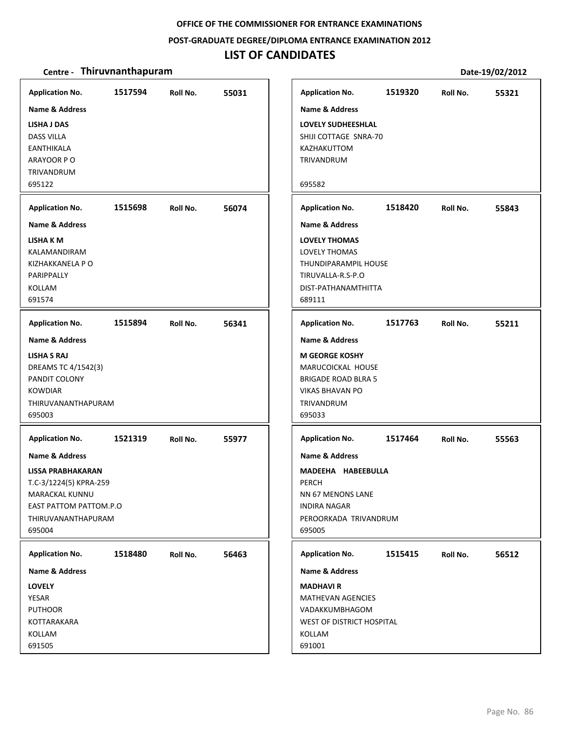#### **POST‐GRADUATE DEGREE/DIPLOMA ENTRANCE EXAMINATION 2012**

### **LIST OF CANDIDATES**

| <b>Application No.</b>                                                                                                         | 1517594 | Roll No. | 55031 | <b>Application No.</b>                                                                                                     | 1519320 | Roll No. | 55321 |
|--------------------------------------------------------------------------------------------------------------------------------|---------|----------|-------|----------------------------------------------------------------------------------------------------------------------------|---------|----------|-------|
| Name & Address<br>LISHA J DAS<br><b>DASS VILLA</b><br>EANTHIKALA<br>ARAYOOR PO<br>TRIVANDRUM<br>695122                         |         |          |       | <b>Name &amp; Address</b><br><b>LOVELY SUDHEESHLAL</b><br>SHIJI COTTAGE SNRA-70<br>KAZHAKUTTOM<br>TRIVANDRUM<br>695582     |         |          |       |
| <b>Application No.</b>                                                                                                         | 1515698 | Roll No. | 56074 | <b>Application No.</b>                                                                                                     | 1518420 | Roll No. | 55843 |
| Name & Address                                                                                                                 |         |          |       | <b>Name &amp; Address</b>                                                                                                  |         |          |       |
| LISHA K M<br>KALAMANDIRAM<br>KIZHAKKANELA P O<br>PARIPPALLY<br>KOLLAM<br>691574                                                |         |          |       | <b>LOVELY THOMAS</b><br>LOVELY THOMAS<br>THUNDIPARAMPIL HOUSE<br>TIRUVALLA-R.S-P.O<br>DIST-PATHANAMTHITTA<br>689111        |         |          |       |
| <b>Application No.</b>                                                                                                         | 1515894 | Roll No. | 56341 | <b>Application No.</b>                                                                                                     | 1517763 | Roll No. | 55211 |
| <b>Name &amp; Address</b>                                                                                                      |         |          |       | <b>Name &amp; Address</b>                                                                                                  |         |          |       |
| <b>LISHA S RAJ</b><br>DREAMS TC 4/1542(3)<br>PANDIT COLONY<br><b>KOWDIAR</b><br>THIRUVANANTHAPURAM<br>695003                   |         |          |       | <b>M GEORGE KOSHY</b><br>MARUCOICKAL HOUSE<br><b>BRIGADE ROAD BLRA 5</b><br><b>VIKAS BHAVAN PO</b><br>TRIVANDRUM<br>695033 |         |          |       |
| <b>Application No.</b>                                                                                                         | 1521319 | Roll No. | 55977 | <b>Application No.</b>                                                                                                     | 1517464 | Roll No. | 55563 |
| Name & Address                                                                                                                 |         |          |       | Name & Address                                                                                                             |         |          |       |
| <b>LISSA PRABHAKARAN</b><br>T.C-3/1224(5) KPRA-259<br>MARACKAL KUNNU<br>EAST PATTOM PATTOM.P.O<br>THIRUVANANTHAPURAM<br>695004 |         |          |       | MADEEHA HABEEBULLA<br>PERCH<br>NN 67 MENONS LANE<br><b>INDIRA NAGAR</b><br>PEROORKADA TRIVANDRUM<br>695005                 |         |          |       |
| <b>Application No.</b>                                                                                                         | 1518480 | Roll No. | 56463 | <b>Application No.</b>                                                                                                     | 1515415 | Roll No. | 56512 |
| <b>Name &amp; Address</b>                                                                                                      |         |          |       | <b>Name &amp; Address</b>                                                                                                  |         |          |       |
| <b>LOVELY</b><br>YESAR<br><b>PUTHOOR</b><br>KOTTARAKARA<br>KOLLAM<br>691505                                                    |         |          |       | <b>MADHAVI R</b><br><b>MATHEVAN AGENCIES</b><br>VADAKKUMBHAGOM<br>WEST OF DISTRICT HOSPITAL<br>KOLLAM<br>691001            |         |          |       |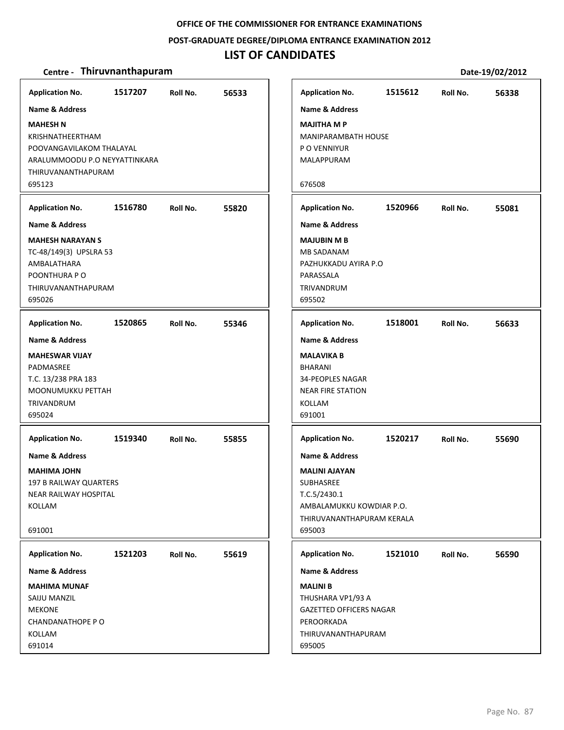**POST‐GRADUATE DEGREE/DIPLOMA ENTRANCE EXAMINATION 2012**

### **LIST OF CANDIDATES**

| <b>Application No.</b>        | 1517207 | Roll No. | 56533 | <b>Application No.</b>         | 1515612 | Roll No. | 56338 |
|-------------------------------|---------|----------|-------|--------------------------------|---------|----------|-------|
| Name & Address                |         |          |       | <b>Name &amp; Address</b>      |         |          |       |
| <b>MAHESH N</b>               |         |          |       | <b>MAJITHA M P</b>             |         |          |       |
| KRISHNATHEERTHAM              |         |          |       | <b>MANIPARAMBATH HOUSE</b>     |         |          |       |
| POOVANGAVILAKOM THALAYAL      |         |          |       | P O VENNIYUR                   |         |          |       |
| ARALUMMOODU P.O NEYYATTINKARA |         |          |       | MALAPPURAM                     |         |          |       |
| THIRUVANANTHAPURAM            |         |          |       |                                |         |          |       |
| 695123                        |         |          |       | 676508                         |         |          |       |
|                               |         |          |       |                                |         |          |       |
| <b>Application No.</b>        | 1516780 | Roll No. | 55820 | <b>Application No.</b>         | 1520966 | Roll No. | 55081 |
| <b>Name &amp; Address</b>     |         |          |       | <b>Name &amp; Address</b>      |         |          |       |
| <b>MAHESH NARAYAN S</b>       |         |          |       | <b>MAJUBIN M B</b>             |         |          |       |
| TC-48/149(3) UPSLRA 53        |         |          |       | <b>MB SADANAM</b>              |         |          |       |
| AMBALATHARA                   |         |          |       | PAZHUKKADU AYIRA P.O           |         |          |       |
| POONTHURA PO                  |         |          |       | PARASSALA                      |         |          |       |
| THIRUVANANTHAPURAM            |         |          |       | <b>TRIVANDRUM</b>              |         |          |       |
| 695026                        |         |          |       | 695502                         |         |          |       |
| <b>Application No.</b>        | 1520865 | Roll No. | 55346 | <b>Application No.</b>         | 1518001 | Roll No. | 56633 |
| <b>Name &amp; Address</b>     |         |          |       | <b>Name &amp; Address</b>      |         |          |       |
| <b>MAHESWAR VIJAY</b>         |         |          |       | <b>MALAVIKA B</b>              |         |          |       |
| PADMASREE                     |         |          |       | <b>BHARANI</b>                 |         |          |       |
| T.C. 13/238 PRA 183           |         |          |       | 34-PEOPLES NAGAR               |         |          |       |
| MOONUMUKKU PETTAH             |         |          |       | <b>NEAR FIRE STATION</b>       |         |          |       |
| <b>TRIVANDRUM</b>             |         |          |       | <b>KOLLAM</b>                  |         |          |       |
| 695024                        |         |          |       | 691001                         |         |          |       |
|                               |         |          |       |                                |         |          |       |
| <b>Application No.</b>        | 1519340 | Roll No. | 55855 | <b>Application No.</b>         | 1520217 | Roll No. | 55690 |
| <b>Name &amp; Address</b>     |         |          |       | <b>Name &amp; Address</b>      |         |          |       |
| <b>MAHIMA JOHN</b>            |         |          |       | <b>MALINI AJAYAN</b>           |         |          |       |
| 197 B RAILWAY QUARTERS        |         |          |       | SUBHASREE                      |         |          |       |
| NEAR RAILWAY HOSPITAL         |         |          |       | T.C.5/2430.1                   |         |          |       |
| KOLLAM                        |         |          |       | AMBALAMUKKU KOWDIAR P.O.       |         |          |       |
|                               |         |          |       | THIRUVANANTHAPURAM KERALA      |         |          |       |
| 691001                        |         |          |       | 695003                         |         |          |       |
| <b>Application No.</b>        | 1521203 | Roll No. | 55619 | <b>Application No.</b>         | 1521010 | Roll No. | 56590 |
| Name & Address                |         |          |       | <b>Name &amp; Address</b>      |         |          |       |
| <b>MAHIMA MUNAF</b>           |         |          |       | <b>MALINI B</b>                |         |          |       |
| SAIJU MANZIL                  |         |          |       | THUSHARA VP1/93 A              |         |          |       |
| <b>MEKONE</b>                 |         |          |       | <b>GAZETTED OFFICERS NAGAR</b> |         |          |       |
| CHANDANATHOPE PO              |         |          |       | PEROORKADA                     |         |          |       |
| KOLLAM                        |         |          |       | THIRUVANANTHAPURAM             |         |          |       |
| 691014                        |         |          |       | 695005                         |         |          |       |
|                               |         |          |       |                                |         |          |       |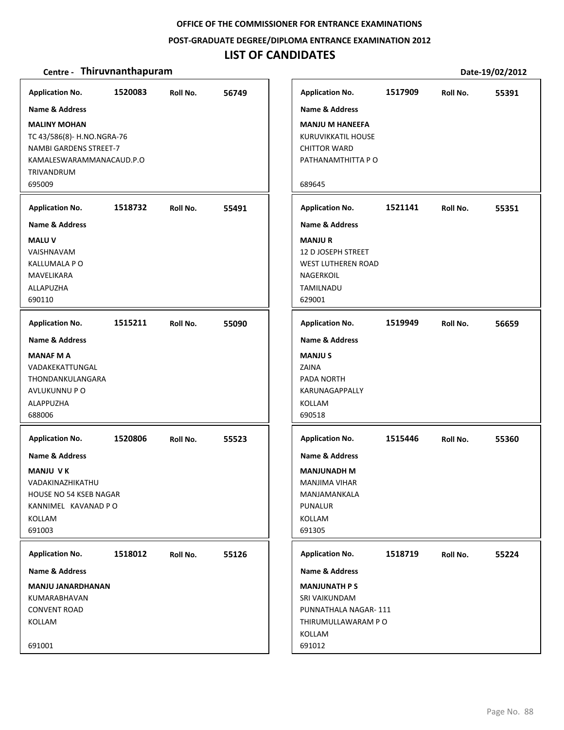**POST‐GRADUATE DEGREE/DIPLOMA ENTRANCE EXAMINATION 2012**

### **LIST OF CANDIDATES**

| <b>Application No.</b>                                                                                                                                       | 1520083 | Roll No. | 56749 |
|--------------------------------------------------------------------------------------------------------------------------------------------------------------|---------|----------|-------|
| <b>Name &amp; Address</b>                                                                                                                                    |         |          |       |
| <b>MALINY MOHAN</b><br>TC 43/586(8)- H.NO.NGRA-76<br>NAMBI GARDENS STREET-7<br>KAMALESWARAMMANACAUD.P.O<br>TRIVANDRUM<br>695009                              |         |          |       |
|                                                                                                                                                              | 1518732 |          |       |
| <b>Application No.</b><br>Name & Address                                                                                                                     |         | Roll No. | 55491 |
| <b>MALU V</b><br>VAISHNAVAM<br><b>KALLUMALA P O</b><br>MAVELIKARA<br>ALLAPUZHA<br>690110                                                                     |         |          |       |
| <b>Application No.</b>                                                                                                                                       | 1515211 | Roll No. | 55090 |
| <b>Name &amp; Address</b><br><b>MANAF M A</b><br>VADAKEKATTUNGAL<br>THONDANKULANGARA<br>AVLUKUNNU P O<br>ALAPPUZHA<br>688006                                 |         |          |       |
| <b>Application No.</b><br>Name & Address<br><b>MANJU VK</b><br>VADAKINAZHIKATHU<br><b>HOUSE NO 54 KSEB NAGAR</b><br>KANNIMEL KAVANAD P O<br>KOLLAM<br>691003 | 1520806 | Roll No. | 55523 |
|                                                                                                                                                              |         |          |       |
| <b>Application No.</b><br>Name & Address                                                                                                                     | 1518012 | Roll No. | 55126 |
| <b>MANJU JANARDHANAN</b><br>KUMARABHAVAN<br><b>CONVENT ROAD</b><br>KOLLAM<br>691001                                                                          |         |          |       |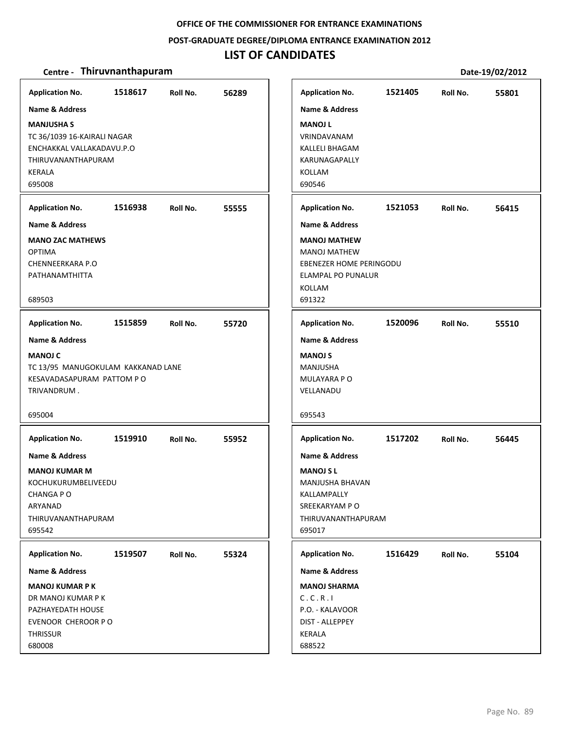**POST‐GRADUATE DEGREE/DIPLOMA ENTRANCE EXAMINATION 2012**

### **LIST OF CANDIDATES**

| <b>Application No.</b><br>Name & Address<br><b>MANJUSHA S</b><br>TC 36/1039 16-KAIRALI NAGAR<br>ENCHAKKAL VALLAKADAVU.P.O<br>THIRUVANANTHAPURAM<br><b>KERALA</b><br>695008   | 1518617 | Roll No. | 56289 | <b>Application No.</b><br><b>Name &amp; Address</b><br><b>MANOJ L</b><br>VRINDAVANAM<br>KALLELI BHAGAM<br>KARUNAGAPALLY<br>KOLLAM<br>690546                            | 1521405 | Roll No. | 55801 |
|------------------------------------------------------------------------------------------------------------------------------------------------------------------------------|---------|----------|-------|------------------------------------------------------------------------------------------------------------------------------------------------------------------------|---------|----------|-------|
| <b>Application No.</b><br><b>Name &amp; Address</b><br><b>MANO ZAC MATHEWS</b><br><b>OPTIMA</b><br><b>CHENNEERKARA P.O</b><br>PATHANAMTHITTA<br>689503                       | 1516938 | Roll No. | 55555 | <b>Application No.</b><br><b>Name &amp; Address</b><br><b>MANOJ MATHEW</b><br><b>MANOJ MATHEW</b><br>EBENEZER HOME PERINGODU<br>ELAMPAL PO PUNALUR<br>KOLLAM<br>691322 | 1521053 | Roll No. | 56415 |
| <b>Application No.</b><br>Name & Address<br><b>MANOJ C</b><br>TC 13/95 MANUGOKULAM KAKKANAD LANE<br>KESAVADASAPURAM PATTOM PO<br>TRIVANDRUM.<br>695004                       | 1515859 | Roll No. | 55720 | <b>Application No.</b><br><b>Name &amp; Address</b><br><b>MANOJ S</b><br>MANJUSHA<br>MULAYARA P O<br>VELLANADU<br>695543                                               | 1520096 | Roll No. | 55510 |
| <b>Application No.</b><br>Name & Address<br><b>MANOJ KUMAR M</b><br>KOCHUKURUMBELIVEEDU<br>CHANGA P O<br>ARYANAD<br>THIRUVANANTHAPURAM<br>695542                             | 1519910 | Roll No. | 55952 | <b>Application No.</b><br><b>Name &amp; Address</b><br><b>MANOJ S L</b><br>MANJUSHA BHAVAN<br>KALLAMPALLY<br>SREEKARYAM PO<br>THIRUVANANTHAPURAM<br>695017             | 1517202 | Roll No. | 56445 |
| <b>Application No.</b><br><b>Name &amp; Address</b><br><b>MANOJ KUMAR P K</b><br>DR MANOJ KUMAR P K<br>PAZHAYEDATH HOUSE<br>EVENOOR CHEROOR P O<br><b>THRISSUR</b><br>680008 | 1519507 | Roll No. | 55324 | <b>Application No.</b><br><b>Name &amp; Address</b><br><b>MANOJ SHARMA</b><br>C.C.R.I<br>P.O. - KALAVOOR<br>DIST - ALLEPPEY<br>KERALA<br>688522                        | 1516429 | Roll No. | 55104 |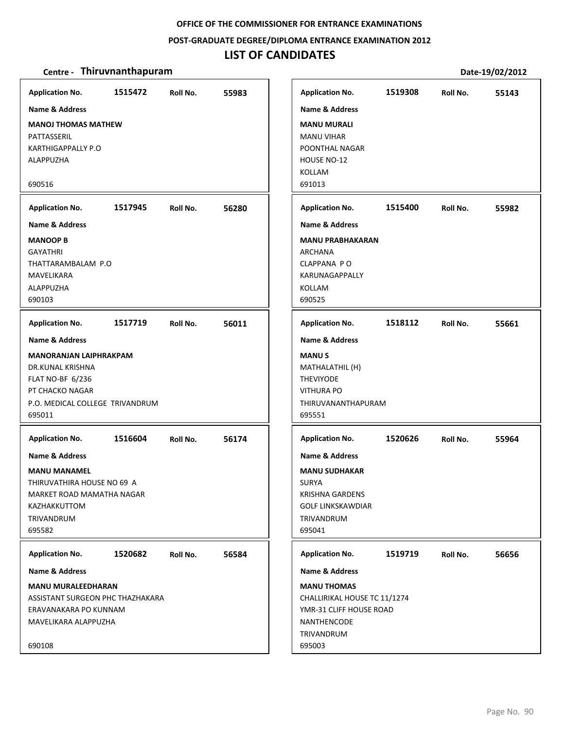#### **POST‐GRADUATE DEGREE/DIPLOMA ENTRANCE EXAMINATION 2012**

# **LIST OF CANDIDATES**

| <b>Application No.</b>                                                                                                                                                    | 1515472 | Roll No. | 55983 | <b>Application No.</b>                                                                                                                            | 1519308 | Roll No. | 55143 |
|---------------------------------------------------------------------------------------------------------------------------------------------------------------------------|---------|----------|-------|---------------------------------------------------------------------------------------------------------------------------------------------------|---------|----------|-------|
| Name & Address<br><b>MANOJ THOMAS MATHEW</b><br>PATTASSERIL<br><b>KARTHIGAPPALLY P.O</b><br>ALAPPUZHA<br>690516                                                           |         |          |       | <b>Name &amp; Address</b><br><b>MANU MURALI</b><br><b>MANU VIHAR</b><br>POONTHAL NAGAR<br>HOUSE NO-12<br>KOLLAM<br>691013                         |         |          |       |
| <b>Application No.</b>                                                                                                                                                    | 1517945 | Roll No. | 56280 | <b>Application No.</b>                                                                                                                            | 1515400 | Roll No. | 55982 |
| <b>Name &amp; Address</b><br><b>MANOOP B</b><br><b>GAYATHRI</b><br>THATTARAMBALAM P.O<br>MAVELIKARA<br>ALAPPUZHA<br>690103                                                |         |          |       | <b>Name &amp; Address</b><br><b>MANU PRABHAKARAN</b><br>ARCHANA<br>CLAPPANA PO<br>KARUNAGAPPALLY<br>KOLLAM<br>690525                              |         |          |       |
| <b>Application No.</b>                                                                                                                                                    | 1517719 | Roll No. | 56011 | <b>Application No.</b>                                                                                                                            | 1518112 | Roll No. | 55661 |
| <b>Name &amp; Address</b><br><b>MANORANJAN LAIPHRAKPAM</b><br>DR.KUNAL KRISHNA<br><b>FLAT NO-BF 6/236</b><br>PT CHACKO NAGAR<br>P.O. MEDICAL COLLEGE TRIVANDRUM<br>695011 |         |          |       | <b>Name &amp; Address</b><br><b>MANUS</b><br>MATHALATHIL (H)<br><b>THEVIYODE</b><br><b>VITHURA PO</b><br>THIRUVANANTHAPURAM<br>695551             |         |          |       |
| <b>Application No.</b>                                                                                                                                                    | 1516604 | Roll No. | 56174 | <b>Application No.</b>                                                                                                                            | 1520626 | Roll No. | 55964 |
| Name & Address<br><b>MANU MANAMEL</b><br>THIRUVATHIRA HOUSE NO 69 A<br>MARKET ROAD MAMATHA NAGAR<br>KAZHAKKUTTOM<br>TRIVANDRUM<br>695582                                  |         |          |       | <b>Name &amp; Address</b><br><b>MANU SUDHAKAR</b><br><b>SURYA</b><br>KRISHNA GARDENS<br><b>GOLF LINKSKAWDIAR</b><br>TRIVANDRUM<br>695041          |         |          |       |
| <b>Application No.</b>                                                                                                                                                    | 1520682 | Roll No. | 56584 | <b>Application No.</b>                                                                                                                            | 1519719 | Roll No. | 56656 |
| <b>Name &amp; Address</b><br><b>MANU MURALEEDHARAN</b><br>ASSISTANT SURGEON PHC THAZHAKARA<br>ERAVANAKARA PO KUNNAM<br>MAVELIKARA ALAPPUZHA<br>690108                     |         |          |       | <b>Name &amp; Address</b><br><b>MANU THOMAS</b><br>CHALLIRIKAL HOUSE TC 11/1274<br>YMR-31 CLIFF HOUSE ROAD<br>NANTHENCODE<br>TRIVANDRUM<br>695003 |         |          |       |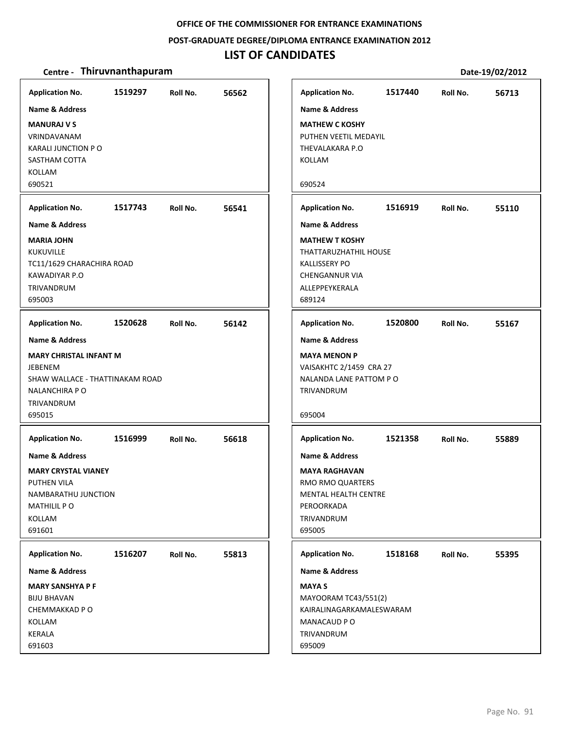**POST‐GRADUATE DEGREE/DIPLOMA ENTRANCE EXAMINATION 2012**

### **LIST OF CANDIDATES**

| <b>Application No.</b>                                                                                                                                                   | 1519297 | Roll No. | 56562 |
|--------------------------------------------------------------------------------------------------------------------------------------------------------------------------|---------|----------|-------|
| <b>Name &amp; Address</b>                                                                                                                                                |         |          |       |
| <b>MANURAJ V S</b><br>VRINDAVANAM<br>KARALI JUNCTION PO<br>SASTHAM COTTA<br>KOLLAM                                                                                       |         |          |       |
| 690521                                                                                                                                                                   |         |          |       |
| <b>Application No.</b>                                                                                                                                                   | 1517743 | Roll No. | 56541 |
| <b>Name &amp; Address</b><br><b>MARIA JOHN</b><br><b>KUKUVILLE</b><br>TC11/1629 CHARACHIRA ROAD<br>KAWADIYAR P.O<br><b>TRIVANDRUM</b><br>695003                          |         |          |       |
| <b>Application No.</b>                                                                                                                                                   | 1520628 | Roll No. | 56142 |
| <b>Name &amp; Address</b><br><b>MARY CHRISTAL INFANT M</b><br><b>JEBENEM</b><br>SHAW WALLACE - THATTINAKAM ROAD<br>NALANCHIRA P O<br>TRIVANDRUM<br>695015                |         |          |       |
| <b>Application No.</b><br><b>Name &amp; Address</b><br><b>MARY CRYSTAL VIANEY</b><br><b>PUTHEN VILA</b><br>NAMBARATHU JUNCTION<br><b>MATHILIL PO</b><br>KOLLAM<br>691601 | 1516999 | Roll No. | 56618 |
| <b>Application No.</b>                                                                                                                                                   | 1516207 | Roll No. | 55813 |
| Name & Address<br><b>MARY SANSHYA P F</b><br><b>BIJU BHAVAN</b><br>CHEMMAKKAD P O<br>KOLLAM<br>KERALA<br>691603                                                          |         |          |       |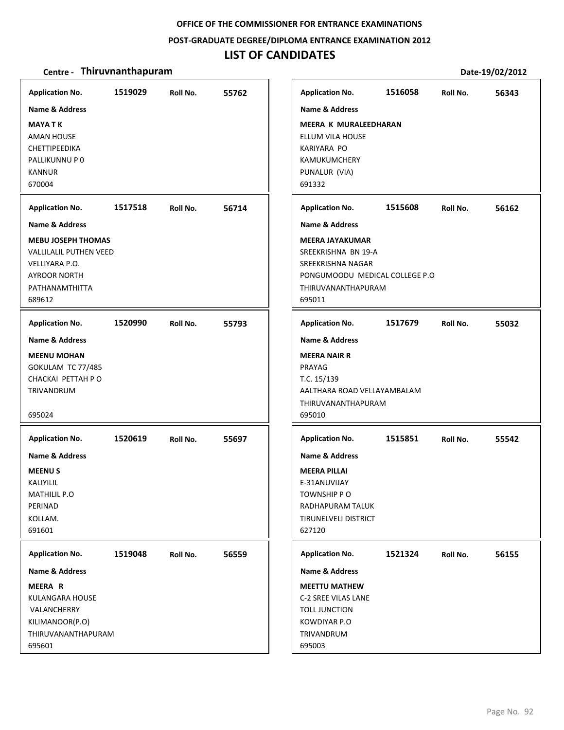#### **POST‐GRADUATE DEGREE/DIPLOMA ENTRANCE EXAMINATION 2012**

# **LIST OF CANDIDATES**

| <b>Application No.</b>                                                                                                   | 1519029 | Roll No. | 55762 | <b>Application No.</b>                                                                                                                | 1516058 | Roll No. | 56343 |
|--------------------------------------------------------------------------------------------------------------------------|---------|----------|-------|---------------------------------------------------------------------------------------------------------------------------------------|---------|----------|-------|
| Name & Address<br><b>MAYA T K</b><br>AMAN HOUSE<br>CHETTIPEEDIKA<br>PALLIKUNNU P 0<br><b>KANNUR</b><br>670004            |         |          |       | Name & Address<br><b>MEERA K MURALEEDHARAN</b><br>ELLUM VILA HOUSE<br>KARIYARA PO<br>KAMUKUMCHERY<br>PUNALUR (VIA)<br>691332          |         |          |       |
| <b>Application No.</b>                                                                                                   | 1517518 | Roll No. | 56714 | <b>Application No.</b>                                                                                                                | 1515608 | Roll No. | 56162 |
| <b>Name &amp; Address</b>                                                                                                |         |          |       | <b>Name &amp; Address</b>                                                                                                             |         |          |       |
| <b>MEBU JOSEPH THOMAS</b><br>VALLILALIL PUTHEN VEED<br>VELLIYARA P.O.<br><b>AYROOR NORTH</b><br>PATHANAMTHITTA<br>689612 |         |          |       | <b>MEERA JAYAKUMAR</b><br>SREEKRISHNA BN 19-A<br>SREEKRISHNA NAGAR<br>PONGUMOODU MEDICAL COLLEGE P.O<br>THIRUVANANTHAPURAM<br>695011  |         |          |       |
| <b>Application No.</b>                                                                                                   | 1520990 | Roll No. | 55793 | <b>Application No.</b>                                                                                                                | 1517679 | Roll No. | 55032 |
| <b>Name &amp; Address</b>                                                                                                |         |          |       | <b>Name &amp; Address</b>                                                                                                             |         |          |       |
| <b>MEENU MOHAN</b><br>GOKULAM TC 77/485<br>CHACKAI PETTAH PO<br>TRIVANDRUM<br>695024                                     |         |          |       | <b>MEERA NAIR R</b><br>PRAYAG<br>T.C. 15/139<br>AALTHARA ROAD VELLAYAMBALAM<br>THIRUVANANTHAPURAM<br>695010                           |         |          |       |
| <b>Application No.</b>                                                                                                   | 1520619 | Roll No. | 55697 | <b>Application No.</b>                                                                                                                | 1515851 | Roll No. | 55542 |
| <b>Name &amp; Address</b><br><b>MEENUS</b><br>KALIYILIL<br>MATHILIL P.O<br>PERINAD<br>KOLLAM.<br>691601                  |         |          |       | <b>Name &amp; Address</b><br><b>MEERA PILLAI</b><br>E-31ANUVIJAY<br>TOWNSHIP PO<br>RADHAPURAM TALUK<br>TIRUNELVELI DISTRICT<br>627120 |         |          |       |
| <b>Application No.</b>                                                                                                   | 1519048 | Roll No. | 56559 | <b>Application No.</b>                                                                                                                | 1521324 | Roll No. | 56155 |
| <b>Name &amp; Address</b>                                                                                                |         |          |       | Name & Address                                                                                                                        |         |          |       |
| MEERA R<br>KULANGARA HOUSE<br>VALANCHERRY<br>KILIMANOOR(P.O)<br>THIRUVANANTHAPURAM<br>695601                             |         |          |       | <b>MEETTU MATHEW</b><br>C-2 SREE VILAS LANE<br>TOLL JUNCTION<br>KOWDIYAR P.O<br>TRIVANDRUM<br>695003                                  |         |          |       |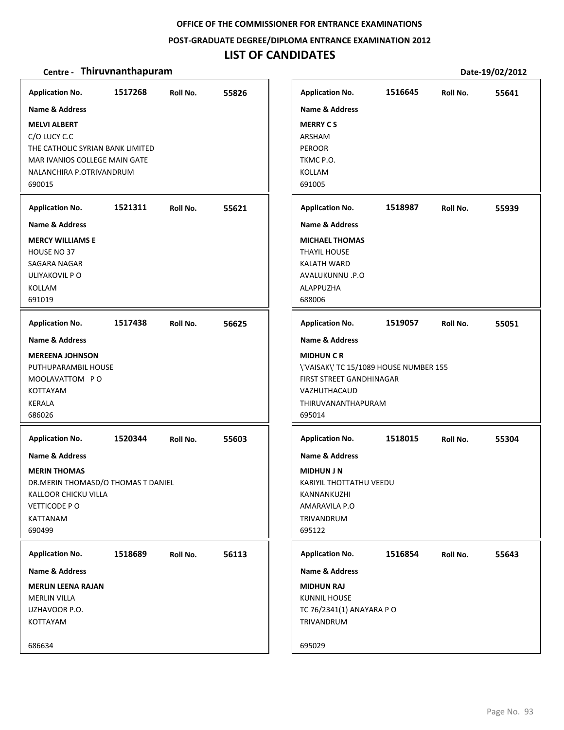**POST‐GRADUATE DEGREE/DIPLOMA ENTRANCE EXAMINATION 2012**

# **LIST OF CANDIDATES**

| <b>Application No.</b>                                                                                                                                                      | 1517268 | Roll No. | 55826 | <b>Application No.</b>                                                                                                             |                                                                                          | 1516645 | Roll No. | 55641 |
|-----------------------------------------------------------------------------------------------------------------------------------------------------------------------------|---------|----------|-------|------------------------------------------------------------------------------------------------------------------------------------|------------------------------------------------------------------------------------------|---------|----------|-------|
| <b>Name &amp; Address</b><br><b>MELVI ALBERT</b><br>C/O LUCY C.C<br>THE CATHOLIC SYRIAN BANK LIMITED<br>MAR IVANIOS COLLEGE MAIN GATE<br>NALANCHIRA P.OTRIVANDRUM<br>690015 |         |          |       | <b>Name &amp; Address</b><br><b>MERRY CS</b><br>ARSHAM<br><b>PEROOR</b><br>TKMC P.O.<br><b>KOLLAM</b><br>691005                    |                                                                                          |         |          |       |
| <b>Application No.</b>                                                                                                                                                      | 1521311 | Roll No. | 55621 | <b>Application No.</b>                                                                                                             |                                                                                          | 1518987 | Roll No. | 55939 |
| <b>Name &amp; Address</b><br><b>MERCY WILLIAMS E</b><br>HOUSE NO 37<br>SAGARA NAGAR<br>ULIYAKOVIL P O<br><b>KOLLAM</b><br>691019                                            |         |          |       | <b>Name &amp; Address</b><br><b>MICHAEL THOMAS</b><br><b>THAYIL HOUSE</b><br>KALATH WARD<br>AVALUKUNNU .P.O<br>ALAPPUZHA<br>688006 |                                                                                          |         |          |       |
| <b>Application No.</b>                                                                                                                                                      | 1517438 | Roll No. | 56625 | <b>Application No.</b>                                                                                                             |                                                                                          | 1519057 | Roll No. | 55051 |
| <b>Name &amp; Address</b><br><b>MEREENA JOHNSON</b><br>PUTHUPARAMBIL HOUSE<br>MOOLAVATTOM PO<br><b>KOTTAYAM</b><br><b>KERALA</b><br>686026                                  |         |          |       | <b>Name &amp; Address</b><br><b>MIDHUN C R</b><br>VAZHUTHACAUD<br>695014                                                           | \'VAISAK\' TC 15/1089 HOUSE NUMBER 155<br>FIRST STREET GANDHINAGAR<br>THIRUVANANTHAPURAM |         |          |       |
| <b>Application No.</b>                                                                                                                                                      | 1520344 | Roll No. | 55603 | <b>Application No.</b>                                                                                                             |                                                                                          | 1518015 | Roll No. | 55304 |
| Name & Address<br><b>MERIN THOMAS</b><br>DR.MERIN THOMASD/O THOMAS T DANIEL<br>KALLOOR CHICKU VILLA<br>VETTICODE PO<br>KATTANAM<br>690499                                   |         |          |       | <b>Name &amp; Address</b><br><b>MIDHUN J N</b><br>KANNANKUZHI<br>AMARAVILA P.O<br>TRIVANDRUM<br>695122                             | KARIYIL THOTTATHU VEEDU                                                                  |         |          |       |
| <b>Application No.</b>                                                                                                                                                      | 1518689 | Roll No. | 56113 | <b>Application No.</b>                                                                                                             |                                                                                          | 1516854 | Roll No. | 55643 |
| Name & Address<br><b>MERLIN LEENA RAJAN</b><br><b>MERLIN VILLA</b><br>UZHAVOOR P.O.<br>KOTTAYAM<br>686634                                                                   |         |          |       | <b>Name &amp; Address</b><br><b>MIDHUN RAJ</b><br><b>KUNNIL HOUSE</b><br>TRIVANDRUM<br>695029                                      | TC 76/2341(1) ANAYARA P O                                                                |         |          |       |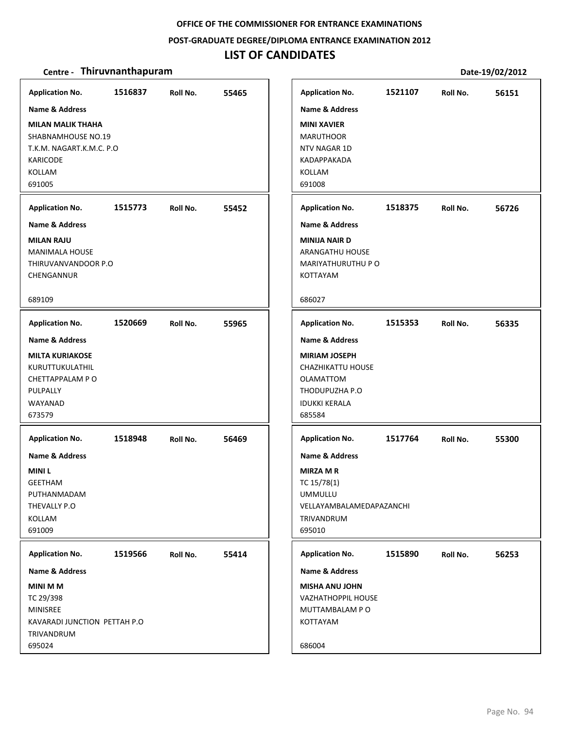#### **POST‐GRADUATE DEGREE/DIPLOMA ENTRANCE EXAMINATION 2012**

# **LIST OF CANDIDATES**

| <b>Application No.</b>       | 1516837 | Roll No. | 55465 | <b>Application No.</b>    | 1521107 | Roll No. | 56151 |
|------------------------------|---------|----------|-------|---------------------------|---------|----------|-------|
| <b>Name &amp; Address</b>    |         |          |       | <b>Name &amp; Address</b> |         |          |       |
| <b>MILAN MALIK THAHA</b>     |         |          |       | <b>MINI XAVIER</b>        |         |          |       |
| SHABNAMHOUSE NO.19           |         |          |       | <b>MARUTHOOR</b>          |         |          |       |
| T.K.M. NAGART.K.M.C. P.O     |         |          |       | NTV NAGAR 1D              |         |          |       |
| <b>KARICODE</b>              |         |          |       | KADAPPAKADA               |         |          |       |
| KOLLAM                       |         |          |       | KOLLAM                    |         |          |       |
| 691005                       |         |          |       | 691008                    |         |          |       |
|                              |         |          |       |                           |         |          |       |
| <b>Application No.</b>       | 1515773 | Roll No. | 55452 | <b>Application No.</b>    | 1518375 | Roll No. | 56726 |
| <b>Name &amp; Address</b>    |         |          |       | <b>Name &amp; Address</b> |         |          |       |
| <b>MILAN RAJU</b>            |         |          |       | <b>MINIJA NAIR D</b>      |         |          |       |
| <b>MANIMALA HOUSE</b>        |         |          |       | ARANGATHU HOUSE           |         |          |       |
| THIRUVANVANDOOR P.O          |         |          |       | <b>MARIYATHURUTHU P O</b> |         |          |       |
| CHENGANNUR                   |         |          |       | KOTTAYAM                  |         |          |       |
| 689109                       |         |          |       | 686027                    |         |          |       |
| <b>Application No.</b>       | 1520669 | Roll No. | 55965 | <b>Application No.</b>    | 1515353 | Roll No. | 56335 |
| <b>Name &amp; Address</b>    |         |          |       | <b>Name &amp; Address</b> |         |          |       |
| <b>MILTA KURIAKOSE</b>       |         |          |       | <b>MIRIAM JOSEPH</b>      |         |          |       |
| KURUTTUKULATHIL              |         |          |       | CHAZHIKATTU HOUSE         |         |          |       |
| CHETTAPPALAM PO              |         |          |       | <b>OLAMATTOM</b>          |         |          |       |
| PULPALLY                     |         |          |       | THODUPUZHA P.O            |         |          |       |
| WAYANAD                      |         |          |       | <b>IDUKKI KERALA</b>      |         |          |       |
| 673579                       |         |          |       | 685584                    |         |          |       |
| <b>Application No.</b>       | 1518948 | Roll No. | 56469 | <b>Application No.</b>    | 1517764 | Roll No. | 55300 |
| <b>Name &amp; Address</b>    |         |          |       | <b>Name &amp; Address</b> |         |          |       |
| <b>MINIL</b>                 |         |          |       | <b>MIRZA M R</b>          |         |          |       |
| <b>GEETHAM</b>               |         |          |       | TC 15/78(1)               |         |          |       |
| PUTHANMADAM                  |         |          |       | <b>UMMULLU</b>            |         |          |       |
| THEVALLY P.O                 |         |          |       | VELLAYAMBALAMEDAPAZANCHI  |         |          |       |
| KOLLAM                       |         |          |       | <b>TRIVANDRUM</b>         |         |          |       |
| 691009                       |         |          |       | 695010                    |         |          |       |
|                              |         |          |       |                           |         |          |       |
| <b>Application No.</b>       | 1519566 | Roll No. | 55414 | <b>Application No.</b>    | 1515890 | Roll No. | 56253 |
| <b>Name &amp; Address</b>    |         |          |       | <b>Name &amp; Address</b> |         |          |       |
| <b>MINI M M</b>              |         |          |       | <b>MISHA ANU JOHN</b>     |         |          |       |
| TC 29/398                    |         |          |       | <b>VAZHATHOPPIL HOUSE</b> |         |          |       |
| MINISREE                     |         |          |       | MUTTAMBALAM PO            |         |          |       |
| KAVARADI JUNCTION PETTAH P.O |         |          |       | KOTTAYAM                  |         |          |       |
| TRIVANDRUM                   |         |          |       |                           |         |          |       |
| 695024                       |         |          |       | 686004                    |         |          |       |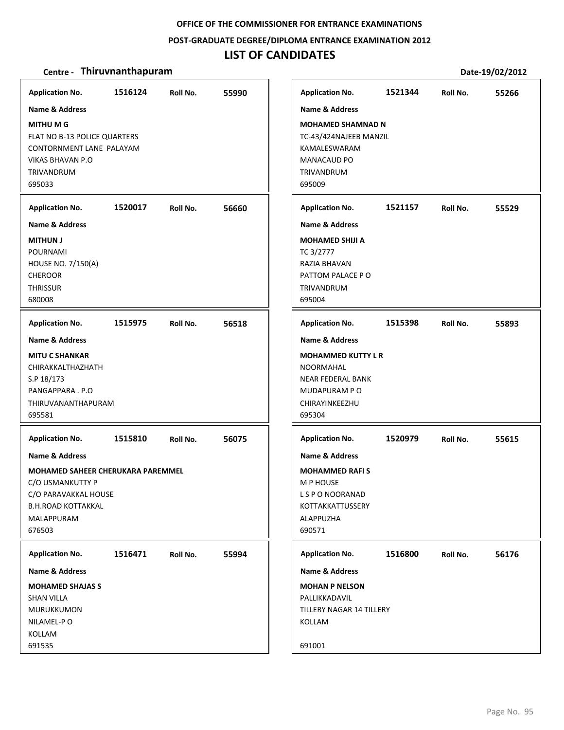#### **POST‐GRADUATE DEGREE/DIPLOMA ENTRANCE EXAMINATION 2012**

# **LIST OF CANDIDATES**

| <b>Application No.</b>                                                                                                                                     | 1516124 | Roll No. | 55990 | <b>Application No.</b>                                                                                                                        | 1521344 | Roll No. | 55266 |
|------------------------------------------------------------------------------------------------------------------------------------------------------------|---------|----------|-------|-----------------------------------------------------------------------------------------------------------------------------------------------|---------|----------|-------|
| <b>Name &amp; Address</b><br><b>MITHUMG</b><br>FLAT NO B-13 POLICE QUARTERS<br>CONTORNMENT LANE PALAYAM<br><b>VIKAS BHAVAN P.O</b><br>TRIVANDRUM<br>695033 |         |          |       | <b>Name &amp; Address</b><br><b>MOHAMED SHAMNAD N</b><br>TC-43/424NAJEEB MANZIL<br>KAMALESWARAM<br><b>MANACAUD PO</b><br>TRIVANDRUM<br>695009 |         |          |       |
| <b>Application No.</b>                                                                                                                                     | 1520017 | Roll No. | 56660 | <b>Application No.</b>                                                                                                                        | 1521157 | Roll No. | 55529 |
| <b>Name &amp; Address</b>                                                                                                                                  |         |          |       | <b>Name &amp; Address</b>                                                                                                                     |         |          |       |
| <b>MITHUN J</b><br><b>POURNAMI</b><br><b>HOUSE NO. 7/150(A)</b><br><b>CHEROOR</b><br><b>THRISSUR</b><br>680008                                             |         |          |       | <b>MOHAMED SHIJI A</b><br>TC 3/2777<br>RAZIA BHAVAN<br>PATTOM PALACE PO<br>TRIVANDRUM<br>695004                                               |         |          |       |
| <b>Application No.</b>                                                                                                                                     | 1515975 | Roll No. | 56518 | <b>Application No.</b>                                                                                                                        | 1515398 | Roll No. | 55893 |
| <b>Name &amp; Address</b>                                                                                                                                  |         |          |       | <b>Name &amp; Address</b>                                                                                                                     |         |          |       |
| <b>MITU C SHANKAR</b><br>CHIRAKKALTHAZHATH<br>S.P 18/173<br>PANGAPPARA . P.O<br>THIRUVANANTHAPURAM<br>695581                                               |         |          |       | <b>MOHAMMED KUTTY L R</b><br>NOORMAHAL<br>NEAR FEDERAL BANK<br>MUDAPURAM PO<br>CHIRAYINKEEZHU<br>695304                                       |         |          |       |
| <b>Application No.</b>                                                                                                                                     | 1515810 | Roll No. | 56075 | <b>Application No.</b>                                                                                                                        | 1520979 | Roll No. | 55615 |
| Name & Address                                                                                                                                             |         |          |       | Name & Address                                                                                                                                |         |          |       |
| <b>MOHAMED SAHEER CHERUKARA PAREMMEL</b><br>C/O USMANKUTTY P<br>C/O PARAVAKKAL HOUSE<br><b>B.H.ROAD KOTTAKKAL</b><br>MALAPPURAM<br>676503                  |         |          |       | <b>MOHAMMED RAFIS</b><br>M P HOUSE<br>L S P O NOORANAD<br>KOTTAKKATTUSSERY<br>ALAPPUZHA<br>690571                                             |         |          |       |
| <b>Application No.</b>                                                                                                                                     | 1516471 | Roll No. | 55994 | <b>Application No.</b>                                                                                                                        | 1516800 | Roll No. | 56176 |
| Name & Address                                                                                                                                             |         |          |       | Name & Address                                                                                                                                |         |          |       |
| <b>MOHAMED SHAJAS S</b><br><b>SHAN VILLA</b><br>MURUKKUMON<br>NILAMEL-PO<br>KOLLAM<br>691535                                                               |         |          |       | <b>MOHAN P NELSON</b><br>PALLIKKADAVIL<br>TILLERY NAGAR 14 TILLERY<br>KOLLAM<br>691001                                                        |         |          |       |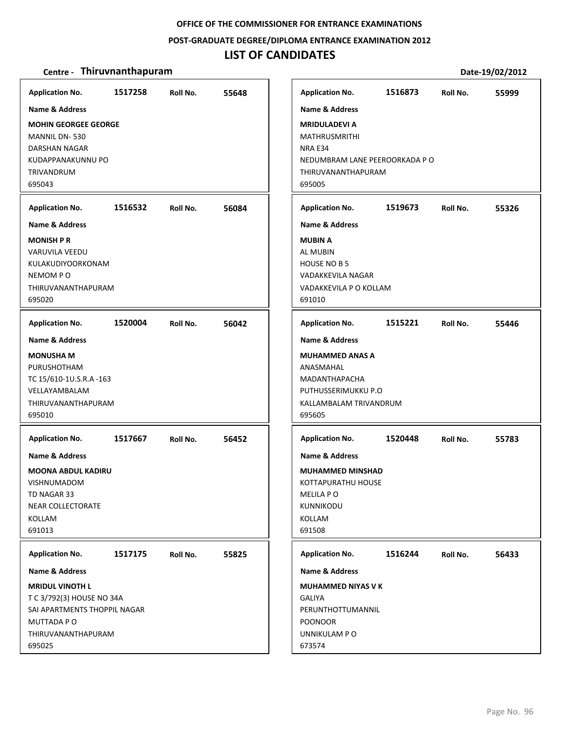#### **POST‐GRADUATE DEGREE/DIPLOMA ENTRANCE EXAMINATION 2012**

### **LIST OF CANDIDATES**

| <b>Application No.</b>                                                                                                                                                | 1517258 | Roll No. | 55648 | <b>Application No.</b>                                                                                                                                | 1516873 | Roll No. | 55999 |
|-----------------------------------------------------------------------------------------------------------------------------------------------------------------------|---------|----------|-------|-------------------------------------------------------------------------------------------------------------------------------------------------------|---------|----------|-------|
| <b>Name &amp; Address</b><br><b>MOHIN GEORGEE GEORGE</b><br>MANNIL DN-530<br>DARSHAN NAGAR<br>KUDAPPANAKUNNU PO<br>TRIVANDRUM<br>695043                               |         |          |       | <b>Name &amp; Address</b><br><b>MRIDULADEVI A</b><br><b>MATHRUSMRITHI</b><br>NRA E34<br>NEDUMBRAM LANE PEEROORKADA PO<br>THIRUVANANTHAPURAM<br>695005 |         |          |       |
| <b>Application No.</b>                                                                                                                                                | 1516532 | Roll No. | 56084 | <b>Application No.</b>                                                                                                                                | 1519673 | Roll No. | 55326 |
| <b>Name &amp; Address</b><br><b>MONISH P R</b><br>VARUVILA VEEDU<br>KULAKUDIYOORKONAM<br>NEMOM PO<br>THIRUVANANTHAPURAM<br>695020                                     |         |          |       | <b>Name &amp; Address</b><br><b>MUBIN A</b><br><b>AL MUBIN</b><br><b>HOUSE NO B 5</b><br><b>VADAKKEVILA NAGAR</b><br>VADAKKEVILA P O KOLLAM<br>691010 |         |          |       |
| <b>Application No.</b>                                                                                                                                                | 1520004 | Roll No. | 56042 | <b>Application No.</b>                                                                                                                                | 1515221 | Roll No. | 55446 |
| <b>Name &amp; Address</b><br><b>MONUSHA M</b><br>PURUSHOTHAM<br>TC 15/610-1U.S.R.A -163<br>VELLAYAMBALAM<br>THIRUVANANTHAPURAM<br>695010                              |         |          |       | <b>Name &amp; Address</b><br><b>MUHAMMED ANAS A</b><br>ANASMAHAL<br>MADANTHAPACHA<br>PUTHUSSERIMUKKU P.O<br>KALLAMBALAM TRIVANDRUM<br>695605          |         |          |       |
| <b>Application No.</b><br><b>Name &amp; Address</b><br><b>MOONA ABDUL KADIRU</b><br><b>VISHNUMADOM</b><br>TD NAGAR 33<br><b>NEAR COLLECTORATE</b><br>KOLLAM<br>691013 | 1517667 | Roll No. | 56452 | <b>Application No.</b><br><b>Name &amp; Address</b><br><b>MUHAMMED MINSHAD</b><br>KOTTAPURATHU HOUSE<br>MELILA P O<br>KUNNIKODU<br>KOLLAM<br>691508   | 1520448 | Roll No. | 55783 |
| <b>Application No.</b><br><b>Name &amp; Address</b>                                                                                                                   | 1517175 | Roll No. | 55825 | <b>Application No.</b><br><b>Name &amp; Address</b>                                                                                                   | 1516244 | Roll No. | 56433 |
| <b>MRIDUL VINOTH L</b><br>T C 3/792(3) HOUSE NO 34A<br>SAI APARTMENTS THOPPIL NAGAR<br>MUTTADA P O<br>THIRUVANANTHAPURAM<br>695025                                    |         |          |       | <b>MUHAMMED NIYAS V K</b><br><b>GALIYA</b><br>PERUNTHOTTUMANNIL<br><b>POONOOR</b><br>UNNIKULAM P O<br>673574                                          |         |          |       |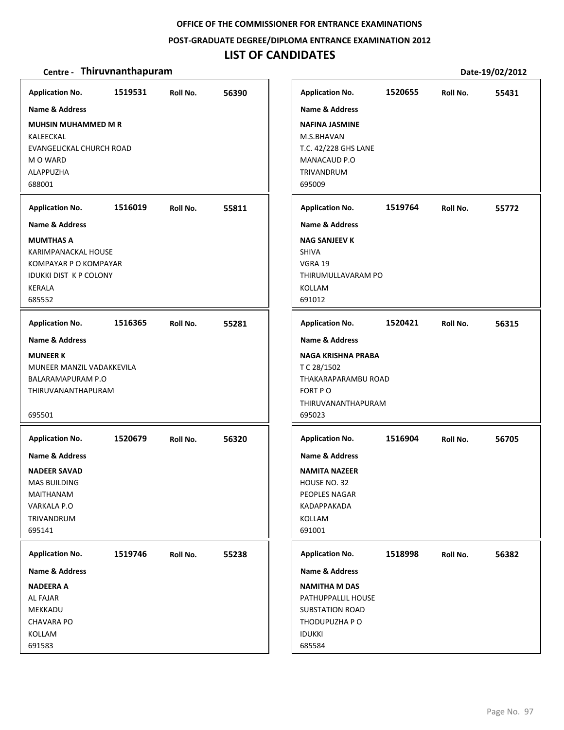#### **POST‐GRADUATE DEGREE/DIPLOMA ENTRANCE EXAMINATION 2012**

# **LIST OF CANDIDATES**

| <b>Application No.</b>                                 | 1519531 | Roll No. | 56390 | <b>Application No.</b>        | 1520655 | Roll No. | 55431 |
|--------------------------------------------------------|---------|----------|-------|-------------------------------|---------|----------|-------|
| <b>Name &amp; Address</b>                              |         |          |       | <b>Name &amp; Address</b>     |         |          |       |
| <b>MUHSIN MUHAMMED M R</b>                             |         |          |       | <b>NAFINA JASMINE</b>         |         |          |       |
| KALEECKAL                                              |         |          |       | M.S.BHAVAN                    |         |          |       |
| EVANGELICKAL CHURCH ROAD                               |         |          |       | T.C. 42/228 GHS LANE          |         |          |       |
| M O WARD                                               |         |          |       | MANACAUD P.O                  |         |          |       |
| <b>ALAPPUZHA</b>                                       |         |          |       | TRIVANDRUM                    |         |          |       |
| 688001                                                 |         |          |       | 695009                        |         |          |       |
| <b>Application No.</b>                                 | 1516019 | Roll No. | 55811 | <b>Application No.</b>        | 1519764 | Roll No. | 55772 |
| <b>Name &amp; Address</b>                              |         |          |       | <b>Name &amp; Address</b>     |         |          |       |
| <b>MUMTHAS A</b>                                       |         |          |       | <b>NAG SANJEEV K</b>          |         |          |       |
| KARIMPANACKAL HOUSE                                    |         |          |       | <b>SHIVA</b>                  |         |          |       |
| KOMPAYAR P O KOMPAYAR<br><b>IDUKKI DIST K P COLONY</b> |         |          |       | VGRA 19                       |         |          |       |
| KERALA                                                 |         |          |       | THIRUMULLAVARAM PO<br>KOLLAM  |         |          |       |
| 685552                                                 |         |          |       | 691012                        |         |          |       |
|                                                        |         |          |       |                               |         |          |       |
| <b>Application No.</b>                                 | 1516365 | Roll No. | 55281 | <b>Application No.</b>        | 1520421 | Roll No. | 56315 |
| <b>Name &amp; Address</b>                              |         |          |       | <b>Name &amp; Address</b>     |         |          |       |
| <b>MUNEER K</b>                                        |         |          |       | NAGA KRISHNA PRABA            |         |          |       |
| MUNEER MANZIL VADAKKEVILA                              |         |          |       | T C 28/1502                   |         |          |       |
| BALARAMAPURAM P.O                                      |         |          |       | THAKARAPARAMBU ROAD           |         |          |       |
| THIRUVANANTHAPURAM                                     |         |          |       | FORT PO<br>THIRUVANANTHAPURAM |         |          |       |
| 695501                                                 |         |          |       | 695023                        |         |          |       |
|                                                        |         |          |       |                               |         |          |       |
| <b>Application No.</b>                                 | 1520679 | Roll No. | 56320 | <b>Application No.</b>        | 1516904 | Roll No. | 56705 |
| Name & Address                                         |         |          |       | Name & Address                |         |          |       |
| <b>NADEER SAVAD</b>                                    |         |          |       | <b>NAMITA NAZEER</b>          |         |          |       |
| MAS BUILDING                                           |         |          |       | HOUSE NO. 32                  |         |          |       |
| MAITHANAM                                              |         |          |       | PEOPLES NAGAR                 |         |          |       |
| VARKALA P.O                                            |         |          |       | KADAPPAKADA                   |         |          |       |
| TRIVANDRUM<br>695141                                   |         |          |       | KOLLAM<br>691001              |         |          |       |
|                                                        |         |          |       |                               |         |          |       |
| <b>Application No.</b>                                 | 1519746 | Roll No. | 55238 | <b>Application No.</b>        | 1518998 | Roll No. | 56382 |
| Name & Address                                         |         |          |       | Name & Address                |         |          |       |
| <b>NADEERA A</b>                                       |         |          |       | <b>NAMITHA M DAS</b>          |         |          |       |
| AL FAJAR                                               |         |          |       | PATHUPPALLIL HOUSE            |         |          |       |
| MEKKADU                                                |         |          |       | <b>SUBSTATION ROAD</b>        |         |          |       |
| <b>CHAVARA PO</b>                                      |         |          |       | THODUPUZHA P O                |         |          |       |
| KOLLAM<br>691583                                       |         |          |       | <b>IDUKKI</b><br>685584       |         |          |       |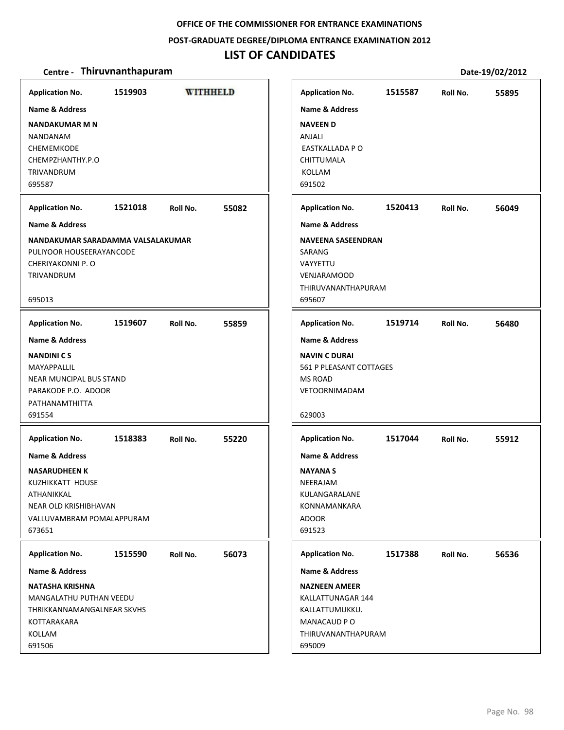#### **POST‐GRADUATE DEGREE/DIPLOMA ENTRANCE EXAMINATION 2012**

### **LIST OF CANDIDATES**

| <b>Application No.</b>                                                                                                                                                                                                                                                                                                             | 1519903 |          | WITHHELD | <b>Application No.</b>                                                                                                                                                                                                                                                     | 1515587 | Roll No. | 55895 |
|------------------------------------------------------------------------------------------------------------------------------------------------------------------------------------------------------------------------------------------------------------------------------------------------------------------------------------|---------|----------|----------|----------------------------------------------------------------------------------------------------------------------------------------------------------------------------------------------------------------------------------------------------------------------------|---------|----------|-------|
| Name & Address<br><b>NANDAKUMAR M N</b><br>NANDANAM<br>CHEMEMKODE<br>CHEMPZHANTHY.P.O<br><b>TRIVANDRUM</b><br>695587                                                                                                                                                                                                               |         |          |          | <b>Name &amp; Address</b><br><b>NAVEEN D</b><br>ANJALI<br><b>EASTKALLADA P O</b><br>CHITTUMALA<br><b>KOLLAM</b><br>691502                                                                                                                                                  |         |          |       |
| <b>Application No.</b>                                                                                                                                                                                                                                                                                                             | 1521018 | Roll No. | 55082    | <b>Application No.</b>                                                                                                                                                                                                                                                     | 1520413 | Roll No. | 56049 |
| <b>Name &amp; Address</b>                                                                                                                                                                                                                                                                                                          |         |          |          | <b>Name &amp; Address</b>                                                                                                                                                                                                                                                  |         |          |       |
| NANDAKUMAR SARADAMMA VALSALAKUMAR<br>PULIYOOR HOUSEERAYANCODE<br>CHERIYAKONNI P. O<br>TRIVANDRUM<br>695013                                                                                                                                                                                                                         |         |          |          | <b>NAVEENA SASEENDRAN</b><br>SARANG<br>VAYYETTU<br><b>VENJARAMOOD</b><br>THIRUVANANTHAPURAM<br>695607                                                                                                                                                                      |         |          |       |
| <b>Application No.</b>                                                                                                                                                                                                                                                                                                             | 1519607 | Roll No. | 55859    | <b>Application No.</b>                                                                                                                                                                                                                                                     | 1519714 | Roll No. | 56480 |
| <b>Name &amp; Address</b><br><b>NANDINICS</b><br>MAYAPPALLIL<br>NEAR MUNCIPAL BUS STAND<br>PARAKODE P.O. ADOOR<br>PATHANAMTHITTA<br>691554<br><b>Application No.</b><br><b>Name &amp; Address</b><br><b>NASARUDHEEN K</b><br>KUZHIKKATT HOUSE<br>ATHANIKKAL<br><b>NEAR OLD KRISHIBHAVAN</b><br>VALLUVAMBRAM POMALAPPURAM<br>673651 | 1518383 | Roll No. | 55220    | <b>Name &amp; Address</b><br><b>NAVIN C DURAI</b><br>561 P PLEASANT COTTAGES<br><b>MS ROAD</b><br><b>VETOORNIMADAM</b><br>629003<br><b>Application No.</b><br><b>Name &amp; Address</b><br><b>NAYANA S</b><br>NEERAJAM<br>KULANGARALANE<br>KONNAMANKARA<br>ADOOR<br>691523 | 1517044 | Roll No. | 55912 |
| <b>Application No.</b><br>Name & Address<br><b>NATASHA KRISHNA</b><br>MANGALATHU PUTHAN VEEDU<br>THRIKKANNAMANGALNEAR SKVHS<br>KOTTARAKARA<br>KOLLAM<br>691506                                                                                                                                                                     | 1515590 | Roll No. | 56073    | <b>Application No.</b><br><b>Name &amp; Address</b><br><b>NAZNEEN AMEER</b><br>KALLATTUNAGAR 144<br>KALLATTUMUKKU.<br>MANACAUD PO<br>THIRUVANANTHAPURAM<br>695009                                                                                                          | 1517388 | Roll No. | 56536 |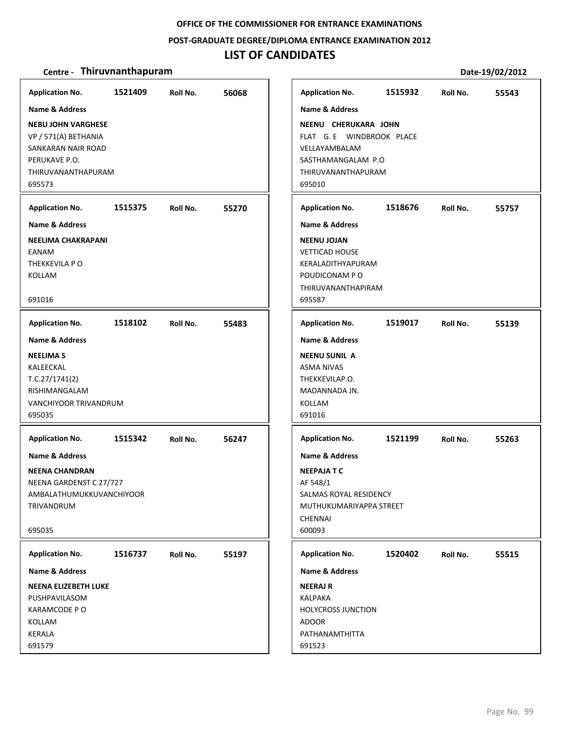#### **POST‐GRADUATE DEGREE/DIPLOMA ENTRANCE EXAMINATION 2012**

### **LIST OF CANDIDATES**

| <b>Application No.</b><br>Name & Address<br><b>NEBU JOHN VARGHESE</b><br>VP / 571(A) BETHANIA<br>SANKARAN NAIR ROAD<br>PERUKAVE P.O.<br>THIRUVANANTHAPURAM<br>695573 | 1521409 | Roll No. | 56068 | <b>Application No.</b><br><b>Name &amp; Address</b><br>NEENU CHERUKARA JOHN<br>FLAT G. E WINDBROOK PLACE<br>VELLAYAMBALAM<br>SASTHAMANGALAM P.O<br>THIRUVANANTHAPURAM<br>695010 | 1515932 | Roll No. | 55543 |
|----------------------------------------------------------------------------------------------------------------------------------------------------------------------|---------|----------|-------|---------------------------------------------------------------------------------------------------------------------------------------------------------------------------------|---------|----------|-------|
| <b>Application No.</b><br><b>Name &amp; Address</b><br><b>NEELIMA CHAKRAPANI</b><br>EANAM<br>THEKKEVILA PO<br>KOLLAM<br>691016                                       | 1515375 | Roll No. | 55270 | <b>Application No.</b><br><b>Name &amp; Address</b><br><b>NEENU JOJAN</b><br><b>VETTICAD HOUSE</b><br>KERALADITHYAPURAM<br>POUDICONAM P O<br>THIRUVANANTHAPIRAM<br>695587       | 1518676 | Roll No. | 55757 |
| <b>Application No.</b><br><b>Name &amp; Address</b><br><b>NEELIMAS</b><br>KALEECKAL<br>T.C.27/1741(2)<br>RISHIMANGALAM<br>VANCHIYOOR TRIVANDRUM<br>695035            | 1518102 | Roll No. | 55483 | <b>Application No.</b><br><b>Name &amp; Address</b><br><b>NEENU SUNIL A</b><br><b>ASMA NIVAS</b><br>THEKKEVILAP.O.<br>MADANNADA JN.<br>KOLLAM<br>691016                         | 1519017 | Roll No. | 55139 |
| <b>Application No.</b><br><b>Name &amp; Address</b><br><b>NEENA CHANDRAN</b><br>NEENA GARDENST C 27/727<br>AMBALATHUMUKKUVANCHIYOOR<br>TRIVANDRUM<br>695035          | 1515342 | Roll No. | 56247 | <b>Application No.</b><br><b>Name &amp; Address</b><br><b>NEEPAJATC</b><br>AF 548/1<br>SALMAS ROYAL RESIDENCY<br>MUTHUKUMARIYAPPA STREET<br>CHENNAI<br>600093                   | 1521199 | Roll No. | 55263 |
| <b>Application No.</b><br>Name & Address<br><b>NEENA ELIZEBETH LUKE</b><br>PUSHPAVILASOM<br>KARAMCODE P O<br>KOLLAM<br>KERALA<br>691579                              | 1516737 | Roll No. | 55197 | <b>Application No.</b><br><b>Name &amp; Address</b><br><b>NEERAJ R</b><br>KALPAKA<br><b>HOLYCROSS JUNCTION</b><br>ADOOR<br>PATHANAMTHITTA<br>691523                             | 1520402 | Roll No. | 55515 |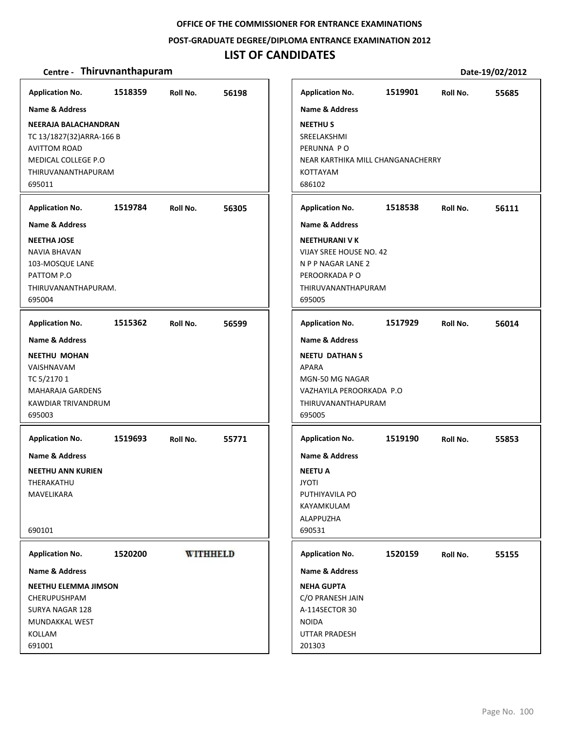#### **POST‐GRADUATE DEGREE/DIPLOMA ENTRANCE EXAMINATION 2012**

### **LIST OF CANDIDATES**

#### **Centre** • **Thiruvnanthapuram Date-19/02/2012**

**Application No. 1518359 56198 Application No. 1519901 55685 Name & Address Name & Address NEERAJA BALACHANDRAN NEETHU S** TC 13/1827(32)ARRA‐166 B SREELAKSHMI AVITTOM ROAD PERUNNA P O MEDICAL COLLEGE P.O NEAR KARTHIKA MILL CHANGANACHERRY THIRUVANANTHAPURAM KOTTAYAM 695011 686102 **Application No. 1519784 56305 Application No. 1518538 56111 Name & Address Name & Address NEETHA JOSE NEETHURANI V K** NAVIA BHAVAN VIJAY SREE HOUSE NO. 42 103‐MOSQUE LANE N P P NAGAR LANE 2 PATTOM P.O PEROORKADA P O THIRUVANANTHAPURAM. THIRUVANANTHAPURAM 695004 695005 **Application No. 1515362 56599 Application No. 1517929 56014 Name & Address Name & Address NEETHU MOHAN NEETU DATHAN S** VAISHNAVAM APARA TC 5/2170 1 MGN‐50 MG NAGAR MAHARAJA GARDENS VAZHAYILA PEROORKADA P.O KAWDIAR TRIVANDRUM THIRUVANANTHAPURAM 695003 695005 **Application No. Application No. 1519693 55771 1519190 55853 Name & Address Name & Address NEETHU ANN KURIEN NEETU A** THERAKATHU JYOTI MAVELIKARA PUTHIYAVILA PO KAYAMKULAM ALAPPUZHA 690101 690531 **WITHHELD Application No. Application No. 1520200 1520159 55155 Name & Address Name & Address NEETHU ELEMMA JIMSON NEHA GUPTA** CHERUPUSHPAM C/O PRANESH JAIN SURYA NAGAR 128 A‐114SECTOR 30 MUNDAKKAL WEST NOIDA UTTAR PRADESH KOLLAM 691001 201303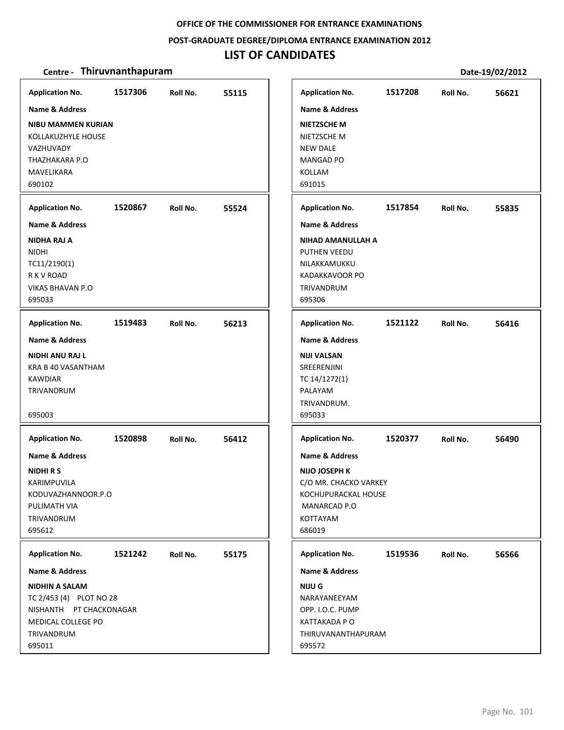#### **POST‐GRADUATE DEGREE/DIPLOMA ENTRANCE EXAMINATION 2012**

# **LIST OF CANDIDATES**

| <b>Application No.</b><br>Name & Address<br><b>NIBU MAMMEN KURIAN</b><br>KOLLAKUZHYLE HOUSE                               | 1517306 | Roll No. | 55115 | <b>Application No.</b><br><b>Name &amp; Address</b><br><b>NIETZSCHE M</b><br>NIETZSCHE M                                                | 1517208 | Roll No. | 56621 |
|---------------------------------------------------------------------------------------------------------------------------|---------|----------|-------|-----------------------------------------------------------------------------------------------------------------------------------------|---------|----------|-------|
| VAZHUVADY<br>THAZHAKARA P.O<br>MAVELIKARA<br>690102                                                                       |         |          |       | <b>NEW DALE</b><br><b>MANGAD PO</b><br>KOLLAM<br>691015                                                                                 |         |          |       |
| <b>Application No.</b>                                                                                                    | 1520867 | Roll No. | 55524 | <b>Application No.</b>                                                                                                                  | 1517854 | Roll No. | 55835 |
| <b>Name &amp; Address</b>                                                                                                 |         |          |       | <b>Name &amp; Address</b>                                                                                                               |         |          |       |
| <b>NIDHA RAJ A</b><br><b>NIDHI</b><br>TC11/2190(1)<br>R K V ROAD<br><b>VIKAS BHAVAN P.O</b><br>695033                     |         |          |       | NIHAD AMANULLAH A<br>PUTHEN VEEDU<br>NILAKKAMUKKU<br>KADAKKAVOOR PO<br>TRIVANDRUM<br>695306                                             |         |          |       |
| <b>Application No.</b>                                                                                                    | 1519483 | Roll No. | 56213 | <b>Application No.</b>                                                                                                                  | 1521122 | Roll No. | 56416 |
| <b>Name &amp; Address</b>                                                                                                 |         |          |       | <b>Name &amp; Address</b>                                                                                                               |         |          |       |
| <b>NIDHI ANU RAJ L</b><br>KRA B 40 VASANTHAM<br><b>KAWDIAR</b><br>TRIVANDRUM<br>695003                                    |         |          |       | <b>NIJI VALSAN</b><br>SREERENJINI<br>TC 14/1272(1)<br>PALAYAM<br>TRIVANDRUM.<br>695033                                                  |         |          |       |
| <b>Application No.</b>                                                                                                    | 1520898 | Roll No. | 56412 | <b>Application No.</b>                                                                                                                  | 1520377 | Roll No. | 56490 |
| <b>Name &amp; Address</b><br><b>NIDHIRS</b><br>KARIMPUVILA<br>KODUVAZHANNOOR.P.O<br>PULIMATH VIA<br>TRIVANDRUM<br>695612  |         |          |       | <b>Name &amp; Address</b><br><b>NIJO JOSEPH K</b><br>C/O MR. CHACKO VARKEY<br>KOCHUPURACKAL HOUSE<br>MANARCAD P.O<br>KOTTAYAM<br>686019 |         |          |       |
| <b>Application No.</b>                                                                                                    | 1521242 | Roll No. | 55175 | <b>Application No.</b>                                                                                                                  | 1519536 | Roll No. | 56566 |
| <b>Name &amp; Address</b>                                                                                                 |         |          |       | <b>Name &amp; Address</b>                                                                                                               |         |          |       |
| <b>NIDHIN A SALAM</b><br>TC 2/453 (4) PLOT NO 28<br>NISHANTH PT CHACKONAGAR<br>MEDICAL COLLEGE PO<br>TRIVANDRUM<br>695011 |         |          |       | <b>NIJU G</b><br>NARAYANEEYAM<br>OPP. I.O.C. PUMP<br>KATTAKADA P O<br>THIRUVANANTHAPURAM<br>695572                                      |         |          |       |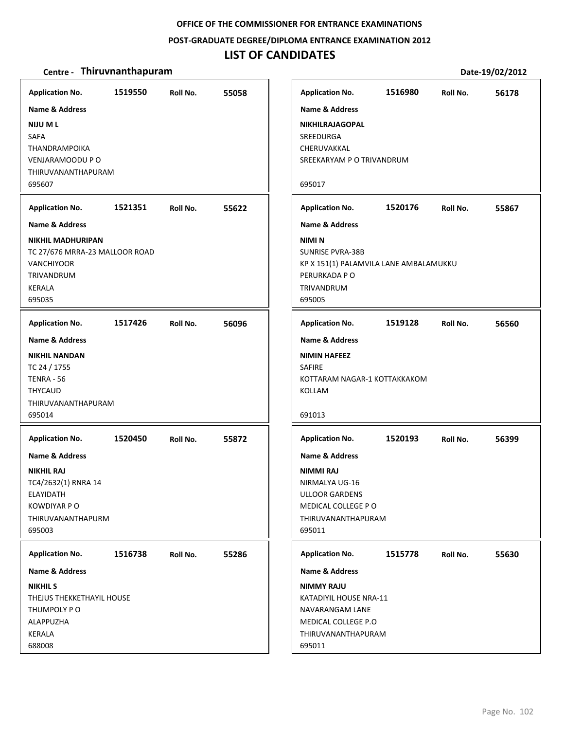#### **POST‐GRADUATE DEGREE/DIPLOMA ENTRANCE EXAMINATION 2012**

### **LIST OF CANDIDATES**

| <b>Application No.</b>         | 1519550 | Roll No. | 55058 | <b>Application No.</b>                 | 1516980 | Roll No. | 56178 |
|--------------------------------|---------|----------|-------|----------------------------------------|---------|----------|-------|
| <b>Name &amp; Address</b>      |         |          |       | <b>Name &amp; Address</b>              |         |          |       |
| NIJU M L                       |         |          |       | NIKHILRAJAGOPAL                        |         |          |       |
| SAFA                           |         |          |       | <b>SREEDURGA</b>                       |         |          |       |
| THANDRAMPOIKA                  |         |          |       | CHERUVAKKAL                            |         |          |       |
| VENJARAMOODU P O               |         |          |       | SREEKARYAM P O TRIVANDRUM              |         |          |       |
| THIRUVANANTHAPURAM             |         |          |       |                                        |         |          |       |
| 695607                         |         |          |       | 695017                                 |         |          |       |
|                                |         |          |       |                                        |         |          |       |
| <b>Application No.</b>         | 1521351 | Roll No. | 55622 | <b>Application No.</b>                 | 1520176 | Roll No. | 55867 |
| Name & Address                 |         |          |       | <b>Name &amp; Address</b>              |         |          |       |
| <b>NIKHIL MADHURIPAN</b>       |         |          |       | <b>NIMIN</b>                           |         |          |       |
| TC 27/676 MRRA-23 MALLOOR ROAD |         |          |       | <b>SUNRISE PVRA-38B</b>                |         |          |       |
| <b>VANCHIYOOR</b>              |         |          |       | KP X 151(1) PALAMVILA LANE AMBALAMUKKU |         |          |       |
| <b>TRIVANDRUM</b>              |         |          |       | PERURKADA P O                          |         |          |       |
| KERALA                         |         |          |       | TRIVANDRUM                             |         |          |       |
| 695035                         |         |          |       | 695005                                 |         |          |       |
| <b>Application No.</b>         | 1517426 | Roll No. | 56096 | <b>Application No.</b>                 | 1519128 | Roll No. | 56560 |
| <b>Name &amp; Address</b>      |         |          |       | <b>Name &amp; Address</b>              |         |          |       |
| <b>NIKHIL NANDAN</b>           |         |          |       | <b>NIMIN HAFEEZ</b>                    |         |          |       |
| TC 24 / 1755                   |         |          |       | <b>SAFIRE</b>                          |         |          |       |
| <b>TENRA - 56</b>              |         |          |       | KOTTARAM NAGAR-1 KOTTAKKAKOM           |         |          |       |
| <b>THYCAUD</b>                 |         |          |       | KOLLAM                                 |         |          |       |
| THIRUVANANTHAPURAM             |         |          |       |                                        |         |          |       |
| 695014                         |         |          |       | 691013                                 |         |          |       |
| <b>Application No.</b>         | 1520450 | Roll No. | 55872 | <b>Application No.</b>                 | 1520193 | Roll No. | 56399 |
| <b>Name &amp; Address</b>      |         |          |       | <b>Name &amp; Address</b>              |         |          |       |
|                                |         |          |       |                                        |         |          |       |
| <b>NIKHIL RAJ</b>              |         |          |       | <b>NIMMI RAJ</b>                       |         |          |       |
| TC4/2632(1) RNRA 14            |         |          |       | NIRMALYA UG-16                         |         |          |       |
| ELAYIDATH                      |         |          |       | <b>ULLOOR GARDENS</b>                  |         |          |       |
| <b>KOWDIYAR P O</b>            |         |          |       | MEDICAL COLLEGE PO                     |         |          |       |
| THIRUVANANTHAPURM              |         |          |       | THIRUVANANTHAPURAM                     |         |          |       |
| 695003                         |         |          |       | 695011                                 |         |          |       |
| <b>Application No.</b>         | 1516738 | Roll No. | 55286 | <b>Application No.</b>                 | 1515778 | Roll No. | 55630 |
| <b>Name &amp; Address</b>      |         |          |       | <b>Name &amp; Address</b>              |         |          |       |
| <b>NIKHIL S</b>                |         |          |       | <b>NIMMY RAJU</b>                      |         |          |       |
| THEJUS THEKKETHAYIL HOUSE      |         |          |       | KATADIYIL HOUSE NRA-11                 |         |          |       |
| THUMPOLY P O                   |         |          |       | NAVARANGAM LANE                        |         |          |       |
| ALAPPUZHA                      |         |          |       | MEDICAL COLLEGE P.O                    |         |          |       |
| KERALA                         |         |          |       | THIRUVANANTHAPURAM                     |         |          |       |
| 688008                         |         |          |       | 695011                                 |         |          |       |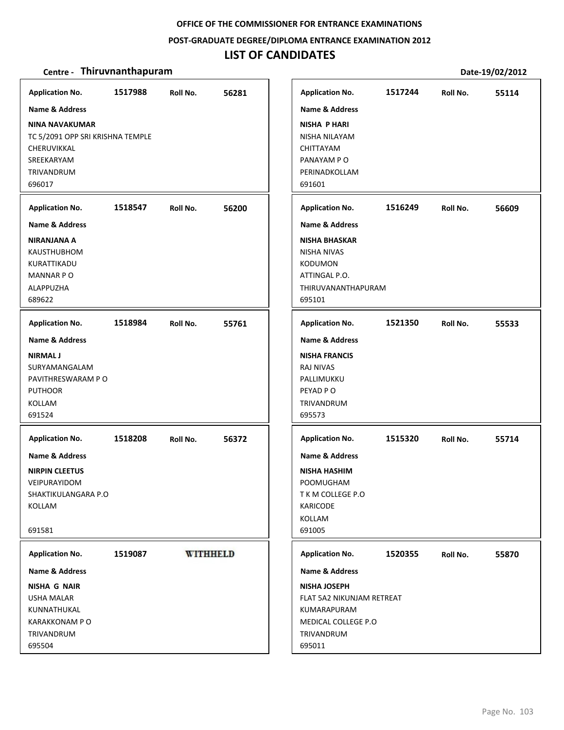#### **POST‐GRADUATE DEGREE/DIPLOMA ENTRANCE EXAMINATION 2012**

# **LIST OF CANDIDATES**

| <b>Application No.</b>           | 1517988 | Roll No.        | 56281 | <b>Application No.</b>    | 1517244 | Roll No. | 55114 |
|----------------------------------|---------|-----------------|-------|---------------------------|---------|----------|-------|
| <b>Name &amp; Address</b>        |         |                 |       | <b>Name &amp; Address</b> |         |          |       |
| <b>NINA NAVAKUMAR</b>            |         |                 |       | <b>NISHA P HARI</b>       |         |          |       |
| TC 5/2091 OPP SRI KRISHNA TEMPLE |         |                 |       | NISHA NILAYAM             |         |          |       |
| CHERUVIKKAL                      |         |                 |       | CHITTAYAM                 |         |          |       |
| SREEKARYAM                       |         |                 |       | PANAYAM P O               |         |          |       |
| TRIVANDRUM                       |         |                 |       | PERINADKOLLAM             |         |          |       |
| 696017                           |         |                 |       | 691601                    |         |          |       |
| <b>Application No.</b>           | 1518547 | Roll No.        | 56200 | <b>Application No.</b>    | 1516249 | Roll No. | 56609 |
| <b>Name &amp; Address</b>        |         |                 |       | <b>Name &amp; Address</b> |         |          |       |
| NIRANJANA A                      |         |                 |       | <b>NISHA BHASKAR</b>      |         |          |       |
| <b>KAUSTHUBHOM</b>               |         |                 |       | <b>NISHA NIVAS</b>        |         |          |       |
| KURATTIKADU                      |         |                 |       | <b>KODUMON</b>            |         |          |       |
| <b>MANNAR PO</b>                 |         |                 |       | ATTINGAL P.O.             |         |          |       |
| ALAPPUZHA                        |         |                 |       | THIRUVANANTHAPURAM        |         |          |       |
| 689622                           |         |                 |       | 695101                    |         |          |       |
| <b>Application No.</b>           | 1518984 | Roll No.        | 55761 | <b>Application No.</b>    | 1521350 | Roll No. | 55533 |
| <b>Name &amp; Address</b>        |         |                 |       | <b>Name &amp; Address</b> |         |          |       |
| <b>NIRMAL J</b>                  |         |                 |       | <b>NISHA FRANCIS</b>      |         |          |       |
| SURYAMANGALAM                    |         |                 |       | <b>RAJ NIVAS</b>          |         |          |       |
| PAVITHRESWARAM PO                |         |                 |       | PALLIMUKKU                |         |          |       |
| <b>PUTHOOR</b>                   |         |                 |       | PEYAD PO                  |         |          |       |
| KOLLAM                           |         |                 |       | TRIVANDRUM                |         |          |       |
| 691524                           |         |                 |       | 695573                    |         |          |       |
| <b>Application No.</b>           | 1518208 | Roll No.        | 56372 | <b>Application No.</b>    | 1515320 | Roll No. | 55714 |
| <b>Name &amp; Address</b>        |         |                 |       | <b>Name &amp; Address</b> |         |          |       |
| <b>NIRPIN CLEETUS</b>            |         |                 |       | <b>NISHA HASHIM</b>       |         |          |       |
| VEIPURAYIDOM                     |         |                 |       | POOMUGHAM                 |         |          |       |
| SHAKTIKULANGARA P.O              |         |                 |       | T K M COLLEGE P.O         |         |          |       |
| KOLLAM                           |         |                 |       | <b>KARICODE</b>           |         |          |       |
|                                  |         |                 |       | KOLLAM                    |         |          |       |
| 691581                           |         |                 |       | 691005                    |         |          |       |
| <b>Application No.</b>           | 1519087 | <b>WITHHELD</b> |       | <b>Application No.</b>    | 1520355 | Roll No. | 55870 |
| Name & Address                   |         |                 |       | Name & Address            |         |          |       |
| <b>NISHA G NAIR</b>              |         |                 |       | <b>NISHA JOSEPH</b>       |         |          |       |
| <b>USHA MALAR</b>                |         |                 |       | FLAT 5A2 NIKUNJAM RETREAT |         |          |       |
| KUNNATHUKAL                      |         |                 |       | KUMARAPURAM               |         |          |       |
| KARAKKONAM P O                   |         |                 |       | MEDICAL COLLEGE P.O       |         |          |       |
| TRIVANDRUM                       |         |                 |       | TRIVANDRUM                |         |          |       |
| 695504                           |         |                 |       | 695011                    |         |          |       |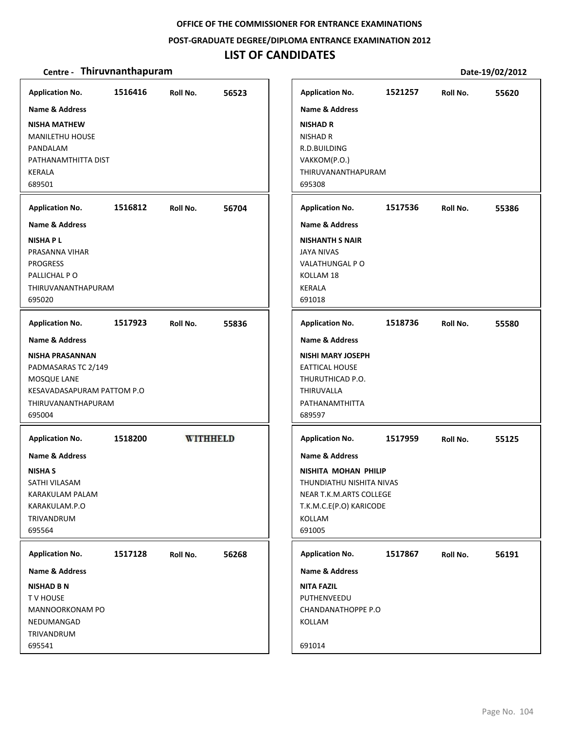#### **POST‐GRADUATE DEGREE/DIPLOMA ENTRANCE EXAMINATION 2012**

# **LIST OF CANDIDATES**

| <b>Application No.</b>     | 1516416 | Roll No.        | 56523 | <b>Application No.</b>    | 1521257 | Roll No. | 55620 |
|----------------------------|---------|-----------------|-------|---------------------------|---------|----------|-------|
| <b>Name &amp; Address</b>  |         |                 |       | <b>Name &amp; Address</b> |         |          |       |
| <b>NISHA MATHEW</b>        |         |                 |       | <b>NISHAD R</b>           |         |          |       |
| <b>MANILETHU HOUSE</b>     |         |                 |       | <b>NISHAD R</b>           |         |          |       |
| PANDALAM                   |         |                 |       | R.D.BUILDING              |         |          |       |
| PATHANAMTHITTA DIST        |         |                 |       | VAKKOM(P.O.)              |         |          |       |
| <b>KERALA</b>              |         |                 |       | THIRUVANANTHAPURAM        |         |          |       |
| 689501                     |         |                 |       | 695308                    |         |          |       |
|                            |         |                 |       |                           |         |          |       |
| <b>Application No.</b>     | 1516812 | Roll No.        | 56704 | <b>Application No.</b>    | 1517536 | Roll No. | 55386 |
| Name & Address             |         |                 |       | Name & Address            |         |          |       |
| <b>NISHAPL</b>             |         |                 |       | <b>NISHANTH S NAIR</b>    |         |          |       |
| PRASANNA VIHAR             |         |                 |       | <b>JAYA NIVAS</b>         |         |          |       |
| <b>PROGRESS</b>            |         |                 |       | VALATHUNGAL PO            |         |          |       |
| PALLICHAL PO               |         |                 |       | KOLLAM 18                 |         |          |       |
| <b>THIRUVANANTHAPURAM</b>  |         |                 |       | <b>KERALA</b>             |         |          |       |
| 695020                     |         |                 |       | 691018                    |         |          |       |
| <b>Application No.</b>     | 1517923 | Roll No.        | 55836 | <b>Application No.</b>    | 1518736 | Roll No. | 55580 |
|                            |         |                 |       |                           |         |          |       |
| <b>Name &amp; Address</b>  |         |                 |       | <b>Name &amp; Address</b> |         |          |       |
| <b>NISHA PRASANNAN</b>     |         |                 |       | <b>NISHI MARY JOSEPH</b>  |         |          |       |
| PADMASARAS TC 2/149        |         |                 |       | <b>EATTICAL HOUSE</b>     |         |          |       |
| MOSQUE LANE                |         |                 |       | THURUTHICAD P.O.          |         |          |       |
| KESAVADASAPURAM PATTOM P.O |         |                 |       | THIRUVALLA                |         |          |       |
| THIRUVANANTHAPURAM         |         |                 |       | PATHANAMTHITTA            |         |          |       |
| 695004                     |         |                 |       | 689597                    |         |          |       |
| <b>Application No.</b>     | 1518200 | <b>WITHHELD</b> |       | <b>Application No.</b>    | 1517959 | Roll No. | 55125 |
| <b>Name &amp; Address</b>  |         |                 |       | <b>Name &amp; Address</b> |         |          |       |
| <b>NISHA S</b>             |         |                 |       | NISHITA MOHAN PHILIP      |         |          |       |
| SATHI VILASAM              |         |                 |       | THUNDIATHU NISHITA NIVAS  |         |          |       |
| KARAKULAM PALAM            |         |                 |       | NEAR T.K.M.ARTS COLLEGE   |         |          |       |
| KARAKULAM.P.O              |         |                 |       | T.K.M.C.E(P.O) KARICODE   |         |          |       |
| <b>TRIVANDRUM</b>          |         |                 |       | KOLLAM                    |         |          |       |
| 695564                     |         |                 |       | 691005                    |         |          |       |
|                            |         |                 |       |                           |         |          |       |
| <b>Application No.</b>     | 1517128 | Roll No.        | 56268 | <b>Application No.</b>    | 1517867 | Roll No. | 56191 |
| Name & Address             |         |                 |       | <b>Name &amp; Address</b> |         |          |       |
| <b>NISHAD B N</b>          |         |                 |       | <b>NITA FAZIL</b>         |         |          |       |
| TV HOUSE                   |         |                 |       | PUTHENVEEDU               |         |          |       |
| MANNOORKONAM PO            |         |                 |       | <b>CHANDANATHOPPE P.O</b> |         |          |       |
| NEDUMANGAD                 |         |                 |       | KOLLAM                    |         |          |       |
| TRIVANDRUM                 |         |                 |       |                           |         |          |       |
| 695541                     |         |                 |       | 691014                    |         |          |       |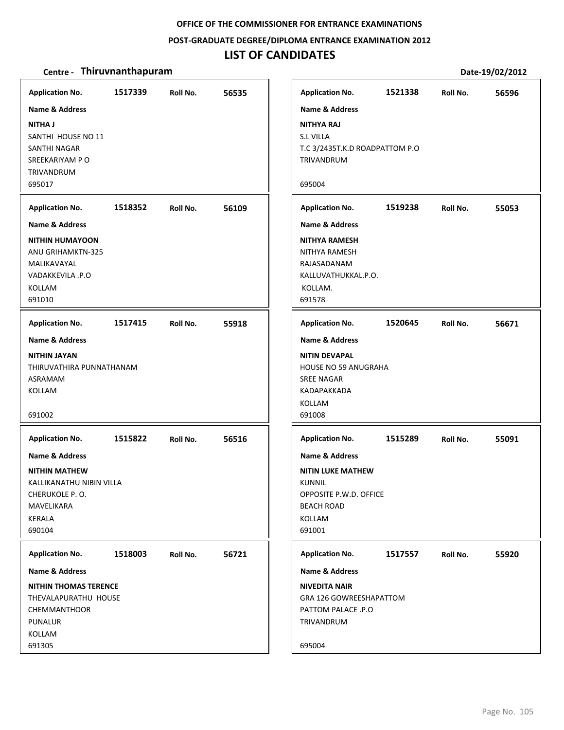**POST‐GRADUATE DEGREE/DIPLOMA ENTRANCE EXAMINATION 2012**

### **LIST OF CANDIDATES**

| <b>Application No.</b>                                                                                                                           | 1517339 | Roll No. | 56535 | <b>Application No.</b>                                                                                                                                              | 1521338 | Roll No. | 56596 |
|--------------------------------------------------------------------------------------------------------------------------------------------------|---------|----------|-------|---------------------------------------------------------------------------------------------------------------------------------------------------------------------|---------|----------|-------|
| <b>Name &amp; Address</b><br><b>NITHA J</b><br>SANTHI HOUSE NO 11<br>SANTHI NAGAR<br>SREEKARIYAM PO<br><b>TRIVANDRUM</b><br>695017               |         |          |       | <b>Name &amp; Address</b><br><b>NITHYA RAJ</b><br><b>S.L VILLA</b><br>T.C 3/2435T.K.D ROADPATTOM P.O<br>TRIVANDRUM<br>695004                                        |         |          |       |
| <b>Application No.</b>                                                                                                                           | 1518352 | Roll No. | 56109 | <b>Application No.</b>                                                                                                                                              | 1519238 | Roll No. | 55053 |
| Name & Address<br><b>NITHIN HUMAYOON</b><br><b>ANU GRIHAMKTN-325</b><br>MALIKAVAYAL<br><b>VADAKKEVILA .P.O</b><br>KOLLAM<br>691010               |         |          |       | <b>Name &amp; Address</b><br><b>NITHYA RAMESH</b><br>NITHYA RAMESH<br>RAJASADANAM<br>KALLUVATHUKKAL.P.O.<br>KOLLAM.<br>691578                                       |         |          |       |
| <b>Application No.</b>                                                                                                                           | 1517415 | Roll No. | 55918 | <b>Application No.</b>                                                                                                                                              | 1520645 | Roll No. | 56671 |
| <b>Name &amp; Address</b><br><b>NITHIN JAYAN</b><br>THIRUVATHIRA PUNNATHANAM<br>ASRAMAM<br>KOLLAM<br>691002                                      |         |          |       | <b>Name &amp; Address</b><br><b>NITIN DEVAPAL</b><br><b>HOUSE NO 59 ANUGRAHA</b><br><b>SREE NAGAR</b><br>KADAPAKKADA<br>KOLLAM<br>691008                            |         |          |       |
| <b>Application No.</b><br>Name & Address<br><b>NITHIN MATHEW</b><br>KALLIKANATHU NIBIN VILLA<br>CHERUKOLE P.O.<br>MAVELIKARA<br>KERALA<br>690104 | 1515822 | Roll No. | 56516 | <b>Application No.</b><br><b>Name &amp; Address</b><br><b>NITIN LUKE MATHEW</b><br><b>KUNNIL</b><br>OPPOSITE P.W.D. OFFICE<br><b>BEACH ROAD</b><br>KOLLAM<br>691001 | 1515289 | Roll No. | 55091 |
| <b>Application No.</b><br>Name & Address                                                                                                         | 1518003 | Roll No. | 56721 | <b>Application No.</b><br><b>Name &amp; Address</b>                                                                                                                 | 1517557 | Roll No. | 55920 |
| <b>NITHIN THOMAS TERENCE</b><br>THEVALAPURATHU HOUSE<br><b>CHEMMANTHOOR</b><br>PUNALUR<br>KOLLAM<br>691305                                       |         |          |       | <b>NIVEDITA NAIR</b><br>GRA 126 GOWREESHAPATTOM<br>PATTOM PALACE .P.O<br>TRIVANDRUM<br>695004                                                                       |         |          |       |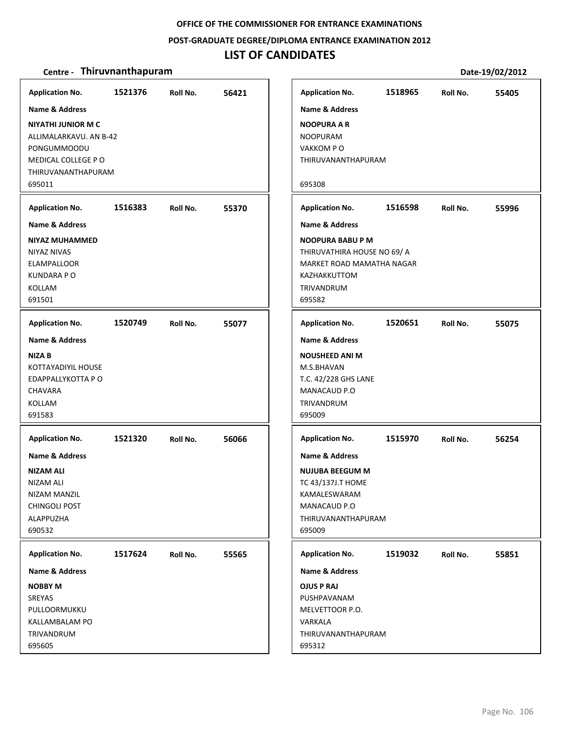**POST‐GRADUATE DEGREE/DIPLOMA ENTRANCE EXAMINATION 2012**

### **LIST OF CANDIDATES**

| <b>Application No.</b>                                                                                                                                | 1521376 | Roll No. | 56421 |
|-------------------------------------------------------------------------------------------------------------------------------------------------------|---------|----------|-------|
| <b>Name &amp; Address</b><br><b>NIYATHI JUNIOR M C</b><br>ALLIMALARKAVU. AN B-42<br>PONGUMMOODU<br>MEDICAL COLLEGE PO<br>THIRUVANANTHAPURAM<br>695011 |         |          |       |
| <b>Application No.</b>                                                                                                                                | 1516383 | Roll No. | 55370 |
| Name & Address                                                                                                                                        |         |          |       |
| NIYAZ MUHAMMED<br>NIYAZ NIVAS<br>ELAMPALLOOR<br><b>KUNDARA P O</b><br>KOLLAM<br>691501                                                                |         |          |       |
| <b>Application No.</b>                                                                                                                                | 1520749 | Roll No. | 55077 |
| <b>Name &amp; Address</b><br><b>NIZA B</b><br>KOTTAYADIYIL HOUSE<br>EDAPPALLYKOTTA P O<br>CHAVARA<br>KOLLAM<br>691583                                 |         |          |       |
| <b>Application No.</b><br>Name & Address<br><b>NIZAM ALI</b><br>NIZAM ALI<br>NIZAM MANZIL<br><b>CHINGOLI POST</b><br>ALAPPUZHA<br>690532              | 1521320 | Roll No. | 56066 |
| <b>Application No.</b>                                                                                                                                | 1517624 | Roll No. | 55565 |
| <b>Name &amp; Address</b>                                                                                                                             |         |          |       |
| <b>NOBBY M</b><br>SREYAS<br>PULLOORMUKKU<br>KALLAMBALAM PO<br>TRIVANDRUM<br>695605                                                                    |         |          |       |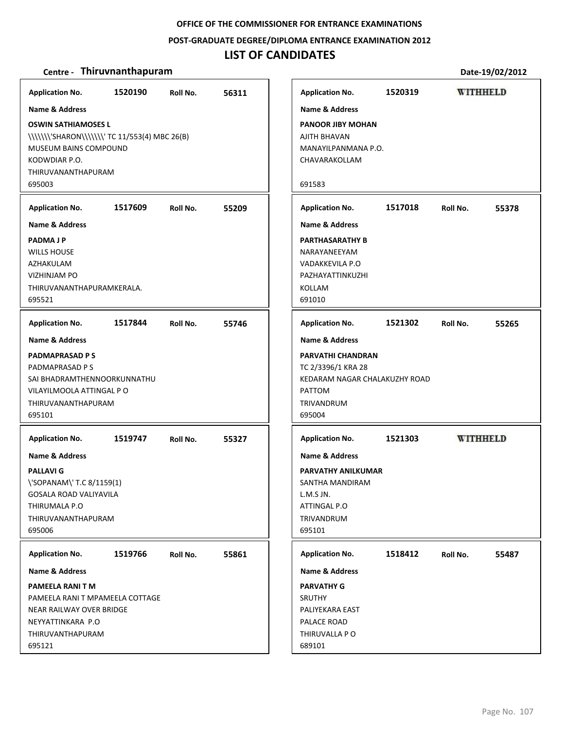**POST‐GRADUATE DEGREE/DIPLOMA ENTRANCE EXAMINATION 2012**

### **LIST OF CANDIDATES**

### **Centre** - Thiruvnanthapuram

| Application No. 1520190 Roll No.             |         |          | 56311 |
|----------------------------------------------|---------|----------|-------|
| <b>Name &amp; Address</b>                    |         |          |       |
| <b>OSWIN SATHIAMOSES L</b>                   |         |          |       |
| \\\\\\\'SHARON\\\\\\\'TC 11/553(4) MBC 26(B) |         |          |       |
| MUSEUM BAINS COMPOUND                        |         |          |       |
| KODWDIAR P.O.                                |         |          |       |
| <b>THIRUVANANTHAPURAM</b>                    |         |          |       |
| 695003                                       |         |          |       |
| Application No. 1517609                      |         | Roll No. | 55209 |
| <b>Name &amp; Address</b>                    |         |          |       |
| <b>PADMAJP</b>                               |         |          |       |
| <b>WILLS HOUSE</b>                           |         |          |       |
| AZHAKULAM                                    |         |          |       |
| <b>VIZHINJAM PO</b>                          |         |          |       |
| THIRUVANANTHAPURAMKERALA.                    |         |          |       |
| 695521                                       |         |          |       |
| Application No. 1517844 Roll No.             |         |          | 55746 |
| <b>Name &amp; Address</b>                    |         |          |       |
| <b>PADMAPRASAD PS</b>                        |         |          |       |
| PADMAPRASAD P S                              |         |          |       |
| SAI BHADRAMTHENNOORKUNNATHU                  |         |          |       |
| VILAYILMOOLA ATTINGAL P O                    |         |          |       |
| THIRUVANANTHAPURAM                           |         |          |       |
| 695101                                       |         |          |       |
| Application No. 1519747                      |         | Roll No. | 55327 |
| <b>Name &amp; Address</b>                    |         |          |       |
| <b>PALLAVI G</b>                             |         |          |       |
| \'SOPANAM\'T.C 8/1159(1)                     |         |          |       |
| GOSALA ROAD VALIYAVILA                       |         |          |       |
| THIRUMALA P.O                                |         |          |       |
| <b>THIRUVANANTHAPURAM</b>                    |         |          |       |
| 695006                                       |         |          |       |
| <b>Application No.</b>                       | 1519766 | Roll No. | 55861 |
| <b>Name &amp; Address</b>                    |         |          |       |
| <b>PAMEELA RANI T M</b>                      |         |          |       |
| PAMEELA RANI T MPAMEELA COTTAGE              |         |          |       |
| <b>NEAR RAILWAY OVER BRIDGE</b>              |         |          |       |
| NEYYATTINKARA P.O                            |         |          |       |
| <b>THIRUVANTHAPURAM</b>                      |         |          |       |
|                                              |         |          |       |

|                                                                                                            |         |                 | Date-19/02/2012 |
|------------------------------------------------------------------------------------------------------------|---------|-----------------|-----------------|
| <b>Application No.</b>                                                                                     | 1520319 | <b>WITHHELD</b> |                 |
| <b>Name &amp; Address</b>                                                                                  |         |                 |                 |
| PANOOR JIBY MOHAN<br>AJITH BHAVAN<br>MANAYILPANMANA P.O.<br>CHAVARAKOLLAM                                  |         |                 |                 |
| 691583                                                                                                     |         |                 |                 |
| <b>Application No.</b>                                                                                     | 1517018 | Roll No.        | 55378           |
| <b>Name &amp; Address</b>                                                                                  |         |                 |                 |
| PARTHASARATHY B<br>NARAYANEEYAM<br>VADAKKEVILA P.O<br>PAZHAYATTINKUZHI<br>KOLLAM<br>691010                 |         |                 |                 |
| Application No. 1521302 Roll No.                                                                           |         |                 | 55265           |
| <b>Name &amp; Address</b>                                                                                  |         |                 |                 |
| PARVATHI CHANDRAN<br>TC 2/3396/1 KRA 28<br>KEDARAM NAGAR CHALAKUZHY ROAD<br>PATTOM<br>TRIVANDRUM<br>695004 |         |                 |                 |
| <b>Application No.</b>                                                                                     | 1521303 | <b>WITHHELD</b> |                 |
| <b>Name &amp; Address</b>                                                                                  |         |                 |                 |
| PARVATHY ANILKUMAR<br>SANTHA MANDIRAM<br>L.M.S JN.<br>ATTINGAL P.O<br>TRIVANDRUM<br>695101                 |         |                 |                 |
| <b>Application No.</b>                                                                                     | 1518412 | Roll No.        | 55487           |
| <b>Name &amp; Address</b>                                                                                  |         |                 |                 |
| PARVATHY G<br>SRUTHY<br>PALIYEKARA EAST<br>PALACE ROAD<br>THIRUVALLA P O<br>689101                         |         |                 |                 |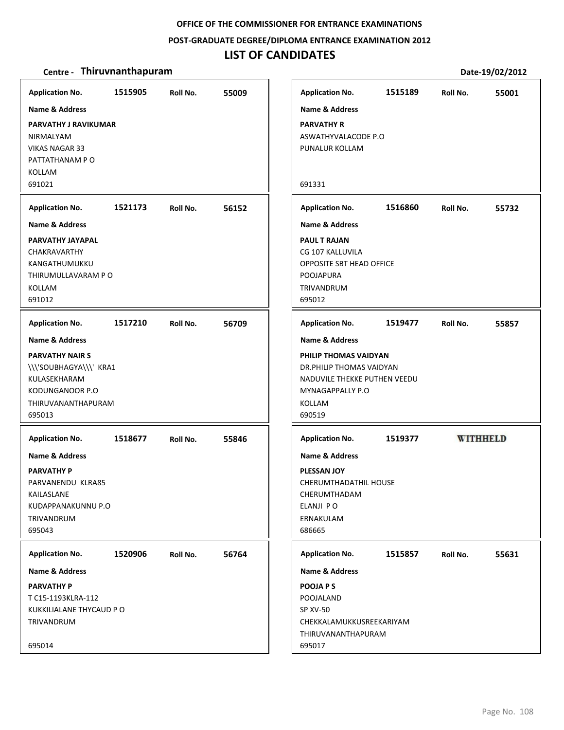**POST‐GRADUATE DEGREE/DIPLOMA ENTRANCE EXAMINATION 2012**

### **LIST OF CANDIDATES**

# **Centre** • **Thiruvnanthapuram Date-19/02/2012**

| <b>Application No.</b>      | 1515905 | Roll No. | 55009 | <b>Application No.</b>          | 1515189 | Roll No. | 550             |
|-----------------------------|---------|----------|-------|---------------------------------|---------|----------|-----------------|
| <b>Name &amp; Address</b>   |         |          |       | <b>Name &amp; Address</b>       |         |          |                 |
| <b>PARVATHY J RAVIKUMAR</b> |         |          |       | <b>PARVATHY R</b>               |         |          |                 |
| NIRMALYAM                   |         |          |       | ASWATHYVALACODE P.O             |         |          |                 |
| <b>VIKAS NAGAR 33</b>       |         |          |       | PUNALUR KOLLAM                  |         |          |                 |
| PATTATHANAM PO              |         |          |       |                                 |         |          |                 |
| KOLLAM                      |         |          |       |                                 |         |          |                 |
| 691021                      |         |          |       | 691331                          |         |          |                 |
| <b>Application No.</b>      | 1521173 | Roll No. | 56152 | <b>Application No.</b>          | 1516860 | Roll No. | 557             |
| <b>Name &amp; Address</b>   |         |          |       | <b>Name &amp; Address</b>       |         |          |                 |
| PARVATHY JAYAPAL            |         |          |       | <b>PAUL T RAJAN</b>             |         |          |                 |
| <b>CHAKRAVARTHY</b>         |         |          |       | CG 107 KALLUVILA                |         |          |                 |
| KANGATHUMUKKU               |         |          |       | <b>OPPOSITE SBT HEAD OFFICE</b> |         |          |                 |
| THIRUMULLAVARAM P O         |         |          |       | POOJAPURA                       |         |          |                 |
| KOLLAM<br>691012            |         |          |       | <b>TRIVANDRUM</b><br>695012     |         |          |                 |
|                             |         |          |       |                                 |         |          |                 |
| <b>Application No.</b>      | 1517210 | Roll No. | 56709 | <b>Application No.</b>          | 1519477 | Roll No. | 558             |
| <b>Name &amp; Address</b>   |         |          |       | <b>Name &amp; Address</b>       |         |          |                 |
| <b>PARVATHY NAIR S</b>      |         |          |       | PHILIP THOMAS VAIDYAN           |         |          |                 |
| \\\'SOUBHAGYA\\\' KRA1      |         |          |       | DR. PHILIP THOMAS VAIDYAN       |         |          |                 |
| KULASEKHARAM                |         |          |       | NADUVILE THEKKE PUTHEN VEEDU    |         |          |                 |
| KODUNGANOOR P.O             |         |          |       | MYNAGAPPALLY P.O                |         |          |                 |
| THIRUVANANTHAPURAM          |         |          |       | KOLLAM                          |         |          |                 |
| 695013                      |         |          |       | 690519                          |         |          |                 |
| <b>Application No.</b>      | 1518677 | Roll No. | 55846 | <b>Application No.</b>          | 1519377 |          | <b>WITHHELD</b> |
| <b>Name &amp; Address</b>   |         |          |       | <b>Name &amp; Address</b>       |         |          |                 |
| <b>PARVATHY P</b>           |         |          |       | <b>PLESSAN JOY</b>              |         |          |                 |
| PARVANENDU KLRA85           |         |          |       | CHERUMTHADATHIL HOUSE           |         |          |                 |
| KAILASLANE                  |         |          |       | CHERUMTHADAM                    |         |          |                 |
| KUDAPPANAKUNNU P.O          |         |          |       | ELANJI PO                       |         |          |                 |
| TRIVANDRUM                  |         |          |       | ERNAKULAM                       |         |          |                 |
| 695043                      |         |          |       | 686665                          |         |          |                 |
| <b>Application No.</b>      | 1520906 | Roll No. | 56764 | <b>Application No.</b>          | 1515857 | Roll No. | 556             |
| <b>Name &amp; Address</b>   |         |          |       | Name & Address                  |         |          |                 |
| <b>PARVATHY P</b>           |         |          |       | POOJA P S                       |         |          |                 |
| T C15-1193KLRA-112          |         |          |       | POOJALAND                       |         |          |                 |
| KUKKILIALANE THYCAUD PO     |         |          |       | <b>SP XV-50</b>                 |         |          |                 |
| TRIVANDRUM                  |         |          |       | CHEKKALAMUKKUSREEKARIYAM        |         |          |                 |
|                             |         |          |       | THIRUVANANTHAPURAM              |         |          |                 |
| 695014                      |         |          |       | 695017                          |         |          |                 |

**1515857 55631**

**1515189 55001**

**1516860 55732**

**1519477 55857**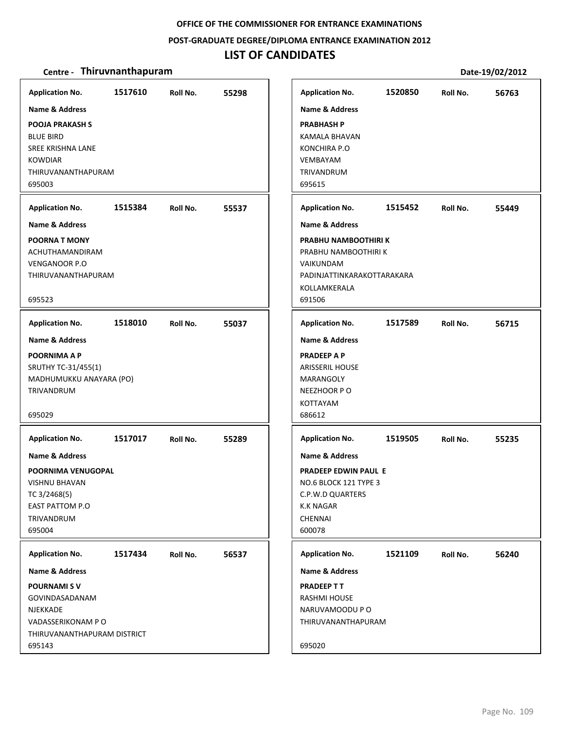### **POST‐GRADUATE DEGREE/DIPLOMA ENTRANCE EXAMINATION 2012**

# **LIST OF CANDIDATES**

| <b>Application No.</b><br><b>Name &amp; Address</b><br>POOJA PRAKASH S<br><b>BLUE BIRD</b><br>SREE KRISHNA LANE<br><b>KOWDIAR</b><br>THIRUVANANTHAPURAM<br>695003    | 1517610 | Roll No. | 55298 | <b>Application No.</b><br><b>Name &amp; Address</b><br><b>PRABHASH P</b><br>KAMALA BHAVAN<br><b>KONCHIRA P.O</b><br>VEMBAYAM<br><b>TRIVANDRUM</b><br>695615                     | 1520850 | Roll No. | 56763 |
|----------------------------------------------------------------------------------------------------------------------------------------------------------------------|---------|----------|-------|---------------------------------------------------------------------------------------------------------------------------------------------------------------------------------|---------|----------|-------|
| <b>Application No.</b><br><b>Name &amp; Address</b><br><b>POORNA T MONY</b><br>ACHUTHAMANDIRAM<br><b>VENGANOOR P.O</b><br>THIRUVANANTHAPURAM<br>695523               | 1515384 | Roll No. | 55537 | <b>Application No.</b><br><b>Name &amp; Address</b><br>PRABHU NAMBOOTHIRI K<br>PRABHU NAMBOOTHIRI K<br>VAIKUNDAM<br>PADINJATTINKARAKOTTARAKARA<br>KOLLAMKERALA<br>691506        | 1515452 | Roll No. | 55449 |
| <b>Application No.</b><br><b>Name &amp; Address</b><br><b>POORNIMA A P</b><br>SRUTHY TC-31/455(1)<br>MADHUMUKKU ANAYARA (PO)<br>TRIVANDRUM<br>695029                 | 1518010 | Roll No. | 55037 | <b>Application No.</b><br><b>Name &amp; Address</b><br><b>PRADEEP A P</b><br><b>ARISSERIL HOUSE</b><br><b>MARANGOLY</b><br>NEEZHOOR PO<br><b>KOTTAYAM</b><br>686612             | 1517589 | Roll No. | 56715 |
| <b>Application No.</b><br><b>Name &amp; Address</b><br>POORNIMA VENUGOPAL<br><b>VISHNU BHAVAN</b><br>TC 3/2468(5)<br><b>EAST PATTOM P.O</b><br>TRIVANDRUM<br>695004  | 1517017 | Roll No. | 55289 | <b>Application No.</b><br><b>Name &amp; Address</b><br><b>PRADEEP EDWIN PAUL E</b><br>NO.6 BLOCK 121 TYPE 3<br>C.P.W.D QUARTERS<br><b>K.K NAGAR</b><br><b>CHENNAI</b><br>600078 | 1519505 | Roll No. | 55235 |
| <b>Application No.</b><br><b>Name &amp; Address</b><br><b>POURNAMISV</b><br>GOVINDASADANAM<br>NJEKKADE<br>VADASSERIKONAM PO<br>THIRUVANANTHAPURAM DISTRICT<br>695143 | 1517434 | Roll No. | 56537 | <b>Application No.</b><br>Name & Address<br><b>PRADEEP TT</b><br>RASHMI HOUSE<br>NARUVAMOODU PO<br>THIRUVANANTHAPURAM<br>695020                                                 | 1521109 | Roll No. | 56240 |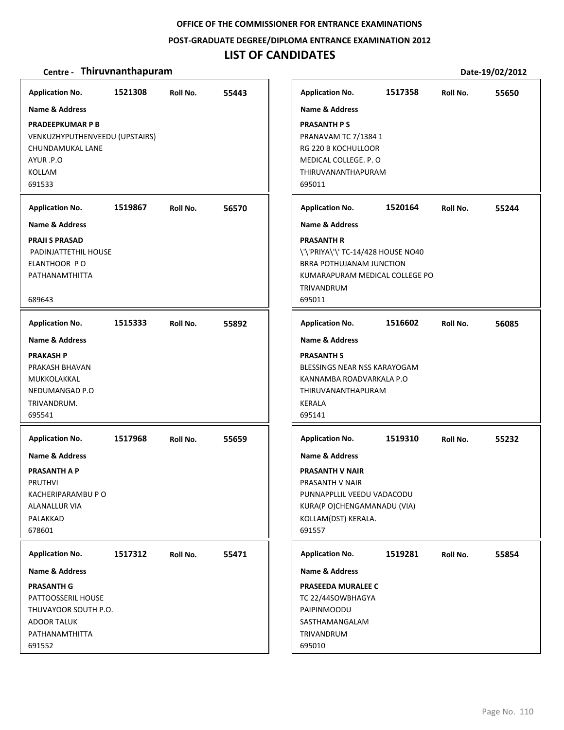## **POST‐GRADUATE DEGREE/DIPLOMA ENTRANCE EXAMINATION 2012**

# **LIST OF CANDIDATES**

| <b>Application No.</b>                             | 1521308 | Roll No. | 55443 |
|----------------------------------------------------|---------|----------|-------|
| Name & Address                                     |         |          |       |
| <b>PRADEEPKUMAR P B</b>                            |         |          |       |
| VENKUZHYPUTHENVEEDU (UPSTAIRS)<br>CHUNDAMUKAL LANE |         |          |       |
| AYUR .P.O                                          |         |          |       |
| <b>KOLLAM</b>                                      |         |          |       |
| 691533                                             |         |          |       |
| <b>Application No.</b>                             | 1519867 | Roll No. | 56570 |
| <b>Name &amp; Address</b>                          |         |          |       |
| <b>PRAJI S PRASAD</b>                              |         |          |       |
| PADINJATTETHIL HOUSE                               |         |          |       |
| ELANTHOOR PO                                       |         |          |       |
| PATHANAMTHITTA                                     |         |          |       |
| 689643                                             |         |          |       |
|                                                    |         |          |       |
| <b>Application No.</b>                             | 1515333 | Roll No. | 55892 |
| <b>Name &amp; Address</b>                          |         |          |       |
| <b>PRAKASH P</b>                                   |         |          |       |
| PRAKASH BHAVAN                                     |         |          |       |
| MUKKOLAKKAL<br>NEDUMANGAD P.O                      |         |          |       |
| TRIVANDRUM.                                        |         |          |       |
| 695541                                             |         |          |       |
| <b>Application No.</b>                             | 1517968 |          |       |
|                                                    |         | Roll No. | 55659 |
| <b>Name &amp; Address</b>                          |         |          |       |
| <b>PRASANTH A P</b><br><b>PRUTHVI</b>              |         |          |       |
| KACHERIPARAMBU P O                                 |         |          |       |
| ALANALLUR VIA                                      |         |          |       |
| PALAKKAD                                           |         |          |       |
| 678601                                             |         |          |       |
| <b>Application No.</b>                             | 1517312 | Roll No. | 55471 |
| Name & Address                                     |         |          |       |
| <b>PRASANTH G</b>                                  |         |          |       |
| PATTOOSSERIL HOUSE                                 |         |          |       |
| THUVAYOOR SOUTH P.O.                               |         |          |       |
| <b>ADOOR TALUK</b>                                 |         |          |       |
| PATHANAMTHITTA                                     |         |          |       |
| 691552                                             |         |          |       |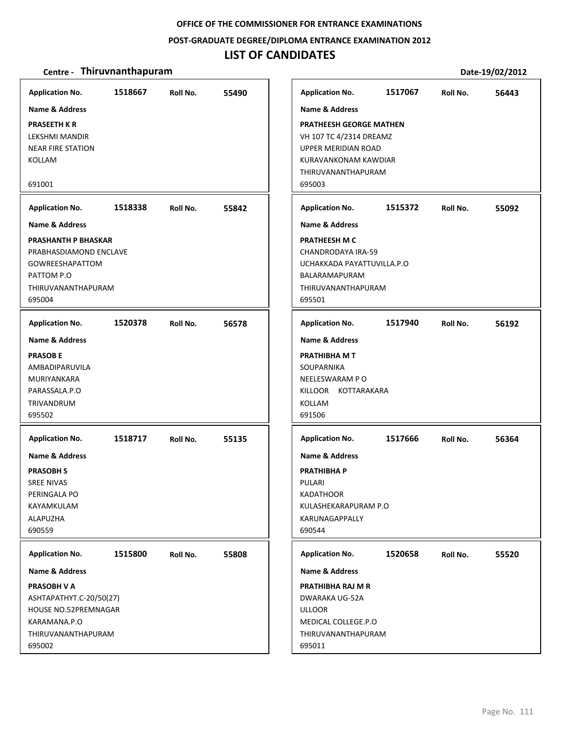#### **POST‐GRADUATE DEGREE/DIPLOMA ENTRANCE EXAMINATION 2012**

## **LIST OF CANDIDATES**

### **Centre** • **Thiruvnanthapuram Date-19/02/2012**

**1518667 55490 PRASEETH K R** LEKSHMI MANDIR NEAR FIRE STATION KOLLAM 691001 **Application No. Name & Address 1518338 55842 PRASHANTH P BHASKAR** PRABHASDIAMOND ENCLAVE GOWREESHAPATTOM PATTOM P.O THIRUVANANTHAPURAM 695004 **Application No. Name & Address 1520378 56578 PRASOB E** AMBADIPARUVILA MURIYANKARA PARASSALA.P.O TRIVANDRUM 695502 **Application No. Name & Address 1518717 55135 PRASOBH S** SREE NIVAS PERINGALA PO KAYAMKULAM ALAPUZHA 690559 **Application No. Name & Address 1515800 55808 PRASOBH V A** ASHTAPATHYT.C‐20/50(27) HOUSE NO.52PREMNAGAR KARAMANA.P.O THIRUVANANTHAPURAM 695002 **Application No. Name & Address 1517067 56443 PRATHEESH GEORGE MATHEN** VH 107 TC 4/2314 DREAMZ UPPER MERIDIAN ROAD KURAVANKONAM KAWDIAR THIRUVANANTHAPURAM 695003 **Application No. Name & Address 1515372 55092 PRATHEESH M C** CHANDRODAYA IRA‐59 UCHAKKADA PAYATTUVILLA.P.O BALARAMAPURAM THIRUVANANTHAPURAM 695501 **Application No. Name & Address 1517940 56192 PRATHIBHA M T** SOUPARNIKA NEELESWARAM P O KILLOOR KOTTARAKARA KOLLAM 691506 **Application No. Name & Address 1517666 56364 PRATHIBHA P** PULARI KADATHOOR KULASHEKARAPURAM P.O KARUNAGAPPALLY 690544 **Application No. Name & Address 1520658 55520 PRATHIBHA RAJ M R** DWARAKA UG‐52A ULLOOR MEDICAL COLLEGE.P.O THIRUVANANTHAPURAM 695011 **Application No. Name & Address**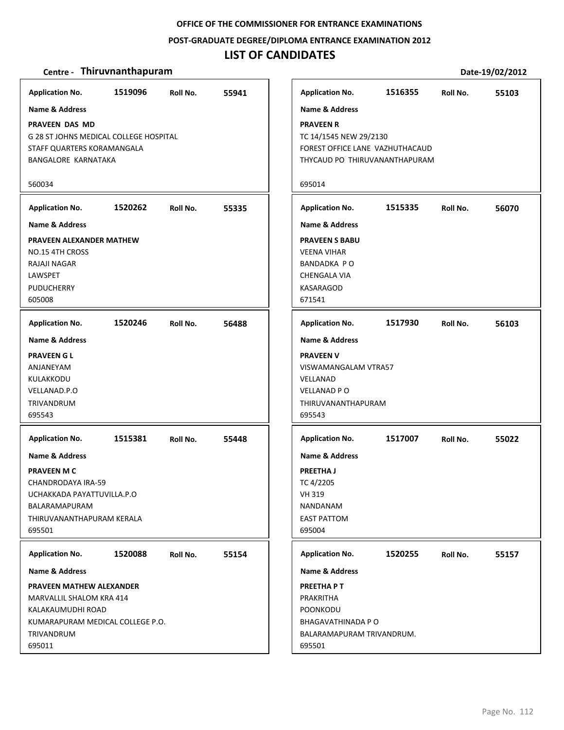**POST‐GRADUATE DEGREE/DIPLOMA ENTRANCE EXAMINATION 2012**

## **LIST OF CANDIDATES**

### **Centre** • **Thiruvnanthapuram Date-19/02/2012**

**1519096 55941 PRAVEEN DAS MD** G 28 ST JOHNS MEDICAL COLLEGE HOSPITAL STAFF QUARTERS KORAMANGALA BANGALORE KARNATAKA 560034 **Application No. Name & Address 1520262 55335 PRAVEEN ALEXANDER MATHEW** NO.15 4TH CROSS RAJAJI NAGAR LAWSPET PUDUCHERRY 605008 **Application No. Name & Address 1520246 56488 PRAVEEN G L** ANJANEYAM KULAKKODU VELLANAD.P.O TRIVANDRUM 695543 **Application No. Name & Address 1515381 55448 PRAVEEN M C** CHANDRODAYA IRA‐59 UCHAKKADA PAYATTUVILLA.P.O BALARAMAPURAM THIRUVANANTHAPURAM KERALA 695501 **Application No. Name & Address 1520088 55154 PRAVEEN MATHEW ALEXANDER** MARVALLIL SHALOM KRA 414 KALAKAUMUDHI ROAD KUMARAPURAM MEDICAL COLLEGE P.O. TRIVANDRUM 695011 **Application No. Name & Address 1516355 55103 PRAVEEN R** TC 14/1545 NEW 29/2130 FOREST OFFICE LANE VAZHUTHACAUD THYCAUD PO THIRUVANANTHAPURAM 695014 **Application No. Name & Address 1515335 56070 PRAVEEN S BABU** VEENA VIHAR BANDADKA P O CHENGALA VIA KASARAGOD 671541 **Application No. Name & Address 1517930 56103 PRAVEEN V** VISWAMANGALAM VTRA57 VELLANAD VELLANAD P O THIRUVANANTHAPURAM 695543 **Application No. Name & Address 1517007 55022 PREETHA J** TC 4/2205 VH 319 NANDANAM EAST PATTOM 695004 **Application No. Name & Address 1520255 55157 PREETHA P T** PRAKRITHA POONKODU BHAGAVATHINADA P O BALARAMAPURAM TRIVANDRUM. 695501 **Application No. Name & Address**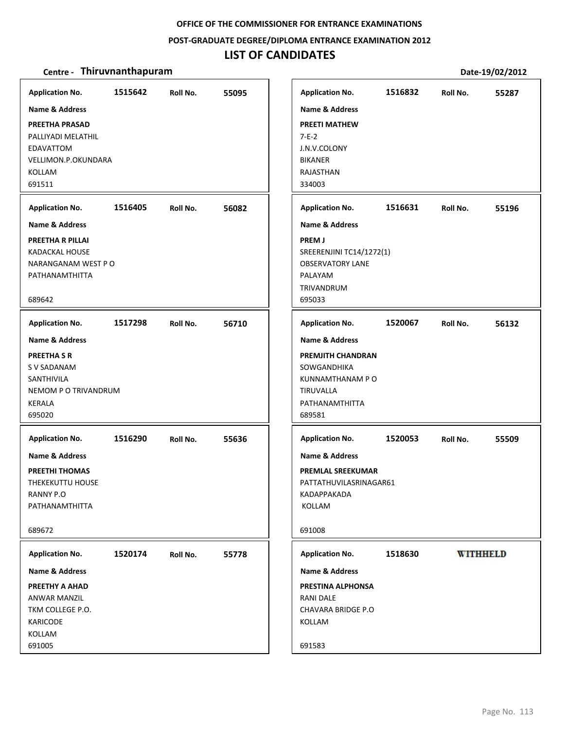## **POST‐GRADUATE DEGREE/DIPLOMA ENTRANCE EXAMINATION 2012**

# **LIST OF CANDIDATES**

| <b>Application No.</b>                                                                                                    | 1515642 | Roll No. | 55095 | <b>Application No.</b>                                                                                                              | 1516832 | Roll No.        | 55287 |
|---------------------------------------------------------------------------------------------------------------------------|---------|----------|-------|-------------------------------------------------------------------------------------------------------------------------------------|---------|-----------------|-------|
| <b>Name &amp; Address</b><br>PREETHA PRASAD<br>PALLIYADI MELATHIL<br>EDAVATTOM<br>VELLIMON.P.OKUNDARA<br>KOLLAM<br>691511 |         |          |       | <b>Name &amp; Address</b><br><b>PREETI MATHEW</b><br>$7 - E - 2$<br>J.N.V.COLONY<br><b>BIKANER</b><br>RAJASTHAN<br>334003           |         |                 |       |
| <b>Application No.</b>                                                                                                    | 1516405 | Roll No. | 56082 | <b>Application No.</b>                                                                                                              | 1516631 | Roll No.        | 55196 |
| Name & Address<br>PREETHA R PILLAI<br>KADACKAL HOUSE<br>NARANGANAM WEST PO<br>PATHANAMTHITTA<br>689642                    |         |          |       | <b>Name &amp; Address</b><br><b>PREMJ</b><br>SREERENJINI TC14/1272(1)<br><b>OBSERVATORY LANE</b><br>PALAYAM<br>TRIVANDRUM<br>695033 |         |                 |       |
| <b>Application No.</b>                                                                                                    | 1517298 | Roll No. | 56710 | <b>Application No.</b>                                                                                                              | 1520067 | Roll No.        | 56132 |
| <b>Name &amp; Address</b><br><b>PREETHA S R</b><br>S V SADANAM<br>SANTHIVILA<br>NEMOM P O TRIVANDRUM<br>KERALA<br>695020  |         |          |       | <b>Name &amp; Address</b><br><b>PREMJITH CHANDRAN</b><br>SOWGANDHIKA<br>KUNNAMTHANAM P O<br>TIRUVALLA<br>PATHANAMTHITTA<br>689581   |         |                 |       |
| <b>Application No.</b>                                                                                                    | 1516290 | Roll No. | 55636 | <b>Application No.</b>                                                                                                              | 1520053 | Roll No.        | 55509 |
| <b>Name &amp; Address</b><br><b>PREETHI THOMAS</b><br>THEKEKUTTU HOUSE<br>RANNY P.O<br>PATHANAMTHITTA<br>689672           |         |          |       | <b>Name &amp; Address</b><br><b>PREMLAL SREEKUMAR</b><br>PATTATHUVILASRINAGAR61<br>KADAPPAKADA<br>KOLLAM<br>691008                  |         |                 |       |
| <b>Application No.</b>                                                                                                    | 1520174 | Roll No. | 55778 | <b>Application No.</b>                                                                                                              | 1518630 | <b>WITHHELD</b> |       |
| Name & Address<br>PREETHY A AHAD<br><b>ANWAR MANZIL</b><br>TKM COLLEGE P.O.<br>KARICODE<br>KOLLAM<br>691005               |         |          |       | Name & Address<br>PRESTINA ALPHONSA<br><b>RANI DALE</b><br>CHAVARA BRIDGE P.O<br>KOLLAM<br>691583                                   |         |                 |       |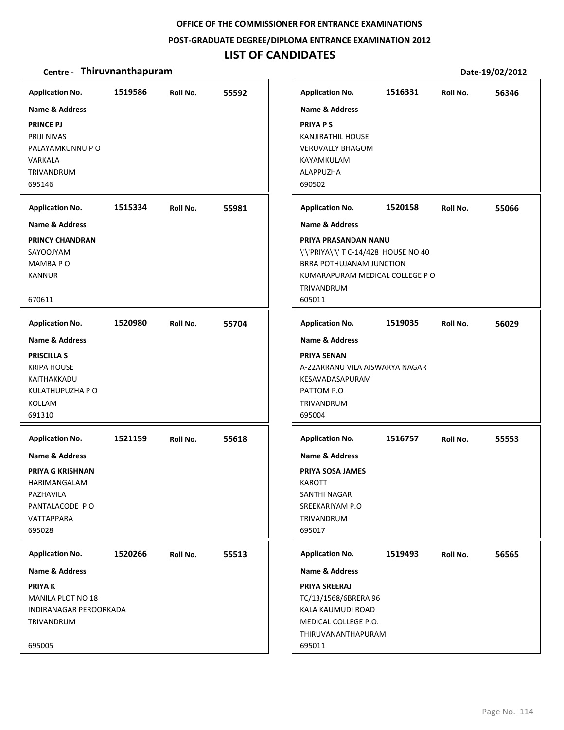### **POST‐GRADUATE DEGREE/DIPLOMA ENTRANCE EXAMINATION 2012**

# **LIST OF CANDIDATES**

| <b>Application No.</b><br><b>Name &amp; Address</b><br><b>PRINCE PJ</b><br><b>PRIJI NIVAS</b><br>PALAYAMKUNNU P O<br>VARKALA<br>TRIVANDRUM<br>695146   | 1519586 | Roll No. | 55592 | <b>Application No.</b><br><b>Name &amp; Address</b><br><b>PRIYA PS</b><br><b>KANJIRATHIL HOUSE</b><br><b>VERUVALLY BHAGOM</b><br>KAYAMKULAM<br><b>ALAPPUZHA</b><br>690502                                 | 1516331 | Roll No. | 56346 |
|--------------------------------------------------------------------------------------------------------------------------------------------------------|---------|----------|-------|-----------------------------------------------------------------------------------------------------------------------------------------------------------------------------------------------------------|---------|----------|-------|
| <b>Application No.</b><br>Name & Address<br><b>PRINCY CHANDRAN</b><br>SAYOOJYAM<br><b>MAMBAPO</b><br><b>KANNUR</b><br>670611                           | 1515334 | Roll No. | 55981 | <b>Application No.</b><br><b>Name &amp; Address</b><br>PRIYA PRASANDAN NANU<br>\'\'PRIYA\'\' T C-14/428 HOUSE NO 40<br>BRRA POTHUJANAM JUNCTION<br>KUMARAPURAM MEDICAL COLLEGE PO<br>TRIVANDRUM<br>605011 | 1520158 | Roll No. | 55066 |
| <b>Application No.</b><br><b>Name &amp; Address</b><br><b>PRISCILLA S</b><br><b>KRIPA HOUSE</b><br>KAITHAKKADU<br>KULATHUPUZHA P O<br>KOLLAM<br>691310 | 1520980 | Roll No. | 55704 | <b>Application No.</b><br><b>Name &amp; Address</b><br>PRIYA SENAN<br>A-22ARRANU VILA AISWARYA NAGAR<br>KESAVADASAPURAM<br>PATTOM P.O<br>TRIVANDRUM<br>695004                                             | 1519035 | Roll No. | 56029 |
| <b>Application No.</b><br><b>Name &amp; Address</b><br>PRIYA G KRISHNAN<br>HARIMANGALAM<br>PAZHAVILA<br>PANTALACODE PO<br>VATTAPPARA<br>695028         | 1521159 | Roll No. | 55618 | <b>Application No.</b><br><b>Name &amp; Address</b><br>PRIYA SOSA JAMES<br>KAROTT<br>SANTHI NAGAR<br>SREEKARIYAM P.O<br>TRIVANDRUM<br>695017                                                              | 1516757 | Roll No. | 55553 |
| <b>Application No.</b><br><b>Name &amp; Address</b><br><b>PRIYAK</b><br>MANILA PLOT NO 18<br>INDIRANAGAR PEROORKADA<br>TRIVANDRUM<br>695005            | 1520266 | Roll No. | 55513 | <b>Application No.</b><br><b>Name &amp; Address</b><br><b>PRIYA SREERAJ</b><br>TC/13/1568/6BRERA 96<br>KALA KAUMUDI ROAD<br>MEDICAL COLLEGE P.O.<br>THIRUVANANTHAPURAM<br>695011                          | 1519493 | Roll No. | 56565 |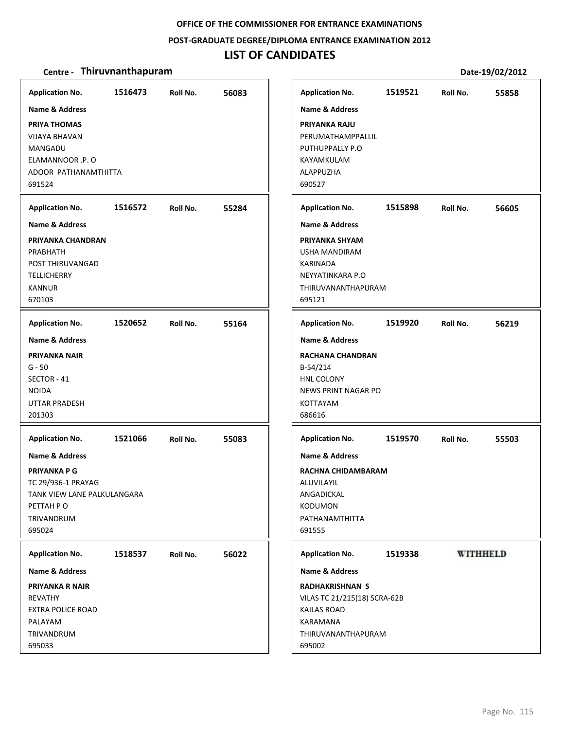### **POST‐GRADUATE DEGREE/DIPLOMA ENTRANCE EXAMINATION 2012**

## **LIST OF CANDIDATES**

| <b>Application No.</b>                                                                                                             | 1516473 | Roll No. | 56083 | <b>Application No.</b>                                                                                                                         | 1519521 | Roll No.        | 55858 |
|------------------------------------------------------------------------------------------------------------------------------------|---------|----------|-------|------------------------------------------------------------------------------------------------------------------------------------------------|---------|-----------------|-------|
| <b>Name &amp; Address</b><br>PRIYA THOMAS<br><b>VIJAYA BHAVAN</b><br>MANGADU<br>ELAMANNOOR .P. O<br>ADOOR PATHANAMTHITTA<br>691524 |         |          |       | <b>Name &amp; Address</b><br>PRIYANKA RAJU<br>PERUMATHAMPPALLIL<br>PUTHUPPALLY P.O<br>KAYAMKULAM<br>ALAPPUZHA<br>690527                        |         |                 |       |
| <b>Application No.</b>                                                                                                             | 1516572 | Roll No. | 55284 | <b>Application No.</b>                                                                                                                         | 1515898 | Roll No.        | 56605 |
| Name & Address                                                                                                                     |         |          |       | <b>Name &amp; Address</b>                                                                                                                      |         |                 |       |
| PRIYANKA CHANDRAN<br>PRABHATH<br>POST THIRUVANGAD<br><b>TELLICHERRY</b><br><b>KANNUR</b><br>670103                                 |         |          |       | PRIYANKA SHYAM<br>USHA MANDIRAM<br>KARINADA<br>NEYYATINKARA P.O<br>THIRUVANANTHAPURAM<br>695121                                                |         |                 |       |
| <b>Application No.</b>                                                                                                             | 1520652 | Roll No. | 55164 | <b>Application No.</b>                                                                                                                         | 1519920 | Roll No.        | 56219 |
| <b>Name &amp; Address</b>                                                                                                          |         |          |       | <b>Name &amp; Address</b>                                                                                                                      |         |                 |       |
| <b>PRIYANKA NAIR</b><br>$G - 50$<br>SECTOR - 41<br><b>NOIDA</b><br><b>UTTAR PRADESH</b><br>201303                                  |         |          |       | <b>RACHANA CHANDRAN</b><br>B-54/214<br>HNL COLONY<br><b>NEWS PRINT NAGAR PO</b><br>KOTTAYAM<br>686616                                          |         |                 |       |
| <b>Application No.</b>                                                                                                             | 1521066 | Roll No. | 55083 | <b>Application No.</b>                                                                                                                         | 1519570 | Roll No.        | 55503 |
| Name & Address                                                                                                                     |         |          |       | Name & Address                                                                                                                                 |         |                 |       |
| <b>PRIYANKA P G</b><br>TC 29/936-1 PRAYAG<br>TANK VIEW LANE PALKULANGARA<br>PETTAH PO<br>TRIVANDRUM<br>695024                      |         |          |       | RACHNA CHIDAMBARAM<br>ALUVILAYIL<br>ANGADICKAL<br><b>KODUMON</b><br>PATHANAMTHITTA<br>691555                                                   |         |                 |       |
| <b>Application No.</b>                                                                                                             | 1518537 | Roll No. | 56022 | <b>Application No.</b>                                                                                                                         | 1519338 | <b>WITHHELD</b> |       |
| <b>Name &amp; Address</b><br>PRIYANKA R NAIR<br>REVATHY<br><b>EXTRA POLICE ROAD</b><br>PALAYAM<br>TRIVANDRUM<br>695033             |         |          |       | <b>Name &amp; Address</b><br><b>RADHAKRISHNAN S</b><br>VILAS TC 21/215(18) SCRA-62B<br>KAILAS ROAD<br>KARAMANA<br>THIRUVANANTHAPURAM<br>695002 |         |                 |       |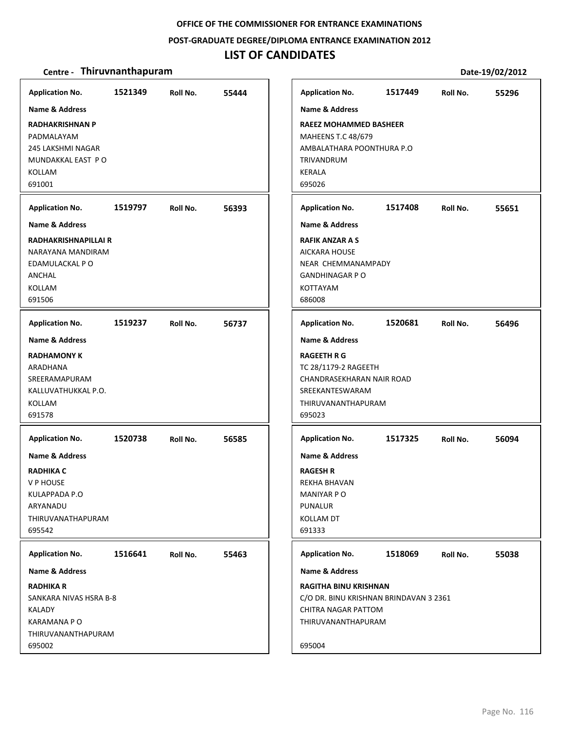#### **POST‐GRADUATE DEGREE/DIPLOMA ENTRANCE EXAMINATION 2012**

## **LIST OF CANDIDATES**

### **Centre** • **Thiruvnanthapuram Date-19/02/2012**

**1521349 55444 RADHAKRISHNAN P** PADMALAYAM 245 LAKSHMI NAGAR MUNDAKKAL EAST P O KOLLAM 691001 **Application No. Name & Address 1519797 56393 RADHAKRISHNAPILLAI R** NARAYANA MANDIRAM EDAMULACKAL P O ANCHAL KOLLAM 691506 **Application No. Name & Address 1519237 56737 RADHAMONY K** ARADHANA SREERAMAPURAM KALLUVATHUKKAL P.O. KOLLAM 691578 **Application No. Name & Address 1520738 56585 RADHIKA C** V P HOUSE KULAPPADA P.O ARYANADU THIRUVANATHAPURAM 695542 **Application No. Name & Address 1516641 55463 RADHIKA R** SANKARA NIVAS HSRA B‐8 KALADY KARAMANA P O THIRUVANANTHAPURAM 695002 **Application No. Name & Address 1517449 55296 RAEEZ MOHAMMED BASHEER** MAHEENS T.C 48/679 AMBALATHARA POONTHURA P.O TRIVANDRUM KERALA 695026 **Application No. Name & Address 1517408 55651 RAFIK ANZAR A S** AICKARA HOUSE NEAR CHEMMANAMPADY GANDHINAGAR P O KOTTAYAM 686008 **Application No. Name & Address 1520681 56496 RAGEETH R G** TC 28/1179‐2 RAGEETH CHANDRASEKHARAN NAIR ROAD SREEKANTESWARAM THIRUVANANTHAPURAM 695023 **Application No. Name & Address 1517325 56094 RAGESH R** REKHA BHAVAN MANIYAR P O PUNALUR KOLLAM DT 691333 **Application No. Name & Address 1518069 55038 RAGITHA BINU KRISHNAN** C/O DR. BINU KRISHNAN BRINDAVAN 3 2361 CHITRA NAGAR PATTOM THIRUVANANTHAPURAM 695004 **Application No. Name & Address**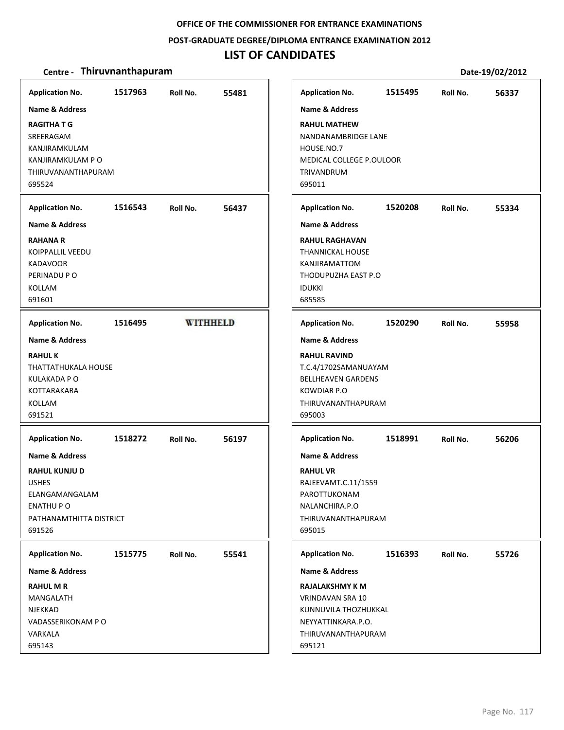#### **POST‐GRADUATE DEGREE/DIPLOMA ENTRANCE EXAMINATION 2012**

## **LIST OF CANDIDATES**

### **Centre** • **Thiruvnanthapuram Date-19/02/2012**

**Application No. 1517963 55481 Application No. 1515495 56337 Name & Address Name & Address RAGITHA T G RAHUL MATHEW** SREERAGAM NANDANAMBRIDGE LANE HOUSE.NO.7 KANJIRAMKULAM KANJIRAMKULAM P O MEDICAL COLLEGE P.OULOOR THIRUVANANTHAPURAM TRIVANDRUM 695524 695011 **Application No. 1516543 56437 Application No. 1520208 55334 Name & Address Name & Address RAHANA R RAHUL RAGHAVAN** KOIPPALLIL VEEDU THANNICKAL HOUSE KADAVOOR KANJIRAMATTOM PERINADU P O THODUPUZHA EAST P.O KOLLAM IDUKKI 691601 685585 **Application No. Application No. 1516495 WITHHELD 1520290 55958 Name & Address Name & Address RAHUL K RAHUL RAVIND** THATTATHUKALA HOUSE T.C.4/1702SAMANUAYAM KULAKADA P O BELLHEAVEN GARDENS KOTTARAKARA KOWDIAR P.O KOLLAM THIRUVANANTHAPURAM 691521 695003 **Application No. Application No. 1518272 56197 1518991 56206 Name & Address Name & Address RAHUL KUNJU D RAHUL VR** USHES RAJEEVAMT.C.11/1559 ELANGAMANGALAM PAROTTUKONAM ENATHU P O NALANCHIRA.P.O PATHANAMTHITTA DISTRICT THIRUVANANTHAPURAM 691526 695015 **Application No. Application No. 1515775 55541 1516393 55726 Name & Address Name & Address RAHUL M R RAJALAKSHMY K M** MANGALATH VRINDAVAN SRA 10 NJEKKAD KUNNUVILA THOZHUKKAL VADASSERIKONAM P O NEYYATTINKARA.P.O. VARKALA THIRUVANANTHAPURAM 695143 695121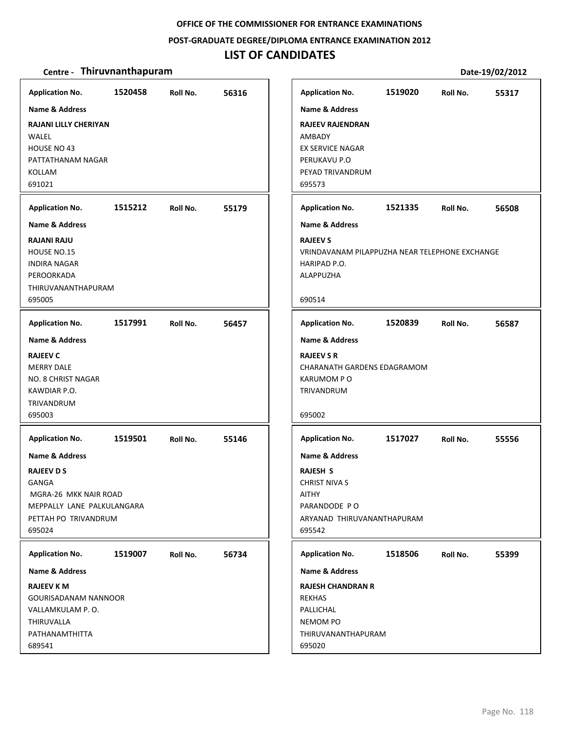## **POST‐GRADUATE DEGREE/DIPLOMA ENTRANCE EXAMINATION 2012**

# **LIST OF CANDIDATES**

| <b>Application No.</b>                                                                                                                                  | 1520458 | Roll No. | 56316 | <b>Application No.</b>                                                                                                                       | 1519020 | Roll No. | 55317 |
|---------------------------------------------------------------------------------------------------------------------------------------------------------|---------|----------|-------|----------------------------------------------------------------------------------------------------------------------------------------------|---------|----------|-------|
| <b>Name &amp; Address</b><br><b>RAJANI LILLY CHERIYAN</b><br>WALEL<br>HOUSE NO 43<br>PATTATHANAM NAGAR<br>KOLLAM<br>691021                              |         |          |       | <b>Name &amp; Address</b><br><b>RAJEEV RAJENDRAN</b><br>AMBADY<br>EX SERVICE NAGAR<br>PERUKAVU P.O<br>PEYAD TRIVANDRUM<br>695573             |         |          |       |
| <b>Application No.</b>                                                                                                                                  | 1515212 | Roll No. | 55179 | <b>Application No.</b>                                                                                                                       | 1521335 | Roll No. | 56508 |
| <b>Name &amp; Address</b>                                                                                                                               |         |          |       | <b>Name &amp; Address</b>                                                                                                                    |         |          |       |
| <b>RAJANI RAJU</b><br>HOUSE NO.15<br><b>INDIRA NAGAR</b><br>PEROORKADA<br>THIRUVANANTHAPURAM<br>695005                                                  |         |          |       | <b>RAJEEV S</b><br>VRINDAVANAM PILAPPUZHA NEAR TELEPHONE EXCHANGE<br>HARIPAD P.O.<br><b>ALAPPUZHA</b><br>690514                              |         |          |       |
|                                                                                                                                                         |         |          |       |                                                                                                                                              |         |          |       |
| <b>Application No.</b>                                                                                                                                  | 1517991 | Roll No. | 56457 | <b>Application No.</b>                                                                                                                       | 1520839 | Roll No. | 56587 |
| <b>Name &amp; Address</b><br><b>RAJEEV C</b><br><b>MERRY DALE</b><br>NO. 8 CHRIST NAGAR<br>KAWDIAR P.O.<br>TRIVANDRUM<br>695003                         |         |          |       | <b>Name &amp; Address</b><br><b>RAJEEV S R</b><br>CHARANATH GARDENS EDAGRAMOM<br><b>KARUMOM PO</b><br>TRIVANDRUM<br>695002                   |         |          |       |
| <b>Application No.</b>                                                                                                                                  | 1519501 | Roll No. | 55146 | <b>Application No.</b>                                                                                                                       | 1517027 | Roll No. | 55556 |
| <b>Name &amp; Address</b><br><b>RAJEEV D S</b><br><b>GANGA</b><br>MGRA-26 MKK NAIR ROAD<br>MEPPALLY LANE PALKULANGARA<br>PETTAH PO TRIVANDRUM<br>695024 |         |          |       | <b>Name &amp; Address</b><br><b>RAJESH S</b><br><b>CHRIST NIVA S</b><br><b>AITHY</b><br>PARANDODE PO<br>ARYANAD THIRUVANANTHAPURAM<br>695542 |         |          |       |
| <b>Application No.</b>                                                                                                                                  | 1519007 | Roll No. | 56734 | <b>Application No.</b>                                                                                                                       | 1518506 | Roll No. | 55399 |
| <b>Name &amp; Address</b><br><b>RAJEEV K M</b><br><b>GOURISADANAM NANNOOR</b><br>VALLAMKULAM P.O.<br>THIRUVALLA<br>PATHANAMTHITTA<br>689541             |         |          |       | <b>Name &amp; Address</b><br><b>RAJESH CHANDRAN R</b><br><b>REKHAS</b><br>PALLICHAL<br><b>NEMOM PO</b><br>THIRUVANANTHAPURAM<br>695020       |         |          |       |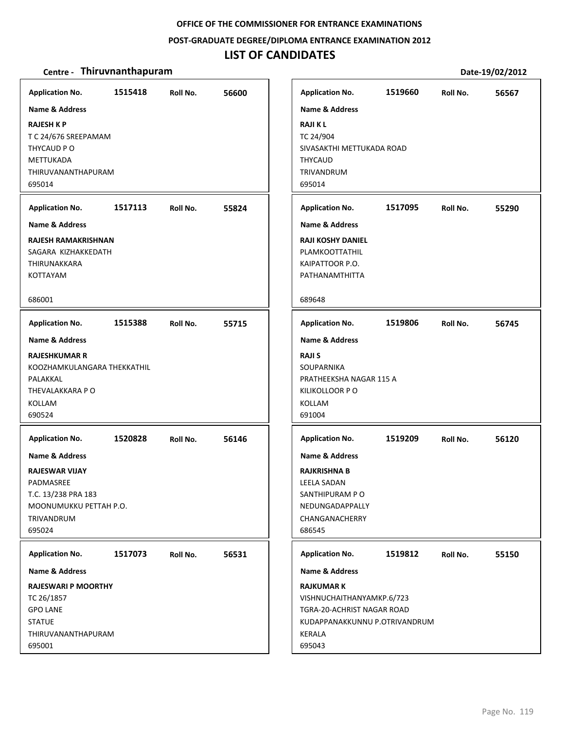### **POST‐GRADUATE DEGREE/DIPLOMA ENTRANCE EXAMINATION 2012**

# **LIST OF CANDIDATES**

| <b>Application No.</b>               | 1515418 | Roll No. | 56600 |
|--------------------------------------|---------|----------|-------|
| <b>Name &amp; Address</b>            |         |          |       |
| <b>RAJESH K P</b>                    |         |          |       |
| T C 24/676 SREEPAMAM                 |         |          |       |
| THYCAUD P O                          |         |          |       |
| METTUKADA                            |         |          |       |
| THIRUVANANTHAPURAM<br>695014         |         |          |       |
|                                      |         |          |       |
| <b>Application No.</b>               | 1517113 | Roll No. | 55824 |
| Name & Address                       |         |          |       |
| <b>RAJESH RAMAKRISHNAN</b>           |         |          |       |
| SAGARA KIZHAKKEDATH                  |         |          |       |
| THIRUNAKKARA<br><b>KOTTAYAM</b>      |         |          |       |
|                                      |         |          |       |
| 686001                               |         |          |       |
| <b>Application No.</b>               | 1515388 | Roll No. | 55715 |
| <b>Name &amp; Address</b>            |         |          |       |
| <b>RAJESHKUMAR R</b>                 |         |          |       |
| KOOZHAMKULANGARA THEKKATHIL          |         |          |       |
| PALAKKAL                             |         |          |       |
| THEVALAKKARA PO                      |         |          |       |
| KOLLAM<br>690524                     |         |          |       |
|                                      |         |          |       |
| <b>Application No.</b>               | 1520828 | Roll No. | 56146 |
| Name & Address                       |         |          |       |
| <b>RAJESWAR VIJAY</b>                |         |          |       |
| PADMASREE                            |         |          |       |
| T.C. 13/238 PRA 183                  |         |          |       |
| MOONUMUKKU PETTAH P.O.<br>TRIVANDRUM |         |          |       |
| 695024                               |         |          |       |
|                                      |         |          |       |
| <b>Application No.</b>               | 1517073 | Roll No. | 56531 |
| Name & Address                       |         |          |       |
| <b>RAJESWARI P MOORTHY</b>           |         |          |       |
| TC 26/1857                           |         |          |       |
| <b>GPO LANE</b><br><b>STATUE</b>     |         |          |       |
| THIRUVANANTHAPURAM                   |         |          |       |
| 695001                               |         |          |       |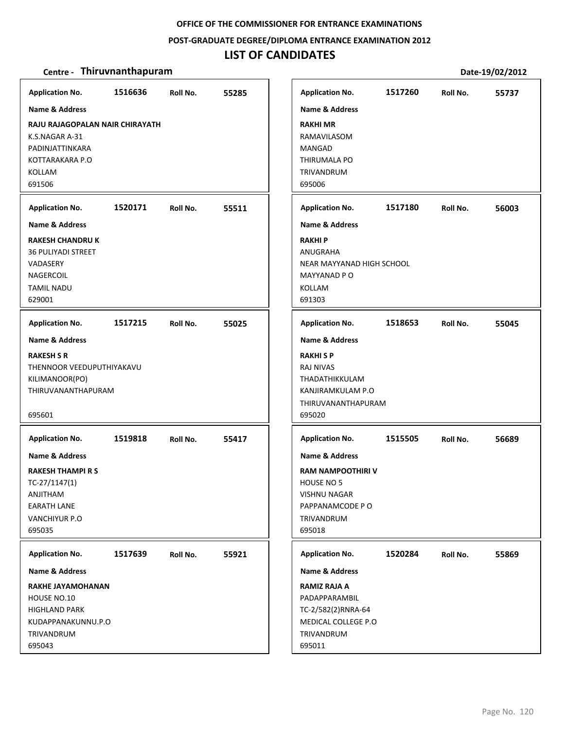### **POST‐GRADUATE DEGREE/DIPLOMA ENTRANCE EXAMINATION 2012**

# **LIST OF CANDIDATES**

| <b>Application No.</b>          | 1516636 | Roll No. | 55285 |                     | <b>Application No.</b>    | 1517260 | Roll No. | 55737 |
|---------------------------------|---------|----------|-------|---------------------|---------------------------|---------|----------|-------|
| Name & Address                  |         |          |       |                     | <b>Name &amp; Address</b> |         |          |       |
| RAJU RAJAGOPALAN NAIR CHIRAYATH |         |          |       | <b>RAKHI MR</b>     |                           |         |          |       |
| K.S.NAGAR A-31                  |         |          |       |                     | RAMAVILASOM               |         |          |       |
| PADINJATTINKARA                 |         |          |       | MANGAD              |                           |         |          |       |
| KOTTARAKARA P.O                 |         |          |       |                     | THIRUMALA PO              |         |          |       |
| <b>KOLLAM</b>                   |         |          |       | TRIVANDRUM          |                           |         |          |       |
| 691506                          |         |          |       | 695006              |                           |         |          |       |
| <b>Application No.</b>          | 1520171 | Roll No. | 55511 |                     | <b>Application No.</b>    | 1517180 | Roll No. | 56003 |
| <b>Name &amp; Address</b>       |         |          |       |                     | <b>Name &amp; Address</b> |         |          |       |
| <b>RAKESH CHANDRU K</b>         |         |          |       | <b>RAKHIP</b>       |                           |         |          |       |
| <b>36 PULIYADI STREET</b>       |         |          |       | ANUGRAHA            |                           |         |          |       |
| VADASERY                        |         |          |       |                     | NEAR MAYYANAD HIGH SCHOOL |         |          |       |
| NAGERCOIL                       |         |          |       |                     | MAYYANAD P O              |         |          |       |
| <b>TAMIL NADU</b>               |         |          |       | <b>KOLLAM</b>       |                           |         |          |       |
| 629001                          |         |          |       | 691303              |                           |         |          |       |
| <b>Application No.</b>          | 1517215 | Roll No. | 55025 |                     | <b>Application No.</b>    | 1518653 | Roll No. | 55045 |
| <b>Name &amp; Address</b>       |         |          |       |                     | <b>Name &amp; Address</b> |         |          |       |
| <b>RAKESH S R</b>               |         |          |       | <b>RAKHISP</b>      |                           |         |          |       |
| THENNOOR VEEDUPUTHIYAKAVU       |         |          |       | RAJ NIVAS           |                           |         |          |       |
| KILIMANOOR(PO)                  |         |          |       |                     | THADATHIKKULAM            |         |          |       |
| THIRUVANANTHAPURAM              |         |          |       |                     | KANJIRAMKULAM P.O         |         |          |       |
| 695601                          |         |          |       | 695020              | THIRUVANANTHAPURAM        |         |          |       |
|                                 |         |          |       |                     |                           |         |          |       |
| <b>Application No.</b>          | 1519818 | Roll No. | 55417 |                     | <b>Application No.</b>    | 1515505 | Roll No. | 56689 |
| <b>Name &amp; Address</b>       |         |          |       |                     | <b>Name &amp; Address</b> |         |          |       |
| <b>RAKESH THAMPI R S</b>        |         |          |       |                     | <b>RAM NAMPOOTHIRI V</b>  |         |          |       |
| $TC-27/1147(1)$                 |         |          |       | HOUSE NO 5          |                           |         |          |       |
| ANJITHAM                        |         |          |       |                     | <b>VISHNU NAGAR</b>       |         |          |       |
| <b>EARATH LANE</b>              |         |          |       |                     | PAPPANAMCODE PO           |         |          |       |
| VANCHIYUR P.O                   |         |          |       | TRIVANDRUM          |                           |         |          |       |
| 695035                          |         |          |       | 695018              |                           |         |          |       |
| <b>Application No.</b>          | 1517639 | Roll No. | 55921 |                     | <b>Application No.</b>    | 1520284 | Roll No. | 55869 |
| Name & Address                  |         |          |       |                     | <b>Name &amp; Address</b> |         |          |       |
| <b>RAKHE JAYAMOHANAN</b>        |         |          |       | <b>RAMIZ RAJA A</b> |                           |         |          |       |
| HOUSE NO.10                     |         |          |       |                     | PADAPPARAMBIL             |         |          |       |
| <b>HIGHLAND PARK</b>            |         |          |       |                     | TC-2/582(2)RNRA-64        |         |          |       |
| KUDAPPANAKUNNU.P.O              |         |          |       |                     | MEDICAL COLLEGE P.O       |         |          |       |
| TRIVANDRUM                      |         |          |       | TRIVANDRUM          |                           |         |          |       |
| 695043                          |         |          |       | 695011              |                           |         |          |       |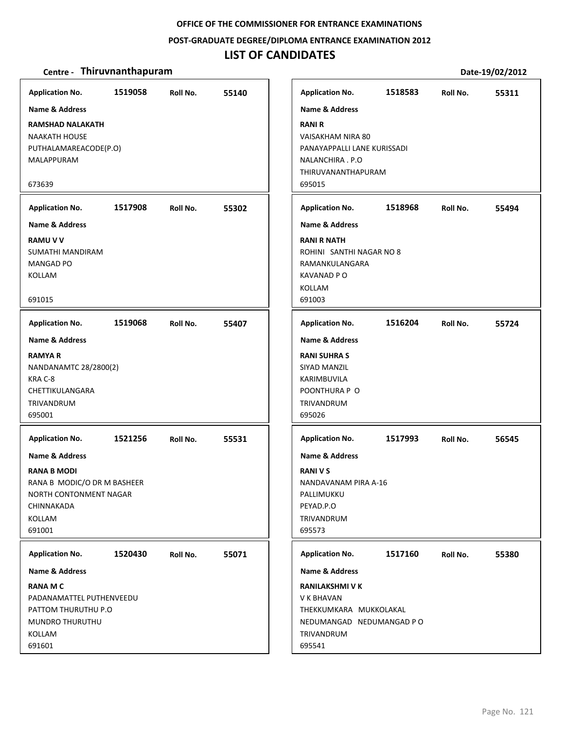#### **POST‐GRADUATE DEGREE/DIPLOMA ENTRANCE EXAMINATION 2012**

## **LIST OF CANDIDATES**

### **Centre** • **Thiruvnanthapuram Date-19/02/2012**

**1519058 55140 RAMSHAD NALAKATH** NAAKATH HOUSE PUTHALAMAREACODE(P.O) MALAPPURAM 673639 **Application No. Name & Address 1517908 55302 RAMU V V** SUMATHI MANDIRAM MANGAD PO KOLLAM 691015 **Application No. Name & Address 1519068 55407 RAMYA R** NANDANAMTC 28/2800(2) KRA C‐8 CHETTIKULANGARA TRIVANDRUM 695001 **Application No. Name & Address 1521256 55531 RANA B MODI** RANA B MODIC/O DR M BASHEER NORTH CONTONMENT NAGAR CHINNAKADA KOLLAM 691001 **Application No. Name & Address 1520430 55071 RANA M C** PADANAMATTEL PUTHENVEEDU PATTOM THURUTHU P.O MUNDRO THURUTHU KOLLAM 691601 **Application No. Name & Address 1518583 55311 RANI R** VAISAKHAM NIRA 80 PANAYAPPALLI LANE KURISSADI NALANCHIRA . P.O THIRUVANANTHAPURAM 695015 **Application No. Name & Address 1518968 55494 RANI R NATH** ROHINI SANTHI NAGAR NO 8 RAMANKULANGARA KAVANAD P O KOLLAM 691003 **Application No. Name & Address 1516204 55724 RANI SUHRA S** SIYAD MANZIL KARIMBUVILA POONTHURA P O TRIVANDRUM 695026 **Application No. Name & Address 1517993 56545 RANI V S** NANDAVANAM PIRA A‐16 PALLIMUKKU PEYAD.P.O TRIVANDRUM 695573 **Application No. Name & Address 1517160 55380 RANILAKSHMI V K** V K BHAVAN THEKKUMKARA MUKKOLAKAL NEDUMANGAD NEDUMANGAD P O TRIVANDRUM 695541 **Application No. Name & Address**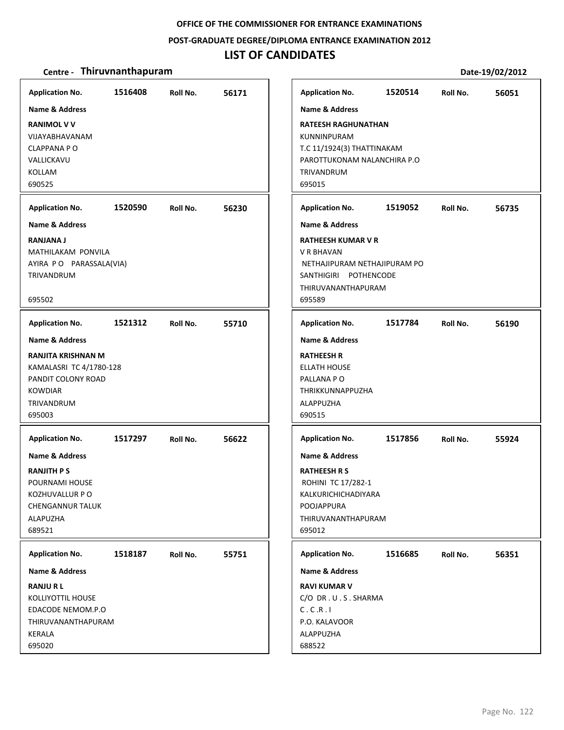## **POST‐GRADUATE DEGREE/DIPLOMA ENTRANCE EXAMINATION 2012**

# **LIST OF CANDIDATES**

| <b>Application No.</b><br><b>Name &amp; Address</b><br><b>RANIMOL V V</b><br>VIJAYABHAVANAM<br><b>CLAPPANA PO</b><br>VALLICKAVU<br>KOLLAM<br>690525                  | 1516408 | Roll No. | 56171 | <b>Application No.</b><br><b>Name &amp; Address</b><br><b>RATEESH RAGHUNATHAN</b><br><b>KUNNINPURAM</b><br>T.C 11/1924(3) THATTINAKAM<br>PAROTTUKONAM NALANCHIRA P.O<br>TRIVANDRUM<br>695015 | 1520514 | Roll No. | 56051 |
|----------------------------------------------------------------------------------------------------------------------------------------------------------------------|---------|----------|-------|----------------------------------------------------------------------------------------------------------------------------------------------------------------------------------------------|---------|----------|-------|
| <b>Application No.</b><br><b>Name &amp; Address</b><br><b>RANJANA J</b><br>MATHILAKAM PONVILA<br>AYIRA PO PARASSALA(VIA)<br>TRIVANDRUM<br>695502                     | 1520590 | Roll No. | 56230 | <b>Application No.</b><br><b>Name &amp; Address</b><br><b>RATHEESH KUMAR V R</b><br>V R BHAVAN<br>NETHAJIPURAM NETHAJIPURAM PO<br>SANTHIGIRI POTHENCODE<br>THIRUVANANTHAPURAM<br>695589      | 1519052 | Roll No. | 56735 |
| <b>Application No.</b><br><b>Name &amp; Address</b><br>RANJITA KRISHNAN M<br>KAMALASRI TC 4/1780-128<br>PANDIT COLONY ROAD<br><b>KOWDIAR</b><br>TRIVANDRUM<br>695003 | 1521312 | Roll No. | 55710 | <b>Application No.</b><br><b>Name &amp; Address</b><br><b>RATHEESH R</b><br><b>ELLATH HOUSE</b><br>PALLANA PO<br>THRIKKUNNAPPUZHA<br>ALAPPUZHA<br>690515                                     | 1517784 | Roll No. | 56190 |
| <b>Application No.</b><br><b>Name &amp; Address</b><br><b>RANJITH PS</b><br>POURNAMI HOUSE<br>KOZHUVALLUR P O<br><b>CHENGANNUR TALUK</b><br>ALAPUZHA<br>689521       | 1517297 | Roll No. | 56622 | <b>Application No.</b><br><b>Name &amp; Address</b><br><b>RATHEESH R S</b><br>ROHINI TC 17/282-1<br>KALKURICHICHADIYARA<br>POOJAPPURA<br>THIRUVANANTHAPURAM<br>695012                        | 1517856 | Roll No. | 55924 |
| <b>Application No.</b><br><b>Name &amp; Address</b><br><b>RANJURL</b><br>KOLLIYOTTIL HOUSE<br>EDACODE NEMOM.P.O<br>THIRUVANANTHAPURAM<br>KERALA<br>695020            | 1518187 | Roll No. | 55751 | <b>Application No.</b><br><b>Name &amp; Address</b><br><b>RAVI KUMAR V</b><br>C/O DR.U.S.SHARMA<br>C.C.R.I<br>P.O. KALAVOOR<br>ALAPPUZHA<br>688522                                           | 1516685 | Roll No. | 56351 |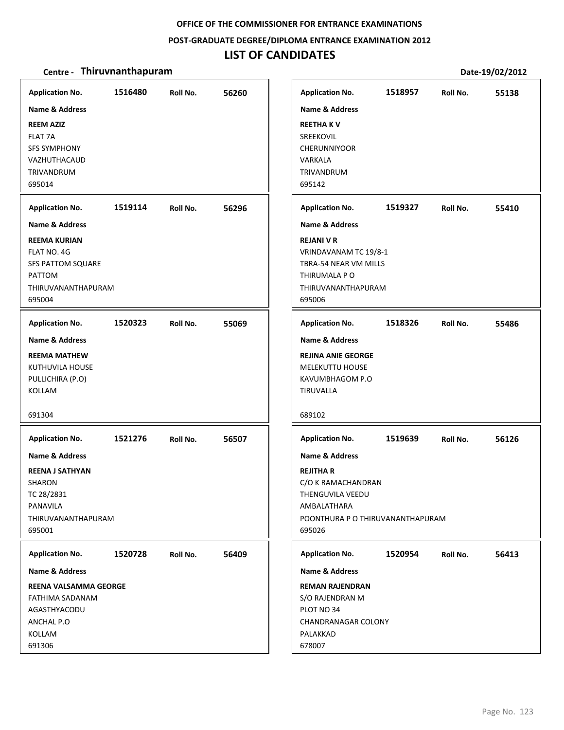### **POST‐GRADUATE DEGREE/DIPLOMA ENTRANCE EXAMINATION 2012**

# **LIST OF CANDIDATES**

| <b>Application No.</b><br>Name & Address<br><b>REEM AZIZ</b><br><b>FLAT 7A</b><br><b>SFS SYMPHONY</b><br>VAZHUTHACAUD<br>TRIVANDRUM                                | 1516480 | Roll No. | 56260 |
|--------------------------------------------------------------------------------------------------------------------------------------------------------------------|---------|----------|-------|
| 695014<br><b>Application No.</b><br><b>Name &amp; Address</b><br><b>REEMA KURIAN</b><br>FLAT NO. 4G<br>SFS PATTOM SQUARE<br>PATTOM<br>THIRUVANANTHAPURAM<br>695004 | 1519114 | Roll No. | 56296 |
| <b>Application No.</b><br>Name & Address<br><b>REEMA MATHEW</b><br>KUTHUVILA HOUSE<br>PULLICHIRA (P.O)<br>KOLLAM<br>691304                                         | 1520323 | Roll No. | 55069 |
| <b>Application No.</b><br><b>Name &amp; Address</b><br><b>REENA J SATHYAN</b><br>SHARON<br>TC 28/2831<br><b>PANAVILA</b><br>THIRUVANANTHAPURAM<br>695001           | 1521276 | Roll No. | 56507 |
| <b>Application No.</b><br>Name & Address<br>REENA VALSAMMA GEORGE<br>FATHIMA SADANAM<br>AGASTHYACODU<br>ANCHAL P.O<br>KOLLAM<br>691306                             | 1520728 | Roll No. | 56409 |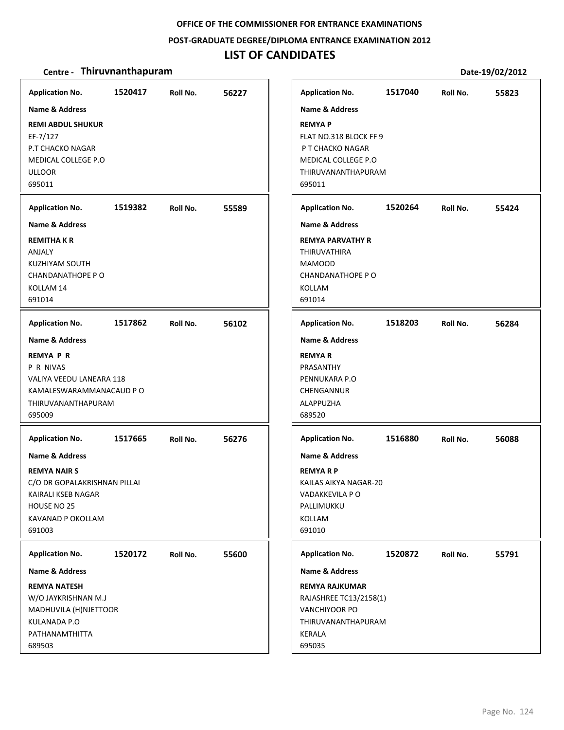**POST‐GRADUATE DEGREE/DIPLOMA ENTRANCE EXAMINATION 2012**

## **LIST OF CANDIDATES**

| <b>Application No.</b>                                                                                                                               | 1520417 | Roll No. | 56227 | <b>Application No.</b>                                                                                                                             | 1517040 | Roll No. | 55823 |
|------------------------------------------------------------------------------------------------------------------------------------------------------|---------|----------|-------|----------------------------------------------------------------------------------------------------------------------------------------------------|---------|----------|-------|
| Name & Address<br><b>REMI ABDUL SHUKUR</b><br>EF-7/127<br>P.T CHACKO NAGAR<br>MEDICAL COLLEGE P.O<br><b>ULLOOR</b><br>695011                         |         |          |       | Name & Address<br><b>REMYAP</b><br>FLAT NO.318 BLOCK FF 9<br>P T CHACKO NAGAR<br>MEDICAL COLLEGE P.O.<br>THIRUVANANTHAPURAM<br>695011              |         |          |       |
| <b>Application No.</b>                                                                                                                               | 1519382 | Roll No. | 55589 | <b>Application No.</b>                                                                                                                             | 1520264 | Roll No. | 55424 |
| <b>Name &amp; Address</b><br><b>REMITHAKR</b><br>ANJALY<br><b>KUZHIYAM SOUTH</b><br>CHANDANATHOPE P O<br>KOLLAM 14<br>691014                         |         |          |       | <b>Name &amp; Address</b><br><b>REMYA PARVATHY R</b><br><b>THIRUVATHIRA</b><br><b>MAMOOD</b><br><b>CHANDANATHOPE PO</b><br><b>KOLLAM</b><br>691014 |         |          |       |
| <b>Application No.</b>                                                                                                                               | 1517862 | Roll No. | 56102 | <b>Application No.</b>                                                                                                                             | 1518203 | Roll No. | 56284 |
| <b>Name &amp; Address</b>                                                                                                                            |         |          |       | <b>Name &amp; Address</b>                                                                                                                          |         |          |       |
| <b>REMYA P R</b><br>P R NIVAS<br>VALIYA VEEDU LANEARA 118<br>KAMALESWARAMMANACAUD P O<br>THIRUVANANTHAPURAM<br>695009                                |         |          |       | <b>REMYAR</b><br>PRASANTHY<br>PENNUKARA P.O<br>CHENGANNUR<br>ALAPPUZHA<br>689520                                                                   |         |          |       |
| <b>Application No.</b>                                                                                                                               | 1517665 | Roll No. | 56276 | <b>Application No.</b>                                                                                                                             | 1516880 | Roll No. | 56088 |
| <b>Name &amp; Address</b><br><b>REMYA NAIR S</b><br>C/O DR GOPALAKRISHNAN PILLAI<br>KAIRALI KSEB NAGAR<br>HOUSE NO 25<br>KAVANAD P OKOLLAM<br>691003 |         |          |       | <b>Name &amp; Address</b><br><b>REMYARP</b><br>KAILAS AIKYA NAGAR-20<br>VADAKKEVILA P O<br>PALLIMUKKU<br>KOLLAM<br>691010                          |         |          |       |
| <b>Application No.</b>                                                                                                                               | 1520172 | Roll No. | 55600 | <b>Application No.</b>                                                                                                                             | 1520872 | Roll No. | 55791 |
| <b>Name &amp; Address</b>                                                                                                                            |         |          |       | <b>Name &amp; Address</b>                                                                                                                          |         |          |       |
| <b>REMYA NATESH</b><br>W/O JAYKRISHNAN M.J<br>MADHUVILA (H)NJETTOOR<br>KULANADA P.O<br>PATHANAMTHITTA<br>689503                                      |         |          |       | <b>REMYA RAJKUMAR</b><br>RAJASHREE TC13/2158(1)<br>VANCHIYOOR PO<br>THIRUVANANTHAPURAM<br>KERALA<br>695035                                         |         |          |       |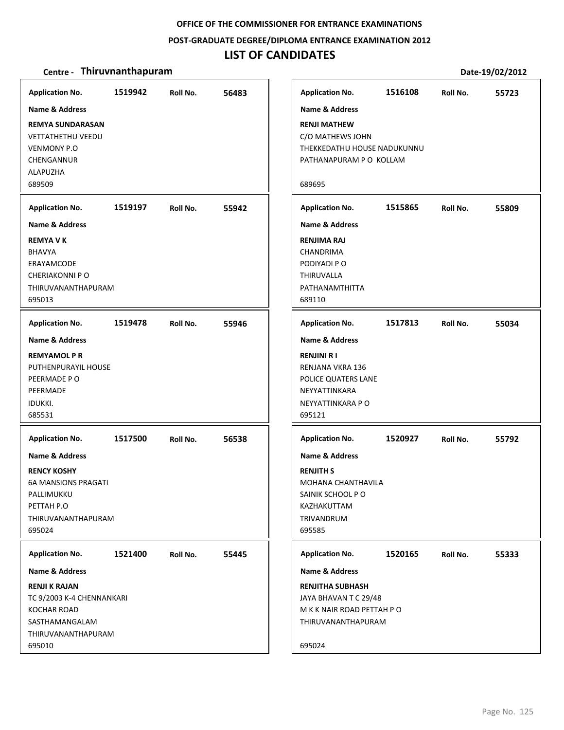#### **POST‐GRADUATE DEGREE/DIPLOMA ENTRANCE EXAMINATION 2012**

## **LIST OF CANDIDATES**

### **Centre** • **Thiruvnanthapuram Date-19/02/2012**

**1519942 56483 REMYA SUNDARASAN** VETTATHETHU VEEDU VENMONY P.O CHENGANNUR ALAPUZHA 689509 **Application No. Name & Address 1519197 55942 REMYA V K** BHAVYA ERAYAMCODE CHERIAKONNI P O THIRUVANANTHAPURAM 695013 **Application No. Name & Address 1519478 55946 REMYAMOL P R** PUTHENPURAYIL HOUSE PEERMADE P O PEERMADE IDUKKI. 685531 **Application No. Name & Address 1517500 56538 RENCY KOSHY** 6A MANSIONS PRAGATI PALLIMUKKU PETTAH P.O THIRUVANANTHAPURAM 695024 **Application No. Name & Address 1521400 55445 RENJI K RAJAN** TC 9/2003 K‐4 CHENNANKARI KOCHAR ROAD SASTHAMANGALAM THIRUVANANTHAPURAM 695010 **Application No. Name & Address 1516108 55723 RENJI MATHEW** C/O MATHEWS JOHN THEKKEDATHU HOUSE NADUKUNNU PATHANAPURAM P O KOLLAM 689695 **Application No. Name & Address 1515865 55809 RENJIMA RAJ CHANDRIMA** PODIYADI P O THIRUVALLA PATHANAMTHITTA 689110 **Application No. Name & Address 1517813 55034 RENJINI R I** RENJANA VKRA 136 POLICE QUATERS LANE NEYYATTINKARA NEYYATTINKARA P O 695121 **Application No. Name & Address 1520927 55792 RENJITH S** MOHANA CHANTHAVILA SAINIK SCHOOL P O KAZHAKUTTAM TRIVANDRUM 695585 **Application No. Name & Address 1520165 55333 RENJITHA SUBHASH** JAYA BHAVAN T C 29/48 M K K NAIR ROAD PETTAH P O THIRUVANANTHAPURAM 695024 **Application No. Name & Address**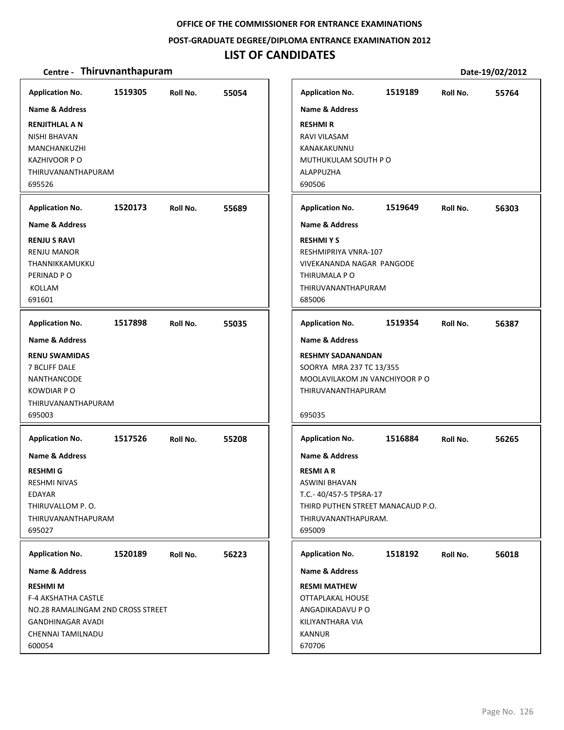### **POST‐GRADUATE DEGREE/DIPLOMA ENTRANCE EXAMINATION 2012**

## **LIST OF CANDIDATES**

| <b>Application No.</b><br><b>Name &amp; Address</b><br><b>RENJITHLAL A N</b><br><b>NISHI BHAVAN</b><br>MANCHANKUZHI<br><b>KAZHIVOOR PO</b><br>THIRUVANANTHAPURAM | 1519305 | Roll No. | 55054 | <b>Application No.</b><br><b>Name &amp; Address</b><br><b>RESHMIR</b><br>RAVI VILASAM<br>KANAKAKUNNU<br>MUTHUKULAM SOUTH PO<br>ALAPPUZHA                             | 1519189 | Roll No. | 55764 |
|------------------------------------------------------------------------------------------------------------------------------------------------------------------|---------|----------|-------|----------------------------------------------------------------------------------------------------------------------------------------------------------------------|---------|----------|-------|
| 695526                                                                                                                                                           |         |          |       | 690506                                                                                                                                                               |         |          |       |
| <b>Application No.</b>                                                                                                                                           | 1520173 | Roll No. | 55689 | <b>Application No.</b>                                                                                                                                               | 1519649 | Roll No. | 56303 |
| <b>Name &amp; Address</b>                                                                                                                                        |         |          |       | <b>Name &amp; Address</b>                                                                                                                                            |         |          |       |
| <b>RENJUS RAVI</b><br><b>RENJU MANOR</b><br>THANNIKKAMUKKU<br>PERINAD PO<br>KOLLAM<br>691601                                                                     |         |          |       | <b>RESHMIYS</b><br>RESHMIPRIYA VNRA-107<br>VIVEKANANDA NAGAR PANGODE<br>THIRUMALA P O<br>THIRUVANANTHAPURAM<br>685006                                                |         |          |       |
| <b>Application No.</b>                                                                                                                                           | 1517898 | Roll No. | 55035 | <b>Application No.</b>                                                                                                                                               | 1519354 | Roll No. | 56387 |
| <b>Name &amp; Address</b>                                                                                                                                        |         |          |       | <b>Name &amp; Address</b>                                                                                                                                            |         |          |       |
| <b>RENU SWAMIDAS</b><br><b>7 BCLIFF DALE</b><br><b>NANTHANCODE</b><br><b>KOWDIAR PO</b><br>THIRUVANANTHAPURAM<br>695003                                          |         |          |       | <b>RESHMY SADANANDAN</b><br>SOORYA MRA 237 TC 13/355<br>MOOLAVILAKOM JN VANCHIYOOR PO<br>THIRUVANANTHAPURAM<br>695035                                                |         |          |       |
| <b>Application No.</b>                                                                                                                                           | 1517526 | Roll No. | 55208 | <b>Application No.</b>                                                                                                                                               | 1516884 | Roll No. | 56265 |
| <b>Name &amp; Address</b><br><b>RESHMI G</b><br><b>RESHMI NIVAS</b><br>EDAYAR<br>THIRUVALLOM P.O.<br>THIRUVANANTHAPURAM<br>695027                                |         |          |       | <b>Name &amp; Address</b><br><b>RESMIAR</b><br><b>ASWINI BHAVAN</b><br>T.C.- 40/457-5 TPSRA-17<br>THIRD PUTHEN STREET MANACAUD P.O.<br>THIRUVANANTHAPURAM.<br>695009 |         |          |       |
| <b>Application No.</b>                                                                                                                                           | 1520189 | Roll No. | 56223 | <b>Application No.</b>                                                                                                                                               | 1518192 | Roll No. | 56018 |
| <b>Name &amp; Address</b>                                                                                                                                        |         |          |       | <b>Name &amp; Address</b>                                                                                                                                            |         |          |       |
| <b>RESHMI M</b><br><b>F-4 AKSHATHA CASTLE</b><br>NO.28 RAMALINGAM 2ND CROSS STREET<br>GANDHINAGAR AVADI<br>CHENNAI TAMILNADU<br>600054                           |         |          |       | <b>RESMI MATHEW</b><br>OTTAPLAKAL HOUSE<br>ANGADIKADAVU P O<br>KILIYANTHARA VIA<br><b>KANNUR</b><br>670706                                                           |         |          |       |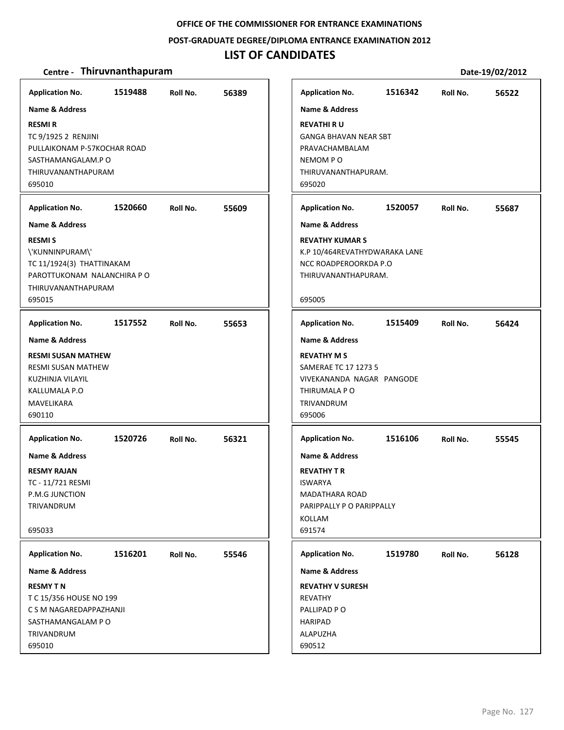### **POST‐GRADUATE DEGREE/DIPLOMA ENTRANCE EXAMINATION 2012**

## **LIST OF CANDIDATES**

| <b>Application No.</b>                                                                                                              | 1519488 | Roll No. | 56389 |
|-------------------------------------------------------------------------------------------------------------------------------------|---------|----------|-------|
| <b>Name &amp; Address</b>                                                                                                           |         |          |       |
| <b>RESMIR</b><br>TC 9/1925 2 RENJINI<br>PULLAIKONAM P-57KOCHAR ROAD<br>SASTHAMANGALAM.P O<br>THIRUVANANTHAPURAM                     |         |          |       |
| 695010                                                                                                                              |         |          |       |
| <b>Application No.</b>                                                                                                              | 1520660 | Roll No. | 55609 |
| <b>Name &amp; Address</b>                                                                                                           |         |          |       |
| <b>RESMIS</b><br>\'KUNNINPURAM\'<br>TC 11/1924(3) THATTINAKAM<br>PAROTTUKONAM NALANCHIRA P O<br><b>THIRUVANANTHAPURAM</b><br>695015 |         |          |       |
| <b>Application No.</b>                                                                                                              | 1517552 | Roll No. | 55653 |
| Name & Address                                                                                                                      |         |          |       |
| <b>RESMI SUSAN MATHEW</b><br>RESMI SUSAN MATHEW<br>KUZHINJA VILAYIL<br>KALLUMALA P.O<br>MAVELIKARA<br>690110                        |         |          |       |
| <b>Application No.</b>                                                                                                              | 1520726 | Roll No. | 56321 |
| <b>Name &amp; Address</b>                                                                                                           |         |          |       |
| <b>RESMY RAJAN</b><br>TC - 11/721 RESMI<br><b>P.M.G JUNCTION</b><br>TRIVANDRUM                                                      |         |          |       |
| 695033                                                                                                                              |         |          |       |
| <b>Application No.</b>                                                                                                              | 1516201 | Roll No. | 55546 |
| <b>Name &amp; Address</b>                                                                                                           |         |          |       |
| <b>RESMY TN</b><br>T C 15/356 HOUSE NO 199<br>C S M NAGAREDAPPAZHANJI<br>SASTHAMANGALAM P O<br>TRIVANDRUM<br>695010                 |         |          |       |

|                                                                                                                  |         |          | PULL 19, 04, 4014 |
|------------------------------------------------------------------------------------------------------------------|---------|----------|-------------------|
| <b>Application No.</b>                                                                                           | 1516342 | Roll No. | 56522             |
| <b>Name &amp; Address</b>                                                                                        |         |          |                   |
| <b>REVATHI RU</b><br><b>GANGA BHAVAN NEAR SBT</b><br>PRAVACHAMBALAM<br>NEMOM PO<br>THIRUVANANTHAPURAM.<br>695020 |         |          |                   |
| <b>Application No.</b>                                                                                           | 1520057 | Roll No. | 55687             |
| <b>Name &amp; Address</b>                                                                                        |         |          |                   |
| <b>REVATHY KUMAR S</b><br>K.P 10/464REVATHYDWARAKA LANE<br>NCC ROADPEROORKDA P.O.<br>THIRUVANANTHAPURAM.         |         |          |                   |
| 695005                                                                                                           |         |          |                   |
| <b>Application No.</b>                                                                                           | 1515409 | Roll No. | 56424             |
| <b>Name &amp; Address</b>                                                                                        |         |          |                   |
| <b>REVATHY MS</b><br>SAMERAE TC 17 1273 5<br>VIVEKANANDA NAGAR PANGODE<br>THIRUMALA P O<br>TRIVANDRUM<br>695006  |         |          |                   |
| <b>Application No.</b>                                                                                           | 1516106 | Roll No. | 55545             |
| <b>Name &amp; Address</b>                                                                                        |         |          |                   |
| <b>REVATHY T R</b><br><b>ISWARYA</b><br>MADATHARA ROAD<br>PARIPPALLY P O PARIPPALLY<br><b>KOLLAM</b><br>691574   |         |          |                   |
| <b>Application No.</b>                                                                                           | 1519780 | Roll No. | 56128             |
| <b>Name &amp; Address</b>                                                                                        |         |          |                   |
| <b>REVATHY V SURESH</b><br><b>REVATHY</b><br>PALLIPAD PO<br><b>HARIPAD</b><br><b>ALAPUZHA</b>                    |         |          |                   |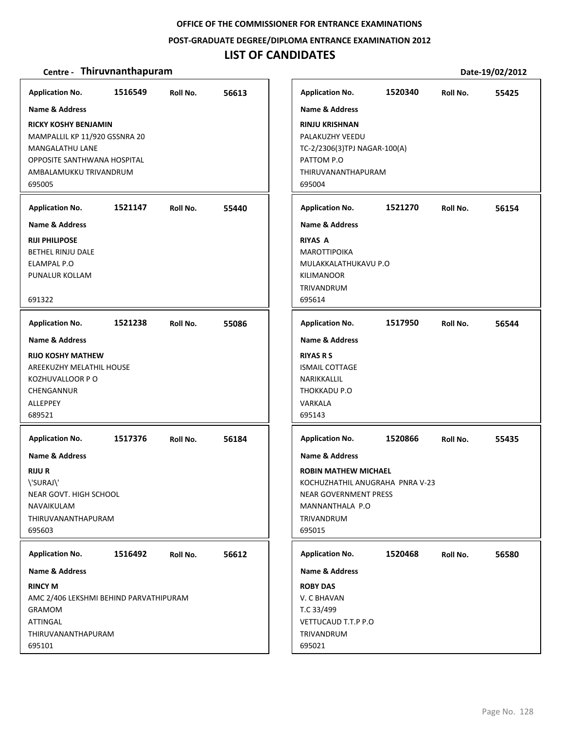#### **POST‐GRADUATE DEGREE/DIPLOMA ENTRANCE EXAMINATION 2012**

## **LIST OF CANDIDATES**

### **Centre** • **Thiruvnanthapuram Date-19/02/2012**

**1516549 56613 RICKY KOSHY BENJAMIN** MAMPALLIL KP 11/920 GSSNRA 20 MANGALATHU LANE OPPOSITE SANTHWANA HOSPITAL AMBALAMUKKU TRIVANDRUM 695005 **Application No. Name & Address 1521147 55440 RIJI PHILIPOSE** BETHEL RINJU DALE ELAMPAL P.O PUNALUR KOLLAM 691322 **Application No. Name & Address 1521238 55086 RIJO KOSHY MATHEW** AREEKUZHY MELATHIL HOUSE KOZHUVALLOOR P O CHENGANNUR ALLEPPEY 689521 **Application No. Name & Address 1517376 56184 RIJU R** \'SURAJ\' NEAR GOVT. HIGH SCHOOL NAVAIKULAM THIRUVANANTHAPURAM 695603 **Application No. Name & Address 1516492 56612 RINCY M** AMC 2/406 LEKSHMI BEHIND PARVATHIPURAM GRAMOM **ATTINGAL** THIRUVANANTHAPURAM 695101 **Application No. Name & Address 1520340 55425 RINJU KRISHNAN** PALAKUZHY VEEDU TC‐2/2306(3)TPJ NAGAR‐100(A) PATTOM P.O THIRUVANANTHAPURAM 695004 **Application No. Name & Address 1521270 56154 RIYAS A MAROTTIPOIKA** MULAKKALATHUKAVU P.O KILIMANOOR TRIVANDRUM 695614 **Application No. Name & Address 1517950 56544 RIYAS R S** ISMAIL COTTAGE NARIKKALLIL THOKKADU P.O VARKALA 695143 **Application No. Name & Address 1520866 55435 ROBIN MATHEW MICHAEL** KOCHUZHATHIL ANUGRAHA PNRA V‐23 NEAR GOVERNMENT PRESS MANNANTHALA P.O TRIVANDRUM 695015 **Application No. Name & Address 1520468 56580 ROBY DAS** V. C BHAVAN T.C 33/499 VETTUCAUD T.T.P P.O TRIVANDRUM 695021 **Application No. Name & Address**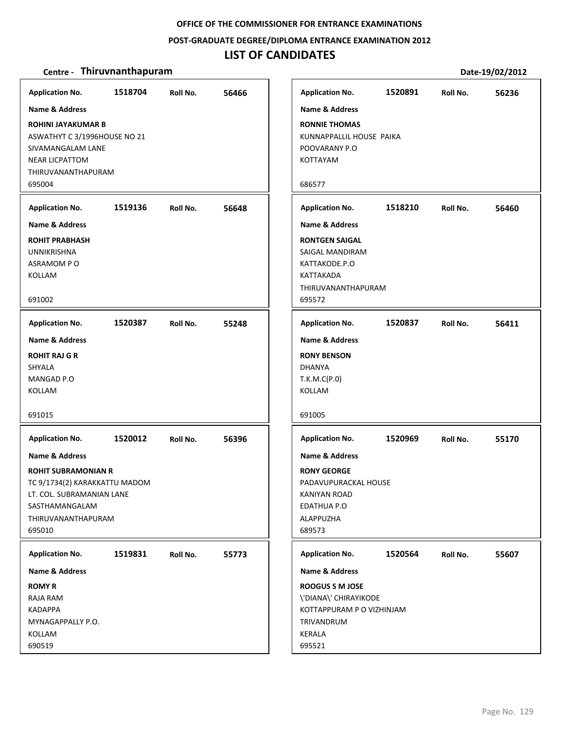**POST‐GRADUATE DEGREE/DIPLOMA ENTRANCE EXAMINATION 2012**

## **LIST OF CANDIDATES**

| <b>Application No.</b>                                                     | 1518704 | Roll No. | 56466 |
|----------------------------------------------------------------------------|---------|----------|-------|
| Name & Address<br><b>ROHINI JAYAKUMAR B</b>                                |         |          |       |
| ASWATHYT C 3/1996HOUSE NO 21<br>SIVAMANGALAM LANE<br><b>NEAR LICPATTOM</b> |         |          |       |
| THIRUVANANTHAPURAM<br>695004                                               |         |          |       |
| <b>Application No.</b>                                                     | 1519136 | Roll No. | 56648 |
| <b>Name &amp; Address</b>                                                  |         |          |       |
| <b>ROHIT PRABHASH</b><br><b>UNNIKRISHNA</b><br>ASRAMOM PO<br>KOLLAM        |         |          |       |
| 691002                                                                     |         |          |       |
| <b>Application No.</b>                                                     | 1520387 | Roll No. | 55248 |
| Name & Address                                                             |         |          |       |
| <b>ROHIT RAJ G R</b>                                                       |         |          |       |
| <b>SHYALA</b>                                                              |         |          |       |
| MANGAD P.O                                                                 |         |          |       |
| KOLLAM                                                                     |         |          |       |
| 691015                                                                     |         |          |       |
| <b>Application No.</b>                                                     | 1520012 | Roll No. | 56396 |
| <b>Name &amp; Address</b>                                                  |         |          |       |
| <b>ROHIT SUBRAMONIAN R</b>                                                 |         |          |       |
| TC 9/1734(2) KARAKKATTU MADOM                                              |         |          |       |
| LT. COL. SUBRAMANIAN LANE<br>SASTHAMANGALAM                                |         |          |       |
| THIRUVANANTHAPURAM                                                         |         |          |       |
| 695010                                                                     |         |          |       |
| <b>Application No.</b>                                                     | 1519831 | Roll No. | 55773 |
| <b>Name &amp; Address</b>                                                  |         |          |       |
| <b>ROMY R</b>                                                              |         |          |       |
| RAJA RAM                                                                   |         |          |       |
| <b>KADAPPA</b>                                                             |         |          |       |
| MYNAGAPPALLY P.O.<br>KOLLAM                                                |         |          |       |
| 690519                                                                     |         |          |       |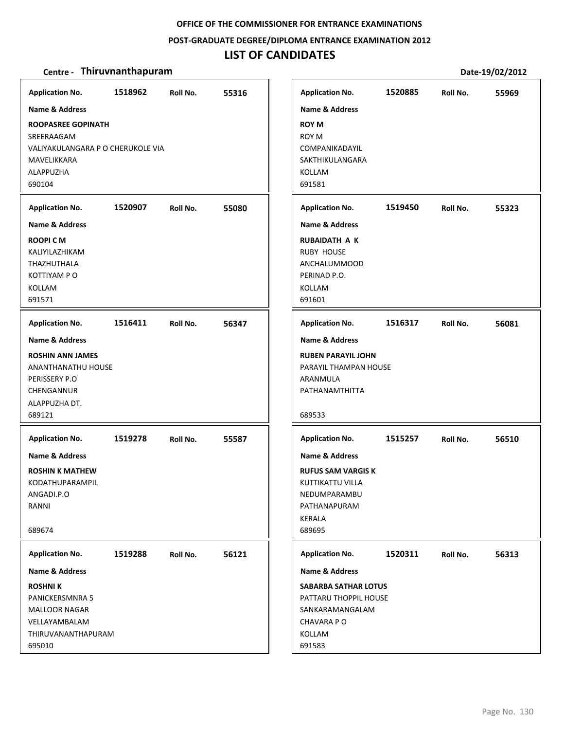**POST‐GRADUATE DEGREE/DIPLOMA ENTRANCE EXAMINATION 2012**

## **LIST OF CANDIDATES**

| <b>Application No.</b><br><b>Name &amp; Address</b><br><b>ROOPASREE GOPINATH</b><br>SREERAAGAM<br>VALIYAKULANGARA P O CHERUKOLE VIA<br>MAVELIKKARA<br>ALAPPUZHA<br>690104 | 1518962 | Roll No. | 55316 | <b>Application No.</b><br><b>Name &amp; Address</b><br><b>ROY M</b><br><b>ROY M</b><br>COMPANIKADAYIL<br>SAKTHIKULANGARA<br><b>KOLLAM</b><br>691581         | 1520885 | Roll No. | 55969 |
|---------------------------------------------------------------------------------------------------------------------------------------------------------------------------|---------|----------|-------|-------------------------------------------------------------------------------------------------------------------------------------------------------------|---------|----------|-------|
| <b>Application No.</b><br><b>Name &amp; Address</b><br><b>ROOPICM</b><br>KALIYILAZHIKAM<br>THAZHUTHALA<br>KOTTIYAM P O<br>KOLLAM<br>691571                                | 1520907 | Roll No. | 55080 | <b>Application No.</b><br><b>Name &amp; Address</b><br><b>RUBAIDATH A K</b><br><b>RUBY HOUSE</b><br><b>ANCHALUMMOOD</b><br>PERINAD P.O.<br>KOLLAM<br>691601 | 1519450 | Roll No. | 55323 |
| <b>Application No.</b><br>Name & Address<br><b>ROSHIN ANN JAMES</b><br><b>ANANTHANATHU HOUSE</b><br>PERISSERY P.O<br>CHENGANNUR<br>ALAPPUZHA DT.<br>689121                | 1516411 | Roll No. | 56347 | <b>Application No.</b><br><b>Name &amp; Address</b><br><b>RUBEN PARAYIL JOHN</b><br>PARAYIL THAMPAN HOUSE<br>ARANMULA<br>PATHANAMTHITTA<br>689533           | 1516317 | Roll No. | 56081 |
| <b>Application No.</b><br>Name & Address<br><b>ROSHIN K MATHEW</b><br>KODATHUPARAMPIL<br>ANGADI.P.O<br>RANNI<br>689674                                                    | 1519278 | Roll No. | 55587 | <b>Application No.</b><br><b>Name &amp; Address</b><br><b>RUFUS SAM VARGIS K</b><br>KUTTIKATTU VILLA<br>NEDUMPARAMBU<br>PATHANAPURAM<br>KERALA<br>689695    | 1515257 | Roll No. | 56510 |
| <b>Application No.</b><br>Name & Address<br><b>ROSHNIK</b><br><b>PANICKERSMNRA 5</b><br>MALLOOR NAGAR<br>VELLAYAMBALAM<br>THIRUVANANTHAPURAM<br>695010                    | 1519288 | Roll No. | 56121 | <b>Application No.</b><br>Name & Address<br><b>SABARBA SATHAR LOTUS</b><br>PATTARU THOPPIL HOUSE<br>SANKARAMANGALAM<br>CHAVARA PO<br>KOLLAM<br>691583       | 1520311 | Roll No. | 56313 |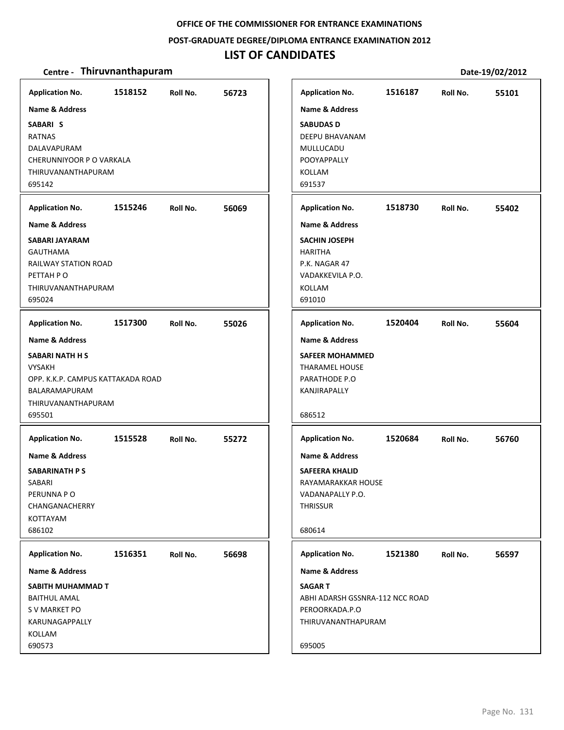**POST‐GRADUATE DEGREE/DIPLOMA ENTRANCE EXAMINATION 2012**

## **LIST OF CANDIDATES**

| <b>Application No.</b><br><b>Name &amp; Address</b><br>SABARI S<br><b>RATNAS</b><br>DALAVAPURAM<br>CHERUNNIYOOR P O VARKALA<br>THIRUVANANTHAPURAM<br>695142                          | 1518152 | Roll No. | 56723 | <b>Application No.</b><br><b>Name &amp; Address</b><br><b>SABUDAS D</b><br>DEEPU BHAVANAM<br>MULLUCADU<br>POOYAPPALLY<br><b>KOLLAM</b><br>691537              | 1516187 | Roll No. | 55101 |
|--------------------------------------------------------------------------------------------------------------------------------------------------------------------------------------|---------|----------|-------|---------------------------------------------------------------------------------------------------------------------------------------------------------------|---------|----------|-------|
| <b>Application No.</b><br><b>Name &amp; Address</b><br>SABARI JAYARAM<br><b>GAUTHAMA</b><br>RAILWAY STATION ROAD<br>PETTAH PO<br>THIRUVANANTHAPURAM<br>695024                        | 1515246 | Roll No. | 56069 | <b>Application No.</b><br><b>Name &amp; Address</b><br><b>SACHIN JOSEPH</b><br><b>HARITHA</b><br>P.K. NAGAR 47<br>VADAKKEVILA P.O.<br><b>KOLLAM</b><br>691010 | 1518730 | Roll No. | 55402 |
| <b>Application No.</b><br><b>Name &amp; Address</b><br><b>SABARI NATH H S</b><br><b>VYSAKH</b><br>OPP. K.K.P. CAMPUS KATTAKADA ROAD<br>BALARAMAPURAM<br>THIRUVANANTHAPURAM<br>695501 | 1517300 | Roll No. | 55026 | <b>Application No.</b><br><b>Name &amp; Address</b><br><b>SAFEER MOHAMMED</b><br><b>THARAMEL HOUSE</b><br>PARATHODE P.O<br>KANJIRAPALLY<br>686512             | 1520404 | Roll No. | 55604 |
| <b>Application No.</b><br><b>Name &amp; Address</b><br><b>SABARINATH P S</b><br>SABARI<br>PERUNNA PO<br>CHANGANACHERRY<br>KOTTAYAM<br>686102                                         | 1515528 | Roll No. | 55272 | <b>Application No.</b><br><b>Name &amp; Address</b><br><b>SAFEERA KHALID</b><br>RAYAMARAKKAR HOUSE<br>VADANAPALLY P.O.<br><b>THRISSUR</b><br>680614           | 1520684 | Roll No. | 56760 |
| <b>Application No.</b><br>Name & Address<br>SABITH MUHAMMAD T<br><b>BAITHUL AMAL</b><br>S V MARKET PO<br>KARUNAGAPPALLY<br>KOLLAM<br>690573                                          | 1516351 | Roll No. | 56698 | <b>Application No.</b><br>Name & Address<br><b>SAGART</b><br>ABHI ADARSH GSSNRA-112 NCC ROAD<br>PEROORKADA.P.O<br>THIRUVANANTHAPURAM<br>695005                | 1521380 | Roll No. | 56597 |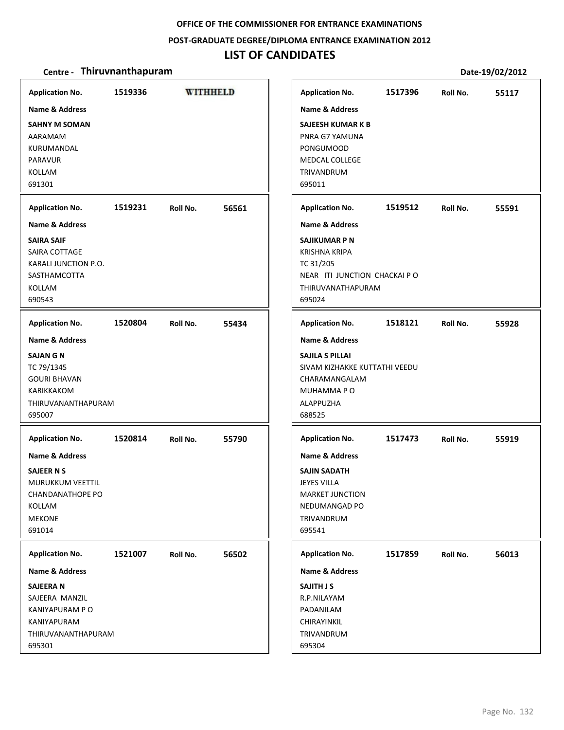### **POST‐GRADUATE DEGREE/DIPLOMA ENTRANCE EXAMINATION 2012**

# **LIST OF CANDIDATES**

| <b>Application No.</b>                                                                                                                                   | 1519336 | <b>WITHHELD</b> |       | <b>Application No.</b>                                                                                                                                                     | 1517396 | Roll No. | 55117 |
|----------------------------------------------------------------------------------------------------------------------------------------------------------|---------|-----------------|-------|----------------------------------------------------------------------------------------------------------------------------------------------------------------------------|---------|----------|-------|
| Name & Address<br><b>SAHNY M SOMAN</b><br>AARAMAM<br>KURUMANDAL<br><b>PARAVUR</b><br>KOLLAM<br>691301                                                    |         |                 |       | <b>Name &amp; Address</b><br><b>SAJEESH KUMAR K B</b><br>PNRA G7 YAMUNA<br><b>PONGUMOOD</b><br><b>MEDCAL COLLEGE</b><br>TRIVANDRUM<br>695011                               |         |          |       |
| <b>Application No.</b>                                                                                                                                   | 1519231 | Roll No.        | 56561 | <b>Application No.</b>                                                                                                                                                     | 1519512 | Roll No. | 55591 |
| <b>Name &amp; Address</b><br><b>SAIRA SAIF</b><br>SAIRA COTTAGE<br>KARALI JUNCTION P.O.<br><b>SASTHAMCOTTA</b><br>KOLLAM<br>690543                       |         |                 |       | <b>Name &amp; Address</b><br><b>SAJIKUMAR P N</b><br><b>KRISHNA KRIPA</b><br>TC 31/205<br>NEAR ITI JUNCTION CHACKAI PO<br>THIRUVANATHAPURAM<br>695024                      |         |          |       |
| <b>Application No.</b>                                                                                                                                   | 1520804 | Roll No.        | 55434 | <b>Application No.</b>                                                                                                                                                     | 1518121 | Roll No. | 55928 |
| <b>Name &amp; Address</b><br><b>SAJAN G N</b><br>TC 79/1345<br><b>GOURI BHAVAN</b><br>KARIKKAKOM<br>THIRUVANANTHAPURAM<br>695007                         |         |                 |       | <b>Name &amp; Address</b><br>SAJILA S PILLAI<br>SIVAM KIZHAKKE KUTTATHI VEEDU<br>CHARAMANGALAM<br>MUHAMMA PO<br>ALAPPUZHA<br>688525                                        |         |          |       |
| <b>Application No.</b><br>Name & Address<br><b>SAJEER N S</b><br><b>MURUKKUM VEETTIL</b><br><b>CHANDANATHOPE PO</b><br>KOLLAM<br><b>MEKONE</b><br>691014 | 1520814 | Roll No.        | 55790 | <b>Application No.</b><br><b>Name &amp; Address</b><br><b>SAJIN SADATH</b><br><b>JEYES VILLA</b><br><b>MARKET JUNCTION</b><br><b>NEDUMANGAD PO</b><br>TRIVANDRUM<br>695541 | 1517473 | Roll No. | 55919 |
| <b>Application No.</b><br>Name & Address                                                                                                                 | 1521007 | Roll No.        | 56502 | <b>Application No.</b><br>Name & Address                                                                                                                                   | 1517859 | Roll No. | 56013 |
| <b>SAJEERAN</b><br>SAJEERA MANZIL<br>KANIYAPURAM P O<br>KANIYAPURAM<br>THIRUVANANTHAPURAM<br>695301                                                      |         |                 |       | <b>SAJITH J S</b><br>R.P.NILAYAM<br>PADANILAM<br>CHIRAYINKIL<br>TRIVANDRUM<br>695304                                                                                       |         |          |       |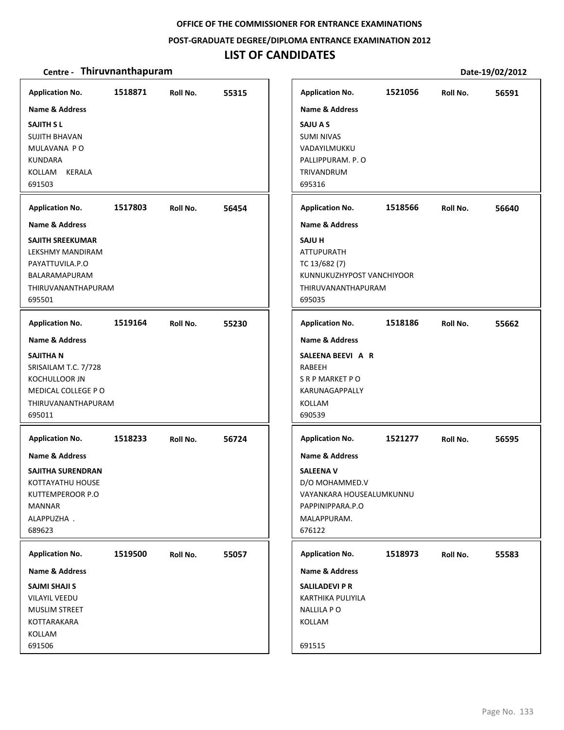### **POST‐GRADUATE DEGREE/DIPLOMA ENTRANCE EXAMINATION 2012**

# **LIST OF CANDIDATES**

| <b>Application No.</b><br>Name & Address<br><b>SAJITH SL</b><br><b>SUJITH BHAVAN</b><br>MULAVANA PO<br><b>KUNDARA</b><br>KOLLAM<br><b>KERALA</b><br>691503 | 1518871 | Roll No. | 55315 | <b>Application No.</b><br><b>Name &amp; Address</b><br>SAJU A S<br><b>SUMI NIVAS</b><br>VADAYILMUKKU<br>PALLIPPURAM. P.O<br>TRIVANDRUM<br>695316                   | 1521056 | Roll No. | 56591 |
|------------------------------------------------------------------------------------------------------------------------------------------------------------|---------|----------|-------|--------------------------------------------------------------------------------------------------------------------------------------------------------------------|---------|----------|-------|
| <b>Application No.</b>                                                                                                                                     | 1517803 | Roll No. | 56454 | <b>Application No.</b>                                                                                                                                             | 1518566 | Roll No. | 56640 |
| <b>Name &amp; Address</b><br>SAJITH SREEKUMAR<br>LEKSHMY MANDIRAM<br>PAYATTUVILA.P.O<br>BALARAMAPURAM<br>THIRUVANANTHAPURAM<br>695501                      |         |          |       | <b>Name &amp; Address</b><br><b>SAJU H</b><br><b>ATTUPURATH</b><br>TC 13/682 (7)<br>KUNNUKUZHYPOST VANCHIYOOR<br>THIRUVANANTHAPURAM<br>695035                      |         |          |       |
| <b>Application No.</b>                                                                                                                                     | 1519164 | Roll No. | 55230 | <b>Application No.</b>                                                                                                                                             | 1518186 | Roll No. | 55662 |
| <b>Name &amp; Address</b><br>SAJITHA N<br>SRISAILAM T.C. 7/728<br>KOCHULLOOR JN<br>MEDICAL COLLEGE PO<br>THIRUVANANTHAPURAM<br>695011                      |         |          |       | <b>Name &amp; Address</b><br>SALEENA BEEVI A R<br>RABEEH<br>S R P MARKET P O<br>KARUNAGAPPALLY<br>KOLLAM<br>690539                                                 |         |          |       |
| <b>Application No.</b><br>Name & Address<br>SAJITHA SURENDRAN<br>KOTTAYATHU HOUSE<br>KUTTEMPEROOR P.O<br>MANNAR<br>ALAPPUZHA.<br>689623                    | 1518233 | Roll No. | 56724 | <b>Application No.</b><br><b>Name &amp; Address</b><br><b>SALEENA V</b><br>D/O MOHAMMED.V<br>VAYANKARA HOUSEALUMKUNNU<br>PAPPINIPPARA.P.O<br>MALAPPURAM.<br>676122 | 1521277 | Roll No. | 56595 |
| <b>Application No.</b><br>Name & Address<br><b>SAJMI SHAJI S</b><br><b>VILAYIL VEEDU</b><br><b>MUSLIM STREET</b><br>KOTTARAKARA<br>KOLLAM<br>691506        | 1519500 | Roll No. | 55057 | <b>Application No.</b><br>Name & Address<br><b>SALILADEVI P R</b><br>KARTHIKA PULIYILA<br><b>NALLILA PO</b><br>KOLLAM<br>691515                                    | 1518973 | Roll No. | 55583 |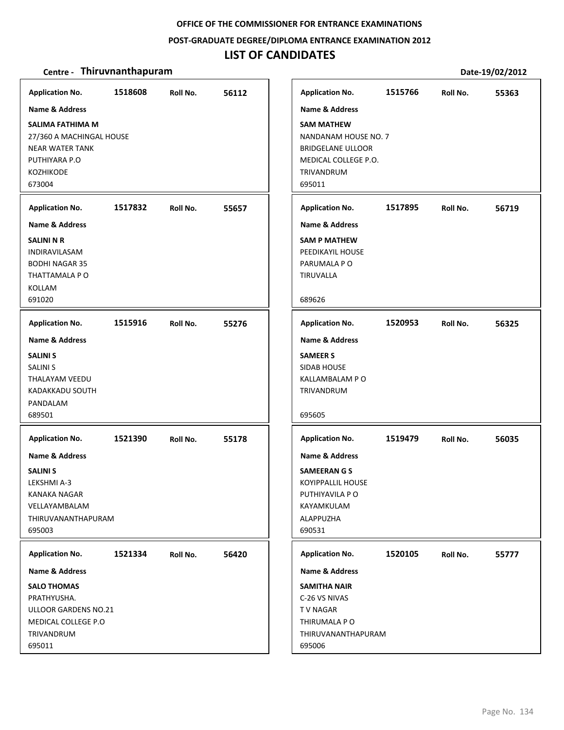## **POST‐GRADUATE DEGREE/DIPLOMA ENTRANCE EXAMINATION 2012**

# **LIST OF CANDIDATES**

| <b>Application No.</b>                                                                                                                  | 1518608 | Roll No. | 56112 | <b>Application No.</b>                                                                                                                             | 1515766 | Roll No. | 55363 |
|-----------------------------------------------------------------------------------------------------------------------------------------|---------|----------|-------|----------------------------------------------------------------------------------------------------------------------------------------------------|---------|----------|-------|
| Name & Address<br>SALIMA FATHIMA M<br>27/360 A MACHINGAL HOUSE<br><b>NEAR WATER TANK</b><br>PUTHIYARA P.O<br><b>KOZHIKODE</b><br>673004 |         |          |       | <b>Name &amp; Address</b><br><b>SAM MATHEW</b><br>NANDANAM HOUSE NO. 7<br><b>BRIDGELANE ULLOOR</b><br>MEDICAL COLLEGE P.O.<br>TRIVANDRUM<br>695011 |         |          |       |
| <b>Application No.</b>                                                                                                                  | 1517832 | Roll No. | 55657 | <b>Application No.</b>                                                                                                                             | 1517895 | Roll No. | 56719 |
| <b>Name &amp; Address</b>                                                                                                               |         |          |       | <b>Name &amp; Address</b>                                                                                                                          |         |          |       |
| <b>SALINI N R</b><br>INDIRAVILASAM<br><b>BODHI NAGAR 35</b><br>THATTAMALA P O<br>KOLLAM<br>691020                                       |         |          |       | <b>SAM P MATHEW</b><br>PEEDIKAYIL HOUSE<br>PARUMALA PO<br>TIRUVALLA<br>689626                                                                      |         |          |       |
|                                                                                                                                         |         |          |       |                                                                                                                                                    |         |          |       |
| <b>Application No.</b>                                                                                                                  | 1515916 | Roll No. | 55276 | <b>Application No.</b>                                                                                                                             | 1520953 | Roll No. | 56325 |
| <b>Name &amp; Address</b>                                                                                                               |         |          |       | <b>Name &amp; Address</b>                                                                                                                          |         |          |       |
| <b>SALINI S</b><br><b>SALINI S</b><br>THALAYAM VEEDU<br><b>KADAKKADU SOUTH</b><br>PANDALAM<br>689501                                    |         |          |       | <b>SAMEER S</b><br>SIDAB HOUSE<br>KALLAMBALAM P O<br>TRIVANDRUM<br>695605                                                                          |         |          |       |
| <b>Application No.</b>                                                                                                                  | 1521390 | Roll No. | 55178 | <b>Application No.</b>                                                                                                                             | 1519479 | Roll No. | 56035 |
| <b>Name &amp; Address</b><br><b>SALINI S</b><br>LEKSHMI A-3<br>KANAKA NAGAR<br>VELLAYAMBALAM<br>THIRUVANANTHAPURAM<br>695003            |         |          |       | <b>Name &amp; Address</b><br><b>SAMEERANGS</b><br><b>KOYIPPALLIL HOUSE</b><br>PUTHIYAVILA P O<br>KAYAMKULAM<br>ALAPPUZHA<br>690531                 |         |          |       |
| <b>Application No.</b>                                                                                                                  | 1521334 | Roll No. | 56420 | <b>Application No.</b>                                                                                                                             | 1520105 | Roll No. | 55777 |
| Name & Address                                                                                                                          |         |          |       | <b>Name &amp; Address</b>                                                                                                                          |         |          |       |
| <b>SALO THOMAS</b><br>PRATHYUSHA.<br>ULLOOR GARDENS NO.21<br>MEDICAL COLLEGE P.O<br>TRIVANDRUM<br>695011                                |         |          |       | <b>SAMITHA NAIR</b><br>C-26 VS NIVAS<br>T V NAGAR<br>THIRUMALA P O<br>THIRUVANANTHAPURAM<br>695006                                                 |         |          |       |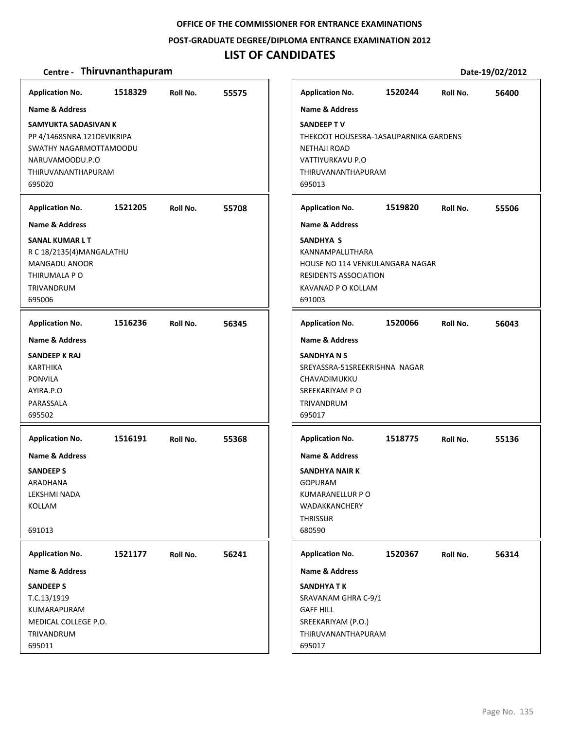## **POST‐GRADUATE DEGREE/DIPLOMA ENTRANCE EXAMINATION 2012**

# **LIST OF CANDIDATES**

| <b>Application No.</b>                                                                                                                            | 1518329 | Roll No. | 55575 |
|---------------------------------------------------------------------------------------------------------------------------------------------------|---------|----------|-------|
| Name & Address<br>SAMYUKTA SADASIVAN K<br>PP 4/1468SNRA 121DEVIKRIPA<br>SWATHY NAGARMOTTAMOODU<br>NARUVAMOODU.P.O<br>THIRUVANANTHAPURAM<br>695020 |         |          |       |
| <b>Application No.</b><br><b>Name &amp; Address</b><br>SANAL KUMAR L T<br>R C 18/2135(4) MANGALATHU<br><b>MANGADU ANOOR</b>                       | 1521205 | Roll No. | 55708 |
| THIRUMALA P O<br>TRIVANDRUM<br>695006<br><b>Application No.</b>                                                                                   | 1516236 | Roll No. | 56345 |
| <b>Name &amp; Address</b><br>SANDEEP K RAJ<br><b>KARTHIKA</b><br><b>PONVILA</b><br>AYIRA.P.O<br>PARASSALA<br>695502                               |         |          |       |
| <b>Application No.</b><br><b>Name &amp; Address</b><br><b>SANDEEP S</b><br>ARADHANA<br>LEKSHMI NADA<br>KOLLAM<br>691013                           | 1516191 | Roll No. | 55368 |
| <b>Application No.</b>                                                                                                                            | 1521177 | Roll No. | 56241 |
| Name & Address<br><b>SANDEEP S</b><br>T.C.13/1919<br>KUMARAPURAM<br>MEDICAL COLLEGE P.O.<br>TRIVANDRUM<br>695011                                  |         |          |       |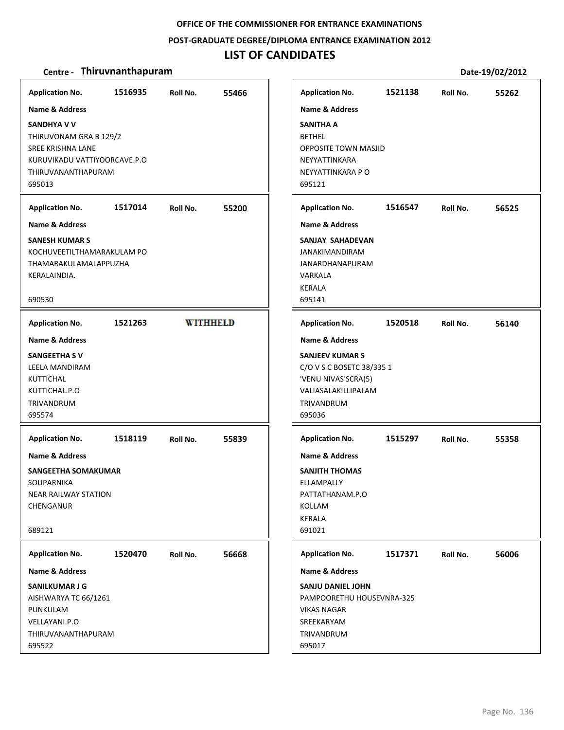**POST‐GRADUATE DEGREE/DIPLOMA ENTRANCE EXAMINATION 2012**

## **LIST OF CANDIDATES**

| <b>Application No.</b>                                                                                                                                                | 1516935 | Roll No.        | 55466 | <b>Application No.</b>                                                                                                                                 | 1521138 | Roll No. | 55262 |
|-----------------------------------------------------------------------------------------------------------------------------------------------------------------------|---------|-----------------|-------|--------------------------------------------------------------------------------------------------------------------------------------------------------|---------|----------|-------|
| <b>Name &amp; Address</b><br><b>SANDHYA V V</b><br>THIRUVONAM GRA B 129/2<br><b>SREE KRISHNA LANE</b><br>KURUVIKADU VATTIYOORCAVE.P.O<br>THIRUVANANTHAPURAM<br>695013 |         |                 |       | <b>Name &amp; Address</b><br><b>SANITHA A</b><br><b>BETHEL</b><br><b>OPPOSITE TOWN MASJID</b><br>NEYYATTINKARA<br>NEYYATTINKARA P O<br>695121          |         |          |       |
| <b>Application No.</b>                                                                                                                                                | 1517014 | Roll No.        | 55200 | <b>Application No.</b>                                                                                                                                 | 1516547 | Roll No. | 56525 |
| <b>Name &amp; Address</b><br><b>SANESH KUMAR S</b><br>KOCHUVEETILTHAMARAKULAM PO<br>THAMARAKULAMALAPPUZHA<br>KERALAINDIA.<br>690530                                   |         |                 |       | <b>Name &amp; Address</b><br>SANJAY SAHADEVAN<br><b>JANAKIMANDIRAM</b><br><b>JANARDHANAPURAM</b><br>VARKALA<br><b>KERALA</b><br>695141                 |         |          |       |
| <b>Application No.</b>                                                                                                                                                | 1521263 | <b>WITHHELD</b> |       | <b>Application No.</b>                                                                                                                                 | 1520518 | Roll No. | 56140 |
| <b>Name &amp; Address</b><br><b>SANGEETHA SV</b><br>LEELA MANDIRAM<br>KUTTICHAL<br>KUTTICHAL.P.O<br>TRIVANDRUM<br>695574                                              |         |                 |       | <b>Name &amp; Address</b><br><b>SANJEEV KUMAR S</b><br>C/O V S C BOSETC 38/335 1<br>'VENU NIVAS'SCRA(5)<br>VALIASALAKILLIPALAM<br>TRIVANDRUM<br>695036 |         |          |       |
| <b>Application No.</b><br>Name & Address<br>SANGEETHA SOMAKUMAR<br>SOUPARNIKA<br>NEAR RAILWAY STATION<br>CHENGANUR<br>689121                                          | 1518119 | Roll No.        | 55839 | <b>Application No.</b><br><b>Name &amp; Address</b><br><b>SANJITH THOMAS</b><br>ELLAMPALLY<br>PATTATHANAM.P.O<br>KOLLAM<br>KERALA<br>691021            | 1515297 | Roll No. | 55358 |
| <b>Application No.</b>                                                                                                                                                | 1520470 | Roll No.        | 56668 | <b>Application No.</b>                                                                                                                                 | 1517371 | Roll No. | 56006 |
| Name & Address<br>SANILKUMAR J G<br>AISHWARYA TC 66/1261<br>PUNKULAM<br>VELLAYANI.P.O<br>THIRUVANANTHAPURAM<br>695522                                                 |         |                 |       | <b>Name &amp; Address</b><br><b>SANJU DANIEL JOHN</b><br>PAMPOORETHU HOUSEVNRA-325<br><b>VIKAS NAGAR</b><br>SREEKARYAM<br>TRIVANDRUM<br>695017         |         |          |       |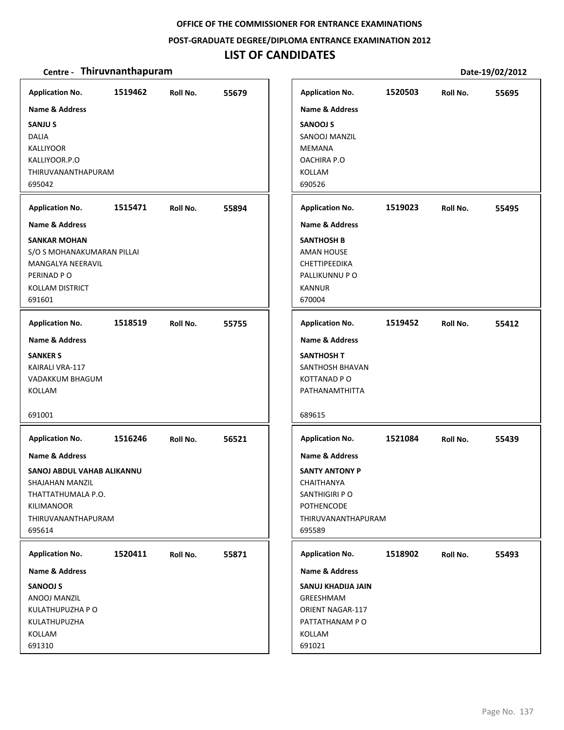### **POST‐GRADUATE DEGREE/DIPLOMA ENTRANCE EXAMINATION 2012**

# **LIST OF CANDIDATES**

| <b>Application No.</b><br><b>Name &amp; Address</b><br><b>SANJUS</b><br><b>DALIA</b><br><b>KALLIYOOR</b><br>KALLIYOOR.P.O<br>THIRUVANANTHAPURAM<br>695042 | 1519462 | Roll No. | 55679 | <b>Application No.</b><br><b>Name &amp; Address</b><br><b>SANOOJ S</b><br>SANOOJ MANZIL<br><b>MEMANA</b><br>OACHIRA P.O<br>KOLLAM<br>690526 | 1520503 | Roll No. | 55695 |
|-----------------------------------------------------------------------------------------------------------------------------------------------------------|---------|----------|-------|---------------------------------------------------------------------------------------------------------------------------------------------|---------|----------|-------|
| <b>Application No.</b>                                                                                                                                    | 1515471 | Roll No. | 55894 | <b>Application No.</b>                                                                                                                      | 1519023 | Roll No. | 55495 |
| <b>Name &amp; Address</b><br><b>SANKAR MOHAN</b><br>S/O S MOHANAKUMARAN PILLAI<br>MANGALYA NEERAVIL<br>PERINAD PO<br><b>KOLLAM DISTRICT</b><br>691601     |         |          |       | <b>Name &amp; Address</b><br><b>SANTHOSH B</b><br><b>AMAN HOUSE</b><br><b>CHETTIPEEDIKA</b><br>PALLIKUNNU P O<br><b>KANNUR</b><br>670004    |         |          |       |
| <b>Application No.</b>                                                                                                                                    | 1518519 | Roll No. | 55755 | <b>Application No.</b>                                                                                                                      | 1519452 | Roll No. | 55412 |
| <b>Name &amp; Address</b><br><b>SANKER S</b><br>KAIRALI VRA-117<br>VADAKKUM BHAGUM<br>KOLLAM<br>691001                                                    |         |          |       | <b>Name &amp; Address</b><br><b>SANTHOSH T</b><br>SANTHOSH BHAVAN<br><b>KOTTANAD PO</b><br>PATHANAMTHITTA<br>689615                         |         |          |       |
| <b>Application No.</b>                                                                                                                                    | 1516246 | Roll No. | 56521 | <b>Application No.</b>                                                                                                                      | 1521084 | Roll No. | 55439 |
| Name & Address                                                                                                                                            |         |          |       | <b>Name &amp; Address</b>                                                                                                                   |         |          |       |
| SANOJ ABDUL VAHAB ALIKANNU<br>SHAJAHAN MANZIL<br>THATTATHUMALA P.O.<br>KILIMANOOR<br>THIRUVANANTHAPURAM<br>695614                                         |         |          |       | <b>SANTY ANTONY P</b><br>CHAITHANYA<br>SANTHIGIRI P O<br><b>POTHENCODE</b><br>THIRUVANANTHAPURAM<br>695589                                  |         |          |       |
| <b>Application No.</b>                                                                                                                                    | 1520411 | Roll No. | 55871 | <b>Application No.</b>                                                                                                                      | 1518902 | Roll No. | 55493 |
| Name & Address<br><b>SANOOJ S</b><br>ANOOJ MANZIL<br>KULATHUPUZHA P O<br>KULATHUPUZHA<br>KOLLAM<br>691310                                                 |         |          |       | Name & Address<br>SANUJ KHADIJA JAIN<br>GREESHMAM<br><b>ORIENT NAGAR-117</b><br>PATTATHANAM PO<br>KOLLAM<br>691021                          |         |          |       |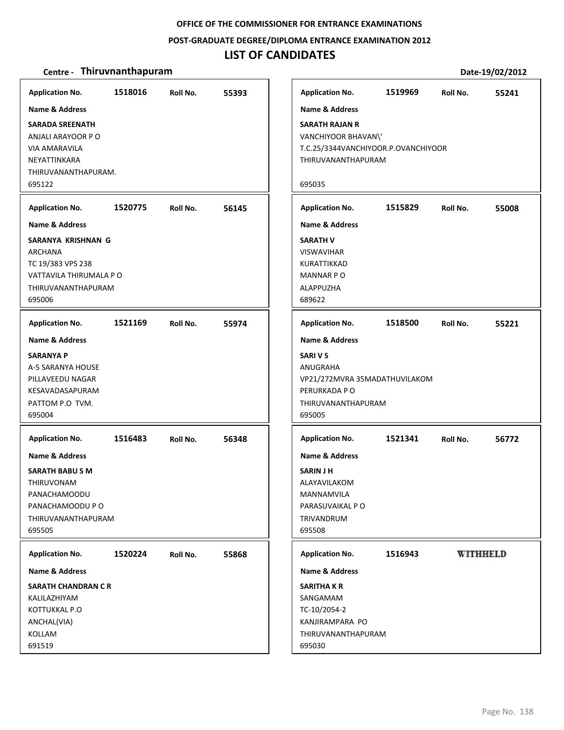**POST‐GRADUATE DEGREE/DIPLOMA ENTRANCE EXAMINATION 2012**

## **LIST OF CANDIDATES**

| <b>Application No.</b>     | 1518016 | Roll No. | 55393 |
|----------------------------|---------|----------|-------|
| <b>Name &amp; Address</b>  |         |          |       |
| <b>SARADA SREENATH</b>     |         |          |       |
| ANJALI ARAYOOR P O         |         |          |       |
| VIA AMARAVILA              |         |          |       |
| NEYATTINKARA               |         |          |       |
| THIRUVANANTHAPURAM.        |         |          |       |
| 695122                     |         |          |       |
| <b>Application No.</b>     | 1520775 | Roll No. | 56145 |
| <b>Name &amp; Address</b>  |         |          |       |
| SARANYA KRISHNAN G         |         |          |       |
| ARCHANA                    |         |          |       |
| TC 19/383 VPS 238          |         |          |       |
| VATTAVILA THIRUMALA P O    |         |          |       |
| THIRUVANANTHAPURAM         |         |          |       |
| 695006                     |         |          |       |
| <b>Application No.</b>     | 1521169 | Roll No. | 55974 |
| <b>Name &amp; Address</b>  |         |          |       |
| <b>SARANYA P</b>           |         |          |       |
| A-5 SARANYA HOUSE          |         |          |       |
| PILLAVEEDU NAGAR           |         |          |       |
| KESAVADASAPURAM            |         |          |       |
| PATTOM P.O TVM.            |         |          |       |
| 695004                     |         |          |       |
| <b>Application No.</b>     | 1516483 | Roll No. | 56348 |
|                            |         |          |       |
| <b>Name &amp; Address</b>  |         |          |       |
| <b>SARATH BABU S M</b>     |         |          |       |
| <b>THIRUVONAM</b>          |         |          |       |
| PANACHAMOODU               |         |          |       |
| PANACHAMOODU P O           |         |          |       |
| THIRUVANANTHAPURAM         |         |          |       |
| 695505                     |         |          |       |
| <b>Application No.</b>     | 1520224 | Roll No. | 55868 |
| Name & Address             |         |          |       |
| <b>SARATH CHANDRAN C R</b> |         |          |       |
| KALILAZHIYAM               |         |          |       |
| KOTTUKKAL P.O              |         |          |       |
| ANCHAL(VIA)                |         |          |       |
| KOLLAM                     |         |          |       |
| 691519                     |         |          |       |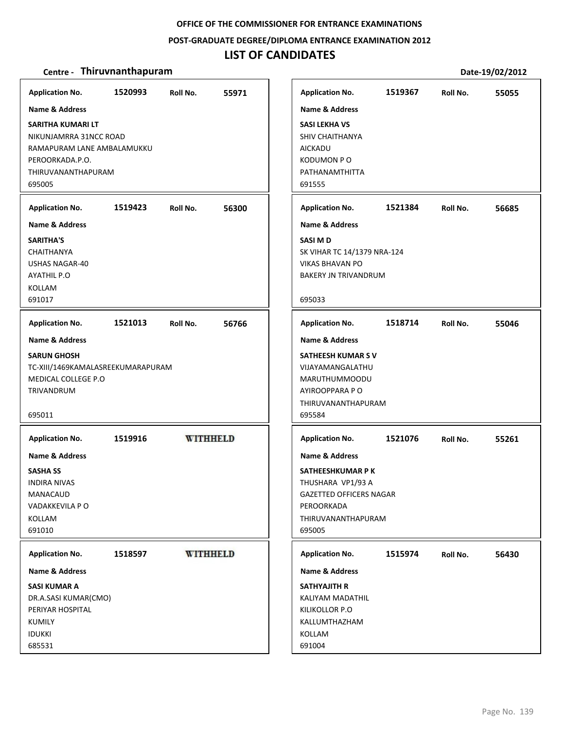### **POST‐GRADUATE DEGREE/DIPLOMA ENTRANCE EXAMINATION 2012**

# **LIST OF CANDIDATES**

| <b>Application No.</b>                                                                                                                           | 1520993 | Roll No. | 55971           |
|--------------------------------------------------------------------------------------------------------------------------------------------------|---------|----------|-----------------|
| <b>Name &amp; Address</b>                                                                                                                        |         |          |                 |
| <b>SARITHA KUMARI LT</b><br>NIKUNJAMRRA 31NCC ROAD<br>RAMAPURAM LANE AMBALAMUKKU<br>PEROORKADA.P.O.<br>THIRUVANANTHAPURAM<br>695005              |         |          |                 |
| <b>Application No.</b>                                                                                                                           | 1519423 | Roll No. | 56300           |
| <b>Name &amp; Address</b><br><b>SARITHA'S</b><br>CHAITHANYA<br><b>USHAS NAGAR-40</b><br><b>AYATHIL P.O</b><br><b>KOLLAM</b><br>691017            |         |          |                 |
| <b>Application No.</b>                                                                                                                           | 1521013 | Roll No. | 56766           |
| Name & Address<br><b>SARUN GHOSH</b><br>TC-XIII/1469KAMALASREEKUMARAPURAM<br>MEDICAL COLLEGE P.O.<br>TRIVANDRUM<br>695011                        |         |          |                 |
| <b>Application No.</b><br><b>Name &amp; Address</b><br><b>SASHA SS</b><br><b>INDIRA NIVAS</b><br>MANACAUD<br>VADAKKEVILA P O<br>KOLLAM<br>691010 | 1519916 |          | <b>WITHHELD</b> |
|                                                                                                                                                  |         |          | <b>WITHHELD</b> |
| <b>Application No.</b><br>Name & Address                                                                                                         | 1518597 |          |                 |
| <b>SASI KUMAR A</b><br>DR.A.SASI KUMAR(CMO)<br>PERIYAR HOSPITAL<br><b>KUMILY</b><br><b>IDUKKI</b><br>685531                                      |         |          |                 |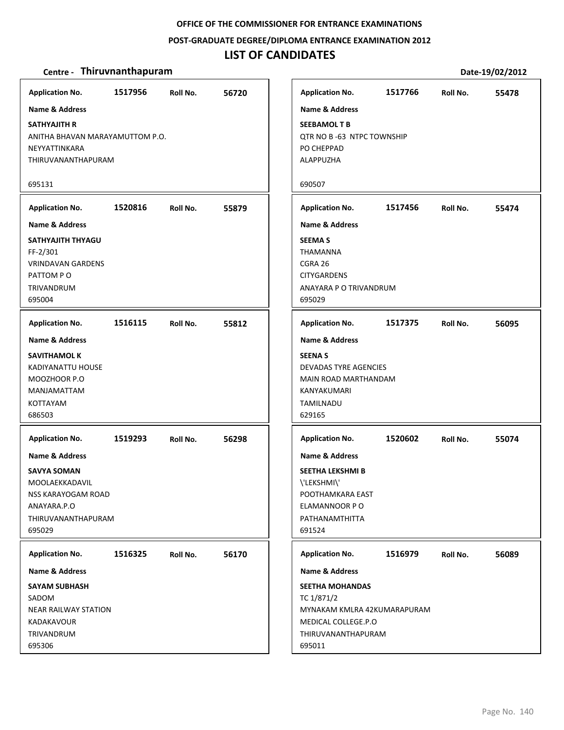## **POST‐GRADUATE DEGREE/DIPLOMA ENTRANCE EXAMINATION 2012**

# **LIST OF CANDIDATES**

| <b>Application No.</b>          | 1517956 | Roll No. | 56720 | <b>Application No.</b>       | 1517766 | Roll No. | 55478 |
|---------------------------------|---------|----------|-------|------------------------------|---------|----------|-------|
| Name & Address                  |         |          |       | <b>Name &amp; Address</b>    |         |          |       |
| <b>SATHYAJITH R</b>             |         |          |       | <b>SEEBAMOL T B</b>          |         |          |       |
| ANITHA BHAVAN MARAYAMUTTOM P.O. |         |          |       | QTR NO B-63 NTPC TOWNSHIP    |         |          |       |
| NEYYATTINKARA                   |         |          |       | PO CHEPPAD                   |         |          |       |
| THIRUVANANTHAPURAM              |         |          |       | ALAPPUZHA                    |         |          |       |
|                                 |         |          |       |                              |         |          |       |
| 695131                          |         |          |       | 690507                       |         |          |       |
| <b>Application No.</b>          | 1520816 | Roll No. | 55879 | <b>Application No.</b>       | 1517456 | Roll No. | 55474 |
| <b>Name &amp; Address</b>       |         |          |       | <b>Name &amp; Address</b>    |         |          |       |
| SATHYAJITH THYAGU               |         |          |       | <b>SEEMA S</b>               |         |          |       |
| FF-2/301                        |         |          |       | <b>THAMANNA</b>              |         |          |       |
| <b>VRINDAVAN GARDENS</b>        |         |          |       | CGRA 26                      |         |          |       |
| PATTOM PO                       |         |          |       | <b>CITYGARDENS</b>           |         |          |       |
| <b>TRIVANDRUM</b>               |         |          |       | ANAYARA P O TRIVANDRUM       |         |          |       |
| 695004                          |         |          |       | 695029                       |         |          |       |
|                                 |         |          |       |                              |         |          |       |
| <b>Application No.</b>          | 1516115 | Roll No. | 55812 | <b>Application No.</b>       | 1517375 | Roll No. | 56095 |
| <b>Name &amp; Address</b>       |         |          |       | Name & Address               |         |          |       |
| <b>SAVITHAMOL K</b>             |         |          |       | <b>SEENAS</b>                |         |          |       |
| KADIYANATTU HOUSE               |         |          |       | <b>DEVADAS TYRE AGENCIES</b> |         |          |       |
| MOOZHOOR P.O                    |         |          |       | MAIN ROAD MARTHANDAM         |         |          |       |
| MANJAMATTAM                     |         |          |       | KANYAKUMARI                  |         |          |       |
| <b>KOTTAYAM</b>                 |         |          |       | TAMILNADU                    |         |          |       |
| 686503                          |         |          |       | 629165                       |         |          |       |
|                                 |         |          |       |                              |         |          |       |
| <b>Application No.</b>          | 1519293 | Roll No. | 56298 | <b>Application No.</b>       | 1520602 | Roll No. | 55074 |
| <b>Name &amp; Address</b>       |         |          |       | <b>Name &amp; Address</b>    |         |          |       |
| <b>SAVYA SOMAN</b>              |         |          |       | <b>SEETHA LEKSHMI B</b>      |         |          |       |
| MOOLAEKKADAVIL                  |         |          |       | \'LEKSHMI\'                  |         |          |       |
| NSS KARAYOGAM ROAD              |         |          |       | POOTHAMKARA EAST             |         |          |       |
| ANAYARA.P.O                     |         |          |       | ELAMANNOOR PO                |         |          |       |
| THIRUVANANTHAPURAM              |         |          |       | PATHANAMTHITTA               |         |          |       |
| 695029                          |         |          |       | 691524                       |         |          |       |
|                                 |         |          |       |                              |         |          |       |
| <b>Application No.</b>          | 1516325 | Roll No. | 56170 | <b>Application No.</b>       | 1516979 | Roll No. | 56089 |
| Name & Address                  |         |          |       | <b>Name &amp; Address</b>    |         |          |       |
| <b>SAYAM SUBHASH</b>            |         |          |       | <b>SEETHA MOHANDAS</b>       |         |          |       |
| SADOM                           |         |          |       | TC 1/871/2                   |         |          |       |
| <b>NEAR RAILWAY STATION</b>     |         |          |       | MYNAKAM KMLRA 42KUMARAPURAM  |         |          |       |
| KADAKAVOUR                      |         |          |       | MEDICAL COLLEGE.P.O          |         |          |       |
| TRIVANDRUM                      |         |          |       | THIRUVANANTHAPURAM           |         |          |       |
| 695306                          |         |          |       | 695011                       |         |          |       |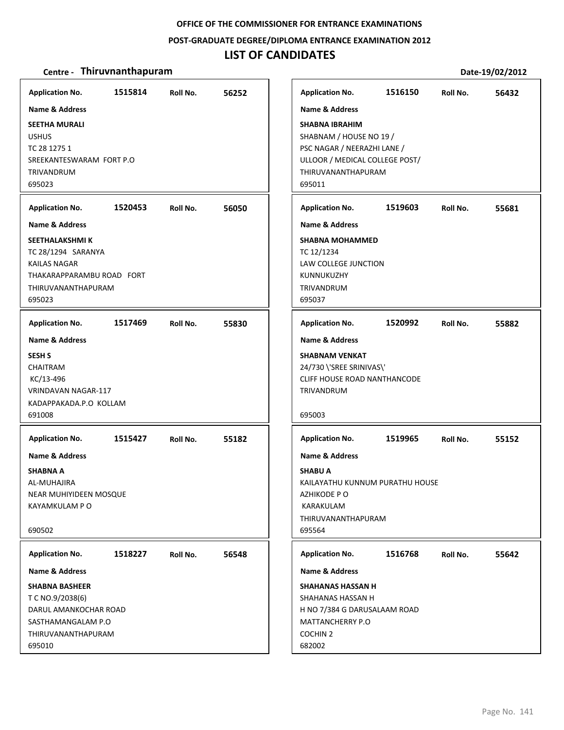#### **POST‐GRADUATE DEGREE/DIPLOMA ENTRANCE EXAMINATION 2012**

## **LIST OF CANDIDATES**

### **Centre** • **Thiruvnanthapuram Date-19/02/2012**

**1515814 56252 SEETHA MURALI** USHUS TC 28 1275 1 SREEKANTESWARAM FORT P.O TRIVANDRUM 695023 **Application No. Name & Address 1520453 56050 SEETHALAKSHMI K** TC 28/1294 SARANYA KAILAS NAGAR THAKARAPPARAMBU ROAD FORT THIRUVANANTHAPURAM 695023 **Application No. Name & Address 1517469 55830 SESH S** CHAITRAM KC/13‐496 VRINDAVAN NAGAR‐117 KADAPPAKADA.P.O KOLLAM 691008 **Application No. Name & Address 1515427 55182 SHABNA A** AL‐MUHAJIRA NEAR MUHIYIDEEN MOSQUE KAYAMKULAM P O 690502 **Application No. Name & Address 1518227 56548 SHABNA BASHEER** T C NO.9/2038(6) DARUL AMANKOCHAR ROAD SASTHAMANGALAM P.O THIRUVANANTHAPURAM 695010 **Application No. Name & Address 1516150 56432 SHABNA IBRAHIM** SHABNAM / HOUSE NO 19 / PSC NAGAR / NEERAZHI LANE / ULLOOR / MEDICAL COLLEGE POST/ THIRUVANANTHAPURAM 695011 **Application No. Name & Address 1519603 55681 SHABNA MOHAMMED** TC 12/1234 LAW COLLEGE JUNCTION KUNNUKUZHY TRIVANDRUM 695037 **Application No. Name & Address 1520992 55882 SHABNAM VENKAT** 24/730 \'SREE SRINIVAS\' CLIFF HOUSE ROAD NANTHANCODE TRIVANDRUM 695003 **Application No. Name & Address 1519965 55152 SHABU A** KAILAYATHU KUNNUM PURATHU HOUSE AZHIKODE P O KARAKULAM THIRUVANANTHAPURAM 695564 **Application No. Name & Address 1516768 55642 SHAHANAS HASSAN H** SHAHANAS HASSAN H H NO 7/384 G DARUSALAAM ROAD MATTANCHERRY P.O COCHIN 2 682002 **Application No. Name & Address**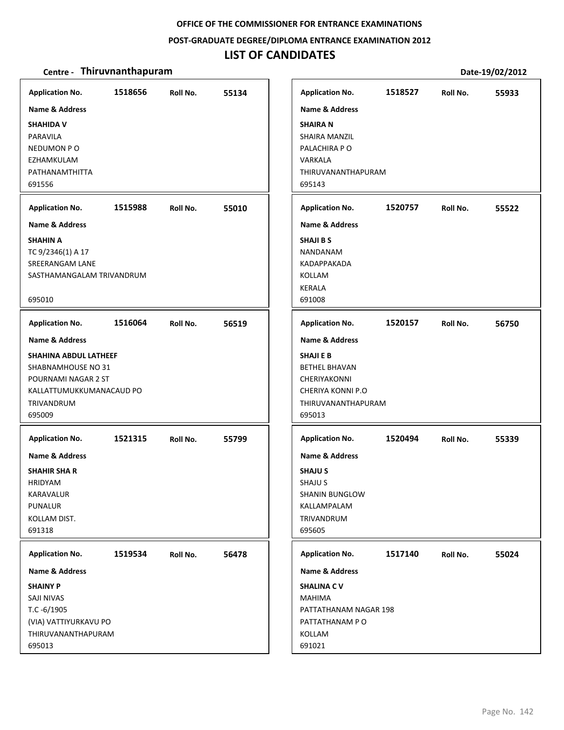## **POST‐GRADUATE DEGREE/DIPLOMA ENTRANCE EXAMINATION 2012**

# **LIST OF CANDIDATES**

| <b>Application No.</b>                                                                                                 | 1518656 | Roll No. | 55134 | <b>Application No.</b>                                                                                                  | 1518527 | Roll No. | 55933 |
|------------------------------------------------------------------------------------------------------------------------|---------|----------|-------|-------------------------------------------------------------------------------------------------------------------------|---------|----------|-------|
| <b>Name &amp; Address</b><br><b>SHAHIDA V</b><br>PARAVILA<br>NEDUMON PO<br>EZHAMKULAM<br>PATHANAMTHITTA<br>691556      |         |          |       | <b>Name &amp; Address</b><br><b>SHAIRAN</b><br>SHAIRA MANZIL<br>PALACHIRA PO<br>VARKALA<br>THIRUVANANTHAPURAM<br>695143 |         |          |       |
|                                                                                                                        |         |          |       |                                                                                                                         |         |          |       |
| <b>Application No.</b><br><b>Name &amp; Address</b>                                                                    | 1515988 | Roll No. | 55010 | <b>Application No.</b><br><b>Name &amp; Address</b>                                                                     | 1520757 | Roll No. | 55522 |
| <b>SHAHIN A</b><br>TC 9/2346(1) A 17<br>SREERANGAM LANE<br>SASTHAMANGALAM TRIVANDRUM<br>695010                         |         |          |       | <b>SHAJI B S</b><br>NANDANAM<br>KADAPPAKADA<br>KOLLAM<br><b>KERALA</b><br>691008                                        |         |          |       |
| <b>Application No.</b>                                                                                                 | 1516064 | Roll No. | 56519 | <b>Application No.</b>                                                                                                  | 1520157 | Roll No. | 56750 |
| <b>Name &amp; Address</b>                                                                                              |         |          |       | <b>Name &amp; Address</b>                                                                                               |         |          |       |
| SHAHINA ABDUL LATHEEF<br>SHABNAMHOUSE NO 31<br>POURNAMI NAGAR 2 ST<br>KALLATTUMUKKUMANACAUD PO<br>TRIVANDRUM<br>695009 |         |          |       | <b>SHAJI E B</b><br><b>BETHEL BHAVAN</b><br>CHERIYAKONNI<br>CHERIYA KONNI P.O<br>THIRUVANANTHAPURAM<br>695013           |         |          |       |
| <b>Application No.</b>                                                                                                 | 1521315 | Roll No. | 55799 | <b>Application No.</b>                                                                                                  | 1520494 | Roll No. | 55339 |
| Name & Address<br><b>SHAHIR SHA R</b><br><b>HRIDYAM</b><br>KARAVALUR<br><b>PUNALUR</b><br>KOLLAM DIST.<br>691318       |         |          |       | <b>Name &amp; Address</b><br><b>SHAJUS</b><br><b>SHAJU S</b><br>SHANIN BUNGLOW<br>KALLAMPALAM<br>TRIVANDRUM<br>695605   |         |          |       |
| <b>Application No.</b>                                                                                                 | 1519534 | Roll No. | 56478 | <b>Application No.</b>                                                                                                  | 1517140 | Roll No. | 55024 |
| <b>Name &amp; Address</b>                                                                                              |         |          |       | <b>Name &amp; Address</b>                                                                                               |         |          |       |
| <b>SHAINY P</b><br>SAJI NIVAS<br>$T.C - 6/1905$<br>(VIA) VATTIYURKAVU PO<br>THIRUVANANTHAPURAM<br>695013               |         |          |       | <b>SHALINA CV</b><br><b>MAHIMA</b><br>PATTATHANAM NAGAR 198<br>PATTATHANAM PO<br>KOLLAM<br>691021                       |         |          |       |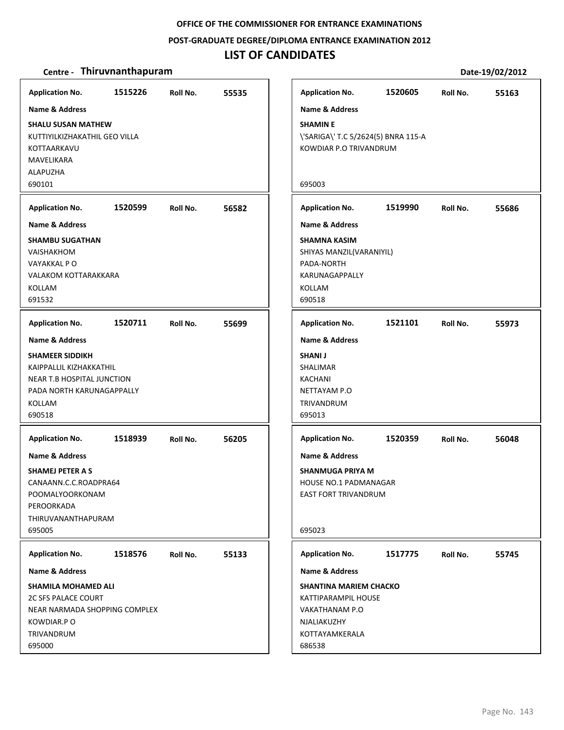**POST‐GRADUATE DEGREE/DIPLOMA ENTRANCE EXAMINATION 2012**

## **LIST OF CANDIDATES**

| <b>Application No.</b>        | 1515226                       | Roll No. | 55535 |  |  |  |  |  |  |
|-------------------------------|-------------------------------|----------|-------|--|--|--|--|--|--|
| <b>Name &amp; Address</b>     |                               |          |       |  |  |  |  |  |  |
| <b>SHALU SUSAN MATHEW</b>     |                               |          |       |  |  |  |  |  |  |
|                               | KUTTIYILKIZHAKATHIL GEO VILLA |          |       |  |  |  |  |  |  |
| KOTTAARKAVU                   |                               |          |       |  |  |  |  |  |  |
| MAVELIKARA                    |                               |          |       |  |  |  |  |  |  |
| ALAPUZHA                      |                               |          |       |  |  |  |  |  |  |
| 690101                        |                               |          |       |  |  |  |  |  |  |
|                               |                               |          |       |  |  |  |  |  |  |
| <b>Application No.</b>        | 1520599                       | Roll No. | 56582 |  |  |  |  |  |  |
| <b>Name &amp; Address</b>     |                               |          |       |  |  |  |  |  |  |
| <b>SHAMBU SUGATHAN</b>        |                               |          |       |  |  |  |  |  |  |
| VAISHAKHOM                    |                               |          |       |  |  |  |  |  |  |
| VAYAKKAL P O                  |                               |          |       |  |  |  |  |  |  |
| <b>VALAKOM KOTTARAKKARA</b>   |                               |          |       |  |  |  |  |  |  |
| KOLLAM                        |                               |          |       |  |  |  |  |  |  |
| 691532                        |                               |          |       |  |  |  |  |  |  |
| <b>Application No.</b>        | 1520711                       | Roll No. | 55699 |  |  |  |  |  |  |
|                               |                               |          |       |  |  |  |  |  |  |
| <b>Name &amp; Address</b>     |                               |          |       |  |  |  |  |  |  |
| <b>SHAMEER SIDDIKH</b>        |                               |          |       |  |  |  |  |  |  |
| KAIPPALLIL KIZHAKKATHIL       |                               |          |       |  |  |  |  |  |  |
| NEAR T.B HOSPITAL JUNCTION    |                               |          |       |  |  |  |  |  |  |
| PADA NORTH KARUNAGAPPALLY     |                               |          |       |  |  |  |  |  |  |
| KOLLAM                        |                               |          |       |  |  |  |  |  |  |
| 690518                        |                               |          |       |  |  |  |  |  |  |
| <b>Application No.</b>        | 1518939                       | Roll No. | 56205 |  |  |  |  |  |  |
| <b>Name &amp; Address</b>     |                               |          |       |  |  |  |  |  |  |
| <b>SHAMEJ PETER A S</b>       |                               |          |       |  |  |  |  |  |  |
| CANAANN.C.C.ROADPRA64         |                               |          |       |  |  |  |  |  |  |
| POOMALYOORKONAM               |                               |          |       |  |  |  |  |  |  |
| PEROORKADA                    |                               |          |       |  |  |  |  |  |  |
| THIRUVANANTHAPURAM            |                               |          |       |  |  |  |  |  |  |
| 695005                        |                               |          |       |  |  |  |  |  |  |
|                               |                               |          |       |  |  |  |  |  |  |
| <b>Application No.</b>        | 1518576                       | Roll No. | 55133 |  |  |  |  |  |  |
| <b>Name &amp; Address</b>     |                               |          |       |  |  |  |  |  |  |
| <b>SHAMILA MOHAMED ALI</b>    |                               |          |       |  |  |  |  |  |  |
| <b>2C SFS PALACE COURT</b>    |                               |          |       |  |  |  |  |  |  |
| NEAR NARMADA SHOPPING COMPLEX |                               |          |       |  |  |  |  |  |  |
| KOWDIAR.P O                   |                               |          |       |  |  |  |  |  |  |
| TRIVANDRUM                    |                               |          |       |  |  |  |  |  |  |
| 695000                        |                               |          |       |  |  |  |  |  |  |

| <b>Application No.</b>              | 1520605 | Roll No. | 55163 |  |  |  |  |
|-------------------------------------|---------|----------|-------|--|--|--|--|
| <b>Name &amp; Address</b>           |         |          |       |  |  |  |  |
| <b>SHAMIN E</b>                     |         |          |       |  |  |  |  |
|                                     |         |          |       |  |  |  |  |
| \'SARIGA\' T.C 5/2624(5) BNRA 115-A |         |          |       |  |  |  |  |
| KOWDIAR P.O TRIVANDRUM              |         |          |       |  |  |  |  |
|                                     |         |          |       |  |  |  |  |
|                                     |         |          |       |  |  |  |  |
| 695003                              |         |          |       |  |  |  |  |
| <b>Application No.</b>              | 1519990 | Roll No. | 55686 |  |  |  |  |
|                                     |         |          |       |  |  |  |  |
| <b>Name &amp; Address</b>           |         |          |       |  |  |  |  |
| <b>SHAMNA KASIM</b>                 |         |          |       |  |  |  |  |
| SHIYAS MANZIL(VARANIYIL)            |         |          |       |  |  |  |  |
| PADA-NORTH                          |         |          |       |  |  |  |  |
| <b>KARUNAGAPPALLY</b>               |         |          |       |  |  |  |  |
| KOLLAM                              |         |          |       |  |  |  |  |
| 690518                              |         |          |       |  |  |  |  |
|                                     |         |          |       |  |  |  |  |
| <b>Application No.</b>              | 1521101 | Roll No. | 55973 |  |  |  |  |
| <b>Name &amp; Address</b>           |         |          |       |  |  |  |  |
| <b>SHANI J</b>                      |         |          |       |  |  |  |  |
| <b>SHALIMAR</b>                     |         |          |       |  |  |  |  |
| <b>KACHANI</b>                      |         |          |       |  |  |  |  |
| NETTAYAM P.O                        |         |          |       |  |  |  |  |
|                                     |         |          |       |  |  |  |  |
| <b>TRIVANDRUM</b>                   |         |          |       |  |  |  |  |
| 695013                              |         |          |       |  |  |  |  |
| <b>Application No.</b>              | 1520359 | Roll No. | 56048 |  |  |  |  |
|                                     |         |          |       |  |  |  |  |
| <b>Name &amp; Address</b>           |         |          |       |  |  |  |  |
| <b>SHANMUGA PRIYA M</b>             |         |          |       |  |  |  |  |
| <b>HOUSE NO.1 PADMANAGAR</b>        |         |          |       |  |  |  |  |
| EAST FORT TRIVANDRUM                |         |          |       |  |  |  |  |
|                                     |         |          |       |  |  |  |  |
|                                     |         |          |       |  |  |  |  |
| 695023                              |         |          |       |  |  |  |  |
| <b>Application No.</b>              | 1517775 | Roll No. | 55745 |  |  |  |  |
|                                     |         |          |       |  |  |  |  |
| <b>Name &amp; Address</b>           |         |          |       |  |  |  |  |
| <b>SHANTINA MARIEM CHACKO</b>       |         |          |       |  |  |  |  |
| KATTIPARAMPIL HOUSE                 |         |          |       |  |  |  |  |
| VAKATHANAM P.O                      |         |          |       |  |  |  |  |
| NJALIAKUZHY                         |         |          |       |  |  |  |  |
| KOTTAYAMKERALA                      |         |          |       |  |  |  |  |
| 686538                              |         |          |       |  |  |  |  |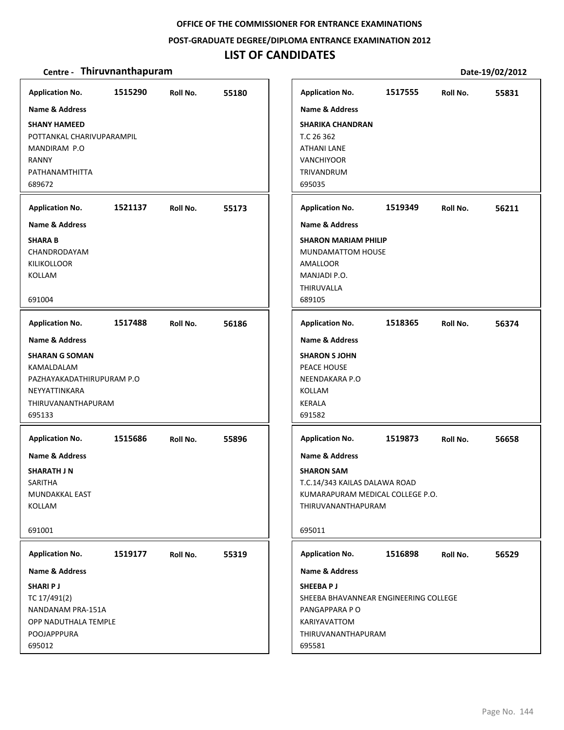## **POST‐GRADUATE DEGREE/DIPLOMA ENTRANCE EXAMINATION 2012**

# **LIST OF CANDIDATES**

| <b>Application No.</b>                                                                                                                    | 1515290 | Roll No. | 55180 | <b>Application No.</b>                                                                                                                              | 1517555 | Roll No. | 55831 |
|-------------------------------------------------------------------------------------------------------------------------------------------|---------|----------|-------|-----------------------------------------------------------------------------------------------------------------------------------------------------|---------|----------|-------|
| <b>Name &amp; Address</b><br><b>SHANY HAMEED</b><br>POTTANKAL CHARIVUPARAMPIL<br>MANDIRAM P.O<br><b>RANNY</b><br>PATHANAMTHITTA<br>689672 |         |          |       | Name & Address<br><b>SHARIKA CHANDRAN</b><br>T.C 26 362<br>ATHANI LANE<br><b>VANCHIYOOR</b><br>TRIVANDRUM<br>695035                                 |         |          |       |
| <b>Application No.</b>                                                                                                                    | 1521137 | Roll No. | 55173 | <b>Application No.</b>                                                                                                                              | 1519349 | Roll No. | 56211 |
| <b>Name &amp; Address</b>                                                                                                                 |         |          |       | <b>Name &amp; Address</b>                                                                                                                           |         |          |       |
| <b>SHARA B</b><br>CHANDRODAYAM<br><b>KILIKOLLOOR</b><br>KOLLAM<br>691004                                                                  |         |          |       | <b>SHARON MARIAM PHILIP</b><br>MUNDAMATTOM HOUSE<br>AMALLOOR<br>MANJADI P.O.<br>THIRUVALLA<br>689105                                                |         |          |       |
| <b>Application No.</b>                                                                                                                    | 1517488 | Roll No. | 56186 | <b>Application No.</b>                                                                                                                              | 1518365 | Roll No. | 56374 |
| <b>Name &amp; Address</b>                                                                                                                 |         |          |       | <b>Name &amp; Address</b>                                                                                                                           |         |          |       |
| <b>SHARAN G SOMAN</b><br>KAMALDALAM<br>PAZHAYAKADATHIRUPURAM P.O<br>NEYYATTINKARA<br>THIRUVANANTHAPURAM<br>695133                         |         |          |       | <b>SHARON S JOHN</b><br>PEACE HOUSE<br>NEENDAKARA P.O<br>KOLLAM<br><b>KERALA</b><br>691582                                                          |         |          |       |
| <b>Application No.</b>                                                                                                                    | 1515686 | Roll No. | 55896 | <b>Application No.</b>                                                                                                                              | 1519873 | Roll No. | 56658 |
| Name & Address<br><b>SHARATH J N</b><br>SARITHA<br>MUNDAKKAL EAST<br><b>KOLLAM</b><br>691001                                              |         |          |       | <b>Name &amp; Address</b><br><b>SHARON SAM</b><br>T.C.14/343 KAILAS DALAWA ROAD<br>KUMARAPURAM MEDICAL COLLEGE P.O.<br>THIRUVANANTHAPURAM<br>695011 |         |          |       |
|                                                                                                                                           |         |          |       |                                                                                                                                                     |         |          |       |
| <b>Application No.</b>                                                                                                                    | 1519177 | Roll No. | 55319 | <b>Application No.</b>                                                                                                                              | 1516898 | Roll No. | 56529 |
| Name & Address                                                                                                                            |         |          |       | Name & Address                                                                                                                                      |         |          |       |
| <b>SHARIPJ</b><br>TC 17/491(2)<br>NANDANAM PRA-151A<br>OPP NADUTHALA TEMPLE<br>POOJAPPPURA<br>695012                                      |         |          |       | SHEEBA PJ<br>SHEEBA BHAVANNEAR ENGINEERING COLLEGE<br>PANGAPPARA PO<br>KARIYAVATTOM<br>THIRUVANANTHAPURAM<br>695581                                 |         |          |       |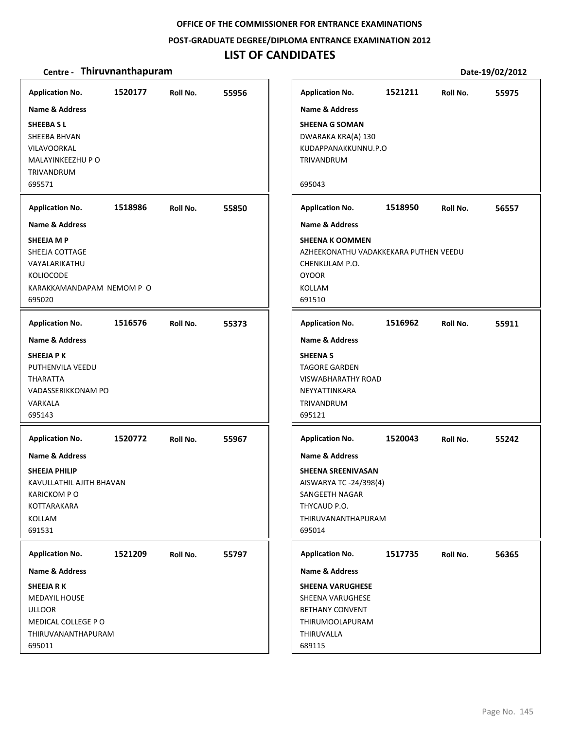**POST‐GRADUATE DEGREE/DIPLOMA ENTRANCE EXAMINATION 2012**

### **LIST OF CANDIDATES**

| <b>Application No.</b>                                                                                                                                    | 1520177 | Roll No. | 55956 |
|-----------------------------------------------------------------------------------------------------------------------------------------------------------|---------|----------|-------|
| <b>Name &amp; Address</b><br><b>SHEEBASL</b><br>SHEEBA BHVAN<br><b>VILAVOORKAL</b><br>MALAYINKEEZHU P O<br>TRIVANDRUM<br>695571                           |         |          |       |
| <b>Application No.</b>                                                                                                                                    | 1518986 | Roll No. | 55850 |
| Name & Address                                                                                                                                            |         |          |       |
| SHEEJA M P<br>SHEEJA COTTAGE<br>VAYALARIKATHU<br><b>KOLIOCODE</b><br>KARAKKAMANDAPAM NEMOM P O<br>695020                                                  |         |          |       |
| <b>Application No.</b>                                                                                                                                    | 1516576 | Roll No. | 55373 |
| <b>Name &amp; Address</b><br>SHEEJA P K<br>PUTHENVILA VEEDU<br><b>THARATTA</b><br>VADASSERIKKONAM PO<br>VARKALA<br>695143                                 |         |          |       |
| <b>Application No.</b><br><b>Name &amp; Address</b><br>SHEEJA PHILIP<br>KAVULLATHIL AJITH BHAVAN<br><b>KARICKOM PO</b><br>KOTTARAKARA<br>KOLLAM<br>691531 | 1520772 | Roll No. | 55967 |
| <b>Application No.</b>                                                                                                                                    | 1521209 | Roll No. | 55797 |
| Name & Address                                                                                                                                            |         |          |       |
| <b>SHEEJA RK</b><br><b>MEDAYIL HOUSE</b><br><b>ULLOOR</b><br>MEDICAL COLLEGE PO<br>THIRUVANANTHAPURAM<br>695011                                           |         |          |       |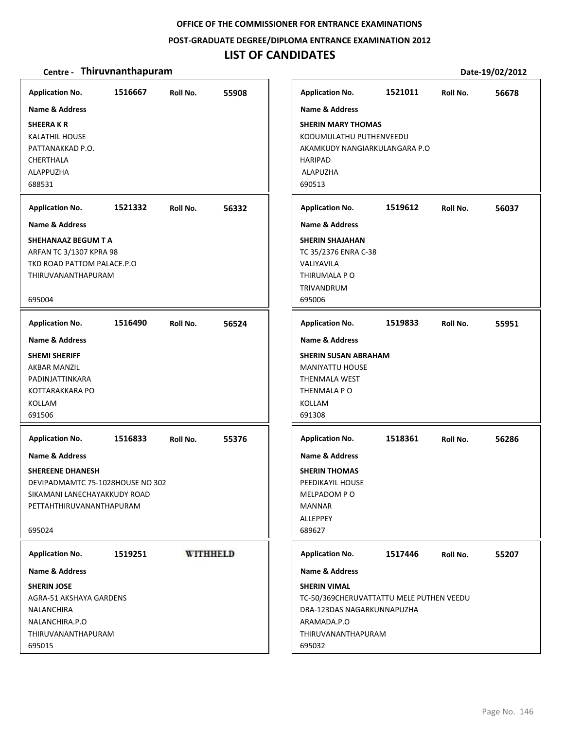### **POST‐GRADUATE DEGREE/DIPLOMA ENTRANCE EXAMINATION 2012**

## **LIST OF CANDIDATES**

| 1516667                                                                                                                                                        | 1521011                                                                                                                     |
|----------------------------------------------------------------------------------------------------------------------------------------------------------------|-----------------------------------------------------------------------------------------------------------------------------|
| <b>Application No.</b>                                                                                                                                         | <b>Application No.</b>                                                                                                      |
| Roll No.                                                                                                                                                       | Roll No.                                                                                                                    |
| 55908                                                                                                                                                          | 56678                                                                                                                       |
| <b>Name &amp; Address</b>                                                                                                                                      | Name & Address                                                                                                              |
| <b>SHEERAKR</b>                                                                                                                                                | <b>SHERIN MARY THOMAS</b>                                                                                                   |
| <b>KALATHIL HOUSE</b>                                                                                                                                          | KODUMULATHU PUTHENVEEDU                                                                                                     |
| PATTANAKKAD P.O.                                                                                                                                               | AKAMKUDY NANGIARKULANGARA P.O                                                                                               |
| CHERTHALA                                                                                                                                                      | HARIPAD                                                                                                                     |
| ALAPPUZHA                                                                                                                                                      | ALAPUZHA                                                                                                                    |
| 688531                                                                                                                                                         | 690513                                                                                                                      |
| 1521332                                                                                                                                                        | 1519612                                                                                                                     |
| <b>Application No.</b>                                                                                                                                         | <b>Application No.</b>                                                                                                      |
| 56332                                                                                                                                                          | 56037                                                                                                                       |
| Roll No.                                                                                                                                                       | Roll No.                                                                                                                    |
| <b>Name &amp; Address</b>                                                                                                                                      | <b>Name &amp; Address</b>                                                                                                   |
| SHEHANAAZ BEGUM T A<br>ARFAN TC 3/1307 KPRA 98<br>TKD ROAD PATTOM PALACE.P.O<br>THIRUVANANTHAPURAM<br>695004                                                   | <b>SHERIN SHAJAHAN</b><br>TC 35/2376 ENRA C-38<br>VALIYAVILA<br>THIRUMALA P O<br>TRIVANDRUM<br>695006                       |
| 1516490                                                                                                                                                        | 1519833                                                                                                                     |
| <b>Application No.</b>                                                                                                                                         | <b>Application No.</b>                                                                                                      |
| 56524                                                                                                                                                          | Roll No.                                                                                                                    |
| Roll No.                                                                                                                                                       | 55951                                                                                                                       |
| <b>Name &amp; Address</b>                                                                                                                                      | <b>Name &amp; Address</b>                                                                                                   |
| <b>SHEMI SHERIFF</b>                                                                                                                                           | <b>SHERIN SUSAN ABRAHAM</b>                                                                                                 |
| AKBAR MANZIL                                                                                                                                                   | <b>MANIYATTU HOUSE</b>                                                                                                      |
| PADINJATTINKARA                                                                                                                                                | <b>THENMALA WEST</b>                                                                                                        |
| KOTTARAKKARA PO                                                                                                                                                | THENMALA PO                                                                                                                 |
| KOLLAM                                                                                                                                                         | KOLLAM                                                                                                                      |
| 691506                                                                                                                                                         | 691308                                                                                                                      |
| 1516833                                                                                                                                                        | 1518361                                                                                                                     |
| <b>Application No.</b>                                                                                                                                         | <b>Application No.</b>                                                                                                      |
| 55376                                                                                                                                                          | Roll No.                                                                                                                    |
| Roll No.                                                                                                                                                       | 56286                                                                                                                       |
| <b>Name &amp; Address</b><br><b>SHEREENE DHANESH</b><br>DEVIPADMAMTC 75-1028HOUSE NO 302<br>SIKAMANI LANECHAYAKKUDY ROAD<br>PETTAHTHIRUVANANTHAPURAM<br>695024 | <b>Name &amp; Address</b><br><b>SHERIN THOMAS</b><br>PEEDIKAYIL HOUSE<br>MELPADOM PO<br><b>MANNAR</b><br>ALLEPPEY<br>689627 |
| <b>WITHHELD</b><br>1519251<br><b>Application No.</b>                                                                                                           | <b>Application No.</b><br>1517446<br>Roll No.<br>55207                                                                      |
| <b>Name &amp; Address</b>                                                                                                                                      | Name & Address                                                                                                              |
| <b>SHERIN JOSE</b>                                                                                                                                             | <b>SHERIN VIMAL</b>                                                                                                         |
| AGRA-51 AKSHAYA GARDENS                                                                                                                                        | TC-50/369CHERUVATTATTU MELE PUTHEN VEEDU                                                                                    |
| NALANCHIRA                                                                                                                                                     | DRA-123DAS NAGARKUNNAPUZHA                                                                                                  |
| NALANCHIRA.P.O                                                                                                                                                 | ARAMADA.P.O                                                                                                                 |
| THIRUVANANTHAPURAM                                                                                                                                             | THIRUVANANTHAPURAM                                                                                                          |
| 695015                                                                                                                                                         | 695032                                                                                                                      |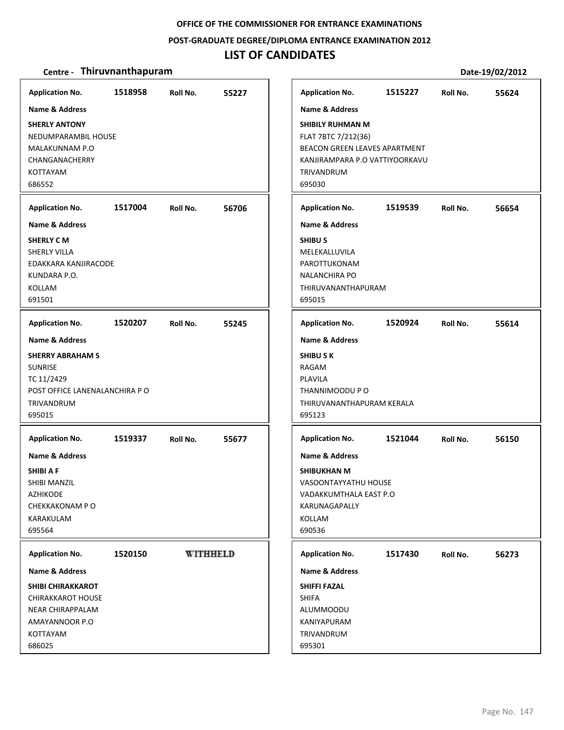#### **POST‐GRADUATE DEGREE/DIPLOMA ENTRANCE EXAMINATION 2012**

### **LIST OF CANDIDATES**

#### **Centre** • **Thiruvnanthapuram Date-19/02/2012**

**Application No. 1518958 55227 Application No. 1515227 55624 Name & Address Name & Address SHERLY ANTONY SHIBILY RUHMAN M** NEDUMPARAMBIL HOUSE FLAT 7BTC 7/212(36) BEACON GREEN LEAVES APARTMENT MALAKUNNAM P.O CHANGANACHERRY KANJIRAMPARA P.O VATTIYOORKAVU KOTTAYAM TRIVANDRUM 686552 695030 **Application No. 1517004 56706 Application No. 1519539 56654 Name & Address Name & Address SHIBU S SHERLY C M** SHERLY VILLA MELEKALLUVILA EDAKKARA KANJIRACODE PAROTTUKONAM KUNDARA P.O. NALANCHIRA PO KOLLAM THIRUVANANTHAPURAM 691501 695015 **Application No. 1520207 55245 Application No. 1520924 55614 Name & Address Name & Address SHERRY ABRAHAM S SHIBU S K SUNRISE** RAGAM PLAVILA TC 11/2429 POST OFFICE LANENALANCHIRA P O THANNIMOODU P O TRIVANDRUM THIRUVANANTHAPURAM KERALA 695015 695123 **Application No. Application No. 1519337 55677 1521044 56150 Name & Address Name & Address SHIBI A F SHIBUKHAN M** SHIBI MANZIL VASOONTAYYATHU HOUSE AZHIKODE VADAKKUMTHALA EAST P.O CHEKKAKONAM P O KARUNAGAPALLY KARAKULAM KOLLAM 695564 690536 **WITHHELD Application No. Application No. 1520150 1517430 56273 Name & Address Name & Address SHIBI CHIRAKKAROT SHIFFI FAZAL** CHIRAKKAROT HOUSE SHIFA NEAR CHIRAPPALAM **ALUMMOODU** AMAYANNOOR P.O KANIYAPURAM TRIVANDRUM KOTTAYAM 686025 695301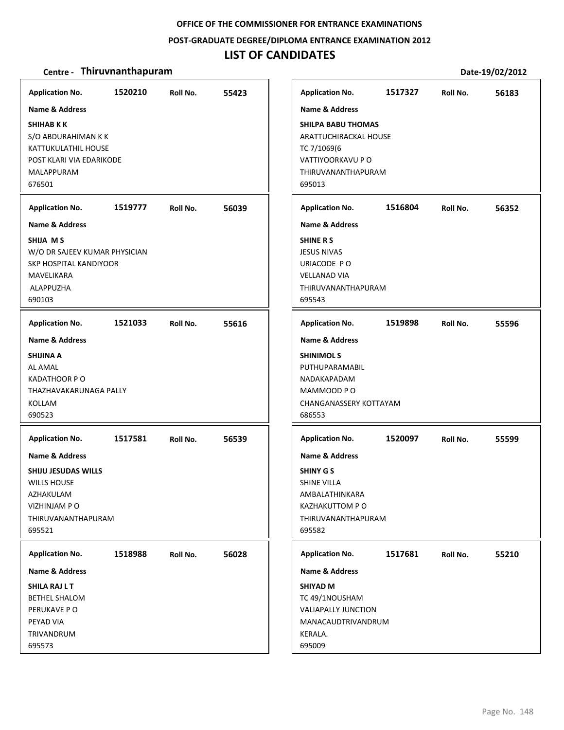### **POST‐GRADUATE DEGREE/DIPLOMA ENTRANCE EXAMINATION 2012**

## **LIST OF CANDIDATES**

| <b>Application No.</b>                                                                                                                                            | 1520210 | Roll No. | 55423 |
|-------------------------------------------------------------------------------------------------------------------------------------------------------------------|---------|----------|-------|
| <b>Name &amp; Address</b><br><b>SHIHAB K K</b><br>S/O ABDURAHIMAN K K<br>KATTUKULATHIL HOUSE<br>POST KLARI VIA EDARIKODE<br>MALAPPURAM<br>676501                  |         |          |       |
| <b>Application No.</b>                                                                                                                                            | 1519777 | Roll No. | 56039 |
| <b>Name &amp; Address</b><br>SHIJA M S<br>W/O DR SAJEEV KUMAR PHYSICIAN<br>SKP HOSPITAL KANDIYOOR<br>MAVELIKARA<br>ALAPPUZHA<br>690103                            |         |          |       |
| <b>Application No.</b>                                                                                                                                            | 1521033 | Roll No. | 55616 |
| <b>SHIJINA A</b><br>AL AMAL<br><b>KADATHOOR PO</b><br>THAZHAVAKARUNAGA PALLY<br>KOLLAM<br>690523                                                                  |         |          |       |
| <b>Application No.</b><br>Name & Address<br><b>SHIJU JESUDAS WILLS</b><br><b>WILLS HOUSE</b><br>AZHAKULAM<br><b>VIZHINJAM P O</b><br>THIRUVANANTHAPURAM<br>695521 | 1517581 | Roll No. | 56539 |
| <b>Application No.</b><br><b>Name &amp; Address</b><br><b>SHILA RAJ L T</b>                                                                                       | 1518988 | Roll No. | 56028 |
| <b>BETHEL SHALOM</b><br>PERUKAVE PO<br>PEYAD VIA<br>TRIVANDRUM<br>695573                                                                                          |         |          |       |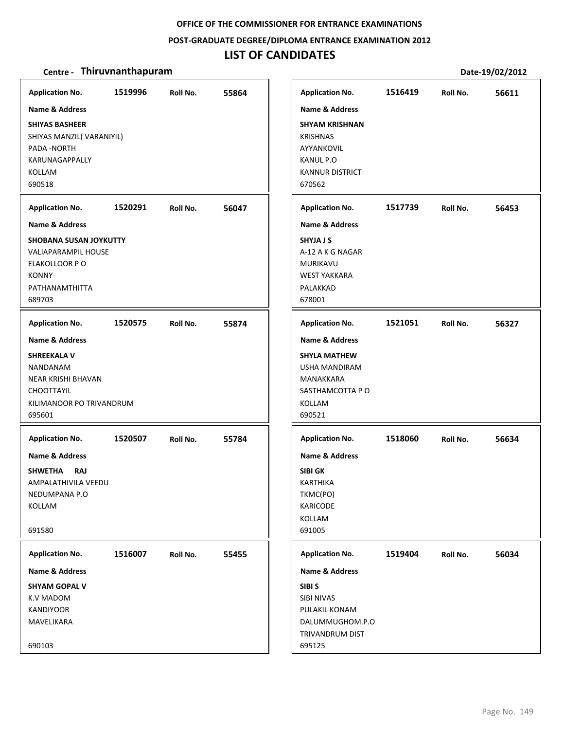### **POST‐GRADUATE DEGREE/DIPLOMA ENTRANCE EXAMINATION 2012**

## **LIST OF CANDIDATES**

| <b>Application No.</b><br>Name & Address                                                                                  | 1519996 | Roll No. | 55864 | <b>Application No.</b><br><b>Name &amp; Address</b>                                                     | 1516419 | Roll No. | 56611 |
|---------------------------------------------------------------------------------------------------------------------------|---------|----------|-------|---------------------------------------------------------------------------------------------------------|---------|----------|-------|
| <b>SHIYAS BASHEER</b><br>SHIYAS MANZIL(VARANIYIL)<br>PADA - NORTH<br>KARUNAGAPPALLY<br>KOLLAM<br>690518                   |         |          |       | <b>SHYAM KRISHNAN</b><br><b>KRISHNAS</b><br>AYYANKOVIL<br>KANUL P.O<br><b>KANNUR DISTRICT</b><br>670562 |         |          |       |
| <b>Application No.</b>                                                                                                    | 1520291 | Roll No. | 56047 | <b>Application No.</b>                                                                                  | 1517739 | Roll No. | 56453 |
| <b>Name &amp; Address</b>                                                                                                 |         |          |       | <b>Name &amp; Address</b>                                                                               |         |          |       |
| <b>SHOBANA SUSAN JOYKUTTY</b><br><b>VALIAPARAMPIL HOUSE</b><br>ELAKOLLOOR P O<br><b>KONNY</b><br>PATHANAMTHITTA<br>689703 |         |          |       | <b>SHYJAJS</b><br>A-12 A K G NAGAR<br><b>MURIKAVU</b><br><b>WEST YAKKARA</b><br>PALAKKAD<br>678001      |         |          |       |
| <b>Application No.</b>                                                                                                    | 1520575 | Roll No. | 55874 | <b>Application No.</b>                                                                                  | 1521051 | Roll No. | 56327 |
| <b>Name &amp; Address</b>                                                                                                 |         |          |       | <b>Name &amp; Address</b>                                                                               |         |          |       |
| <b>SHREEKALA V</b><br>NANDANAM<br>NEAR KRISHI BHAVAN<br>CHOOTTAYIL<br>KILIMANOOR PO TRIVANDRUM<br>695601                  |         |          |       | <b>SHYLA MATHEW</b><br><b>USHA MANDIRAM</b><br>MANAKKARA<br>SASTHAMCOTTA PO<br>KOLLAM<br>690521         |         |          |       |
| <b>Application No.</b>                                                                                                    | 1520507 | Roll No. | 55784 | <b>Application No.</b>                                                                                  | 1518060 | Roll No. | 56634 |
| <b>Name &amp; Address</b>                                                                                                 |         |          |       | <b>Name &amp; Address</b>                                                                               |         |          |       |
| <b>SHWETHA</b><br><b>RAJ</b><br>AMPALATHIVILA VEEDU<br>NEDUMPANA P.O<br>KOLLAM                                            |         |          |       | <b>SIBI GK</b><br><b>KARTHIKA</b><br>TKMC(PO)<br><b>KARICODE</b><br>KOLLAM                              |         |          |       |
| 691580                                                                                                                    |         |          |       | 691005                                                                                                  |         |          |       |
| <b>Application No.</b>                                                                                                    | 1516007 | Roll No. | 55455 | <b>Application No.</b>                                                                                  | 1519404 | Roll No. | 56034 |
| Name & Address                                                                                                            |         |          |       | Name & Address                                                                                          |         |          |       |
| <b>SHYAM GOPAL V</b><br>K.V MADOM<br>KANDIYOOR<br>MAVELIKARA<br>690103                                                    |         |          |       | SIBI <sub>S</sub><br>SIBI NIVAS<br>PULAKIL KONAM<br>DALUMMUGHOM.P.O<br>TRIVANDRUM DIST<br>695125        |         |          |       |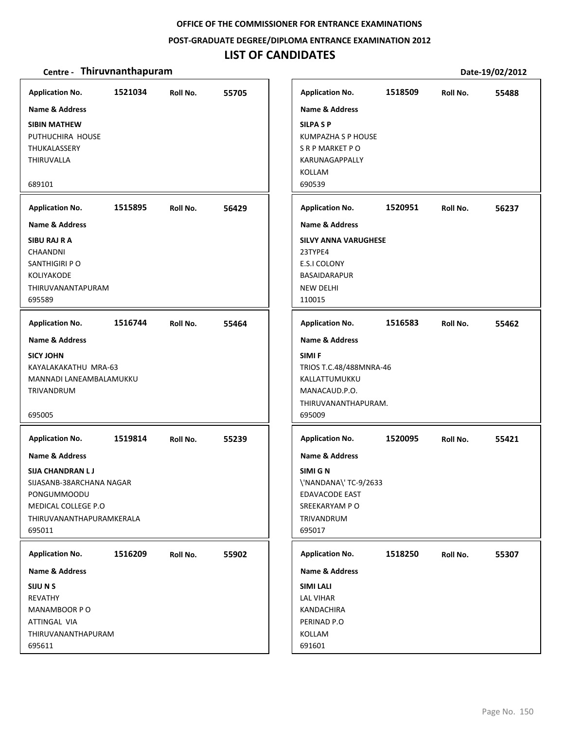### **POST‐GRADUATE DEGREE/DIPLOMA ENTRANCE EXAMINATION 2012**

## **LIST OF CANDIDATES**

| <b>Application No.</b><br><b>Name &amp; Address</b><br><b>SIBIN MATHEW</b><br>PUTHUCHIRA HOUSE<br>THUKALASSERY<br>THIRUVALLA<br>689101            | 1521034 | Roll No.                                                                                                      | 55705 | <b>Application No.</b><br><b>Name &amp; Address</b><br><b>SILPA SP</b><br>KUMPAZHA S P HOUSE<br>S R P MARKET P O<br>KARUNAGAPPALLY<br>KOLLAM<br>690539 | 1518509 | Roll No. | 55488 |
|---------------------------------------------------------------------------------------------------------------------------------------------------|---------|---------------------------------------------------------------------------------------------------------------|-------|--------------------------------------------------------------------------------------------------------------------------------------------------------|---------|----------|-------|
| <b>Application No.</b>                                                                                                                            | 1515895 | Roll No.                                                                                                      | 56429 | <b>Application No.</b>                                                                                                                                 | 1520951 | Roll No. | 56237 |
| <b>Name &amp; Address</b>                                                                                                                         |         |                                                                                                               |       | <b>Name &amp; Address</b>                                                                                                                              |         |          |       |
| SIBU RAJ R A<br>CHAANDNI<br>SANTHIGIRI P O<br><b>KOLIYAKODE</b><br>THIRUVANANTAPURAM<br>695589                                                    |         |                                                                                                               |       | <b>SILVY ANNA VARUGHESE</b><br>23TYPE4<br><b>E.S.I COLONY</b><br>BASAIDARAPUR<br><b>NEW DELHI</b><br>110015                                            |         |          |       |
| <b>Application No.</b>                                                                                                                            | 1516744 | Roll No.                                                                                                      | 55464 | <b>Application No.</b>                                                                                                                                 | 1516583 | Roll No. | 55462 |
| <b>Name &amp; Address</b>                                                                                                                         |         |                                                                                                               |       | <b>Name &amp; Address</b>                                                                                                                              |         |          |       |
| <b>SICY JOHN</b><br>KAYALAKAKATHU MRA-63<br>MANNADI LANEAMBALAMUKKU<br>TRIVANDRUM<br>695005                                                       |         |                                                                                                               |       | SIMI F<br>TRIOS T.C.48/488MNRA-46<br>KALLATTUMUKKU<br>MANACAUD.P.O.<br>THIRUVANANTHAPURAM.<br>695009                                                   |         |          |       |
| <b>Application No.</b>                                                                                                                            | 1519814 | Roll No.                                                                                                      | 55239 | <b>Application No.</b>                                                                                                                                 | 1520095 | Roll No. | 55421 |
| Name & Address<br><b>SIJA CHANDRAN LJ</b><br>SIJASANB-38ARCHANA NAGAR<br>PONGUMMOODU<br>MEDICAL COLLEGE P.O<br>THIRUVANANTHAPURAMKERALA<br>695011 |         | Name & Address<br>SIMI G N<br>\'NANDANA\'TC-9/2633<br>EDAVACODE EAST<br>SREEKARYAM PO<br>TRIVANDRUM<br>695017 |       |                                                                                                                                                        |         |          |       |
| <b>Application No.</b>                                                                                                                            | 1516209 | Roll No.                                                                                                      | 55902 | <b>Application No.</b>                                                                                                                                 | 1518250 | Roll No. | 55307 |
| Name & Address                                                                                                                                    |         |                                                                                                               |       | Name & Address                                                                                                                                         |         |          |       |
| SIJU N S<br><b>REVATHY</b><br>MANAMBOOR PO<br>ATTINGAL VIA<br>THIRUVANANTHAPURAM<br>695611                                                        |         |                                                                                                               |       | <b>SIMI LALI</b><br><b>LAL VIHAR</b><br>KANDACHIRA<br>PERINAD P.O<br>KOLLAM<br>691601                                                                  |         |          |       |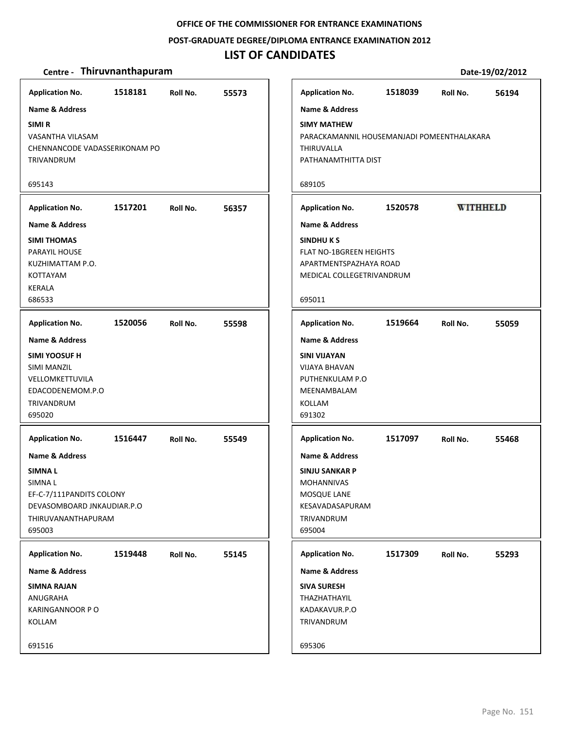**POST‐GRADUATE DEGREE/DIPLOMA ENTRANCE EXAMINATION 2012**

## **LIST OF CANDIDATES**

| <b>Application No.</b>              | 1518181 | Roll No. | 55573 |  | <b>Application No.</b>                              | 1518039 | Roll No.        | 56194 |  |  |
|-------------------------------------|---------|----------|-------|--|-----------------------------------------------------|---------|-----------------|-------|--|--|
| <b>Name &amp; Address</b>           |         |          |       |  | <b>Name &amp; Address</b>                           |         |                 |       |  |  |
| SIMI <sub>R</sub>                   |         |          |       |  | <b>SIMY MATHEW</b>                                  |         |                 |       |  |  |
| VASANTHA VILASAM                    |         |          |       |  | PARACKAMANNIL HOUSEMANJADI POMEENTHALAKARA          |         |                 |       |  |  |
| CHENNANCODE VADASSERIKONAM PO       |         |          |       |  | THIRUVALLA                                          |         |                 |       |  |  |
| TRIVANDRUM                          |         |          |       |  | PATHANAMTHITTA DIST                                 |         |                 |       |  |  |
| 695143                              |         |          |       |  | 689105                                              |         |                 |       |  |  |
| <b>Application No.</b>              | 1517201 | Roll No. | 56357 |  | <b>Application No.</b>                              | 1520578 | <b>WITHHELD</b> |       |  |  |
| <b>Name &amp; Address</b>           |         |          |       |  | <b>Name &amp; Address</b>                           |         |                 |       |  |  |
| <b>SIMI THOMAS</b>                  |         |          |       |  | <b>SINDHUKS</b>                                     |         |                 |       |  |  |
| PARAYIL HOUSE                       |         |          |       |  | FLAT NO-1BGREEN HEIGHTS                             |         |                 |       |  |  |
| KUZHIMATTAM P.O.<br><b>KOTTAYAM</b> |         |          |       |  | APARTMENTSPAZHAYA ROAD<br>MEDICAL COLLEGETRIVANDRUM |         |                 |       |  |  |
| <b>KERALA</b>                       |         |          |       |  |                                                     |         |                 |       |  |  |
| 686533                              |         |          |       |  | 695011                                              |         |                 |       |  |  |
| <b>Application No.</b>              | 1520056 | Roll No. | 55598 |  | <b>Application No.</b>                              | 1519664 | Roll No.        | 55059 |  |  |
| <b>Name &amp; Address</b>           |         |          |       |  | <b>Name &amp; Address</b>                           |         |                 |       |  |  |
| <b>SIMI YOOSUF H</b>                |         |          |       |  | <b>SINI VIJAYAN</b>                                 |         |                 |       |  |  |
| <b>SIMI MANZIL</b>                  |         |          |       |  | <b>VIJAYA BHAVAN</b>                                |         |                 |       |  |  |
| VELLOMKETTUVILA                     |         |          |       |  | PUTHENKULAM P.O                                     |         |                 |       |  |  |
| EDACODENEMOM.P.O<br>TRIVANDRUM      |         |          |       |  | MEENAMBALAM<br>KOLLAM                               |         |                 |       |  |  |
| 695020                              |         |          |       |  | 691302                                              |         |                 |       |  |  |
| <b>Application No.</b>              | 1516447 | Roll No. | 55549 |  | <b>Application No.</b>                              | 1517097 | Roll No.        | 55468 |  |  |
| <b>Name &amp; Address</b>           |         |          |       |  | <b>Name &amp; Address</b>                           |         |                 |       |  |  |
| <b>SIMNAL</b>                       |         |          |       |  | <b>SINJU SANKAR P</b>                               |         |                 |       |  |  |
| SIMNA L                             |         |          |       |  | <b>MOHANNIVAS</b>                                   |         |                 |       |  |  |
| EF-C-7/111PANDITS COLONY            |         |          |       |  | MOSQUE LANE                                         |         |                 |       |  |  |
| DEVASOMBOARD JNKAUDIAR.P.O          |         |          |       |  | KESAVADASAPURAM                                     |         |                 |       |  |  |
| THIRUVANANTHAPURAM<br>695003        |         |          |       |  | TRIVANDRUM<br>695004                                |         |                 |       |  |  |
|                                     |         |          |       |  |                                                     |         |                 |       |  |  |
| <b>Application No.</b>              | 1519448 | Roll No. | 55145 |  | <b>Application No.</b>                              | 1517309 | Roll No.        | 55293 |  |  |
| Name & Address                      |         |          |       |  | Name & Address                                      |         |                 |       |  |  |
| <b>SIMNA RAJAN</b>                  |         |          |       |  | <b>SIVA SURESH</b>                                  |         |                 |       |  |  |
| ANUGRAHA<br>KARINGANNOOR PO         |         |          |       |  | THAZHATHAYIL<br>KADAKAVUR.P.O                       |         |                 |       |  |  |
| KOLLAM                              |         |          |       |  | TRIVANDRUM                                          |         |                 |       |  |  |
| 691516                              |         |          |       |  | 695306                                              |         |                 |       |  |  |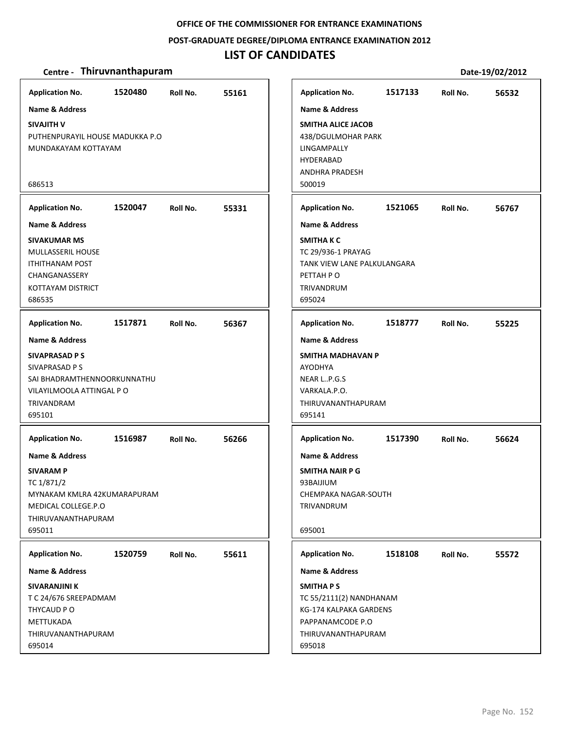### **POST‐GRADUATE DEGREE/DIPLOMA ENTRANCE EXAMINATION 2012**

## **LIST OF CANDIDATES**

| <b>Application No.</b>                                                                                                                                 | 1520480 | Roll No. | 55161 | <b>Application No.</b>                                                                                                                     | 1517133 | Roll No. | 56532 |
|--------------------------------------------------------------------------------------------------------------------------------------------------------|---------|----------|-------|--------------------------------------------------------------------------------------------------------------------------------------------|---------|----------|-------|
| <b>Name &amp; Address</b><br>SIVAJITH V<br>PUTHENPURAYIL HOUSE MADUKKA P.O<br>MUNDAKAYAM KOTTAYAM<br>686513                                            |         |          |       | <b>Name &amp; Address</b><br>SMITHA ALICE JACOB<br>438/DGULMOHAR PARK<br>LINGAMPALLY<br><b>HYDERABAD</b><br>ANDHRA PRADESH<br>500019       |         |          |       |
| <b>Application No.</b>                                                                                                                                 | 1520047 | Roll No. | 55331 | <b>Application No.</b>                                                                                                                     | 1521065 | Roll No. | 56767 |
| <b>Name &amp; Address</b><br><b>SIVAKUMAR MS</b><br>MULLASSERIL HOUSE<br><b>ITHITHANAM POST</b><br>CHANGANASSERY<br><b>KOTTAYAM DISTRICT</b><br>686535 |         |          |       | <b>Name &amp; Address</b><br><b>SMITHAKC</b><br>TC 29/936-1 PRAYAG<br>TANK VIEW LANE PALKULANGARA<br>PETTAH P O<br>TRIVANDRUM<br>695024    |         |          |       |
| <b>Application No.</b>                                                                                                                                 | 1517871 | Roll No. | 56367 | <b>Application No.</b>                                                                                                                     | 1518777 | Roll No. | 55225 |
| Name & Address<br>SIVAPRASAD P S<br>SIVAPRASAD P S<br>SAI BHADRAMTHENNOORKUNNATHU<br>VILAYILMOOLA ATTINGAL P O<br>TRIVANDRAM<br>695101                 |         |          |       | Name & Address<br>SMITHA MADHAVAN P<br>AYODHYA<br>NEAR LP.G.S<br>VARKALA.P.O.<br>THIRUVANANTHAPURAM<br>695141                              |         |          |       |
| <b>Application No.</b>                                                                                                                                 | 1516987 | Roll No. | 56266 | <b>Application No.</b>                                                                                                                     | 1517390 | Roll No. | 56624 |
| <b>Name &amp; Address</b><br><b>SIVARAM P</b><br>TC 1/871/2<br>MYNAKAM KMLRA 42KUMARAPURAM<br>MEDICAL COLLEGE.P.O<br>THIRUVANANTHAPURAM<br>695011      |         |          |       | Name & Address<br><b>SMITHA NAIR P G</b><br>93BAIJIUM<br>CHEMPAKA NAGAR-SOUTH<br><b>TRIVANDRUM</b><br>695001                               |         |          |       |
| <b>Application No.</b>                                                                                                                                 | 1520759 | Roll No. | 55611 | <b>Application No.</b>                                                                                                                     | 1518108 | Roll No. | 55572 |
| Name & Address<br>SIVARANJINI K<br>T C 24/676 SREEPADMAM<br>THYCAUD PO<br>METTUKADA<br>THIRUVANANTHAPURAM<br>695014                                    |         |          |       | Name & Address<br><b>SMITHAPS</b><br>TC 55/2111(2) NANDHANAM<br>KG-174 KALPAKA GARDENS<br>PAPPANAMCODE P.O<br>THIRUVANANTHAPURAM<br>695018 |         |          |       |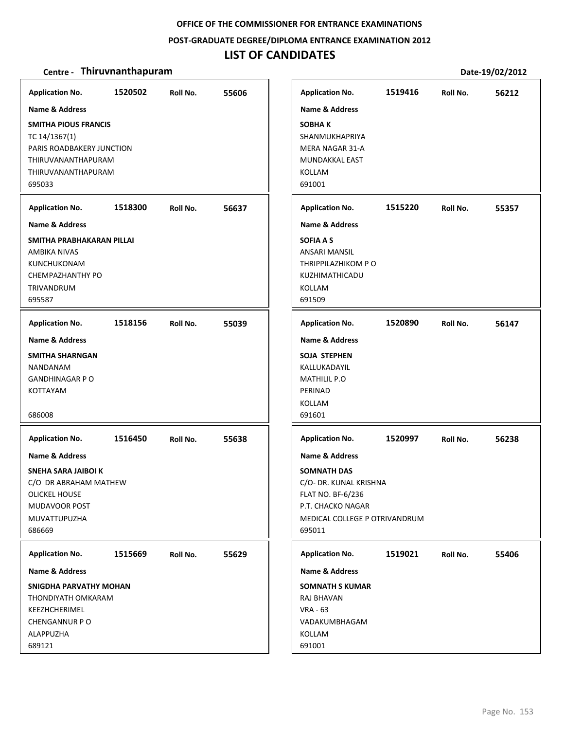**POST‐GRADUATE DEGREE/DIPLOMA ENTRANCE EXAMINATION 2012**

### **LIST OF CANDIDATES**

| <b>Application No.</b>                                                                                                                                       | 1520502 | Roll No. | 55606 | <b>Application No.</b>                                                                                                                   | 1519416 | Roll No. | 56212 |
|--------------------------------------------------------------------------------------------------------------------------------------------------------------|---------|----------|-------|------------------------------------------------------------------------------------------------------------------------------------------|---------|----------|-------|
| <b>Name &amp; Address</b><br><b>SMITHA PIOUS FRANCIS</b><br>TC 14/1367(1)<br>PARIS ROADBAKERY JUNCTION<br>THIRUVANANTHAPURAM<br>THIRUVANANTHAPURAM<br>695033 |         |          |       | Name & Address<br><b>SOBHAK</b><br>SHANMUKHAPRIYA<br>MERA NAGAR 31-A<br>MUNDAKKAL EAST<br>KOLLAM<br>691001                               |         |          |       |
| <b>Application No.</b>                                                                                                                                       | 1518300 | Roll No. | 56637 | <b>Application No.</b>                                                                                                                   | 1515220 | Roll No. | 55357 |
| <b>Name &amp; Address</b>                                                                                                                                    |         |          |       | <b>Name &amp; Address</b>                                                                                                                |         |          |       |
| SMITHA PRABHAKARAN PILLAI<br>AMBIKA NIVAS<br><b>KUNCHUKONAM</b><br>CHEMPAZHANTHY PO<br>TRIVANDRUM<br>695587                                                  |         |          |       | SOFIA A S<br><b>ANSARI MANSIL</b><br>THRIPPILAZHIKOM PO<br>KUZHIMATHICADU<br><b>KOLLAM</b><br>691509                                     |         |          |       |
| <b>Application No.</b>                                                                                                                                       | 1518156 | Roll No. | 55039 | <b>Application No.</b>                                                                                                                   | 1520890 | Roll No. | 56147 |
| <b>Name &amp; Address</b>                                                                                                                                    |         |          |       | Name & Address                                                                                                                           |         |          |       |
| SMITHA SHARNGAN<br>NANDANAM<br><b>GANDHINAGAR P O</b><br>KOTTAYAM<br>686008                                                                                  |         |          |       | SOJA STEPHEN<br>KALLUKADAYIL<br><b>MATHILIL P.O</b><br>PERINAD<br><b>KOLLAM</b><br>691601                                                |         |          |       |
| <b>Application No.</b>                                                                                                                                       | 1516450 | Roll No. | 55638 | <b>Application No.</b>                                                                                                                   | 1520997 | Roll No. | 56238 |
| Name & Address                                                                                                                                               |         |          |       | <b>Name &amp; Address</b>                                                                                                                |         |          |       |
| SNEHA SARA JAIBOI K<br>C/O DR ABRAHAM MATHEW<br><b>OLICKEL HOUSE</b><br>MUDAVOOR POST<br>MUVATTUPUZHA<br>686669                                              |         |          |       | <b>SOMNATH DAS</b><br>C/O- DR. KUNAL KRISHNA<br><b>FLAT NO. BF-6/236</b><br>P.T. CHACKO NAGAR<br>MEDICAL COLLEGE P OTRIVANDRUM<br>695011 |         |          |       |
| <b>Application No.</b>                                                                                                                                       | 1515669 | Roll No. | 55629 | <b>Application No.</b>                                                                                                                   | 1519021 | Roll No. | 55406 |
| Name & Address                                                                                                                                               |         |          |       | Name & Address                                                                                                                           |         |          |       |
| SNIGDHA PARVATHY MOHAN<br>THONDIYATH OMKARAM<br>KEEZHCHERIMEL<br><b>CHENGANNUR PO</b><br>ALAPPUZHA<br>689121                                                 |         |          |       | <b>SOMNATH S KUMAR</b><br>RAJ BHAVAN<br><b>VRA - 63</b><br>VADAKUMBHAGAM<br>KOLLAM<br>691001                                             |         |          |       |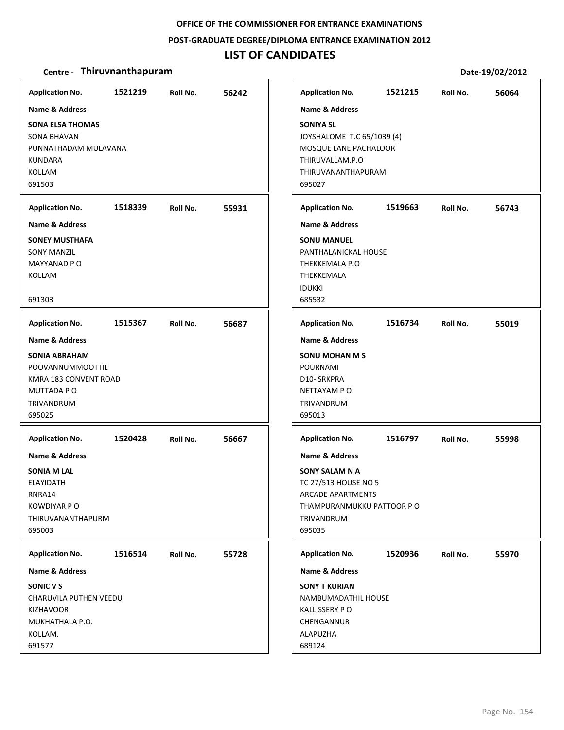#### **POST‐GRADUATE DEGREE/DIPLOMA ENTRANCE EXAMINATION 2012**

### **LIST OF CANDIDATES**

#### **Centre** • **Thiruvnanthapuram Date-19/02/2012**

**1521219 56242 SONA ELSA THOMAS** SONA BHAVAN PUNNATHADAM MULAVANA KUNDARA KOLLAM 691503 **Application No. Name & Address 1518339 55931 SONEY MUSTHAFA** SONY MANZIL MAYYANAD P O KOLLAM 691303 **Application No. Name & Address 1515367 56687 SONIA ABRAHAM** POOVANNUMMOOTTIL KMRA 183 CONVENT ROAD MUTTADA P O TRIVANDRUM 695025 **Application No. Name & Address 1520428 56667 SONIA M LAL** ELAYIDATH RNRA14 KOWDIYAR P O THIRUVANANTHAPURM 695003 **Application No. Name & Address 1516514 55728 SONIC V S** CHARUVILA PUTHEN VEEDU KIZHAVOOR MUKHATHALA P.O. KOLLAM. 691577 **Application No. Name & Address 1521215 56064 SONIYA SL** JOYSHALOME T.C 65/1039 (4) MOSQUE LANE PACHALOOR THIRUVALLAM.P.O THIRUVANANTHAPURAM 695027 **Application No. Name & Address 1519663 56743 SONU MANUEL** PANTHALANICKAL HOUSE THEKKEMALA P.O THEKKEMALA IDUKKI 685532 **Application No. Name & Address 1516734 55019 SONU MOHAN M S** POURNAMI D10‐ SRKPRA NETTAYAM P O TRIVANDRUM 695013 **Application No. Name & Address 1516797 55998 SONY SALAM N A** TC 27/513 HOUSE NO 5 ARCADE APARTMENTS THAMPURANMUKKU PATTOOR P O TRIVANDRUM 695035 **Application No. Name & Address 1520936 55970 SONY T KURIAN** NAMBUMADATHIL HOUSE KALLISSERY P O **CHENGANNUR** ALAPUZHA 689124 **Application No. Name & Address**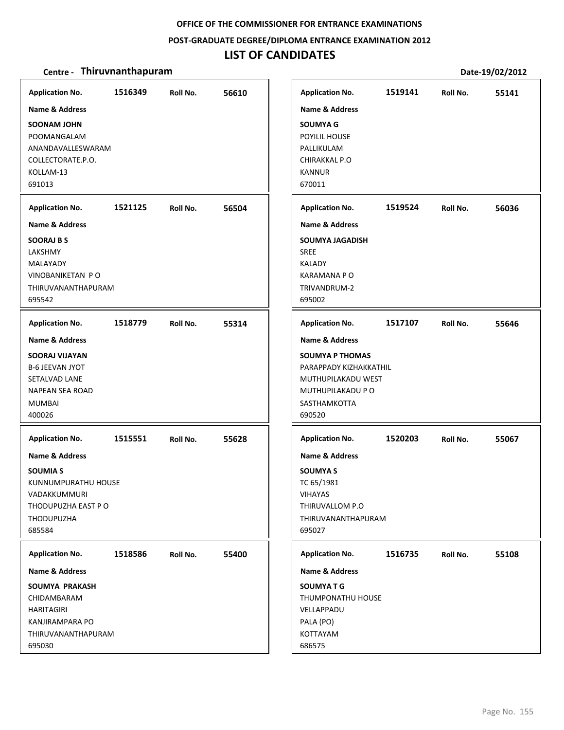### **POST‐GRADUATE DEGREE/DIPLOMA ENTRANCE EXAMINATION 2012**

## **LIST OF CANDIDATES**

| <b>Application No.</b>                                                                                                                             | 1516349 | Roll No. | 56610 | <b>Application No.</b>                                                                                                                             | 1519141 | Roll No. | 55141 |
|----------------------------------------------------------------------------------------------------------------------------------------------------|---------|----------|-------|----------------------------------------------------------------------------------------------------------------------------------------------------|---------|----------|-------|
| Name & Address<br>SOONAM JOHN<br>POOMANGALAM<br>ANANDAVALLESWARAM<br>COLLECTORATE.P.O.<br>KOLLAM-13<br>691013                                      |         |          |       | <b>Name &amp; Address</b><br><b>SOUMYA G</b><br>POYILIL HOUSE<br>PALLIKULAM<br>CHIRAKKAL P.O<br><b>KANNUR</b><br>670011                            |         |          |       |
| <b>Application No.</b>                                                                                                                             | 1521125 | Roll No. | 56504 | <b>Application No.</b>                                                                                                                             | 1519524 | Roll No. | 56036 |
| <b>Name &amp; Address</b><br><b>SOORAJ B S</b><br>LAKSHMY<br>MALAYADY<br>VINOBANIKETAN PO<br>THIRUVANANTHAPURAM<br>695542                          |         |          |       | <b>Name &amp; Address</b><br><b>SOUMYA JAGADISH</b><br><b>SREE</b><br><b>KALADY</b><br><b>KARAMANA P O</b><br>TRIVANDRUM-2<br>695002               |         |          |       |
| <b>Application No.</b>                                                                                                                             | 1518779 | Roll No. | 55314 | <b>Application No.</b>                                                                                                                             | 1517107 | Roll No. | 55646 |
| <b>Name &amp; Address</b><br><b>SOORAJ VIJAYAN</b><br><b>B-6 JEEVAN JYOT</b><br>SETALVAD LANE<br><b>NAPEAN SEA ROAD</b><br><b>MUMBAI</b><br>400026 |         |          |       | <b>Name &amp; Address</b><br><b>SOUMYA P THOMAS</b><br>PARAPPADY KIZHAKKATHIL<br>MUTHUPILAKADU WEST<br>MUTHUPILAKADU P O<br>SASTHAMKOTTA<br>690520 |         |          |       |
| <b>Application No.</b>                                                                                                                             | 1515551 | Roll No. | 55628 | <b>Application No.</b>                                                                                                                             | 1520203 | Roll No. | 55067 |
| <b>Name &amp; Address</b><br><b>SOUMIA S</b><br>KUNNUMPURATHU HOUSE<br>VADAKKUMMURI<br>THODUPUZHA EAST PO<br>THODUPUZHA<br>685584                  |         |          |       | <b>Name &amp; Address</b><br><b>SOUMYAS</b><br>TC 65/1981<br>VIHAYAS<br>THIRUVALLOM P.O<br>THIRUVANANTHAPURAM<br>695027                            |         |          |       |
| <b>Application No.</b>                                                                                                                             | 1518586 | Roll No. | 55400 | <b>Application No.</b>                                                                                                                             | 1516735 | Roll No. | 55108 |
| Name & Address<br>SOUMYA PRAKASH<br>CHIDAMBARAM<br><b>HARITAGIRI</b><br>KANJIRAMPARA PO<br>THIRUVANANTHAPURAM<br>695030                            |         |          |       | Name & Address<br><b>SOUMYATG</b><br>THUMPONATHU HOUSE<br>VELLAPPADU<br>PALA (PO)<br>KOTTAYAM<br>686575                                            |         |          |       |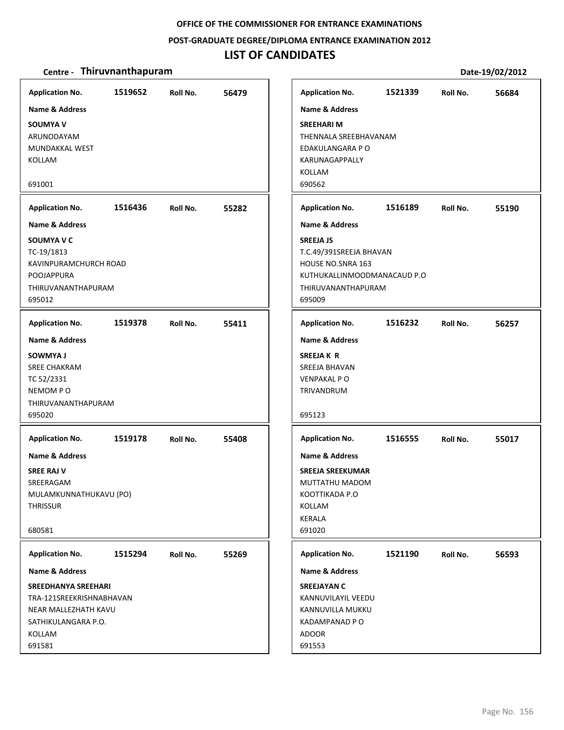### **POST‐GRADUATE DEGREE/DIPLOMA ENTRANCE EXAMINATION 2012**

## **LIST OF CANDIDATES**

| <b>Application No.</b>                                                                          | 1519652 | Roll No. | 56479 |
|-------------------------------------------------------------------------------------------------|---------|----------|-------|
| <b>Name &amp; Address</b>                                                                       |         |          |       |
| <b>SOUMYA V</b><br>ARUNODAYAM<br>MUNDAKKAL WEST<br>KOLLAM                                       |         |          |       |
| 691001                                                                                          |         |          |       |
| <b>Application No.</b>                                                                          | 1516436 | Roll No. | 55282 |
| <b>Name &amp; Address</b>                                                                       |         |          |       |
| SOUMYA V C<br>TC-19/1813<br>KAVINPURAMCHURCH ROAD<br>POOJAPPURA<br>THIRUVANANTHAPURAM<br>695012 |         |          |       |
| <b>Application No.</b>                                                                          | 1519378 | Roll No. | 55411 |
| <b>Name &amp; Address</b>                                                                       |         |          |       |
| SOWMYA J                                                                                        |         |          |       |
| <b>SREE CHAKRAM</b><br>TC 52/2331                                                               |         |          |       |
| NEMOM PO                                                                                        |         |          |       |
| THIRUVANANTHAPURAM<br>695020                                                                    |         |          |       |
|                                                                                                 |         |          |       |
| <b>Application No.</b>                                                                          | 1519178 | Roll No. | 55408 |
| Name & Address                                                                                  |         |          |       |
| <b>SREE RAJ V</b>                                                                               |         |          |       |
| SREERAGAM<br>MULAMKUNNATHUKAVU (PO)                                                             |         |          |       |
| <b>THRISSUR</b>                                                                                 |         |          |       |
|                                                                                                 |         |          |       |
| 680581                                                                                          |         |          |       |
| <b>Application No.</b>                                                                          | 1515294 | Roll No. | 55269 |
| Name & Address                                                                                  |         |          |       |
| <b>SREEDHANYA SREEHARI</b>                                                                      |         |          |       |
| TRA-121SREEKRISHNABHAVAN                                                                        |         |          |       |
| NEAR MALLEZHATH KAVU<br>SATHIKULANGARA P.O.                                                     |         |          |       |
| KOLLAM                                                                                          |         |          |       |
| 691581                                                                                          |         |          |       |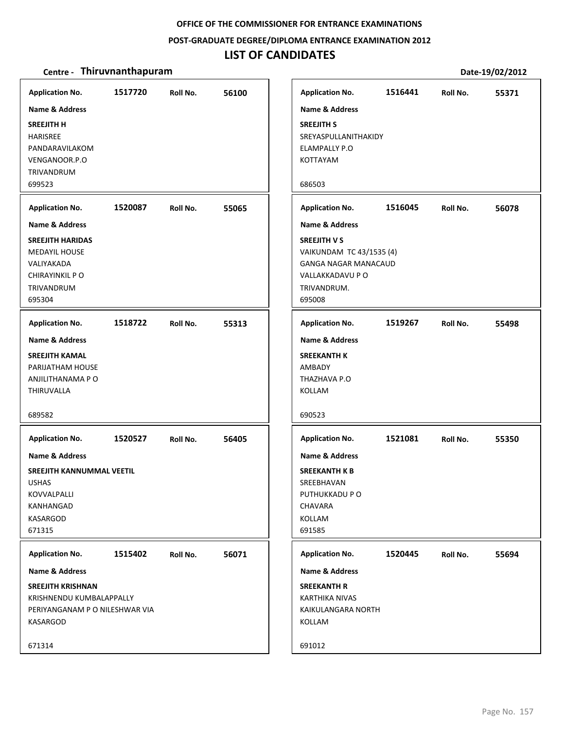**POST‐GRADUATE DEGREE/DIPLOMA ENTRANCE EXAMINATION 2012**

### **LIST OF CANDIDATES**

| <b>Application No.</b>                                                                                                                | 1517720 | Roll No. | 56100 | <b>Application No.</b>                                                                                   | 1516441                                                 | Roll No. | 55371 |
|---------------------------------------------------------------------------------------------------------------------------------------|---------|----------|-------|----------------------------------------------------------------------------------------------------------|---------------------------------------------------------|----------|-------|
| Name & Address<br><b>SREEJITH H</b><br><b>HARISREE</b><br>PANDARAVILAKOM<br>VENGANOOR.P.O<br>TRIVANDRUM                               |         |          |       | Name & Address<br><b>SREEJITH S</b><br><b>ELAMPALLY P.O</b><br>KOTTAYAM                                  | SREYASPULLANITHAKIDY                                    |          |       |
| 699523                                                                                                                                |         |          |       | 686503                                                                                                   |                                                         |          |       |
| <b>Application No.</b>                                                                                                                | 1520087 | Roll No. | 55065 | <b>Application No.</b>                                                                                   | 1516045                                                 | Roll No. | 56078 |
| <b>Name &amp; Address</b><br><b>SREEJITH HARIDAS</b><br><b>MEDAYIL HOUSE</b><br>VALIYAKADA<br>CHIRAYINKIL P O<br>TRIVANDRUM<br>695304 |         |          |       | <b>Name &amp; Address</b><br><b>SREEJITH V S</b><br>VALLAKKADAVU P O<br>TRIVANDRUM.<br>695008            | VAIKUNDAM TC 43/1535 (4)<br><b>GANGA NAGAR MANACAUD</b> |          |       |
| <b>Application No.</b>                                                                                                                | 1518722 | Roll No. | 55313 | <b>Application No.</b>                                                                                   | 1519267                                                 | Roll No. | 55498 |
| <b>Name &amp; Address</b><br><b>SREEJITH KAMAL</b><br>PARIJATHAM HOUSE<br>ANJILITHANAMA P O<br><b>THIRUVALLA</b><br>689582            |         |          |       | <b>Name &amp; Address</b><br><b>SREEKANTH K</b><br>AMBADY<br>THAZHAVA P.O<br><b>KOLLAM</b><br>690523     |                                                         |          |       |
| <b>Application No.</b>                                                                                                                | 1520527 | Roll No. | 56405 | <b>Application No.</b>                                                                                   | 1521081                                                 | Roll No. | 55350 |
| <b>Name &amp; Address</b>                                                                                                             |         |          |       | <b>Name &amp; Address</b>                                                                                |                                                         |          |       |
| <b>SREEJITH KANNUMMAL VEETIL</b><br><b>USHAS</b><br>KOVVALPALLI<br>KANHANGAD<br><b>KASARGOD</b><br>671315                             |         |          |       | <b>SREEKANTH K B</b><br>SREEBHAVAN<br>PUTHUKKADU P O<br>CHAVARA<br>KOLLAM<br>691585                      |                                                         |          |       |
| <b>Application No.</b>                                                                                                                | 1515402 | Roll No. | 56071 | <b>Application No.</b>                                                                                   | 1520445                                                 | Roll No. | 55694 |
| Name & Address<br><b>SREEJITH KRISHNAN</b><br>KRISHNENDU KUMBALAPPALLY<br>PERIYANGANAM P O NILESHWAR VIA<br>KASARGOD                  |         |          |       | <b>Name &amp; Address</b><br><b>SREEKANTH R</b><br><b>KARTHIKA NIVAS</b><br>KAIKULANGARA NORTH<br>KOLLAM |                                                         |          |       |
| 671314                                                                                                                                |         |          |       | 691012                                                                                                   |                                                         |          |       |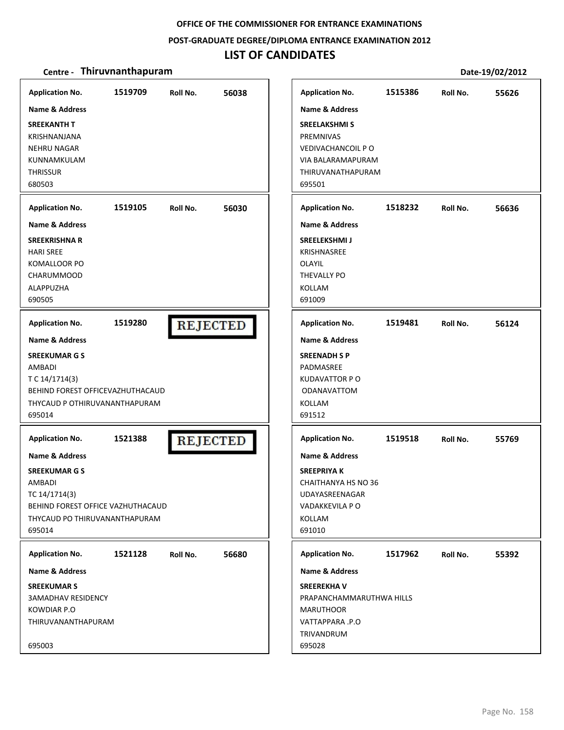### **POST‐GRADUATE DEGREE/DIPLOMA ENTRANCE EXAMINATION 2012**

## **LIST OF CANDIDATES**

| <b>Application No.</b><br>Name & Address<br><b>SREEKANTH T</b><br><b>KRISHNANJANA</b><br><b>NEHRU NAGAR</b><br>KUNNAMKULAM<br><b>THRISSUR</b><br>680503 | 1519709 | Roll No.        | 56038 | <b>Application No.</b><br>Name & Address<br><b>SREELAKSHMI S</b><br><b>PREMNIVAS</b><br>VEDIVACHANCOIL PO<br>VIA BALARAMAPURAM<br>THIRUVANATHAPURAM<br>695501 | 1515386                  | Roll No. | 55626 |
|---------------------------------------------------------------------------------------------------------------------------------------------------------|---------|-----------------|-------|---------------------------------------------------------------------------------------------------------------------------------------------------------------|--------------------------|----------|-------|
| <b>Application No.</b>                                                                                                                                  | 1519105 | Roll No.        | 56030 | <b>Application No.</b>                                                                                                                                        | 1518232                  | Roll No. | 56636 |
| <b>Name &amp; Address</b><br><b>SREEKRISHNA R</b><br><b>HARI SREE</b><br>KOMALLOOR PO<br><b>CHARUMMOOD</b><br>ALAPPUZHA<br>690505                       |         |                 |       | <b>Name &amp; Address</b><br><b>SREELEKSHMIJ</b><br>KRISHNASREE<br><b>OLAYIL</b><br>THEVALLY PO<br>KOLLAM<br>691009                                           |                          |          |       |
| <b>Application No.</b>                                                                                                                                  | 1519280 | <b>REJECTED</b> |       | <b>Application No.</b>                                                                                                                                        | 1519481                  | Roll No. | 56124 |
| Name & Address<br><b>SREEKUMAR G S</b><br>AMBADI<br>T C 14/1714(3)<br>BEHIND FOREST OFFICEVAZHUTHACAUD<br>THYCAUD P OTHIRUVANANTHAPURAM<br>695014       |         |                 |       | <b>Name &amp; Address</b><br><b>SREENADH S P</b><br>PADMASREE<br><b>KUDAVATTOR P O</b><br><b>ODANAVATTOM</b><br>KOLLAM<br>691512                              |                          |          |       |
| <b>Application No.</b>                                                                                                                                  | 1521388 | <b>REJECTED</b> |       | <b>Application No.</b>                                                                                                                                        | 1519518                  | Roll No. | 55769 |
| <b>Name &amp; Address</b>                                                                                                                               |         |                 |       | <b>Name &amp; Address</b>                                                                                                                                     |                          |          |       |
| <b>SREEKUMAR G S</b><br><b>AMBADI</b><br>TC 14/1714(3)<br>BEHIND FOREST OFFICE VAZHUTHACAUD<br>THYCAUD PO THIRUVANANTHAPURAM<br>695014                  |         |                 |       | <b>SREEPRIYAK</b><br>CHAITHANYA HS NO 36<br>UDAYASREENAGAR<br>VADAKKEVILA P O<br>KOLLAM<br>691010                                                             |                          |          |       |
| <b>Application No.</b>                                                                                                                                  | 1521128 | Roll No.        | 56680 | <b>Application No.</b>                                                                                                                                        | 1517962                  | Roll No. | 55392 |
| Name & Address<br><b>SREEKUMAR S</b><br><b>3AMADHAV RESIDENCY</b><br>KOWDIAR P.O<br>THIRUVANANTHAPURAM<br>695003                                        |         |                 |       | Name & Address<br><b>SREEREKHAV</b><br><b>MARUTHOOR</b><br>VATTAPPARA .P.O<br>TRIVANDRUM<br>695028                                                            | PRAPANCHAMMARUTHWA HILLS |          |       |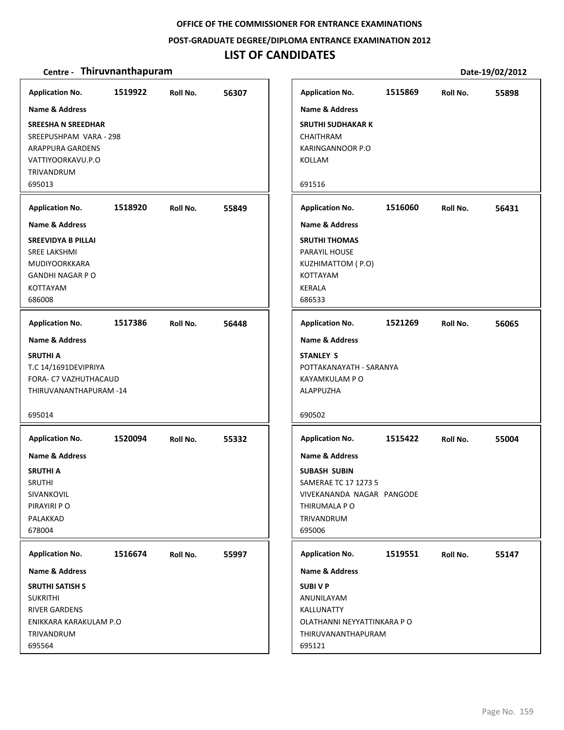**POST‐GRADUATE DEGREE/DIPLOMA ENTRANCE EXAMINATION 2012**

### **LIST OF CANDIDATES**

| <b>Application No.</b>    | 1519922 | Roll No. | 56307 | <b>Application No.</b>      | 1515869 | Roll No. | 55898 |
|---------------------------|---------|----------|-------|-----------------------------|---------|----------|-------|
| <b>Name &amp; Address</b> |         |          |       | <b>Name &amp; Address</b>   |         |          |       |
| <b>SREESHA N SREEDHAR</b> |         |          |       | <b>SRUTHI SUDHAKAR K</b>    |         |          |       |
| SREEPUSHPAM VARA - 298    |         |          |       | <b>CHAITHRAM</b>            |         |          |       |
| <b>ARAPPURA GARDENS</b>   |         |          |       | KARINGANNOOR P.O            |         |          |       |
| VATTIYOORKAVU.P.O         |         |          |       | KOLLAM                      |         |          |       |
| TRIVANDRUM                |         |          |       |                             |         |          |       |
| 695013                    |         |          |       | 691516                      |         |          |       |
| <b>Application No.</b>    | 1518920 | Roll No. | 55849 | <b>Application No.</b>      | 1516060 | Roll No. | 56431 |
| <b>Name &amp; Address</b> |         |          |       | <b>Name &amp; Address</b>   |         |          |       |
| <b>SREEVIDYA B PILLAI</b> |         |          |       | <b>SRUTHI THOMAS</b>        |         |          |       |
| <b>SREE LAKSHMI</b>       |         |          |       | PARAYIL HOUSE               |         |          |       |
| <b>MUDIYOORKKARA</b>      |         |          |       | KUZHIMATTOM (P.O)           |         |          |       |
| <b>GANDHI NAGAR P O</b>   |         |          |       | <b>KOTTAYAM</b>             |         |          |       |
| <b>KOTTAYAM</b>           |         |          |       | <b>KERALA</b>               |         |          |       |
| 686008                    |         |          |       | 686533                      |         |          |       |
| <b>Application No.</b>    | 1517386 | Roll No. | 56448 | <b>Application No.</b>      | 1521269 | Roll No. | 56065 |
| <b>Name &amp; Address</b> |         |          |       | <b>Name &amp; Address</b>   |         |          |       |
| <b>SRUTHI A</b>           |         |          |       | <b>STANLEY S</b>            |         |          |       |
| T.C 14/1691DEVIPRIYA      |         |          |       | POTTAKANAYATH - SARANYA     |         |          |       |
| FORA- C7 VAZHUTHACAUD     |         |          |       | KAYAMKULAM P O              |         |          |       |
| THIRUVANANTHAPURAM-14     |         |          |       | ALAPPUZHA                   |         |          |       |
| 695014                    |         |          |       | 690502                      |         |          |       |
|                           |         |          |       |                             |         |          |       |
| <b>Application No.</b>    | 1520094 | Roll No. | 55332 | <b>Application No.</b>      | 1515422 | Roll No. | 55004 |
| Name & Address            |         |          |       | <b>Name &amp; Address</b>   |         |          |       |
| <b>SRUTHI A</b>           |         |          |       | <b>SUBASH SUBIN</b>         |         |          |       |
| <b>SRUTHI</b>             |         |          |       | SAMERAE TC 17 1273 5        |         |          |       |
| SIVANKOVIL                |         |          |       | VIVEKANANDA NAGAR PANGODE   |         |          |       |
| PIRAYIRI PO               |         |          |       | THIRUMALA P O               |         |          |       |
| PALAKKAD                  |         |          |       | TRIVANDRUM                  |         |          |       |
| 678004                    |         |          |       | 695006                      |         |          |       |
| <b>Application No.</b>    | 1516674 | Roll No. | 55997 | <b>Application No.</b>      | 1519551 | Roll No. | 55147 |
| <b>Name &amp; Address</b> |         |          |       | <b>Name &amp; Address</b>   |         |          |       |
| <b>SRUTHI SATISH S</b>    |         |          |       | <b>SUBIVP</b>               |         |          |       |
| <b>SUKRITHI</b>           |         |          |       | ANUNILAYAM                  |         |          |       |
| <b>RIVER GARDENS</b>      |         |          |       | KALLUNATTY                  |         |          |       |
| ENIKKARA KARAKULAM P.O    |         |          |       | OLATHANNI NEYYATTINKARA P O |         |          |       |
| TRIVANDRUM                |         |          |       | THIRUVANANTHAPURAM          |         |          |       |
| 695564                    |         |          |       | 695121                      |         |          |       |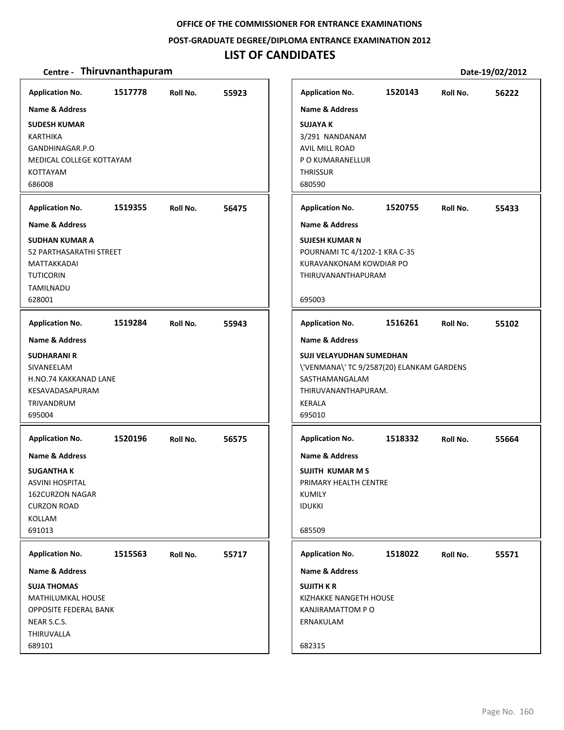**POST‐GRADUATE DEGREE/DIPLOMA ENTRANCE EXAMINATION 2012**

### **LIST OF CANDIDATES**

| <b>Application No.</b><br>Name & Address                                                                                                                               | 1517778 | Roll No. | 55923 |
|------------------------------------------------------------------------------------------------------------------------------------------------------------------------|---------|----------|-------|
| <b>SUDESH KUMAR</b><br><b>KARTHIKA</b><br>GANDHINAGAR.P.O<br>MEDICAL COLLEGE KOTTAYAM<br>KOTTAYAM<br>686008                                                            |         |          |       |
| <b>Application No.</b>                                                                                                                                                 | 1519355 | Roll No. | 56475 |
| <b>Name &amp; Address</b><br><b>SUDHAN KUMAR A</b><br>52 PARTHASARATHI STREET<br>MATTAKKADAI<br><b>TUTICORIN</b><br>TAMILNADU<br>628001                                |         |          |       |
| <b>Application No.</b>                                                                                                                                                 | 1519284 | Roll No. | 55943 |
| <b>SUDHARANI R</b><br>SIVANEELAM<br>H.NO.74 KAKKANAD LANE<br>KESAVADASAPURAM<br><b>TRIVANDRUM</b><br>695004                                                            |         |          |       |
| <b>Application No.</b><br><b>Name &amp; Address</b><br><b>SUGANTHA K</b><br><b>ASVINI HOSPITAL</b><br><b>162CURZON NAGAR</b><br><b>CURZON ROAD</b><br>KOLLAM<br>691013 | 1520196 | Roll No. | 56575 |
| <b>Application No.</b><br>Name & Address<br><b>SUJA THOMAS</b><br><b>MATHILUMKAL HOUSE</b><br>OPPOSITE FEDERAL BANK<br>NEAR S.C.S.<br>THIRUVALLA<br>689101             | 1515563 | Roll No. | 55717 |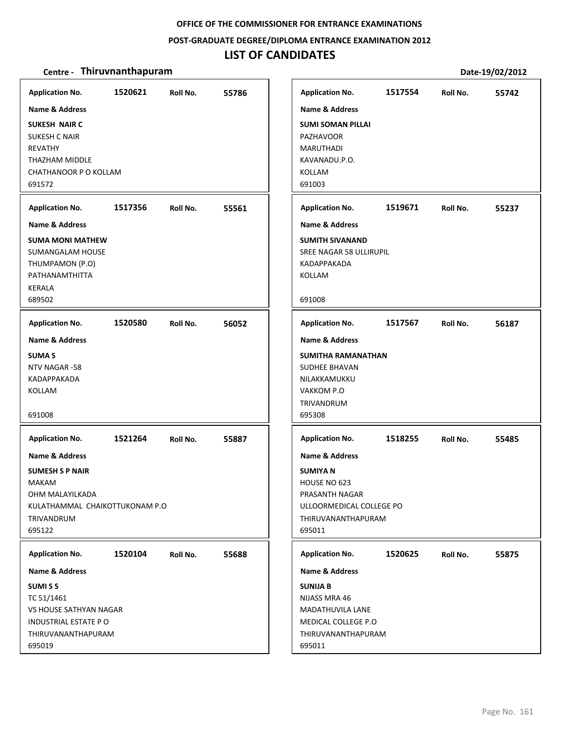### **POST‐GRADUATE DEGREE/DIPLOMA ENTRANCE EXAMINATION 2012**

## **LIST OF CANDIDATES**

| <b>Application No.</b><br>Name & Address<br><b>SUKESH NAIR C</b><br><b>SUKESH C NAIR</b><br>REVATHY<br>THAZHAM MIDDLE<br>CHATHANOOR P O KOLLAM<br>691572                    | 1520621 | Roll No. | 55786 | <b>Application No.</b><br><b>Name &amp; Address</b><br><b>SUMI SOMAN PILLAI</b><br><b>PAZHAVOOR</b><br><b>MARUTHADI</b><br>KAVANADU.P.O.<br><b>KOLLAM</b><br>691003 | 1517554 | Roll No. | 55742 |
|-----------------------------------------------------------------------------------------------------------------------------------------------------------------------------|---------|----------|-------|---------------------------------------------------------------------------------------------------------------------------------------------------------------------|---------|----------|-------|
| <b>Application No.</b><br>Name & Address<br><b>SUMA MONI MATHEW</b><br>SUMANGALAM HOUSE<br>THUMPAMON (P.O)<br>PATHANAMTHITTA<br><b>KERALA</b><br>689502                     | 1517356 | Roll No. | 55561 | <b>Application No.</b><br><b>Name &amp; Address</b><br><b>SUMITH SIVANAND</b><br>SREE NAGAR 58 ULLIRUPIL<br>KADAPPAKADA<br>KOLLAM<br>691008                         | 1519671 | Roll No. | 55237 |
| <b>Application No.</b><br><b>Name &amp; Address</b><br><b>SUMA S</b><br>NTV NAGAR -58<br>KADAPPAKADA<br>KOLLAM<br>691008                                                    | 1520580 | Roll No. | 56052 | <b>Application No.</b><br>Name & Address<br><b>SUMITHA RAMANATHAN</b><br>SUDHEE BHAVAN<br>NILAKKAMUKKU<br>VAKKOM P.O<br>TRIVANDRUM<br>695308                        | 1517567 | Roll No. | 56187 |
| <b>Application No.</b><br><b>Name &amp; Address</b><br><b>SUMESH S P NAIR</b><br><b>MAKAM</b><br>OHM MALAYILKADA<br>KULATHAMMAL CHAIKOTTUKONAM P.O<br>TRIVANDRUM<br>695122  | 1521264 | Roll No. | 55887 | <b>Application No.</b><br><b>Name &amp; Address</b><br><b>SUMIYAN</b><br>HOUSE NO 623<br>PRASANTH NAGAR<br>ULLOORMEDICAL COLLEGE PO<br>THIRUVANANTHAPURAM<br>695011 | 1518255 | Roll No. | 55485 |
| <b>Application No.</b><br><b>Name &amp; Address</b><br><b>SUMISS</b><br>TC 51/1461<br>VS HOUSE SATHYAN NAGAR<br><b>INDUSTRIAL ESTATE PO</b><br>THIRUVANANTHAPURAM<br>695019 | 1520104 | Roll No. | 55688 | <b>Application No.</b><br><b>Name &amp; Address</b><br><b>SUNIJA B</b><br>NIJASS MRA 46<br>MADATHUVILA LANE<br>MEDICAL COLLEGE P.O<br>THIRUVANANTHAPURAM<br>695011  | 1520625 | Roll No. | 55875 |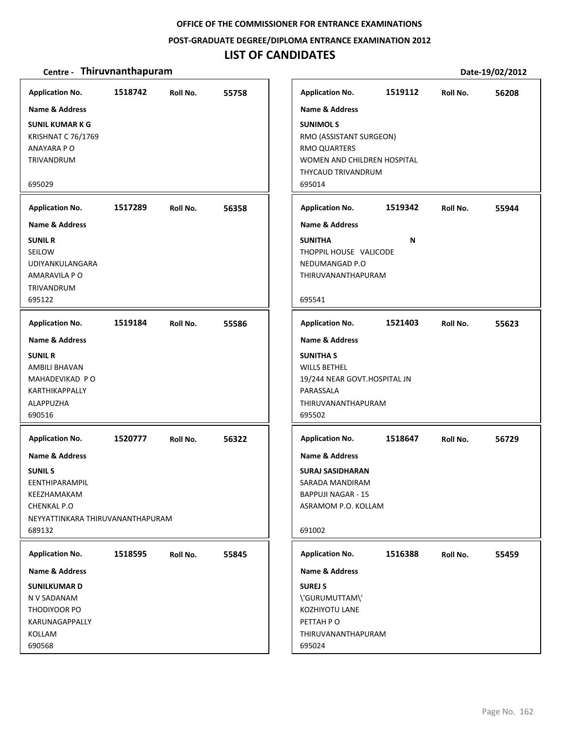#### **POST‐GRADUATE DEGREE/DIPLOMA ENTRANCE EXAMINATION 2012**

### **LIST OF CANDIDATES**

#### **Centre** • **Thiruvnanthapuram Date-19/02/2012**

**1518742 55758 SUNIL KUMAR K G** KRISHNAT C 76/1769 ANAYARA P O TRIVANDRUM 695029 **Application No. Name & Address 1517289 56358 SUNIL R** SEILOW UDIYANKULANGARA AMARAVILA P O TRIVANDRUM 695122 **Application No. Name & Address 1519184 55586 SUNIL R** AMBILI BHAVAN MAHADEVIKAD P O KARTHIKAPPALLY ALAPPUZHA 690516 **Application No. Name & Address 1520777 56322 SUNIL S** EENTHIPARAMPIL KEEZHAMAKAM CHENKAL P.O NEYYATTINKARA THIRUVANANTHAPURAM 689132 **Application No. Name & Address 1518595 55845 SUNILKUMAR D** N V SADANAM THODIYOOR PO KARUNAGAPPALLY KOLLAM 690568 **Application No. Name & Address 1519112 56208 SUNIMOL S** RMO (ASSISTANT SURGEON) RMO QUARTERS WOMEN AND CHILDREN HOSPITAL THYCAUD TRIVANDRUM 695014 **Application No. Name & Address 1519342 55944 SUNITHA N** THOPPIL HOUSE VALICODE NEDUMANGAD P.O THIRUVANANTHAPURAM 695541 **Application No. Name & Address 1521403 55623 SUNITHA S** WILLS BETHEL 19/244 NEAR GOVT.HOSPITAL JN PARASSALA THIRUVANANTHAPURAM 695502 **Application No. Name & Address 1518647 56729 SURAJ SASIDHARAN** SARADA MANDIRAM BAPPUJI NAGAR ‐ 15 ASRAMOM P.O. KOLLAM 691002 **Application No. Name & Address 1516388 55459 SUREJ S** \'GURUMUTTAM\' KOZHIYOTU LANE PETTAH P O THIRUVANANTHAPURAM 695024 **Application No. Name & Address**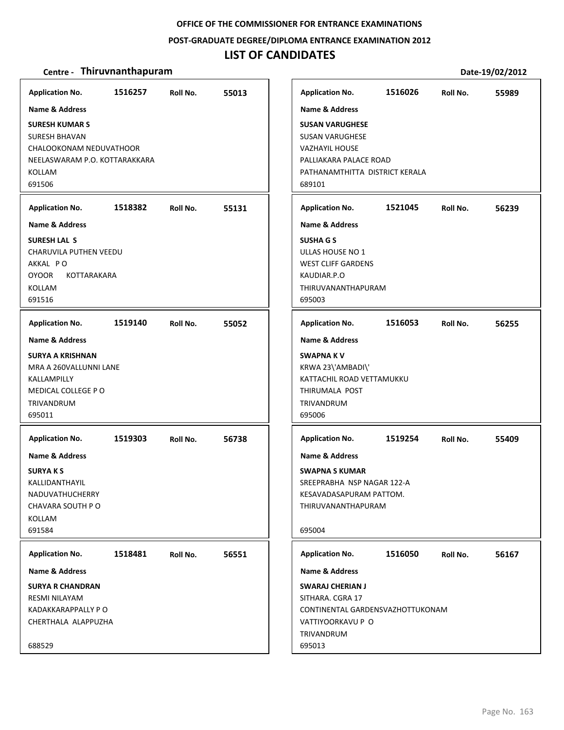#### **POST‐GRADUATE DEGREE/DIPLOMA ENTRANCE EXAMINATION 2012**

### **LIST OF CANDIDATES**

#### **Centre** • **Thiruvnanthapuram Date-19/02/2012**

**1516257 55013 SURESH KUMAR S** SURESH BHAVAN CHALOOKONAM NEDUVATHOOR NEELASWARAM P.O. KOTTARAKKARA KOLLAM 691506 **Application No. Name & Address 1518382 55131 SURESH LAL S** CHARUVILA PUTHEN VEEDU AKKAL P O OYOOR KOTTARAKARA KOLLAM 691516 **Application No. Name & Address 1519140 55052 SURYA A KRISHNAN** MRA A 260VALLUNNI LANE KALLAMPILLY MEDICAL COLLEGE P O TRIVANDRUM 695011 **Application No. Name & Address 1519303 56738 SURYA K S** KALLIDANTHAYIL NADUVATHUCHERRY CHAVARA SOUTH P O KOLLAM 691584 **Application No. Name & Address 1518481 56551 SURYA R CHANDRAN** RESMI NILAYAM KADAKKARAPPALLY P O CHERTHALA ALAPPUZHA 688529 **Application No. Name & Address 1516026 55989 SUSAN VARUGHESE** SUSAN VARUGHESE VAZHAYIL HOUSE PALLIAKARA PALACE ROAD PATHANAMTHITTA DISTRICT KERALA 689101 **Application No. Name & Address 1521045 56239 SUSHA G S** ULLAS HOUSE NO 1 WEST CLIFF GARDENS KAUDIAR.P.O THIRUVANANTHAPURAM 695003 **Application No. Name & Address 1516053 56255 SWAPNA K V** KRWA 23\'AMBADI\' KATTACHIL ROAD VETTAMUKKU THIRUMALA POST TRIVANDRUM 695006 **Application No. Name & Address 1519254 55409 SWAPNA S KUMAR** SREEPRABHA NSP NAGAR 122‐A KESAVADASAPURAM PATTOM. THIRUVANANTHAPURAM 695004 **Application No. Name & Address 1516050 56167 SWARAJ CHERIAN J** SITHARA. CGRA 17 CONTINENTAL GARDENSVAZHOTTUKONAM VATTIYOORKAVU P O TRIVANDRUM 695013 **Application No. Name & Address**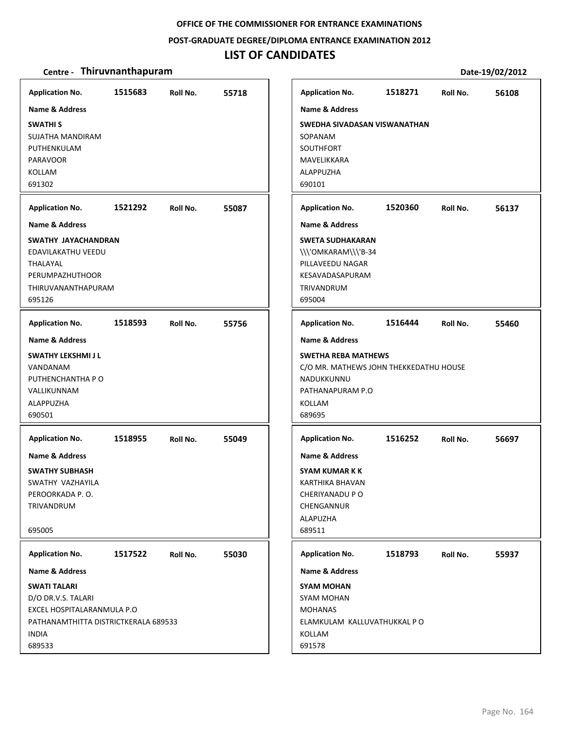### **POST‐GRADUATE DEGREE/DIPLOMA ENTRANCE EXAMINATION 2012**

## **LIST OF CANDIDATES**

| <b>Application No.</b>                                                                                                                    | 1515683 | Roll No. | 55718 | <b>Application No.</b>                                                                                                         | 1518271 | Roll No. | 56108 |
|-------------------------------------------------------------------------------------------------------------------------------------------|---------|----------|-------|--------------------------------------------------------------------------------------------------------------------------------|---------|----------|-------|
| <b>Name &amp; Address</b><br><b>SWATHIS</b><br>SUJATHA MANDIRAM<br>PUTHENKULAM<br><b>PARAVOOR</b><br>KOLLAM<br>691302                     |         |          |       | <b>Name &amp; Address</b><br>SWEDHA SIVADASAN VISWANATHAN<br>SOPANAM<br>SOUTHFORT<br>MAVELIKKARA<br><b>ALAPPUZHA</b><br>690101 |         |          |       |
| <b>Application No.</b>                                                                                                                    | 1521292 | Roll No. | 55087 | <b>Application No.</b>                                                                                                         | 1520360 | Roll No. | 56137 |
| <b>Name &amp; Address</b>                                                                                                                 |         |          |       | <b>Name &amp; Address</b>                                                                                                      |         |          |       |
| SWATHY JAYACHANDRAN<br>EDAVILAKATHU VEEDU<br>THALAYAL<br>PERUMPAZHUTHOOR<br>THIRUVANANTHAPURAM<br>695126                                  |         |          |       | <b>SWETA SUDHAKARAN</b><br>\\\'OMKARAM\\\'B-34<br>PILLAVEEDU NAGAR<br>KESAVADASAPURAM<br>TRIVANDRUM<br>695004                  |         |          |       |
| <b>Application No.</b>                                                                                                                    | 1518593 | Roll No. | 55756 | <b>Application No.</b>                                                                                                         | 1516444 | Roll No. | 55460 |
| <b>Name &amp; Address</b>                                                                                                                 |         |          |       | <b>Name &amp; Address</b>                                                                                                      |         |          |       |
| SWATHY LEKSHMI J L<br>VANDANAM<br>PUTHENCHANTHA P O<br>VALLIKUNNAM<br>ALAPPUZHA<br>690501                                                 |         |          |       | <b>SWETHA REBA MATHEWS</b><br>C/O MR. MATHEWS JOHN THEKKEDATHU HOUSE<br>NADUKKUNNU<br>PATHANAPURAM P.O<br>KOLLAM<br>689695     |         |          |       |
| <b>Application No.</b>                                                                                                                    | 1518955 | Roll No. | 55049 | <b>Application No.</b>                                                                                                         | 1516252 | Roll No. | 56697 |
| Name & Address<br><b>SWATHY SUBHASH</b><br>SWATHY VAZHAYILA<br>PEROORKADA P.O.<br>TRIVANDRUM<br>695005                                    |         |          |       | <b>Name &amp; Address</b><br><b>SYAM KUMAR K K</b><br>KARTHIKA BHAVAN<br>CHERIYANADU P O<br>CHENGANNUR<br>ALAPUZHA<br>689511   |         |          |       |
| <b>Application No.</b>                                                                                                                    | 1517522 | Roll No. | 55030 | <b>Application No.</b>                                                                                                         | 1518793 | Roll No. | 55937 |
| Name & Address                                                                                                                            |         |          |       | <b>Name &amp; Address</b>                                                                                                      |         |          |       |
| <b>SWATI TALARI</b><br>D/O DR.V.S. TALARI<br>EXCEL HOSPITALARANMULA P.O<br>PATHANAMTHITTA DISTRICTKERALA 689533<br><b>INDIA</b><br>689533 |         |          |       | <b>SYAM MOHAN</b><br>SYAM MOHAN<br><b>MOHANAS</b><br>ELAMKULAM KALLUVATHUKKAL PO<br>KOLLAM<br>691578                           |         |          |       |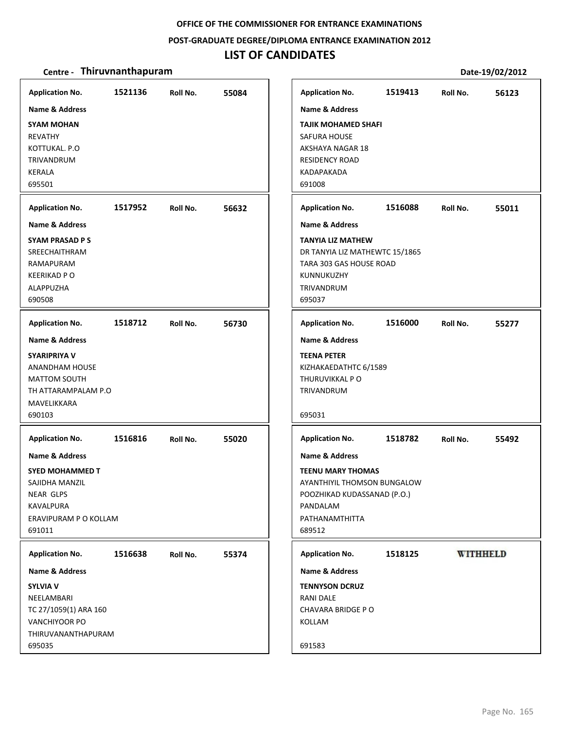### **POST‐GRADUATE DEGREE/DIPLOMA ENTRANCE EXAMINATION 2012**

## **LIST OF CANDIDATES**

| <b>Application No.</b>                                                                                                  | 1521136 | Roll No. | 55084 |
|-------------------------------------------------------------------------------------------------------------------------|---------|----------|-------|
| <b>Name &amp; Address</b>                                                                                               |         |          |       |
| <b>SYAM MOHAN</b><br>REVATHY<br>KOTTUKAL, P.O<br>TRIVANDRUM<br><b>KERALA</b><br>695501                                  |         |          |       |
| <b>Application No.</b>                                                                                                  | 1517952 | Roll No. | 56632 |
| <b>Name &amp; Address</b>                                                                                               |         |          |       |
| SYAM PRASAD P S<br>SREECHAITHRAM<br>RAMAPURAM<br><b>KEERIKAD P O</b><br><b>ALAPPUZHA</b><br>690508                      |         |          |       |
| <b>Application No.</b>                                                                                                  | 1518712 | Roll No. | 56730 |
| <b>Name &amp; Address</b>                                                                                               |         |          |       |
| <b>SYARIPRIYA V</b><br><b>ANANDHAM HOUSE</b><br><b>MATTOM SOUTH</b><br>TH ATTARAMPALAM P.O<br>MAVELIKKARA<br>690103     |         |          |       |
| <b>Application No.</b>                                                                                                  | 1516816 | Roll No. | 55020 |
| Name & Address<br><b>SYED MOHAMMED T</b><br>SAJIDHA MANZIL<br>NEAR GLPS<br>KAVALPURA<br>ERAVIPURAM P O KOLLAM<br>691011 |         |          |       |
| <b>Application No.</b>                                                                                                  | 1516638 | Roll No. | 55374 |
| Name & Address                                                                                                          |         |          |       |
| <b>SYLVIA V</b><br>NEELAMBARI<br>TC 27/1059(1) ARA 160<br>VANCHIYOOR PO<br>THIRUVANANTHAPURAM<br>695035                 |         |          |       |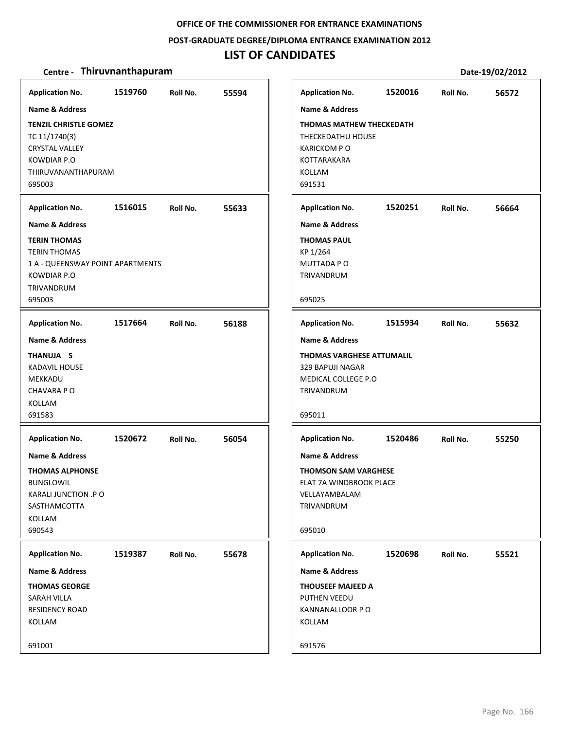### **POST‐GRADUATE DEGREE/DIPLOMA ENTRANCE EXAMINATION 2012**

## **LIST OF CANDIDATES**

| <b>Application No.</b>                                                                                                       | 1519760 | Roll No. | 55594 | <b>Application No.</b>                                                                                                       | 1520016 | Roll No. | 56572 |
|------------------------------------------------------------------------------------------------------------------------------|---------|----------|-------|------------------------------------------------------------------------------------------------------------------------------|---------|----------|-------|
| <b>Name &amp; Address</b>                                                                                                    |         |          |       | <b>Name &amp; Address</b>                                                                                                    |         |          |       |
| <b>TENZIL CHRISTLE GOMEZ</b><br>TC 11/1740(3)<br><b>CRYSTAL VALLEY</b><br>KOWDIAR P.O<br>THIRUVANANTHAPURAM<br>695003        |         |          |       | <b>THOMAS MATHEW THECKEDATH</b><br>THECKEDATHU HOUSE<br><b>KARICKOM PO</b><br>KOTTARAKARA<br>KOLLAM<br>691531                |         |          |       |
| <b>Application No.</b>                                                                                                       | 1516015 | Roll No. | 55633 | <b>Application No.</b>                                                                                                       | 1520251 | Roll No. | 56664 |
| Name & Address                                                                                                               |         |          |       | Name & Address                                                                                                               |         |          |       |
| <b>TERIN THOMAS</b><br><b>TERIN THOMAS</b><br>1 A - QUEENSWAY POINT APARTMENTS<br>KOWDIAR P.O<br><b>TRIVANDRUM</b><br>695003 |         |          |       | <b>THOMAS PAUL</b><br>KP 1/264<br>MUTTADA PO<br>TRIVANDRUM<br>695025                                                         |         |          |       |
| <b>Application No.</b>                                                                                                       | 1517664 | Roll No. | 56188 | <b>Application No.</b>                                                                                                       | 1515934 | Roll No. | 55632 |
| <b>Name &amp; Address</b>                                                                                                    |         |          |       | <b>Name &amp; Address</b>                                                                                                    |         |          |       |
| THANUJA S<br><b>KADAVIL HOUSE</b><br>MEKKADU<br>CHAVARA PO<br>KOLLAM<br>691583                                               |         |          |       | <b>THOMAS VARGHESE ATTUMALIL</b><br>329 BAPUJI NAGAR<br>MEDICAL COLLEGE P.O<br>TRIVANDRUM<br>695011                          |         |          |       |
| <b>Application No.</b>                                                                                                       | 1520672 | Roll No. | 56054 | <b>Application No.</b>                                                                                                       | 1520486 | Roll No. | 55250 |
| Name & Address<br><b>THOMAS ALPHONSE</b><br><b>BUNGLOWIL</b><br>KARALI JUNCTION .P O<br>SASTHAMCOTTA<br>KOLLAM<br>690543     |         |          |       | <b>Name &amp; Address</b><br><b>THOMSON SAM VARGHESE</b><br>FLAT 7A WINDBROOK PLACE<br>VELLAYAMBALAM<br>TRIVANDRUM<br>695010 |         |          |       |
| <b>Application No.</b>                                                                                                       | 1519387 | Roll No. | 55678 | <b>Application No.</b>                                                                                                       | 1520698 | Roll No. | 55521 |
| Name & Address<br><b>THOMAS GEORGE</b><br><b>SARAH VILLA</b><br><b>RESIDENCY ROAD</b><br>KOLLAM<br>691001                    |         |          |       | Name & Address<br>THOUSEEF MAJEED A<br>PUTHEN VEEDU<br>KANNANALLOOR PO<br>KOLLAM<br>691576                                   |         |          |       |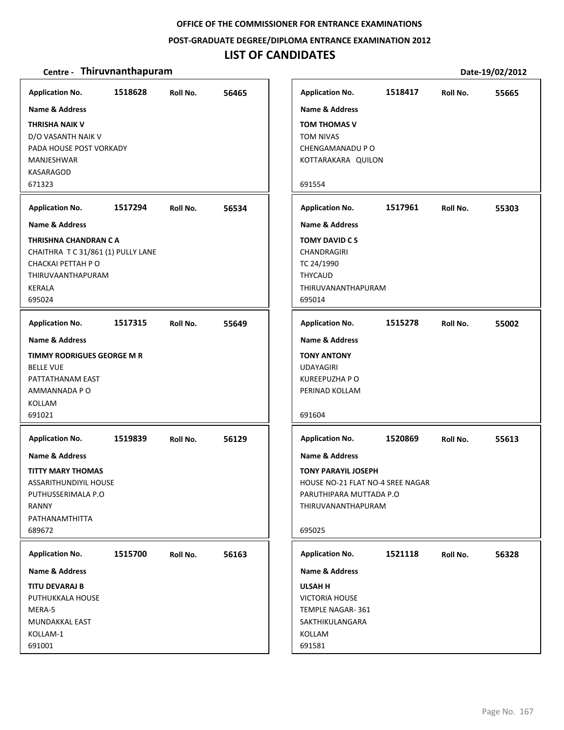**POST‐GRADUATE DEGREE/DIPLOMA ENTRANCE EXAMINATION 2012**

### **LIST OF CANDIDATES**

| <b>Application No.</b>             | 1518628 | Roll No. | 56465 |
|------------------------------------|---------|----------|-------|
| Name & Address                     |         |          |       |
| <b>THRISHA NAIK V</b>              |         |          |       |
| D/O VASANTH NAIK V                 |         |          |       |
| PADA HOUSE POST VORKADY            |         |          |       |
| MANJESHWAR                         |         |          |       |
| KASARAGOD                          |         |          |       |
| 671323                             |         |          |       |
| <b>Application No.</b>             | 1517294 | Roll No. | 56534 |
| <b>Name &amp; Address</b>          |         |          |       |
| THRISHNA CHANDRAN C A              |         |          |       |
| CHAITHRA T C 31/861 (1) PULLY LANE |         |          |       |
| CHACKAI PETTAH P O                 |         |          |       |
| THIRUVAANTHAPURAM                  |         |          |       |
| KERALA<br>695024                   |         |          |       |
|                                    |         |          |       |
| <b>Application No.</b>             | 1517315 | Roll No. | 55649 |
| <b>Name &amp; Address</b>          |         |          |       |
| TIMMY RODRIGUES GEORGE M R         |         |          |       |
| <b>BELLE VUE</b>                   |         |          |       |
| PATTATHANAM EAST                   |         |          |       |
| AMMANNADA P O                      |         |          |       |
| <b>KOLLAM</b>                      |         |          |       |
| 691021                             |         |          |       |
| <b>Application No.</b>             | 1519839 | Roll No. | 56129 |
| <b>Name &amp; Address</b>          |         |          |       |
| <b>TITTY MARY THOMAS</b>           |         |          |       |
| <b>ASSARITHUNDIYIL HOUSE</b>       |         |          |       |
| PUTHUSSERIMALA P.O                 |         |          |       |
| RANNY                              |         |          |       |
| PATHANAMTHITTA                     |         |          |       |
| 689672                             |         |          |       |
| <b>Application No.</b>             | 1515700 | Roll No. | 56163 |
| Name & Address                     |         |          |       |
| TITU DEVARAJ B                     |         |          |       |
| PUTHUKKALA HOUSE                   |         |          |       |
| MERA-5                             |         |          |       |
| MUNDAKKAL EAST                     |         |          |       |
| KOLLAM-1                           |         |          |       |
| 691001                             |         |          |       |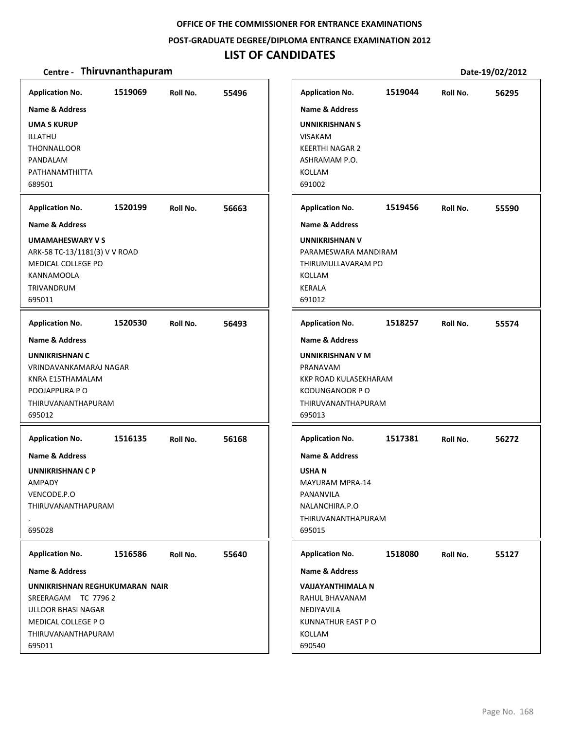### **POST‐GRADUATE DEGREE/DIPLOMA ENTRANCE EXAMINATION 2012**

## **LIST OF CANDIDATES**

| <b>Application No.</b><br><b>Name &amp; Address</b><br><b>UMA S KURUP</b><br>ILLATHU<br>THONNALLOOR<br>PANDALAM<br>PATHANAMTHITTA<br>689501                                              | 1519069 | Roll No. | 55496 | <b>Application No.</b><br>Name & Address<br><b>UNNIKRISHNAN S</b><br><b>VISAKAM</b><br><b>KEERTHI NAGAR 2</b><br>ASHRAMAM P.O.<br>KOLLAM<br>691002                     | 1519044 | Roll No. | 56295 |
|------------------------------------------------------------------------------------------------------------------------------------------------------------------------------------------|---------|----------|-------|------------------------------------------------------------------------------------------------------------------------------------------------------------------------|---------|----------|-------|
| <b>Application No.</b><br><b>Name &amp; Address</b><br><b>UMAMAHESWARY V S</b><br>ARK-58 TC-13/1181(3) V V ROAD<br>MEDICAL COLLEGE PO<br><b>KANNAMOOLA</b><br>TRIVANDRUM<br>695011       | 1520199 | Roll No. | 56663 | <b>Application No.</b><br><b>Name &amp; Address</b><br><b>UNNIKRISHNAN V</b><br>PARAMESWARA MANDIRAM<br>THIRUMULLAVARAM PO<br>KOLLAM<br><b>KERALA</b><br>691012        | 1519456 | Roll No. | 55590 |
| <b>Application No.</b><br>Name & Address<br><b>UNNIKRISHNAN C</b><br>VRINDAVANKAMARAJ NAGAR<br>KNRA E15THAMALAM<br>POOJAPPURA P O<br>THIRUVANANTHAPURAM<br>695012                        | 1520530 | Roll No. | 56493 | <b>Application No.</b><br><b>Name &amp; Address</b><br>UNNIKRISHNAN V M<br>PRANAVAM<br>KKP ROAD KULASEKHARAM<br><b>KODUNGANOOR P O</b><br>THIRUVANANTHAPURAM<br>695013 | 1518257 | Roll No. | 55574 |
| <b>Application No.</b><br>Name & Address<br>UNNIKRISHNAN C P<br>AMPADY<br>VENCODE.P.O<br>THIRUVANANTHAPURAM<br>695028                                                                    | 1516135 | Roll No. | 56168 | <b>Application No.</b><br><b>Name &amp; Address</b><br><b>USHAN</b><br><b>MAYURAM MPRA-14</b><br>PANANVILA<br>NALANCHIRA.P.O<br>THIRUVANANTHAPURAM<br>695015           | 1517381 | Roll No. | 56272 |
| <b>Application No.</b><br><b>Name &amp; Address</b><br>UNNIKRISHNAN REGHUKUMARAN NAIR<br>SREERAGAM TC 7796 2<br>ULLOOR BHASI NAGAR<br>MEDICAL COLLEGE PO<br>THIRUVANANTHAPURAM<br>695011 | 1516586 | Roll No. | 55640 | <b>Application No.</b><br><b>Name &amp; Address</b><br><b>VAIJAYANTHIMALA N</b><br>RAHUL BHAVANAM<br>NEDIYAVILA<br>KUNNATHUR EAST PO<br>KOLLAM<br>690540               | 1518080 | Roll No. | 55127 |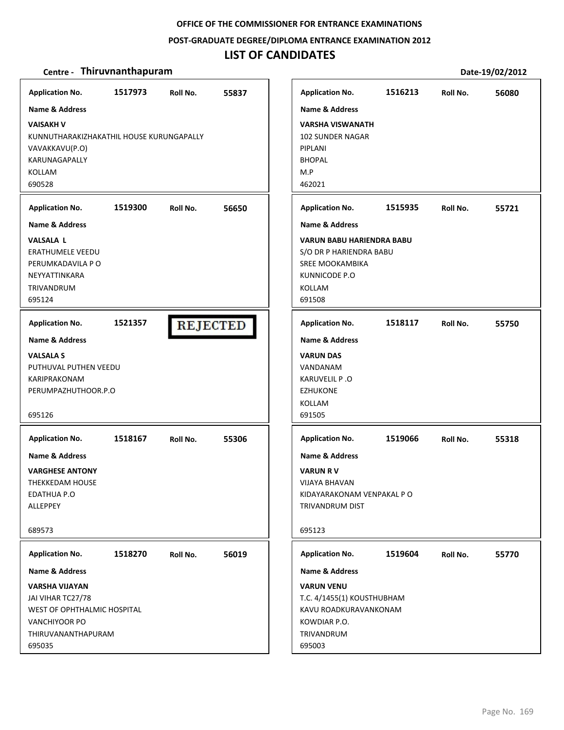### **POST‐GRADUATE DEGREE/DIPLOMA ENTRANCE EXAMINATION 2012**

## **LIST OF CANDIDATES**

| <b>Application No.</b>                                                                                                                                  | 1517973 | Roll No. | 55837           |
|---------------------------------------------------------------------------------------------------------------------------------------------------------|---------|----------|-----------------|
| <b>Name &amp; Address</b><br><b>VAISAKH V</b><br>KUNNUTHARAKIZHAKATHIL HOUSE KURUNGAPALLY<br>VAVAKKAVU(P.O)<br>KARUNAGAPALLY<br><b>KOLLAM</b><br>690528 |         |          |                 |
|                                                                                                                                                         |         |          |                 |
| <b>Application No.</b><br><b>Name &amp; Address</b>                                                                                                     | 1519300 | Roll No. | 56650           |
| <b>VALSALA L</b><br><b>ERATHUMELE VEEDU</b><br>PERUMKADAVILA P O<br>NEYYATTINKARA<br><b>TRIVANDRUM</b><br>695124                                        |         |          |                 |
| <b>Application No.</b>                                                                                                                                  | 1521357 |          | <b>REJECTED</b> |
| <b>Name &amp; Address</b>                                                                                                                               |         |          |                 |
| <b>VALSALA S</b><br>PUTHUVAL PUTHEN VEEDU<br>KARIPRAKONAM<br>PERUMPAZHUTHOOR.P.O<br>695126                                                              |         |          |                 |
| <b>Application No.</b>                                                                                                                                  | 1518167 |          | 55306           |
| <b>Name &amp; Address</b>                                                                                                                               |         | Roll No. |                 |
| <b>VARGHESE ANTONY</b><br>THEKKEDAM HOUSE<br><b>EDATHUA P.O</b><br>ALLEPPEY                                                                             |         |          |                 |
| 689573                                                                                                                                                  |         |          |                 |
| <b>Application No.</b>                                                                                                                                  | 1518270 | Roll No. | 56019           |
| Name & Address                                                                                                                                          |         |          |                 |
| <b>VARSHA VIJAYAN</b><br>JAI VIHAR TC27/78<br>WEST OF OPHTHALMIC HOSPITAL<br>VANCHIYOOR PO<br>THIRUVANANTHAPURAM<br>695035                              |         |          |                 |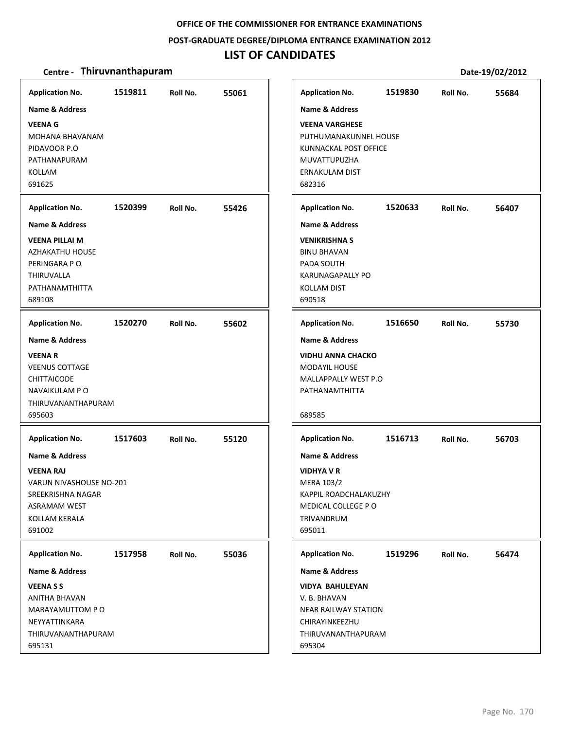### **POST‐GRADUATE DEGREE/DIPLOMA ENTRANCE EXAMINATION 2012**

## **LIST OF CANDIDATES**

| PUTHUMANAKUNNEL HOUSE<br>KUNNACKAL POST OFFICE |                                                                                             |       |
|------------------------------------------------|---------------------------------------------------------------------------------------------|-------|
|                                                |                                                                                             |       |
| 1520633                                        | Roll No.                                                                                    | 56407 |
|                                                |                                                                                             |       |
|                                                |                                                                                             |       |
| 1516650                                        | Roll No.                                                                                    | 55730 |
|                                                |                                                                                             |       |
|                                                |                                                                                             |       |
| 1516713                                        | Roll No.                                                                                    | 56703 |
|                                                |                                                                                             |       |
|                                                |                                                                                             |       |
| 1519296                                        | Roll No.                                                                                    | 56474 |
|                                                |                                                                                             |       |
|                                                |                                                                                             |       |
|                                                | MALLAPPALLY WEST P.O<br>KAPPIL ROADCHALAKUZHY<br>NEAR RAILWAY STATION<br>THIRUVANANTHAPURAM |       |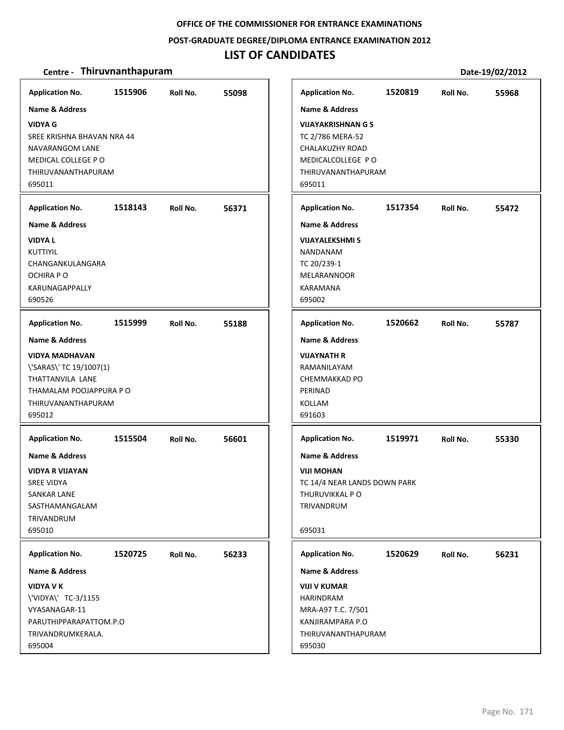### **POST‐GRADUATE DEGREE/DIPLOMA ENTRANCE EXAMINATION 2012**

## **LIST OF CANDIDATES**

| <b>Application No.</b>                                                                                                                                      | 1515906 | Roll No. | 55098 | <b>Application No.</b>                                                                                                                             | 1520819 | Roll No. | 55968 |
|-------------------------------------------------------------------------------------------------------------------------------------------------------------|---------|----------|-------|----------------------------------------------------------------------------------------------------------------------------------------------------|---------|----------|-------|
| <b>Name &amp; Address</b><br><b>VIDYA G</b><br>SREE KRISHNA BHAVAN NRA 44<br>NAVARANGOM LANE<br>MEDICAL COLLEGE PO<br>THIRUVANANTHAPURAM<br>695011          |         |          |       | <b>Name &amp; Address</b><br><b>VIJAYAKRISHNAN G S</b><br>TC 2/786 MERA-52<br>CHALAKUZHY ROAD<br>MEDICALCOLLEGE PO<br>THIRUVANANTHAPURAM<br>695011 |         |          |       |
| <b>Application No.</b>                                                                                                                                      | 1518143 | Roll No. | 56371 | <b>Application No.</b>                                                                                                                             | 1517354 | Roll No. | 55472 |
| <b>Name &amp; Address</b><br><b>VIDYAL</b><br>KUTTIYIL<br>CHANGANKULANGARA<br>OCHIRA P O<br>KARUNAGAPPALLY<br>690526                                        |         |          |       | <b>Name &amp; Address</b><br><b>VIJAYALEKSHMI S</b><br>NANDANAM<br>TC 20/239-1<br><b>MELARANNOOR</b><br>KARAMANA<br>695002                         |         |          |       |
| <b>Application No.</b>                                                                                                                                      | 1515999 | Roll No. | 55188 | <b>Application No.</b>                                                                                                                             | 1520662 | Roll No. | 55787 |
| <b>Name &amp; Address</b><br><b>VIDYA MADHAVAN</b><br>\'SARAS\' TC 19/1007(1)<br>THATTANVILA LANE<br>THAMALAM POOJAPPURA PO<br>THIRUVANANTHAPURAM<br>695012 |         |          |       | <b>Name &amp; Address</b><br><b>VIJAYNATH R</b><br>RAMANILAYAM<br>CHEMMAKKAD PO<br>PERINAD<br>KOLLAM<br>691603                                     |         |          |       |
| <b>Application No.</b><br>Name & Address<br><b>VIDYA R VIJAYAN</b><br>SREE VIDYA<br>SANKAR LANE<br>SASTHAMANGALAM<br><b>TRIVANDRUM</b><br>695010            | 1515504 | Roll No. | 56601 | <b>Application No.</b><br><b>Name &amp; Address</b><br><b>VIJI MOHAN</b><br>TC 14/4 NEAR LANDS DOWN PARK<br>THURUVIKKAL PO<br>TRIVANDRUM<br>695031 | 1519971 | Roll No. | 55330 |
| <b>Application No.</b>                                                                                                                                      | 1520725 | Roll No. | 56233 | <b>Application No.</b>                                                                                                                             | 1520629 | Roll No. | 56231 |
| <b>Name &amp; Address</b><br><b>VIDYA V K</b><br>\'VIDYA\' TC-3/1155<br>VYASANAGAR-11<br>PARUTHIPPARAPATTOM.P.O<br>TRIVANDRUMKERALA.<br>695004              |         |          |       | Name & Address<br><b>VIJI V KUMAR</b><br>HARINDRAM<br>MRA-A97 T.C. 7/501<br>KANJIRAMPARA P.O<br>THIRUVANANTHAPURAM<br>695030                       |         |          |       |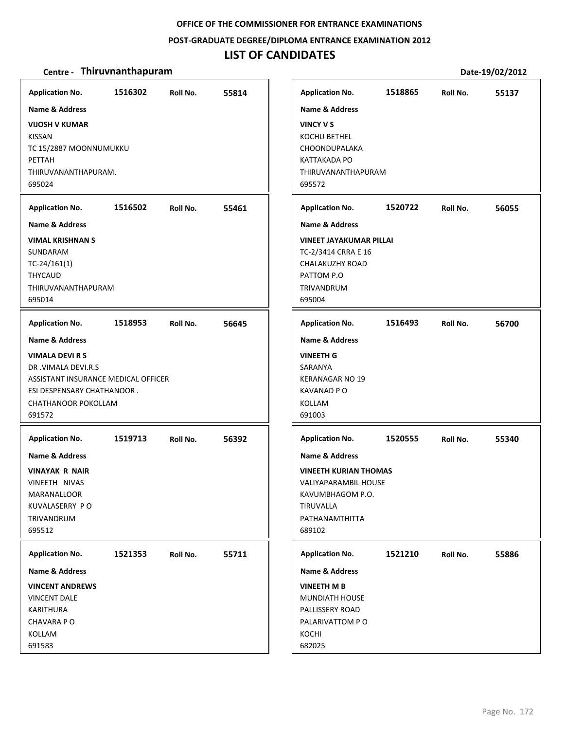### **POST‐GRADUATE DEGREE/DIPLOMA ENTRANCE EXAMINATION 2012**

## **LIST OF CANDIDATES**

| <b>Application No.</b>                                                                                                                             | 1516302 | Roll No. | 55814 | <b>Application No.</b>                                                                                                                         | 1518865 | Roll No. | 55137 |
|----------------------------------------------------------------------------------------------------------------------------------------------------|---------|----------|-------|------------------------------------------------------------------------------------------------------------------------------------------------|---------|----------|-------|
| Name & Address                                                                                                                                     |         |          |       | <b>Name &amp; Address</b>                                                                                                                      |         |          |       |
| <b>VIJOSH V KUMAR</b><br><b>KISSAN</b><br>TC 15/2887 MOONNUMUKKU<br>PETTAH<br>THIRUVANANTHAPURAM.<br>695024                                        |         |          |       | <b>VINCY V S</b><br><b>KOCHU BETHEL</b><br>CHOONDUPALAKA<br><b>KATTAKADA PO</b><br>THIRUVANANTHAPURAM<br>695572                                |         |          |       |
| <b>Application No.</b>                                                                                                                             | 1516502 | Roll No. | 55461 | <b>Application No.</b>                                                                                                                         | 1520722 | Roll No. | 56055 |
| <b>Name &amp; Address</b>                                                                                                                          |         |          |       | <b>Name &amp; Address</b>                                                                                                                      |         |          |       |
| <b>VIMAL KRISHNAN S</b><br>SUNDARAM<br>$TC-24/161(1)$<br><b>THYCAUD</b><br>THIRUVANANTHAPURAM<br>695014                                            |         |          |       | <b>VINEET JAYAKUMAR PILLAI</b><br>TC-2/3414 CRRA E 16<br>CHALAKUZHY ROAD<br>PATTOM P.O<br>TRIVANDRUM<br>695004                                 |         |          |       |
| <b>Application No.</b>                                                                                                                             | 1518953 | Roll No. | 56645 | <b>Application No.</b>                                                                                                                         | 1516493 | Roll No. | 56700 |
| <b>Name &amp; Address</b>                                                                                                                          |         |          |       | <b>Name &amp; Address</b>                                                                                                                      |         |          |       |
| <b>VIMALA DEVI R S</b><br>DR.VIMALA DEVI.R.S<br>ASSISTANT INSURANCE MEDICAL OFFICER<br>ESI DESPENSARY CHATHANOOR.<br>CHATHANOOR POKOLLAM<br>691572 |         |          |       | <b>VINEETH G</b><br>SARANYA<br><b>KERANAGAR NO 19</b><br><b>KAVANAD PO</b><br>KOLLAM<br>691003                                                 |         |          |       |
| <b>Application No.</b>                                                                                                                             | 1519713 | Roll No. | 56392 | <b>Application No.</b>                                                                                                                         | 1520555 | Roll No. | 55340 |
| <b>Name &amp; Address</b><br><b>VINAYAK R NAIR</b><br>VINEETH NIVAS<br>MARANALLOOR<br>KUVALASERRY PO<br>TRIVANDRUM<br>695512                       |         |          |       | <b>Name &amp; Address</b><br><b>VINEETH KURIAN THOMAS</b><br>VALIYAPARAMBIL HOUSE<br>KAVUMBHAGOM P.O.<br>TIRUVALLA<br>PATHANAMTHITTA<br>689102 |         |          |       |
| <b>Application No.</b>                                                                                                                             | 1521353 | Roll No. | 55711 | <b>Application No.</b>                                                                                                                         | 1521210 | Roll No. | 55886 |
| Name & Address                                                                                                                                     |         |          |       | <b>Name &amp; Address</b>                                                                                                                      |         |          |       |
| <b>VINCENT ANDREWS</b><br><b>VINCENT DALE</b><br><b>KARITHURA</b><br>CHAVARA PO<br>KOLLAM<br>691583                                                |         |          |       | <b>VINEETH M B</b><br>MUNDIATH HOUSE<br>PALLISSERY ROAD<br>PALARIVATTOM PO<br>KOCHI<br>682025                                                  |         |          |       |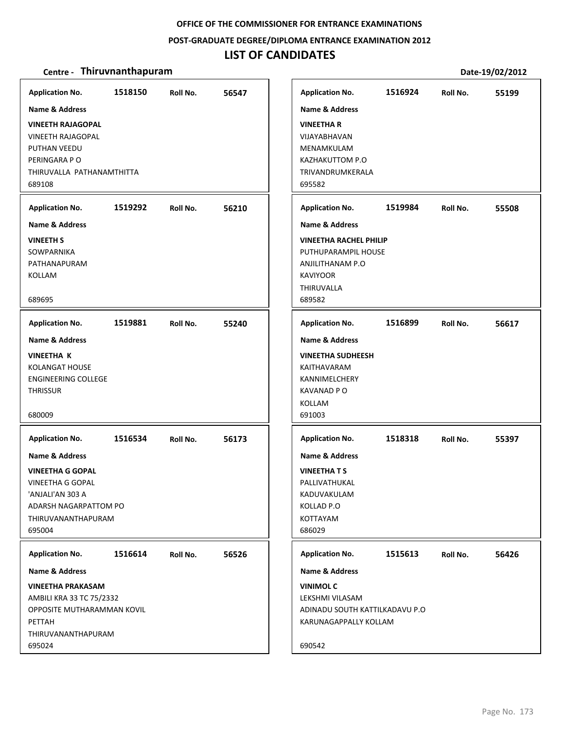### **POST‐GRADUATE DEGREE/DIPLOMA ENTRANCE EXAMINATION 2012**

## **LIST OF CANDIDATES**

| <b>Application No.</b>                                                                                                                                                                 | 1518150 | Roll No. | 56547 | <b>Application No.</b>                                                                                                                                          | 1516924 | Roll No. | 55199 |
|----------------------------------------------------------------------------------------------------------------------------------------------------------------------------------------|---------|----------|-------|-----------------------------------------------------------------------------------------------------------------------------------------------------------------|---------|----------|-------|
| <b>Name &amp; Address</b><br><b>VINEETH RAJAGOPAL</b><br><b>VINEETH RAJAGOPAL</b><br>PUTHAN VEEDU<br>PERINGARA PO<br>THIRUVALLA PATHANAMTHITTA<br>689108                               |         |          |       | <b>Name &amp; Address</b><br><b>VINEETHAR</b><br>VIJAYABHAVAN<br>MENAMKULAM<br>KAZHAKUTTOM P.O<br>TRIVANDRUMKERALA<br>695582                                    |         |          |       |
| <b>Application No.</b>                                                                                                                                                                 | 1519292 | Roll No. | 56210 | <b>Application No.</b>                                                                                                                                          | 1519984 | Roll No. | 55508 |
| Name & Address<br><b>VINEETH S</b><br>SOWPARNIKA<br>PATHANAPURAM<br>KOLLAM<br>689695                                                                                                   |         |          |       | <b>Name &amp; Address</b><br><b>VINEETHA RACHEL PHILIP</b><br>PUTHUPARAMPIL HOUSE<br>ANJILITHANAM P.O<br><b>KAVIYOOR</b><br>THIRUVALLA<br>689582                |         |          |       |
| <b>Application No.</b>                                                                                                                                                                 | 1519881 | Roll No. | 55240 | <b>Application No.</b>                                                                                                                                          | 1516899 | Roll No. | 56617 |
| <b>Name &amp; Address</b><br><b>VINEETHA K</b><br><b>KOLANGAT HOUSE</b><br><b>ENGINEERING COLLEGE</b><br><b>THRISSUR</b><br>680009                                                     |         |          |       | Name & Address<br><b>VINEETHA SUDHEESH</b><br>KAITHAVARAM<br>KANNIMELCHERY<br><b>KAVANAD PO</b><br>KOLLAM<br>691003                                             |         |          |       |
| <b>Application No.</b><br><b>Name &amp; Address</b><br><b>VINEETHA G GOPAL</b><br><b>VINEETHA G GOPAL</b><br>'ANJALI'AN 303 A<br>ADARSH NAGARPATTOM PO<br>THIRUVANANTHAPURAM<br>695004 | 1516534 | Roll No. | 56173 | <b>Application No.</b><br><b>Name &amp; Address</b><br><b>VINEETHATS</b><br>PALLIVATHUKAL<br>KADUVAKULAM<br>KOLLAD P.O<br>KOTTAYAM<br>686029                    | 1518318 | Roll No. | 55397 |
| <b>Application No.</b><br><b>Name &amp; Address</b><br><b>VINEETHA PRAKASAM</b><br>AMBILI KRA 33 TC 75/2332<br>OPPOSITE MUTHARAMMAN KOVIL<br>PETTAH<br>THIRUVANANTHAPURAM<br>695024    | 1516614 | Roll No. | 56526 | <b>Application No.</b><br><b>Name &amp; Address</b><br><b>VINIMOL C</b><br>LEKSHMI VILASAM<br>ADINADU SOUTH KATTILKADAVU P.O<br>KARUNAGAPPALLY KOLLAM<br>690542 | 1515613 | Roll No. | 56426 |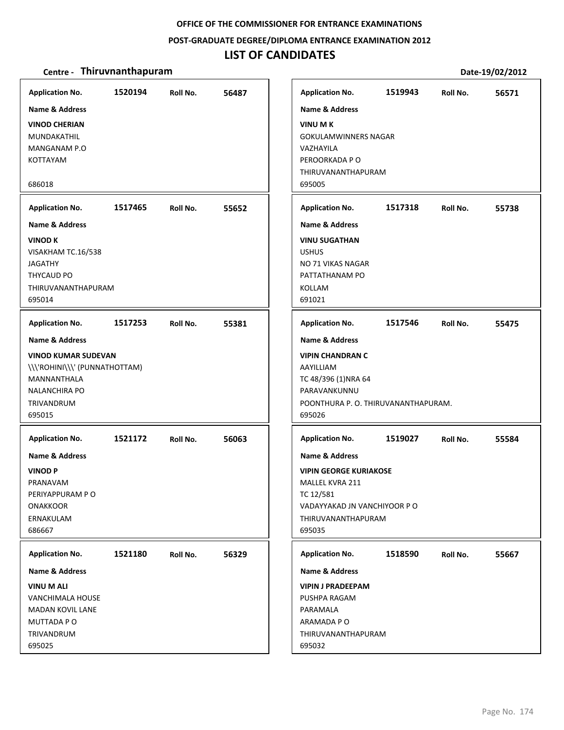#### **POST‐GRADUATE DEGREE/DIPLOMA ENTRANCE EXAMINATION 2012**

### **LIST OF CANDIDATES**

#### **Centre** • **Thiruvnanthapuram Date-19/02/2012**

**1520194 56487 VINOD CHERIAN** MUNDAKATHIL MANGANAM P.O KOTTAYAM 686018 **Application No. Name & Address 1517465 55652 VINOD K** VISAKHAM TC.16/538 JAGATHY THYCAUD PO THIRUVANANTHAPURAM 695014 **Application No. Name & Address 1517253 55381 VINOD KUMAR SUDEVAN** \\\'ROHINI\\\' (PUNNATHOTTAM) MANNANTHALA NALANCHIRA PO TRIVANDRUM 695015 **Application No. Name & Address 1521172 56063 VINOD P** PRANAVAM PERIYAPPURAM P O **ONAKKOOR** ERNAKULAM 686667 **Application No. Name & Address 1521180 56329 VINU M ALI** VANCHIMALA HOUSE MADAN KOVIL LANE MUTTADA P O TRIVANDRUM 695025 **Application No. Name & Address 1519943 56571 VINU M K** GOKULAMWINNERS NAGAR VAZHAYILA PEROORKADA P O THIRUVANANTHAPURAM 695005 **Application No. Name & Address 1517318 55738 VINU SUGATHAN** USHUS NO 71 VIKAS NAGAR PATTATHANAM PO KOLLAM 691021 **Application No. Name & Address 1517546 55475 VIPIN CHANDRAN C** AAYILLIAM TC 48/396 (1)NRA 64 PARAVANKUNNU POONTHURA P. O. THIRUVANANTHAPURAM. 695026 **Application No. Name & Address 1519027 55584 VIPIN GEORGE KURIAKOSE** MALLEL KVRA 211 TC 12/581 VADAYYAKAD JN VANCHIYOOR P O THIRUVANANTHAPURAM 695035 **Application No. Name & Address 1518590 55667 VIPIN J PRADEEPAM** PUSHPA RAGAM PARAMALA ARAMADA P O THIRUVANANTHAPURAM 695032 **Application No. Name & Address**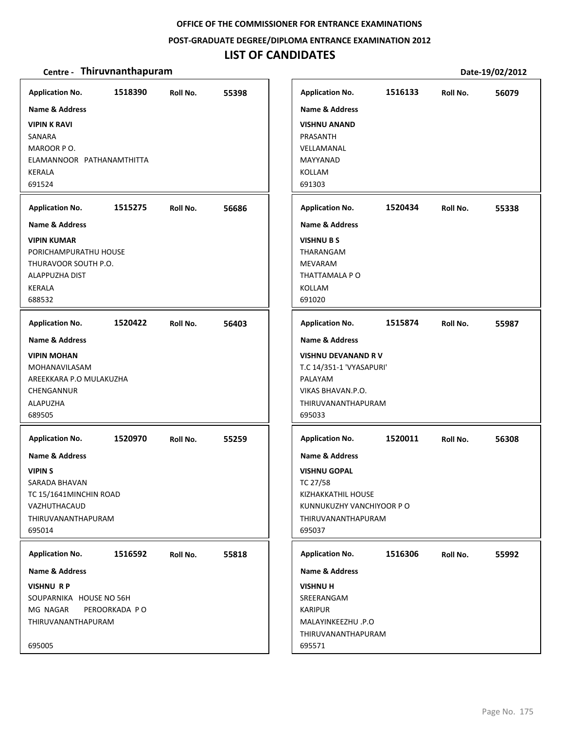### **POST‐GRADUATE DEGREE/DIPLOMA ENTRANCE EXAMINATION 2012**

## **LIST OF CANDIDATES**

| <b>Application No.</b><br>Name & Address<br><b>VIPIN K RAVI</b><br>SANARA<br>MAROOR PO.<br>ELAMANNOOR PATHANAMTHITTA<br><b>KERALA</b><br>691524                        | 1518390                  | Roll No. | 55398 | <b>Application No.</b><br><b>Name &amp; Address</b><br><b>VISHNU ANAND</b><br>PRASANTH<br>VELLAMANAL<br>MAYYANAD<br><b>KOLLAM</b><br>691303                               | 1516133 | Roll No. | 56079 |
|------------------------------------------------------------------------------------------------------------------------------------------------------------------------|--------------------------|----------|-------|---------------------------------------------------------------------------------------------------------------------------------------------------------------------------|---------|----------|-------|
| <b>Application No.</b><br><b>Name &amp; Address</b><br><b>VIPIN KUMAR</b><br>PORICHAMPURATHU HOUSE<br>THURAVOOR SOUTH P.O.<br>ALAPPUZHA DIST<br>KERALA<br>688532       | 1515275                  | Roll No. | 56686 | <b>Application No.</b><br><b>Name &amp; Address</b><br><b>VISHNU B S</b><br>THARANGAM<br><b>MEVARAM</b><br>THATTAMALA P O<br><b>KOLLAM</b><br>691020                      | 1520434 | Roll No. | 55338 |
| <b>Application No.</b><br>Name & Address<br><b>VIPIN MOHAN</b><br>MOHANAVILASAM<br>AREEKKARA P.O MULAKUZHA<br>CHENGANNUR<br>ALAPUZHA<br>689505                         | 1520422                  | Roll No. | 56403 | <b>Application No.</b><br><b>Name &amp; Address</b><br>VISHNU DEVANAND RV<br>T.C 14/351-1 'VYASAPURI'<br>PALAYAM<br>VIKAS BHAVAN.P.O.<br>THIRUVANANTHAPURAM<br>695033     | 1515874 | Roll No. | 55987 |
| <b>Application No.</b><br><b>Name &amp; Address</b><br><b>VIPINS</b><br>SARADA BHAVAN<br>TC 15/1641MINCHIN ROAD<br>VAZHUTHACAUD<br><b>THIRUVANANTHAPURAM</b><br>695014 | 1520970                  | Roll No. | 55259 | <b>Application No.</b><br><b>Name &amp; Address</b><br><b>VISHNU GOPAL</b><br>TC 27/58<br>KIZHAKKATHIL HOUSE<br>KUNNUKUZHY VANCHIYOOR P O<br>THIRUVANANTHAPURAM<br>695037 | 1520011 | Roll No. | 56308 |
| <b>Application No.</b><br>Name & Address<br><b>VISHNU RP</b><br>SOUPARNIKA HOUSE NO 56H<br>MG NAGAR<br>THIRUVANANTHAPURAM<br>695005                                    | 1516592<br>PEROORKADA PO | Roll No. | 55818 | <b>Application No.</b><br><b>Name &amp; Address</b><br><b>VISHNU H</b><br>SREERANGAM<br><b>KARIPUR</b><br>MALAYINKEEZHU .P.O<br>THIRUVANANTHAPURAM<br>695571              | 1516306 | Roll No. | 55992 |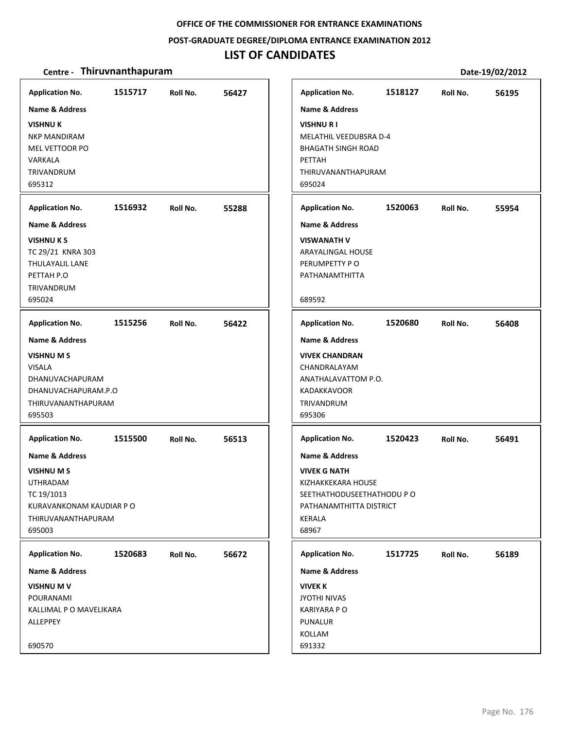#### **POST‐GRADUATE DEGREE/DIPLOMA ENTRANCE EXAMINATION 2012**

### **LIST OF CANDIDATES**

#### **Centre** • **Thiruvnanthapuram Date-19/02/2012**

**1515717 56427 VISHNU K** NKP MANDIRAM MEL VETTOOR PO VARKALA TRIVANDRUM 695312 **Application No. Name & Address 1516932 55288 VISHNU K S** TC 29/21 KNRA 303 THULAYALIL LANE PETTAH P.O TRIVANDRUM 695024 **Application No. Name & Address 1515256 56422 VISHNU M S** VISALA DHANUVACHAPURAM DHANUVACHAPURAM.P.O THIRUVANANTHAPURAM 695503 **Application No. Name & Address 1515500 56513 VISHNU M S** UTHRADAM TC 19/1013 KURAVANKONAM KAUDIAR P O THIRUVANANTHAPURAM 695003 **Application No. Name & Address 1520683 56672 VISHNU M V** POURANAMI KALLIMAL P O MAVELIKARA **ALLEPPEY** 690570 **Application No. Name & Address 1518127 56195 VISHNU R I** MELATHIL VEEDUBSRA D‐4 BHAGATH SINGH ROAD PETTAH THIRUVANANTHAPURAM 695024 **Application No. Name & Address 1520063 55954 VISWANATH V** ARAYALINGAL HOUSE PERUMPETTY P O PATHANAMTHITTA 689592 **Application No. Name & Address 1520680 56408 VIVEK CHANDRAN** CHANDRALAYAM ANATHALAVATTOM P.O. KADAKKAVOOR TRIVANDRUM 695306 **Application No. Name & Address 1520423 56491 VIVEK G NATH** KIZHAKKEKARA HOUSE SEETHATHODUSEETHATHODU P O PATHANAMTHITTA DISTRICT KERALA 68967 **Application No. Name & Address 1517725 56189 VIVEK K** JYOTHI NIVAS KARIYARA P O PUNALUR KOLLAM 691332 **Application No. Name & Address**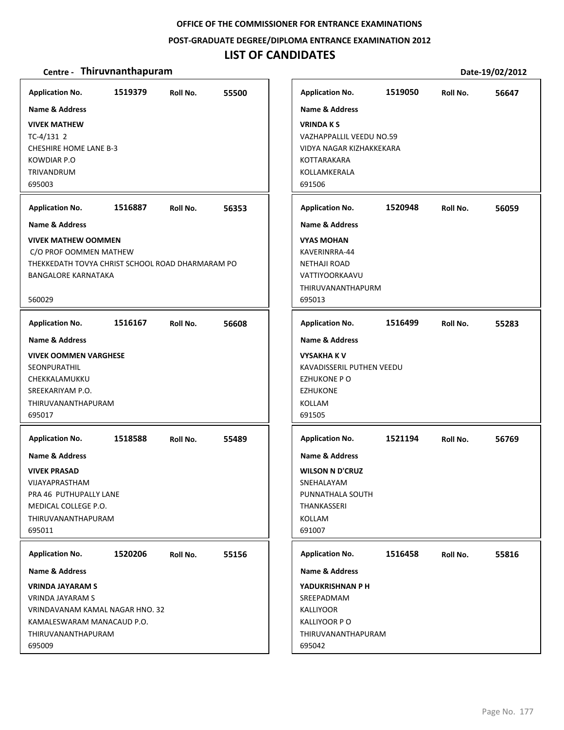### **POST‐GRADUATE DEGREE/DIPLOMA ENTRANCE EXAMINATION 2012**

### **LIST OF CANDIDATES**

| <b>Application No.</b>                                                                                                                                                                                                                                         | 1519379 | Roll No. | 55500 | <b>Application No.</b>                                                                                                                                                                                                                     | 1519050 | Roll No. | 56647 |
|----------------------------------------------------------------------------------------------------------------------------------------------------------------------------------------------------------------------------------------------------------------|---------|----------|-------|--------------------------------------------------------------------------------------------------------------------------------------------------------------------------------------------------------------------------------------------|---------|----------|-------|
| <b>Name &amp; Address</b><br><b>VIVEK MATHEW</b><br>$TC-4/131$ 2<br><b>CHESHIRE HOME LANE B-3</b><br><b>KOWDIAR P.O</b><br>TRIVANDRUM<br>695003<br><b>Application No.</b><br><b>Name &amp; Address</b><br><b>VIVEK MATHEW OOMMEN</b><br>C/O PROF OOMMEN MATHEW | 1516887 | Roll No. | 56353 | <b>Name &amp; Address</b><br><b>VRINDAKS</b><br>VAZHAPPALLIL VEEDU NO.59<br>VIDYA NAGAR KIZHAKKEKARA<br>KOTTARAKARA<br>KOLLAMKERALA<br>691506<br><b>Application No.</b><br><b>Name &amp; Address</b><br><b>VYAS MOHAN</b><br>KAVERINRRA-44 | 1520948 | Roll No. | 56059 |
| THEKKEDATH TOVYA CHRIST SCHOOL ROAD DHARMARAM PO<br><b>BANGALORE KARNATAKA</b><br>560029                                                                                                                                                                       |         |          |       | <b>NETHAJI ROAD</b><br>VATTIYOORKAAVU<br>THIRUVANANTHAPURM<br>695013                                                                                                                                                                       |         |          |       |
| <b>Application No.</b>                                                                                                                                                                                                                                         | 1516167 | Roll No. | 56608 | <b>Application No.</b>                                                                                                                                                                                                                     | 1516499 | Roll No. | 55283 |
| <b>Name &amp; Address</b><br><b>VIVEK OOMMEN VARGHESE</b><br>SEONPURATHIL<br>CHEKKALAMUKKU<br>SREEKARIYAM P.O.<br>THIRUVANANTHAPURAM<br>695017                                                                                                                 |         |          |       | <b>Name &amp; Address</b><br><b>VYSAKHA K V</b><br>KAVADISSERIL PUTHEN VEEDU<br><b>EZHUKONE PO</b><br><b>EZHUKONE</b><br>KOLLAM<br>691505                                                                                                  |         |          |       |
| <b>Application No.</b><br>Name & Address<br><b>VIVEK PRASAD</b><br>VIJAYAPRASTHAM<br>PRA 46 PUTHUPALLY LANE<br>MEDICAL COLLEGE P.O.<br>THIRUVANANTHAPURAM<br>695011                                                                                            | 1518588 | Roll No. | 55489 | <b>Application No.</b><br><b>Name &amp; Address</b><br><b>WILSON N D'CRUZ</b><br>SNEHALAYAM<br>PUNNATHALA SOUTH<br>THANKASSERI<br><b>KOLLAM</b><br>691007                                                                                  | 1521194 | Roll No. | 56769 |
| <b>Application No.</b><br><b>Name &amp; Address</b>                                                                                                                                                                                                            | 1520206 | Roll No. | 55156 | <b>Application No.</b><br>Name & Address                                                                                                                                                                                                   | 1516458 | Roll No. | 55816 |
| <b>VRINDA JAYARAM S</b><br><b>VRINDA JAYARAM S</b><br>VRINDAVANAM KAMAL NAGAR HNO. 32<br>KAMALESWARAM MANACAUD P.O.<br>THIRUVANANTHAPURAM<br>695009                                                                                                            |         |          |       | YADUKRISHNAN P H<br>SREEPADMAM<br><b>KALLIYOOR</b><br>KALLIYOOR P O<br>THIRUVANANTHAPURAM<br>695042                                                                                                                                        |         |          |       |